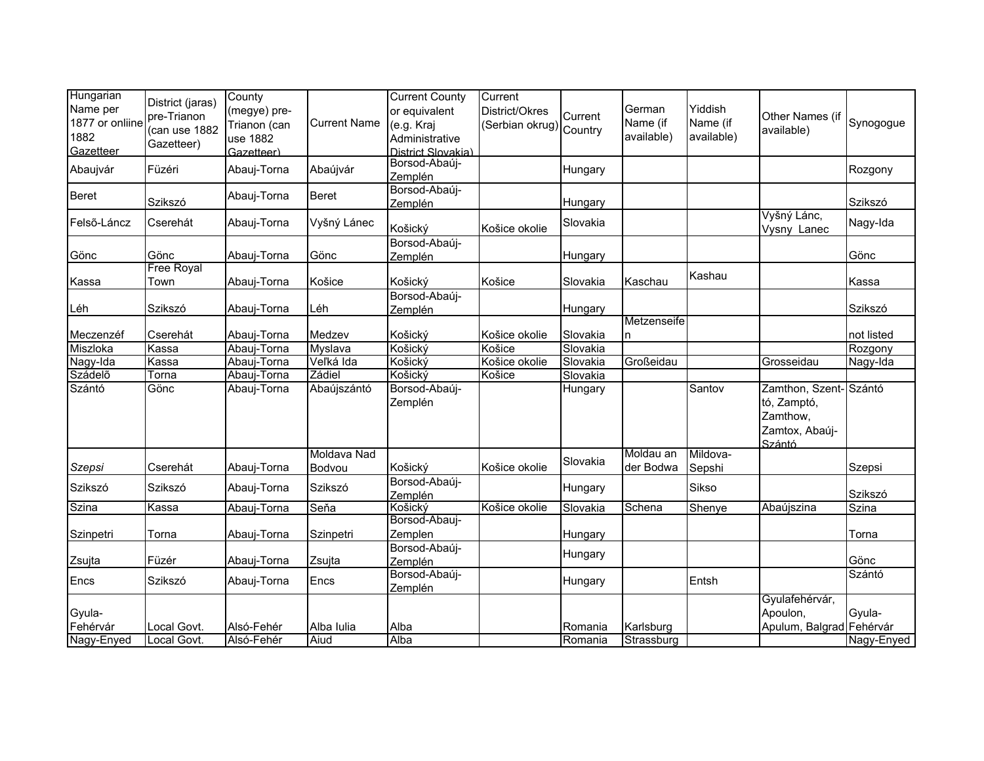| Hungarian       |                   | County       |                     | <b>Current County</b> | Current         |          |              |            |                          |            |
|-----------------|-------------------|--------------|---------------------|-----------------------|-----------------|----------|--------------|------------|--------------------------|------------|
| Name per        | District (jaras)  | (megye) pre- |                     | or equivalent         | District/Okres  |          | German       | Yiddish    |                          |            |
| 1877 or onliine | pre-Trianon       | Trianon (can | <b>Current Name</b> | (e.g. Kraj            | (Serbian okrug) | Current  | Name (if     | Name (if   | Other Names (if          | Synogogue  |
| 1882            | (can use 1882     | use 1882     |                     | Administrative        |                 | Country  | available)   | available) | available)               |            |
| Gazetteer       | Gazetteer)        | Gazetteer)   |                     | District Slovakia)    |                 |          |              |            |                          |            |
|                 |                   |              |                     | Borsod-Abaúj-         |                 |          |              |            |                          |            |
| Abaujvár        | Füzéri            | Abauj-Torna  | Abaújvár            | Zemplén               |                 | Hungary  |              |            |                          | Rozgony    |
|                 |                   |              |                     | Borsod-Abaúj-         |                 |          |              |            |                          |            |
| <b>Beret</b>    | Szikszó           | Abauj-Torna  | <b>Beret</b>        | Zemplén               |                 | Hungary  |              |            |                          | Szikszó    |
| Felső-Láncz     | Cserehát          | Abauj-Torna  | Vyšný Lánec         |                       |                 | Slovakia |              |            | Vyšný Lánc,              | Nagy-Ida   |
|                 |                   |              |                     | Košický               | Košice okolie   |          |              |            | Vysny Lanec              |            |
|                 |                   |              |                     | Borsod-Abaúj-         |                 |          |              |            |                          |            |
| Gönc            | Gönc              | Abauj-Torna  | Gönc                | Zemplén               |                 | Hungary  |              |            |                          | Gönc       |
|                 | <b>Free Royal</b> |              |                     |                       |                 |          |              | Kashau     |                          |            |
| Kassa           | Town              | Abauj-Torna  | Košice              | Košický               | Košice          | Slovakia | Kaschau      |            |                          | Kassa      |
|                 | Szikszó           |              | Léh                 | Borsod-Abaúj-         |                 |          |              |            |                          | Szikszó    |
| Léh             |                   | Abauj-Torna  |                     | Zemplén               |                 | Hungary  | Metzenseife  |            |                          |            |
| Meczenzéf       | Cserehát          | Abauj-Torna  | Medzev              | Košický               | Košice okolie   | Slovakia | <sub>n</sub> |            |                          | not listed |
| Miszloka        | Kassa             | Abauj-Torna  | Myslava             | Košický               | Košice          | Slovakia |              |            |                          | Rozgony    |
| Nagy-Ida        | Kassa             | Abauj-Torna  | Veľká Ida           | Košický               | Košice okolie   | Slovakia | Großeidau    |            | Grosseidau               | Nagy-Ida   |
| Szádelő         | Torna             | Abauj-Torna  | Zádiel              | Košický               | Košice          | Slovakia |              |            |                          |            |
| Szántó          | Gönc              | Abauj-Torna  | Abaújszántó         | Borsod-Abaúj-         |                 | Hungary  |              | Santov     | Zamthon, Szent-Szántó    |            |
|                 |                   |              |                     |                       |                 |          |              |            |                          |            |
|                 |                   |              |                     | Zemplén               |                 |          |              |            | tó, Zamptó,              |            |
|                 |                   |              |                     |                       |                 |          |              |            | Zamthow,                 |            |
|                 |                   |              |                     |                       |                 |          |              |            | Zamtox, Abaúj-           |            |
|                 |                   |              | Moldava Nad         |                       |                 |          | Moldau an    | Mildova-   | Szántó                   |            |
| <b>Szepsi</b>   | Cserehát          | Abauj-Torna  | Bodvou              | Košický               | Košice okolie   | Slovakia | der Bodwa    | Sepshi     |                          | Szepsi     |
|                 |                   |              |                     | Borsod-Abaúj-         |                 |          |              |            |                          |            |
| Szikszó         | Szikszó           | Abauj-Torna  | Szikszó             | Zemplén               |                 | Hungary  |              | Sikso      |                          | Szikszó    |
| Szina           | Kassa             | Abauj-Torna  | Seňa                | Košický               | Košice okolie   | Slovakia | Schena       | Shenye     | Abaújszina               | Szina      |
|                 |                   |              |                     | Borsod-Abauj-         |                 |          |              |            |                          |            |
| Szinpetri       | Torna             | Abauj-Torna  | Szinpetri           | Zemplen               |                 | Hungary  |              |            |                          | Torna      |
|                 |                   |              |                     | Borsod-Abaúj-         |                 |          |              |            |                          |            |
| Zsujta          | Füzér             | Abauj-Torna  | Zsujta              | Zemplén               |                 | Hungary  |              |            |                          | Gönc       |
| Encs            | Szikszó           | Abauj-Torna  | Encs                | Borsod-Abaúj-         |                 | Hungary  |              | Entsh      |                          | Szántó     |
|                 |                   |              |                     | Zemplén               |                 |          |              |            |                          |            |
|                 |                   |              |                     |                       |                 |          |              |            | Gyulafehérvár,           |            |
| Gyula-          |                   |              |                     |                       |                 |          |              |            | Apoulon,                 | Gyula-     |
| Fehérvár        | Local Govt.       | Alsó-Fehér   | Alba Iulia          | Alba                  |                 | Romania  | Karlsburg    |            | Apulum, Balgrad Fehérvár |            |
| Nagy-Enyed      | Local Govt.       | Alsó-Fehér   | Aiud                | Alba                  |                 | Romania  | Strassburg   |            |                          | Nagy-Enyed |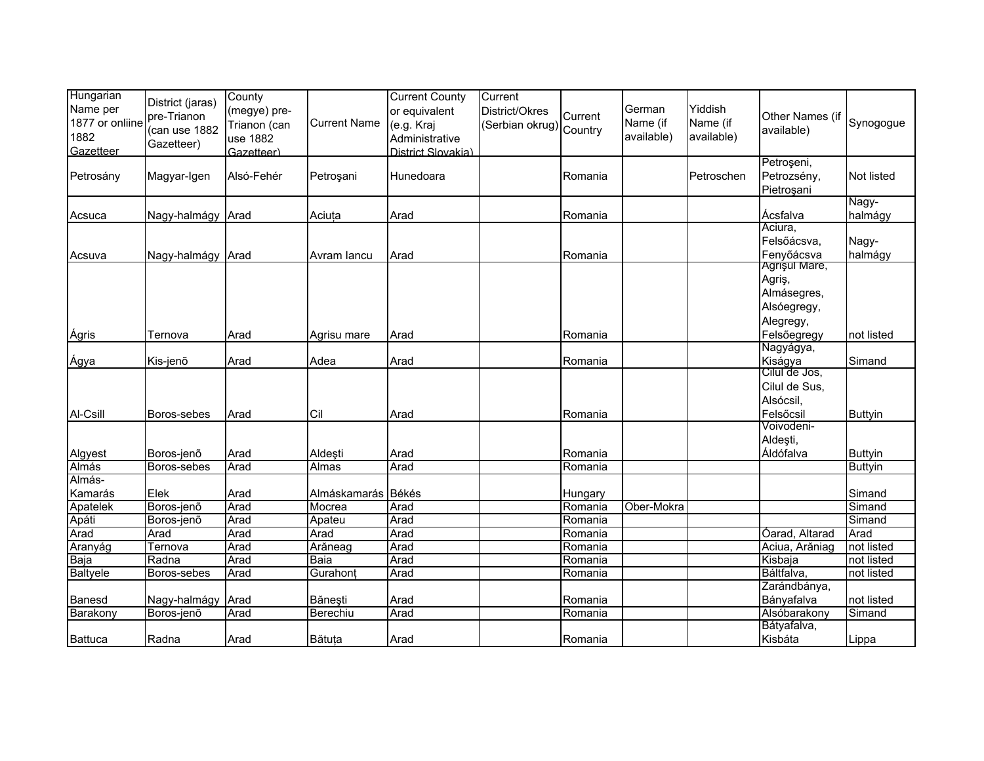| Hungarian<br>Name per<br>1877 or onliine<br>1882<br>Gazetteer | District (jaras)<br>pre-Trianon<br>(can use 1882<br>Gazetteer) | County<br>(megye) pre-<br>Trianon (can<br>use 1882<br>Gazetteer) | <b>Current Name</b> | <b>Current County</b><br>or equivalent<br>(e.g. Kraj<br>Administrative<br>District Slovakia) | Current<br>District/Okres<br>(Serbian okrug) Country | Current            | German<br>Name (if<br>available) | Yiddish<br>Name (if<br>available) | Other Names (if<br>available)                                                     | Synogogue                |
|---------------------------------------------------------------|----------------------------------------------------------------|------------------------------------------------------------------|---------------------|----------------------------------------------------------------------------------------------|------------------------------------------------------|--------------------|----------------------------------|-----------------------------------|-----------------------------------------------------------------------------------|--------------------------|
| Petrosány                                                     | Magyar-Igen                                                    | Alsó-Fehér                                                       | Petroşani           | Hunedoara                                                                                    |                                                      | Romania            |                                  | Petroschen                        | Petroșeni,<br>Petrozsény,<br>Pietroșani                                           | Not listed               |
| Acsuca                                                        | Nagy-halmágy Arad                                              |                                                                  | Aciuța              | Arad                                                                                         |                                                      | Romania            |                                  |                                   | Ácsfalva                                                                          | Nagy-<br>halmágy         |
| Acsuva                                                        | Nagy-halmágy Arad                                              |                                                                  | Avram lancu         | Arad                                                                                         |                                                      | Romania            |                                  |                                   | Aciura,<br>Felsőácsva,<br>Fenyőácsva                                              | Nagy-<br>halmágy         |
| Ágris                                                         | Ternova                                                        | Arad                                                             |                     | Arad                                                                                         |                                                      | Romania            |                                  |                                   | Agrişul Mare,<br>Agriş,<br>Almásegres,<br>Alsóegregy,<br>Alegregy,<br>Felsőegregy | not listed               |
|                                                               |                                                                |                                                                  | Agrisu mare         |                                                                                              |                                                      |                    |                                  |                                   | Nagyágya,                                                                         |                          |
| Ágya<br>Al-Csill                                              | Kis-jenõ<br>Boros-sebes                                        | Arad<br>Arad                                                     | Adea<br>Cil         | Arad<br>Arad                                                                                 |                                                      | Romania<br>Romania |                                  |                                   | Kiságya<br>Cilul de Jos,<br>Cilul de Sus,<br>Alsócsil,<br>Felsőcsil               | Simand<br><b>Buttyin</b> |
| Algyest                                                       | Boros-jenő                                                     | Arad                                                             | Aldeşti             | Arad                                                                                         |                                                      | Romania            |                                  |                                   | Voivodeni-<br>Aldeşti,<br>Áldófalva                                               | <b>Buttyin</b>           |
| Almás                                                         | Boros-sebes                                                    | Arad                                                             | Almas               | Arad                                                                                         |                                                      | Romania            |                                  |                                   |                                                                                   | <b>Buttyin</b>           |
| Almás-<br>Kamarás                                             | Elek                                                           | Arad                                                             | Almáskamarás        | Békés                                                                                        |                                                      | Hungary            |                                  |                                   |                                                                                   | Simand                   |
| Apatelek                                                      | Boros-jenő                                                     | Arad                                                             | Mocrea              | Arad                                                                                         |                                                      | Romania            | Ober-Mokra                       |                                   |                                                                                   | Simand                   |
| Apáti                                                         | Boros-jenõ                                                     | Arad                                                             | Apateu              | Arad                                                                                         |                                                      | Romania            |                                  |                                   |                                                                                   | Simand                   |
| Arad                                                          | Arad                                                           | Arad                                                             | Arad                | Arad                                                                                         |                                                      | Romania            |                                  |                                   | Óarad, Altarad                                                                    | Arad                     |
| Aranyág                                                       | Ternova                                                        | Arad                                                             | Arăneag             | Arad                                                                                         |                                                      | Romania            |                                  |                                   | Aciua, Arăniag                                                                    | not listed               |
| Baja                                                          | Radna                                                          | Arad                                                             | Baia                | Arad                                                                                         |                                                      | Romania            |                                  |                                   | Kisbaja                                                                           | not listed               |
| Baltyele                                                      | Boros-sebes                                                    | Arad                                                             | Gurahont            | Arad                                                                                         |                                                      | Romania            |                                  |                                   | Báltfalva,                                                                        | not listed               |
| Banesd                                                        | Nagy-halmágy                                                   | Arad                                                             | Bănești             | Arad                                                                                         |                                                      | Romania            |                                  |                                   | Zarándbánya,<br>Bányafalva                                                        | not listed               |
| Barakony                                                      | Boros-jenõ                                                     | Arad                                                             | Berechiu            | Arad                                                                                         |                                                      | Romania            |                                  |                                   | Alsóbarakony                                                                      | Simand                   |
| <b>Battuca</b>                                                | Radna                                                          | Arad                                                             | Bătuța              | Arad                                                                                         |                                                      | Romania            |                                  |                                   | Bátyafalva,<br>Kisbáta                                                            | Lippa                    |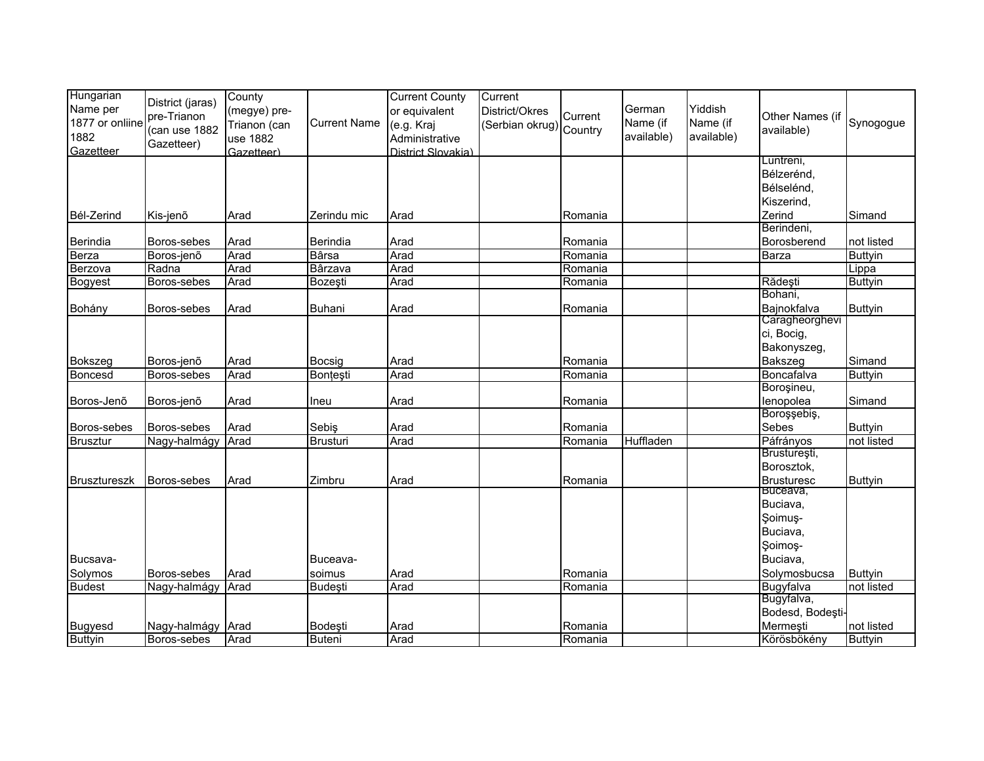| Hungarian<br>Name per<br>1877 or onliine<br>1882<br>Gazetteer | District (jaras)<br>pre-Trianon<br>(can use 1882<br>Gazetteer) | County<br>(megye) pre-<br>Trianon (can<br>use 1882<br>Gazetteer) | <b>Current Name</b> | <b>Current County</b><br>or equivalent<br>(e.g. Kraj<br>Administrative<br>District Slovakia) | Current<br>District/Okres<br>(Serbian okrug) Country | Current | German<br>Name (if<br>available) | Yiddish<br>Name (if<br>available) | Other Names (if<br>available)<br>Luntreni, | Synogogue      |
|---------------------------------------------------------------|----------------------------------------------------------------|------------------------------------------------------------------|---------------------|----------------------------------------------------------------------------------------------|------------------------------------------------------|---------|----------------------------------|-----------------------------------|--------------------------------------------|----------------|
|                                                               |                                                                |                                                                  |                     |                                                                                              |                                                      |         |                                  |                                   | Bélzerénd,                                 |                |
|                                                               |                                                                |                                                                  |                     |                                                                                              |                                                      |         |                                  |                                   | Bélselénd,                                 |                |
|                                                               |                                                                |                                                                  |                     |                                                                                              |                                                      |         |                                  |                                   | Kiszerind,                                 |                |
| Bél-Zerind                                                    | Kis-jenõ                                                       | Arad                                                             | Zerindu mic         | Arad                                                                                         |                                                      | Romania |                                  |                                   | Zerind                                     | Simand         |
| Berindia                                                      | Boros-sebes                                                    | Arad                                                             | Berindia            | Arad                                                                                         |                                                      | Romania |                                  |                                   | Berindeni,<br>Borosberend                  | not listed     |
| <b>Berza</b>                                                  | Boros-jenő                                                     | Arad                                                             | <b>B</b> ârsa       | Arad                                                                                         |                                                      | Romania |                                  |                                   | Barza                                      | <b>Buttyin</b> |
| Berzova                                                       | Radna                                                          | Arad                                                             | Bârzava             | Arad                                                                                         |                                                      | Romania |                                  |                                   |                                            | Lippa          |
| <b>Bogyest</b>                                                | Boros-sebes                                                    | Arad                                                             | Bozeşti             | Arad                                                                                         |                                                      | Romania |                                  |                                   | Rădești                                    | <b>Buttyin</b> |
|                                                               |                                                                |                                                                  |                     |                                                                                              |                                                      |         |                                  |                                   | Bohani,                                    |                |
| Bohány                                                        | Boros-sebes                                                    | Arad                                                             | <b>Buhani</b>       | Arad                                                                                         |                                                      | Romania |                                  |                                   | Bajnokfalva                                | <b>Buttyin</b> |
|                                                               |                                                                |                                                                  |                     |                                                                                              |                                                      |         |                                  |                                   | Caragheorghevi                             |                |
|                                                               |                                                                |                                                                  |                     |                                                                                              |                                                      |         |                                  |                                   | ci, Bocig,                                 |                |
|                                                               |                                                                |                                                                  |                     |                                                                                              |                                                      |         |                                  |                                   | Bakonyszeg,                                |                |
| <b>Bokszeg</b>                                                | Boros-jenõ                                                     | Arad                                                             | Bocsig              | Arad                                                                                         |                                                      | Romania |                                  |                                   | <b>Bakszeg</b>                             | Simand         |
| Boncesd                                                       | Boros-sebes                                                    | Arad                                                             | Bonțești            | Arad                                                                                         |                                                      | Romania |                                  |                                   | Boncafalva<br>Boroșineu,                   | <b>Buttyin</b> |
| Boros-Jenõ                                                    | Boros-jenõ                                                     | Arad                                                             | Ineu                | Arad                                                                                         |                                                      | Romania |                                  |                                   | lenopolea                                  | Simand         |
|                                                               |                                                                |                                                                  |                     |                                                                                              |                                                      |         |                                  |                                   | Boroşşebiş,                                |                |
| Boros-sebes                                                   | Boros-sebes                                                    | Arad                                                             | Sebiş               | Arad                                                                                         |                                                      | Romania |                                  |                                   | Sebes                                      | <b>Buttyin</b> |
| <b>Brusztur</b>                                               | Nagy-halmágy                                                   | Arad                                                             | <b>Brusturi</b>     | Arad                                                                                         |                                                      | Romania | Huffladen                        |                                   | <b>Páfrányos</b>                           | not listed     |
|                                                               |                                                                |                                                                  |                     |                                                                                              |                                                      |         |                                  |                                   | Brusturești,                               |                |
|                                                               |                                                                |                                                                  |                     |                                                                                              |                                                      |         |                                  |                                   | Borosztok,                                 |                |
| <b>Brusztureszk</b>                                           | Boros-sebes                                                    | Arad                                                             | Zimbru              | Arad                                                                                         |                                                      | Romania |                                  |                                   | <b>Brusturesc</b>                          | <b>Buttyin</b> |
|                                                               |                                                                |                                                                  |                     |                                                                                              |                                                      |         |                                  |                                   | Buceava,<br>Buciava,                       |                |
|                                                               |                                                                |                                                                  |                     |                                                                                              |                                                      |         |                                  |                                   | Soimus-                                    |                |
|                                                               |                                                                |                                                                  |                     |                                                                                              |                                                      |         |                                  |                                   | Buciava,                                   |                |
|                                                               |                                                                |                                                                  |                     |                                                                                              |                                                      |         |                                  |                                   | Soimos-                                    |                |
| Bucsava-                                                      |                                                                |                                                                  | Buceava-            |                                                                                              |                                                      |         |                                  |                                   | Buciava,                                   |                |
| Solymos                                                       | Boros-sebes                                                    | Arad                                                             | soimus              | Arad                                                                                         |                                                      | Romania |                                  |                                   | Solymosbucsa                               | <b>Buttyin</b> |
| <b>Budest</b>                                                 | Nagy-halmágy Arad                                              |                                                                  | <b>Budeşti</b>      | Arad                                                                                         |                                                      | Romania |                                  |                                   | Bugyfalva                                  | not listed     |
|                                                               |                                                                |                                                                  |                     |                                                                                              |                                                      |         |                                  |                                   | Bugyfalva,                                 |                |
|                                                               |                                                                |                                                                  |                     |                                                                                              |                                                      |         |                                  |                                   | Bodesd, Bodești-                           |                |
| <b>Bugyesd</b>                                                | Nagy-halmágy Arad                                              |                                                                  | Bodeşti             | Arad                                                                                         |                                                      | Romania |                                  |                                   | Mermeşti                                   | not listed     |
| <b>Buttyin</b>                                                | Boros-sebes                                                    | Arad                                                             | <b>Buteni</b>       | Arad                                                                                         |                                                      | Romania |                                  |                                   | Körösbökény                                | <b>Buttyin</b> |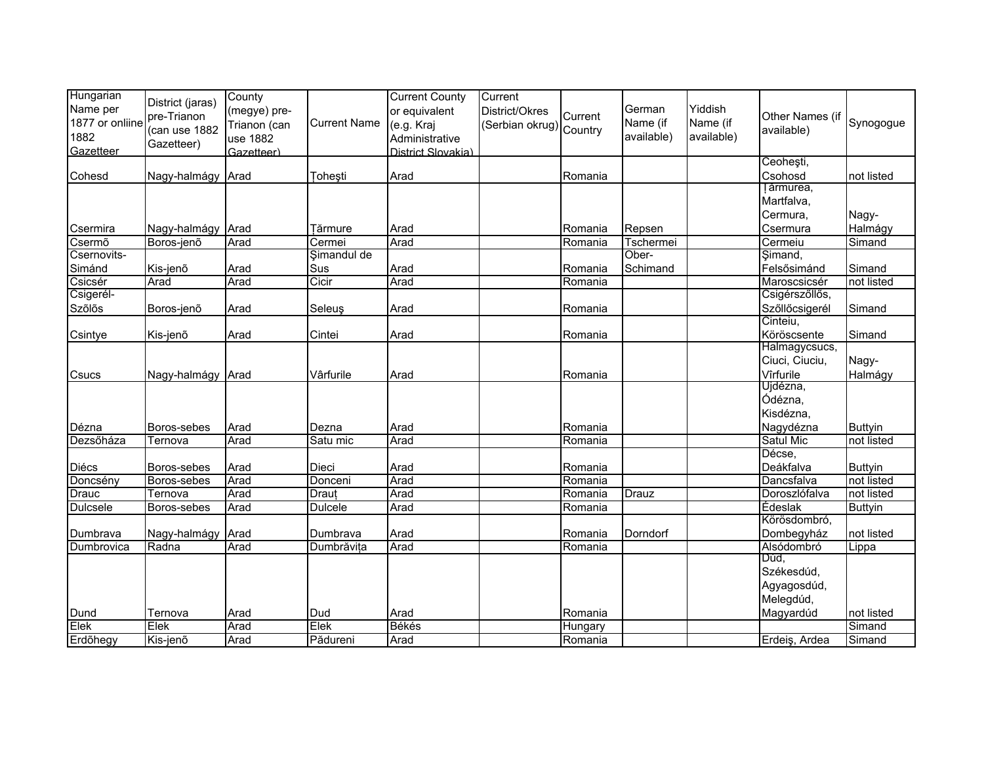| Hungarian       |                   | County       |                     | <b>Current County</b> | Current                 |         |            |            |                 |                |
|-----------------|-------------------|--------------|---------------------|-----------------------|-------------------------|---------|------------|------------|-----------------|----------------|
| Name per        | District (jaras)  |              |                     |                       |                         |         | German     | Yiddish    |                 |                |
|                 | pre-Trianon       | (megye) pre- |                     | or equivalent         | District/Okres          | Current |            |            | Other Names (if |                |
| 1877 or onliine | (can use 1882     | Trianon (can | <b>Current Name</b> | (e.g. Kraj            | (Serbian okrug) Country |         | Name (if   | Name (if   | available)      | Synogogue      |
| 1882            | Gazetteer)        | use 1882     |                     | Administrative        |                         |         | available) | available) |                 |                |
| Gazetteer       |                   | Gazetteer)   |                     | District Slovakia)    |                         |         |            |            |                 |                |
|                 |                   |              |                     |                       |                         |         |            |            | Ceoheşti,       |                |
| Cohesd          | Nagy-halmágy Arad |              | <b>Toheşti</b>      | Arad                  |                         | Romania |            |            | Csohosd         | not listed     |
|                 |                   |              |                     |                       |                         |         |            |            | Tărmurea,       |                |
|                 |                   |              |                     |                       |                         |         |            |            | Martfalva,      |                |
|                 |                   |              |                     |                       |                         |         |            |            | Cermura,        | Nagy-          |
| Csermira        | Nagy-halmágy Arad |              | <b>Fărmure</b>      | Arad                  |                         | Romania | Repsen     |            | Csermura        | Halmágy        |
| Csermõ          | Boros-jenő        | Arad         | Cermei              | Arad                  |                         | Romania | Tschermei  |            | Cermeiu         | Simand         |
| Csernovits-     |                   |              | Şimandul de         |                       |                         |         | Ober-      |            | Şimand,         |                |
| Simánd          | Kis-jenõ          | Arad         | Sus                 | Arad                  |                         | Romania | Schimand   |            | Felsősimánd     | Simand         |
| Csicsér         | Arad              | Arad         | Cicir               | Arad                  |                         | Romania |            |            | Maroscsicsér    | not listed     |
| Csigerél-       |                   |              |                     |                       |                         |         |            |            | Csigérszőllős,  |                |
| Szőlős          | Boros-jenõ        | Arad         | <b>Seleuş</b>       | Arad                  |                         | Romania |            |            | Szőllőcsigerél  | Simand         |
|                 |                   |              |                     |                       |                         |         |            |            | Cinteiu,        |                |
| Csintye         | Kis-jenõ          | Arad         | Cintei              | Arad                  |                         | Romania |            |            | Köröscsente     | Simand         |
|                 |                   |              |                     |                       |                         |         |            |            | Halmagycsucs,   |                |
|                 |                   |              |                     |                       |                         |         |            |            | Ciuci, Ciuciu,  | Nagy-          |
| Csucs           | Nagy-halmágy Arad |              | Vârfurile           | Arad                  |                         | Romania |            |            | Vîrfurile       | Halmágy        |
|                 |                   |              |                     |                       |                         |         |            |            | Ujdézna,        |                |
|                 |                   |              |                     |                       |                         |         |            |            | Ódézna,         |                |
|                 |                   |              |                     |                       |                         |         |            |            | Kisdézna,       |                |
|                 |                   |              |                     |                       |                         |         |            |            |                 |                |
| Dézna           | Boros-sebes       | Arad         | Dezna               | Arad                  |                         | Romania |            |            | Nagydézna       | <b>Buttyin</b> |
| Dezsőháza       | Ternova           | Arad         | Satu mic            | Arad                  |                         | Romania |            |            | Satul Mic       | not listed     |
|                 |                   |              |                     |                       |                         |         |            |            | Décse,          |                |
| Diécs           | Boros-sebes       | Arad         | Dieci               | Arad                  |                         | Romania |            |            | Deákfalva       | <b>Buttyin</b> |
| Doncsény        | Boros-sebes       | Arad         | Donceni             | Arad                  |                         | Romania |            |            | Dancsfalva      | not listed     |
| <b>Drauc</b>    | Ternova           | Arad         | Draut               | Arad                  |                         | Romania | Drauz      |            | Doroszlófalva   | not listed     |
| <b>Dulcsele</b> | Boros-sebes       | Arad         | Dulcele             | Arad                  |                         | Romania |            |            | <b>Édeslak</b>  | <b>Buttyin</b> |
|                 |                   |              |                     |                       |                         |         |            |            | Körösdombró,    |                |
| Dumbrava        | Nagy-halmágy Arad |              | Dumbrava            | Arad                  |                         | Romania | Dorndorf   |            | Dombegyház      | not listed     |
| Dumbrovica      | Radna             | Arad         | Dumbrăvița          | Arad                  |                         | Romania |            |            | Alsódombró      | Lippa          |
|                 |                   |              |                     |                       |                         |         |            |            | Dúd,            |                |
|                 |                   |              |                     |                       |                         |         |            |            | Székesdúd,      |                |
|                 |                   |              |                     |                       |                         |         |            |            | Agyagosdúd,     |                |
|                 |                   |              |                     |                       |                         |         |            |            | Melegdúd,       |                |
| Dund            | Ternova           | Arad         | Dud                 | Arad                  |                         | Romania |            |            | Magyardúd       | not listed     |
| Elek            | Elek              | Arad         | Elek                | <b>Békés</b>          |                         | Hungary |            |            |                 | Simand         |
| Erdőhegy        | Kis-jenõ          | Arad         | Pădureni            | Arad                  |                         | Romania |            |            | Erdeiş, Ardea   | Simand         |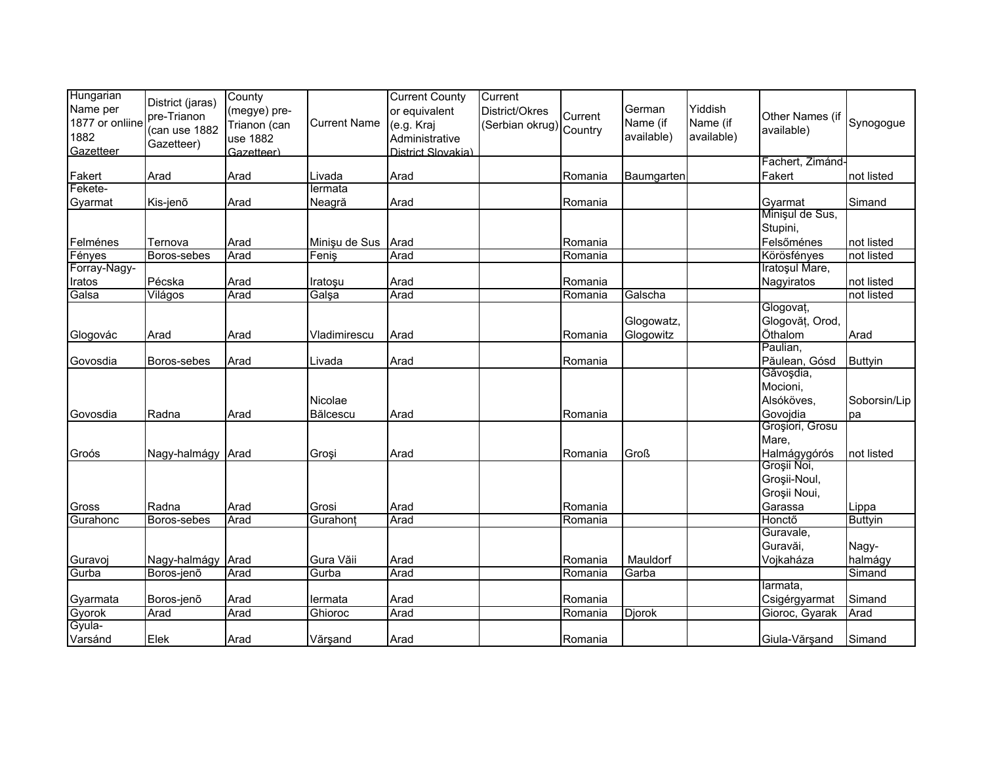| Hungarian       | District (jaras)  | County       |                     | <b>Current County</b> | Current                 |         |                   |            |                             |                |
|-----------------|-------------------|--------------|---------------------|-----------------------|-------------------------|---------|-------------------|------------|-----------------------------|----------------|
| Name per        | pre-Trianon       | (megye) pre- |                     | or equivalent         | District/Okres          | Current | German            | Yiddish    | Other Names (if             |                |
| 1877 or onliine | (can use 1882     | Trianon (can | <b>Current Name</b> | (e.g. Kraj            | (Serbian okrug) Country |         | Name (if          | Name (if   | available)                  | Synogogue      |
| 1882            | Gazetteer)        | use 1882     |                     | Administrative        |                         |         | available)        | available) |                             |                |
| Gazetteer       |                   | Gazetteer)   |                     | District Slovakia)    |                         |         |                   |            | Fachert, Zimánd-            |                |
| Fakert          | Arad              | Arad         | Livada              | Arad                  |                         | Romania | <b>Baumgarten</b> |            | Fakert                      | not listed     |
| Fekete-         |                   |              | lermata             |                       |                         |         |                   |            |                             |                |
| Gyarmat         | Kis-jenõ          | Arad         | Neagră              | Arad                  |                         | Romania |                   |            | Gyarmat                     | Simand         |
|                 |                   |              |                     |                       |                         |         |                   |            | Minişul de Sus,             |                |
|                 |                   |              |                     |                       |                         |         |                   |            | Stupini,                    |                |
| Felménes        | Ternova           | Arad         | Minișu de Sus       | Arad                  |                         | Romania |                   |            | Felsőménes                  | not listed     |
| Fényes          | Boros-sebes       | Arad         | Fenis               | Arad                  |                         | Romania |                   |            | Körösfényes                 | not listed     |
| Forray-Nagy-    |                   |              |                     |                       |                         |         |                   |            | Iratoșul Mare,              |                |
| Iratos          | Pécska            | Arad         | Iratoşu             | Arad                  |                         | Romania |                   |            | Nagyiratos                  | not listed     |
| Galsa           | Világos           | Arad         | Galşa               | Arad                  |                         | Romania | Galscha           |            |                             | not listed     |
|                 |                   |              |                     |                       |                         |         |                   |            | Glogovat,                   |                |
|                 |                   |              |                     |                       |                         |         | Glogowatz,        |            | Glogovăț, Orod,             |                |
| Glogovác        | Arad              | Arad         | Vladimirescu        | Arad                  |                         | Romania | Glogowitz         |            | Öthalom                     | Arad           |
|                 |                   |              |                     |                       |                         |         |                   |            | Paulian,                    |                |
| Govosdia        | Boros-sebes       | Arad         | Livada              | Arad                  |                         | Romania |                   |            | Păulean, Gósd               | <b>Buttyin</b> |
|                 |                   |              |                     |                       |                         |         |                   |            | Găvoşdia,                   |                |
|                 |                   |              |                     |                       |                         |         |                   |            | Mocioni,                    |                |
|                 |                   |              | Nicolae             |                       |                         |         |                   |            | Alsóköves,                  | Soborsin/Lip   |
| Govosdia        | Radna             | Arad         | Bălcescu            | Arad                  |                         | Romania |                   |            | Govojdia<br>Groșiori, Grosu | pa             |
|                 |                   |              |                     |                       |                         |         |                   |            | Mare,                       |                |
| Groós           | Nagy-halmágy Arad |              | Grosi               | Arad                  |                         | Romania | <b>Groß</b>       |            | Halmágygórós                | not listed     |
|                 |                   |              |                     |                       |                         |         |                   |            | Groșii Noi,                 |                |
|                 |                   |              |                     |                       |                         |         |                   |            | Groșii-Noul,                |                |
|                 |                   |              |                     |                       |                         |         |                   |            | Groșii Noui,                |                |
| Gross           | Radna             | Arad         | Grosi               | Arad                  |                         | Romania |                   |            | Garassa                     | Lippa          |
| Gurahonc        | Boros-sebes       | Arad         | Gurahont            | Arad                  |                         | Romania |                   |            | Honctő                      | <b>Buttyin</b> |
|                 |                   |              |                     |                       |                         |         |                   |            | Guravale,                   |                |
|                 |                   |              |                     |                       |                         |         |                   |            | Guravăi,                    | Nagy-          |
| Guravoj         | Nagy-halmágy Arad |              | Gura Văii           | Arad                  |                         | Romania | Mauldorf          |            | Vojkaháza                   | halmágy        |
| Gurba           | Boros-jenő        | Arad         | Gurba               | Arad                  |                         | Romania | Garba             |            |                             | Simand         |
|                 |                   |              |                     |                       |                         |         |                   |            | larmata.                    |                |
| Gyarmata        | Boros-jenõ        | Arad         | lermata             | Arad                  |                         | Romania |                   |            | Csigérgyarmat               | Simand         |
| Gyorok          | Arad              | Arad         | Ghioroc             | Arad                  |                         | Romania | Djorok            |            | Gioroc, Gyarak              | Arad           |
| Gyula-          |                   |              |                     |                       |                         |         |                   |            |                             |                |
| Varsánd         | Elek              | Arad         | Vărşand             | Arad                  |                         | Romania |                   |            | Giula-Vărșand               | Simand         |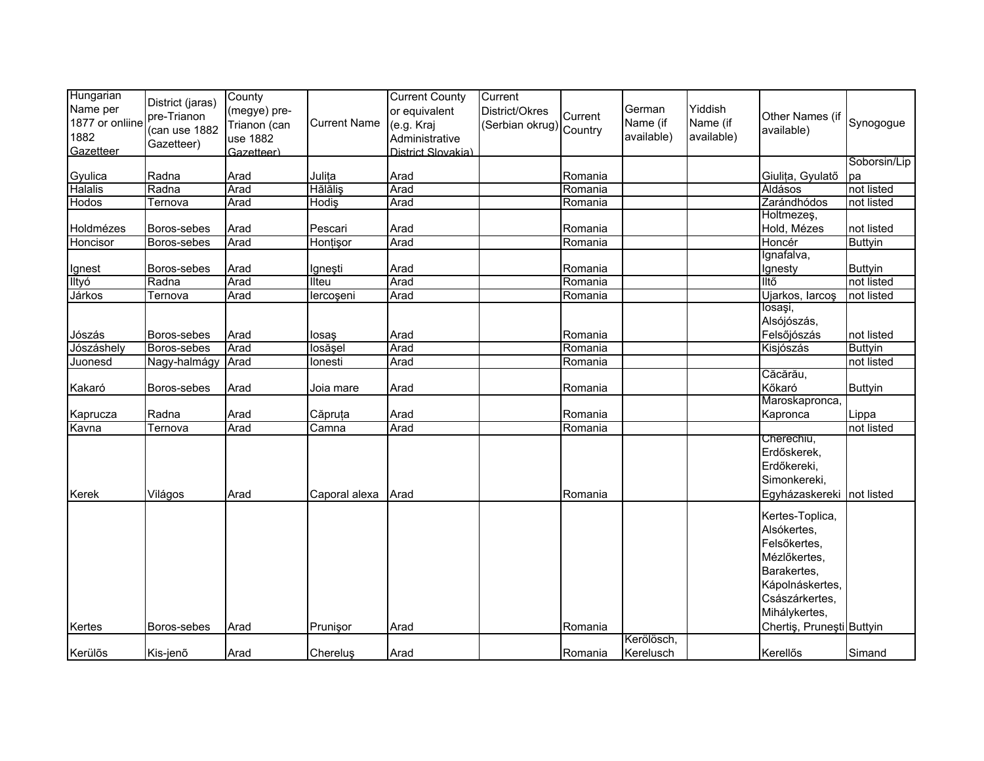| Hungarian<br>Name per<br>1877 or onliine<br>1882<br>Gazetteer | District (jaras)<br>pre-Trianon<br>(can use 1882<br>Gazetteer) | County<br>(megye) pre-<br>Trianon (can<br>use 1882<br>Gazetteer) | <b>Current Name</b> | <b>Current County</b><br>or equivalent<br>(e.g. Kraj<br>Administrative<br>District Slovakia) | Current<br>District/Okres<br>(Serbian okrug) Country | Current | German<br>Name (if<br>available) | Yiddish<br>Name (if<br>available) | Other Names (if<br>available) | Synogogue      |
|---------------------------------------------------------------|----------------------------------------------------------------|------------------------------------------------------------------|---------------------|----------------------------------------------------------------------------------------------|------------------------------------------------------|---------|----------------------------------|-----------------------------------|-------------------------------|----------------|
|                                                               |                                                                |                                                                  |                     |                                                                                              |                                                      |         |                                  |                                   |                               | Soborsin/Lip   |
| Gyulica                                                       | Radna                                                          | Arad                                                             | Julița              | Arad                                                                                         |                                                      | Romania |                                  |                                   | Giulița, Gyulatő              | pa             |
| Halalis                                                       | Radna                                                          | Arad                                                             | <b>Hălăliş</b>      | Arad                                                                                         |                                                      | Romania |                                  |                                   | Áldásos                       | not listed     |
| Hodos                                                         | Ternova                                                        | Arad                                                             | Hodiş               | Arad                                                                                         |                                                      | Romania |                                  |                                   | Zarándhódos                   | not listed     |
| Holdmézes                                                     | Boros-sebes                                                    | Arad                                                             | Pescari             | Arad                                                                                         |                                                      | Romania |                                  |                                   | Holtmezes,<br>Hold, Mézes     | not listed     |
| Honcisor                                                      | Boros-sebes                                                    | Arad                                                             | Honțişor            | Arad                                                                                         |                                                      | Romania |                                  |                                   | Honcér                        | <b>Buttyin</b> |
|                                                               |                                                                |                                                                  |                     |                                                                                              |                                                      |         |                                  |                                   | Ignafalva,                    |                |
| Ignest                                                        | Boros-sebes                                                    | Arad                                                             | Igneşti             | Arad                                                                                         |                                                      | Romania |                                  |                                   | Ignesty                       | <b>Buttyin</b> |
| lltyó                                                         | Radna                                                          | Arad                                                             | Ilteu               | Arad                                                                                         |                                                      | Romania |                                  |                                   | Iltő                          | not listed     |
| Járkos                                                        | Ternova                                                        | Arad                                                             | lercoșeni           | Arad                                                                                         |                                                      | Romania |                                  |                                   | Ujarkos, larcoş               | not listed     |
|                                                               |                                                                |                                                                  |                     |                                                                                              |                                                      |         |                                  |                                   | losași,<br>Alsójószás,        |                |
| Jószás                                                        | Boros-sebes                                                    | Arad                                                             | losaş               | Arad                                                                                         |                                                      | Romania |                                  |                                   | Felsőjószás                   | not listed     |
| Jószáshely                                                    | Boros-sebes                                                    | Arad                                                             | losășel             | Arad                                                                                         |                                                      | Romania |                                  |                                   | Kisjószás                     | <b>Buttyin</b> |
| Juonesd                                                       | Nagy-halmágy                                                   | Arad                                                             | lonesti             | Arad                                                                                         |                                                      | Romania |                                  |                                   |                               | not listed     |
|                                                               |                                                                |                                                                  |                     |                                                                                              |                                                      |         |                                  |                                   | Căcărău,                      |                |
| Kakaró                                                        | Boros-sebes                                                    | Arad                                                             | Joia mare           | Arad                                                                                         |                                                      | Romania |                                  |                                   | Kőkaró                        | <b>Buttyin</b> |
|                                                               |                                                                |                                                                  |                     |                                                                                              |                                                      |         |                                  |                                   | Maroskapronca,                |                |
| Kaprucza                                                      | Radna                                                          | Arad                                                             | Căpruța             | Arad                                                                                         |                                                      | Romania |                                  |                                   | Kapronca                      | Lippa          |
| Kavna                                                         | Ternova                                                        | Arad                                                             | Camna               | Arad                                                                                         |                                                      | Romania |                                  |                                   |                               | not listed     |
|                                                               |                                                                |                                                                  |                     |                                                                                              |                                                      |         |                                  |                                   | Cherechiu,                    |                |
|                                                               |                                                                |                                                                  |                     |                                                                                              |                                                      |         |                                  |                                   | Erdőskerek,                   |                |
|                                                               |                                                                |                                                                  |                     |                                                                                              |                                                      |         |                                  |                                   | Erdőkereki,                   |                |
|                                                               |                                                                |                                                                  |                     |                                                                                              |                                                      |         |                                  |                                   | Simonkereki,                  |                |
| Kerek                                                         | Világos                                                        | Arad                                                             | Caporal alexa       | Arad                                                                                         |                                                      | Romania |                                  |                                   | Egyházaskereki                | not listed     |
|                                                               |                                                                |                                                                  |                     |                                                                                              |                                                      |         |                                  |                                   | Kertes-Toplica,               |                |
|                                                               |                                                                |                                                                  |                     |                                                                                              |                                                      |         |                                  |                                   | Alsókertes,                   |                |
|                                                               |                                                                |                                                                  |                     |                                                                                              |                                                      |         |                                  |                                   | Felsőkertes.                  |                |
|                                                               |                                                                |                                                                  |                     |                                                                                              |                                                      |         |                                  |                                   | Mézlőkertes,                  |                |
|                                                               |                                                                |                                                                  |                     |                                                                                              |                                                      |         |                                  |                                   | Barakertes,                   |                |
|                                                               |                                                                |                                                                  |                     |                                                                                              |                                                      |         |                                  |                                   | Kápolnáskertes,               |                |
|                                                               |                                                                |                                                                  |                     |                                                                                              |                                                      |         |                                  |                                   | Császárkertes,                |                |
|                                                               |                                                                |                                                                  |                     |                                                                                              |                                                      |         |                                  |                                   | Mihálykertes,                 |                |
| Kertes                                                        | Boros-sebes                                                    | Arad                                                             | Prunişor            | Arad                                                                                         |                                                      | Romania |                                  |                                   | Chertiş, Pruneşti Buttyin     |                |
|                                                               |                                                                |                                                                  |                     |                                                                                              |                                                      |         | Kerölösch,                       |                                   |                               |                |
| Kerülős                                                       | Kis-jenõ                                                       | Arad                                                             | Chereluş            | Arad                                                                                         |                                                      | Romania | Kerelusch                        |                                   | Kerellős                      | Simand         |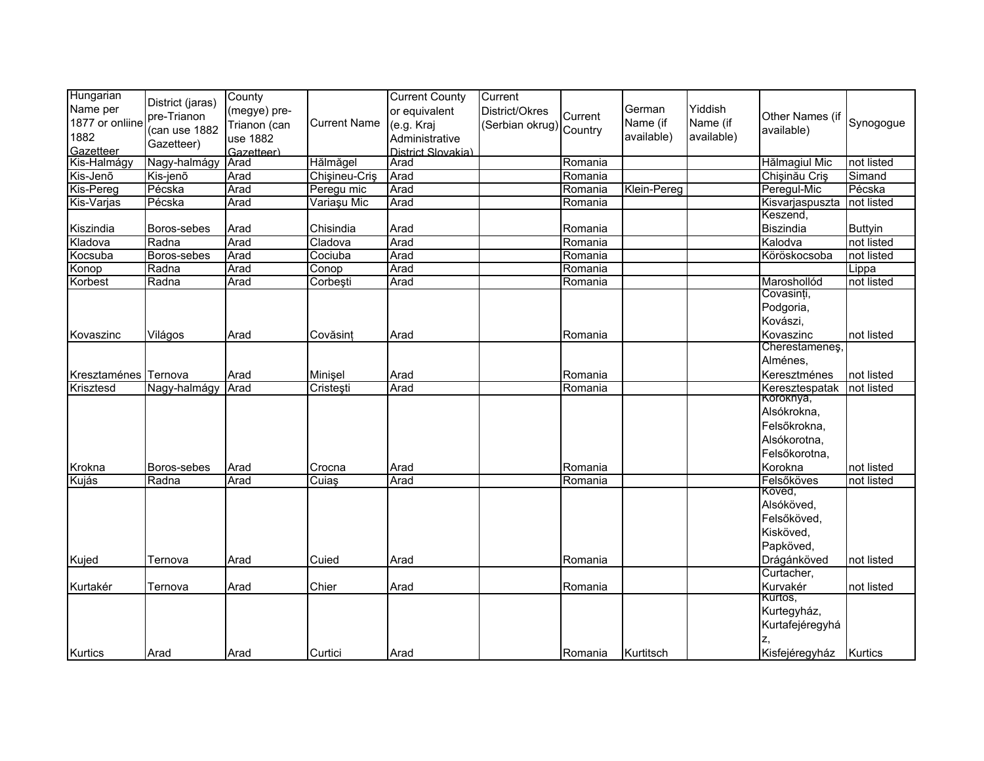| Hungarian<br>Name per<br>1877 or onliine<br>1882<br>Gazetteer | District (jaras)<br>pre-Trianon<br>(can use 1882<br>Gazetteer) | County<br>(megye) pre-<br>Trianon (can<br>use 1882<br>Gazetteer) | <b>Current Name</b> | <b>Current County</b><br>or equivalent<br>(e.g. Kraj<br>Administrative<br>District Slovakia) | Current<br>District/Okres<br>Serbian okrug) Country | Current | German<br>Name (if<br>available) | Yiddish<br>Name (if<br>available) | Other Names (if<br>available) | Synogogue      |
|---------------------------------------------------------------|----------------------------------------------------------------|------------------------------------------------------------------|---------------------|----------------------------------------------------------------------------------------------|-----------------------------------------------------|---------|----------------------------------|-----------------------------------|-------------------------------|----------------|
| Kis-Halmágy                                                   | Nagy-halmágy                                                   | Arad                                                             | Hălmăgel            | Arad                                                                                         |                                                     | Romania |                                  |                                   | Hălmagiul Mic                 | not listed     |
| Kis-Jenő                                                      | Kis-jenõ                                                       | Arad                                                             | Chisineu-Cris       | Arad                                                                                         |                                                     | Romania |                                  |                                   | Chişinău Criş                 | Simand         |
| <b>Kis-Pereg</b>                                              | Pécska                                                         | Arad                                                             | Peregu mic          | Arad                                                                                         |                                                     | Romania | Klein-Pereg                      |                                   | Peregul-Mic                   | Pécska         |
| Kis-Varjas                                                    | Pécska                                                         | Arad                                                             | Variașu Mic         | Arad                                                                                         |                                                     | Romania |                                  |                                   | Kisvarjaspuszta               | not listed     |
| Kiszindia                                                     | Boros-sebes                                                    | Arad                                                             | Chisindia           | Arad                                                                                         |                                                     | Romania |                                  |                                   | Keszend,<br>Biszindia         | <b>Buttyin</b> |
| Kladova                                                       | Radna                                                          | Arad                                                             | Cladova             | Arad                                                                                         |                                                     | Romania |                                  |                                   | Kalodva                       | not listed     |
| Kocsuba                                                       | Boros-sebes                                                    | Arad                                                             | Cociuba             | Arad                                                                                         |                                                     | Romania |                                  |                                   | Köröskocsoba                  | not listed     |
| Konop                                                         | Radna                                                          | Arad                                                             | Conop               | Arad                                                                                         |                                                     | Romania |                                  |                                   |                               | Lippa          |
| Korbest                                                       | Radna                                                          | Arad                                                             | Corbești            | Arad                                                                                         |                                                     | Romania |                                  |                                   | Maroshollód                   | not listed     |
|                                                               |                                                                |                                                                  |                     |                                                                                              |                                                     |         |                                  |                                   | Covasinți,                    |                |
|                                                               |                                                                |                                                                  |                     |                                                                                              |                                                     |         |                                  |                                   | Podgoria,                     |                |
|                                                               |                                                                |                                                                  |                     |                                                                                              |                                                     |         |                                  |                                   | Kovászi,                      |                |
| Kovaszinc                                                     | Világos                                                        | Arad                                                             | Covăsinț            | Arad                                                                                         |                                                     | Romania |                                  |                                   | Kovaszinc                     | not listed     |
|                                                               |                                                                |                                                                  |                     |                                                                                              |                                                     |         |                                  |                                   | Cherestamenes,                |                |
|                                                               |                                                                |                                                                  |                     |                                                                                              |                                                     |         |                                  |                                   | Alménes,                      |                |
| Kresztaménes Ternova                                          |                                                                | Arad                                                             | Minişel             | Arad                                                                                         |                                                     | Romania |                                  |                                   | Keresztménes                  | not listed     |
| Krisztesd                                                     | Nagy-halmágy                                                   | Arad                                                             | Cristești           | Arad                                                                                         |                                                     | Romania |                                  |                                   | Keresztespatak                | not listed     |
|                                                               |                                                                |                                                                  |                     |                                                                                              |                                                     |         |                                  |                                   | Koroknya,                     |                |
|                                                               |                                                                |                                                                  |                     |                                                                                              |                                                     |         |                                  |                                   | Alsókrokna,                   |                |
|                                                               |                                                                |                                                                  |                     |                                                                                              |                                                     |         |                                  |                                   | Felsőkrokna,                  |                |
|                                                               |                                                                |                                                                  |                     |                                                                                              |                                                     |         |                                  |                                   | Alsókorotna,                  |                |
|                                                               |                                                                |                                                                  |                     |                                                                                              |                                                     |         |                                  |                                   | Felsőkorotna,                 |                |
| Krokna                                                        | Boros-sebes                                                    | Arad                                                             | Crocna              | Arad                                                                                         |                                                     | Romania |                                  |                                   | Korokna                       | not listed     |
| Kujás                                                         | Radna                                                          | Arad                                                             | Cuiaş               | Arad                                                                                         |                                                     | Romania |                                  |                                   | Felsőköves                    | not listed     |
|                                                               |                                                                |                                                                  |                     |                                                                                              |                                                     |         |                                  |                                   | Koved,                        |                |
|                                                               |                                                                |                                                                  |                     |                                                                                              |                                                     |         |                                  |                                   | Alsóköved,                    |                |
|                                                               |                                                                |                                                                  |                     |                                                                                              |                                                     |         |                                  |                                   | Felsőköved,                   |                |
|                                                               |                                                                |                                                                  |                     |                                                                                              |                                                     |         |                                  |                                   | Kisköved,                     |                |
|                                                               |                                                                |                                                                  |                     |                                                                                              |                                                     |         |                                  |                                   | Papköved,                     |                |
| Kujed                                                         | Ternova                                                        | Arad                                                             | Cuied               | Arad                                                                                         |                                                     | Romania |                                  |                                   | Drágánköved                   | not listed     |
|                                                               |                                                                |                                                                  |                     |                                                                                              |                                                     |         |                                  |                                   | Curtacher,                    |                |
| Kurtakér                                                      | Ternova                                                        | Arad                                                             | Chier               | Arad                                                                                         |                                                     | Romania |                                  |                                   | Kurvakér                      | not listed     |
|                                                               |                                                                |                                                                  |                     |                                                                                              |                                                     |         |                                  |                                   | Kürtös,                       |                |
|                                                               |                                                                |                                                                  |                     |                                                                                              |                                                     |         |                                  |                                   | Kurtegyház,                   |                |
|                                                               |                                                                |                                                                  |                     |                                                                                              |                                                     |         |                                  |                                   | Kurtafejéregyhá               |                |
|                                                               |                                                                |                                                                  |                     |                                                                                              |                                                     |         |                                  |                                   |                               |                |
| <b>Kurtics</b>                                                | Arad                                                           | Arad                                                             | Curtici             | Arad                                                                                         |                                                     | Romania | Kurtitsch                        |                                   | Kisfejéregyház Kurtics        |                |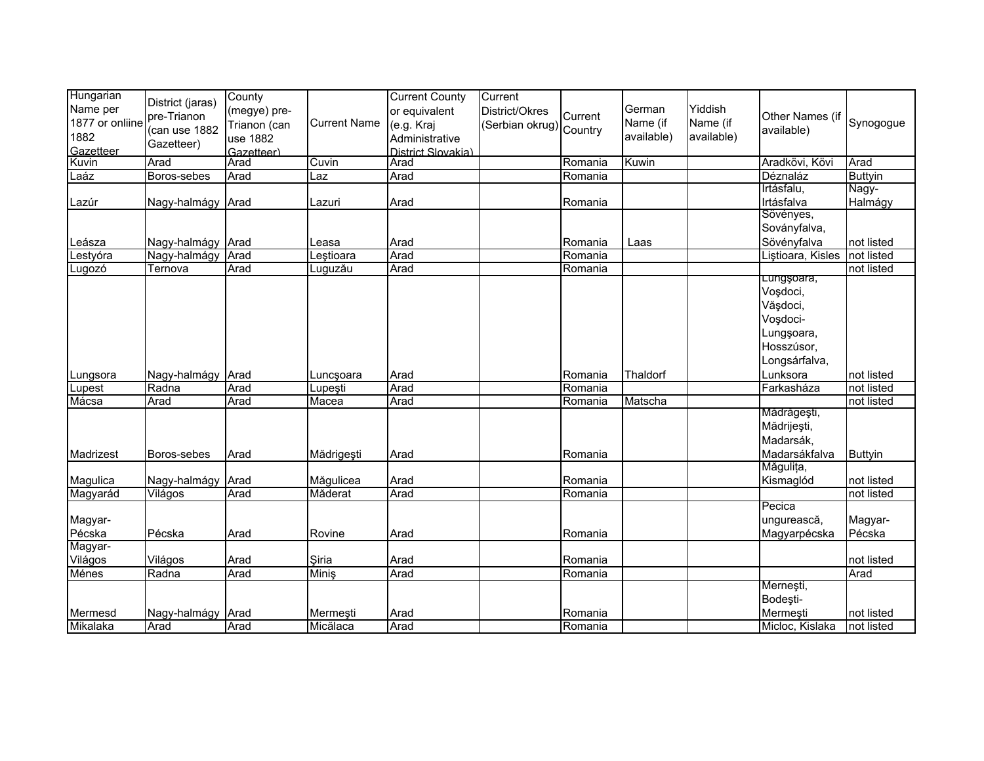| Hungarian       |                   | County       |                     | <b>Current County</b> | Current                 |         |            |            |                   |                |
|-----------------|-------------------|--------------|---------------------|-----------------------|-------------------------|---------|------------|------------|-------------------|----------------|
| Name per        | District (jaras)  | (megye) pre- |                     | or equivalent         | District/Okres          |         | German     | Yiddish    |                   |                |
| 1877 or onliine | pre-Trianon       | Trianon (can | <b>Current Name</b> | (e.g. Kraj            | (Serbian okrug) Country | Current | Name (if   | Name (if   | Other Names (if   | Synogogue      |
| 1882            | (can use 1882     | use 1882     |                     | Administrative        |                         |         | available) | available) | available)        |                |
| Gazetteer       | Gazetteer)        | Gazetteer)   |                     | District Slovakia)    |                         |         |            |            |                   |                |
| Kuvin           | Arad              | Arad         | Cuvin               | Arad                  |                         | Romania | Kuwin      |            | Aradkövi, Kövi    | Arad           |
| Laáz            | Boros-sebes       | Arad         | $\mathsf{L}$ az     | Arad                  |                         | Romania |            |            | Déznaláz          | <b>Buttyin</b> |
|                 |                   |              |                     |                       |                         |         |            |            | Irtásfalu,        | Nagy-          |
| Lazúr           | Nagy-halmágy Arad |              | Lazuri              | Arad                  |                         | Romania |            |            | Irtásfalva        | Halmágy        |
|                 |                   |              |                     |                       |                         |         |            |            | Sövényes,         |                |
|                 |                   |              |                     |                       |                         |         |            |            | Soványfalva,      |                |
| Leásza          | Nagy-halmágy Arad |              | Leasa               | Arad                  |                         | Romania | Laas       |            | Sövényfalva       | not listed     |
| Lestyóra        | Nagy-halmágy      | Arad         | Leştioara           | Arad                  |                         | Romania |            |            | Listioara, Kisles | not listed     |
| Lugozó          | Ternova           | Arad         | Luguzău             | Arad                  |                         | Romania |            |            |                   | not listed     |
|                 |                   |              |                     |                       |                         |         |            |            | Lungşoara,        |                |
|                 |                   |              |                     |                       |                         |         |            |            | Voşdoci,          |                |
|                 |                   |              |                     |                       |                         |         |            |            | Văşdoci,          |                |
|                 |                   |              |                     |                       |                         |         |            |            | Voşdoci-          |                |
|                 |                   |              |                     |                       |                         |         |            |            | Lungșoara,        |                |
|                 |                   |              |                     |                       |                         |         |            |            | Hosszúsor,        |                |
|                 |                   |              |                     |                       |                         |         |            |            | Longsárfalva,     |                |
| Lungsora        | Nagy-halmágy Arad |              | Luncsoara           | Arad                  |                         | Romania | Thaldorf   |            | Lunksora          | not listed     |
| Lupest          | Radna             | Arad         | Lupeşti             | Arad                  |                         | Romania |            |            | Farkasháza        | not listed     |
| Mácsa           | Arad              | Arad         | Macea               | Arad                  |                         | Romania | Matscha    |            |                   | not listed     |
|                 |                   |              |                     |                       |                         |         |            |            | Mădrăgești,       |                |
|                 |                   |              |                     |                       |                         |         |            |            | Mădrijești,       |                |
|                 |                   |              |                     |                       |                         |         |            |            | Madarsák,         |                |
| Madrizest       | Boros-sebes       | Arad         | Mădrigești          | Arad                  |                         | Romania |            |            | Madarsákfalva     | <b>Buttyin</b> |
|                 |                   |              |                     |                       |                         |         |            |            | Măgulița,         |                |
| Magulica        | Nagy-halmágy Arad |              | Măgulicea           | Arad                  |                         | Romania |            |            | Kismaglód         | not listed     |
| Magyarád        | Világos           | Arad         | Măderat             | Arad                  |                         | Romania |            |            |                   | not listed     |
|                 |                   |              |                     |                       |                         |         |            |            | Pecica            |                |
| Magyar-         |                   |              |                     |                       |                         |         |            |            | ungurească,       | Magyar-        |
| Pécska          | Pécska            | Arad         | Rovine              | Arad                  |                         | Romania |            |            | Magyarpécska      | Pécska         |
| Magyar-         |                   |              |                     |                       |                         |         |            |            |                   |                |
| Világos         | Világos           | Arad         | Siria               | Arad                  |                         | Romania |            |            |                   | not listed     |
| Ménes           | Radna             | Arad         | Minis               | Arad                  |                         | Romania |            |            |                   | Arad           |
|                 |                   |              |                     |                       |                         |         |            |            | Merneşti,         |                |
|                 |                   |              |                     |                       |                         |         |            |            | Bodești-          |                |
| Mermesd         | Nagy-halmágy Arad |              | Mermeşti            | Arad                  |                         | Romania |            |            | Mermeşti          | not listed     |
| Mikalaka        | Arad              | Arad         | Micălaca            | Arad                  |                         | Romania |            |            | Micloc, Kislaka   | not listed     |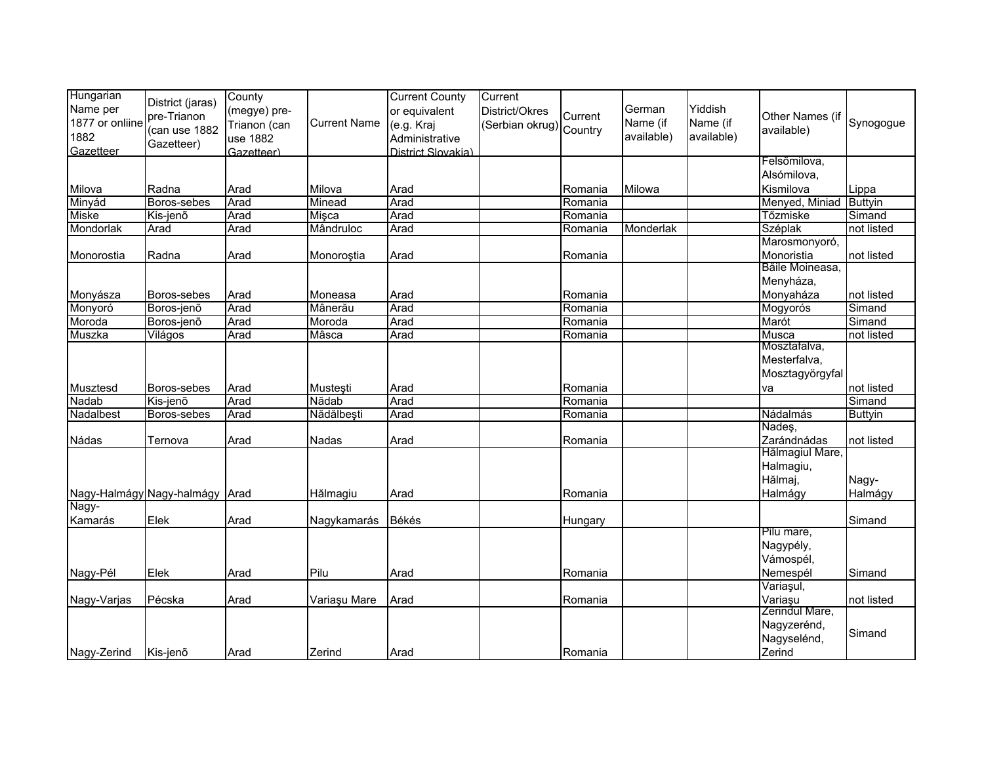| Hungarian<br>Name per<br>1877 or onliine<br>1882<br>Gazetteer | District (jaras)<br>pre-Trianon<br>(can use 1882<br>Gazetteer) | County<br>(megye) pre-<br>Trianon (can<br>use 1882<br>Gazetteer) | <b>Current Name</b> | <b>Current County</b><br>or equivalent<br>(e.g. Kraj<br>Administrative<br>District Slovakia) | Current<br>District/Okres<br>(Serbian okrug) Country | Current | German<br>Name (if<br>available) | Yiddish<br>Name (if<br>available) | Other Names (if<br>available) | Synogogue      |
|---------------------------------------------------------------|----------------------------------------------------------------|------------------------------------------------------------------|---------------------|----------------------------------------------------------------------------------------------|------------------------------------------------------|---------|----------------------------------|-----------------------------------|-------------------------------|----------------|
|                                                               |                                                                |                                                                  |                     |                                                                                              |                                                      |         |                                  |                                   | Felsőmilova,<br>Alsómilova,   |                |
| Milova                                                        | Radna                                                          | Arad                                                             | Milova              | Arad                                                                                         |                                                      | Romania | Milowa                           |                                   | Kismilova                     | Lippa          |
| Minyád                                                        | Boros-sebes                                                    | Arad                                                             | Minead              | Arad                                                                                         |                                                      | Romania |                                  |                                   | Menyed, Miniad                | Buttyin        |
| Miske                                                         | Kis-jenő                                                       | Arad                                                             | Mişca               | Arad                                                                                         |                                                      | Romania |                                  |                                   | Tőzmiske                      | Simand         |
| Mondorlak                                                     | Arad                                                           | Arad                                                             | Mândruloc           | Arad                                                                                         |                                                      | Romania | Monderlak                        |                                   | Széplak                       | not listed     |
|                                                               |                                                                |                                                                  |                     |                                                                                              |                                                      |         |                                  |                                   | Marosmonyoró,                 |                |
| Monorostia                                                    | Radna                                                          | Arad                                                             | Monoroștia          | Arad                                                                                         |                                                      | Romania |                                  |                                   | Monoristia<br>Băile Moineasa, | not listed     |
|                                                               |                                                                |                                                                  |                     |                                                                                              |                                                      |         |                                  |                                   | Menyháza,                     |                |
| Monyásza                                                      | Boros-sebes                                                    | Arad                                                             | Moneasa             | Arad                                                                                         |                                                      | Romania |                                  |                                   | Monyaháza                     | not listed     |
| Monyoró                                                       | Boros-jenő                                                     | Arad                                                             | Mânerău             | Arad                                                                                         |                                                      | Romania |                                  |                                   | Mogyorós                      | Simand         |
| Moroda                                                        | Boros-jenõ                                                     | Arad                                                             | Moroda              | Arad                                                                                         |                                                      | Romania |                                  |                                   | Marót                         | Simand         |
| Muszka                                                        | Világos                                                        | Arad                                                             | Mâsca               | Arad                                                                                         |                                                      | Romania |                                  |                                   | Musca                         | not listed     |
|                                                               |                                                                |                                                                  |                     |                                                                                              |                                                      |         |                                  |                                   | Mosztafalva,                  |                |
|                                                               |                                                                |                                                                  |                     |                                                                                              |                                                      |         |                                  |                                   | Mesterfalva,                  |                |
|                                                               |                                                                |                                                                  |                     |                                                                                              |                                                      |         |                                  |                                   | Mosztagyörgyfal               |                |
| Musztesd                                                      | Boros-sebes                                                    | Arad                                                             | Mustesti            | Arad                                                                                         |                                                      | Romania |                                  |                                   | va                            | not listed     |
| Nadab                                                         | Kis-jenõ                                                       | Arad                                                             | Nădab               | Arad                                                                                         |                                                      | Romania |                                  |                                   |                               | Simand         |
| Nadalbest                                                     | Boros-sebes                                                    | Arad                                                             | Nădălbești          | Arad                                                                                         |                                                      | Romania |                                  |                                   | Nádalmás                      | <b>Buttyin</b> |
|                                                               |                                                                |                                                                  |                     |                                                                                              |                                                      |         |                                  |                                   | Nades,                        |                |
| Nádas                                                         | Ternova                                                        | Arad                                                             | Nadas               | Arad                                                                                         |                                                      | Romania |                                  |                                   | Zarándnádas                   | not listed     |
|                                                               |                                                                |                                                                  |                     |                                                                                              |                                                      |         |                                  |                                   | Hălmagiul Mare                |                |
|                                                               |                                                                |                                                                  |                     |                                                                                              |                                                      |         |                                  |                                   | Halmagiu,                     |                |
|                                                               |                                                                |                                                                  |                     |                                                                                              |                                                      |         |                                  |                                   | Hălmaj,                       | Nagy-          |
|                                                               | Nagy-Halmágy Nagy-halmágy Arad                                 |                                                                  | Hălmagiu            | Arad                                                                                         |                                                      | Romania |                                  |                                   | Halmágy                       | Halmágy        |
| Nagy-                                                         |                                                                |                                                                  |                     |                                                                                              |                                                      |         |                                  |                                   |                               |                |
| Kamarás                                                       | Elek                                                           | Arad                                                             | Nagykamarás         | Békés                                                                                        |                                                      | Hungary |                                  |                                   |                               | Simand         |
|                                                               |                                                                |                                                                  |                     |                                                                                              |                                                      |         |                                  |                                   | Pilu mare,                    |                |
|                                                               |                                                                |                                                                  |                     |                                                                                              |                                                      |         |                                  |                                   | Nagypély,                     |                |
|                                                               |                                                                |                                                                  |                     |                                                                                              |                                                      |         |                                  |                                   | Vámospél,                     |                |
| Nagy-Pél                                                      | Elek                                                           | Arad                                                             | Pilu                | Arad                                                                                         |                                                      | Romania |                                  |                                   | Nemespél                      | Simand         |
|                                                               |                                                                |                                                                  |                     |                                                                                              |                                                      |         |                                  |                                   | Variașul,                     |                |
| Nagy-Varjas                                                   | Pécska                                                         | Arad                                                             | Variaşu Mare        | Arad                                                                                         |                                                      | Romania |                                  |                                   | Variaşu                       | not listed     |
|                                                               |                                                                |                                                                  |                     |                                                                                              |                                                      |         |                                  |                                   | Zerindul Mare,                |                |
|                                                               |                                                                |                                                                  |                     |                                                                                              |                                                      |         |                                  |                                   | Nagyzerénd,                   | Simand         |
|                                                               |                                                                |                                                                  |                     |                                                                                              |                                                      |         |                                  |                                   | Nagyselénd,                   |                |
| Nagy-Zerind                                                   | Kis-jenõ                                                       | Arad                                                             | Zerind              | Arad                                                                                         |                                                      | Romania |                                  |                                   | Zerind                        |                |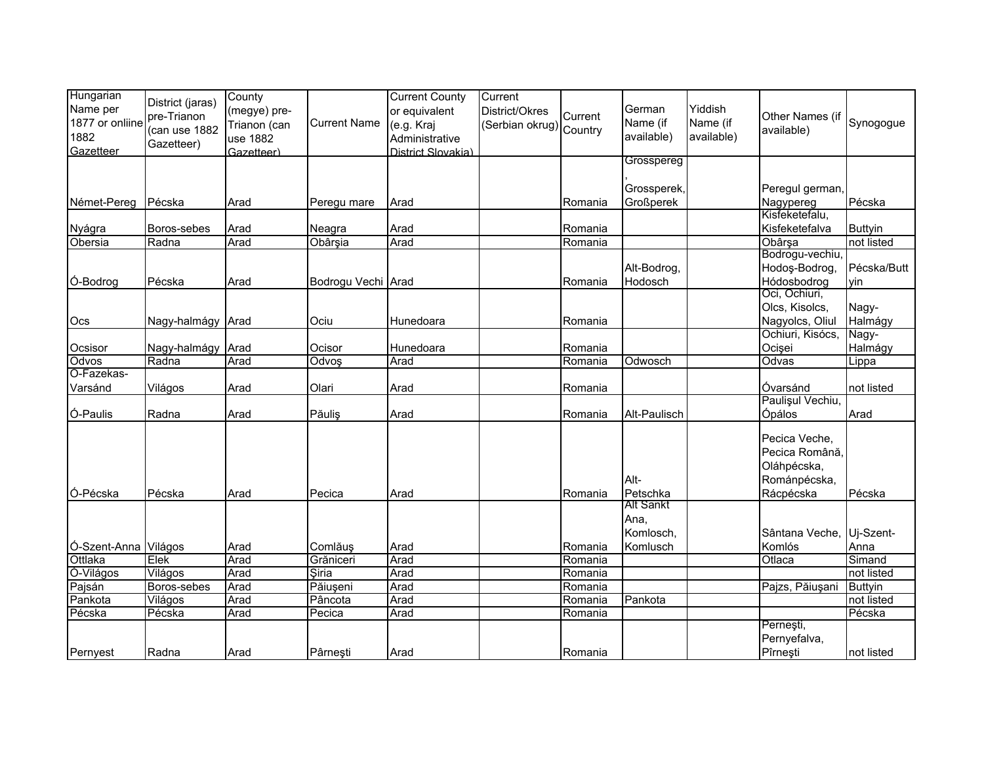| Hungarian<br>Name per<br>1877 or onliine<br>1882<br>Gazetteer | District (jaras)<br>pre-Trianon<br>(can use 1882<br>Gazetteer) | County<br>(megye) pre-<br>Trianon (can<br>use 1882<br>Gazetteer) | <b>Current Name</b> | <b>Current County</b><br>or equivalent<br>(e.g. Kraj<br>Administrative<br>District Slovakia) | Current<br>District/Okres<br>Serbian okrug) Country | Current | German<br>Name (if<br>available) | Yiddish<br>Name (if<br>available) | Other Names (if<br>available) | Synogogue      |
|---------------------------------------------------------------|----------------------------------------------------------------|------------------------------------------------------------------|---------------------|----------------------------------------------------------------------------------------------|-----------------------------------------------------|---------|----------------------------------|-----------------------------------|-------------------------------|----------------|
|                                                               |                                                                |                                                                  |                     |                                                                                              |                                                     |         | Grosspereg                       |                                   |                               |                |
|                                                               |                                                                |                                                                  |                     |                                                                                              |                                                     |         | Grossperek,                      |                                   | Peregul german,               |                |
| Német-Pereg                                                   | Pécska                                                         | Arad                                                             | Peregu mare         | Arad                                                                                         |                                                     | Romania | Großperek                        |                                   | Nagypereg                     | Pécska         |
|                                                               |                                                                |                                                                  |                     |                                                                                              |                                                     |         |                                  |                                   | Kisfeketefalu,                |                |
| Nyágra                                                        | Boros-sebes                                                    | Arad                                                             | Neagra              | Arad                                                                                         |                                                     | Romania |                                  |                                   | Kisfeketefalva                | <b>Buttyin</b> |
| Obersia                                                       | Radna                                                          | Arad                                                             | Obârșia             | Arad                                                                                         |                                                     | Romania |                                  |                                   | Obârșa                        | not listed     |
|                                                               |                                                                |                                                                  |                     |                                                                                              |                                                     |         |                                  |                                   | Bodrogu-vechiu                |                |
|                                                               |                                                                |                                                                  |                     |                                                                                              |                                                     |         | Alt-Bodrog,                      |                                   | Hodoş-Bodrog,                 | Pécska/Butt    |
| Ó-Bodrog                                                      | Pécska                                                         | Arad                                                             | Bodrogu Vechi Arad  |                                                                                              |                                                     | Romania | Hodosch                          |                                   | Hódosbodrog                   | vin            |
|                                                               |                                                                |                                                                  |                     |                                                                                              |                                                     |         |                                  |                                   | Oci, Ochiuri,                 |                |
|                                                               |                                                                |                                                                  |                     |                                                                                              |                                                     |         |                                  |                                   | Olcs, Kisolcs,                | Nagy-          |
| Ocs                                                           | Nagy-halmágy Arad                                              |                                                                  | Ociu                | Hunedoara                                                                                    |                                                     | Romania |                                  |                                   | Nagyolcs, Oliul               | Halmágy        |
|                                                               |                                                                |                                                                  |                     |                                                                                              |                                                     |         |                                  |                                   | Ochiuri, Kisócs,              | Nagy-          |
| Ocsisor                                                       | Nagy-halmágy Arad                                              |                                                                  | Ocisor              | Hunedoara                                                                                    |                                                     | Romania |                                  |                                   | Ocișei                        | Halmágy        |
| Odvos                                                         | Radna                                                          | Arad                                                             | Odvoş               | Arad                                                                                         |                                                     | Romania | Odwosch                          |                                   | Odvas                         | Lippa          |
| O-Fazekas-                                                    |                                                                |                                                                  |                     |                                                                                              |                                                     |         |                                  |                                   |                               |                |
| Varsánd                                                       | Világos                                                        | Arad                                                             | Olari               | Arad                                                                                         |                                                     | Romania |                                  |                                   | Óvarsánd<br>Paulișul Vechiu,  | not listed     |
| Ó-Paulis                                                      | Radna                                                          | Arad                                                             | Păulis              | Arad                                                                                         |                                                     | Romania | Alt-Paulisch                     |                                   | Ópálos                        | Arad           |
|                                                               |                                                                |                                                                  |                     |                                                                                              |                                                     |         |                                  |                                   |                               |                |
|                                                               |                                                                |                                                                  |                     |                                                                                              |                                                     |         |                                  |                                   | Pecica Veche,                 |                |
|                                                               |                                                                |                                                                  |                     |                                                                                              |                                                     |         |                                  |                                   | Pecica Română.                |                |
|                                                               |                                                                |                                                                  |                     |                                                                                              |                                                     |         |                                  |                                   | Oláhpécska,                   |                |
|                                                               |                                                                |                                                                  |                     |                                                                                              |                                                     |         | Alt-                             |                                   | Románpécska,                  |                |
| Ó-Pécska                                                      | Pécska                                                         | Arad                                                             | Pecica              | Arad                                                                                         |                                                     | Romania | Petschka                         |                                   | Rácpécska                     | Pécska         |
|                                                               |                                                                |                                                                  |                     |                                                                                              |                                                     |         | <b>Alt Sankt</b>                 |                                   |                               |                |
|                                                               |                                                                |                                                                  |                     |                                                                                              |                                                     |         | Ana,                             |                                   |                               |                |
|                                                               |                                                                |                                                                  |                     |                                                                                              |                                                     |         | Komlosch,                        |                                   | Sântana Veche.                | Uj-Szent-      |
| Ó-Szent-Anna Világos                                          |                                                                | Arad                                                             | Comlăuș             | Arad                                                                                         |                                                     | Romania | Komlusch                         |                                   | Komlós                        | Anna           |
| Ottlaka                                                       | Elek                                                           | Arad                                                             | Grăniceri           | Arad                                                                                         |                                                     | Romania |                                  |                                   | Otlaca                        | Simand         |
| Ó-Világos                                                     | Világos                                                        | Arad                                                             | Siria               | Arad                                                                                         |                                                     | Romania |                                  |                                   |                               | not listed     |
| Pajsán                                                        | Boros-sebes                                                    | Arad                                                             | Păiușeni            | Arad                                                                                         |                                                     | Romania |                                  |                                   | Pajzs, Păiușani               | <b>Buttyin</b> |
| Pankota                                                       | Világos                                                        | Arad                                                             | Pâncota             | Arad                                                                                         |                                                     | Romania | Pankota                          |                                   |                               | not listed     |
| Pécska                                                        | Pécska                                                         | Arad                                                             | Pecica              | Arad                                                                                         |                                                     | Romania |                                  |                                   |                               | Pécska         |
|                                                               |                                                                |                                                                  |                     |                                                                                              |                                                     |         |                                  |                                   | Pernești,                     |                |
|                                                               |                                                                |                                                                  |                     |                                                                                              |                                                     |         |                                  |                                   | Pernyefalva,                  |                |
| Pernyest                                                      | Radna                                                          | Arad                                                             | Pârnesti            | Arad                                                                                         |                                                     | Romania |                                  |                                   | Pîrneşti                      | not listed     |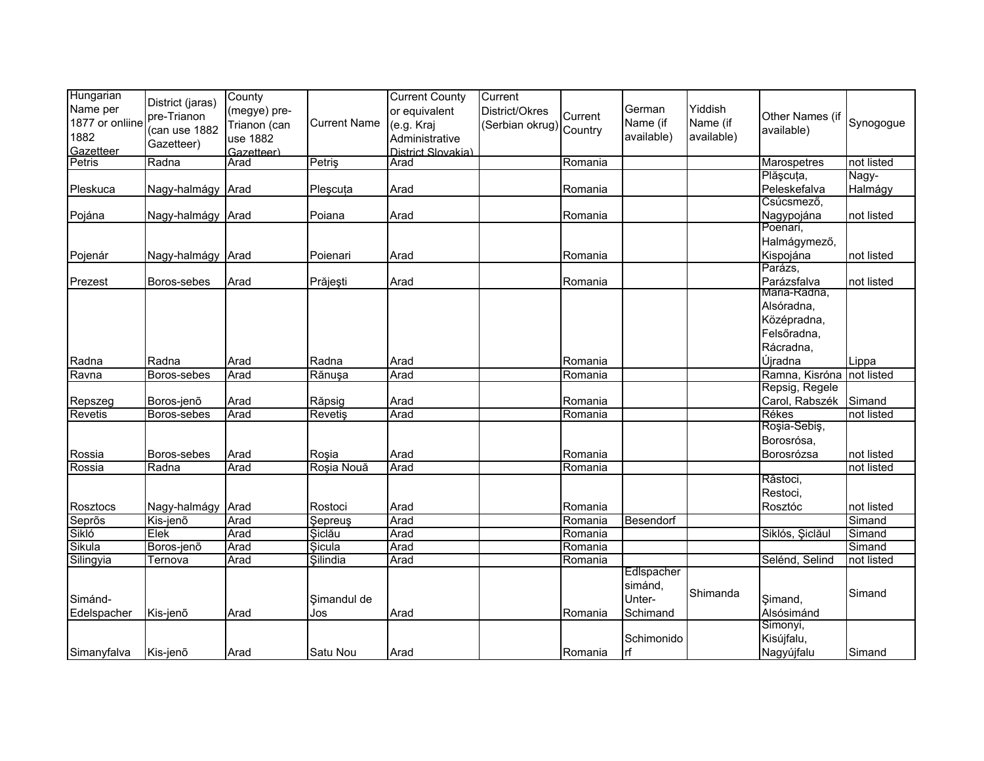| Hungarian           |                   | County             |                     | <b>Current County</b>      | Current                 |         |            |            |                 |                     |
|---------------------|-------------------|--------------------|---------------------|----------------------------|-------------------------|---------|------------|------------|-----------------|---------------------|
| Name per            | District (jaras)  | (megye) pre-       |                     | or equivalent              | District/Okres          |         | German     | Yiddish    |                 |                     |
| 1877 or onliine     | pre-Trianon       | Trianon (can       | <b>Current Name</b> | (e.g. Kraj                 |                         | Current | Name (if   | Name (if   | Other Names (if | Synogogue           |
| 1882                | (can use 1882     |                    |                     |                            | (Serbian okrug) Country |         | available) | available) | available)      |                     |
|                     | Gazetteer)        | use 1882           |                     | Administrative             |                         |         |            |            |                 |                     |
| Gazetteer<br>Petris | Radna             | Gazetteer)<br>Arad | Petriş              | District Slovakia)<br>Arad |                         | Romania |            |            | Marospetres     | not listed          |
|                     |                   |                    |                     |                            |                         |         |            |            | Plășcuța,       |                     |
|                     |                   |                    |                     |                            |                         |         |            |            | Peleskefalva    | Nagy-               |
| Pleskuca            | Nagy-halmágy Arad |                    | Pleșcuța            | Arad                       |                         | Romania |            |            | Csúcsmező,      | Halmágy             |
| Pojána              | Nagy-halmágy Arad |                    | Poiana              | Arad                       |                         | Romania |            |            | Nagypojána      | not listed          |
|                     |                   |                    |                     |                            |                         |         |            |            | Poenari,        |                     |
|                     |                   |                    |                     |                            |                         |         |            |            | Halmágymező,    |                     |
| Pojenár             | Nagy-halmágy Arad |                    | Poienari            | Arad                       |                         | Romania |            |            | Kispojána       | not listed          |
|                     |                   |                    |                     |                            |                         |         |            |            | Parázs,         |                     |
| Prezest             | Boros-sebes       | Arad               | Prăjești            | Arad                       |                         | Romania |            |            | Parázsfalva     | not listed          |
|                     |                   |                    |                     |                            |                         |         |            |            | Maria-Radna,    |                     |
|                     |                   |                    |                     |                            |                         |         |            |            | Alsóradna,      |                     |
|                     |                   |                    |                     |                            |                         |         |            |            | Középradna,     |                     |
|                     |                   |                    |                     |                            |                         |         |            |            | Felsőradna,     |                     |
|                     |                   |                    |                     |                            |                         |         |            |            | Rácradna,       |                     |
| Radna               | Radna             | Arad               | Radna               | Arad                       |                         | Romania |            |            | Újradna         |                     |
| Ravna               | Boros-sebes       | Arad               | Rănușa              | Arad                       |                         | Romania |            |            | Ramna, Kisróna  | Lippa<br>not listed |
|                     |                   |                    |                     |                            |                         |         |            |            | Repsig, Regele  |                     |
| Repszeg             | Boros-jenõ        | Arad               | Răpsig              | Arad                       |                         | Romania |            |            | Carol, Rabszék  | Simand              |
| Revetis             | Boros-sebes       | Arad               | <b>Revetiş</b>      | Arad                       |                         | Romania |            |            | Rékes           | not listed          |
|                     |                   |                    |                     |                            |                         |         |            |            | Roşia-Sebiş,    |                     |
|                     |                   |                    |                     |                            |                         |         |            |            | Borosrósa,      |                     |
| Rossia              | Boros-sebes       | Arad               | Roșia               | Arad                       |                         | Romania |            |            | Borosrózsa      | not listed          |
| Rossia              | Radna             | Arad               | Roșia Nouă          | Arad                       |                         | Romania |            |            |                 | not listed          |
|                     |                   |                    |                     |                            |                         |         |            |            | Răstoci,        |                     |
|                     |                   |                    |                     |                            |                         |         |            |            | Restoci,        |                     |
| Rosztocs            | Nagy-halmágy Arad |                    | Rostoci             | Arad                       |                         | Romania |            |            | Rosztóc         | not listed          |
| Seprõs              | Kis-jenő          | Arad               | Sepreus             | Arad                       |                         | Romania | Besendorf  |            |                 | Simand              |
| Sikló               | Elek              | Arad               | Şiclău              | Arad                       |                         | Romania |            |            | Siklós, Şiclăul | Simand              |
| Sikula              | Boros-jenő        | Arad               | Sicula              | Arad                       |                         | Romania |            |            |                 | Simand              |
| Silingyia           | Ternova           | Arad               | Silindia            | Arad                       |                         | Romania |            |            | Selénd, Selind  | not listed          |
|                     |                   |                    |                     |                            |                         |         | Edlspacher |            |                 |                     |
|                     |                   |                    |                     |                            |                         |         | simánd,    |            |                 |                     |
| Simánd-             |                   |                    | Simandul de         |                            |                         |         | Unter-     | Shimanda   | Simand,         | Simand              |
| Edelspacher         | Kis-jenõ          | Arad               | Jos                 | Arad                       |                         | Romania | Schimand   |            | Alsósimánd      |                     |
|                     |                   |                    |                     |                            |                         |         |            |            | Simonyi,        |                     |
|                     |                   |                    |                     |                            |                         |         | Schimonido |            | Kisújfalu,      |                     |
| Simanyfalva         | Kis-jenő          | Arad               | Satu Nou            | Arad                       |                         | Romania | lrf        |            | Nagyújfalu      | Simand              |
|                     |                   |                    |                     |                            |                         |         |            |            |                 |                     |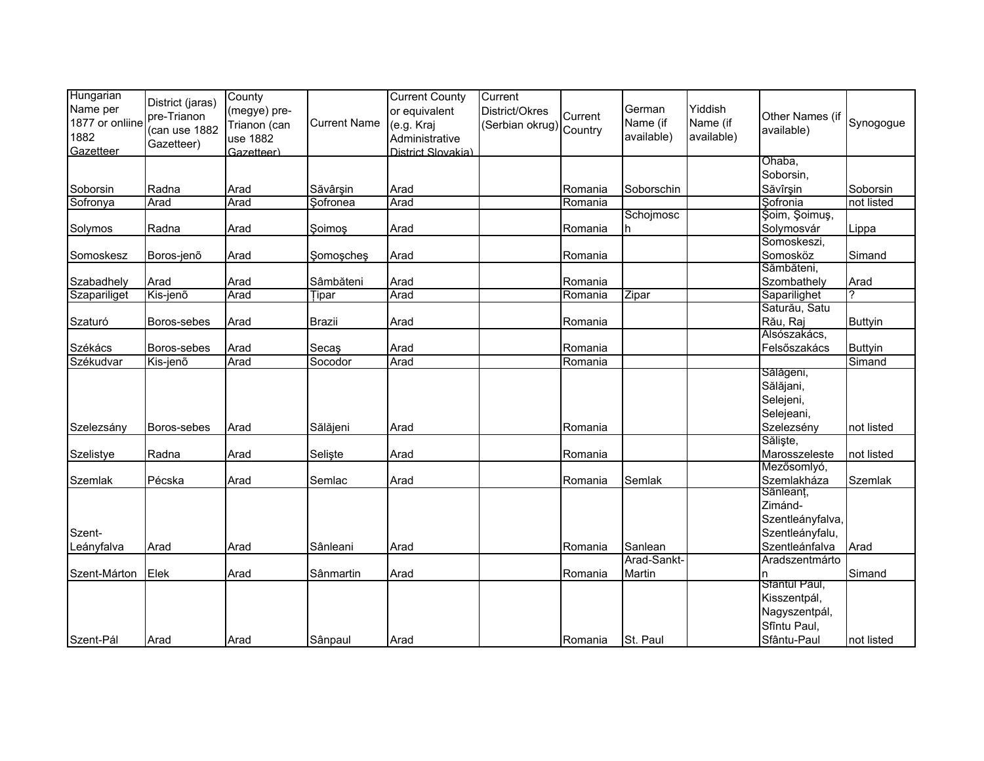| Hungarian<br>Name per | District (jaras)             | County<br>(megye) pre- |                     | <b>Current County</b><br>or equivalent | Current<br>District/Okres |         | German      | Yiddish    |                               |                |
|-----------------------|------------------------------|------------------------|---------------------|----------------------------------------|---------------------------|---------|-------------|------------|-------------------------------|----------------|
| 1877 or onliine       | pre-Trianon<br>(can use 1882 | Trianon (can           | <b>Current Name</b> | (e.g. Kraj                             | (Serbian okrug) Country   | Current | Name (if    | Name (if   | Other Names (if<br>available) | Synogogue      |
| 1882<br>Gazetteer     | Gazetteer)                   | use 1882<br>Gazetteer) |                     | Administrative<br>District Slovakia)   |                           |         | available)  | available) |                               |                |
|                       |                              |                        |                     |                                        |                           |         |             |            | Ohaba,<br>Soborsin,           |                |
| Soborsin              | Radna                        | Arad                   | Săvârşin            | Arad                                   |                           | Romania | Soborschin  |            | Săvîrşin                      | Soborsin       |
| Sofronya              | Arad                         | Arad                   | Sofronea            | Arad                                   |                           | Romania |             |            | Sofronia                      | not listed     |
|                       |                              |                        |                     |                                        |                           |         | Schojmosc   |            | Şoim, Şoimuş,                 |                |
| Solymos               | Radna                        | Arad                   | Soimos              | Arad                                   |                           | Romania | h.          |            | Solymosvár                    | Lippa          |
|                       |                              |                        |                     |                                        |                           |         |             |            | Somoskeszi,                   |                |
| Somoskesz             | Boros-jenõ                   | Arad                   | Somosches           | Arad                                   |                           | Romania |             |            | Somosköz                      | Simand         |
|                       |                              |                        |                     |                                        |                           |         |             |            | Sămbăteni,                    |                |
| Szabadhely            | Arad                         | Arad                   | Sâmbăteni           | Arad                                   |                           | Romania |             |            | Szombathely                   | Arad           |
| Szapariliget          | Kis-jenő                     | Arad                   | Tipar               | Arad                                   |                           | Romania | Zipar       |            | Saparilighet                  |                |
|                       |                              |                        |                     |                                        |                           |         |             |            | Saturău, Satu                 |                |
| Szaturó               | Boros-sebes                  | Arad                   | <b>Brazii</b>       | Arad                                   |                           | Romania |             |            | Rău, Raj                      | <b>Buttyin</b> |
|                       |                              |                        |                     |                                        |                           |         |             |            | Alsószakács,                  |                |
| Székács               | Boros-sebes                  | Arad                   | Secaş               | Arad                                   |                           | Romania |             |            | Felsőszakács                  | <b>Buttyin</b> |
| Székudvar             | Kis-jenő                     | Arad                   | Socodor             | Arad                                   |                           | Romania |             |            |                               | Simand         |
|                       |                              |                        |                     |                                        |                           |         |             |            | Sálágeni,                     |                |
|                       |                              |                        |                     |                                        |                           |         |             |            | Sălăjani,                     |                |
|                       |                              |                        |                     |                                        |                           |         |             |            | Selejeni,                     |                |
|                       |                              |                        |                     |                                        |                           |         |             |            | Selejeani,                    |                |
| Szelezsány            | Boros-sebes                  | Arad                   | Sălăjeni            | Arad                                   |                           | Romania |             |            | Szelezsény                    | not listed     |
|                       |                              |                        |                     |                                        |                           |         |             |            | Săliște,                      |                |
| Szelistye             | Radna                        | Arad                   | Selişte             | Arad                                   |                           | Romania |             |            | Marosszeleste                 | not listed     |
|                       |                              |                        |                     |                                        |                           |         |             |            | Mezősomlyó,                   |                |
| Szemlak               | Pécska                       | Arad                   | Semlac              | Arad                                   |                           | Romania | Semlak      |            | Szemlakháza                   | Szemlak        |
|                       |                              |                        |                     |                                        |                           |         |             |            | Sänleant,                     |                |
|                       |                              |                        |                     |                                        |                           |         |             |            | Zimánd-                       |                |
|                       |                              |                        |                     |                                        |                           |         |             |            | Szentleányfalva,              |                |
| Szent-                |                              |                        |                     |                                        |                           |         |             |            | Szentleányfalu,               |                |
| Leányfalva            | Arad                         | Arad                   | Sânleani            | Arad                                   |                           | Romania | Sanlean     |            | Szentleánfalva                | Arad           |
|                       |                              |                        |                     |                                        |                           |         | Arad-Sankt- |            | Aradszentmárto                |                |
| Szent-Márton          | Elek                         | Arad                   | Sânmartin           | Arad                                   |                           | Romania | Martin      |            | ln.                           | Simand         |
|                       |                              |                        |                     |                                        |                           |         |             |            | Stäntul Paul,                 |                |
|                       |                              |                        |                     |                                        |                           |         |             |            | Kisszentpál,                  |                |
|                       |                              |                        |                     |                                        |                           |         |             |            | Nagyszentpál,                 |                |
|                       |                              |                        |                     |                                        |                           |         |             |            | Sfîntu Paul,                  |                |
| Szent-Pál             | Arad                         | Arad                   | Sânpaul             | Arad                                   |                           | Romania | St. Paul    |            | Sfântu-Paul                   | not listed     |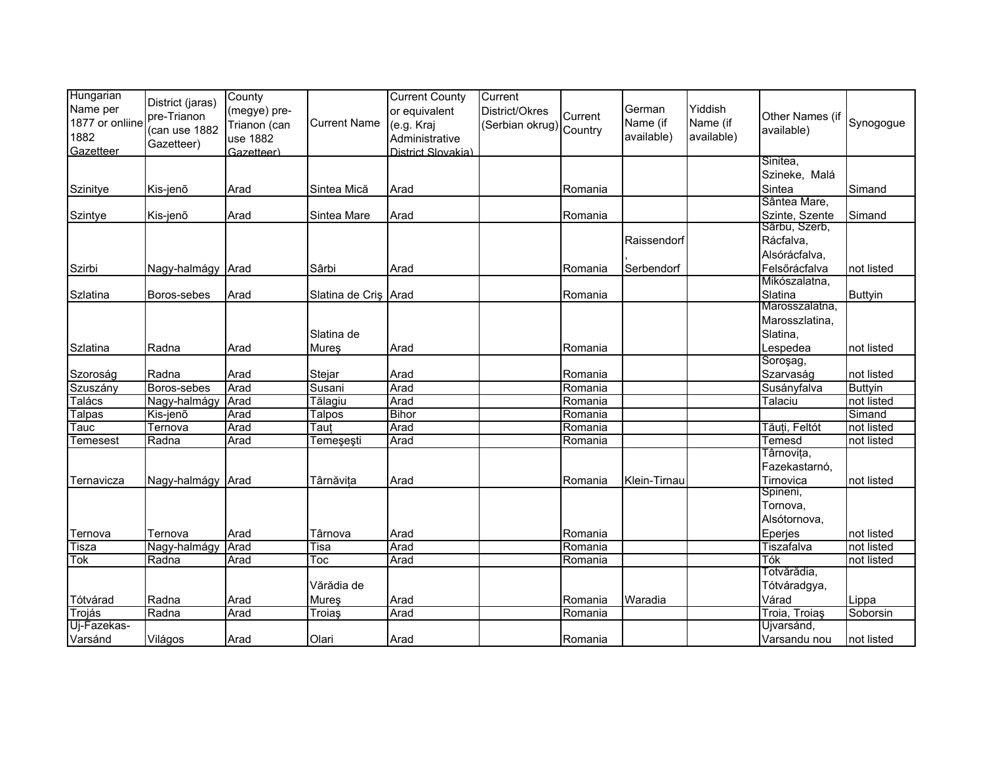| Hungarian<br>Name per<br>1877 or onliine<br>1882<br>Gazetteer | District (jaras)<br>pre-Trianon<br>(can use 1882<br>Gazetteer) | County<br>(megye) pre-<br>Trianon (can<br>use 1882<br>Gazetteer) | <b>Current Name</b>  | <b>Current County</b><br>or equivalent<br>(e.g. Kraj<br>Administrative<br>District Slovakia) | Current<br>District/Okres<br>(Serbian okrug) Country | Current | German<br>Name (if<br>available) | Yiddish<br>Name (if<br>available) | Other Names (if<br>available)                            | Synogogue      |
|---------------------------------------------------------------|----------------------------------------------------------------|------------------------------------------------------------------|----------------------|----------------------------------------------------------------------------------------------|------------------------------------------------------|---------|----------------------------------|-----------------------------------|----------------------------------------------------------|----------------|
|                                                               |                                                                |                                                                  |                      |                                                                                              |                                                      |         |                                  |                                   | Sinitea,<br>Szineke, Malá                                |                |
| Szinitye                                                      | Kis-jenõ                                                       | Arad                                                             | Sintea Mică          | Arad                                                                                         |                                                      | Romania |                                  |                                   | Sintea                                                   | Simand         |
|                                                               |                                                                |                                                                  |                      |                                                                                              |                                                      |         |                                  |                                   | Sântea Mare,                                             |                |
| Szintye                                                       | Kis-jenõ                                                       | Arad                                                             | Sintea Mare          | Arad                                                                                         |                                                      | Romania |                                  |                                   | Szinte, Szente<br>Sârbu, Szerb,                          | Simand         |
|                                                               |                                                                |                                                                  |                      |                                                                                              |                                                      |         | Raissendorf                      |                                   | Rácfalva,<br>Alsórácfalva,                               |                |
| Szirbi                                                        | Nagy-halmágy Arad                                              |                                                                  | Sârbi                | Arad                                                                                         |                                                      | Romania | Serbendorf                       |                                   | Felsőrácfalva                                            | not listed     |
| Szlatina                                                      | Boros-sebes                                                    | Arad                                                             | Slatina de Cris Arad |                                                                                              |                                                      | Romania |                                  |                                   | Mikószalatna,<br>Slatina                                 | <b>Buttyin</b> |
| Szlatina                                                      | Radna                                                          | Arad                                                             | Slatina de<br>Mureş  | Arad                                                                                         |                                                      | Romania |                                  |                                   | Marosszalatna,<br>Marosszlatina,<br>Slatina,<br>Lespedea | not listed     |
|                                                               |                                                                |                                                                  |                      |                                                                                              |                                                      |         |                                  |                                   | Soroşag,                                                 |                |
| Szoroság                                                      | Radna                                                          | Arad                                                             | Stejar               | Arad                                                                                         |                                                      | Romania |                                  |                                   | Szarvaság                                                | not listed     |
| Szuszány                                                      | Boros-sebes                                                    | Arad                                                             | Susani               | Arad                                                                                         |                                                      | Romania |                                  |                                   | Susányfalva                                              | <b>Buttyin</b> |
| <b>Talács</b>                                                 | Nagy-halmágy                                                   | Arad                                                             | Tălagiu              | Arad                                                                                         |                                                      | Romania |                                  |                                   | Talaciu                                                  | not listed     |
| Talpas                                                        | Kis-jenő                                                       | Arad                                                             | Talpos               | <b>Bihor</b>                                                                                 |                                                      | Romania |                                  |                                   |                                                          | Simand         |
| Гаис                                                          | Ternova                                                        | Arad                                                             | Taut                 | Arad                                                                                         |                                                      | Romania |                                  |                                   | Tăuți, Feltót                                            | not listed     |
| Temesest                                                      | Radna                                                          | Arad                                                             | Temeşeşti            | Arad                                                                                         |                                                      | Romania |                                  |                                   | <b>Temesd</b>                                            | not listed     |
| Ternavicza                                                    | Nagy-halmágy Arad                                              |                                                                  | Târnăvita            | Arad                                                                                         |                                                      | Romania | Klein-Tirnau                     |                                   | Târnovița,<br>Fazekastarnó,<br>Tirnovica                 | not listed     |
| Ternova                                                       | Ternova                                                        | Arad                                                             | Târnova              | Arad                                                                                         |                                                      | Romania |                                  |                                   | Spineni,<br>Tornova,<br>Alsótornova,<br>Eperjes          | not listed     |
| <b>Tisza</b>                                                  | Nagy-halmágy                                                   | Arad                                                             | Tisa                 | Arad                                                                                         |                                                      | Romania |                                  |                                   | Tiszafalva                                               | not listed     |
| Tok                                                           | Radna                                                          | Arad                                                             | Тос                  | Arad                                                                                         |                                                      | Romania |                                  |                                   | Tók                                                      | not listed     |
|                                                               |                                                                |                                                                  |                      |                                                                                              |                                                      |         |                                  |                                   | Totvărădia,                                              |                |
| Tótvárad                                                      | Radna                                                          | Arad                                                             | Vărădia de<br>Mureş  | Arad                                                                                         |                                                      | Romania | Waradia                          |                                   | Tótváradgya,<br>Várad                                    | Lippa          |
| Trojás                                                        | Radna                                                          | Arad                                                             | Troiaş               | Arad                                                                                         |                                                      | Romania |                                  |                                   | Troia, Troias                                            | Soborsin       |
| Uj-Fazekas-                                                   |                                                                |                                                                  |                      |                                                                                              |                                                      |         |                                  |                                   | Újvarsánd,                                               |                |
| Varsánd                                                       | Világos                                                        | Arad                                                             | Olari                | Arad                                                                                         |                                                      | Romania |                                  |                                   | Varsandu nou                                             | not listed     |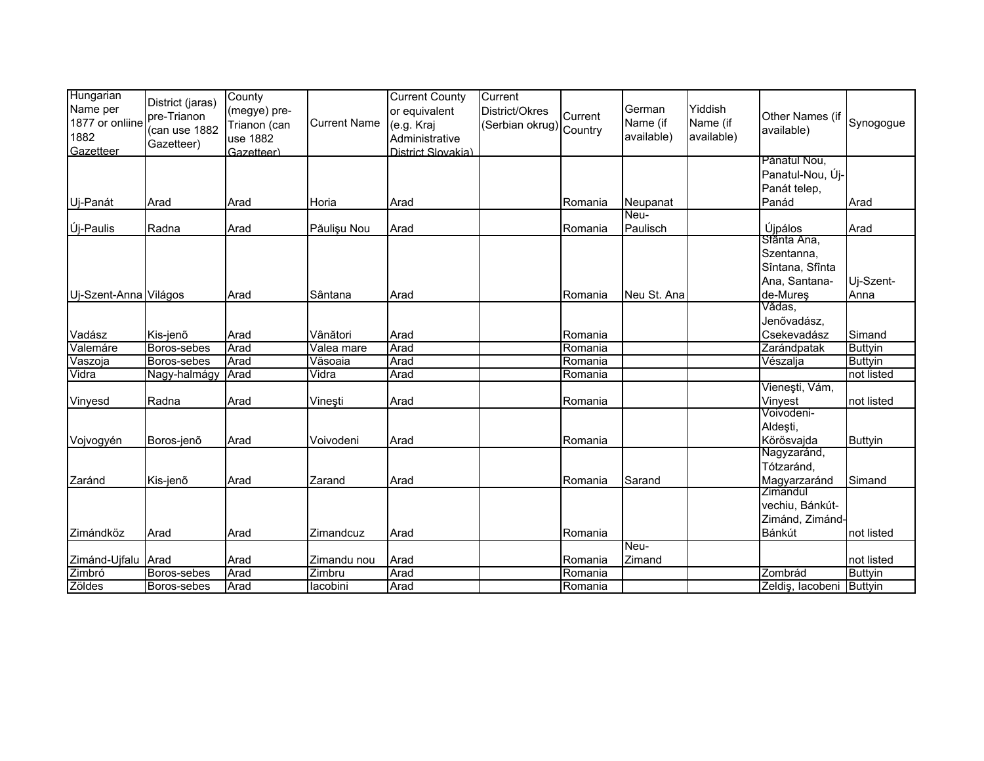| Hungarian<br>Name per<br>1877 or onliine<br>1882<br>Gazetteer | District (jaras)<br>pre-Trianon<br>(can use 1882<br>Gazetteer) | County<br>(megye) pre-<br>Trianon (can<br>use 1882<br>Gazetteer) | <b>Current Name</b> | <b>Current County</b><br>or equivalent<br>(e.g. Kraj<br>Administrative<br>District Slovakia) | Current<br>District/Okres<br>(Serbian okrug) Country | Current | German<br>Name (if<br>available) | Yiddish<br>Name (if<br>available) | Other Names (if<br>available)    | Synogogue      |
|---------------------------------------------------------------|----------------------------------------------------------------|------------------------------------------------------------------|---------------------|----------------------------------------------------------------------------------------------|------------------------------------------------------|---------|----------------------------------|-----------------------------------|----------------------------------|----------------|
|                                                               |                                                                |                                                                  |                     |                                                                                              |                                                      |         |                                  |                                   | Pănatul Nou,<br>Panatul-Nou, Új- |                |
|                                                               |                                                                |                                                                  |                     |                                                                                              |                                                      |         |                                  |                                   | Panát telep,                     |                |
| Uj-Panát                                                      | Arad                                                           | Arad                                                             | Horia               | Arad                                                                                         |                                                      | Romania | Neupanat                         |                                   | Panád                            | Arad           |
|                                                               |                                                                |                                                                  |                     |                                                                                              |                                                      |         | Neu-                             |                                   |                                  |                |
| Új-Paulis                                                     | Radna                                                          | Arad                                                             | Păulişu Nou         | Arad                                                                                         |                                                      | Romania | Paulisch                         |                                   | Újpálos                          | Arad           |
|                                                               |                                                                |                                                                  |                     |                                                                                              |                                                      |         |                                  |                                   | Sfânta Ana,                      |                |
|                                                               |                                                                |                                                                  |                     |                                                                                              |                                                      |         |                                  |                                   | Szentanna,                       |                |
|                                                               |                                                                |                                                                  |                     |                                                                                              |                                                      |         |                                  |                                   | Sîntana, Sfînta                  |                |
|                                                               |                                                                |                                                                  |                     |                                                                                              |                                                      |         |                                  |                                   | Ana, Santana-                    | Uj-Szent-      |
| Uj-Szent-Anna Világos                                         |                                                                | Arad                                                             | Sântana             | Arad                                                                                         |                                                      | Romania | Neu St. Ana                      |                                   | de-Mures                         | Anna           |
|                                                               |                                                                |                                                                  |                     |                                                                                              |                                                      |         |                                  |                                   | Vădas,                           |                |
|                                                               |                                                                |                                                                  |                     |                                                                                              |                                                      |         |                                  |                                   | Jenővadász,                      |                |
| Vadász                                                        | Kis-jenő                                                       | Arad                                                             | Vânători            | Arad                                                                                         |                                                      | Romania |                                  |                                   | Csekevadász                      | Simand         |
| Valemáre                                                      | Boros-sebes                                                    | Arad                                                             | Valea mare          | Arad                                                                                         |                                                      | Romania |                                  |                                   | Zarándpatak                      | <b>Buttyin</b> |
| Vaszoja                                                       | Boros-sebes                                                    | Arad                                                             | Văsoaia             | Arad                                                                                         |                                                      | Romania |                                  |                                   | Vészalja                         | <b>Buttyin</b> |
| Vidra                                                         | Nagy-halmágy                                                   | Arad                                                             | Vidra               | Arad                                                                                         |                                                      | Romania |                                  |                                   |                                  | not listed     |
|                                                               |                                                                |                                                                  |                     |                                                                                              |                                                      |         |                                  |                                   | Vienești, Vám,                   |                |
| Vinyesd                                                       | Radna                                                          | Arad                                                             | Vineşti             | Arad                                                                                         |                                                      | Romania |                                  |                                   | Vinyest                          | not listed     |
|                                                               |                                                                |                                                                  |                     |                                                                                              |                                                      |         |                                  |                                   | Voivodeni-                       |                |
|                                                               |                                                                |                                                                  |                     |                                                                                              |                                                      |         |                                  |                                   | Aldeşti,                         |                |
| Vojvogyén                                                     | Boros-jenõ                                                     | Arad                                                             | Voivodeni           | Arad                                                                                         |                                                      | Romania |                                  |                                   | Körösvajda                       | <b>Buttyin</b> |
|                                                               |                                                                |                                                                  |                     |                                                                                              |                                                      |         |                                  |                                   | Nagyzaránd,                      |                |
|                                                               |                                                                |                                                                  |                     |                                                                                              |                                                      |         |                                  |                                   | Tótzaránd,                       |                |
| Zaránd                                                        | Kis-jenõ                                                       | Arad                                                             | Zarand              | Arad                                                                                         |                                                      | Romania | Sarand                           |                                   | Magyarzaránd                     | Simand         |
|                                                               |                                                                |                                                                  |                     |                                                                                              |                                                      |         |                                  |                                   | Zimandul                         |                |
|                                                               |                                                                |                                                                  |                     |                                                                                              |                                                      |         |                                  |                                   | vechiu, Bánkút-                  |                |
|                                                               |                                                                |                                                                  |                     |                                                                                              |                                                      |         |                                  |                                   | Zimánd, Zimánd-                  |                |
| Zimándköz                                                     | Arad                                                           | Arad                                                             | Zimandcuz           | Arad                                                                                         |                                                      | Romania |                                  |                                   | Bánkút                           | not listed     |
|                                                               |                                                                |                                                                  |                     |                                                                                              |                                                      |         | Neu-                             |                                   |                                  |                |
| Zimánd-Ujfalu Arad                                            |                                                                | Arad                                                             | Zimandu nou         | Arad                                                                                         |                                                      | Romania | Zimand                           |                                   |                                  | not listed     |
| Zimbró                                                        | Boros-sebes                                                    | Arad                                                             | Zimbru              | Arad                                                                                         |                                                      | Romania |                                  |                                   | Zombrád                          | <b>Buttyin</b> |
| Zöldes                                                        | Boros-sebes                                                    | Arad                                                             | lacobini            | Arad                                                                                         |                                                      | Romania |                                  |                                   | Zeldiş, lacobeni                 | <b>Buttyin</b> |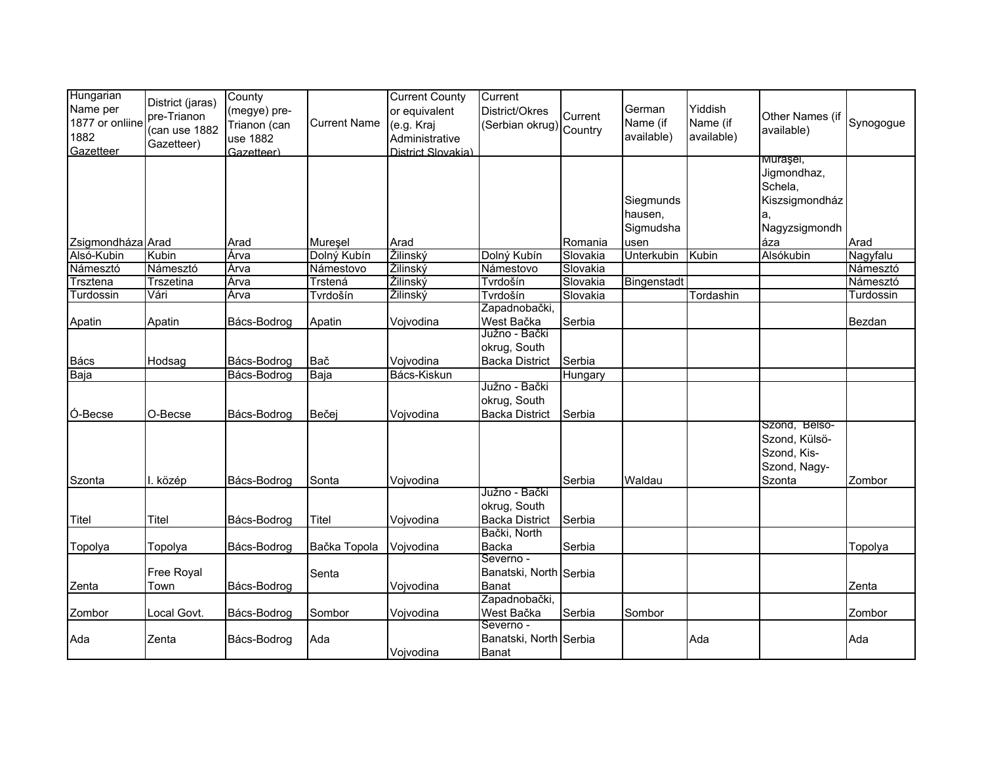| Hungarian         |                  | County       |                     | <b>Current County</b> | Current                 |          |                   |            |                 |           |
|-------------------|------------------|--------------|---------------------|-----------------------|-------------------------|----------|-------------------|------------|-----------------|-----------|
| Name per          | District (jaras) | (megye) pre- |                     | or equivalent         | District/Okres          |          | German            | Yiddish    |                 |           |
| 1877 or onliine   | pre-Trianon      | Trianon (can | <b>Current Name</b> | (e.g. Kraj            |                         | Current  | Name (if          | Name (if   | Other Names (if | Synogogue |
| 1882              | (can use 1882    | use 1882     |                     | Administrative        | (Serbian okrug) Country |          | available)        | available) | available)      |           |
| Gazetteer         | Gazetteer)       | Gazetteer)   |                     | District Slovakia)    |                         |          |                   |            |                 |           |
|                   |                  |              |                     |                       |                         |          |                   |            | murașei,        |           |
|                   |                  |              |                     |                       |                         |          |                   |            | Jigmondhaz,     |           |
|                   |                  |              |                     |                       |                         |          |                   |            | Schela,         |           |
|                   |                  |              |                     |                       |                         |          | Siegmunds         |            | Kiszsigmondház  |           |
|                   |                  |              |                     |                       |                         |          | hausen,           |            | a,              |           |
|                   |                  |              |                     |                       |                         |          | Sigmudsha         |            | Nagyzsigmondh   |           |
| Zsigmondháza Arad |                  | Arad         | Mureșel             | Arad                  |                         | Romania  | usen              |            | áza             | Arad      |
| Alsó-Kubin        | Kubin            | Árva         | Dolný Kubín         | Žilinský              | Dolný Kubín             | Slovakia | <b>Unterkubin</b> | Kubin      | Alsókubin       | Nagyfalu  |
| Námesztó          | Námesztó         | Árva         | Námestovo           | Žilinský              | Námestovo               | Slovakia |                   |            |                 | Námesztó  |
| Trsztena          | <b>Trszetina</b> | Árva         | Trstená             | Žilinský              | Tvrdošín                | Slovakia | Bingenstadt       |            |                 | Námesztó  |
| Turdossin         | Vári             | Árva         | Tvrdošín            | Žilinský              | Tvrdošín                | Slovakia |                   | Tordashin  |                 | Turdossin |
|                   |                  |              |                     |                       | Zapadnobački,           |          |                   |            |                 |           |
| Apatin            | Apatin           | Bács-Bodrog  | Apatin              | Vojvodina             | West Bačka              | Serbia   |                   |            |                 | Bezdan    |
|                   |                  |              |                     |                       | Južno - Bački           |          |                   |            |                 |           |
|                   |                  |              |                     |                       | okrug, South            |          |                   |            |                 |           |
| <b>Bács</b>       | Hodsag           | Bács-Bodrog  | Bač                 | Vojvodina             | <b>Backa District</b>   | Serbia   |                   |            |                 |           |
| Baja              |                  | Bács-Bodrog  | Baja                | Bács-Kiskun           |                         | Hungary  |                   |            |                 |           |
|                   |                  |              |                     |                       | Južno - Bački           |          |                   |            |                 |           |
|                   |                  |              |                     |                       | okrug, South            |          |                   |            |                 |           |
| Ó-Becse           | O-Becse          | Bács-Bodrog  | Bečej               | Vojvodina             | <b>Backa District</b>   | Serbia   |                   |            |                 |           |
|                   |                  |              |                     |                       |                         |          |                   |            | Szond, Belsö-   |           |
|                   |                  |              |                     |                       |                         |          |                   |            | Szond, Külsö-   |           |
|                   |                  |              |                     |                       |                         |          |                   |            | Szond, Kis-     |           |
|                   |                  |              |                     |                       |                         |          |                   |            | Szond, Nagy-    |           |
| Szonta            | I. közép         | Bács-Bodrog  | Sonta               | Vojvodina             |                         | Serbia   | Waldau            |            | Szonta          | Zombor    |
|                   |                  |              |                     |                       | Južno - Bački           |          |                   |            |                 |           |
|                   |                  |              |                     |                       | okrug, South            |          |                   |            |                 |           |
| Titel             | Titel            | Bács-Bodrog  | Titel               | Vojvodina             | <b>Backa District</b>   | Serbia   |                   |            |                 |           |
|                   |                  |              |                     |                       | Bački, North            |          |                   |            |                 |           |
| Topolya           | Topolya          | Bács-Bodrog  | Bačka Topola        | Vojvodina             | <b>Backa</b>            | Serbia   |                   |            |                 | Topolya   |
|                   |                  |              |                     |                       | Severno -               |          |                   |            |                 |           |
|                   | Free Royal       |              | Senta               |                       | Banatski, North Serbia  |          |                   |            |                 |           |
| Zenta             | Town             | Bács-Bodrog  |                     | Vojvodina             | Banat                   |          |                   |            |                 | Zenta     |
|                   |                  |              |                     |                       | Zapadnobački,           |          |                   |            |                 |           |
|                   |                  |              |                     |                       | West Bačka              |          |                   |            |                 |           |
| Zombor            | Local Govt.      | Bács-Bodrog  | Sombor              | Vojvodina             | Severno -               | Serbia   | Sombor            |            |                 | Zombor    |
| Ada               | Zenta            | Bács-Bodrog  | Ada                 |                       | Banatski, North Serbia  |          |                   | Ada        |                 | Ada       |
|                   |                  |              |                     |                       |                         |          |                   |            |                 |           |
|                   |                  |              |                     | Vojvodina             | <b>Banat</b>            |          |                   |            |                 |           |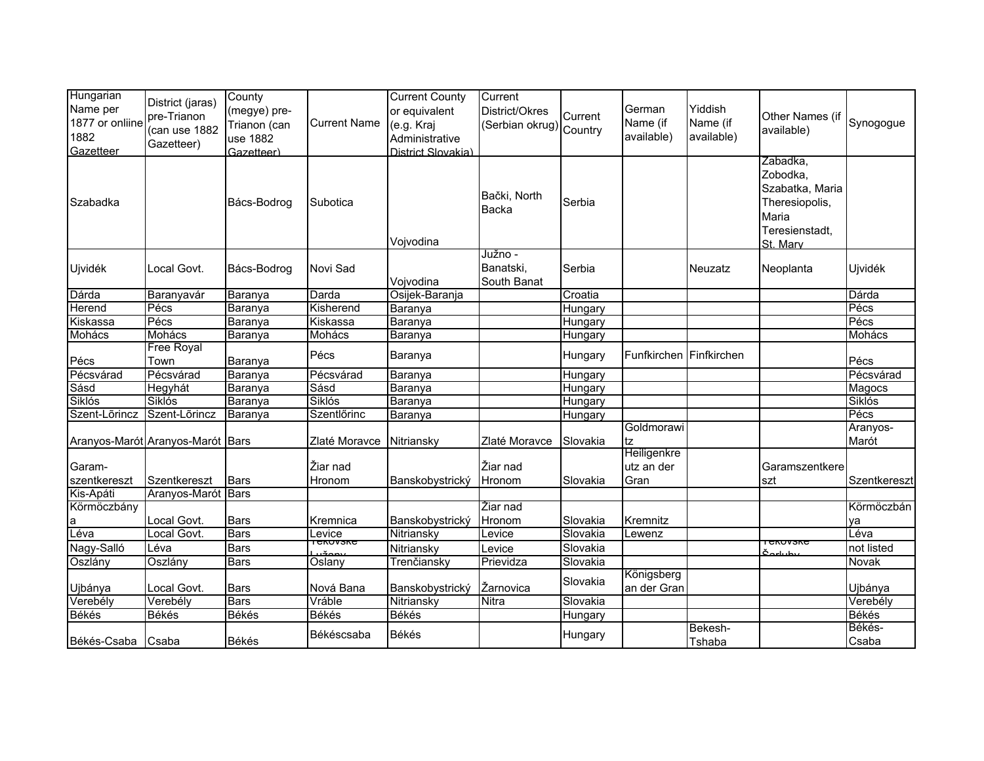| Hungarian<br>Name per<br>1877 or onliine<br>1882<br>Gazetteer | District (jaras)<br>pre-Trianon<br>(can use 1882<br>Gazetteer) | County<br>(megye) pre-<br>Trianon (can<br>use 1882<br>Gazetteer) | <b>Current Name</b>             | <b>Current County</b><br>or equivalent<br>(e.g. Kraj<br>Administrative<br>District Slovakia) | Current<br>District/Okres<br>(Serbian okrug) Country | Current  | German<br>Name (if<br>available) | Yiddish<br>Name (if<br>available) | Other Names (if<br>available)                                                                    | Synogogue         |
|---------------------------------------------------------------|----------------------------------------------------------------|------------------------------------------------------------------|---------------------------------|----------------------------------------------------------------------------------------------|------------------------------------------------------|----------|----------------------------------|-----------------------------------|--------------------------------------------------------------------------------------------------|-------------------|
| Szabadka                                                      |                                                                | Bács-Bodrog                                                      | Subotica                        | Vojvodina                                                                                    | Bački, North<br>Backa                                | Serbia   |                                  |                                   | Zabadka,<br>Zobodka,<br>Szabatka, Maria<br>Theresiopolis,<br>Maria<br>Teresienstadt,<br>St. Marv |                   |
| Ujvidék                                                       | Local Govt.                                                    | Bács-Bodrog                                                      | Novi Sad                        | Vojvodina                                                                                    | Južno -<br>Banatski,<br>South Banat                  | Serbia   |                                  | Neuzatz                           | Neoplanta                                                                                        | Ujvidék           |
| Dárda                                                         | Baranyavár                                                     | Baranya                                                          | Darda                           | Osijek-Baranja                                                                               |                                                      | Croatia  |                                  |                                   |                                                                                                  | Dárda             |
| Herend                                                        | Pécs                                                           | Baranya                                                          | Kisherend                       | Baranya                                                                                      |                                                      | Hungary  |                                  |                                   |                                                                                                  | Pécs              |
| Kiskassa                                                      | Pécs                                                           | Baranya                                                          | Kiskassa                        | Baranya                                                                                      |                                                      | Hungary  |                                  |                                   |                                                                                                  | Pécs              |
| Mohács                                                        | Mohács                                                         | Baranya                                                          | Mohács                          | Baranya                                                                                      |                                                      | Hungary  |                                  |                                   |                                                                                                  | Mohács            |
| Pécs                                                          | Free Royal<br>Town                                             | Baranya                                                          | Pécs                            | Baranya                                                                                      |                                                      | Hungary  | Funfkirchen Finfkirchen          |                                   |                                                                                                  | Pécs              |
| Pécsvárad                                                     | Pécsvárad                                                      | Baranya                                                          | Pécsvárad                       | Baranya                                                                                      |                                                      | Hungary  |                                  |                                   |                                                                                                  | Pécsvárad         |
| Sásd                                                          | Hegyhát                                                        | Baranya                                                          | Sásd                            | Baranya                                                                                      |                                                      | Hungary  |                                  |                                   |                                                                                                  | Magocs            |
| Siklós                                                        | Siklós                                                         | Baranya                                                          | Siklós                          | Baranya                                                                                      |                                                      | Hungary  |                                  |                                   |                                                                                                  | Siklós            |
| Szent-Lõrincz                                                 | Szent-Lõrincz                                                  | Baranya                                                          | Szentlőrinc                     | Baranya                                                                                      |                                                      | Hungary  |                                  |                                   |                                                                                                  | Pécs              |
|                                                               | Aranyos-Marót Aranyos-Marót Bars                               |                                                                  | Zlaté Moravce                   | Nitriansky                                                                                   | Zlaté Moravce                                        | Slovakia | Goldmorawi<br>tz                 |                                   |                                                                                                  | Aranyos-<br>Marót |
| Garam-                                                        |                                                                |                                                                  | Žiar nad                        |                                                                                              | Žiar nad                                             |          | Heiligenkre<br>utz an der        |                                   | Garamszentkere                                                                                   |                   |
| szentkereszt<br>Kis-Apáti                                     | Szentkereszt<br>Aranyos-Marót Bars                             | <b>Bars</b>                                                      | Hronom                          | Banskobystrický                                                                              | Hronom                                               | Slovakia | Gran                             |                                   | szt                                                                                              | Szentkereszt      |
| Körmöczbány                                                   |                                                                |                                                                  |                                 |                                                                                              | Žiar nad                                             |          |                                  |                                   |                                                                                                  | Körmöczbán        |
| a                                                             | Local Govt.                                                    | <b>Bars</b>                                                      | Kremnica                        | Banskobystrický                                                                              | Hronom                                               | Slovakia | Kremnitz                         |                                   |                                                                                                  | ya                |
| Léva                                                          | Local Govt.                                                    | <b>Bars</b>                                                      | Levice                          | Nitriansky                                                                                   | Levice                                               | Slovakia | Lewenz                           |                                   |                                                                                                  | Léva              |
| Nagy-Salló                                                    | Léva                                                           | <b>Bars</b>                                                      | $\overline{\mathrm{r}}$ ënovsne | Nitriansky                                                                                   | Levice                                               | Slovakia |                                  |                                   | TENUVSNE                                                                                         | not listed        |
| Oszlány                                                       | Oszlány                                                        | <b>Bars</b>                                                      | Oslany                          | Trenčiansky                                                                                  | Prievidza                                            | Slovakia |                                  |                                   |                                                                                                  | Novak             |
|                                                               |                                                                |                                                                  |                                 |                                                                                              |                                                      |          | Königsberg                       |                                   |                                                                                                  |                   |
| Ujbánya                                                       | Local Govt.                                                    | <b>Bars</b>                                                      | Nová Bana                       | Banskobystrický                                                                              | Žarnovica                                            | Slovakia | an der Gran                      |                                   |                                                                                                  | Ujbánya           |
| Verebély                                                      | Verebély                                                       | <b>Bars</b>                                                      | Vráble                          | Nitriansky                                                                                   | <b>Nitra</b>                                         | Slovakia |                                  |                                   |                                                                                                  | Verebély          |
| Békés                                                         | <b>Békés</b>                                                   | <b>Békés</b>                                                     | Békés                           | Békés                                                                                        |                                                      | Hungary  |                                  |                                   |                                                                                                  | <b>Békés</b>      |
| Békés-Csaba Csaba                                             |                                                                | Békés                                                            | Békéscsaba                      | Békés                                                                                        |                                                      | Hungary  |                                  | Bekesh-<br>Tshaba                 |                                                                                                  | Békés-<br>Csaba   |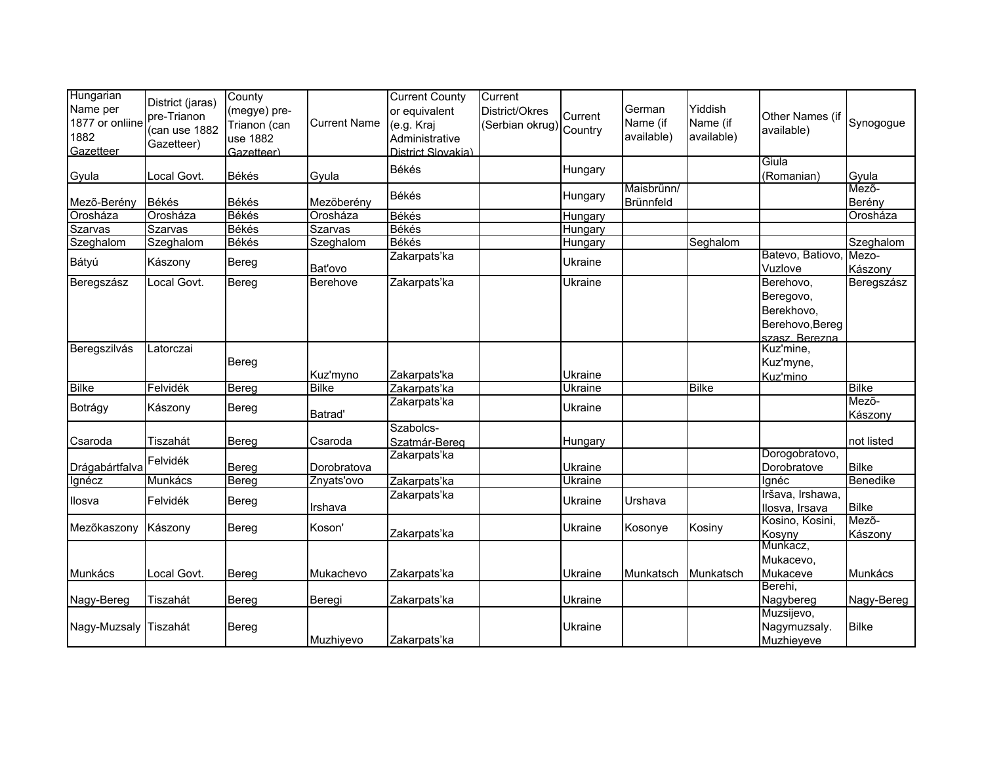| Hungarian<br>Name per<br>1877 or onliine<br>1882<br>Gazetteer | District (jaras)<br>pre-Trianon<br>(can use 1882<br>Gazetteer) | County<br>(megye) pre-<br>Trianon (can<br>use 1882<br>Gazetteer) | <b>Current Name</b> | <b>Current County</b><br>or equivalent<br>(e.g. Kraj<br>Administrative<br>District Slovakia) | Current<br>District/Okres<br>Serbian okrug) Country | Current        | German<br>Name (if<br>available) | Yiddish<br>Name (if<br>available) | Other Names (if<br>available)                                             | Synogogue        |
|---------------------------------------------------------------|----------------------------------------------------------------|------------------------------------------------------------------|---------------------|----------------------------------------------------------------------------------------------|-----------------------------------------------------|----------------|----------------------------------|-----------------------------------|---------------------------------------------------------------------------|------------------|
| Gyula                                                         | Local Govt.                                                    | Békés                                                            | Gyula               | Békés                                                                                        |                                                     | Hungary        |                                  |                                   | Giula<br>(Romanian)                                                       | Gyula            |
| Mező-Berény                                                   | Békés                                                          | <b>Békés</b>                                                     | Mezöberény          | <b>Békés</b>                                                                                 |                                                     | Hungary        | Maisbrünn/<br>Brünnfeld          |                                   |                                                                           | Mezõ-<br>Berény  |
| Orosháza                                                      | Orosháza                                                       | Békés                                                            | Orosháza            | <b>Békés</b>                                                                                 |                                                     | Hungary        |                                  |                                   |                                                                           | Orosháza         |
| Szarvas                                                       | Szarvas                                                        | Békés                                                            | Szarvas             | <b>Békés</b>                                                                                 |                                                     | Hungary        |                                  |                                   |                                                                           |                  |
| Szeghalom                                                     | Szeghalom                                                      | Békés                                                            | Szeghalom           | Békés                                                                                        |                                                     | Hungary        |                                  | Seghalom                          |                                                                           | Szeghalom        |
| Bátyú                                                         | Kászony                                                        | Bereg                                                            | Bat'ovo             | Zakarpats'ka                                                                                 |                                                     | <b>Ukraine</b> |                                  |                                   | Batevo, Batiovo,<br>Vuzlove                                               | Mezo-<br>Kászony |
| Beregszász                                                    | Local Govt.                                                    | Bereg                                                            | Berehove            | Zakarpats'ka                                                                                 |                                                     | Ukraine        |                                  |                                   | Berehovo,<br>Beregovo,<br>Berekhovo,<br>Berehovo, Bereg<br>szasz. Berezna | Beregszász       |
| Beregszilvás                                                  | Latorczai                                                      | Bereg                                                            | Kuz'myno            | Zakarpats'ka                                                                                 |                                                     | Ukraine        |                                  |                                   | Kuz'mine,<br>Kuz'myne,<br>Kuz'mino                                        |                  |
| <b>Bilke</b>                                                  | Felvidék                                                       | Bereg                                                            | <b>Bilke</b>        | Zakarpats'ka                                                                                 |                                                     | Ukraine        |                                  | <b>Bilke</b>                      |                                                                           | <b>Bilke</b>     |
| Botrágy                                                       | Kászony                                                        | Bereg                                                            | Batrad'             | Zakarpats'ka                                                                                 |                                                     | Ukraine        |                                  |                                   |                                                                           | Mező-<br>Kászony |
| Csaroda                                                       | Tiszahát                                                       | Bereg                                                            | Csaroda             | Szabolcs-<br>Szatmár-Bereg                                                                   |                                                     | Hungary        |                                  |                                   |                                                                           | not listed       |
|                                                               | Felvidék                                                       |                                                                  |                     | Zakarpats'ka                                                                                 |                                                     |                |                                  |                                   | Dorogobratovo,                                                            |                  |
| Drágabártfalva                                                |                                                                | Bereg                                                            | Dorobratova         |                                                                                              |                                                     | Ukraine        |                                  |                                   | Dorobratove                                                               | <b>Bilke</b>     |
| Ignécz                                                        | Munkács                                                        | <b>Bereg</b>                                                     | Znyats'ovo          | Zakarpats'ka                                                                                 |                                                     | <b>Ukraine</b> |                                  |                                   | Ignéc                                                                     | <b>Benedike</b>  |
| Ilosva                                                        | Felvidék                                                       | Bereg                                                            | Irshava             | Zakarpats'ka                                                                                 |                                                     | Ukraine        | Urshava                          |                                   | Iršava, Irshawa,<br>Ilosva, Irsava                                        | <b>Bilke</b>     |
| Mezőkaszony                                                   | Kászony                                                        | Bereg                                                            | Koson'              | Zakarpats'ka                                                                                 |                                                     | Ukraine        | Kosonye                          | Kosiny                            | Kosino, Kosini,<br>Kosyny                                                 | Mezõ-<br>Kászony |
| Munkács                                                       | Local Govt.                                                    | Bereg                                                            | Mukachevo           | Zakarpats'ka                                                                                 |                                                     | <b>Ukraine</b> | Munkatsch                        | Munkatsch                         | Munkacz,<br>Mukacevo,<br>Mukaceve                                         | Munkács          |
| Nagy-Bereg                                                    | Tiszahát                                                       | Bereg                                                            | Beregi              | Zakarpats'ka                                                                                 |                                                     | <b>Ukraine</b> |                                  |                                   | Berehi,<br>Nagybereg                                                      | Nagy-Bereg       |
| Nagy-Muzsaly                                                  | Tiszahát                                                       | Bereg                                                            | Muzhiyevo           | Zakarpats'ka                                                                                 |                                                     | <b>Ukraine</b> |                                  |                                   | Muzsijevo,<br>Nagymuzsaly.<br>Muzhieyeve                                  | <b>Bilke</b>     |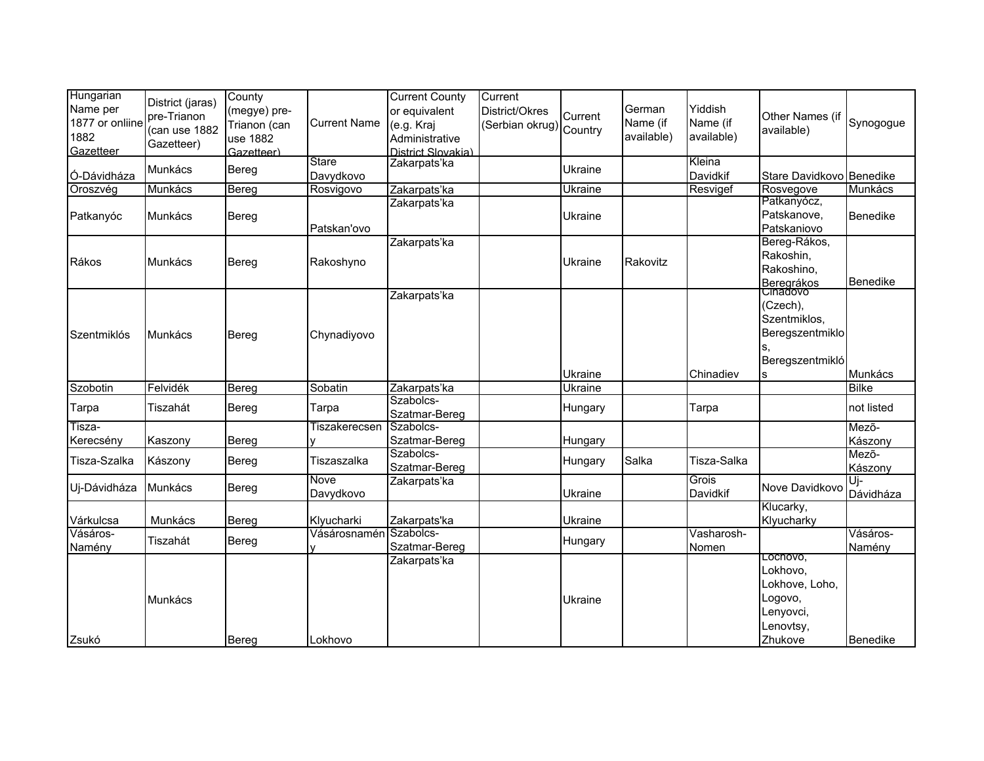| Hungarian<br>Name per<br>1877 or onliine<br>1882<br>Gazetteer | District (jaras)<br>pre-Trianon<br>(can use 1882<br>Gazetteer) | County<br>(megye) pre-<br>Trianon (can<br>use 1882<br>Gazetteer) | <b>Current Name</b>       | <b>Current County</b><br>or equivalent<br>(e.g. Kraj<br>Administrative<br>District Slovakia) | Current<br>District/Okres<br>(Serbian okrug) Country | Current | German<br>Name (if<br>available) | Yiddish<br>Name (if<br>available) | Other Names (if<br>available)                                                          | Synogogue          |
|---------------------------------------------------------------|----------------------------------------------------------------|------------------------------------------------------------------|---------------------------|----------------------------------------------------------------------------------------------|------------------------------------------------------|---------|----------------------------------|-----------------------------------|----------------------------------------------------------------------------------------|--------------------|
| Ó-Dávidháza                                                   | Munkács                                                        | Bereg                                                            | <b>Stare</b><br>Davydkovo | Zakarpats'ka                                                                                 |                                                      | Ukraine |                                  | Kleina<br>Davidkif                | Stare Davidkovo Benedike                                                               |                    |
| Oroszvég                                                      | Munkács                                                        | Bereg                                                            | Rosvigovo                 | Zakarpats'ka                                                                                 |                                                      | Ukraine |                                  | Resvigef                          | Rosvegove                                                                              | <b>Munkács</b>     |
| Patkanyóc                                                     | Munkács                                                        | Bereg                                                            | Patskan'ovo               | Zakarpats'ka                                                                                 |                                                      | Ukraine |                                  |                                   | Patkanyócz,<br>Patskanove,<br>Patskaniovo                                              | Benedike           |
| Rákos                                                         | Munkács                                                        | Bereg                                                            | Rakoshyno                 | Zakarpats'ka                                                                                 |                                                      | Ukraine | Rakovitz                         |                                   | Bereg-Rákos,<br>Rakoshin,<br>Rakoshino,<br>Beregrákos<br>Cinadovo                      | Benedike           |
| Szentmiklós                                                   | Munkács                                                        | Bereg                                                            | Chynadiyovo               | Zakarpats'ka                                                                                 |                                                      | Ukraine |                                  | Chinadiev                         | (Czech),<br>Szentmiklos,<br>Beregszentmiklo<br>Beregszentmikló<br>s                    | Munkács            |
| Szobotin                                                      | Felvidék                                                       | Bereg                                                            | Sobatin                   | Zakarpats'ka                                                                                 |                                                      | Ukraine |                                  |                                   |                                                                                        | <b>Bilke</b>       |
| Tarpa                                                         | Tiszahát                                                       | Bereg                                                            | Tarpa                     | Szabolcs-<br>Szatmar-Bereg                                                                   |                                                      | Hungary |                                  | Tarpa                             |                                                                                        | not listed         |
| Tisza-<br>Kerecsény                                           | Kaszony                                                        | Bereg                                                            | Tiszakerecsen             | Szabolcs-<br>Szatmar-Bereg                                                                   |                                                      | Hungary |                                  |                                   |                                                                                        | Mezõ-<br>Kászony   |
| Tisza-Szalka                                                  | Kászony                                                        | Bereg                                                            | Tiszaszalka               | Szabolcs-<br>Szatmar-Bereg                                                                   |                                                      | Hungary | Salka                            | Tisza-Salka                       |                                                                                        | Mező-<br>Kászony   |
| Uj-Dávidháza                                                  | Munkács                                                        | Bereg                                                            | <b>Nove</b><br>Davydkovo  | Zakarpats'ka                                                                                 |                                                      | Ukraine |                                  | <b>Grois</b><br>Davidkif          | Nove Davidkovo                                                                         | Ui-<br>Dávidháza   |
| Várkulcsa                                                     | Munkács                                                        | Bereg                                                            | Klyucharki                | Zakarpats'ka                                                                                 |                                                      | Ukraine |                                  |                                   | Klucarky,<br>Klyucharky                                                                |                    |
| Vásáros-<br>Namény                                            | Tiszahát                                                       | Bereg                                                            | Vásárosnamén              | Szabolcs-<br>Szatmar-Bereg                                                                   |                                                      | Hungary |                                  | Vasharosh-<br>Nomen               |                                                                                        | Vásáros-<br>Namény |
| Zsukó                                                         | Munkács                                                        | Berea                                                            | Lokhovo                   | Zakarpats'ka                                                                                 |                                                      | Ukraine |                                  |                                   | Lochovo,<br>Lokhovo,<br>Lokhove, Loho,<br>Logovo,<br>Lenyovci,<br>Lenovtsy,<br>Zhukove | Benedike           |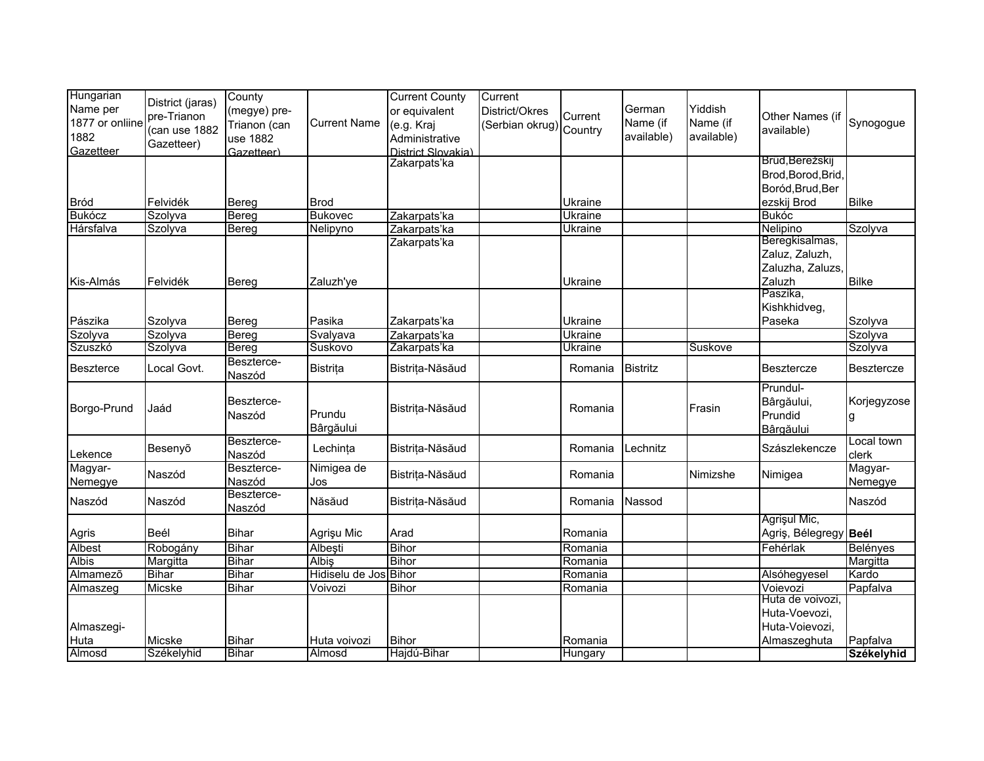| Hungarian                    |                  | County       |                               | <b>Current County</b>              | Current                 |                           |                 |            |                             |                   |
|------------------------------|------------------|--------------|-------------------------------|------------------------------------|-------------------------|---------------------------|-----------------|------------|-----------------------------|-------------------|
| Name per                     | District (jaras) | (megye) pre- |                               | or equivalent                      | District/Okres          |                           | German          | Yiddish    |                             |                   |
| 1877 or onliine              | pre-Trianon      | Trianon (can | <b>Current Name</b>           | (e.g. Kraj                         |                         | Current                   | Name (if        | Name (if   | Other Names (if             | Synogogue         |
| 1882                         | (can use 1882    |              |                               |                                    | (Serbian okrug) Country |                           | available)      | available) | available)                  |                   |
| Gazetteer                    | Gazetteer)       | use 1882     |                               | Administrative                     |                         |                           |                 |            |                             |                   |
|                              |                  | Gazetteer)   |                               | District Slovakia)<br>Zakarpats'ka |                         |                           |                 |            | Brüd, Berežskij             |                   |
|                              |                  |              |                               |                                    |                         |                           |                 |            | Brod, Borod, Brid,          |                   |
|                              |                  |              |                               |                                    |                         |                           |                 |            | Boród, Brud, Ber            |                   |
|                              |                  |              |                               |                                    |                         |                           |                 |            |                             |                   |
| <b>Bród</b><br><b>Bukócz</b> | Felvidék         | Bereg        | <b>Brod</b><br><b>Bukovec</b> |                                    |                         | Ukraine<br><b>Ukraine</b> |                 |            | ezskij Brod<br><b>Bukóc</b> | <b>Bilke</b>      |
| Hársfalva                    | Szolyva          | Bereg        |                               | Zakarpats'ka                       |                         |                           |                 |            |                             |                   |
|                              | Szolyva          | Bereg        | Nelipyno                      | Zakarpats'ka                       |                         | <b>Ukraine</b>            |                 |            | Nelipino<br>Beregkisalmas,  | Szolyva           |
|                              |                  |              |                               | Zakarpats'ka                       |                         |                           |                 |            |                             |                   |
|                              |                  |              |                               |                                    |                         |                           |                 |            | Zaluz, Zaluzh,              |                   |
|                              |                  |              |                               |                                    |                         |                           |                 |            | Zaluzha, Zaluzs,            |                   |
| Kis-Almás                    | Felvidék         | Bereg        | Zaluzh'ye                     |                                    |                         | Ukraine                   |                 |            | Zaluzh                      | <b>Bilke</b>      |
|                              |                  |              |                               |                                    |                         |                           |                 |            | Paszika,                    |                   |
|                              |                  |              |                               |                                    |                         |                           |                 |            | Kishkhidveg,                |                   |
| Pászika                      | Szolyva          | Bereg        | Pasika                        | Zakarpats'ka                       |                         | Ukraine                   |                 |            | Paseka                      | Szolyva           |
| Szolyva                      | Szolyva          | Bereg        | Svalyava                      | Zakarpats'ka                       |                         | Ukraine                   |                 |            |                             | Szolyva           |
| Szuszkó                      | Szolyva          | <b>Bereg</b> | Suskovo                       | Zakarpats'ka                       |                         | Ukraine                   |                 | Suskove    |                             | Szolyva           |
| <b>Beszterce</b>             | Local Govt.      | Beszterce-   | Bistrița                      | Bistrița-Năsăud                    |                         | Romania                   | <b>Bistritz</b> |            | <b>Besztercze</b>           | <b>Besztercze</b> |
|                              |                  | Naszód       |                               |                                    |                         |                           |                 |            |                             |                   |
|                              |                  |              |                               |                                    |                         |                           |                 |            | Prundul-                    |                   |
| Borgo-Prund                  | Jaád             | Beszterce-   |                               | Bistrița-Năsăud                    |                         | Romania                   |                 | Frasin     | Bârgăului,                  | Korjegyzose       |
|                              |                  | Naszód       | Prundu                        |                                    |                         |                           |                 |            | Prundid                     | g                 |
|                              |                  |              | Bârgăului                     |                                    |                         |                           |                 |            | Bârgăului                   |                   |
|                              | Besenyõ          | Beszterce-   | Lechința                      | Bistrița-Năsăud                    |                         | Romania                   | Lechnitz        |            | Szászlekencze               | Local town        |
| Lekence                      |                  | Naszód       |                               |                                    |                         |                           |                 |            |                             | clerk             |
| Magyar-                      |                  | Beszterce-   | Nimigea de                    |                                    |                         |                           |                 | Nimizshe   |                             | Magyar-           |
| Nemegye                      | Naszód           | Naszód       | Jos                           | Bistrița-Năsăud                    |                         | Romania                   |                 |            | Nimigea                     | Nemegye           |
|                              |                  | Beszterce-   |                               |                                    |                         |                           |                 |            |                             |                   |
| Naszód                       | Naszód           | Naszód       | Năsăud                        | Bistrița-Năsăud                    |                         | Romania                   | Nassod          |            |                             | Naszód            |
|                              |                  |              |                               |                                    |                         |                           |                 |            | Agrișul Mic,                |                   |
| Agris                        | Beél             | Bihar        | Agrişu Mic                    | Arad                               |                         | Romania                   |                 |            | Agris, Bélegregy Beél       |                   |
| Albest                       | Robogány         | <b>Bihar</b> | Albeşti                       | <b>Bihor</b>                       |                         | Romania                   |                 |            | Fehérlak                    | <b>Belényes</b>   |
| <b>Albis</b>                 | Margitta         | <b>Bihar</b> | <b>Albis</b>                  | <b>Bihor</b>                       |                         | Romania                   |                 |            |                             | Margitta          |
| Almamezõ                     | <b>Bihar</b>     | <b>Bihar</b> | Hidiselu de Jos               | <b>Bihor</b>                       |                         | Romania                   |                 |            | Alsóhegyesel                | Kardo             |
| Almaszeg                     | <b>Micske</b>    | <b>Bihar</b> | Voivozi                       | <b>Bihor</b>                       |                         | Romania                   |                 |            | Voievozi                    | Papfalva          |
|                              |                  |              |                               |                                    |                         |                           |                 |            | Huta de voivozi,            |                   |
|                              |                  |              |                               |                                    |                         |                           |                 |            | Huta-Voevozi,               |                   |
| Almaszegi-                   |                  |              |                               |                                    |                         |                           |                 |            | Huta-Voievozi,              |                   |
| Huta                         | Micske           | <b>Bihar</b> | Huta voivozi                  | <b>Bihor</b>                       |                         | Romania                   |                 |            | Almaszeghuta                | Papfalva          |
| Almosd                       | Székelyhid       | <b>Bihar</b> | Almosd                        | Hajdú-Bihar                        |                         | Hungary                   |                 |            |                             | Székelyhid        |
|                              |                  |              |                               |                                    |                         |                           |                 |            |                             |                   |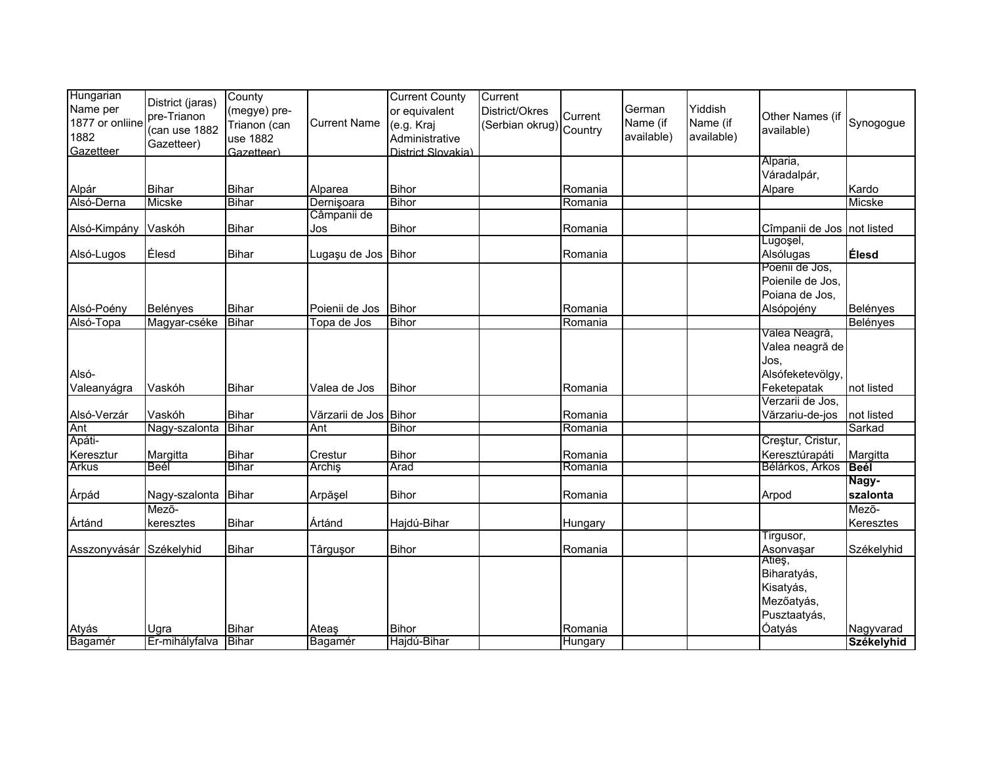| Hungarian               |                      | County       |                     | <b>Current County</b> | Current                 |         |            |            |                              |              |
|-------------------------|----------------------|--------------|---------------------|-----------------------|-------------------------|---------|------------|------------|------------------------------|--------------|
| Name per                | District (jaras)     | (megye) pre- |                     | or equivalent         | District/Okres          |         | German     | Yiddish    |                              |              |
| 1877 or onliine         | pre-Trianon          | Trianon (can | <b>Current Name</b> | (e.g. Kraj            | (Serbian okrug) Country | Current | Name (if   | Name (if   | Other Names (if              | Synogogue    |
| 1882                    | (can use 1882        | use 1882     |                     | Administrative        |                         |         | available) | available) | available)                   |              |
| Gazetteer               | Gazetteer)           | Gazetteer)   |                     | District Slovakia)    |                         |         |            |            |                              |              |
|                         |                      |              |                     |                       |                         |         |            |            | Alparia,                     |              |
|                         |                      |              |                     |                       |                         |         |            |            | Váradalpár,                  |              |
| Alpár                   | <b>Bihar</b>         | <b>Bihar</b> | Alparea             | <b>Bihor</b>          |                         | Romania |            |            | Alpare                       | Kardo        |
| Alsó-Derna              | Micske               | <b>Bihar</b> | Dernișoara          | <b>Bihor</b>          |                         | Romania |            |            |                              | Micske       |
|                         |                      |              | Câmpanii de         |                       |                         |         |            |            |                              |              |
| Alsó-Kimpány Vaskóh     |                      | <b>Bihar</b> | Jos                 | Bihor                 |                         | Romania |            |            | Cîmpanii de Jos   not listed |              |
|                         |                      |              |                     |                       |                         |         |            |            | Lugoşel,                     |              |
| Alsó-Lugos              | Élesd                | <b>Bihar</b> | Lugaşu de Jos       | <b>Bihor</b>          |                         | Romania |            |            | Alsólugas                    | <b>Élesd</b> |
|                         |                      |              |                     |                       |                         |         |            |            | Poenii de Jos,               |              |
|                         |                      |              |                     |                       |                         |         |            |            | Poienile de Jos,             |              |
|                         |                      |              |                     |                       |                         |         |            |            | Poiana de Jos,               |              |
| Alsó-Poény              | Belényes             | <b>Bihar</b> | Poienii de Jos      | <b>Bihor</b>          |                         | Romania |            |            | Alsópojény                   | Belényes     |
| Alsó-Topa               | Magyar-cséke         | <b>Bihar</b> | Topa de Jos         | <b>Bihor</b>          |                         | Romania |            |            |                              | Belényes     |
|                         |                      |              |                     |                       |                         |         |            |            | Valea Neagră,                |              |
|                         |                      |              |                     |                       |                         |         |            |            | Valea neagră de              |              |
|                         |                      |              |                     |                       |                         |         |            |            | Jos.                         |              |
| Alsó-                   |                      |              |                     |                       |                         |         |            |            | Alsófeketevölgy,             |              |
| Valeanyágra             | Vaskóh               | <b>Bihar</b> | Valea de Jos        | Bihor                 |                         | Romania |            |            | Feketepatak                  | not listed   |
|                         |                      |              |                     |                       |                         |         |            |            | Verzarii de Jos,             |              |
| Alsó-Verzár             | Vaskóh               | <b>Bihar</b> | Vărzarii de Jos     | <b>Bihor</b>          |                         | Romania |            |            | Vărzariu-de-jos              | not listed   |
| Ant                     | Nagy-szalonta        | Bihar        | Ant                 | <b>Bihor</b>          |                         | Romania |            |            |                              | Sarkad       |
| Apáti-                  |                      |              |                     |                       |                         |         |            |            | Creștur, Cristur,            |              |
| Keresztur               | Margitta             | <b>Bihar</b> | Crestur             | <b>Bihor</b>          |                         | Romania |            |            | Keresztúrapáti               | Margitta     |
| <b>Arkus</b>            | Beél                 | <b>Bihar</b> | Archiş              | Arad                  |                         | Romania |            |            | Bélárkos, Arkos              | <b>Beél</b>  |
|                         |                      |              |                     |                       |                         |         |            |            |                              | Nagy-        |
| Árpád                   | Nagy-szalonta        | Bihar        | Arpășel             | <b>Bihor</b>          |                         | Romania |            |            | Arpod                        | szalonta     |
|                         | Mező-                |              |                     |                       |                         |         |            |            |                              | Mező-        |
| Ártánd                  | keresztes            | <b>Bihar</b> | Ártánd              | Hajdú-Bihar           |                         | Hungary |            |            |                              | Keresztes    |
|                         |                      |              |                     |                       |                         |         |            |            | Tirgusor,                    |              |
| Asszonyvásár Székelyhid |                      | <b>Bihar</b> | Târguşor            | Bihor                 |                         | Romania |            |            | Asonvaşar                    | Székelyhid   |
|                         |                      |              |                     |                       |                         |         |            |            | Atleş,                       |              |
|                         |                      |              |                     |                       |                         |         |            |            | Biharatyás,                  |              |
|                         |                      |              |                     |                       |                         |         |            |            | Kisatyás,                    |              |
|                         |                      |              |                     |                       |                         |         |            |            | Mezőatyás,                   |              |
|                         |                      |              |                     |                       |                         |         |            |            | Pusztaatyás,                 |              |
| Atyás                   | Ugra                 | Bihar        | Ateas               | <b>Bihor</b>          |                         | Romania |            |            | Óatyás                       | Nagyvarad    |
| Bagamér                 | Er-mihályfalva Bihar |              | Bagamér             | Hajdú-Bihar           |                         | Hungary |            |            |                              | Székelyhid   |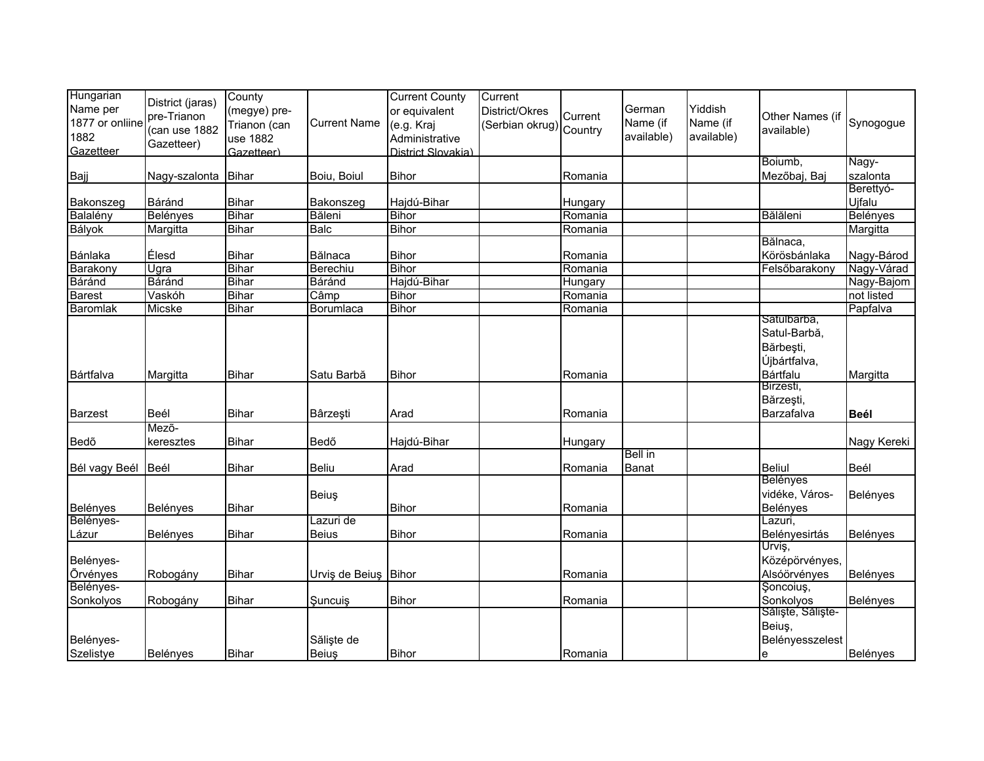| Hungarian<br>Name per<br>1877 or onliine<br>1882<br>Gazetteer | District (jaras)<br>pre-Trianon<br>(can use 1882<br>Gazetteer) | County<br>(megye) pre-<br>Trianon (can<br>use 1882<br>Gazetteer) | <b>Current Name</b>  | <b>Current County</b><br>or equivalent<br>(e.g. Kraj<br>Administrative<br>District Slovakia) | Current<br>District/Okres<br>(Serbian okrug) Country | Current | German<br>Name (if<br>available) | Yiddish<br>Name (if<br>available) | Other Names (if<br>available)                                        | Synogogue         |
|---------------------------------------------------------------|----------------------------------------------------------------|------------------------------------------------------------------|----------------------|----------------------------------------------------------------------------------------------|------------------------------------------------------|---------|----------------------------------|-----------------------------------|----------------------------------------------------------------------|-------------------|
| Bajj                                                          | Nagy-szalonta Bihar                                            |                                                                  | Boiu, Boiul          | <b>Bihor</b>                                                                                 |                                                      | Romania |                                  |                                   | Boiumb,<br>Mezőbaj, Baj                                              | Nagy-<br>szalonta |
|                                                               |                                                                |                                                                  |                      |                                                                                              |                                                      |         |                                  |                                   |                                                                      | Berettyó-         |
| Bakonszeg                                                     | Báránd                                                         | Bihar                                                            | Bakonszeg            | Hajdú-Bihar                                                                                  |                                                      | Hungary |                                  |                                   |                                                                      | Ujfalu            |
| Balalény                                                      | <b>Belényes</b>                                                | Bihar                                                            | Băleni               | <b>Bihor</b>                                                                                 |                                                      | Romania |                                  |                                   | Bălăleni                                                             | Belényes          |
| Bályok                                                        | Margitta                                                       | <b>Bihar</b>                                                     | <b>Balc</b>          | <b>Bihor</b>                                                                                 |                                                      | Romania |                                  |                                   |                                                                      | Margitta          |
| Bánlaka                                                       | Élesd                                                          | <b>Bihar</b>                                                     | Bălnaca              | <b>Bihor</b>                                                                                 |                                                      | Romania |                                  |                                   | Bălnaca,<br>Körösbánlaka                                             | Nagy-Bárod        |
| Barakony                                                      | Ugra                                                           | Bihar                                                            | Berechiu             | <b>Bihor</b>                                                                                 |                                                      | Romania |                                  |                                   | Felsőbarakony                                                        | Nagy-Várad        |
| Báránd                                                        | Báránd                                                         | <b>Bihar</b>                                                     | Báránd               | Hajdú-Bihar                                                                                  |                                                      | Hungary |                                  |                                   |                                                                      | Nagy-Bajom        |
| <b>Barest</b>                                                 | Vaskóh                                                         | <b>Bihar</b>                                                     | Câmp                 | <b>Bihor</b>                                                                                 |                                                      | Romania |                                  |                                   |                                                                      | not listed        |
| <b>Baromlak</b>                                               | Micske                                                         | <b>Bihar</b>                                                     | Borumlaca            | <b>Bihor</b>                                                                                 |                                                      | Romania |                                  |                                   |                                                                      | Papfalva          |
| Bártfalva                                                     | Margitta                                                       | <b>Bihar</b>                                                     | Satu Barbă           | <b>Bihor</b>                                                                                 |                                                      | Romania |                                  |                                   | Satulbarbă,<br>Satul-Barbă,<br>Bărbești,<br>Újbártfalva,<br>Bártfalu | Margitta          |
| <b>Barzest</b>                                                | Beél                                                           | <b>Bihar</b>                                                     | Bârzeşti             | Arad                                                                                         |                                                      | Romania |                                  |                                   | Birzesti,<br>Bărzești,<br>Barzafalva                                 | Beél              |
| Bedõ                                                          | Mező-<br>keresztes                                             | <b>Bihar</b>                                                     | Bedő                 | Hajdú-Bihar                                                                                  |                                                      | Hungary |                                  |                                   |                                                                      | Nagy Kereki       |
| Bél vagy Beél                                                 | Beél                                                           | <b>Bihar</b>                                                     | <b>Beliu</b>         | Arad                                                                                         |                                                      | Romania | Bell in<br>Banat                 |                                   | <b>Beliul</b>                                                        | Beél              |
| Belényes                                                      | Belényes                                                       | <b>Bihar</b>                                                     | Beiuş                | <b>Bihor</b>                                                                                 |                                                      | Romania |                                  |                                   | <b>Belényes</b><br>vidéke, Város-<br>Belényes                        | Belényes          |
| Belényes-                                                     |                                                                |                                                                  | Lazuri de            |                                                                                              |                                                      |         |                                  |                                   | Lazuri,                                                              |                   |
| Lázur                                                         | <b>Belényes</b>                                                | <b>Bihar</b>                                                     | <b>Beius</b>         | <b>Bihor</b>                                                                                 |                                                      | Romania |                                  |                                   | Belényesirtás                                                        | Belényes          |
| Belényes-<br>Õrvényes                                         | Robogány                                                       | <b>Bihar</b>                                                     | Urviş de Beiuş Bihor |                                                                                              |                                                      | Romania |                                  |                                   | Urviş,<br>Középörvényes,<br>Alsóörvényes                             | Belényes          |
| Belényes-                                                     |                                                                |                                                                  |                      |                                                                                              |                                                      |         |                                  |                                   | Şoncoiuş,                                                            |                   |
| Sonkolyos                                                     | Robogány                                                       | <b>Bihar</b>                                                     | Şuncuiş              | <b>Bihor</b>                                                                                 |                                                      | Romania |                                  |                                   | Sonkolyos                                                            | Belényes          |
| Belényes-<br>Szelistye                                        | Belényes                                                       | <b>Bihar</b>                                                     | Sălişte de<br>Beiuş  | <b>Bihor</b>                                                                                 |                                                      | Romania |                                  |                                   | Săliște, Săliște-<br>Beiuş,<br>Belényesszelest<br>e                  | Belényes          |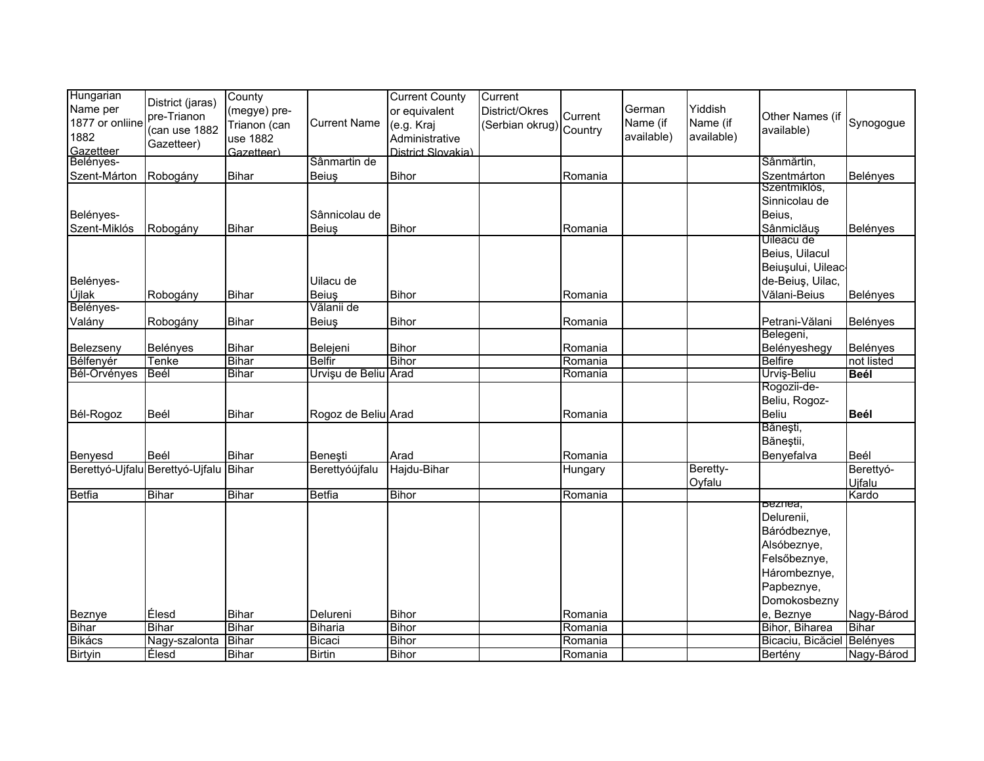| Hungarian       |                                       | County       |                      | <b>Current County</b> | Current                 |         |            |            |                   |                 |
|-----------------|---------------------------------------|--------------|----------------------|-----------------------|-------------------------|---------|------------|------------|-------------------|-----------------|
| Name per        | District (jaras)                      | (megye) pre- |                      | or equivalent         | District/Okres          |         | German     | Yiddish    |                   |                 |
| 1877 or onliine | pre-Trianon                           | Trianon (can | <b>Current Name</b>  | (e.g. Kraj            | (Serbian okrug) Country | Current | Name (if   | Name (if   | Other Names (if   | Synogogue       |
| 1882            | (can use 1882                         | use 1882     |                      | Administrative        |                         |         | available) | available) | available)        |                 |
| Gazetteer       | Gazetteer)                            | Gazetteer)   |                      | District Slovakia)    |                         |         |            |            |                   |                 |
| Belényes-       |                                       |              | Sânmartin de         |                       |                         |         |            |            | Sânmărtin,        |                 |
| Szent-Márton    | Robogány                              | <b>Bihar</b> | <b>Beius</b>         | <b>Bihor</b>          |                         | Romania |            |            | Szentmárton       | <b>Belényes</b> |
|                 |                                       |              |                      |                       |                         |         |            |            | Szentmiklós,      |                 |
|                 |                                       |              |                      |                       |                         |         |            |            | Sinnicolau de     |                 |
| Belényes-       |                                       |              | Sânnicolau de        |                       |                         |         |            |            | Beius,            |                 |
| Szent-Miklós    | Robogány                              | Bihar        | Beius                | <b>Bihor</b>          |                         | Romania |            |            | Sânmiclăuș        | <b>Belényes</b> |
|                 |                                       |              |                      |                       |                         |         |            |            | Uileacu de        |                 |
|                 |                                       |              |                      |                       |                         |         |            |            | Beius, Uilacul    |                 |
|                 |                                       |              |                      |                       |                         |         |            |            | Beiușului, Uileac |                 |
| Belényes-       |                                       |              | Uilacu de            |                       |                         |         |            |            | de-Beiuş, Uilac,  |                 |
| Újlak           | Robogány                              | Bihar        | <b>Beius</b>         | <b>Bihor</b>          |                         | Romania |            |            | Vălani-Beius      | Belényes        |
| Belényes-       |                                       |              | Vălanii de           |                       |                         |         |            |            |                   |                 |
| Valány          | Robogány                              | Bihar        | Beiuş                | <b>Bihor</b>          |                         | Romania |            |            | Petrani-Vălani    | Belényes        |
|                 |                                       |              |                      |                       |                         |         |            |            | Belegeni,         |                 |
| Belezseny       | Belényes                              | <b>Bihar</b> | Belejeni             | <b>Bihor</b>          |                         | Romania |            |            | Belényeshegy      | Belényes        |
| Bélfenyér       | Tenke                                 | <b>Bihar</b> | <b>Belfir</b>        | <b>Bihor</b>          |                         | Romania |            |            | <b>Belfire</b>    | not listed      |
| Bél-Örvényes    | Beél                                  | <b>Bihar</b> | Urvişu de Beliu Arad |                       |                         | Romania |            |            | Urviş-Beliu       | <b>Beél</b>     |
|                 |                                       |              |                      |                       |                         |         |            |            | Rogozii-de-       |                 |
|                 |                                       |              |                      |                       |                         |         |            |            | Beliu, Rogoz-     |                 |
| Bél-Rogoz       | Beél                                  | <b>Bihar</b> | Rogoz de Beliu Arad  |                       |                         | Romania |            |            | <b>Beliu</b>      | <b>Beél</b>     |
|                 |                                       |              |                      |                       |                         |         |            |            | Bănești,          |                 |
|                 |                                       |              |                      |                       |                         |         |            |            | Băneștii,         |                 |
| Benyesd         | <b>Beél</b>                           | <b>Bihar</b> | Beneşti              | Arad                  |                         | Romania |            |            | Benyefalva        | Beél            |
|                 | Berettyó-Ujfalu Berettyó-Ujfalu Bihar |              | Berettyóújfalu       | Hajdu-Bihar           |                         | Hungary |            | Beretty-   |                   | Berettyó-       |
|                 |                                       |              |                      |                       |                         |         |            | Oyfalu     |                   | Uifalu          |
| <b>Betfia</b>   | <b>Bihar</b>                          | Bihar        | Betfia               | <b>Bihor</b>          |                         | Romania |            |            |                   | Kardo           |
|                 |                                       |              |                      |                       |                         |         |            |            | beznea,           |                 |
|                 |                                       |              |                      |                       |                         |         |            |            | Delurenii,        |                 |
|                 |                                       |              |                      |                       |                         |         |            |            | Báródbeznye,      |                 |
|                 |                                       |              |                      |                       |                         |         |            |            | Alsóbeznye,       |                 |
|                 |                                       |              |                      |                       |                         |         |            |            | Felsőbeznye,      |                 |
|                 |                                       |              |                      |                       |                         |         |            |            | Hárombeznye,      |                 |
|                 |                                       |              |                      |                       |                         |         |            |            | Papbeznye,        |                 |
|                 |                                       |              |                      |                       |                         |         |            |            | Domokosbezny      |                 |
| Beznye          | Élesd                                 | <b>Bihar</b> | Delureni             | <b>Bihor</b>          |                         | Romania |            |            | e, Beznye         | Nagy-Bárod      |
| <b>Bihar</b>    | <b>Bihar</b>                          | <b>Bihar</b> | Biharia              | <b>Bihor</b>          |                         | Romania |            |            | Bihor, Biharea    | <b>Bihar</b>    |
| Bikács          | Nagy-szalonta                         | <b>Bihar</b> | Bicaci               | <b>Bihor</b>          |                         | Romania |            |            | Bicaciu, Bicăciel | Belényes        |
| <b>Birtyin</b>  | Élesd                                 | <b>Bihar</b> | <b>Birtin</b>        | <b>Bihor</b>          |                         | Romania |            |            | Bertény           | Nagy-Bárod      |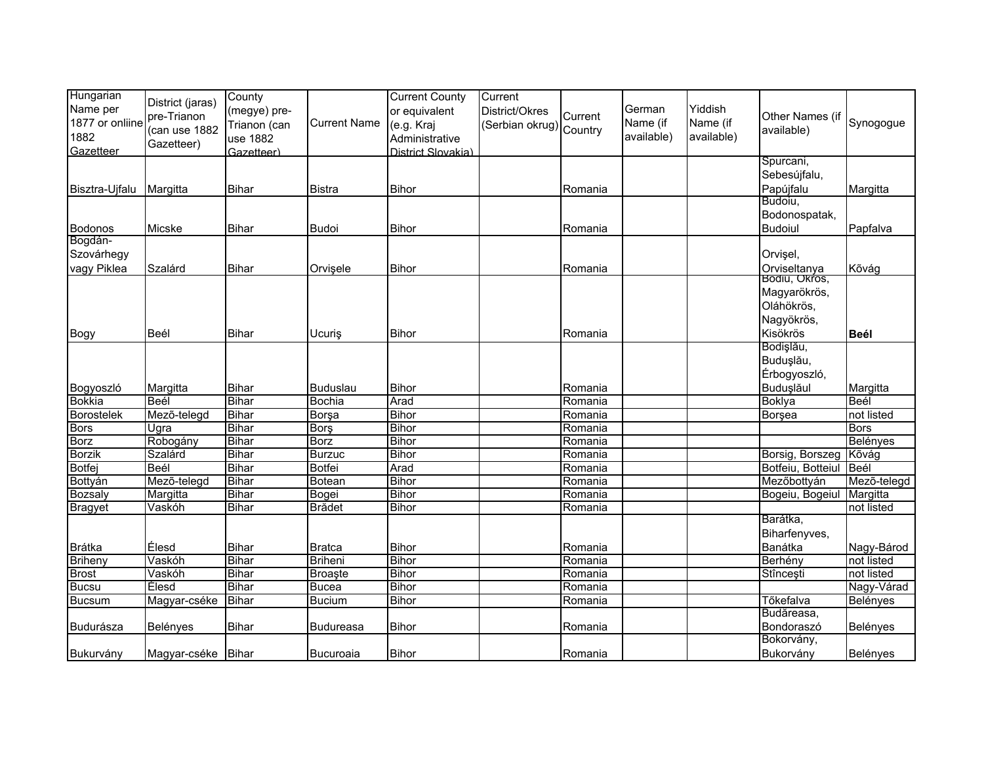| Hungarian<br>Name per<br>1877 or onliine<br>1882<br>Gazetteer | District (jaras)<br>pre-Trianon<br>(can use 1882<br>Gazetteer) | County<br>(megye) pre-<br>Trianon (can<br>use 1882<br>Gazetteer) | <b>Current Name</b> | <b>Current County</b><br>or equivalent<br>(e.g. Kraj<br>Administrative<br>District Slovakia) | Current<br>District/Okres<br>(Serbian okrug) Country | Current | German<br>Name (if<br>available) | Yiddish<br>Name (if<br>available) | Other Names (if<br>available) | Synogogue   |
|---------------------------------------------------------------|----------------------------------------------------------------|------------------------------------------------------------------|---------------------|----------------------------------------------------------------------------------------------|------------------------------------------------------|---------|----------------------------------|-----------------------------------|-------------------------------|-------------|
|                                                               |                                                                |                                                                  |                     |                                                                                              |                                                      |         |                                  |                                   | Spurcani,                     |             |
|                                                               |                                                                |                                                                  |                     |                                                                                              |                                                      |         |                                  |                                   | Sebesújfalu,                  |             |
| Bisztra-Ujfalu                                                | Margitta                                                       | Bihar                                                            | Bistra              | <b>Bihor</b>                                                                                 |                                                      | Romania |                                  |                                   | Papújfalu                     | Margitta    |
|                                                               |                                                                |                                                                  |                     |                                                                                              |                                                      |         |                                  |                                   | Budoiu.                       |             |
|                                                               |                                                                |                                                                  |                     |                                                                                              |                                                      |         |                                  |                                   | Bodonospatak,                 |             |
| <b>Bodonos</b>                                                | Micske                                                         | <b>Bihar</b>                                                     | <b>Budoi</b>        | <b>Bihor</b>                                                                                 |                                                      | Romania |                                  |                                   | <b>Budoiul</b>                | Papfalva    |
| Bogdán-<br>Szovárhegy                                         |                                                                |                                                                  |                     |                                                                                              |                                                      |         |                                  |                                   |                               |             |
| vagy Piklea                                                   | Szalárd                                                        |                                                                  |                     |                                                                                              |                                                      |         |                                  |                                   | Orvişel,<br>Orviseltanya      |             |
|                                                               |                                                                | <b>Bihar</b>                                                     | Orvişele            | <b>Bihor</b>                                                                                 |                                                      | Romania |                                  |                                   | Bodiu, Okros,                 | Kõvág       |
|                                                               |                                                                |                                                                  |                     |                                                                                              |                                                      |         |                                  |                                   | Magyarökrös,                  |             |
|                                                               |                                                                |                                                                  |                     |                                                                                              |                                                      |         |                                  |                                   | Oláhökrös,                    |             |
|                                                               |                                                                |                                                                  |                     |                                                                                              |                                                      |         |                                  |                                   | Nagyökrös,                    |             |
| Bogy                                                          | Beél                                                           | <b>Bihar</b>                                                     | Ucuris              | <b>Bihor</b>                                                                                 |                                                      | Romania |                                  |                                   | Kisökrös                      | <b>Beél</b> |
|                                                               |                                                                |                                                                  |                     |                                                                                              |                                                      |         |                                  |                                   | Bodişlău,                     |             |
|                                                               |                                                                |                                                                  |                     |                                                                                              |                                                      |         |                                  |                                   | Buduşlău,                     |             |
|                                                               |                                                                |                                                                  |                     |                                                                                              |                                                      |         |                                  |                                   | Érbogyoszló,                  |             |
| Bogyoszló                                                     | Margitta                                                       | Bihar                                                            | Buduslau            | <b>Bihor</b>                                                                                 |                                                      | Romania |                                  |                                   | Buduşlăul                     | Margitta    |
| <b>Bokkia</b>                                                 | Beél                                                           | <b>Bihar</b>                                                     | <b>Bochia</b>       | Arad                                                                                         |                                                      | Romania |                                  |                                   | <b>Boklya</b>                 | Beél        |
| <b>Borostelek</b>                                             | Mező-telegd                                                    | <b>Bihar</b>                                                     | <b>Borsa</b>        | <b>Bihor</b>                                                                                 |                                                      | Romania |                                  |                                   | Borsea                        | not listed  |
| <b>Bors</b>                                                   | Ugra                                                           | <b>Bihar</b>                                                     | <b>Borş</b>         | <b>Bihor</b>                                                                                 |                                                      | Romania |                                  |                                   |                               | <b>Bors</b> |
| <b>Borz</b>                                                   | Robogány                                                       | <b>Bihar</b>                                                     | <b>Borz</b>         | <b>Bihor</b>                                                                                 |                                                      | Romania |                                  |                                   |                               | Belényes    |
| <b>Borzik</b>                                                 | Szalárd                                                        | <b>Bihar</b>                                                     | <b>Burzuc</b>       | <b>Bihor</b>                                                                                 |                                                      | Romania |                                  |                                   | Borsig, Borszeg               | Kõvág       |
| <b>Botfej</b>                                                 | Beél                                                           | <b>Bihar</b>                                                     | Botfei              | Arad                                                                                         |                                                      | Romania |                                  |                                   | Botfeiu, Botteiul             | Beél        |
| Bottyán                                                       | Mező-telegd                                                    | <b>Bihar</b>                                                     | <b>Botean</b>       | Bihor                                                                                        |                                                      | Romania |                                  |                                   | Mezőbottyán                   | Mezõ-telegd |
| Bozsaly                                                       | Margitta                                                       | <b>Bihar</b>                                                     | Bogei               | <b>Bihor</b>                                                                                 |                                                      | Romania |                                  |                                   | Bogeiu, Bogeiul               | Margitta    |
| <b>Bragyet</b>                                                | Vaskóh                                                         | <b>Bihar</b>                                                     | <b>Brädet</b>       | Bihor                                                                                        |                                                      | Romania |                                  |                                   |                               | not listed  |
|                                                               |                                                                |                                                                  |                     |                                                                                              |                                                      |         |                                  |                                   | Barátka,                      |             |
|                                                               |                                                                |                                                                  |                     |                                                                                              |                                                      |         |                                  |                                   | Biharfenyves,                 |             |
| <b>Brátka</b>                                                 | Élesd                                                          | <b>Bihar</b>                                                     | <b>Bratca</b>       | <b>Bihor</b>                                                                                 |                                                      | Romania |                                  |                                   | Banátka                       | Nagy-Bárod  |
| <b>Briheny</b>                                                | Vaskóh                                                         | <b>Bihar</b>                                                     | <b>Briheni</b>      | <b>Bihor</b>                                                                                 |                                                      | Romania |                                  |                                   | Berhény                       | not listed  |
| <b>Brost</b>                                                  | Vaskóh                                                         | <b>Bihar</b>                                                     | <b>Broaste</b>      | <b>Bihor</b>                                                                                 |                                                      | Romania |                                  |                                   | Stînceşti                     | not listed  |
| <b>Bucsu</b>                                                  | Élesd                                                          | <b>Bihar</b>                                                     | <b>Bucea</b>        | <b>Bihor</b>                                                                                 |                                                      | Romania |                                  |                                   |                               | Nagy-Várad  |
| <b>Bucsum</b>                                                 | Magyar-cséke                                                   | <b>Bihar</b>                                                     | <b>Bucium</b>       | <b>Bihor</b>                                                                                 |                                                      | Romania |                                  |                                   | Tőkefalva                     | Belényes    |
|                                                               |                                                                |                                                                  |                     |                                                                                              |                                                      |         |                                  |                                   | Budăreasa,                    |             |
| Budurásza                                                     | Belényes                                                       | <b>Bihar</b>                                                     | Budureasa           | <b>Bihor</b>                                                                                 |                                                      | Romania |                                  |                                   | Bondoraszó                    | Belényes    |
|                                                               |                                                                |                                                                  |                     |                                                                                              |                                                      |         |                                  |                                   | Bokorvány,                    |             |
| Bukurvány                                                     | Magyar-cséke Bihar                                             |                                                                  | Bucuroaia           | <b>Bihor</b>                                                                                 |                                                      | Romania |                                  |                                   | Bukorvány                     | Belényes    |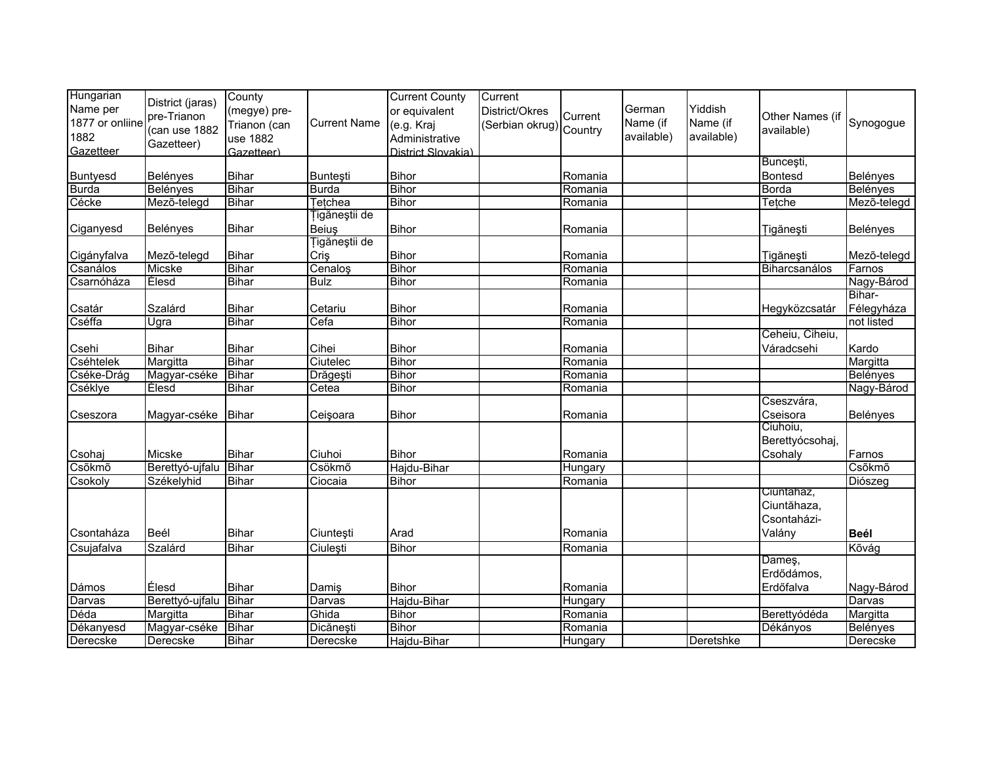| Hungarian        |                  | County       |                     | <b>Current County</b> | Current                 |         |            |            |                 |             |
|------------------|------------------|--------------|---------------------|-----------------------|-------------------------|---------|------------|------------|-----------------|-------------|
| Name per         | District (jaras) | (megye) pre- |                     | or equivalent         | District/Okres          |         | German     | Yiddish    |                 |             |
| 1877 or onliine  | pre-Trianon      | Trianon (can | <b>Current Name</b> | (e.g. Kraj            |                         | Current | Name (if   | Name (if   | Other Names (if | Synogogue   |
| 1882             | (can use 1882    |              |                     |                       | (Serbian okrug) Country |         | available) | available) | available)      |             |
| Gazetteer        | Gazetteer)       | use 1882     |                     | Administrative        |                         |         |            |            |                 |             |
|                  |                  | Gazetteer)   |                     | District Slovakia)    |                         |         |            |            | Buncești,       |             |
|                  |                  | <b>Bihar</b> |                     | <b>Bihor</b>          |                         |         |            |            | <b>Bontesd</b>  |             |
| Buntyesd         | Belényes         |              | Bunteşti            |                       |                         | Romania |            |            |                 | Belényes    |
| <b>Burda</b>     | Belényes         | <b>Bihar</b> | <b>Burda</b>        | <b>Bihor</b>          |                         | Romania |            |            | <b>Borda</b>    | Belényes    |
| Cécke            | Mező-telegd      | <b>Bihar</b> | Tetchea             | <b>Bihor</b>          |                         | Romania |            |            | Tetche          | Mező-telegd |
|                  |                  |              | igăneştii de        |                       |                         |         |            |            |                 |             |
| Ciganyesd        | Belényes         | Bihar        | <b>Beius</b>        | <b>Bihor</b>          |                         | Romania |            |            | Tigănești       | Belényes    |
|                  |                  |              | Tigăneștii de       |                       |                         |         |            |            |                 |             |
| Cigányfalva      | Mezõ-telegd      | <b>Bihar</b> | Criş                | <b>Bihor</b>          |                         | Romania |            |            | Tigănești       | Mezõ-telegd |
| Csanálos         | <b>Micske</b>    | <b>Bihar</b> | Cenaloş             | <b>Bihor</b>          |                         | Romania |            |            | Biharcsanálos   | Farnos      |
| Csarnóháza       | Élesd            | <b>Bihar</b> | <b>Bulz</b>         | <b>Bihor</b>          |                         | Romania |            |            |                 | Nagy-Bárod  |
|                  |                  |              |                     |                       |                         |         |            |            |                 | Bihar-      |
| Csatár           | Szalárd          | <b>Bihar</b> | Cetariu             | <b>Bihor</b>          |                         | Romania |            |            | Hegyközcsatár   | Félegyháza  |
| Cséffa           | Ugra             | <b>Bihar</b> | Cefa                | <b>Bihor</b>          |                         | Romania |            |            |                 | not listed  |
|                  |                  |              |                     |                       |                         |         |            |            | Ceheiu, Ciheiu, |             |
| Csehi            | Bihar            | <b>Bihar</b> | Cihei               | <b>Bihor</b>          |                         | Romania |            |            | Váradcsehi      | Kardo       |
| <b>Cséhtelek</b> | Margitta         | <b>Bihar</b> | Ciutelec            | <b>Bihor</b>          |                         | Romania |            |            |                 | Margitta    |
| Cséke-Drág       | Magyar-cséke     | <b>Bihar</b> | Drăgești            | <b>Bihor</b>          |                         | Romania |            |            |                 | Belényes    |
| Cséklye          | Élesd            | <b>Bihar</b> | Cetea               | <b>Bihor</b>          |                         | Romania |            |            |                 | Nagy-Bárod  |
|                  |                  |              |                     |                       |                         |         |            |            | Cseszvára,      |             |
|                  |                  | Bihar        | Ceişoara            | <b>Bihor</b>          |                         | Romania |            |            | Cseisora        | Belényes    |
| Cseszora         | Magyar-cséke     |              |                     |                       |                         |         |            |            | Ciuhoiu,        |             |
|                  |                  |              |                     |                       |                         |         |            |            |                 |             |
|                  |                  |              |                     |                       |                         |         |            |            | Berettyócsohaj, |             |
| Csohaj           | Micske           | <b>Bihar</b> | Ciuhoi              | <b>Bihor</b>          |                         | Romania |            |            | Csohaly         | Farnos      |
| Csõkmõ           | Berettyó-ujfalu  | Bihar        | Csökmő              | Hajdu-Bihar           |                         | Hungary |            |            |                 | Csõkmõ      |
| Csokoly          | Székelyhid       | <b>Bihar</b> | Ciocaia             | <b>Bihor</b>          |                         | Romania |            |            |                 | Diószeg     |
|                  |                  |              |                     |                       |                         |         |            |            | Ciuntanaz,      |             |
|                  |                  |              |                     |                       |                         |         |            |            | Ciuntăhaza,     |             |
|                  |                  |              |                     |                       |                         |         |            |            | Csontaházi-     |             |
| Csontaháza       | Beél             | <b>Bihar</b> | Ciunteşti           | Arad                  |                         | Romania |            |            | Valány          | <b>Beél</b> |
| Csujafalva       | Szalárd          | <b>Bihar</b> | Ciulești            | <b>Bihor</b>          |                         | Romania |            |            |                 | Kõvág       |
|                  |                  |              |                     |                       |                         |         |            |            | Dameş,          |             |
|                  |                  |              |                     |                       |                         |         |            |            | Erdődámos,      |             |
| Dámos            | Élesd            | <b>Bihar</b> | Damiş               | <b>Bihor</b>          |                         | Romania |            |            | Erdőfalva       | Nagy-Bárod  |
| Darvas           | Berettyó-ujfalu  | Bihar        | Darvas              | Hajdu-Bihar           |                         | Hungary |            |            |                 | Darvas      |
| Déda             | Margitta         | <b>Bihar</b> | Ghida               | <b>Bihor</b>          |                         | Romania |            |            | Berettyódéda    | Margitta    |
| Dékanyesd        | Magyar-cséke     | <b>Bihar</b> | Dicănești           | <b>Bihor</b>          |                         | Romania |            |            | Dékányos        | Belényes    |
| Derecske         | Derecske         | <b>Bihar</b> | Derecske            | Hajdu-Bihar           |                         | Hungary |            | Deretshke  |                 | Derecske    |
|                  |                  |              |                     |                       |                         |         |            |            |                 |             |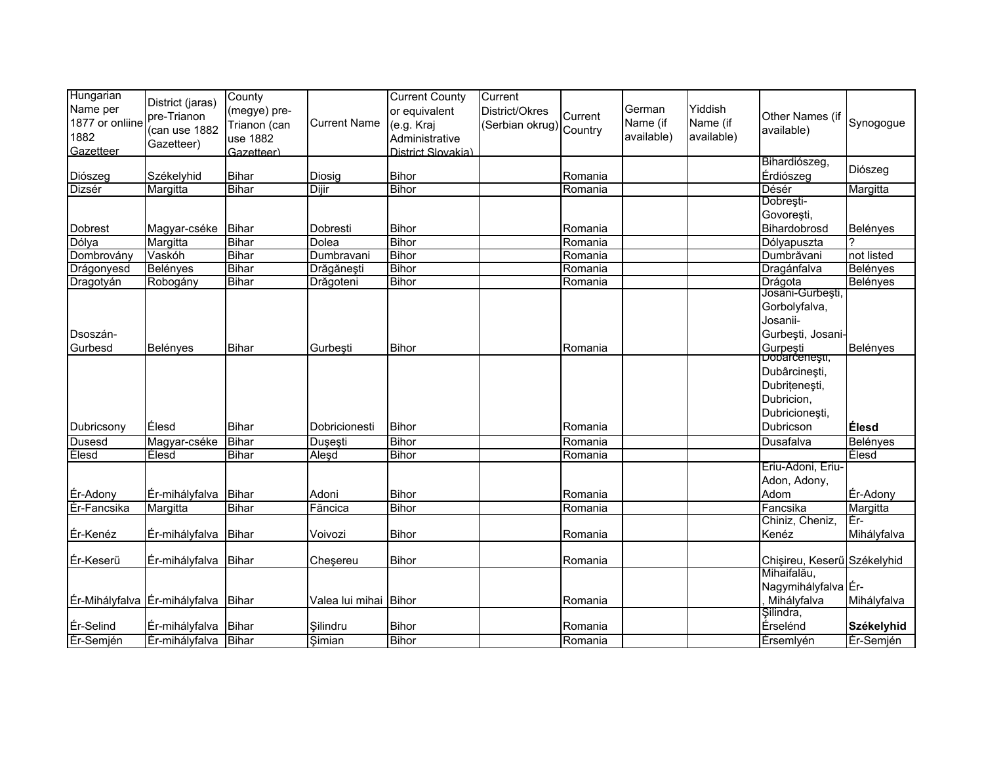| Hungarian<br>Name per<br>1877 or onliine<br>1882<br>Gazetteer | District (jaras)<br>pre-Trianon<br>(can use 1882<br>Gazetteer) | County<br>(megye) pre-<br>Trianon (can<br>use 1882<br>Gazetteer) | <b>Current Name</b>      | <b>Current County</b><br>or equivalent<br>(e.g. Kraj<br>Administrative<br>District Slovakia) | Current<br>District/Okres<br>(Serbian okrug) Country | Current | German<br>Name (if<br>available) | Yiddish<br>Name (if<br>available) | Other Names (if<br>available) | Synogogue       |
|---------------------------------------------------------------|----------------------------------------------------------------|------------------------------------------------------------------|--------------------------|----------------------------------------------------------------------------------------------|------------------------------------------------------|---------|----------------------------------|-----------------------------------|-------------------------------|-----------------|
|                                                               |                                                                |                                                                  |                          |                                                                                              |                                                      |         |                                  |                                   | Bihardiószeg,                 | Diószeg         |
| Diószeg                                                       | Székelyhid                                                     | <b>Bihar</b>                                                     | Diosig                   | <b>Bihor</b>                                                                                 |                                                      | Romania |                                  |                                   | Érdiószeg                     |                 |
| Dizsér                                                        | Margitta                                                       | <b>Bihar</b>                                                     | Dijir                    | <b>Bihor</b>                                                                                 |                                                      | Romania |                                  |                                   | Désér<br>Dobrești-            | Margitta        |
|                                                               |                                                                |                                                                  |                          |                                                                                              |                                                      |         |                                  |                                   |                               |                 |
|                                                               |                                                                |                                                                  |                          |                                                                                              |                                                      |         |                                  |                                   | Govorești,                    |                 |
| <b>Dobrest</b>                                                | Magyar-cséke                                                   | Bihar<br><b>Bihar</b>                                            | Dobresti<br><b>Dolea</b> | <b>Bihor</b><br><b>Bihor</b>                                                                 |                                                      | Romania |                                  |                                   | Bihardobrosd                  | Belényes        |
| Dólya                                                         | Margitta                                                       |                                                                  |                          |                                                                                              |                                                      | Romania |                                  |                                   | Dólyapuszta                   |                 |
| Dombrovány                                                    | Vaskóh                                                         | <b>Bihar</b>                                                     | Dumbravani               | <b>Bihor</b>                                                                                 |                                                      | Romania |                                  |                                   | Dumbrăvani                    | not listed      |
| Drágonyesd                                                    | Belényes                                                       | <b>Bihar</b>                                                     | Drăgănești               | Bihor                                                                                        |                                                      | Romania |                                  |                                   | Dragánfalva                   | Belényes        |
| Dragotyán                                                     | Robogány                                                       | <b>Bihar</b>                                                     | Drăgoteni                | Bihor                                                                                        |                                                      | Romania |                                  |                                   | Drágota<br>Josani-Gurbești,   | Belényes        |
|                                                               |                                                                |                                                                  |                          |                                                                                              |                                                      |         |                                  |                                   | Gorbolyfalva,                 |                 |
|                                                               |                                                                |                                                                  |                          |                                                                                              |                                                      |         |                                  |                                   | Josanii-                      |                 |
| Dsoszán-                                                      |                                                                |                                                                  |                          |                                                                                              |                                                      |         |                                  |                                   | Gurbești, Josani-             |                 |
| Gurbesd                                                       |                                                                |                                                                  |                          |                                                                                              |                                                      |         |                                  |                                   |                               |                 |
|                                                               | Belényes                                                       | Bihar                                                            | Gurbești                 | <b>Bihor</b>                                                                                 |                                                      | Romania |                                  |                                   | Gurpeşti<br>Dodarcenești,     | Belényes        |
|                                                               |                                                                |                                                                  |                          |                                                                                              |                                                      |         |                                  |                                   | Dubârcinești,                 |                 |
|                                                               |                                                                |                                                                  |                          |                                                                                              |                                                      |         |                                  |                                   | Dubrițenești,                 |                 |
|                                                               |                                                                |                                                                  |                          |                                                                                              |                                                      |         |                                  |                                   | Dubricion,                    |                 |
|                                                               |                                                                |                                                                  |                          |                                                                                              |                                                      |         |                                  |                                   | Dubricionești,                |                 |
| Dubricsony                                                    | Élesd                                                          | <b>Bihar</b>                                                     | Dobricionesti            | <b>Bihor</b>                                                                                 |                                                      | Romania |                                  |                                   | Dubricson                     | Élesd           |
|                                                               | Magyar-cséke                                                   | <b>Bihar</b>                                                     |                          | Bihor                                                                                        |                                                      | Romania |                                  |                                   | Dusafalva                     | <b>Belényes</b> |
| Dusesd<br>Élesd                                               | Elesd                                                          | <b>Bihar</b>                                                     | Duşeşti                  | <b>Bihor</b>                                                                                 |                                                      | Romania |                                  |                                   |                               | Élesd           |
|                                                               |                                                                |                                                                  | Aleşd                    |                                                                                              |                                                      |         |                                  |                                   | Eriu-Adoni, Eriu-             |                 |
|                                                               |                                                                |                                                                  |                          |                                                                                              |                                                      |         |                                  |                                   | Adon, Adony,                  |                 |
| Ér-Adony                                                      | Ér-mihályfalva Bihar                                           |                                                                  | Adoni                    | <b>Bihor</b>                                                                                 |                                                      | Romania |                                  |                                   | Adom                          | Ér-Adony        |
| <b>Ér-Fancsika</b>                                            | Margitta                                                       | <b>Bihar</b>                                                     | Făncica                  | <b>Bihor</b>                                                                                 |                                                      | Romania |                                  |                                   | Fancsika                      | Margitta        |
|                                                               |                                                                |                                                                  |                          |                                                                                              |                                                      |         |                                  |                                   | Chiniz, Cheniz,               | Ēr-             |
| Ér-Kenéz                                                      | Ér-mihályfalva                                                 | Bihar                                                            | Voivozi                  | <b>Bihor</b>                                                                                 |                                                      | Romania |                                  |                                   | Kenéz                         | Mihályfalva     |
|                                                               |                                                                |                                                                  |                          |                                                                                              |                                                      |         |                                  |                                   |                               |                 |
| Ér-Keserü                                                     |                                                                | Bihar                                                            |                          | <b>Bihor</b>                                                                                 |                                                      | Romania |                                  |                                   | Chişireu, Keserű Székelyhid   |                 |
|                                                               | Ér-mihályfalva                                                 |                                                                  | Cheşereu                 |                                                                                              |                                                      |         |                                  |                                   | Mihaifalău,                   |                 |
|                                                               |                                                                |                                                                  |                          |                                                                                              |                                                      |         |                                  |                                   | Nagymihályfalva Ér-           |                 |
|                                                               | Ér-Mihályfalva Ér-mihályfalva Bihar                            |                                                                  | Valea lui mihai Bihor    |                                                                                              |                                                      | Romania |                                  |                                   | Mihályfalva                   | Mihályfalva     |
|                                                               |                                                                |                                                                  |                          |                                                                                              |                                                      |         |                                  |                                   | Şilindra,                     |                 |
| Ér-Selind                                                     | Ér-mihályfalva                                                 | <b>Bihar</b>                                                     | Silindru                 | <b>Bihor</b>                                                                                 |                                                      | Romania |                                  |                                   | Érselénd                      | Székelyhid      |
| Ér-Semjén                                                     | Ér-mihályfalva Bihar                                           |                                                                  | Simian                   | <b>Bihor</b>                                                                                 |                                                      | Romania |                                  |                                   | Érsemlyén                     | Er-Semjén       |
|                                                               |                                                                |                                                                  |                          |                                                                                              |                                                      |         |                                  |                                   |                               |                 |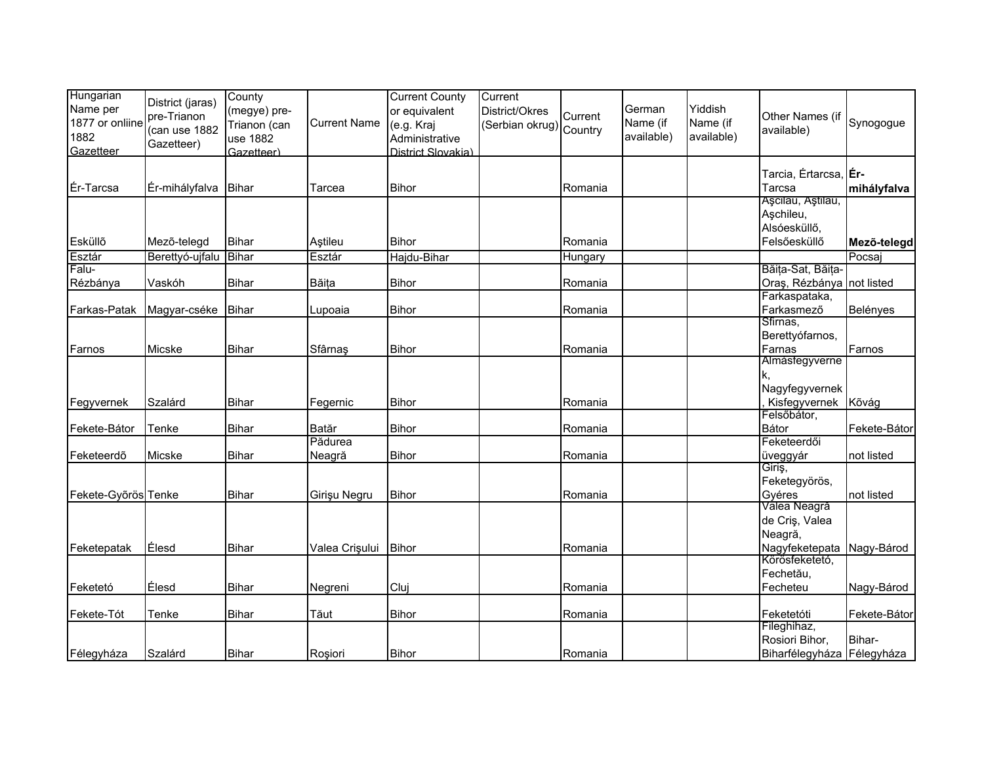| Hungarian<br>Name per<br>1877 or onliine<br>1882<br>Gazetteer | District (jaras)<br>pre-Trianon<br>(can use 1882<br>Gazetteer) | County<br>(megye) pre-<br>Trianon (can<br>use 1882<br>Gazetteer) | <b>Current Name</b> | <b>Current County</b><br>or equivalent<br>(e.g. Kraj<br>Administrative<br>District Slovakia) | Current<br>District/Okres<br>(Serbian okrug) | Current<br>Country | German<br>Name (if<br>available) | Yiddish<br>Name (if<br>available) | Other Names (if<br>available)                                  | Synogogue    |
|---------------------------------------------------------------|----------------------------------------------------------------|------------------------------------------------------------------|---------------------|----------------------------------------------------------------------------------------------|----------------------------------------------|--------------------|----------------------------------|-----------------------------------|----------------------------------------------------------------|--------------|
| Ér-Tarcsa                                                     | Ér-mihályfalva                                                 | Bihar                                                            | Tarcea              | <b>Bihor</b>                                                                                 |                                              | Romania            |                                  |                                   | Tarcia, Értarcsa, Er-<br>Tarcsa                                | mihályfalva  |
| Esküllő                                                       | Mező-telegd                                                    | <b>Bihar</b>                                                     | Aştileu             | <b>Bihor</b>                                                                                 |                                              | Romania            |                                  |                                   | Așcilau, Aștilau,<br>Aşchileu,<br>Alsóesküllő,<br>Felsőesküllő | Mezõ-telegd  |
| Esztár                                                        | Berettyó-ujfalu                                                | <b>Bihar</b>                                                     | Esztár              | Hajdu-Bihar                                                                                  |                                              | Hungary            |                                  |                                   |                                                                | Pocsaj       |
| Falu-                                                         |                                                                |                                                                  |                     |                                                                                              |                                              |                    |                                  |                                   | Băița-Sat, Băița-                                              |              |
| Rézbánya                                                      | Vaskóh                                                         | Bihar                                                            | Băița               | <b>Bihor</b>                                                                                 |                                              | Romania            |                                  |                                   | Oraș, Rézbánya not listed<br>Farkaspataka,                     |              |
| Farkas-Patak                                                  | Magyar-cséke                                                   | Bihar                                                            | Lupoaia             | <b>Bihor</b>                                                                                 |                                              | Romania            |                                  |                                   | Farkasmező                                                     | Belényes     |
|                                                               |                                                                |                                                                  |                     |                                                                                              |                                              |                    |                                  |                                   | Sfirnas,                                                       |              |
|                                                               |                                                                |                                                                  |                     |                                                                                              |                                              |                    |                                  |                                   | Berettyófarnos,                                                |              |
| Farnos                                                        | Micske                                                         | <b>Bihar</b>                                                     | Sfârnaș             | <b>Bihor</b>                                                                                 |                                              | Romania            |                                  |                                   | Farnas                                                         | Farnos       |
|                                                               |                                                                |                                                                  |                     |                                                                                              |                                              |                    |                                  |                                   | Almásfegyverne                                                 |              |
|                                                               |                                                                |                                                                  |                     |                                                                                              |                                              |                    |                                  |                                   | Nagyfegyvernek                                                 |              |
| Fegyvernek                                                    | Szalárd                                                        | <b>Bihar</b>                                                     | Fegernic            | <b>Bihor</b>                                                                                 |                                              | Romania            |                                  |                                   | Kisfegyvernek                                                  | Kõvág        |
|                                                               |                                                                |                                                                  |                     |                                                                                              |                                              |                    |                                  |                                   | Felsőbátor,                                                    |              |
| Fekete-Bátor                                                  | Tenke                                                          | <b>Bihar</b>                                                     | <b>Batăr</b>        | <b>Bihor</b>                                                                                 |                                              | Romania            |                                  |                                   | Bátor                                                          | Fekete-Bátor |
|                                                               |                                                                |                                                                  | Pădurea             |                                                                                              |                                              |                    |                                  |                                   | Feketeerdői                                                    |              |
| Feketeerdõ                                                    | Micske                                                         | <b>Bihar</b>                                                     | Neagră              | <b>Bihor</b>                                                                                 |                                              | Romania            |                                  |                                   | üveggyár<br>Giriş,                                             | not listed   |
|                                                               |                                                                |                                                                  |                     |                                                                                              |                                              |                    |                                  |                                   | Feketegyörös,                                                  |              |
| Fekete-Győrös Tenke                                           |                                                                | <b>Bihar</b>                                                     | Girişu Negru        | <b>Bihor</b>                                                                                 |                                              | Romania            |                                  |                                   | Gyéres                                                         | not listed   |
|                                                               |                                                                |                                                                  |                     |                                                                                              |                                              |                    |                                  |                                   | Valea Neagră                                                   |              |
|                                                               |                                                                |                                                                  |                     |                                                                                              |                                              |                    |                                  |                                   | de Criş, Valea                                                 |              |
|                                                               |                                                                |                                                                  |                     |                                                                                              |                                              |                    |                                  |                                   | Neagră,                                                        |              |
| Feketepatak                                                   | Élesd                                                          | <b>Bihar</b>                                                     | Valea Crișului      | <b>Bihor</b>                                                                                 |                                              | Romania            |                                  |                                   | Nagyfeketepata                                                 | Nagy-Bárod   |
|                                                               |                                                                |                                                                  |                     |                                                                                              |                                              |                    |                                  |                                   | Körösfeketető,                                                 |              |
|                                                               |                                                                |                                                                  |                     |                                                                                              |                                              |                    |                                  |                                   | Fechetău,                                                      |              |
| Feketetó                                                      | Élesd                                                          | <b>Bihar</b>                                                     | Negreni             | Cluj                                                                                         |                                              | Romania            |                                  |                                   | Fecheteu                                                       | Nagy-Bárod   |
| Fekete-Tót                                                    | Tenke                                                          | <b>Bihar</b>                                                     | Tăut                | <b>Bihor</b>                                                                                 |                                              | Romania            |                                  |                                   | Feketetóti                                                     | Fekete-Bátor |
|                                                               |                                                                |                                                                  |                     |                                                                                              |                                              |                    |                                  |                                   | Fileghihaz,                                                    |              |
|                                                               |                                                                |                                                                  |                     |                                                                                              |                                              |                    |                                  |                                   | Rosiori Bihor,                                                 | Bihar-       |
| Félegyháza                                                    | Szalárd                                                        | Bihar                                                            | Rosiori             | <b>Bihor</b>                                                                                 |                                              | <b>Romania</b>     |                                  |                                   | Biharfélegyháza Félegyháza                                     |              |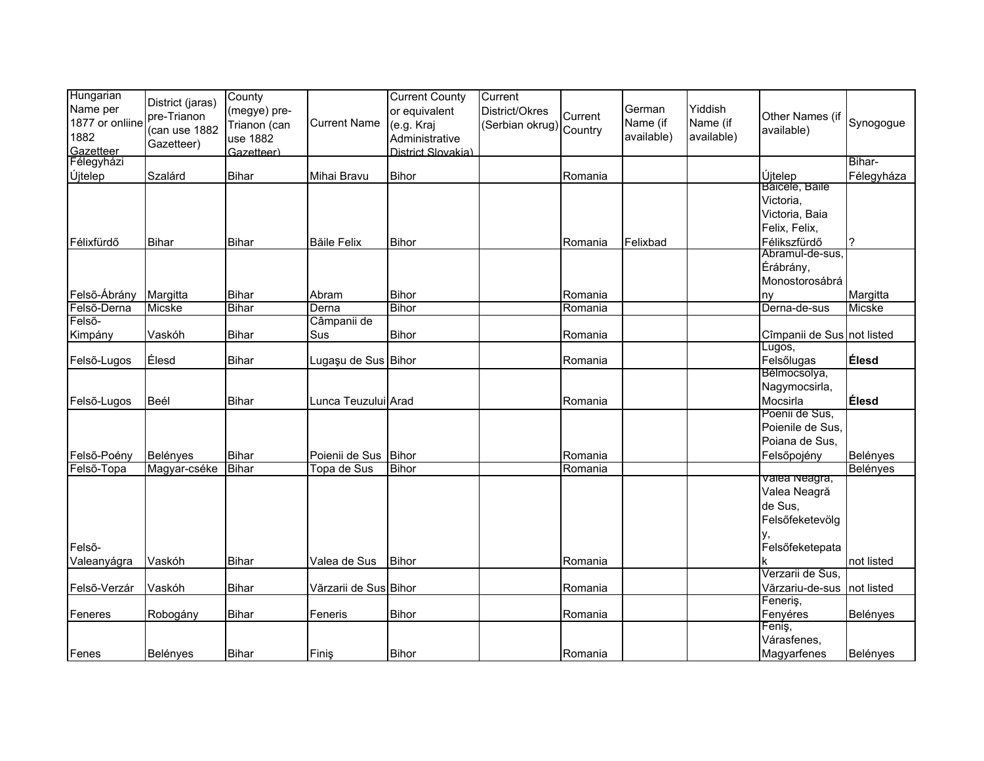| Hungarian<br>Name per | District (jaras)            | County<br>(megye) pre- |                       | <b>Current County</b><br>or equivalent | Current<br>District/Okres |         | German     | Yiddish    |                                 |              |
|-----------------------|-----------------------------|------------------------|-----------------------|----------------------------------------|---------------------------|---------|------------|------------|---------------------------------|--------------|
| 1877 or onliine       | pre-Trianon                 | Trianon (can           | <b>Current Name</b>   | (e.g. Kraj                             | (Serbian okrug) Country   | Current | Name (if   | Name (if   | Other Names (if                 | Synogogue    |
| 1882                  | (can use 1882<br>Gazetteer) | use 1882               |                       | Administrative                         |                           |         | available) | available) | available)                      |              |
| Gazetteer             |                             | Gazetteer)             |                       | District Slovakia)                     |                           |         |            |            |                                 |              |
| Félegyházi            |                             |                        |                       |                                        |                           |         |            |            |                                 | Bihar-       |
| Újtelep               | Szalárd                     | <b>Bihar</b>           | Mihai Bravu           | <b>Bihor</b>                           |                           | Romania |            |            | Újtelep                         | Félegyháza   |
|                       |                             |                        |                       |                                        |                           |         |            |            | Bâicele, Bâile                  |              |
|                       |                             |                        |                       |                                        |                           |         |            |            | Victoria,                       |              |
|                       |                             |                        |                       |                                        |                           |         |            |            | Victoria, Baia                  |              |
|                       |                             |                        |                       |                                        |                           |         |            |            | Felix, Felix,                   |              |
| Félixfürdő            | Bihar                       | <b>Bihar</b>           | <b>Băile Felix</b>    | <b>Bihor</b>                           |                           | Romania | Felixbad   |            | Félikszfürdő<br>Abramul-de-sus, |              |
|                       |                             |                        |                       |                                        |                           |         |            |            | Érábrány,                       |              |
|                       |                             |                        |                       |                                        |                           |         |            |            | Monostorosábrá                  |              |
| Felső-Ábrány          | Margitta                    | <b>Bihar</b>           | Abram                 | <b>Bihor</b>                           |                           | Romania |            |            | ny                              | Margitta     |
| Felső-Derna           | Micske                      | Bihar                  | Derna                 | <b>Bihor</b>                           |                           | Romania |            |            | Derna-de-sus                    | Micske       |
| Felső-                |                             |                        | Câmpanii de           |                                        |                           |         |            |            |                                 |              |
| Kimpány               | Vaskóh                      | <b>Bihar</b>           | Sus                   | <b>Bihor</b>                           |                           | Romania |            |            | Cîmpanii de Sus not listed      |              |
|                       | Élesd                       | <b>Bihar</b>           | Lugașu de Sus Bihor   |                                        |                           | Romania |            |            | Lugos,<br>Felsőlugas            | <b>Élesd</b> |
| Felső-Lugos           |                             |                        |                       |                                        |                           |         |            |            | Bélmocsolya,                    |              |
|                       |                             |                        |                       |                                        |                           |         |            |            | Nagymocsirla,                   |              |
| Felső-Lugos           | Beél                        | <b>Bihar</b>           | Lunca Teuzului Arad   |                                        |                           | Romania |            |            | Mocsirla                        | Élesd        |
|                       |                             |                        |                       |                                        |                           |         |            |            | Poenii de Sus,                  |              |
|                       |                             |                        |                       |                                        |                           |         |            |            | Poienile de Sus,                |              |
|                       |                             |                        |                       |                                        |                           |         |            |            | Poiana de Sus,                  |              |
| Felső-Poény           | Belényes                    | <b>Bihar</b>           | Poienii de Sus Bihor  |                                        |                           | Romania |            |            | Felsőpojény                     | Belényes     |
| Felső-Topa            | Magyar-cséke                | Bihar                  | Topa de Sus           | <b>Bihor</b>                           |                           | Romania |            |            |                                 | Belényes     |
|                       |                             |                        |                       |                                        |                           |         |            |            | valea Neagra,                   |              |
|                       |                             |                        |                       |                                        |                           |         |            |            | Valea Neagră                    |              |
|                       |                             |                        |                       |                                        |                           |         |            |            | de Sus,                         |              |
|                       |                             |                        |                       |                                        |                           |         |            |            | Felsőfeketevölg                 |              |
| Felső-                |                             |                        |                       |                                        |                           |         |            |            | у,<br>Felsőfeketepata           |              |
|                       |                             | <b>Bihar</b>           | Valea de Sus          | <b>Bihor</b>                           |                           | Romania |            |            |                                 | not listed   |
| Valeanyágra           | Vaskóh                      |                        |                       |                                        |                           |         |            |            | Verzarii de Sus,                |              |
| Felső-Verzár          | Vaskóh                      | <b>Bihar</b>           | Vărzarii de Sus Bihor |                                        |                           | Romania |            |            | Vărzariu-de-sus                 | not listed   |
|                       |                             |                        |                       |                                        |                           |         |            |            | Feneriş,                        |              |
| Feneres               | Robogány                    | Bihar                  | Feneris               | <b>Bihor</b>                           |                           | Romania |            |            | Fenyéres                        | Belényes     |
|                       |                             |                        |                       |                                        |                           |         |            |            | Feniş,                          |              |
|                       |                             |                        |                       |                                        |                           |         |            |            | Várasfenes,                     |              |
| Fenes                 | Belényes                    | <b>Bihar</b>           | Finiş                 | <b>Bihor</b>                           |                           | Romania |            |            | Magyarfenes                     | Belényes     |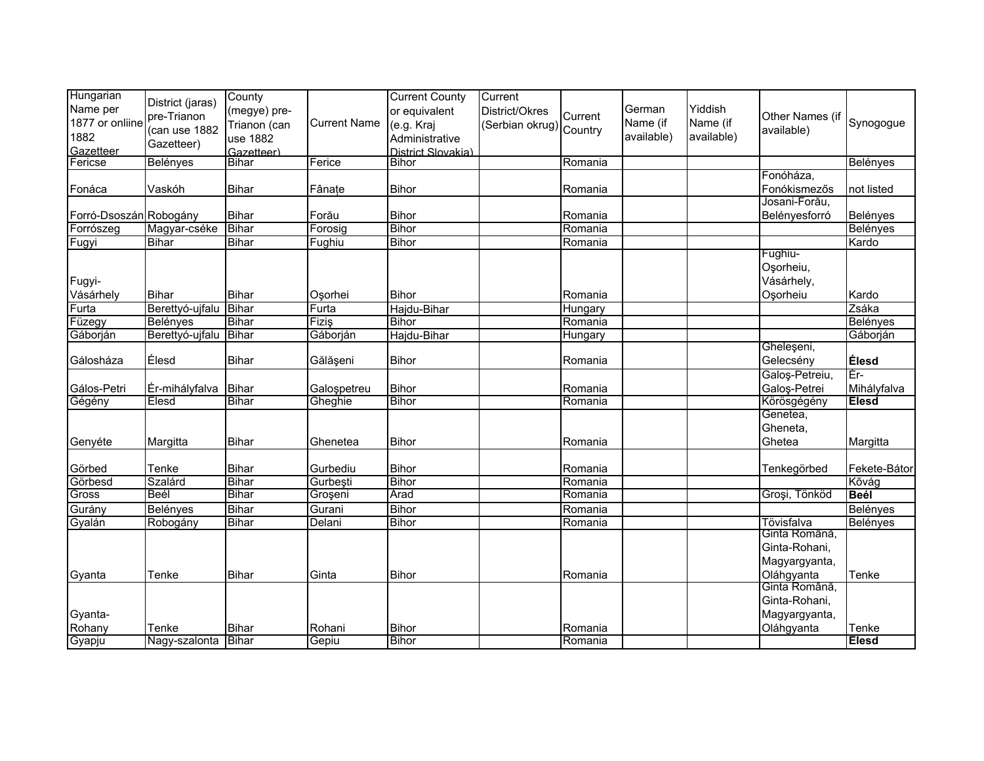| Hungarian<br>Name per<br>1877 or onliine<br>1882 | District (jaras)<br>pre-Trianon<br>(can use 1882 | County<br>(megye) pre-<br>Trianon (can<br>use 1882 | <b>Current Name</b> | <b>Current County</b><br>or equivalent<br>(e.g. Kraj<br>Administrative | Current<br>District/Okres<br>(Serbian okrug) Country | Current            | German<br>Name (if<br>available) | Yiddish<br>Name (if<br>available) | Other Names (if<br>available) | Synogogue         |
|--------------------------------------------------|--------------------------------------------------|----------------------------------------------------|---------------------|------------------------------------------------------------------------|------------------------------------------------------|--------------------|----------------------------------|-----------------------------------|-------------------------------|-------------------|
| Gazetteer                                        | Gazetteer)                                       | Gazetteer)                                         |                     | District Slovakia)                                                     |                                                      |                    |                                  |                                   |                               |                   |
| Fericse                                          | <b>Belényes</b>                                  | <b>Bihar</b>                                       | Ferice              | <b>Bihor</b>                                                           |                                                      | Romania            |                                  |                                   |                               | Belényes          |
|                                                  |                                                  |                                                    |                     |                                                                        |                                                      |                    |                                  |                                   | Fonóháza,                     |                   |
| Fonáca                                           | Vaskóh                                           | Bihar                                              | Fânate              | <b>Bihor</b>                                                           |                                                      | Romania            |                                  |                                   | Fonókismezős                  | not listed        |
|                                                  |                                                  | <b>Bihar</b>                                       |                     |                                                                        |                                                      |                    |                                  |                                   | Josani-Forău,                 |                   |
| Forró-Dsoszán Robogány                           |                                                  | Bihar                                              | Forău               | <b>Bihor</b><br><b>Bihor</b>                                           |                                                      | Romania<br>Romania |                                  |                                   | Belényesforró                 | Belényes          |
| Forrószeg                                        | Magyar-cséke<br><b>Bihar</b>                     | <b>Bihar</b>                                       | Forosig<br>Fughiu   | <b>Bihor</b>                                                           |                                                      | Romania            |                                  |                                   |                               | Belényes<br>Kardo |
| Fugyi                                            |                                                  |                                                    |                     |                                                                        |                                                      |                    |                                  |                                   | Fughiu-                       |                   |
|                                                  |                                                  |                                                    |                     |                                                                        |                                                      |                    |                                  |                                   | Oşorheiu,                     |                   |
| Fugyi-                                           |                                                  |                                                    |                     |                                                                        |                                                      |                    |                                  |                                   | Vásárhely,                    |                   |
| Vásárhely                                        | <b>Bihar</b>                                     | Bihar                                              | Osorhei             | <b>Bihor</b>                                                           |                                                      | Romania            |                                  |                                   | Osorheiu                      | Kardo             |
| Furta                                            | Berettyó-ujfalu                                  | Bihar                                              | Furta               | Hajdu-Bihar                                                            |                                                      | Hungary            |                                  |                                   |                               | Zsáka             |
| Füzegy                                           | Belényes                                         | <b>Bihar</b>                                       | Fiziş               | <b>Bihor</b>                                                           |                                                      | Romania            |                                  |                                   |                               | Belényes          |
| Gáborján                                         | Berettyó-ujfalu                                  | <b>Bihar</b>                                       | Gáborján            | Hajdu-Bihar                                                            |                                                      | Hungary            |                                  |                                   |                               | Gáborján          |
|                                                  |                                                  |                                                    |                     |                                                                        |                                                      |                    |                                  |                                   | Gheleşeni,                    |                   |
| Gálosháza                                        | Élesd                                            | Bihar                                              | Gălăşeni            | <b>Bihor</b>                                                           |                                                      | Romania            |                                  |                                   | Gelecsény                     | Élesd             |
|                                                  |                                                  |                                                    |                     |                                                                        |                                                      |                    |                                  |                                   | Galoș-Petreiu,                | Ēr-               |
| Gálos-Petri                                      | Ér-mihályfalva                                   | <b>Bihar</b>                                       | Galospetreu         | <b>Bihor</b>                                                           |                                                      | Romania            |                                  |                                   | Galos-Petrei                  | Mihályfalva       |
| Gégény                                           | Elesd                                            | <b>Bihar</b>                                       | Gheghie             | <b>Bihor</b>                                                           |                                                      | Romania            |                                  |                                   | Körösgégény                   | <b>Elesd</b>      |
|                                                  |                                                  |                                                    |                     |                                                                        |                                                      |                    |                                  |                                   | Genetea,                      |                   |
|                                                  |                                                  |                                                    |                     |                                                                        |                                                      |                    |                                  |                                   | Gheneta,                      |                   |
| Genyéte                                          | Margitta                                         | Bihar                                              | Ghenetea            | <b>Bihor</b>                                                           |                                                      | Romania            |                                  |                                   | Ghetea                        | Margitta          |
| Görbed                                           | Tenke                                            | <b>Bihar</b>                                       | Gurbediu            | <b>Bihor</b>                                                           |                                                      | Romania            |                                  |                                   | Tenkegörbed                   | Fekete-Bátor      |
| Görbesd                                          | Szalárd                                          | Bihar                                              | Gurbești            | <b>Bihor</b>                                                           |                                                      | Romania            |                                  |                                   |                               | Kõvág             |
| Gross                                            | Beél                                             | <b>Bihar</b>                                       | Groșeni             | Arad                                                                   |                                                      | Romania            |                                  |                                   | Groși, Tönköd                 | <b>Beél</b>       |
| Gurány                                           | <b>Belényes</b>                                  | <b>Bihar</b>                                       | Gurani              | Bihor                                                                  |                                                      | Romania            |                                  |                                   |                               | Belényes          |
| Gyalán                                           | Robogány                                         | <b>Bihar</b>                                       | Delani              | <b>Bihor</b>                                                           |                                                      | Romania            |                                  |                                   | Tövisfalva                    | Belényes          |
|                                                  |                                                  |                                                    |                     |                                                                        |                                                      |                    |                                  |                                   | Ginta Română,                 |                   |
|                                                  |                                                  |                                                    |                     |                                                                        |                                                      |                    |                                  |                                   | Ginta-Rohani,                 |                   |
|                                                  |                                                  |                                                    |                     |                                                                        |                                                      |                    |                                  |                                   | Magyargyanta,                 |                   |
| Gyanta                                           | Tenke                                            | <b>Bihar</b>                                       | Ginta               | <b>Bihor</b>                                                           |                                                      | Romania            |                                  |                                   | Oláhgyanta                    | Tenke             |
|                                                  |                                                  |                                                    |                     |                                                                        |                                                      |                    |                                  |                                   | Ginta Română,                 |                   |
|                                                  |                                                  |                                                    |                     |                                                                        |                                                      |                    |                                  |                                   | Ginta-Rohani,                 |                   |
| Gyanta-                                          |                                                  |                                                    |                     |                                                                        |                                                      |                    |                                  |                                   | Magyargyanta,                 |                   |
| Rohany                                           | Tenke                                            | <b>Bihar</b>                                       | Rohani              | <b>Bihor</b>                                                           |                                                      | Romania            |                                  |                                   | Oláhgyanta                    | Tenke             |
| Gyapju                                           | Nagy-szalonta Bihar                              |                                                    | Gepiu               | <b>Bihor</b>                                                           |                                                      | Romania            |                                  |                                   |                               | <b>Elesd</b>      |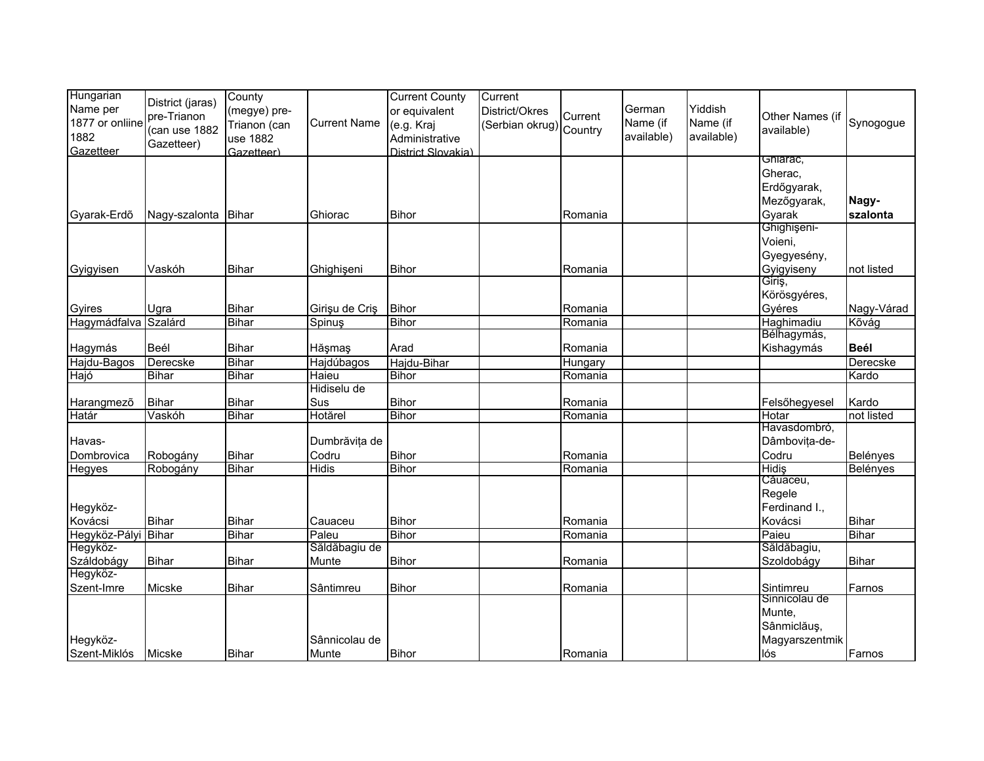| Hungarian<br>Name per<br>1877 or onliine<br>1882<br>Gazetteer | District (jaras)<br>pre-Trianon<br>(can use 1882<br>Gazetteer) | County<br>(megye) pre-<br>Trianon (can<br>use 1882<br>Gazetteer) | <b>Current Name</b>                | <b>Current County</b><br>or equivalent<br>(e.g. Kraj<br>Administrative<br>District Slovakia) | Current<br>District/Okres<br>(Serbian okrug) Country | Current            | German<br>Name (if<br>available) | Yiddish<br>Name (if<br>available) | Other Names (if<br>available)                                   | Synogogue                    |
|---------------------------------------------------------------|----------------------------------------------------------------|------------------------------------------------------------------|------------------------------------|----------------------------------------------------------------------------------------------|------------------------------------------------------|--------------------|----------------------------------|-----------------------------------|-----------------------------------------------------------------|------------------------------|
|                                                               |                                                                |                                                                  |                                    |                                                                                              |                                                      |                    |                                  |                                   | Ghiarac,<br>Gherac,<br>Erdőgyarak,<br>Mezőgyarak,               | Nagy-                        |
| Gyarak-Erdő                                                   | Nagy-szalonta                                                  | <b>Bihar</b>                                                     | Ghiorac                            | <b>Bihor</b>                                                                                 |                                                      | Romania            |                                  |                                   | Gyarak<br>Ghighişeni-<br>Voieni,<br>Gyegyesény,                 | szalonta                     |
| Gyigyisen                                                     | Vaskóh                                                         | <b>Bihar</b>                                                     | Ghighişeni                         | <b>Bihor</b>                                                                                 |                                                      | Romania            |                                  |                                   | Gyigyiseny<br>Giriş,                                            | not listed                   |
| Gyires<br>Hagymádfalva Szalárd                                | Ugra                                                           | <b>Bihar</b><br><b>Bihar</b>                                     | Girișu de Criș<br>Spinuş           | <b>Bihor</b><br><b>Bihor</b>                                                                 |                                                      | Romania<br>Romania |                                  |                                   | Körösgyéres,<br>Gyéres<br>Haghimadiu                            | Nagy-Várad<br>Kõvág          |
| Hagymás                                                       | Beél                                                           | <b>Bihar</b>                                                     | Hăşmaş                             | Arad                                                                                         |                                                      | Romania            |                                  |                                   | Bélhagymás,<br>Kishagymás                                       | <b>Beél</b>                  |
| Hajdu-Bagos<br>Hajó                                           | Derecske<br><b>Bihar</b>                                       | <b>Bihar</b><br><b>Bihar</b>                                     | Hajdúbagos<br>Haieu<br>Hidiselu de | Hajdu-Bihar<br><b>Bihor</b>                                                                  |                                                      | Hungary<br>Romania |                                  |                                   |                                                                 | Derecske<br>Kardo            |
| Harangmezõ<br>Határ                                           | <b>Bihar</b><br>Vaskóh                                         | <b>Bihar</b><br>Bihar                                            | Sus<br>Hotărel                     | <b>Bihor</b><br><b>Bihor</b>                                                                 |                                                      | Romania<br>Romania |                                  |                                   | Felsőhegyesel<br>Hotar                                          | Kardo<br>not listed          |
| Havas-<br>Dombrovica                                          | Robogány                                                       | <b>Bihar</b>                                                     | Dumbrăvița de<br>Codru             | <b>Bihor</b>                                                                                 |                                                      | Romania            |                                  |                                   | Havasdombró,<br>Dâmbovița-de-<br>Codru                          | Belényes                     |
| Hegyes                                                        | Robogány                                                       | <b>Bihar</b>                                                     | <b>Hidis</b>                       | <b>Bihor</b>                                                                                 |                                                      | Romania            |                                  |                                   | <b>Hidis</b><br>Căuaceu,<br>Regele                              | Belényes                     |
| Hegyköz-<br>Kovácsi                                           | <b>Bihar</b>                                                   | <b>Bihar</b>                                                     | Cauaceu                            | <b>Bihor</b>                                                                                 |                                                      | Romania            |                                  |                                   | Ferdinand I.,<br>Kovácsi                                        | <b>Bihar</b>                 |
| Hegyköz-Pályi Bihar<br>Hegyköz-<br>Száldobágy                 | <b>Bihar</b>                                                   | <b>Bihar</b><br><b>Bihar</b>                                     | Paleu<br>Săldăbagiu de<br>Munte    | <b>Bihor</b><br><b>Bihor</b>                                                                 |                                                      | Romania<br>Romania |                                  |                                   | Paieu<br>Săldăbagiu,<br>Szoldobágy                              | <b>Bihar</b><br><b>Bihar</b> |
| Hegyköz-<br>Szent-Imre                                        | Micske                                                         | <b>Bihar</b>                                                     | Sântimreu                          | Bihor                                                                                        |                                                      | Romania            |                                  |                                   | Sintimreu                                                       | Farnos                       |
| Hegyköz-<br>Szent-Miklós                                      | Micske                                                         | <b>Bihar</b>                                                     | Sânnicolau de<br>Munte             | <b>Bihor</b>                                                                                 |                                                      | Romania            |                                  |                                   | Sinnicolau de<br>Munte,<br>Sânmiclăuș,<br>Magyarszentmik<br>lós | Farnos                       |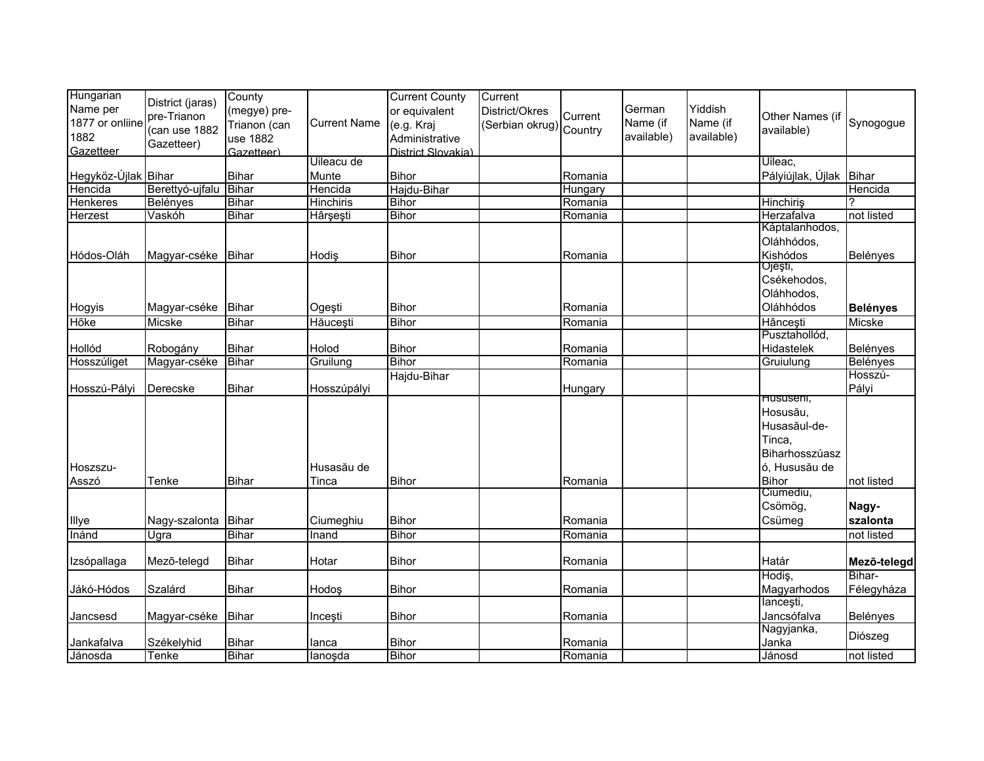| Hungarian<br>Name per<br>1877 or onliine<br>1882<br>Gazetteer | District (jaras)<br>pre-Trianon<br>(can use 1882<br>Gazetteer) | County<br>(megye) pre-<br>Trianon (can<br>use 1882<br>Gazetteer) | <b>Current Name</b> | <b>Current County</b><br>or equivalent<br>(e.g. Kraj<br>Administrative<br>District Slovakia) | Current<br>District/Okres<br>(Serbian okrug) Country | Current | German<br>Name (if<br>available) | Yiddish<br>Name (if<br>available) | Other Names (if<br>available)                                                         | Synogogue             |
|---------------------------------------------------------------|----------------------------------------------------------------|------------------------------------------------------------------|---------------------|----------------------------------------------------------------------------------------------|------------------------------------------------------|---------|----------------------------------|-----------------------------------|---------------------------------------------------------------------------------------|-----------------------|
|                                                               |                                                                |                                                                  | Uileacu de          |                                                                                              |                                                      |         |                                  |                                   | Uileac,                                                                               |                       |
| Hegyköz-Újlak Bihar                                           |                                                                | <b>Bihar</b>                                                     | Munte               | <b>Bihor</b>                                                                                 |                                                      | Romania |                                  |                                   | Pályiújlak, Újlak                                                                     | Bihar                 |
| Hencida                                                       | Berettyó-ujfalu                                                | Bihar                                                            | Hencida             | Hajdu-Bihar                                                                                  |                                                      | Hungary |                                  |                                   |                                                                                       | Hencida               |
| <b>Henkeres</b>                                               | Belényes                                                       | <b>Bihar</b>                                                     | <b>Hinchiris</b>    | <b>Bihor</b>                                                                                 |                                                      | Romania |                                  |                                   | Hinchiriş                                                                             |                       |
| <b>Herzest</b>                                                | Vaskóh                                                         | Bihar                                                            | Hârşeşti            | <b>Bihor</b>                                                                                 |                                                      | Romania |                                  |                                   | Herzafalva                                                                            | not listed            |
| Hódos-Oláh                                                    | Magyar-cséke                                                   | Bihar                                                            | Hodis               | <b>Bihor</b>                                                                                 |                                                      | Romania |                                  |                                   | Káptalanhodos,<br>Oláhhódos,<br>Kishódos<br>Ojeşti,                                   | Belényes              |
| Hogyis                                                        | Magyar-cséke                                                   | Bihar                                                            | Ogești              | <b>Bihor</b>                                                                                 |                                                      | Romania |                                  |                                   | Csékehodos,<br>Oláhhodos,<br>Oláhhódos                                                | <b>Belényes</b>       |
| Hõke                                                          | Micske                                                         | <b>Bihar</b>                                                     | Hăucești            | <b>Bihor</b>                                                                                 |                                                      | Romania |                                  |                                   | Hâncești                                                                              | Micske                |
| Hollód                                                        | Robogány                                                       | <b>Bihar</b>                                                     | Holod               | <b>Bihor</b>                                                                                 |                                                      | Romania |                                  |                                   | Pusztahollód,<br>Hidastelek                                                           | Belényes              |
| Hosszúliget                                                   | Magyar-cséke                                                   | <b>Bihar</b>                                                     | Gruilung            | <b>Bihor</b>                                                                                 |                                                      | Romania |                                  |                                   | Gruiulung                                                                             | Belényes              |
| Hosszú-Pályi                                                  | Derecske                                                       | <b>Bihar</b>                                                     | Hosszúpályi         | Hajdu-Bihar                                                                                  |                                                      | Hungary |                                  |                                   | Hususeni,                                                                             | Hosszú-<br>Pályi      |
| Hoszszu-<br>Asszó                                             | Tenke                                                          | Bihar                                                            | Husasău de<br>Tinca | <b>Bihor</b>                                                                                 |                                                      | Romania |                                  |                                   | Hosusău,<br>Husasăul-de-<br>Tinca,<br>Biharhosszúasz<br>ó, Hususău de<br><b>Bihor</b> | not listed            |
|                                                               |                                                                |                                                                  |                     |                                                                                              |                                                      |         |                                  |                                   | Ciumediu,                                                                             |                       |
|                                                               |                                                                |                                                                  |                     |                                                                                              |                                                      |         |                                  |                                   | Csömög,                                                                               | Nagy-                 |
| Illye                                                         | Nagy-szalonta                                                  | <b>Bihar</b>                                                     | Ciumeghiu           | <b>Bihor</b>                                                                                 |                                                      | Romania |                                  |                                   | Csümeg                                                                                | szalonta              |
| Inánd                                                         | Ugra                                                           | <b>Bihar</b>                                                     | Inand               | <b>Bihor</b>                                                                                 |                                                      | Romania |                                  |                                   |                                                                                       | not listed            |
| Izsópallaga                                                   | Mező-telegd                                                    | <b>Bihar</b>                                                     | Hotar               | <b>Bihor</b>                                                                                 |                                                      | Romania |                                  |                                   | Határ                                                                                 | Mező-telegd           |
| Jákó-Hódos                                                    | Szalárd                                                        | <b>Bihar</b>                                                     | Hodoş               | <b>Bihor</b>                                                                                 |                                                      | Romania |                                  |                                   | Hodiş,<br>Magyarhodos                                                                 | Bihar-<br>Félegyháza  |
| Jancsesd                                                      | Magyar-cséke                                                   | Bihar                                                            | Inceşti             | Bihor                                                                                        |                                                      | Romania |                                  |                                   | lancești,<br>Jancsófalva                                                              | Belényes              |
| Jankafalva                                                    | Székelyhid                                                     | Bihar<br><b>Bihar</b>                                            | lanca               | <b>Bihor</b><br><b>Bihor</b>                                                                 |                                                      | Romania |                                  |                                   | Nagyjanka,<br>Janka                                                                   | Diószeg<br>not listed |
| Jánosda                                                       | Tenke                                                          |                                                                  | lanoşda             |                                                                                              |                                                      | Romania |                                  |                                   | Jánosd                                                                                |                       |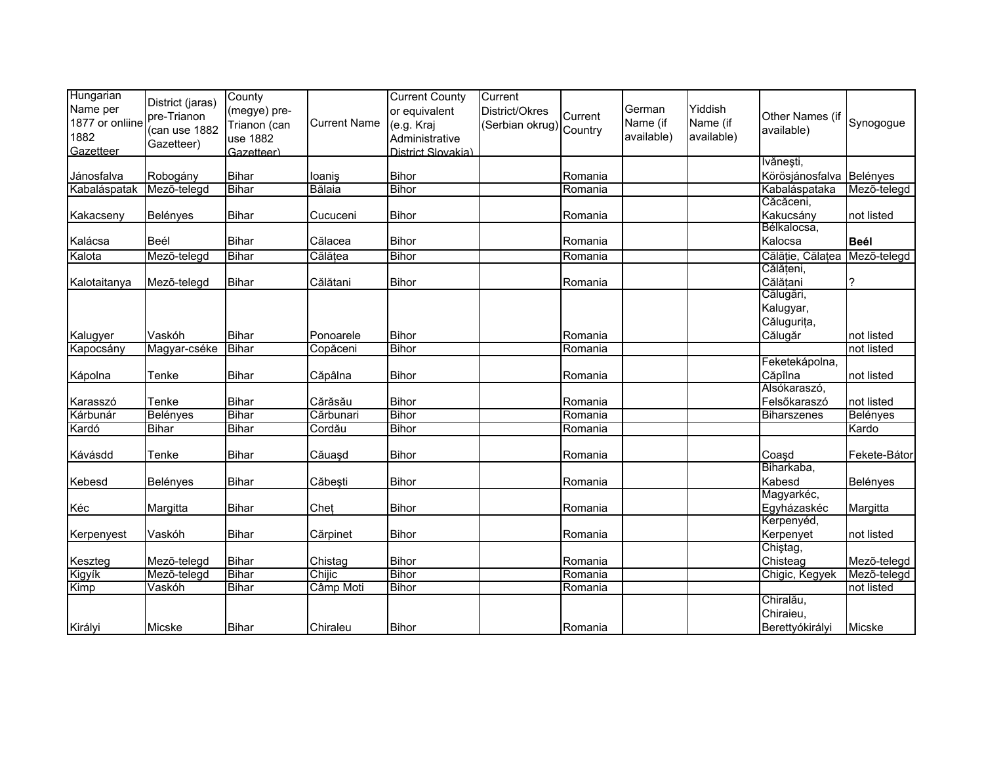| Hungarian<br>Name per<br>1877 or onliine<br>1882<br>Gazetteer | District (jaras)<br>pre-Trianon<br>(can use 1882<br>Gazetteer) | County<br>(megye) pre-<br>Trianon (can<br>use 1882<br>Gazetteer) | <b>Current Name</b> | <b>Current County</b><br>or equivalent<br>(e.g. Kraj<br>Administrative<br>District Slovakia) | Current<br>District/Okres<br>(Serbian okrug) Country | Current | German<br>Name (if<br>available) | Yiddish<br>Name (if<br>available) | Other Names (if<br>available) | Synogogue    |
|---------------------------------------------------------------|----------------------------------------------------------------|------------------------------------------------------------------|---------------------|----------------------------------------------------------------------------------------------|------------------------------------------------------|---------|----------------------------------|-----------------------------------|-------------------------------|--------------|
|                                                               |                                                                |                                                                  |                     |                                                                                              |                                                      |         |                                  |                                   | Ivănești,                     |              |
| Jánosfalva                                                    | Robogány                                                       | <b>Bihar</b>                                                     | loaniş              | <b>Bihor</b>                                                                                 |                                                      | Romania |                                  |                                   | Körösjánosfalva Belényes      |              |
| Kabaláspatak                                                  | Mező-telegd                                                    | <b>Bihar</b>                                                     | Bălaia              | Bihor                                                                                        |                                                      | Romania |                                  |                                   | Kabaláspataka                 | Mezõ-telegd  |
|                                                               |                                                                |                                                                  |                     |                                                                                              |                                                      |         |                                  |                                   | Căcăceni,                     |              |
| Kakacseny                                                     | Belényes                                                       | <b>Bihar</b>                                                     | Cucuceni            | <b>Bihor</b>                                                                                 |                                                      | Romania |                                  |                                   | Kakucsány                     | not listed   |
|                                                               |                                                                |                                                                  |                     |                                                                                              |                                                      |         |                                  |                                   | Bélkalocsa,                   |              |
| Kalácsa                                                       | Beél                                                           | <b>Bihar</b>                                                     | Călacea             | <b>Bihor</b>                                                                                 |                                                      | Romania |                                  |                                   | Kalocsa                       | <b>Beél</b>  |
| Kalota                                                        | Mező-telegd                                                    | <b>Bihar</b>                                                     | Călățea             | <b>Bihor</b>                                                                                 |                                                      | Romania |                                  |                                   | Călăție, Călațea              | Mező-telegd  |
|                                                               |                                                                |                                                                  |                     |                                                                                              |                                                      |         |                                  |                                   | Călățeni,                     |              |
| Kalotaitanya                                                  | Mezõ-telegd                                                    | <b>Bihar</b>                                                     | Călătani            | Bihor                                                                                        |                                                      | Romania |                                  |                                   | Călățani                      | ?            |
|                                                               |                                                                |                                                                  |                     |                                                                                              |                                                      |         |                                  |                                   | Călugări,                     |              |
|                                                               |                                                                |                                                                  |                     |                                                                                              |                                                      |         |                                  |                                   | Kalugyar,                     |              |
|                                                               |                                                                |                                                                  |                     |                                                                                              |                                                      |         |                                  |                                   | Călugurița,                   |              |
| Kalugyer                                                      | Vaskóh                                                         | <b>Bihar</b>                                                     | Ponoarele           | <b>Bihor</b>                                                                                 |                                                      | Romania |                                  |                                   | Călugăr                       | not listed   |
| Kapocsány                                                     | Magyar-cséke                                                   | <b>Bihar</b>                                                     | Copăceni            | <b>Bihor</b>                                                                                 |                                                      | Romania |                                  |                                   |                               | not listed   |
|                                                               |                                                                |                                                                  |                     |                                                                                              |                                                      |         |                                  |                                   | Feketekápolna,                |              |
| Kápolna                                                       | Tenke                                                          | <b>Bihar</b>                                                     | Căpâlna             | <b>Bihor</b>                                                                                 |                                                      | Romania |                                  |                                   | Căpîlna                       | not listed   |
|                                                               |                                                                |                                                                  |                     |                                                                                              |                                                      |         |                                  |                                   | Alsókaraszó,                  |              |
| Karasszó                                                      | Tenke                                                          | <b>Bihar</b>                                                     | Cărăsău             | <b>Bihor</b>                                                                                 |                                                      | Romania |                                  |                                   | Felsőkaraszó                  | not listed   |
| Kárbunár                                                      | Belényes                                                       | <b>Bihar</b>                                                     | Cărbunari           | <b>Bihor</b>                                                                                 |                                                      | Romania |                                  |                                   | <b>Biharszenes</b>            | Belényes     |
| Kardó                                                         | <b>Bihar</b>                                                   | <b>Bihar</b>                                                     | Cordău              | <b>Bihor</b>                                                                                 |                                                      | Romania |                                  |                                   |                               | Kardo        |
| Kávásdd                                                       | Tenke                                                          | <b>Bihar</b>                                                     | Căuaşd              | <b>Bihor</b>                                                                                 |                                                      | Romania |                                  |                                   | Coasd                         | Fekete-Bátor |
|                                                               |                                                                |                                                                  |                     |                                                                                              |                                                      |         |                                  |                                   | Biharkaba,                    |              |
| Kebesd                                                        | <b>Belényes</b>                                                | <b>Bihar</b>                                                     | Căbești             | <b>Bihor</b>                                                                                 |                                                      | Romania |                                  |                                   | Kabesd                        | Belényes     |
|                                                               |                                                                |                                                                  |                     |                                                                                              |                                                      |         |                                  |                                   | Magyarkéc,                    |              |
| Kéc                                                           | Margitta                                                       | Bihar                                                            | Chet                | <b>Bihor</b>                                                                                 |                                                      | Romania |                                  |                                   | Egyházaskéc                   | Margitta     |
|                                                               |                                                                |                                                                  |                     |                                                                                              |                                                      |         |                                  |                                   | Kerpenyéd,                    |              |
| Kerpenyest                                                    | Vaskóh                                                         | <b>Bihar</b>                                                     | Cărpinet            | <b>Bihor</b>                                                                                 |                                                      | Romania |                                  |                                   | Kerpenyet                     | not listed   |
|                                                               |                                                                |                                                                  |                     |                                                                                              |                                                      |         |                                  |                                   | Chiştag,                      |              |
| Keszteg                                                       | Mezõ-telegd                                                    | <b>Bihar</b>                                                     | Chistag             | <b>Bihor</b>                                                                                 |                                                      | Romania |                                  |                                   | Chisteag                      | Mezõ-telegd  |
| Kigyík                                                        | Mező-telegd                                                    | <b>Bihar</b>                                                     | Chijic              | <b>Bihor</b>                                                                                 |                                                      | Romania |                                  |                                   | Chigic, Kegyek                | Mező-telegd  |
| Kimp                                                          | Vaskóh                                                         | <b>Bihar</b>                                                     | Câmp Moti           | <b>Bihor</b>                                                                                 |                                                      | Romania |                                  |                                   |                               | not listed   |
|                                                               |                                                                |                                                                  |                     |                                                                                              |                                                      |         |                                  |                                   | Chiralău,                     |              |
|                                                               |                                                                |                                                                  |                     |                                                                                              |                                                      |         |                                  |                                   | Chiraieu,                     |              |
| Királyi                                                       | Micske                                                         | <b>Bihar</b>                                                     | Chiraleu            | <b>Bihor</b>                                                                                 |                                                      | Romania |                                  |                                   | Berettyókirályi               | Micske       |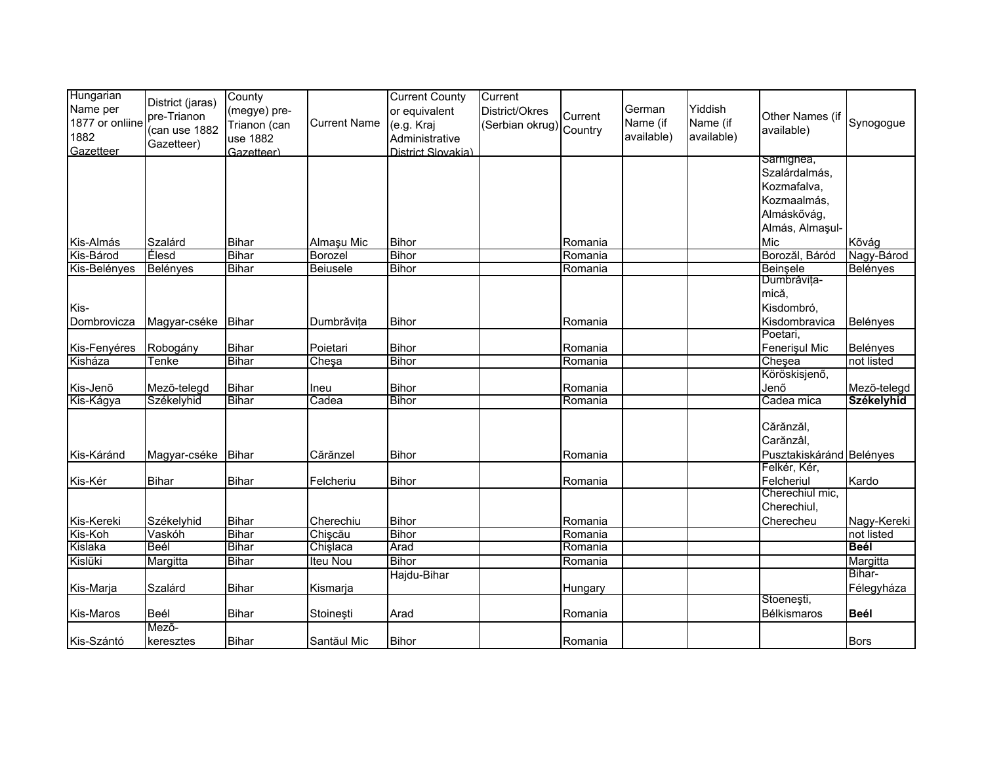| Hungarian<br>Name per<br>1877 or onliine<br>1882<br>Gazetteer | District (jaras)<br>pre-Trianon<br>(can use 1882<br>Gazetteer) | County<br>(megye) pre-<br>Trianon (can<br>use 1882<br>Gazetteer) | <b>Current Name</b> | <b>Current County</b><br>or equivalent<br>(e.g. Kraj<br>Administrative<br>District Slovakia) | Current<br>District/Okres<br>(Serbian okrug) Country | Current | German<br>Name (if<br>available) | Yiddish<br>Name (if<br>available) | Other Names (if<br>available)                             | Synogogue            |
|---------------------------------------------------------------|----------------------------------------------------------------|------------------------------------------------------------------|---------------------|----------------------------------------------------------------------------------------------|------------------------------------------------------|---------|----------------------------------|-----------------------------------|-----------------------------------------------------------|----------------------|
|                                                               |                                                                |                                                                  |                     |                                                                                              |                                                      |         |                                  |                                   | sarnignea,<br>Szalárdalmás,<br>Kozmafalva,<br>Kozmaalmás, |                      |
|                                                               |                                                                |                                                                  |                     |                                                                                              |                                                      |         |                                  |                                   | Almáskővág,<br>Almás, Almaşul-                            |                      |
| Kis-Almás                                                     | Szalárd                                                        | <b>Bihar</b>                                                     | Almaşu Mic          | <b>Bihor</b>                                                                                 |                                                      | Romania |                                  |                                   | Mic                                                       | Kõvág                |
| Kis-Bárod                                                     | <b>Élesd</b>                                                   | <b>Bihar</b>                                                     | Borozel             | <b>Bihor</b>                                                                                 |                                                      | Romania |                                  |                                   | Borozăl, Báród                                            | Nagy-Bárod           |
| Kis-Belényes                                                  | Belényes                                                       | <b>Bihar</b>                                                     | Beiusele            | <b>Bihor</b>                                                                                 |                                                      | Romania |                                  |                                   | Beinsele                                                  | Belényes             |
|                                                               |                                                                |                                                                  |                     |                                                                                              |                                                      |         |                                  |                                   | Dumbrăvița-<br>mică,                                      |                      |
| Kis-<br>Dombrovicza                                           | Magyar-cséke                                                   | Bihar                                                            | Dumbrăvita          | <b>Bihor</b>                                                                                 |                                                      | Romania |                                  |                                   | Kisdombró,<br>Kisdombravica                               | Belényes             |
| Kis-Fenyéres                                                  | Robogány                                                       | Bihar                                                            | Poietari            | <b>Bihor</b>                                                                                 |                                                      | Romania |                                  |                                   | Poetari,<br>Fenerişul Mic                                 | Belényes             |
| Kisháza                                                       | Tenke                                                          | <b>Bihar</b>                                                     | Cheşa               | <b>Bihor</b>                                                                                 |                                                      | Romania |                                  |                                   | Cheşea                                                    | not listed           |
|                                                               |                                                                |                                                                  |                     |                                                                                              |                                                      |         |                                  |                                   | Köröskisjenő,                                             |                      |
| Kis-Jenõ                                                      | Mezõ-telegd                                                    | <b>Bihar</b>                                                     | Ineu                | <b>Bihor</b>                                                                                 |                                                      | Romania |                                  |                                   | Jenő                                                      | Mezõ-telegd          |
| Kis-Kágya                                                     | Székelyhid                                                     | Bihar                                                            | Cadea               | <b>Bihor</b>                                                                                 |                                                      | Romania |                                  |                                   | Cadea mica                                                | <b>Székelyhid</b>    |
| Kis-Káránd                                                    | Magyar-cséke                                                   | Bihar                                                            | Cărănzel            | <b>Bihor</b>                                                                                 |                                                      | Romania |                                  |                                   | Cărănzăl,<br>Carănzâl,<br>Pusztakiskáránd Belényes        |                      |
| Kis-Kér                                                       | <b>Bihar</b>                                                   | <b>Bihar</b>                                                     | Felcheriu           | Bihor                                                                                        |                                                      | Romania |                                  |                                   | Felkér, Kér,<br>Felcheriul                                | Kardo                |
|                                                               |                                                                |                                                                  |                     |                                                                                              |                                                      |         |                                  |                                   | Cherechiul mic,                                           |                      |
|                                                               |                                                                |                                                                  |                     |                                                                                              |                                                      |         |                                  |                                   | Cherechiul,                                               |                      |
| Kis-Kereki                                                    | Székelyhid                                                     | <b>Bihar</b>                                                     | Cherechiu           | <b>Bihor</b>                                                                                 |                                                      | Romania |                                  |                                   | Cherecheu                                                 | Nagy-Kereki          |
| Kis-Koh                                                       | Vaskóh                                                         | <b>Bihar</b>                                                     | Chișcău             | <b>Bihor</b>                                                                                 |                                                      | Romania |                                  |                                   |                                                           | not listed           |
| Kislaka                                                       | Beél                                                           | <b>Bihar</b>                                                     | Chişlaca            | Arad                                                                                         |                                                      | Romania |                                  |                                   |                                                           | <b>Beél</b>          |
| Kislüki                                                       | Margitta                                                       | <b>Bihar</b>                                                     | Iteu Nou            | <b>Bihor</b>                                                                                 |                                                      | Romania |                                  |                                   |                                                           | Margitta             |
| Kis-Marja                                                     | Szalárd                                                        | <b>Bihar</b>                                                     | Kismarja            | Hajdu-Bihar                                                                                  |                                                      | Hungary |                                  |                                   |                                                           | Bihar-<br>Félegyháza |
|                                                               |                                                                |                                                                  |                     |                                                                                              |                                                      |         |                                  |                                   | Stoeneşti,                                                |                      |
| Kis-Maros                                                     | Beél                                                           | <b>Bihar</b>                                                     | Stoineşti           | Arad                                                                                         |                                                      | Romania |                                  |                                   | Bélkismaros                                               | <b>Beél</b>          |
| Kis-Szántó                                                    | Mező-<br>keresztes                                             | <b>Bihar</b>                                                     | Santăul Mic         | <b>Bihor</b>                                                                                 |                                                      | Romania |                                  |                                   |                                                           | <b>Bors</b>          |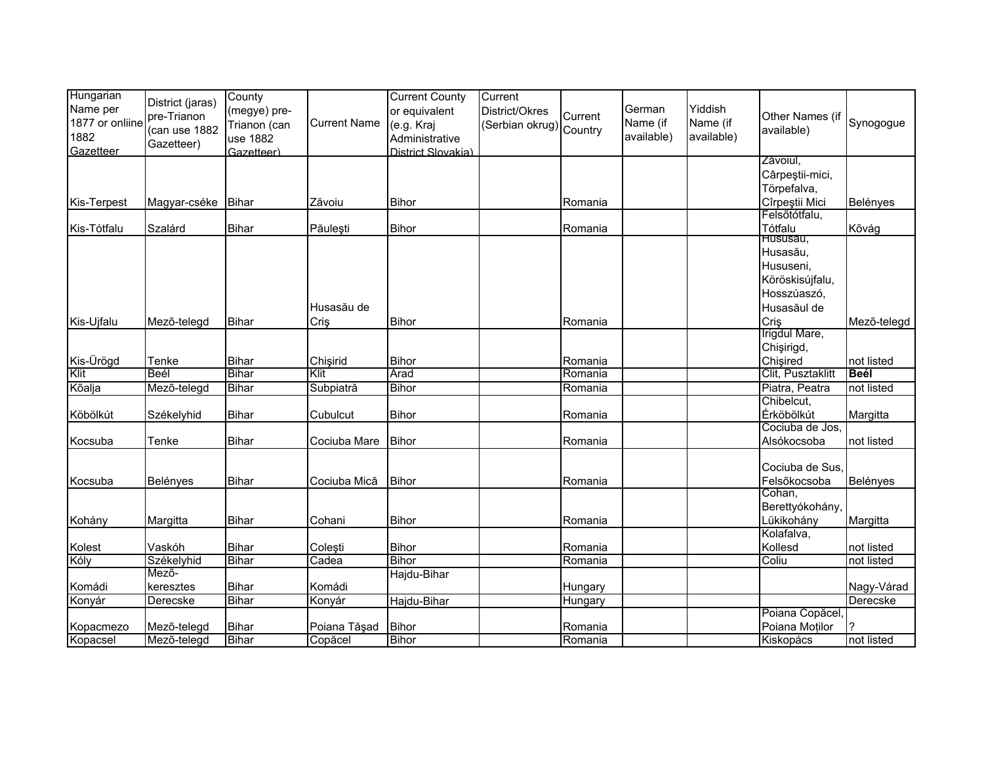| Hungarian<br>Name per<br>1877 or onliine<br>1882<br>Gazetteer | District (jaras)<br>pre-Trianon<br>(can use 1882<br>Gazetteer) | County<br>(megye) pre-<br>Trianon (can<br>use 1882<br>Gazetteer) | <b>Current Name</b> | <b>Current County</b><br>or equivalent<br>(e.g. Kraj<br>Administrative<br>District Slovakia) | Current<br>District/Okres<br>Serbian okrug) Country | Current | German<br>Name (if<br>available) | Yiddish<br>Name (if<br>available) | Other Names (if<br>available) | Synogogue   |
|---------------------------------------------------------------|----------------------------------------------------------------|------------------------------------------------------------------|---------------------|----------------------------------------------------------------------------------------------|-----------------------------------------------------|---------|----------------------------------|-----------------------------------|-------------------------------|-------------|
|                                                               |                                                                |                                                                  |                     |                                                                                              |                                                     |         |                                  |                                   | Zăvoiul,<br>Cârpeștii-mici,   |             |
|                                                               |                                                                |                                                                  |                     |                                                                                              |                                                     |         |                                  |                                   | Törpefalva,                   |             |
| Kis-Terpest                                                   | Magyar-cséke Bihar                                             |                                                                  | Zăvoiu              | <b>Bihor</b>                                                                                 |                                                     | Romania |                                  |                                   | Cîrpeștii Mici                | Belényes    |
|                                                               |                                                                |                                                                  |                     |                                                                                              |                                                     |         |                                  |                                   | Felsőtótfalu,                 |             |
| Kis-Tótfalu                                                   | Szalárd                                                        | <b>Bihar</b>                                                     | Păulești            | Bihor                                                                                        |                                                     | Romania |                                  |                                   | Tótfalu                       | Kõvág       |
|                                                               |                                                                |                                                                  |                     |                                                                                              |                                                     |         |                                  |                                   | Hususau,                      |             |
|                                                               |                                                                |                                                                  |                     |                                                                                              |                                                     |         |                                  |                                   | Husasău,                      |             |
|                                                               |                                                                |                                                                  |                     |                                                                                              |                                                     |         |                                  |                                   | Hususeni,<br>Köröskisújfalu,  |             |
|                                                               |                                                                |                                                                  |                     |                                                                                              |                                                     |         |                                  |                                   | Hosszúaszó,                   |             |
|                                                               |                                                                |                                                                  | Husasău de          |                                                                                              |                                                     |         |                                  |                                   | Husasăul de                   |             |
| Kis-Ujfalu                                                    | Mező-telegd                                                    | <b>Bihar</b>                                                     | Criş                | <b>Bihor</b>                                                                                 |                                                     | Romania |                                  |                                   | Criş                          | Mezõ-telegd |
|                                                               |                                                                |                                                                  |                     |                                                                                              |                                                     |         |                                  |                                   | Irigdul Mare,                 |             |
|                                                               |                                                                |                                                                  |                     |                                                                                              |                                                     |         |                                  |                                   | Chişirigd,                    |             |
| Kis-Ürögd                                                     | Tenke                                                          | <b>Bihar</b>                                                     | Chisirid            | <b>Bihor</b>                                                                                 |                                                     | Romania |                                  |                                   | Chisired                      | not listed  |
| Klit                                                          | Beél                                                           | <b>Bihar</b>                                                     | Klit                | Arad                                                                                         |                                                     | Romania |                                  |                                   | Clit, Pusztaklitt             | <b>Beél</b> |
| Kõalja                                                        | Mezõ-telegd                                                    | <b>Bihar</b>                                                     | Subpiatră           | <b>Bihor</b>                                                                                 |                                                     | Romania |                                  |                                   | Piatra, Peatra                | not listed  |
|                                                               |                                                                |                                                                  |                     |                                                                                              |                                                     |         |                                  |                                   | Chibelcut,                    |             |
| Köbölkút                                                      | Székelyhid                                                     | <b>Bihar</b>                                                     | Cubulcut            | <b>Bihor</b>                                                                                 |                                                     | Romania |                                  |                                   | Érköbölkút                    | Margitta    |
|                                                               |                                                                |                                                                  |                     |                                                                                              |                                                     |         |                                  |                                   | Cociuba de Jos.               |             |
| Kocsuba                                                       | Tenke                                                          | <b>Bihar</b>                                                     | Cociuba Mare        | <b>Bihor</b>                                                                                 |                                                     | Romania |                                  |                                   | Alsókocsoba                   | not listed  |
|                                                               |                                                                |                                                                  |                     |                                                                                              |                                                     |         |                                  |                                   | Cociuba de Sus.               |             |
| Kocsuba                                                       | Belényes                                                       | <b>Bihar</b>                                                     | Cociuba Mică        | <b>Bihor</b>                                                                                 |                                                     | Romania |                                  |                                   | Felsőkocsoba                  | Belényes    |
|                                                               |                                                                |                                                                  |                     |                                                                                              |                                                     |         |                                  |                                   | Cohan.                        |             |
|                                                               |                                                                |                                                                  |                     |                                                                                              |                                                     |         |                                  |                                   | Berettyókohány,               |             |
| Kohány                                                        | Margitta                                                       | <b>Bihar</b>                                                     | Cohani              | <b>Bihor</b>                                                                                 |                                                     | Romania |                                  |                                   | Lükikohány                    | Margitta    |
|                                                               |                                                                |                                                                  |                     |                                                                                              |                                                     |         |                                  |                                   | Kolafalva,                    |             |
| Kolest                                                        | Vaskóh                                                         | <b>Bihar</b>                                                     | Coleşti             | <b>Bihor</b>                                                                                 |                                                     | Romania |                                  |                                   | Kollesd                       | not listed  |
| Kóly                                                          | Székelyhid                                                     | Bihar                                                            | Cadea               | <b>Bihor</b>                                                                                 |                                                     | Romania |                                  |                                   | Coliu                         | not listed  |
|                                                               | Mezõ-                                                          |                                                                  |                     | Hajdu-Bihar                                                                                  |                                                     |         |                                  |                                   |                               |             |
| Komádi                                                        | keresztes                                                      | Bihar                                                            | Komádi              |                                                                                              |                                                     | Hungary |                                  |                                   |                               | Nagy-Várad  |
| Konyár                                                        | Derecske                                                       | Bihar                                                            | Konyár              | Hajdu-Bihar                                                                                  |                                                     | Hungary |                                  |                                   | Poiana Copăcel                | Derecske    |
| Kopacmezo                                                     | Mező-telegd                                                    | <b>Bihar</b>                                                     | Poiana Tăşad        | <b>Bihor</b>                                                                                 |                                                     | Romania |                                  |                                   | Poiana Moților                |             |
| Kopacsel                                                      | Mező-telegd                                                    | <b>Bihar</b>                                                     | Copăcel             | Bihor                                                                                        |                                                     | Romania |                                  |                                   | Kiskopács                     | not listed  |
|                                                               |                                                                |                                                                  |                     |                                                                                              |                                                     |         |                                  |                                   |                               |             |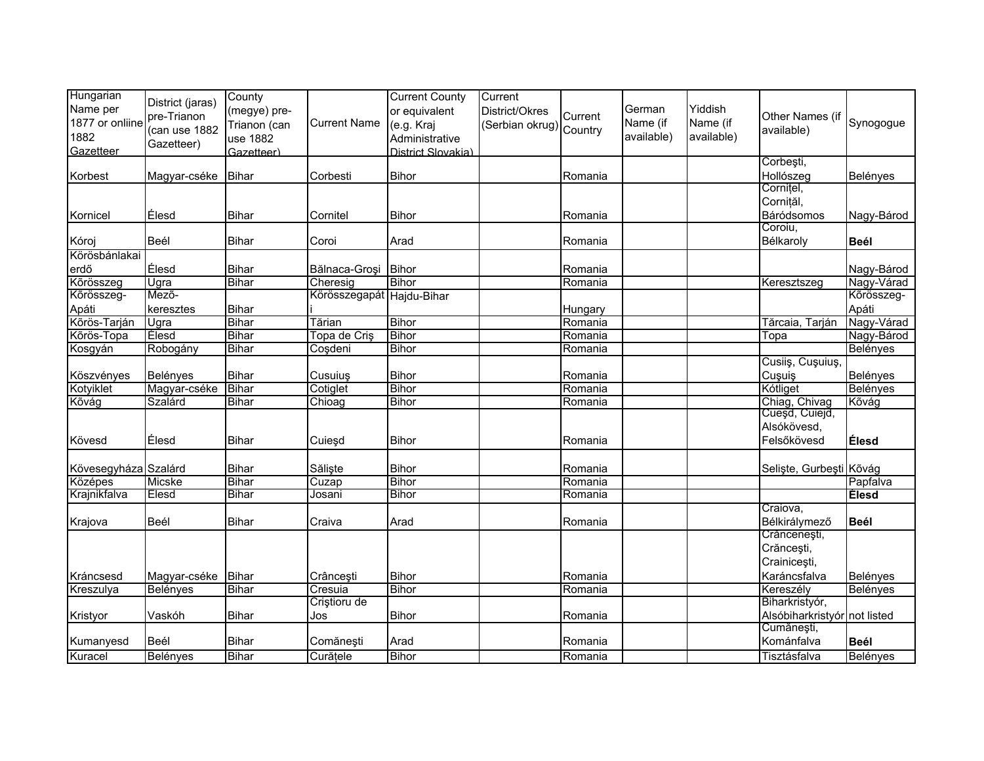| Hungarian<br>Name per<br>1877 or onliine<br>1882<br>Gazetteer | District (jaras)<br>pre-Trianon<br>(can use 1882<br>Gazetteer) | County<br>(megye) pre-<br>Trianon (can<br>use 1882<br>Gazetteer) | <b>Current Name</b>       | <b>Current County</b><br>or equivalent<br>(e.g. Kraj<br>Administrative<br>District Slovakia) | Current<br>District/Okres<br>(Serbian okrug) Country | Current | German<br>Name (if<br>available) | Yiddish<br>Name (if<br>available) | Other Names (if<br>available) | Synogogue       |
|---------------------------------------------------------------|----------------------------------------------------------------|------------------------------------------------------------------|---------------------------|----------------------------------------------------------------------------------------------|------------------------------------------------------|---------|----------------------------------|-----------------------------------|-------------------------------|-----------------|
|                                                               |                                                                |                                                                  |                           |                                                                                              |                                                      |         |                                  |                                   | Corbești,                     |                 |
| Korbest                                                       | Magyar-cséke Bihar                                             |                                                                  | Corbesti                  | <b>Bihor</b>                                                                                 |                                                      | Romania |                                  |                                   | Hollószeg<br>Cornițel,        | Belényes        |
|                                                               |                                                                |                                                                  |                           |                                                                                              |                                                      |         |                                  |                                   | Cornițăl,                     |                 |
| Kornicel                                                      | Élesd                                                          | <b>Bihar</b>                                                     | Cornitel                  | <b>Bihor</b>                                                                                 |                                                      | Romania |                                  |                                   | Báródsomos                    | Nagy-Bárod      |
|                                                               |                                                                |                                                                  |                           |                                                                                              |                                                      |         |                                  |                                   | Coroiu,                       |                 |
| Kóroj                                                         | Beél                                                           | <b>Bihar</b>                                                     | Coroi                     | Arad                                                                                         |                                                      | Romania |                                  |                                   | Bélkaroly                     | <b>Beél</b>     |
| Körösbánlakai                                                 |                                                                |                                                                  |                           |                                                                                              |                                                      |         |                                  |                                   |                               |                 |
| erdő                                                          | Élesd                                                          | <b>Bihar</b>                                                     | Bălnaca-Groși             | <b>Bihor</b>                                                                                 |                                                      | Romania |                                  |                                   |                               | Nagy-Bárod      |
| Kõrösszeg                                                     | Ugra                                                           | <b>Bihar</b>                                                     | Cheresig                  | <b>Bihor</b>                                                                                 |                                                      | Romania |                                  |                                   | Keresztszeg                   | Nagy-Várad      |
| Kõrösszeg-                                                    | Mező-                                                          |                                                                  | Körösszegapát Hajdu-Bihar |                                                                                              |                                                      |         |                                  |                                   |                               | Kõrösszeg-      |
| Apáti                                                         | keresztes                                                      | <b>Bihar</b>                                                     |                           |                                                                                              |                                                      | Hungary |                                  |                                   |                               | Apáti           |
| Kõrös-Tarján                                                  | Ugra                                                           | <b>Bihar</b>                                                     | Tărian                    | <b>Bihor</b>                                                                                 |                                                      | Romania |                                  |                                   | Tărcaia, Tarján               | Nagy-Várad      |
| Kõrös-Topa                                                    | Élesd                                                          | Bihar                                                            | Topa de Criş              | <b>Bihor</b>                                                                                 |                                                      | Romania |                                  |                                   | Topa                          | Nagy-Bárod      |
| Kosgyán                                                       | Robogány                                                       | <b>Bihar</b>                                                     | Coşdeni                   | <b>Bihor</b>                                                                                 |                                                      | Romania |                                  |                                   |                               | <b>Belényes</b> |
|                                                               |                                                                |                                                                  |                           |                                                                                              |                                                      |         |                                  |                                   | Cusiiş, Cuşuiuş,              |                 |
| Köszvényes                                                    | Belényes                                                       | <b>Bihar</b>                                                     | Cusuiuş                   | <b>Bihor</b>                                                                                 |                                                      | Romania |                                  |                                   | Cuşuiş                        | Belényes        |
| Kotyiklet                                                     | Magyar-cséke                                                   | <b>Bihar</b>                                                     | Cotiglet                  | <b>Bihor</b>                                                                                 |                                                      | Romania |                                  |                                   | Kótliget                      | Belényes        |
| Kõvág                                                         | Szalárd                                                        | <b>Bihar</b>                                                     | Chioag                    | <b>Bihor</b>                                                                                 |                                                      | Romania |                                  |                                   | Chiag, Chivag                 | Kõvág           |
|                                                               |                                                                |                                                                  |                           |                                                                                              |                                                      |         |                                  |                                   | Cuesd, Cuiejd,                |                 |
|                                                               |                                                                |                                                                  |                           |                                                                                              |                                                      |         |                                  |                                   | Alsókövesd,                   |                 |
| Kövesd                                                        | Élesd                                                          | <b>Bihar</b>                                                     | Cuieşd                    | <b>Bihor</b>                                                                                 |                                                      | Romania |                                  |                                   | Felsőkövesd                   | <b>Élesd</b>    |
| Kövesegyháza Szalárd                                          |                                                                | <b>Bihar</b>                                                     | Săliște                   | <b>Bihor</b>                                                                                 |                                                      | Romania |                                  |                                   | Seliste, Gurbești Kõvág       |                 |
| Középes                                                       | <b>Micske</b>                                                  | <b>Bihar</b>                                                     | Cuzap                     | <b>Bihor</b>                                                                                 |                                                      | Romania |                                  |                                   |                               | Papfalva        |
| Krajnikfalva                                                  | <b>Elesd</b>                                                   | Bihar                                                            | Josani                    | <b>Bihor</b>                                                                                 |                                                      | Romania |                                  |                                   |                               | <b>Elesd</b>    |
|                                                               |                                                                |                                                                  |                           |                                                                                              |                                                      |         |                                  |                                   | Craiova,                      |                 |
| Krajova                                                       | Beél                                                           | <b>Bihar</b>                                                     | Craiva                    | Arad                                                                                         |                                                      | Romania |                                  |                                   | Bélkirálymező                 | <b>Beél</b>     |
|                                                               |                                                                |                                                                  |                           |                                                                                              |                                                      |         |                                  |                                   | Crăncenești,                  |                 |
|                                                               |                                                                |                                                                  |                           |                                                                                              |                                                      |         |                                  |                                   | Crăncești,                    |                 |
|                                                               |                                                                |                                                                  |                           |                                                                                              |                                                      |         |                                  |                                   | Crainicești,                  |                 |
| Kráncsesd                                                     | Magyar-cséke                                                   | Bihar                                                            | Crâncești                 | <b>Bihor</b>                                                                                 |                                                      | Romania |                                  |                                   | Karáncsfalva                  | Belényes        |
| Kreszulya                                                     | <b>Belényes</b>                                                | <b>Bihar</b>                                                     | Cresuia                   | <b>Bihor</b>                                                                                 |                                                      | Romania |                                  |                                   | Kereszély                     | Belényes        |
|                                                               |                                                                |                                                                  | Criștioru de              |                                                                                              |                                                      |         |                                  |                                   | Biharkristyór,                |                 |
| Kristyor                                                      | Vaskóh                                                         | Bihar                                                            | Jos                       | Bihor                                                                                        |                                                      | Romania |                                  |                                   | Alsóbiharkristyór not listed  |                 |
|                                                               |                                                                |                                                                  |                           |                                                                                              |                                                      |         |                                  |                                   | Cumănești,                    |                 |
| Kumanyesd                                                     | Beél                                                           | <b>Bihar</b>                                                     | Comănești                 | Arad                                                                                         |                                                      | Romania |                                  |                                   | Kománfalva                    | <b>Beél</b>     |
| Kuracel                                                       | <b>Belényes</b>                                                | <b>Bihar</b>                                                     | Curățele                  | <b>Bihor</b>                                                                                 |                                                      | Romania |                                  |                                   | Tisztásfalva                  | Belényes        |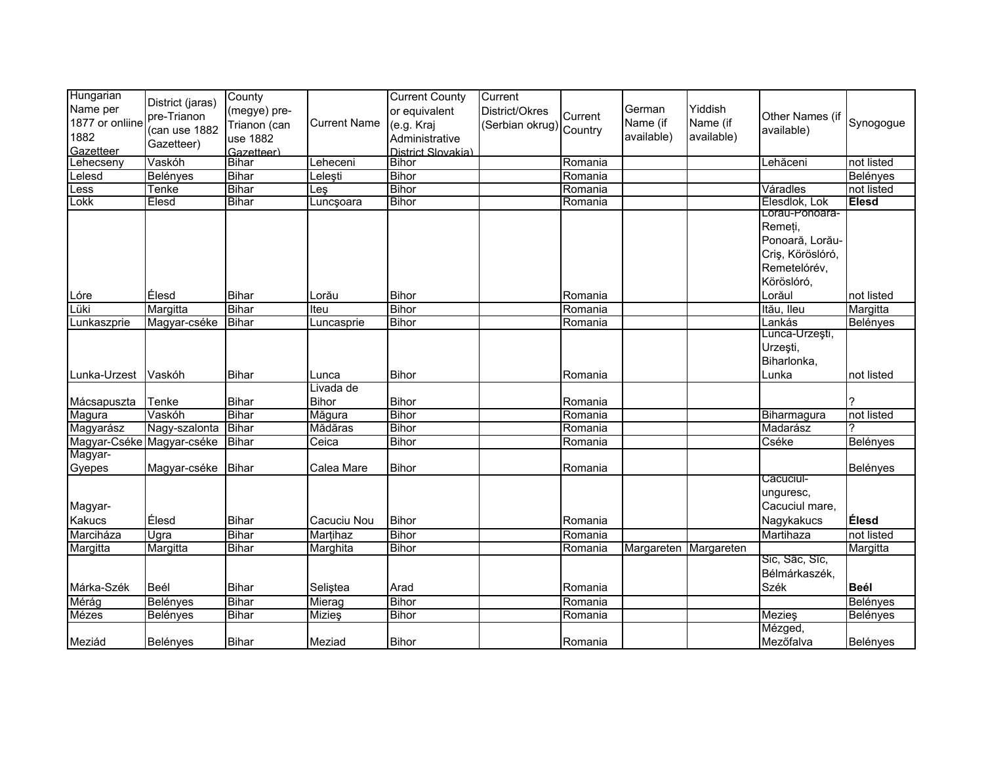| Hungarian<br>Name per<br>1877 or onliine<br>1882<br>Gazetteer | District (jaras)<br>pre-Trianon<br>(can use 1882<br>Gazetteer) | County<br>(megye) pre-<br>Trianon (can<br>use 1882<br>Gazetteer) | <b>Current Name</b> | <b>Current County</b><br>or equivalent<br>(e.g. Kraj<br>Administrative<br>District Slovakia) | Current<br>District/Okres<br>(Serbian okrug) Country | Current | German<br>Name (if<br>available) | Yiddish<br>Name (if<br>available) | Other Names (if<br>available)                                                                  | Synogogue       |
|---------------------------------------------------------------|----------------------------------------------------------------|------------------------------------------------------------------|---------------------|----------------------------------------------------------------------------------------------|------------------------------------------------------|---------|----------------------------------|-----------------------------------|------------------------------------------------------------------------------------------------|-----------------|
| Lehecseny                                                     | Vaskóh                                                         | Bihar                                                            | Leheceni            | <b>Bihor</b>                                                                                 |                                                      | Romania |                                  |                                   | Lehăceni                                                                                       | not listed      |
| $L$ elesd                                                     | Belényes                                                       | <b>Bihar</b>                                                     | Leleşti             | <b>Bihor</b>                                                                                 |                                                      | Romania |                                  |                                   |                                                                                                | Belényes        |
| Less                                                          | Tenke                                                          | <b>Bihar</b>                                                     | $_{\text{les}}$     | <b>Bihor</b>                                                                                 |                                                      | Romania |                                  |                                   | Váradles                                                                                       | not listed      |
| Lokk                                                          | <b>Elesd</b>                                                   | <b>Bihar</b>                                                     | Luncşoara           | <b>Bihor</b>                                                                                 |                                                      | Romania |                                  |                                   | Élesdlok, Lok                                                                                  | <b>Elesd</b>    |
|                                                               |                                                                |                                                                  |                     |                                                                                              |                                                      |         |                                  |                                   | Lorau-Ponoara-<br>Remeți,<br>Ponoară, Lorău-<br>Criş, Köröslóró,<br>Remetelórév,<br>Köröslóró, |                 |
| Lóre                                                          | Élesd                                                          | <b>Bihar</b>                                                     | Lorău               | <b>Bihor</b>                                                                                 |                                                      | Romania |                                  |                                   | Lorăul                                                                                         | not listed      |
| Lüki                                                          | Margitta                                                       | <b>Bihar</b>                                                     | Iteu                | Bihor                                                                                        |                                                      | Romania |                                  |                                   | Itău, lleu                                                                                     | Margitta        |
| Lunkaszprie                                                   | Magyar-cséke                                                   | <b>Bihar</b>                                                     | Luncasprie          | <b>Bihor</b>                                                                                 |                                                      | Romania |                                  |                                   | Lankás                                                                                         | Belényes        |
|                                                               |                                                                |                                                                  |                     |                                                                                              |                                                      |         |                                  |                                   | Lunca-Urzeşti,<br>Urzești,<br>Biharlonka,                                                      |                 |
| Lunka-Urzest                                                  | Vaskóh                                                         | <b>Bihar</b>                                                     | Lunca               | <b>Bihor</b>                                                                                 |                                                      | Romania |                                  |                                   | Lunka                                                                                          | not listed      |
|                                                               |                                                                |                                                                  | Livada de           |                                                                                              |                                                      |         |                                  |                                   |                                                                                                |                 |
| Mácsapuszta                                                   | Tenke                                                          | Bihar                                                            | <b>Bihor</b>        | <b>Bihor</b>                                                                                 |                                                      | Romania |                                  |                                   |                                                                                                |                 |
| Magura                                                        | Vaskóh                                                         | <b>Bihar</b>                                                     | Măgura              | <b>Bihor</b>                                                                                 |                                                      | Romania |                                  |                                   | Biharmagura                                                                                    | not listed      |
| Magyarász                                                     | Nagy-szalonta                                                  | <b>Bihar</b>                                                     | Mădăras             | <b>Bihor</b>                                                                                 |                                                      | Romania |                                  |                                   | Madarász                                                                                       |                 |
| Magyar-Cséke Magyar-cséke                                     |                                                                | <b>Bihar</b>                                                     | Ceica               | <b>Bihor</b>                                                                                 |                                                      | Romania |                                  |                                   | Cséke                                                                                          | <b>Belényes</b> |
| Magyar-                                                       |                                                                |                                                                  |                     |                                                                                              |                                                      |         |                                  |                                   |                                                                                                |                 |
| Gyepes                                                        | Magyar-cséke                                                   | Bihar                                                            | Calea Mare          | <b>Bihor</b>                                                                                 |                                                      | Romania |                                  |                                   |                                                                                                | Belényes        |
| Magyar-<br><b>Kakucs</b>                                      | Élesd                                                          | <b>Bihar</b>                                                     | Cacuciu Nou         | <b>Bihor</b>                                                                                 |                                                      | Romania |                                  |                                   | Căcuciul-<br>unguresc,<br>Cacuciul mare,<br>Nagykakucs                                         | Élesd           |
| Marciháza                                                     | Ugra                                                           | <b>Bihar</b>                                                     | Martihaz            | <b>Bihor</b>                                                                                 |                                                      | Romania |                                  |                                   | Martihaza                                                                                      | not listed      |
| Margitta                                                      | Margitta                                                       | <b>Bihar</b>                                                     | Marghita            | <b>Bihor</b>                                                                                 |                                                      | Romania | Margareten Margareten            |                                   |                                                                                                | Margitta        |
| Márka-Szék                                                    | Beél                                                           | <b>Bihar</b>                                                     | Seliştea            | Arad                                                                                         |                                                      | Romania |                                  |                                   | Sic, Sâc, Sîc,<br>Bélmárkaszék,<br>Szék                                                        | Beél            |
|                                                               |                                                                | Bihar                                                            | Mierag              | <b>Bihor</b>                                                                                 |                                                      |         |                                  |                                   |                                                                                                |                 |
| Mérág                                                         | Belényes                                                       |                                                                  |                     |                                                                                              |                                                      | Romania |                                  |                                   |                                                                                                | <b>Belényes</b> |
| Mézes                                                         | Belényes                                                       | <b>Bihar</b>                                                     | Mizieş              | <b>Bihor</b>                                                                                 |                                                      | Romania |                                  |                                   | Mezieş<br>Mézged,                                                                              | Belényes        |
| Meziád                                                        | Belényes                                                       | <b>Bihar</b>                                                     | Meziad              | <b>Bihor</b>                                                                                 |                                                      | Romania |                                  |                                   | Mezőfalva                                                                                      | Belényes        |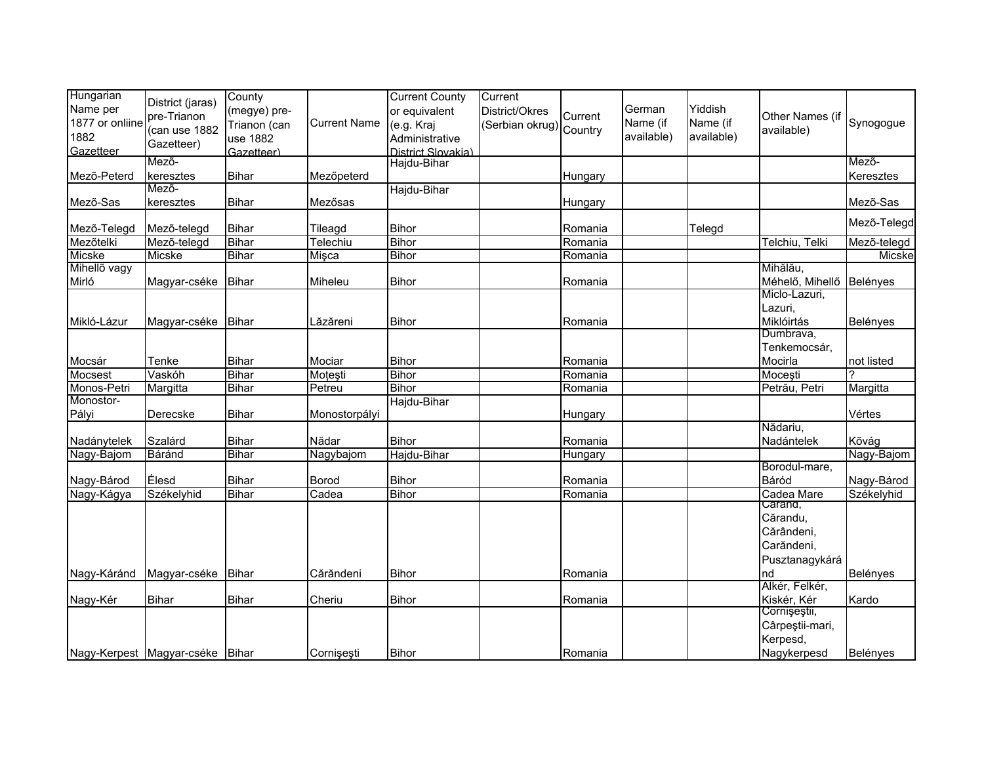| Hungarian<br>Name per   | District (jaras)                           | County<br>(megye) pre-       |                     | <b>Current County</b><br>or equivalent | Current<br>District/Okres |          | German                 | Yiddish                |                               |                     |
|-------------------------|--------------------------------------------|------------------------------|---------------------|----------------------------------------|---------------------------|----------|------------------------|------------------------|-------------------------------|---------------------|
| 1877 or onliine<br>1882 | pre-Trianon<br>(can use 1882<br>Gazetteer) | Trianon (can<br>use 1882     | <b>Current Name</b> | (e.g. Kraj<br>Administrative           | (Serbian okrug) Country   | Current  | Name (if<br>available) | Name (if<br>available) | Other Names (if<br>available) | Synogogue           |
| Gazetteer               |                                            | Gazetteer)                   |                     | District Slovakia)                     |                           |          |                        |                        |                               |                     |
|                         | Mező-                                      |                              |                     | Hajdu-Bihar                            |                           |          |                        |                        |                               | Mező-               |
| Mezõ-Peterd             | keresztes                                  | <b>Bihar</b>                 | Mezőpeterd          |                                        |                           | Hungarv  |                        |                        |                               | Keresztes           |
|                         | Mező-                                      |                              |                     | Hajdu-Bihar                            |                           |          |                        |                        |                               |                     |
| Mezõ-Sas                | keresztes                                  | <b>Bihar</b>                 | Mezősas             |                                        |                           | Hungary  |                        |                        |                               | Mezõ-Sas            |
| Mező-Telegd             | Mező-telegd                                | <b>Bihar</b>                 | Tileagd             | <b>Bihor</b>                           |                           | Romania  |                        | Telegd                 |                               | Mező-Telegd         |
| Mezőtelki               | Mező-telegd                                | <b>Bihar</b>                 | Telechiu            | <b>Bihor</b>                           |                           | Romania  |                        |                        | Telchiu, Telki                | Mezõ-telegd         |
| Micske                  | Micske                                     | <b>Bihar</b>                 | Mişca               | <b>Bihor</b>                           |                           | Romania  |                        |                        |                               | Micske              |
| Mihellő vagy            |                                            |                              |                     |                                        |                           |          |                        |                        | Mihălău,                      |                     |
| Mirló                   | Magyar-cséke Bihar                         |                              | Miheleu             | <b>Bihor</b>                           |                           | Romania  |                        |                        | Méhelő, Mihellő Belényes      |                     |
|                         |                                            |                              |                     |                                        |                           |          |                        |                        | Miclo-Lazuri,                 |                     |
|                         |                                            |                              |                     |                                        |                           |          |                        |                        | Lazuri,                       |                     |
| Mikló-Lázur             | Magyar-cséke                               | <b>Bihar</b>                 | Lăzăreni            | <b>Bihor</b>                           |                           | Romania  |                        |                        | Miklóirtás                    | Belényes            |
|                         |                                            |                              |                     |                                        |                           |          |                        |                        | Dumbrava,                     |                     |
|                         |                                            |                              |                     |                                        |                           |          |                        |                        | Tenkemocsár,                  |                     |
| Mocsár                  | Tenke                                      | <b>Bihar</b>                 | Mociar              | Bihor                                  |                           | Romania  |                        |                        | Mocirla                       | not listed          |
| Mocsest                 | Vaskóh                                     | <b>Bihar</b>                 | Motesti             | <b>Bihor</b>                           |                           | Romania  |                        |                        | Mocești                       |                     |
| Monos-Petri             | Margitta                                   | <b>Bihar</b>                 | Petreu              | <b>Bihor</b>                           |                           | Romania  |                        |                        | Petrău, Petri                 | Margitta            |
| Monostor-               |                                            |                              |                     | Hajdu-Bihar                            |                           |          |                        |                        |                               |                     |
| Pályi                   | Derecske                                   | <b>Bihar</b>                 | Monostorpályi       |                                        |                           | Hungary  |                        |                        | Nădariu,                      | Vértes              |
|                         |                                            |                              |                     |                                        |                           |          |                        |                        |                               |                     |
| Nadánytelek             | Szalárd                                    | <b>Bihar</b><br><b>Bihar</b> | Nădar               | <b>Bihor</b>                           |                           | Romania  |                        |                        | Nadántelek                    | Kõvág<br>Nagy-Bajom |
| Nagy-Bajom              | Báránd                                     |                              | Nagybajom           | Hajdu-Bihar                            |                           | Hungary  |                        |                        | Borodul-mare,                 |                     |
| Nagy-Bárod              | Élesd                                      | <b>Bihar</b>                 | <b>Borod</b>        | <b>Bihor</b>                           |                           | Romania  |                        |                        | Báród                         | Nagy-Bárod          |
| Nagy-Kágya              | Székelyhid                                 | <b>Bihar</b>                 | Cadea               | <b>Bihor</b>                           |                           | Romania  |                        |                        | Cadea Mare                    | Székelyhid          |
|                         |                                            |                              |                     |                                        |                           |          |                        |                        | Carand,                       |                     |
|                         |                                            |                              |                     |                                        |                           |          |                        |                        | Cărandu,                      |                     |
|                         |                                            |                              |                     |                                        |                           |          |                        |                        | Cărândeni,                    |                     |
|                         |                                            |                              |                     |                                        |                           |          |                        |                        | Carăndeni,                    |                     |
|                         |                                            |                              |                     |                                        |                           |          |                        |                        | Pusztanagykárá                |                     |
| Nagy-Káránd             | Magyar-cséke                               | Bihar                        | Cărăndeni           | <b>Bihor</b>                           |                           | Romania  |                        |                        | nd                            | Belényes            |
|                         |                                            |                              |                     |                                        |                           |          |                        |                        | Alkér, Felkér,                |                     |
| Nagy-Kér                | <b>Bihar</b>                               | <b>Bihar</b>                 | Cheriu              | <b>Bihor</b>                           |                           | Romania  |                        |                        | Kiskér, Kér                   | Kardo               |
|                         |                                            |                              |                     |                                        |                           |          |                        |                        | Cornișeștii,                  |                     |
|                         |                                            |                              |                     |                                        |                           |          |                        |                        | Cârpeștii-mari,               |                     |
|                         |                                            |                              |                     |                                        |                           |          |                        |                        | Kerpesd,                      |                     |
|                         | Nagy-Kerpest Magyar-cséke Bihar            |                              | Cornisesti          | <b>Bihor</b>                           |                           | IRomania |                        |                        | Nagykerpesd                   | Belényes            |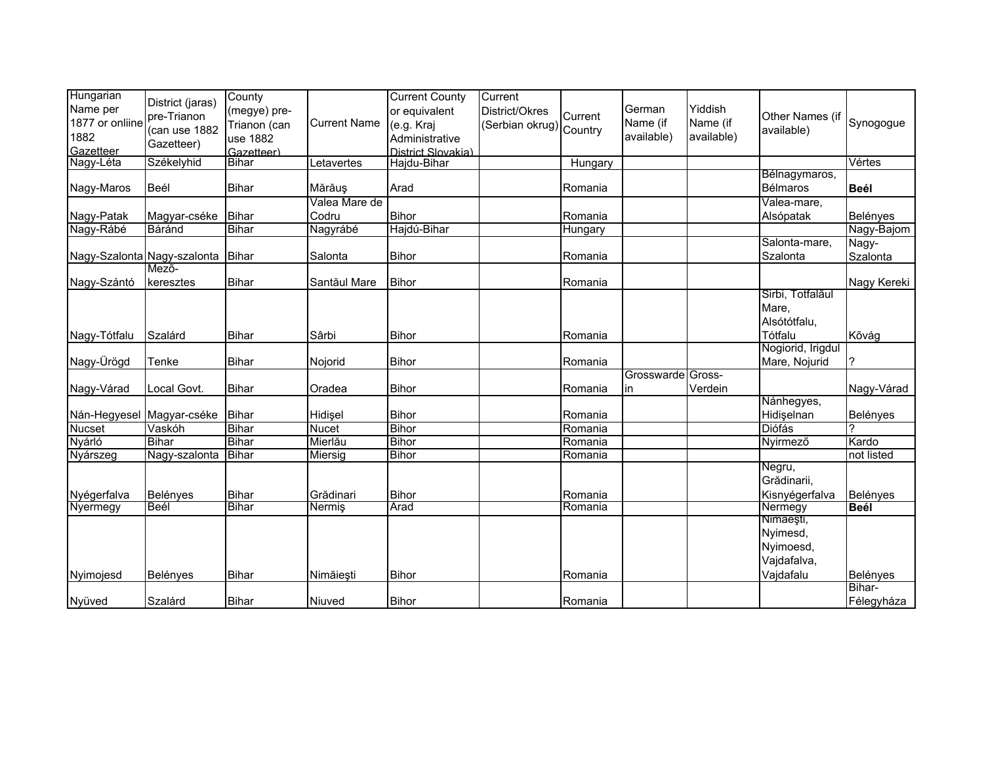| Hungarian<br>Name per<br>1877 or onliine<br>1882<br>Gazetteer | District (jaras)<br>pre-Trianon<br>(can use 1882<br>Gazetteer) | County<br>(megye) pre-<br>Trianon (can<br>use 1882<br>Gazetteer) | <b>Current Name</b>    | <b>Current County</b><br>or equivalent<br>(e.g. Kraj<br>Administrative<br>District Slovakia) | Current<br>District/Okres<br>(Serbian okrug) Country | Current | German<br>Name (if<br>available) | Yiddish<br>Name (if<br>available) | Other Names (if<br>available)                                  | Synogogue          |
|---------------------------------------------------------------|----------------------------------------------------------------|------------------------------------------------------------------|------------------------|----------------------------------------------------------------------------------------------|------------------------------------------------------|---------|----------------------------------|-----------------------------------|----------------------------------------------------------------|--------------------|
| Nagy-Léta                                                     | Székelyhid                                                     | <b>Bihar</b>                                                     | Letavertes             | Hajdu-Bihar                                                                                  |                                                      | Hungary |                                  |                                   |                                                                | Vértes             |
| Nagy-Maros                                                    | Beél                                                           | <b>Bihar</b>                                                     | Mărăuş                 | Arad                                                                                         |                                                      | Romania |                                  |                                   | Bélnagymaros,<br>Bélmaros                                      | <b>Beél</b>        |
| Nagy-Patak                                                    | Magyar-cséke                                                   | <b>Bihar</b>                                                     | Valea Mare de<br>Codru | <b>Bihor</b>                                                                                 |                                                      | Romania |                                  |                                   | Valea-mare,<br>Alsópatak                                       | Belényes           |
| Nagy-Rábé                                                     | Báránd                                                         | <b>Bihar</b>                                                     | Nagyrábé               | Hajdú-Bihar                                                                                  |                                                      | Hungary |                                  |                                   |                                                                | Nagy-Bajom         |
|                                                               | Nagy-Szalonta Nagy-szalonta Bihar                              |                                                                  | Salonta                | <b>Bihor</b>                                                                                 |                                                      | Romania |                                  |                                   | Salonta-mare,<br>Szalonta                                      | Nagy-<br>Szalonta  |
| Nagy-Szántó                                                   | Mező-<br>keresztes                                             | Bihar                                                            | Santăul Mare           | <b>Bihor</b>                                                                                 |                                                      | Romania |                                  |                                   |                                                                | Nagy Kereki        |
|                                                               |                                                                |                                                                  |                        |                                                                                              |                                                      |         |                                  |                                   | Sirbi, Totfalăul<br>Mare,<br>Alsótótfalu,                      |                    |
| Nagy-Tótfalu                                                  | Szalárd                                                        | Bihar                                                            | Sârbi                  | <b>Bihor</b>                                                                                 |                                                      | Romania |                                  |                                   | Tótfalu                                                        | Kõvág              |
| Nagy-Ürögd                                                    | Tenke                                                          | <b>Bihar</b>                                                     | Nojorid                | <b>Bihor</b>                                                                                 |                                                      | Romania |                                  |                                   | Nogiorid, Irigdul<br>Mare, Nojurid                             | ?                  |
| Nagy-Várad                                                    | Local Govt.                                                    | <b>Bihar</b>                                                     | Oradea                 | <b>Bihor</b>                                                                                 |                                                      | Romania | Grosswarde Gross-<br>in          | Verdein                           |                                                                | Nagy-Várad         |
| Nán-Hegyesel Magyar-cséke                                     |                                                                | Bihar                                                            | Hidisel                | <b>Bihor</b>                                                                                 |                                                      | Romania |                                  |                                   | Nánhegyes,<br>Hidiselnan                                       | Belényes           |
| <b>Nucset</b>                                                 | Vaskóh                                                         | <b>Bihar</b>                                                     | <b>Nucet</b>           | <b>Bihor</b>                                                                                 |                                                      | Romania |                                  |                                   | Diófás                                                         |                    |
| Nyárló                                                        | <b>Bihar</b>                                                   | <b>Bihar</b>                                                     | Mierlău                | <b>Bihor</b>                                                                                 |                                                      | Romania |                                  |                                   | Nyirmező                                                       | Kardo              |
| Nyárszeg                                                      | Nagy-szalonta                                                  | Bihar                                                            | Miersig                | Bihor                                                                                        |                                                      | Romania |                                  |                                   | Negru,<br>Grădinarii.                                          | not listed         |
| Nyégerfalva                                                   | Belényes                                                       | <b>Bihar</b>                                                     | Grădinari              | Bihor                                                                                        |                                                      | Romania |                                  |                                   | Kisnyégerfalva                                                 | Belényes           |
| Nyermegy                                                      | Beél                                                           | <b>Bihar</b>                                                     | Nermiş                 | Arad                                                                                         |                                                      | Romania |                                  |                                   | Nermegy                                                        | <b>Beél</b>        |
| Nyimojesd                                                     | Belényes                                                       | <b>Bihar</b>                                                     | Nimăiești              | Bihor                                                                                        |                                                      | Romania |                                  |                                   | Nimãeşti,<br>Nyimesd,<br>Nyimoesd,<br>Vajdafalva,<br>Vajdafalu | Belényes<br>Bihar- |
| Nyüved                                                        | Szalárd                                                        | <b>Bihar</b>                                                     | Niuved                 | Bihor                                                                                        |                                                      | Romania |                                  |                                   |                                                                | Félegyháza         |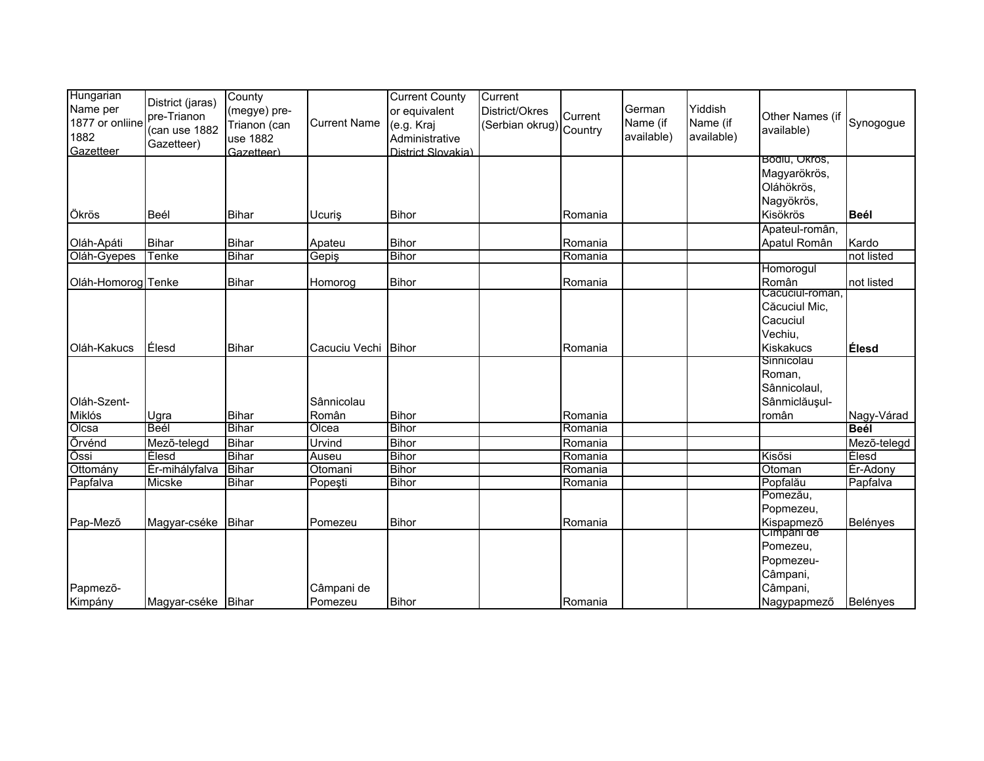| Hungarian<br>Name per<br>1877 or onliine<br>1882<br>Gazetteer | District (jaras)<br>pre-Trianon<br>(can use 1882<br>Gazetteer) | County<br>(megye) pre-<br>Trianon (can<br>use 1882<br>Gazetteer) | <b>Current Name</b>   | <b>Current County</b><br>or equivalent<br>(e.g. Kraj<br>Administrative<br>District Slovakia) | Current<br>District/Okres<br>(Serbian okrug) Country | Current            | German<br>Name (if<br>available) | Yiddish<br>Name (if<br>available) | Other Names (if<br>available)                                         | Synogogue            |
|---------------------------------------------------------------|----------------------------------------------------------------|------------------------------------------------------------------|-----------------------|----------------------------------------------------------------------------------------------|------------------------------------------------------|--------------------|----------------------------------|-----------------------------------|-----------------------------------------------------------------------|----------------------|
| Ökrös                                                         | Beél                                                           | Bihar                                                            | Ucuris                | <b>Bihor</b>                                                                                 |                                                      | Romania            |                                  |                                   | Bodiu, Okros,<br>Magyarökrös,<br>Oláhökrös,<br>Nagyökrös,<br>Kisökrös | <b>Beél</b>          |
|                                                               |                                                                |                                                                  |                       |                                                                                              |                                                      |                    |                                  |                                   | Apateul-român,                                                        |                      |
| Oláh-Apáti                                                    | <b>Bihar</b>                                                   | <b>Bihar</b><br><b>Bihar</b>                                     | Apateu                | <b>Bihor</b><br><b>Bihor</b>                                                                 |                                                      | Romania            |                                  |                                   | Apatul Român                                                          | Kardo                |
| Oláh-Gyepes                                                   | Tenke                                                          |                                                                  | Gepiş                 |                                                                                              |                                                      | Romania            |                                  |                                   | Homorogul                                                             | not listed           |
| Oláh-Homorog Tenke                                            |                                                                | <b>Bihar</b>                                                     | Homorog               | <b>Bihor</b>                                                                                 |                                                      | Romania            |                                  |                                   | Român<br>Cacuciui-roman,                                              | not listed           |
| Oláh-Kakucs                                                   | Élesd                                                          | <b>Bihar</b>                                                     | Cacuciu Vechi         | <b>Bihor</b>                                                                                 |                                                      | Romania            |                                  |                                   | Căcuciul Mic,<br>Cacuciul<br>Vechiu.<br>Kiskakucs                     | Élesd                |
| Oláh-Szent-                                                   |                                                                |                                                                  | Sânnicolau            |                                                                                              |                                                      |                    |                                  |                                   | Sinnicolau<br>Roman,<br>Sânnicolaul,<br>Sânmiclăușul-                 |                      |
| Miklós                                                        | Ugra<br>Beél                                                   | <b>Bihar</b>                                                     | Român<br>Olcea        | <b>Bihor</b>                                                                                 |                                                      | Romania            |                                  |                                   | român                                                                 | Nagy-Várad<br>Beél   |
| Olcsa                                                         |                                                                | <b>Bihar</b>                                                     |                       | <b>Bihor</b>                                                                                 |                                                      | Romania            |                                  |                                   |                                                                       |                      |
| Örvénd                                                        | Mezõ-telegd                                                    | <b>Bihar</b>                                                     | Urvind                | <b>Bihor</b>                                                                                 |                                                      | Romania            |                                  |                                   |                                                                       | Mező-telegd          |
| Õssi                                                          | Elesd                                                          | <b>Bihar</b><br><b>Bihar</b>                                     | Auseu                 | <b>Bihor</b><br><b>Bihor</b>                                                                 |                                                      | Romania            |                                  |                                   | Kisősi                                                                | <b>Élesd</b>         |
| Ottomány<br>Papfalva                                          | Ér-mihályfalva<br>Micske                                       | <b>Bihar</b>                                                     | Otomani               | <b>Bihor</b>                                                                                 |                                                      | Romania<br>Romania |                                  |                                   | Otoman<br>Popfalău                                                    | Ér-Adony<br>Papfalva |
|                                                               |                                                                |                                                                  | Popeşti               |                                                                                              |                                                      |                    |                                  |                                   | Pomezău,                                                              |                      |
| Pap-Mezõ                                                      | Magyar-cséke Bihar                                             |                                                                  | Pomezeu               | <b>Bihor</b>                                                                                 |                                                      | Romania            |                                  |                                   | Popmezeu,<br>Kispapmező<br>Cimpani de                                 | Belényes             |
| Papmezõ-<br>Kimpány                                           | Magyar-cséke Bihar                                             |                                                                  | Câmpani de<br>Pomezeu | <b>Bihor</b>                                                                                 |                                                      | Romania            |                                  |                                   | Pomezeu,<br>Popmezeu-<br>Câmpani,<br>Câmpani,<br>Nagypapmező          | Belényes             |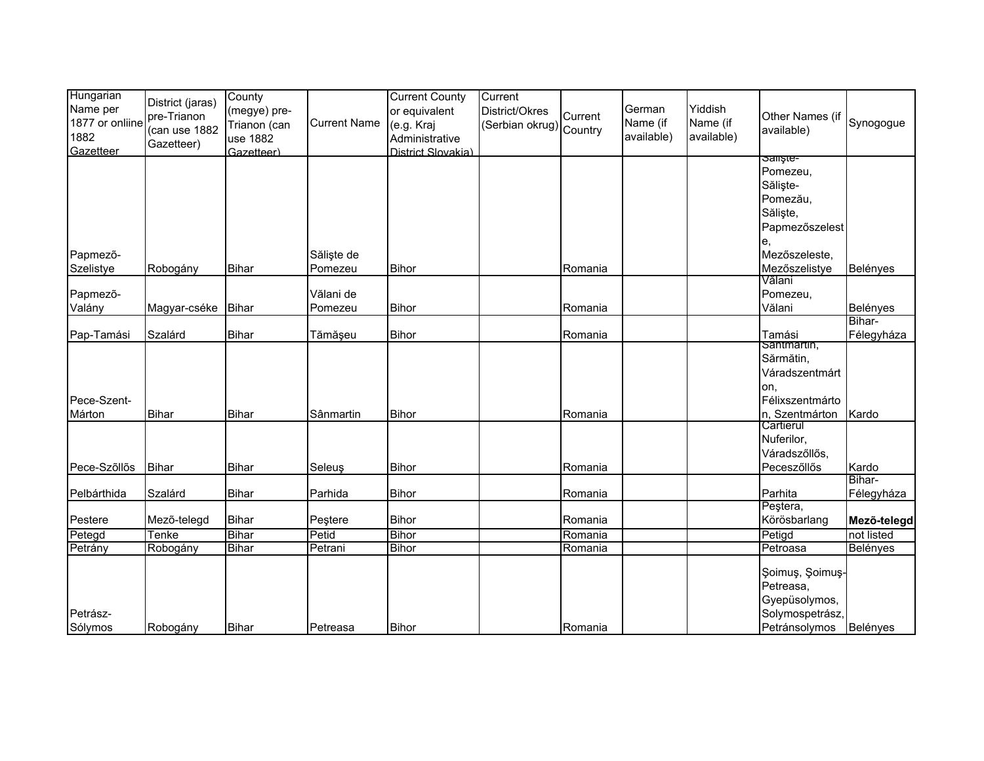| Hungarian<br>Name per<br>1877 or onliine<br>1882<br>Gazetteer | District (jaras)<br>pre-Trianon<br>(can use 1882<br>Gazetteer) | County<br>(megye) pre-<br>Trianon (can<br>use 1882<br>Gazetteer) | <b>Current Name</b>  | <b>Current County</b><br>or equivalent<br>(e.g. Kraj<br>Administrative<br>District Slovakia) | Current<br>District/Okres<br>(Serbian okrug) Country | Current | German<br>Name (if<br>available) | Yiddish<br>Name (if<br>available) | Other Names (if<br>available)                                                               | Synogogue            |
|---------------------------------------------------------------|----------------------------------------------------------------|------------------------------------------------------------------|----------------------|----------------------------------------------------------------------------------------------|------------------------------------------------------|---------|----------------------------------|-----------------------------------|---------------------------------------------------------------------------------------------|----------------------|
| Papmezõ-                                                      |                                                                |                                                                  | Săliște de           |                                                                                              |                                                      |         |                                  |                                   | Saliste-<br>Pomezeu.<br>Săliște-<br>Pomezău,<br>Săliște,<br>Papmezőszelest<br>Mezőszeleste, |                      |
| Szelistye                                                     | Robogány                                                       | Bihar                                                            | Pomezeu              | <b>Bihor</b>                                                                                 |                                                      | Romania |                                  |                                   | Mezőszelistye<br>Vălani                                                                     | Belényes             |
| Papmező-<br>Valány                                            | Magyar-cséke                                                   | <b>Bihar</b>                                                     | Vălani de<br>Pomezeu | <b>Bihor</b>                                                                                 |                                                      | Romania |                                  |                                   | Pomezeu,<br>Vălani                                                                          | Belényes             |
| Pap-Tamási                                                    | Szalárd                                                        | <b>Bihar</b>                                                     | Tămășeu              | <b>Bihor</b>                                                                                 |                                                      | Romania |                                  |                                   | Tamási<br>Santmartin,                                                                       | Bihar-<br>Félegyháza |
| Pece-Szent-<br>Márton                                         | <b>Bihar</b>                                                   | <b>Bihar</b>                                                     | Sânmartin            | <b>Bihor</b>                                                                                 |                                                      | Romania |                                  |                                   | Sărmătin,<br>Váradszentmárt<br>lon.<br>Félixszentmárto<br>n, Szentmárton                    | Kardo                |
| Pece-Szőllős                                                  | Bihar                                                          | Bihar                                                            | Seleuş               | <b>Bihor</b>                                                                                 |                                                      | Romania |                                  |                                   | Cartierul<br>Nuferilor,<br>Váradszőllős,<br>Peceszőllős                                     | Kardo                |
| Pelbárthida                                                   | Szalárd                                                        | <b>Bihar</b>                                                     | Parhida              | <b>Bihor</b>                                                                                 |                                                      | Romania |                                  |                                   | Parhita                                                                                     | Bihar-<br>Félegyháza |
| Pestere                                                       | Mező-telegd                                                    | <b>Bihar</b>                                                     | Peştere              | <b>Bihor</b>                                                                                 |                                                      | Romania |                                  |                                   | Peștera,<br>Körösbarlang                                                                    | Mezõ-telegd          |
| Petegd                                                        | Tenke                                                          | <b>Bihar</b>                                                     | Petid                | Bihor                                                                                        |                                                      | Romania |                                  |                                   | Petigd                                                                                      | not listed           |
| Petrány                                                       | Robogány                                                       | Bihar                                                            | Petrani              | Bihor                                                                                        |                                                      | Romania |                                  |                                   | Petroasa                                                                                    | Belényes             |
| Petrász-<br>Sólymos                                           | Robogány                                                       | <b>Bihar</b>                                                     | Petreasa             | <b>Bihor</b>                                                                                 |                                                      | Romania |                                  |                                   | Şoimuş, Şoimuş-<br>Petreasa,<br>Gyepüsolymos,<br>Solymospetrász,<br>Petránsolymos           | Belényes             |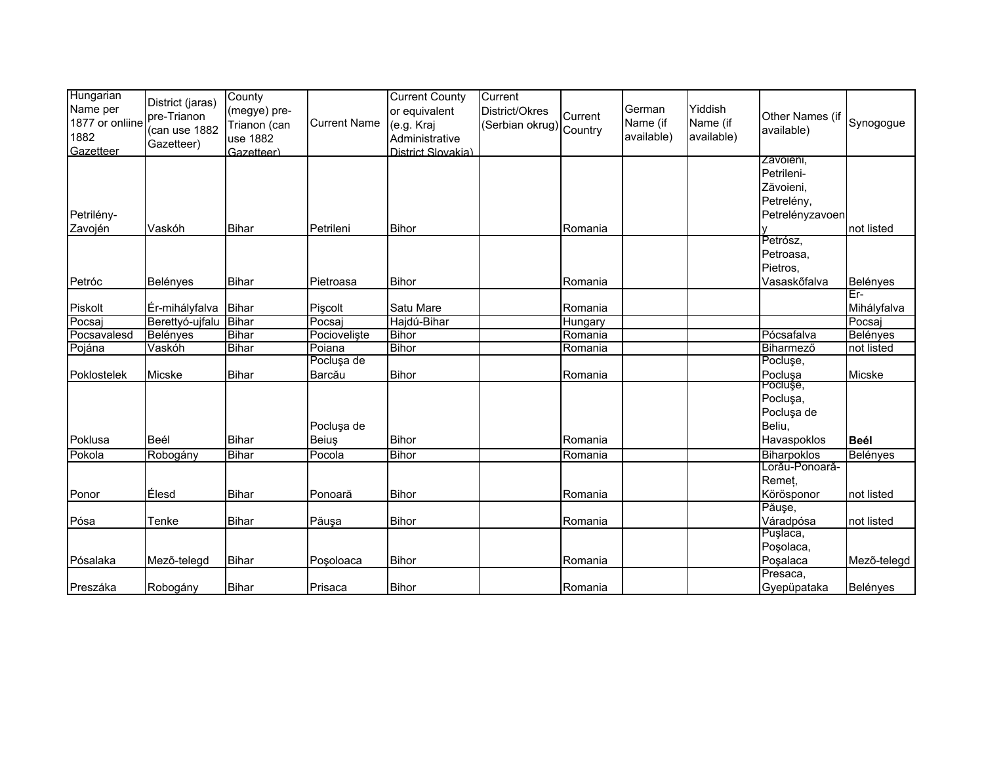| Hungarian<br>Name per<br>1877 or onliine<br>1882<br>Gazetteer | District (jaras)<br>pre-Trianon<br>(can use 1882<br>Gazetteer) | County<br>(megye) pre-<br>Trianon (can<br>use 1882<br>Gazetteer) | <b>Current Name</b>  | <b>Current County</b><br>or equivalent<br>(e.g. Kraj<br>Administrative<br>District Slovakia) | Current<br>District/Okres<br>(Serbian okrug) Country | Current | German<br>Name (if<br>available) | Yiddish<br>Name (if<br>available) | Other Names (if<br>available)                                         | Synogogue          |
|---------------------------------------------------------------|----------------------------------------------------------------|------------------------------------------------------------------|----------------------|----------------------------------------------------------------------------------------------|------------------------------------------------------|---------|----------------------------------|-----------------------------------|-----------------------------------------------------------------------|--------------------|
| Petrilény-<br>Zavojén                                         | Vaskóh                                                         | Bihar                                                            | Petrileni            | <b>Bihor</b>                                                                                 |                                                      | Romania |                                  |                                   | Zavoieni,<br>Petrileni-<br>Zăvoieni,<br>Petrelény,<br>Petrelényzavoen | not listed         |
| Petróc                                                        | Belényes                                                       | <b>Bihar</b>                                                     | Pietroasa            | <b>Bihor</b>                                                                                 |                                                      | Romania |                                  |                                   | Petrósz,<br>Petroasa.<br>Pietros,<br>Vasaskőfalva                     | Belényes           |
| Piskolt                                                       | Ér-mihályfalva                                                 | <b>Bihar</b>                                                     | Piscolt              | Satu Mare                                                                                    |                                                      | Romania |                                  |                                   |                                                                       | Êr-<br>Mihályfalva |
| Pocsaj                                                        | Berettyó-ujfalu                                                | Bihar                                                            | Pocsaj               | Hajdú-Bihar                                                                                  |                                                      | Hungary |                                  |                                   |                                                                       | Pocsaj             |
| Pocsavalesd                                                   | Belényes                                                       | <b>Bihar</b>                                                     | Pocioveliste         | <b>Bihor</b>                                                                                 |                                                      | Romania |                                  |                                   | Pócsafalva                                                            | Belényes           |
| Pojána                                                        | Vaskóh                                                         | <b>Bihar</b>                                                     | Poiana               | <b>Bihor</b>                                                                                 |                                                      | Romania |                                  |                                   | Biharmező                                                             | not listed         |
| Poklostelek                                                   | Micske                                                         | <b>Bihar</b>                                                     | Pocluşa de<br>Barcău | <b>Bihor</b>                                                                                 |                                                      | Romania |                                  |                                   | Pocluşe,<br>Pocluşa                                                   | Micske             |
| Poklusa                                                       | Beél                                                           | Bihar                                                            | Pocluşa de<br>Beiuş  | <b>Bihor</b>                                                                                 |                                                      | Romania |                                  |                                   | Pocluşe,<br>Pocluşa,<br>Pocluşa de<br>Beliu,<br>Havaspoklos           | <b>Beél</b>        |
| Pokola                                                        | Robogány                                                       | Bihar                                                            | Pocola               | <b>Bihor</b>                                                                                 |                                                      | Romania |                                  |                                   | <b>Biharpoklos</b>                                                    | Belényes           |
| Ponor                                                         | Élesd                                                          | Bihar                                                            | Ponoară              | <b>Bihor</b>                                                                                 |                                                      | Romania |                                  |                                   | Lorău-Ponoară-<br>Remet,<br>Körösponor                                | not listed         |
| Pósa                                                          | Tenke                                                          | Bihar                                                            | Păusa                | <b>Bihor</b>                                                                                 |                                                      | Romania |                                  |                                   | Păușe,<br>Váradpósa                                                   | not listed         |
| Pósalaka                                                      | Mezõ-telegd                                                    | <b>Bihar</b>                                                     | Poșoloaca            | <b>Bihor</b>                                                                                 |                                                      | Romania |                                  |                                   | Puşlaca,<br>Poșolaca,<br>Poşalaca<br>Presaca,                         | Mezõ-telegd        |
| Preszáka                                                      | Robogány                                                       | <b>Bihar</b>                                                     | Prisaca              | <b>Bihor</b>                                                                                 |                                                      | Romania |                                  |                                   | Gyepüpataka                                                           | Belényes           |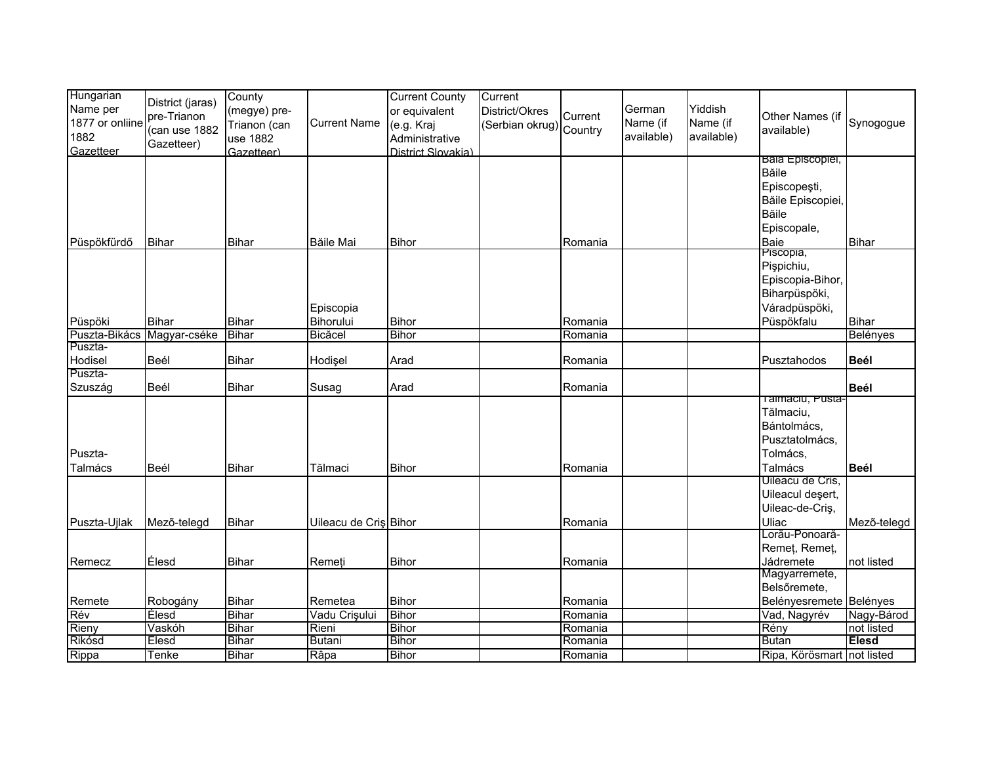| Hungarian<br>Name per                | District (jaras)<br>pre-Trianon | County<br>(megye) pre-                 |                       | <b>Current County</b><br>or equivalent             | Current<br>District/Okres | Current | German                 | Yiddish                | Other Names (if               |                 |
|--------------------------------------|---------------------------------|----------------------------------------|-----------------------|----------------------------------------------------|---------------------------|---------|------------------------|------------------------|-------------------------------|-----------------|
| 1877 or onliine<br>1882<br>Gazetteer | (can use 1882<br>Gazetteer)     | Trianon (can<br>use 1882<br>Gazetteer) | <b>Current Name</b>   | (e.g. Kraj<br>Administrative<br>District Slovakia) | (Serbian okrug) Country   |         | Name (if<br>available) | Name (if<br>available) | available)                    | Synogogue       |
|                                      |                                 |                                        |                       |                                                    |                           |         |                        |                        | <b>Bala Episcopiel,</b>       |                 |
|                                      |                                 |                                        |                       |                                                    |                           |         |                        |                        | <b>B</b> ăile                 |                 |
|                                      |                                 |                                        |                       |                                                    |                           |         |                        |                        | Episcopeşti,                  |                 |
|                                      |                                 |                                        |                       |                                                    |                           |         |                        |                        | Băile Episcopiei,             |                 |
|                                      |                                 |                                        |                       |                                                    |                           |         |                        |                        | <b>B</b> ăile                 |                 |
|                                      |                                 |                                        |                       |                                                    |                           |         |                        |                        | Episcopale,                   |                 |
| Püspökfürdő                          | <b>Bihar</b>                    | <b>Bihar</b>                           | <b>Băile Mai</b>      | <b>Bihor</b>                                       |                           | Romania |                        |                        | Baie<br>Piscopia,             | <b>Bihar</b>    |
|                                      |                                 |                                        |                       |                                                    |                           |         |                        |                        | Pişpichiu,                    |                 |
|                                      |                                 |                                        |                       |                                                    |                           |         |                        |                        | Episcopia-Bihor,              |                 |
|                                      |                                 |                                        |                       |                                                    |                           |         |                        |                        | Biharpüspöki,                 |                 |
|                                      |                                 |                                        | Episcopia             |                                                    |                           |         |                        |                        | Váradpüspöki,                 |                 |
| Püspöki                              | <b>Bihar</b>                    | <b>Bihar</b>                           | Bihorului             | <b>Bihor</b>                                       |                           | Romania |                        |                        | Püspökfalu                    | <b>Bihar</b>    |
| Puszta-Bikács                        | Magyar-cséke                    | <b>Bihar</b>                           | Bicăcel               | Bihor                                              |                           | Romania |                        |                        |                               | <b>Belényes</b> |
| Puszta-                              |                                 |                                        |                       |                                                    |                           |         |                        |                        |                               |                 |
| Hodisel                              | Beél                            | <b>Bihar</b>                           | Hodişel               | Arad                                               |                           | Romania |                        |                        | Pusztahodos                   | <b>Beél</b>     |
| Puszta-                              |                                 |                                        |                       |                                                    |                           |         |                        |                        |                               |                 |
| Szuszág                              | Beél                            | <b>Bihar</b>                           | Susag                 | Arad                                               |                           | Romania |                        |                        |                               | <b>Beél</b>     |
|                                      |                                 |                                        |                       |                                                    |                           |         |                        |                        | Talmaciu, Pusta-<br>Tălmaciu, |                 |
|                                      |                                 |                                        |                       |                                                    |                           |         |                        |                        | Bántolmács,                   |                 |
|                                      |                                 |                                        |                       |                                                    |                           |         |                        |                        | Pusztatolmács,                |                 |
| Puszta-                              |                                 |                                        |                       |                                                    |                           |         |                        |                        | Tolmács,                      |                 |
| Talmács                              | Beél                            |                                        | Tălmaci               | <b>Bihor</b>                                       |                           | Romania |                        |                        | Talmács                       |                 |
|                                      |                                 | <b>Bihar</b>                           |                       |                                                    |                           |         |                        |                        | Uileacu de Cris,              | <b>Beél</b>     |
|                                      |                                 |                                        |                       |                                                    |                           |         |                        |                        | Uileacul deșert,              |                 |
|                                      |                                 |                                        |                       |                                                    |                           |         |                        |                        | Uileac-de-Criş,               |                 |
| Puszta-Ujlak                         | Mezõ-telegd                     | <b>Bihar</b>                           | Uileacu de Cris Bihor |                                                    |                           | Romania |                        |                        | Uliac                         | Mezõ-telegd     |
|                                      |                                 |                                        |                       |                                                    |                           |         |                        |                        | Lorău-Ponoară-                |                 |
|                                      |                                 |                                        |                       |                                                    |                           |         |                        |                        | Remeț, Remeț,                 |                 |
| Remecz                               | Élesd                           | <b>Bihar</b>                           | Remeți                | <b>Bihor</b>                                       |                           | Romania |                        |                        | Jádremete                     | not listed      |
|                                      |                                 |                                        |                       |                                                    |                           |         |                        |                        | Magyarremete,                 |                 |
|                                      |                                 |                                        |                       |                                                    |                           |         |                        |                        | Belsőremete,                  |                 |
| Remete                               | Robogány                        | <b>Bihar</b>                           | Remetea               | <b>Bihor</b>                                       |                           | Romania |                        |                        | Belényesremete Belényes       |                 |
| Rév                                  | Élesd                           | <b>Bihar</b>                           | Vadu Crișului         | <b>Bihor</b>                                       |                           | Romania |                        |                        | Vad, Nagyrév                  | Nagy-Bárod      |
| Rieny                                | Vaskóh                          | <b>Bihar</b>                           | Rieni                 | <b>Bihor</b>                                       |                           | Romania |                        |                        | Rény                          | not listed      |
| Rikósd                               | Elesd                           | <b>Bihar</b>                           | <b>Butani</b>         | <b>Bihor</b>                                       |                           | Romania |                        |                        | <b>Butan</b>                  | <b>Élesd</b>    |
| Rippa                                | Tenke                           | <b>Bihar</b>                           | Râpa                  | <b>Bihor</b>                                       |                           | Romania |                        |                        | Ripa, Körösmart not listed    |                 |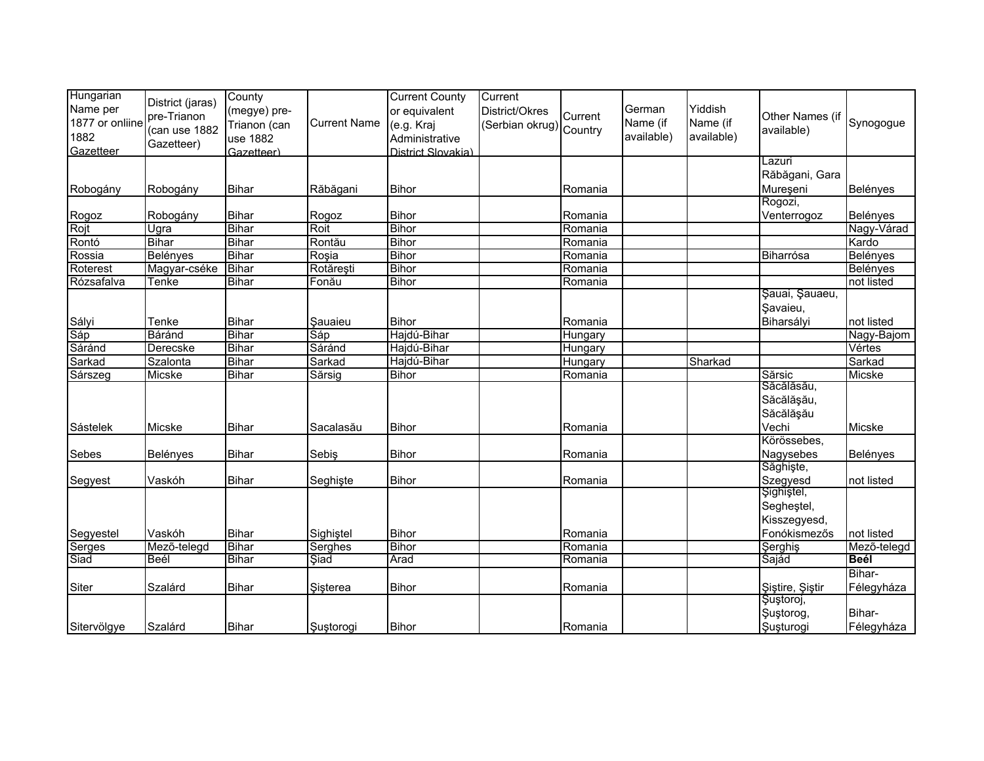| District (jaras)<br>Name per<br>Yiddish<br>German<br>District/Okres<br>or equivalent<br>(megye) pre-<br>Current<br>pre-Trianon<br>Other Names (if<br>1877 or onliine<br>Synogogue<br>Name (if<br><b>Current Name</b><br>Name (if<br>(e.g. Kraj<br>(Serbian okrug) Country<br>Trianon (can<br>(can use 1882<br>available)<br>1882<br>available)<br>available)<br>use 1882<br>Administrative<br>Gazetteer)<br>Gazetteer<br>Gazetteer)<br>District Slovakia)<br>Lazuri<br>Răbăgani, Gara<br>Bihar<br><b>Bihor</b><br>Mureșeni<br>Belényes<br>Robogány<br>Robogány<br>Răbăgani<br>Romania<br>Rogozi,<br><b>Bihar</b><br><b>Bihor</b><br>Rogoz<br>Robogány<br>Rogoz<br>Romania<br>Venterrogoz<br>Belényes<br>Rojt<br><b>Bihar</b><br>Roit<br><b>Bihor</b><br>Ugra<br>Romania<br>Nagy-Várad<br><b>Bihor</b><br>Rontó<br><b>Bihar</b><br><b>Bihar</b><br>Kardo<br>Rontău<br>Romania<br><b>Bihar</b><br>Rossia<br><b>Belényes</b><br>Roșia<br><b>Bihor</b><br><b>Belényes</b><br>Romania<br>Biharrósa<br><b>Bihar</b><br>Rotărești<br><b>Bihor</b><br>Roterest<br>Magyar-cséke<br>Romania<br>Belényes<br><b>Bihar</b><br><b>Bihor</b><br>Rózsafalva<br>not listed<br>Tenke<br>Fonău<br>Romania<br>Şauai, Şauaeu,<br>Şavaieu,<br><b>Bihar</b><br>Biharsályi<br>Tenke<br><b>Bihor</b><br>not listed<br>Sauaieu<br>Romania<br>Sáp<br>Báránd<br><b>Bihar</b><br>Sáp<br>Hajdú-Bihar<br>Nagy-Bajom<br>Hungary<br>Sáránd<br>Sáránd<br><b>Bihar</b><br>Hajdú-Bihar<br>Derecske<br>Vértes<br>Hungary<br><b>Bihar</b><br>Sarkad<br>Szalonta<br>Hajdú-Bihar<br>Sharkad<br>Sarkad<br>Hungary<br>Sărsic<br>Micske<br><b>Bihar</b><br>Sărsig<br>Micske<br><b>Bihor</b><br>Romania<br>Săcălăsău,<br>Săcălășău,<br>Săcălăşău<br>Bihar<br>Vechi<br>Micske<br><b>Bihor</b><br>Micske<br>Sacalasău<br>Romania<br>Körössebes,<br>Sebes<br>Bihar<br><b>Bihor</b><br>Nagysebes<br>Sebiş<br>Belényes<br>Belényes<br>Romania<br>Săghişte,<br>Szegyesd<br>Segyest<br>Vaskóh<br><b>Bihar</b><br>Bihor<br>Romania<br>Seghiste<br>not listed<br>Şighiştel,<br>Segheştel,<br>Kisszegyesd,<br>Segyestel<br><b>Bihar</b><br><b>Bihor</b><br>Fonókismezős<br>Vaskóh<br>Sighistel<br>not listed<br>Romania<br><b>Bihar</b><br><b>Bihor</b><br>Mező-telegd<br>Mező-telegd<br>Serghes<br>Romania<br>Şerghiş<br>Serges<br><b>Bihar</b><br>Beél<br><b>Şiad</b><br>Arad<br>Sajád<br><b>Beél</b><br>Romania | Hungarian   | County | <b>Current County</b> | Current |  |  |  |
|--------------------------------------------------------------------------------------------------------------------------------------------------------------------------------------------------------------------------------------------------------------------------------------------------------------------------------------------------------------------------------------------------------------------------------------------------------------------------------------------------------------------------------------------------------------------------------------------------------------------------------------------------------------------------------------------------------------------------------------------------------------------------------------------------------------------------------------------------------------------------------------------------------------------------------------------------------------------------------------------------------------------------------------------------------------------------------------------------------------------------------------------------------------------------------------------------------------------------------------------------------------------------------------------------------------------------------------------------------------------------------------------------------------------------------------------------------------------------------------------------------------------------------------------------------------------------------------------------------------------------------------------------------------------------------------------------------------------------------------------------------------------------------------------------------------------------------------------------------------------------------------------------------------------------------------------------------------------------------------------------------------------------------------------------------------------------------------------------------------------------------------------------------------------------------------------------------------------------------------------------------------------------------------------------------------------------------------------------------------|-------------|--------|-----------------------|---------|--|--|--|
|                                                                                                                                                                                                                                                                                                                                                                                                                                                                                                                                                                                                                                                                                                                                                                                                                                                                                                                                                                                                                                                                                                                                                                                                                                                                                                                                                                                                                                                                                                                                                                                                                                                                                                                                                                                                                                                                                                                                                                                                                                                                                                                                                                                                                                                                                                                                                              |             |        |                       |         |  |  |  |
|                                                                                                                                                                                                                                                                                                                                                                                                                                                                                                                                                                                                                                                                                                                                                                                                                                                                                                                                                                                                                                                                                                                                                                                                                                                                                                                                                                                                                                                                                                                                                                                                                                                                                                                                                                                                                                                                                                                                                                                                                                                                                                                                                                                                                                                                                                                                                              |             |        |                       |         |  |  |  |
|                                                                                                                                                                                                                                                                                                                                                                                                                                                                                                                                                                                                                                                                                                                                                                                                                                                                                                                                                                                                                                                                                                                                                                                                                                                                                                                                                                                                                                                                                                                                                                                                                                                                                                                                                                                                                                                                                                                                                                                                                                                                                                                                                                                                                                                                                                                                                              |             |        |                       |         |  |  |  |
|                                                                                                                                                                                                                                                                                                                                                                                                                                                                                                                                                                                                                                                                                                                                                                                                                                                                                                                                                                                                                                                                                                                                                                                                                                                                                                                                                                                                                                                                                                                                                                                                                                                                                                                                                                                                                                                                                                                                                                                                                                                                                                                                                                                                                                                                                                                                                              |             |        |                       |         |  |  |  |
|                                                                                                                                                                                                                                                                                                                                                                                                                                                                                                                                                                                                                                                                                                                                                                                                                                                                                                                                                                                                                                                                                                                                                                                                                                                                                                                                                                                                                                                                                                                                                                                                                                                                                                                                                                                                                                                                                                                                                                                                                                                                                                                                                                                                                                                                                                                                                              |             |        |                       |         |  |  |  |
|                                                                                                                                                                                                                                                                                                                                                                                                                                                                                                                                                                                                                                                                                                                                                                                                                                                                                                                                                                                                                                                                                                                                                                                                                                                                                                                                                                                                                                                                                                                                                                                                                                                                                                                                                                                                                                                                                                                                                                                                                                                                                                                                                                                                                                                                                                                                                              |             |        |                       |         |  |  |  |
|                                                                                                                                                                                                                                                                                                                                                                                                                                                                                                                                                                                                                                                                                                                                                                                                                                                                                                                                                                                                                                                                                                                                                                                                                                                                                                                                                                                                                                                                                                                                                                                                                                                                                                                                                                                                                                                                                                                                                                                                                                                                                                                                                                                                                                                                                                                                                              |             |        |                       |         |  |  |  |
|                                                                                                                                                                                                                                                                                                                                                                                                                                                                                                                                                                                                                                                                                                                                                                                                                                                                                                                                                                                                                                                                                                                                                                                                                                                                                                                                                                                                                                                                                                                                                                                                                                                                                                                                                                                                                                                                                                                                                                                                                                                                                                                                                                                                                                                                                                                                                              |             |        |                       |         |  |  |  |
|                                                                                                                                                                                                                                                                                                                                                                                                                                                                                                                                                                                                                                                                                                                                                                                                                                                                                                                                                                                                                                                                                                                                                                                                                                                                                                                                                                                                                                                                                                                                                                                                                                                                                                                                                                                                                                                                                                                                                                                                                                                                                                                                                                                                                                                                                                                                                              |             |        |                       |         |  |  |  |
|                                                                                                                                                                                                                                                                                                                                                                                                                                                                                                                                                                                                                                                                                                                                                                                                                                                                                                                                                                                                                                                                                                                                                                                                                                                                                                                                                                                                                                                                                                                                                                                                                                                                                                                                                                                                                                                                                                                                                                                                                                                                                                                                                                                                                                                                                                                                                              |             |        |                       |         |  |  |  |
|                                                                                                                                                                                                                                                                                                                                                                                                                                                                                                                                                                                                                                                                                                                                                                                                                                                                                                                                                                                                                                                                                                                                                                                                                                                                                                                                                                                                                                                                                                                                                                                                                                                                                                                                                                                                                                                                                                                                                                                                                                                                                                                                                                                                                                                                                                                                                              |             |        |                       |         |  |  |  |
|                                                                                                                                                                                                                                                                                                                                                                                                                                                                                                                                                                                                                                                                                                                                                                                                                                                                                                                                                                                                                                                                                                                                                                                                                                                                                                                                                                                                                                                                                                                                                                                                                                                                                                                                                                                                                                                                                                                                                                                                                                                                                                                                                                                                                                                                                                                                                              |             |        |                       |         |  |  |  |
|                                                                                                                                                                                                                                                                                                                                                                                                                                                                                                                                                                                                                                                                                                                                                                                                                                                                                                                                                                                                                                                                                                                                                                                                                                                                                                                                                                                                                                                                                                                                                                                                                                                                                                                                                                                                                                                                                                                                                                                                                                                                                                                                                                                                                                                                                                                                                              |             |        |                       |         |  |  |  |
|                                                                                                                                                                                                                                                                                                                                                                                                                                                                                                                                                                                                                                                                                                                                                                                                                                                                                                                                                                                                                                                                                                                                                                                                                                                                                                                                                                                                                                                                                                                                                                                                                                                                                                                                                                                                                                                                                                                                                                                                                                                                                                                                                                                                                                                                                                                                                              |             |        |                       |         |  |  |  |
|                                                                                                                                                                                                                                                                                                                                                                                                                                                                                                                                                                                                                                                                                                                                                                                                                                                                                                                                                                                                                                                                                                                                                                                                                                                                                                                                                                                                                                                                                                                                                                                                                                                                                                                                                                                                                                                                                                                                                                                                                                                                                                                                                                                                                                                                                                                                                              |             |        |                       |         |  |  |  |
|                                                                                                                                                                                                                                                                                                                                                                                                                                                                                                                                                                                                                                                                                                                                                                                                                                                                                                                                                                                                                                                                                                                                                                                                                                                                                                                                                                                                                                                                                                                                                                                                                                                                                                                                                                                                                                                                                                                                                                                                                                                                                                                                                                                                                                                                                                                                                              |             |        |                       |         |  |  |  |
|                                                                                                                                                                                                                                                                                                                                                                                                                                                                                                                                                                                                                                                                                                                                                                                                                                                                                                                                                                                                                                                                                                                                                                                                                                                                                                                                                                                                                                                                                                                                                                                                                                                                                                                                                                                                                                                                                                                                                                                                                                                                                                                                                                                                                                                                                                                                                              |             |        |                       |         |  |  |  |
|                                                                                                                                                                                                                                                                                                                                                                                                                                                                                                                                                                                                                                                                                                                                                                                                                                                                                                                                                                                                                                                                                                                                                                                                                                                                                                                                                                                                                                                                                                                                                                                                                                                                                                                                                                                                                                                                                                                                                                                                                                                                                                                                                                                                                                                                                                                                                              | Sályi       |        |                       |         |  |  |  |
|                                                                                                                                                                                                                                                                                                                                                                                                                                                                                                                                                                                                                                                                                                                                                                                                                                                                                                                                                                                                                                                                                                                                                                                                                                                                                                                                                                                                                                                                                                                                                                                                                                                                                                                                                                                                                                                                                                                                                                                                                                                                                                                                                                                                                                                                                                                                                              |             |        |                       |         |  |  |  |
|                                                                                                                                                                                                                                                                                                                                                                                                                                                                                                                                                                                                                                                                                                                                                                                                                                                                                                                                                                                                                                                                                                                                                                                                                                                                                                                                                                                                                                                                                                                                                                                                                                                                                                                                                                                                                                                                                                                                                                                                                                                                                                                                                                                                                                                                                                                                                              |             |        |                       |         |  |  |  |
|                                                                                                                                                                                                                                                                                                                                                                                                                                                                                                                                                                                                                                                                                                                                                                                                                                                                                                                                                                                                                                                                                                                                                                                                                                                                                                                                                                                                                                                                                                                                                                                                                                                                                                                                                                                                                                                                                                                                                                                                                                                                                                                                                                                                                                                                                                                                                              | Sarkad      |        |                       |         |  |  |  |
|                                                                                                                                                                                                                                                                                                                                                                                                                                                                                                                                                                                                                                                                                                                                                                                                                                                                                                                                                                                                                                                                                                                                                                                                                                                                                                                                                                                                                                                                                                                                                                                                                                                                                                                                                                                                                                                                                                                                                                                                                                                                                                                                                                                                                                                                                                                                                              | Sárszeg     |        |                       |         |  |  |  |
|                                                                                                                                                                                                                                                                                                                                                                                                                                                                                                                                                                                                                                                                                                                                                                                                                                                                                                                                                                                                                                                                                                                                                                                                                                                                                                                                                                                                                                                                                                                                                                                                                                                                                                                                                                                                                                                                                                                                                                                                                                                                                                                                                                                                                                                                                                                                                              |             |        |                       |         |  |  |  |
|                                                                                                                                                                                                                                                                                                                                                                                                                                                                                                                                                                                                                                                                                                                                                                                                                                                                                                                                                                                                                                                                                                                                                                                                                                                                                                                                                                                                                                                                                                                                                                                                                                                                                                                                                                                                                                                                                                                                                                                                                                                                                                                                                                                                                                                                                                                                                              |             |        |                       |         |  |  |  |
|                                                                                                                                                                                                                                                                                                                                                                                                                                                                                                                                                                                                                                                                                                                                                                                                                                                                                                                                                                                                                                                                                                                                                                                                                                                                                                                                                                                                                                                                                                                                                                                                                                                                                                                                                                                                                                                                                                                                                                                                                                                                                                                                                                                                                                                                                                                                                              |             |        |                       |         |  |  |  |
|                                                                                                                                                                                                                                                                                                                                                                                                                                                                                                                                                                                                                                                                                                                                                                                                                                                                                                                                                                                                                                                                                                                                                                                                                                                                                                                                                                                                                                                                                                                                                                                                                                                                                                                                                                                                                                                                                                                                                                                                                                                                                                                                                                                                                                                                                                                                                              | Sástelek    |        |                       |         |  |  |  |
|                                                                                                                                                                                                                                                                                                                                                                                                                                                                                                                                                                                                                                                                                                                                                                                                                                                                                                                                                                                                                                                                                                                                                                                                                                                                                                                                                                                                                                                                                                                                                                                                                                                                                                                                                                                                                                                                                                                                                                                                                                                                                                                                                                                                                                                                                                                                                              |             |        |                       |         |  |  |  |
|                                                                                                                                                                                                                                                                                                                                                                                                                                                                                                                                                                                                                                                                                                                                                                                                                                                                                                                                                                                                                                                                                                                                                                                                                                                                                                                                                                                                                                                                                                                                                                                                                                                                                                                                                                                                                                                                                                                                                                                                                                                                                                                                                                                                                                                                                                                                                              |             |        |                       |         |  |  |  |
|                                                                                                                                                                                                                                                                                                                                                                                                                                                                                                                                                                                                                                                                                                                                                                                                                                                                                                                                                                                                                                                                                                                                                                                                                                                                                                                                                                                                                                                                                                                                                                                                                                                                                                                                                                                                                                                                                                                                                                                                                                                                                                                                                                                                                                                                                                                                                              |             |        |                       |         |  |  |  |
|                                                                                                                                                                                                                                                                                                                                                                                                                                                                                                                                                                                                                                                                                                                                                                                                                                                                                                                                                                                                                                                                                                                                                                                                                                                                                                                                                                                                                                                                                                                                                                                                                                                                                                                                                                                                                                                                                                                                                                                                                                                                                                                                                                                                                                                                                                                                                              |             |        |                       |         |  |  |  |
|                                                                                                                                                                                                                                                                                                                                                                                                                                                                                                                                                                                                                                                                                                                                                                                                                                                                                                                                                                                                                                                                                                                                                                                                                                                                                                                                                                                                                                                                                                                                                                                                                                                                                                                                                                                                                                                                                                                                                                                                                                                                                                                                                                                                                                                                                                                                                              |             |        |                       |         |  |  |  |
|                                                                                                                                                                                                                                                                                                                                                                                                                                                                                                                                                                                                                                                                                                                                                                                                                                                                                                                                                                                                                                                                                                                                                                                                                                                                                                                                                                                                                                                                                                                                                                                                                                                                                                                                                                                                                                                                                                                                                                                                                                                                                                                                                                                                                                                                                                                                                              |             |        |                       |         |  |  |  |
|                                                                                                                                                                                                                                                                                                                                                                                                                                                                                                                                                                                                                                                                                                                                                                                                                                                                                                                                                                                                                                                                                                                                                                                                                                                                                                                                                                                                                                                                                                                                                                                                                                                                                                                                                                                                                                                                                                                                                                                                                                                                                                                                                                                                                                                                                                                                                              |             |        |                       |         |  |  |  |
|                                                                                                                                                                                                                                                                                                                                                                                                                                                                                                                                                                                                                                                                                                                                                                                                                                                                                                                                                                                                                                                                                                                                                                                                                                                                                                                                                                                                                                                                                                                                                                                                                                                                                                                                                                                                                                                                                                                                                                                                                                                                                                                                                                                                                                                                                                                                                              |             |        |                       |         |  |  |  |
|                                                                                                                                                                                                                                                                                                                                                                                                                                                                                                                                                                                                                                                                                                                                                                                                                                                                                                                                                                                                                                                                                                                                                                                                                                                                                                                                                                                                                                                                                                                                                                                                                                                                                                                                                                                                                                                                                                                                                                                                                                                                                                                                                                                                                                                                                                                                                              |             |        |                       |         |  |  |  |
|                                                                                                                                                                                                                                                                                                                                                                                                                                                                                                                                                                                                                                                                                                                                                                                                                                                                                                                                                                                                                                                                                                                                                                                                                                                                                                                                                                                                                                                                                                                                                                                                                                                                                                                                                                                                                                                                                                                                                                                                                                                                                                                                                                                                                                                                                                                                                              | Siad        |        |                       |         |  |  |  |
| Bihar-                                                                                                                                                                                                                                                                                                                                                                                                                                                                                                                                                                                                                                                                                                                                                                                                                                                                                                                                                                                                                                                                                                                                                                                                                                                                                                                                                                                                                                                                                                                                                                                                                                                                                                                                                                                                                                                                                                                                                                                                                                                                                                                                                                                                                                                                                                                                                       |             |        |                       |         |  |  |  |
| <b>Bihar</b><br>Sisterea<br><b>Bihor</b><br>Szalárd<br>Romania<br>Şiştire, Şiştir<br>Félegyháza                                                                                                                                                                                                                                                                                                                                                                                                                                                                                                                                                                                                                                                                                                                                                                                                                                                                                                                                                                                                                                                                                                                                                                                                                                                                                                                                                                                                                                                                                                                                                                                                                                                                                                                                                                                                                                                                                                                                                                                                                                                                                                                                                                                                                                                              | Siter       |        |                       |         |  |  |  |
| Şuştoroj,                                                                                                                                                                                                                                                                                                                                                                                                                                                                                                                                                                                                                                                                                                                                                                                                                                                                                                                                                                                                                                                                                                                                                                                                                                                                                                                                                                                                                                                                                                                                                                                                                                                                                                                                                                                                                                                                                                                                                                                                                                                                                                                                                                                                                                                                                                                                                    |             |        |                       |         |  |  |  |
| Bihar-<br>Şuştorog,                                                                                                                                                                                                                                                                                                                                                                                                                                                                                                                                                                                                                                                                                                                                                                                                                                                                                                                                                                                                                                                                                                                                                                                                                                                                                                                                                                                                                                                                                                                                                                                                                                                                                                                                                                                                                                                                                                                                                                                                                                                                                                                                                                                                                                                                                                                                          |             |        |                       |         |  |  |  |
| <b>Bihor</b><br>Szalárd<br><b>Bihar</b><br>Suştorogi<br>Romania<br>Susturogi<br>Félegyháza                                                                                                                                                                                                                                                                                                                                                                                                                                                                                                                                                                                                                                                                                                                                                                                                                                                                                                                                                                                                                                                                                                                                                                                                                                                                                                                                                                                                                                                                                                                                                                                                                                                                                                                                                                                                                                                                                                                                                                                                                                                                                                                                                                                                                                                                   | Sitervölgye |        |                       |         |  |  |  |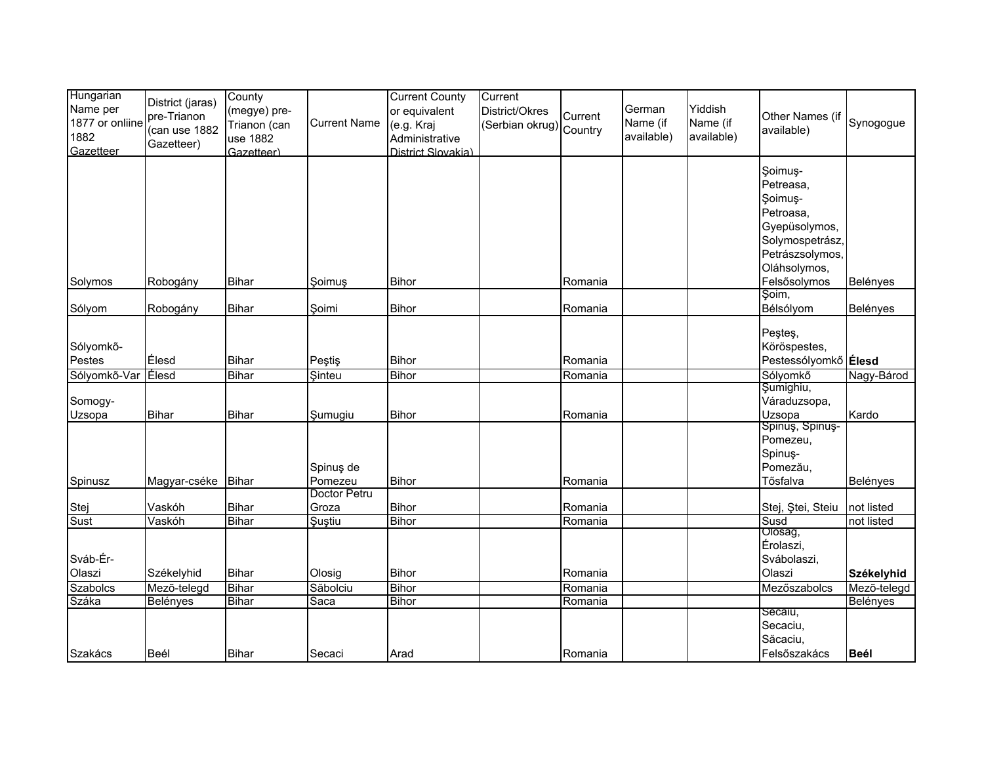| Hungarian<br>Name per<br>1877 or onliine<br>1882<br>Gazetteer | District (jaras)<br>pre-Trianon<br>(can use 1882<br>Gazetteer) | County<br>(megye) pre-<br>Trianon (can<br>use 1882<br>Gazetteer) | <b>Current Name</b>    | <b>Current County</b><br>or equivalent<br>(e.g. Kraj<br>Administrative<br>District Slovakia) | Current<br>District/Okres<br>(Serbian okrug) Country | Current            | German<br>Name (if<br>available) | Yiddish<br>Name (if<br>available) | Other Names (if<br>available)                                                                                                       | Synogogue                |
|---------------------------------------------------------------|----------------------------------------------------------------|------------------------------------------------------------------|------------------------|----------------------------------------------------------------------------------------------|------------------------------------------------------|--------------------|----------------------------------|-----------------------------------|-------------------------------------------------------------------------------------------------------------------------------------|--------------------------|
| Solymos                                                       | Robogány                                                       | <b>Bihar</b>                                                     | Soimus                 | <b>Bihor</b>                                                                                 |                                                      | Romania            |                                  |                                   | Soimus-<br>Petreasa,<br>Soimuş-<br>Petroasa,<br>Gyepüsolymos,<br>Solymospetrász,<br>Petrászsolymos,<br>Oláhsolymos,<br>Felsősolymos | Belényes                 |
|                                                               |                                                                |                                                                  |                        |                                                                                              |                                                      |                    |                                  |                                   | Şoim,                                                                                                                               |                          |
| Sólyom                                                        | Robogány                                                       | <b>Bihar</b>                                                     | Soimi                  | Bihor                                                                                        |                                                      | Romania            |                                  |                                   | Bélsólyom                                                                                                                           | Belényes                 |
| Sólyomkő-<br>Pestes                                           | Élesd                                                          | <b>Bihar</b>                                                     | Peştiş                 | Bihor                                                                                        |                                                      | Romania            |                                  |                                   | Peşteş,<br>Köröspestes,<br>Pestessólyomkő Élesd                                                                                     |                          |
| Sólyomkő-Var                                                  | Elesd                                                          | Bihar                                                            | Sinteu                 | <b>Bihor</b>                                                                                 |                                                      | Romania            |                                  |                                   | Sólyomkő                                                                                                                            | Nagy-Bárod               |
| Somogy-<br>Uzsopa                                             | Bihar                                                          | <b>Bihar</b>                                                     | Şumugiu                | <b>Bihor</b>                                                                                 |                                                      | Romania            |                                  |                                   | Şumighiu,<br>Váraduzsopa,<br>Uzsopa                                                                                                 | Kardo                    |
| Spinusz                                                       | Magyar-cséke Bihar                                             |                                                                  | Spinuş de<br>Pomezeu   | <b>Bihor</b>                                                                                 |                                                      | Romania            |                                  |                                   | Spinus, Spinus-<br>Pomezeu,<br>Spinuş-<br>Pomezău,<br>Tősfalva                                                                      | Belényes                 |
|                                                               |                                                                |                                                                  | Doctor Petru           |                                                                                              |                                                      |                    |                                  |                                   |                                                                                                                                     |                          |
| Stej<br>Sust                                                  | Vaskóh<br>Vaskóh                                               | <b>Bihar</b><br>Bihar                                            | Groza<br><b>Suştiu</b> | <b>Bihor</b><br><b>Bihor</b>                                                                 |                                                      | Romania<br>Romania |                                  |                                   | Stej, Ștei, Steiu<br>Susd                                                                                                           | not listed<br>not listed |
| Sváb-Ér-                                                      |                                                                |                                                                  |                        |                                                                                              |                                                      |                    |                                  |                                   | Olosag,<br>Érolaszi,<br>Svábolaszi,                                                                                                 |                          |
| Olaszi                                                        | Székelyhid                                                     | <b>Bihar</b>                                                     | Olosig                 | <b>Bihor</b>                                                                                 |                                                      | Romania            |                                  |                                   | Olaszi                                                                                                                              | Székelyhid               |
| Szabolcs                                                      | Mező-telegd                                                    | <b>Bihar</b>                                                     | Săbolciu               | <b>Bihor</b>                                                                                 |                                                      | Romania            |                                  |                                   | Mezőszabolcs                                                                                                                        | Mező-telegd              |
| Száka                                                         | Belényes                                                       | Bihar                                                            | Saca                   | <b>Bihor</b>                                                                                 |                                                      | Romania            |                                  |                                   |                                                                                                                                     | Belényes                 |
| Szakács                                                       | Beél                                                           | <b>Bihar</b>                                                     | Secaci                 | Arad                                                                                         |                                                      | Romania            |                                  |                                   | Secalu,<br>Secaciu,<br>Săcaciu,<br>Felsőszakács                                                                                     | <b>Beél</b>              |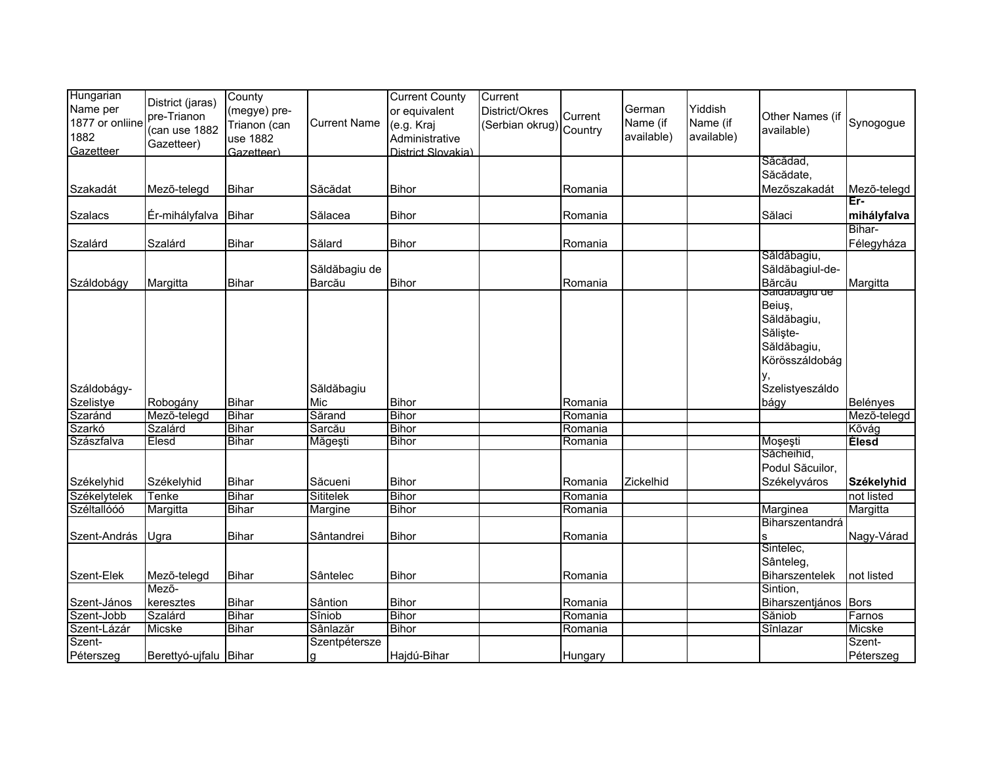| Hungarian<br>Name per<br>1877 or onliine<br>1882<br>Gazetteer | District (jaras)<br>pre-Trianon<br>(can use 1882<br>Gazetteer) | County<br>(megye) pre-<br>Trianon (can<br>use 1882<br>Gazetteer) | <b>Current Name</b> | <b>Current County</b><br>or equivalent<br>(e.g. Kraj<br>Administrative<br>District Slovakia) | Current<br>District/Okres<br>(Serbian okrug) Country | Current | German<br>Name (if<br>available) | Yiddish<br>Name (if<br>available) | Other Names (if<br>available)                                      | Synogogue            |
|---------------------------------------------------------------|----------------------------------------------------------------|------------------------------------------------------------------|---------------------|----------------------------------------------------------------------------------------------|------------------------------------------------------|---------|----------------------------------|-----------------------------------|--------------------------------------------------------------------|----------------------|
|                                                               |                                                                |                                                                  |                     |                                                                                              |                                                      |         |                                  |                                   | Săcădad.                                                           |                      |
|                                                               |                                                                |                                                                  |                     |                                                                                              |                                                      |         |                                  |                                   | Săcădate,                                                          |                      |
| Szakadát                                                      | Mezõ-telegd                                                    | <b>Bihar</b>                                                     | Săcădat             | <b>Bihor</b>                                                                                 |                                                      | Romania |                                  |                                   | Mezőszakadát                                                       | Mezõ-telegd<br>Er-   |
| <b>Szalacs</b>                                                | Ér-mihályfalva                                                 | <b>Bihar</b>                                                     | Sălacea             | <b>Bihor</b>                                                                                 |                                                      | Romania |                                  |                                   | Sălaci                                                             | mihályfalva          |
| Szalárd                                                       | Szalárd                                                        | <b>Bihar</b>                                                     | Sălard              | <b>Bihor</b>                                                                                 |                                                      | Romania |                                  |                                   |                                                                    | Bihar-<br>Félegyháza |
|                                                               |                                                                |                                                                  |                     |                                                                                              |                                                      |         |                                  |                                   | Săldăbagiu,                                                        |                      |
|                                                               |                                                                |                                                                  | Săldăbagiu de       |                                                                                              |                                                      |         |                                  |                                   | Săldăbagiul-de-                                                    |                      |
| Száldobágy                                                    | Margitta                                                       | <b>Bihar</b>                                                     | Barcău              | <b>Bihor</b>                                                                                 |                                                      | Romania |                                  |                                   | Bărcău<br>Saluabagiu de                                            | Margitta             |
|                                                               |                                                                |                                                                  |                     |                                                                                              |                                                      |         |                                  |                                   | Beiuş,<br>Săldăbagiu,<br>Sălişte-<br>Săldăbagiu,<br>Körösszáldobág |                      |
| Száldobágy-                                                   |                                                                |                                                                  | Săldăbagiu          |                                                                                              |                                                      |         |                                  |                                   | Szelistyeszáldo                                                    |                      |
| Szelistye                                                     | Robogány                                                       | <b>Bihar</b>                                                     | Mic                 | <b>Bihor</b>                                                                                 |                                                      | Romania |                                  |                                   | bágy                                                               | Belényes             |
| Szaránd                                                       | Mező-telegd                                                    | <b>Bihar</b>                                                     | Sărand              | <b>Bihor</b>                                                                                 |                                                      | Romania |                                  |                                   |                                                                    | Mező-telegd          |
| Szarkó                                                        | Szalárd                                                        | <b>Bihar</b>                                                     | Sarcău              | <b>Bihor</b>                                                                                 |                                                      | Romania |                                  |                                   |                                                                    | Kõvág                |
| Szászfalva                                                    | <b>Elesd</b>                                                   | <b>Bihar</b>                                                     | Măgești             | <b>Bihor</b>                                                                                 |                                                      | Romania |                                  |                                   | Moşeşti                                                            | <b>Elesd</b>         |
|                                                               |                                                                |                                                                  |                     |                                                                                              |                                                      |         |                                  |                                   | Săcheihid,                                                         |                      |
| Székelyhid                                                    | Székelyhid                                                     | <b>Bihar</b>                                                     | Săcueni             | <b>Bihor</b>                                                                                 |                                                      | Romania | Zickelhid                        |                                   | Podul Săcuilor,<br>Székelyváros                                    | Székelyhid           |
| Székelytelek                                                  | <b>Tenke</b>                                                   | <b>Bihar</b>                                                     | Sititelek           | Bihor                                                                                        |                                                      | Romania |                                  |                                   |                                                                    | not listed           |
| Széltallóóó                                                   | Margitta                                                       | <b>Bihar</b>                                                     | Margine             | <b>Bihor</b>                                                                                 |                                                      | Romania |                                  |                                   | Marginea                                                           | Margitta             |
|                                                               |                                                                |                                                                  |                     |                                                                                              |                                                      |         |                                  |                                   | Biharszentandrá                                                    |                      |
| Szent-András                                                  | Ugra                                                           | <b>Bihar</b>                                                     | Sântandrei          | <b>Bihor</b>                                                                                 |                                                      | Romania |                                  |                                   | S                                                                  | Nagy-Várad           |
|                                                               |                                                                |                                                                  |                     |                                                                                              |                                                      |         |                                  |                                   | Sintelec,                                                          |                      |
|                                                               |                                                                |                                                                  |                     |                                                                                              |                                                      |         |                                  |                                   | Sânteleg,                                                          |                      |
| Szent-Elek                                                    | Mezõ-telegd                                                    | <b>Bihar</b>                                                     | Sântelec            | <b>Bihor</b>                                                                                 |                                                      | Romania |                                  |                                   | Biharszentelek                                                     | not listed           |
|                                                               | Mező-                                                          |                                                                  |                     |                                                                                              |                                                      |         |                                  |                                   | Sintion,                                                           |                      |
| Szent-János                                                   | keresztes                                                      | <b>Bihar</b>                                                     | Sântion             | <b>Bihor</b>                                                                                 |                                                      | Romania |                                  |                                   | Biharszentjános Bors                                               |                      |
| Szent-Jobb                                                    | Szalárd                                                        | <b>Bihar</b>                                                     | Sîniob              | <b>Bihor</b>                                                                                 |                                                      | Romania |                                  |                                   | Săniob                                                             | Farnos               |
| Szent-Lázár                                                   | Micske                                                         | <b>Bihar</b>                                                     | Sânlazăr            | <b>Bihor</b>                                                                                 |                                                      | Romania |                                  |                                   | Sînlazar                                                           | Micske               |
| Szent-                                                        |                                                                |                                                                  | Szentpétersze       |                                                                                              |                                                      |         |                                  |                                   |                                                                    | Szent-               |
| Péterszeg                                                     | Berettyó-ujfalu Bihar                                          |                                                                  |                     | Hajdú-Bihar                                                                                  |                                                      | Hungary |                                  |                                   |                                                                    | Péterszeg            |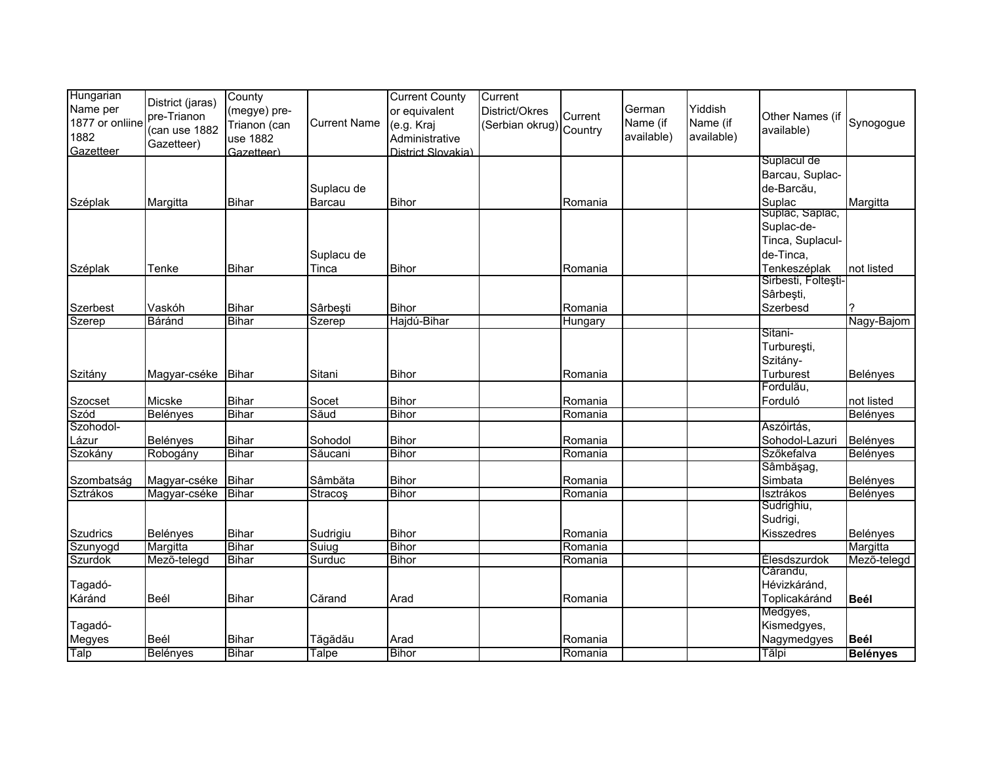| Hungarian<br>Name per<br>1877 or onliine<br>1882<br>Gazetteer | District (jaras)<br>pre-Trianon<br>(can use 1882<br>Gazetteer) | County<br>(megye) pre-<br>Trianon (can<br>use 1882<br>Gazetteer) | <b>Current Name</b>                     | <b>Current County</b><br>or equivalent<br>(e.g. Kraj<br>Administrative<br>District Slovakia) | Current<br>District/Okres<br>(Serbian okrug) Country | Current | German<br>Name (if<br>available) | Yiddish<br>Name (if<br>available) | Other Names (if<br>available)  | Synogogue       |
|---------------------------------------------------------------|----------------------------------------------------------------|------------------------------------------------------------------|-----------------------------------------|----------------------------------------------------------------------------------------------|------------------------------------------------------|---------|----------------------------------|-----------------------------------|--------------------------------|-----------------|
|                                                               |                                                                |                                                                  |                                         |                                                                                              |                                                      |         |                                  |                                   | Suplacul de<br>Barcau, Suplac- |                 |
|                                                               |                                                                |                                                                  | Suplacu de                              |                                                                                              |                                                      |         |                                  |                                   | de-Barcău,                     |                 |
| Széplak                                                       | Margitta                                                       | <b>Bihar</b>                                                     | Barcau                                  | Bihor                                                                                        |                                                      | Romania |                                  |                                   | Suplac                         | Margitta        |
|                                                               |                                                                |                                                                  |                                         |                                                                                              |                                                      |         |                                  |                                   | Suplac, Sâplac,<br>Suplac-de-  |                 |
|                                                               |                                                                |                                                                  |                                         |                                                                                              |                                                      |         |                                  |                                   | Tinca, Suplacul-               |                 |
|                                                               |                                                                |                                                                  | Suplacu de                              |                                                                                              |                                                      |         |                                  |                                   | de-Tinca,                      |                 |
| Széplak                                                       | Tenke                                                          | <b>Bihar</b>                                                     | Tinca                                   | <b>Bihor</b>                                                                                 |                                                      | Romania |                                  |                                   | Tenkeszéplak                   | not listed      |
|                                                               |                                                                |                                                                  |                                         |                                                                                              |                                                      |         |                                  |                                   | Sirbesti, Folteşti-            |                 |
|                                                               |                                                                |                                                                  |                                         |                                                                                              |                                                      |         |                                  |                                   | Sârbești,                      |                 |
| Szerbest                                                      | Vaskóh                                                         | <b>Bihar</b>                                                     | Sârbești                                | <b>Bihor</b>                                                                                 |                                                      | Romania |                                  |                                   | Szerbesd                       | ?               |
| Szerep                                                        | Báránd                                                         | <b>Bihar</b>                                                     | Szerep                                  | Hajdú-Bihar                                                                                  |                                                      | Hungary |                                  |                                   |                                | Nagy-Bajom      |
|                                                               |                                                                |                                                                  |                                         |                                                                                              |                                                      |         |                                  |                                   | Sitani-<br>Turbureşti,         |                 |
|                                                               |                                                                |                                                                  |                                         |                                                                                              |                                                      |         |                                  |                                   | Szitány-                       |                 |
| Szitány                                                       | Magyar-cséke                                                   | Bihar                                                            | Sitani                                  | <b>Bihor</b>                                                                                 |                                                      | Romania |                                  |                                   | Turburest                      | <b>Belényes</b> |
|                                                               |                                                                |                                                                  |                                         |                                                                                              |                                                      |         |                                  |                                   | Fordulău,                      |                 |
| Szocset                                                       | Micske                                                         | Bihar                                                            | Socet                                   | Bihor                                                                                        |                                                      | Romania |                                  |                                   | Forduló                        | not listed      |
| Szód                                                          | <b>Belényes</b>                                                | <b>Bihar</b>                                                     | Săud                                    | <b>Bihor</b>                                                                                 |                                                      | Romania |                                  |                                   |                                | Belényes        |
| Szohodol-                                                     |                                                                |                                                                  |                                         |                                                                                              |                                                      |         |                                  |                                   | Aszóirtás,                     |                 |
| Lázur                                                         | Belényes                                                       | <b>Bihar</b>                                                     | Sohodol                                 | <b>Bihor</b>                                                                                 |                                                      | Romania |                                  |                                   | Sohodol-Lazuri                 | Belényes        |
| Szokány                                                       | Robogány                                                       | <b>Bihar</b>                                                     | Săucani                                 | <b>Bihor</b>                                                                                 |                                                      | Romania |                                  |                                   | Szőkefalva                     | Belényes        |
|                                                               |                                                                |                                                                  |                                         |                                                                                              |                                                      |         |                                  |                                   | Sâmbăşag,                      |                 |
| Szombatság                                                    | Magyar-cséke Bihar                                             |                                                                  | Sâmbăta                                 | <b>Bihor</b>                                                                                 |                                                      | Romania |                                  |                                   | Simbata                        | Belényes        |
| Sztrákos                                                      | Magyar-cséke                                                   | Bihar                                                            | <b>Stracos</b>                          | <b>Bihor</b>                                                                                 |                                                      | Romania |                                  |                                   | Isztrákos                      | <b>Belényes</b> |
|                                                               |                                                                |                                                                  |                                         |                                                                                              |                                                      |         |                                  |                                   | Sudrighiu,                     |                 |
|                                                               |                                                                |                                                                  |                                         |                                                                                              |                                                      |         |                                  |                                   | Sudrigi,                       |                 |
| <b>Szudrics</b>                                               | Belényes                                                       | <b>Bihar</b>                                                     | Sudrigiu                                | Bihor                                                                                        |                                                      | Romania |                                  |                                   | <b>Kisszedres</b>              | Belényes        |
| Szunyogd                                                      | Margitta                                                       | <b>Bihar</b>                                                     | $\overline{\overline{\mathsf{S}}}$ uiug | <b>Bihor</b>                                                                                 |                                                      | Romania |                                  |                                   |                                | Margitta        |
| Szurdok                                                       | Mező-telegd                                                    | <b>Bihar</b>                                                     | Surduc                                  | <b>Bihor</b>                                                                                 |                                                      | Romania |                                  |                                   | Élesdszurdok<br>Cărandu,       | Mező-telegd     |
| Tagadó-                                                       |                                                                |                                                                  |                                         |                                                                                              |                                                      |         |                                  |                                   | Hévizkáránd,                   |                 |
| Káránd                                                        | Beél                                                           | <b>Bihar</b>                                                     | Cărand                                  | Arad                                                                                         |                                                      | Romania |                                  |                                   | Toplicakáránd                  | <b>Beél</b>     |
|                                                               |                                                                |                                                                  |                                         |                                                                                              |                                                      |         |                                  |                                   | Medgyes,                       |                 |
| Tagadó-                                                       |                                                                |                                                                  |                                         |                                                                                              |                                                      |         |                                  |                                   | Kismedgyes,                    |                 |
| Megyes                                                        | Beél                                                           | <b>Bihar</b>                                                     | Tăgădău                                 | Arad                                                                                         |                                                      | Romania |                                  |                                   | Nagymedgyes                    | Beél            |
| Talp                                                          | Belényes                                                       | Bihar                                                            | Talpe                                   | <b>Bihor</b>                                                                                 |                                                      | Romania |                                  |                                   | Tălpi                          | <b>Belényes</b> |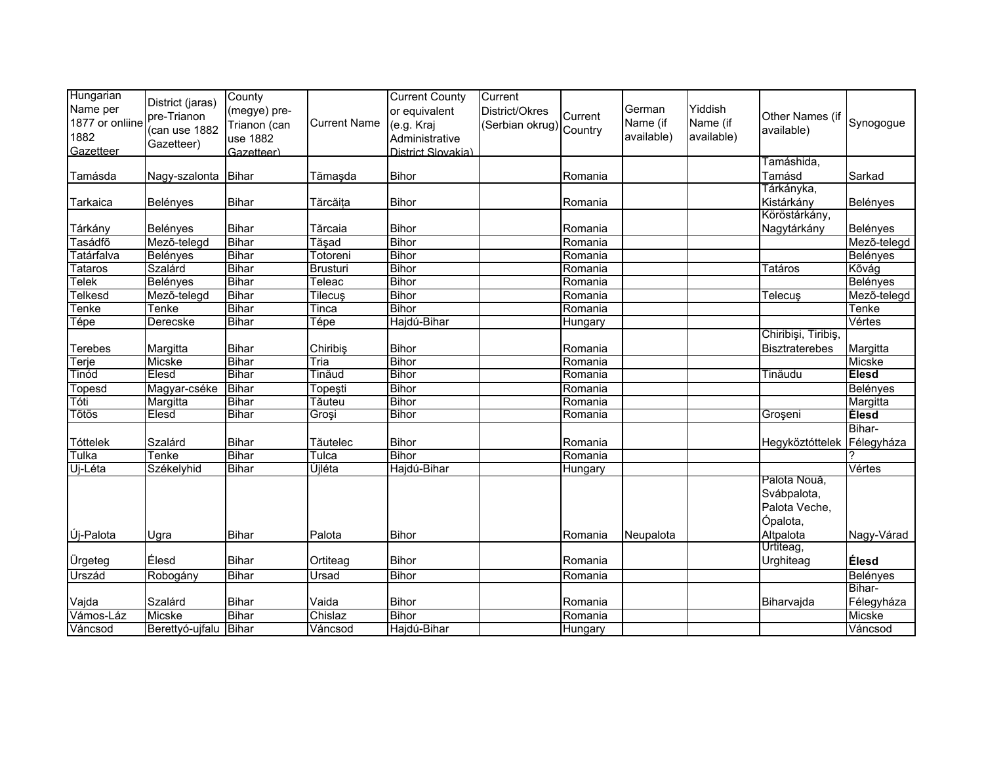| Hungarian<br>Name per<br>1877 or onliine<br>1882<br>Gazetteer | District (jaras)<br>pre-Trianon<br>(can use 1882<br>Gazetteer) | County<br>(megye) pre-<br>Trianon (can<br>use 1882<br>Gazetteer) | <b>Current Name</b> | <b>Current County</b><br>or equivalent<br>(e.g. Kraj<br>Administrative<br>District Slovakia) | Current<br>District/Okres<br>(Serbian okrug) Country | Current | German<br>Name (if<br>available) | Yiddish<br>Name (if<br>available) | Other Names (if<br>available)                            | Synogogue            |
|---------------------------------------------------------------|----------------------------------------------------------------|------------------------------------------------------------------|---------------------|----------------------------------------------------------------------------------------------|------------------------------------------------------|---------|----------------------------------|-----------------------------------|----------------------------------------------------------|----------------------|
| Tamásda                                                       | Nagy-szalonta Bihar                                            |                                                                  | Tămaşda             | <b>Bihor</b>                                                                                 |                                                      | Romania |                                  |                                   | Tamáshida,<br>Tamásd                                     | Sarkad               |
|                                                               |                                                                |                                                                  |                     |                                                                                              |                                                      |         |                                  |                                   | Tárkányka,                                               |                      |
| Tarkaica                                                      | Belényes                                                       | <b>Bihar</b>                                                     | Tărcăița            | <b>Bihor</b>                                                                                 |                                                      | Romania |                                  |                                   | Kistárkány                                               | Belényes             |
|                                                               |                                                                |                                                                  |                     |                                                                                              |                                                      |         |                                  |                                   | Köröstárkány,                                            |                      |
| Tárkány                                                       | Belényes                                                       | <b>Bihar</b>                                                     | Tărcaia             | <b>Bihor</b>                                                                                 |                                                      | Romania |                                  |                                   | Nagytárkány                                              | Belényes             |
| Tasádfő                                                       | Mező-telegd                                                    | <b>Bihar</b>                                                     | Tăşad               | <b>Bihor</b>                                                                                 |                                                      | Romania |                                  |                                   |                                                          | Mező-telegd          |
| Tatárfalva                                                    | Belényes                                                       | <b>Bihar</b>                                                     | Totoreni            | <b>Bihor</b>                                                                                 |                                                      | Romania |                                  |                                   |                                                          | <b>Belényes</b>      |
| Tataros                                                       | Szalárd                                                        | <b>Bihar</b>                                                     | <b>Brusturi</b>     | <b>Bihor</b>                                                                                 |                                                      | Romania |                                  |                                   | <b>Tatáros</b>                                           | Kõvág                |
| Telek                                                         | <b>Belényes</b>                                                | <b>Bihar</b>                                                     | Teleac              | <b>Bihor</b>                                                                                 |                                                      | Romania |                                  |                                   |                                                          | Belényes             |
| Telkesd                                                       | Mező-telegd                                                    | <b>Bihar</b>                                                     | Tilecuş             | <b>Bihor</b>                                                                                 |                                                      | Romania |                                  |                                   | Telecuş                                                  | Mezõ-telegd          |
| Tenke                                                         | Tenke                                                          | Bihar                                                            | Tinca               | <b>Bihor</b>                                                                                 |                                                      | Romania |                                  |                                   |                                                          | Tenke                |
| Tépe                                                          | Derecske                                                       | <b>Bihar</b>                                                     | Tépe                | Hajdú-Bihar                                                                                  |                                                      | Hungary |                                  |                                   |                                                          | Vértes               |
|                                                               |                                                                |                                                                  |                     |                                                                                              |                                                      |         |                                  |                                   | Chiribiși, Tiribiș,                                      |                      |
| Terebes                                                       | Margitta                                                       | Bihar                                                            | Chiribis            | <b>Bihor</b>                                                                                 |                                                      | Romania |                                  |                                   | <b>Bisztraterebes</b>                                    | Margitta             |
| Terje                                                         | Micske                                                         | <b>Bihar</b>                                                     | Tria                | <b>Bihor</b>                                                                                 |                                                      | Romania |                                  |                                   |                                                          | Micske               |
| Tinód                                                         | Elesd                                                          | <b>Bihar</b>                                                     | Tinăud              | <b>Bihor</b>                                                                                 |                                                      | Romania |                                  |                                   | Tinăudu                                                  | <b>Elesd</b>         |
| Topesd                                                        | Magyar-cséke                                                   | <b>Bihar</b>                                                     | Topeşti             | <b>Bihor</b>                                                                                 |                                                      | Romania |                                  |                                   |                                                          | Belényes             |
| Tóti                                                          | Margitta                                                       | <b>Bihar</b>                                                     | Tăuteu              | <b>Bihor</b>                                                                                 |                                                      | Romania |                                  |                                   |                                                          | Margitta             |
| Tõtös                                                         | Elesd                                                          | Bihar                                                            | Groși               | <b>Bihor</b>                                                                                 |                                                      | Romania |                                  |                                   | Groșeni                                                  | <b>Elesd</b>         |
| Tóttelek                                                      | Szalárd                                                        | <b>Bihar</b>                                                     | Tăutelec            | <b>Bihor</b>                                                                                 |                                                      | Romania |                                  |                                   | Hegyköztóttelek                                          | Bihar-<br>Félegyháza |
| Tulka                                                         | Tenke                                                          | Bihar                                                            | Tulca               | <b>Bihor</b>                                                                                 |                                                      | Romania |                                  |                                   |                                                          |                      |
| Uj-Léta                                                       | Székelyhid                                                     | Bihar                                                            | Újléta              | Hajdú-Bihar                                                                                  |                                                      | Hungary |                                  |                                   |                                                          | Vértes               |
|                                                               |                                                                |                                                                  |                     |                                                                                              |                                                      |         |                                  |                                   | Palota Nouă,<br>Svábpalota,<br>Palota Veche,<br>Ópalota, |                      |
| Új-Palota                                                     | Ugra                                                           | <b>Bihar</b>                                                     | Palota              | <b>Bihor</b>                                                                                 |                                                      | Romania | Neupalota                        |                                   | Altpalota                                                | Nagy-Várad           |
|                                                               |                                                                |                                                                  |                     |                                                                                              |                                                      |         |                                  |                                   | Urtiteag,                                                |                      |
| Ürgeteg                                                       | Élesd                                                          | <b>Bihar</b>                                                     | Ortiteag            | <b>Bihor</b>                                                                                 |                                                      | Romania |                                  |                                   | Urghiteag                                                | Élesd                |
| Urszád                                                        | Robogány                                                       | Bihar                                                            | Ursad               | <b>Bihor</b>                                                                                 |                                                      | Romania |                                  |                                   |                                                          | Belényes             |
|                                                               |                                                                |                                                                  |                     |                                                                                              |                                                      |         |                                  |                                   |                                                          | Bihar-               |
| Vajda                                                         | Szalárd                                                        | Bihar                                                            | Vaida               | <b>Bihor</b>                                                                                 |                                                      | Romania |                                  |                                   | Biharvajda                                               | Félegyháza           |
| Vámos-Láz                                                     | Micske                                                         | <b>Bihar</b>                                                     | Chislaz             | <b>Bihor</b>                                                                                 |                                                      | Romania |                                  |                                   |                                                          | Micske               |
| Váncsod                                                       | Berettyó-ujfalu                                                | Bihar                                                            | Váncsod             | Hajdú-Bihar                                                                                  |                                                      | Hungary |                                  |                                   |                                                          | Váncsod              |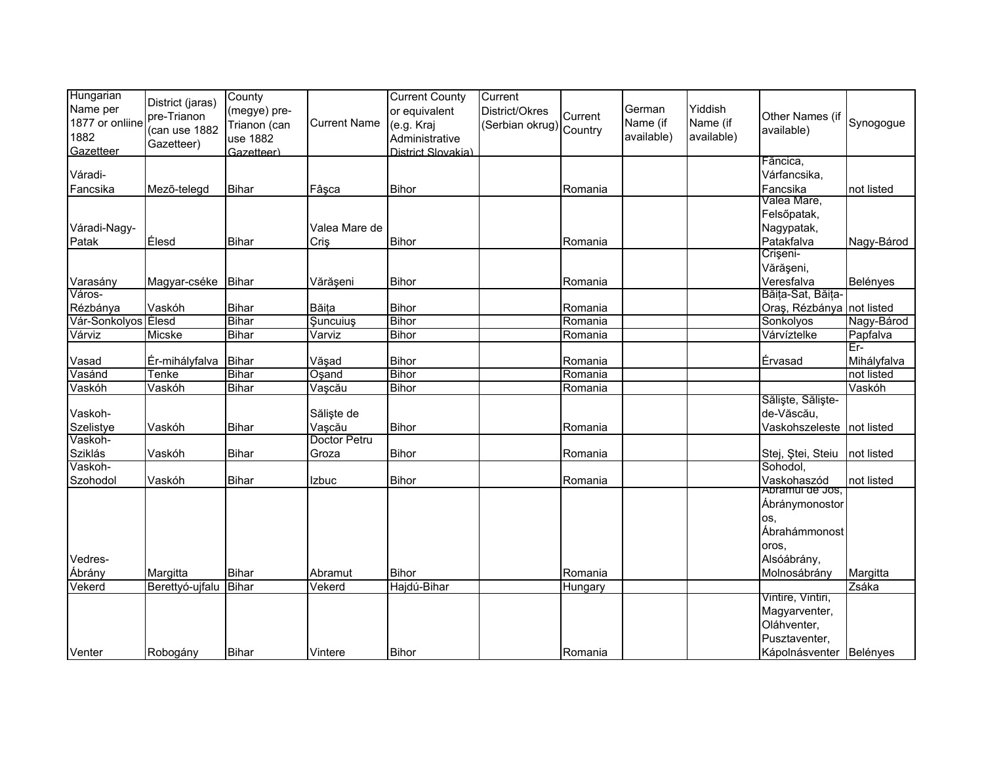| Hungarian           |                    | County       |                     | <b>Current County</b> | Current                 |         |            |            |                           |             |
|---------------------|--------------------|--------------|---------------------|-----------------------|-------------------------|---------|------------|------------|---------------------------|-------------|
| Name per            | District (jaras)   |              |                     |                       |                         |         | German     | Yiddish    |                           |             |
|                     | pre-Trianon        | (megye) pre- |                     | or equivalent         | District/Okres          | Current |            |            | Other Names (if           |             |
| 1877 or onliine     | (can use 1882      | Trianon (can | <b>Current Name</b> | (e.g. Kraj            | (Serbian okrug) Country |         | Name (if   | Name (if   | available)                | Synogogue   |
| 1882                | Gazetteer)         | use 1882     |                     | Administrative        |                         |         | available) | available) |                           |             |
| Gazetteer           |                    | Gazetteer)   |                     | District Slovakia)    |                         |         |            |            |                           |             |
|                     |                    |              |                     |                       |                         |         |            |            | Făncica,                  |             |
| Váradi-             |                    |              |                     |                       |                         |         |            |            | Várfancsika,              |             |
| Fancsika            | Mezõ-telegd        | <b>Bihar</b> | Fâșca               | <b>Bihor</b>          |                         | Romania |            |            | Fancsika                  | not listed  |
|                     |                    |              |                     |                       |                         |         |            |            | Valea Mare,               |             |
|                     |                    |              |                     |                       |                         |         |            |            | Felsőpatak,               |             |
| Váradi-Nagy-        |                    |              | Valea Mare de       |                       |                         |         |            |            | Nagypatak,                |             |
| Patak               | Élesd              | <b>Bihar</b> | Criş                | <b>Bihor</b>          |                         | Romania |            |            | Patakfalva                | Nagy-Bárod  |
|                     |                    |              |                     |                       |                         |         |            |            | Crișeni-                  |             |
|                     |                    |              |                     |                       |                         |         |            |            | Vărășeni,                 |             |
| Varasány            | Magyar-cséke Bihar |              | Vărășeni            | <b>Bihor</b>          |                         | Romania |            |            | Veresfalva                | Belényes    |
| Város-              |                    |              |                     |                       |                         |         |            |            | Băița-Sat, Băița-         |             |
| Rézbánya            | Vaskóh             | <b>Bihar</b> | Băița               | <b>Bihor</b>          |                         | Romania |            |            | Oraș, Rézbánya not listed |             |
| Vár-Sonkolyos Élesd |                    | Bihar        | <b>Şuncuiuş</b>     | <b>Bihor</b>          |                         | Romania |            |            | Sonkolyos                 | Nagy-Bárod  |
| Várviz              | Micske             | Bihar        | Varviz              | <b>Bihor</b>          |                         | Romania |            |            | Várvíztelke               | Papfalva    |
|                     |                    |              |                     |                       |                         |         |            |            |                           | Er-         |
| Vasad               | Ér-mihályfalva     | Bihar        | Văşad               | <b>Bihor</b>          |                         | Romania |            |            | Érvasad                   | Mihályfalva |
| Vasánd              | Tenke              | <b>Bihar</b> | Oşand               | <b>Bihor</b>          |                         | Romania |            |            |                           | not listed  |
| Vaskóh              | Vaskóh             | <b>Bihar</b> | Vașcău              | <b>Bihor</b>          |                         | Romania |            |            |                           | Vaskóh      |
|                     |                    |              |                     |                       |                         |         |            |            | Săliște, Săliște-         |             |
| Vaskoh-             |                    |              | Săliște de          |                       |                         |         |            |            | de-Văscău,                |             |
| Szelistye           | Vaskóh             | <b>Bihar</b> | Vașcău              | <b>Bihor</b>          |                         | Romania |            |            | Vaskohszeleste            | not listed  |
| Vaskoh-             |                    |              | Doctor Petru        |                       |                         |         |            |            |                           |             |
| Sziklás             | Vaskóh             | <b>Bihar</b> | Groza               | <b>Bihor</b>          |                         | Romania |            |            | Stej, Ștei, Steiu         | not listed  |
| Vaskoh-             |                    |              |                     |                       |                         |         |            |            | Sohodol,                  |             |
| Szohodol            | Vaskóh             | <b>Bihar</b> | Izbuc               | <b>Bihor</b>          |                         | Romania |            |            | Vaskohaszód               | not listed  |
|                     |                    |              |                     |                       |                         |         |            |            | Abramul de Jos,           |             |
|                     |                    |              |                     |                       |                         |         |            |            | Ábránymonostor            |             |
|                     |                    |              |                     |                       |                         |         |            |            | OS.                       |             |
|                     |                    |              |                     |                       |                         |         |            |            | Ábrahámmonost             |             |
|                     |                    |              |                     |                       |                         |         |            |            |                           |             |
|                     |                    |              |                     |                       |                         |         |            |            | oros,                     |             |
| Vedres-             |                    |              |                     |                       |                         |         |            |            | Alsóábrány,               |             |
| Ábrány              | Margitta           | <b>Bihar</b> | Abramut             | Bihor                 |                         | Romania |            |            | Molnosábrány              | Margitta    |
| Vekerd              | Berettyó-ujfalu    | Bihar        | Vekerd              | Hajdú-Bihar           |                         | Hungary |            |            |                           | Zsáka       |
|                     |                    |              |                     |                       |                         |         |            |            | Vintire, Vintiri,         |             |
|                     |                    |              |                     |                       |                         |         |            |            | Magyarventer,             |             |
|                     |                    |              |                     |                       |                         |         |            |            | Oláhventer,               |             |
|                     |                    |              |                     |                       |                         |         |            |            | Pusztaventer,             |             |
| Venter              | Robogány           | <b>Bihar</b> | Vintere             | <b>Bihor</b>          |                         | Romania |            |            | Kápolnásventer Belényes   |             |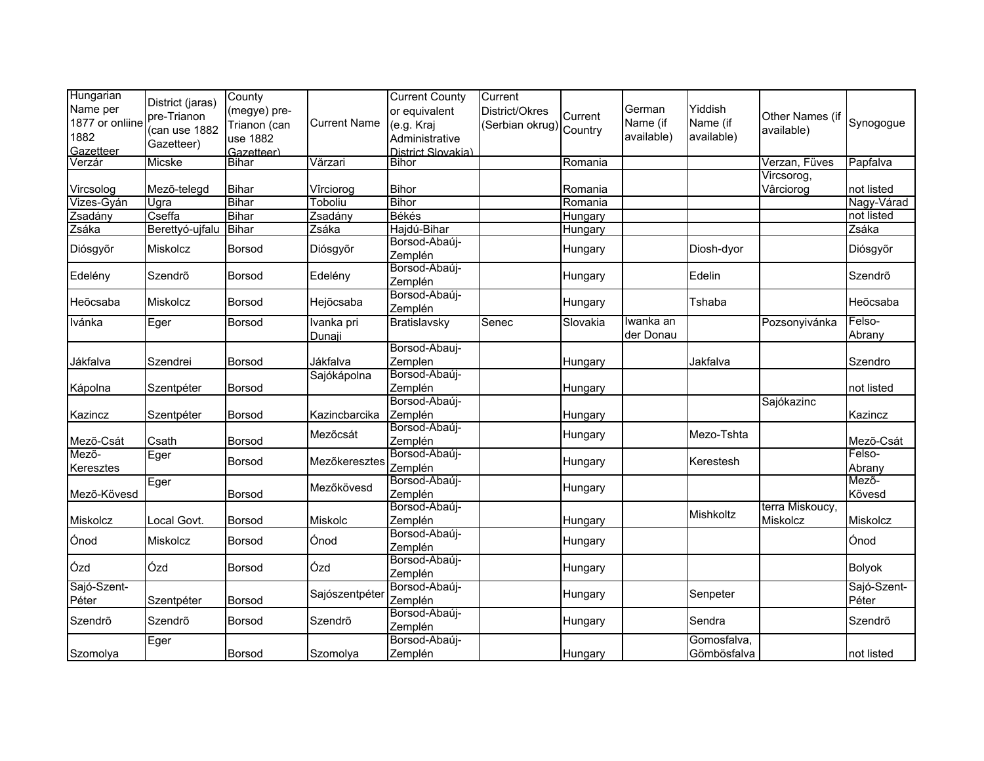| Hungarian<br>Name per | District (jaras) | County                       |                     | <b>Current County</b>       | Current                           |          | German     | Yiddish     |                 |                      |
|-----------------------|------------------|------------------------------|---------------------|-----------------------------|-----------------------------------|----------|------------|-------------|-----------------|----------------------|
| 1877 or onliine       | pre-Trianon      | (megye) pre-<br>Trianon (can | <b>Current Name</b> | or equivalent<br>(e.g. Kraj | District/Okres<br>(Serbian okrug) | Current  | Name (if   | Name (if    | Other Names (if | Synogogue            |
| 1882                  | (can use 1882    | use 1882                     |                     | Administrative              |                                   | Country  | available) | available)  | available)      |                      |
| Gazetteer             | Gazetteer)       | Gazetteer)                   |                     | District Slovakia)          |                                   |          |            |             |                 |                      |
| Verzár                | Micske           | <b>Bihar</b>                 | Vărzari             | <b>Bihor</b>                |                                   | Romania  |            |             | Verzan, Füves   | Papfalva             |
|                       |                  |                              |                     |                             |                                   |          |            |             | Vircsorog,      |                      |
| Vircsolog             | Mező-telegd      | <b>Bihar</b>                 | Vîrciorog           | <b>Bihor</b>                |                                   | Romania  |            |             | Vârciorog       | not listed           |
| Vizes-Gyán            | Ugra             | Bihar                        | Toboliu             | <b>Bihor</b>                |                                   | Romania  |            |             |                 | Nagy-Várad           |
| Zsadány               | Cseffa           | <b>Bihar</b>                 | Zsadány             | Békés                       |                                   | Hungary  |            |             |                 | not listed           |
| Zsáka                 | Berettyó-ujfalu  | Bihar                        | Zsáka               | Hajdú-Bihar                 |                                   | Hungary  |            |             |                 | Zsáka                |
| Diósgyőr              | Miskolcz         | Borsod                       | Diósgyőr            | Borsod-Abaúj-<br>Zemplén    |                                   | Hungary  |            | Diosh-dyor  |                 | Diósgyőr             |
| Edelény               | Szendrő          | Borsod                       | Edelény             | Borsod-Abaúj-<br>Zemplén    |                                   | Hungary  |            | Edelin      |                 | Szendrő              |
| Heõcsaba              | Miskolcz         | Borsod                       | Hejõcsaba           | Borsod-Abaúj-<br>Zemplén    |                                   | Hungary  |            | Tshaba      |                 | Heõcsaba             |
| Ivánka                | Eger             | Borsod                       | Ivanka pri          | Bratislavsky                | Senec                             | Slovakia | Iwanka an  |             | Pozsonyivánka   | Felso-               |
|                       |                  |                              | Dunaji              |                             |                                   |          | der Donau  |             |                 | Abrany               |
|                       |                  |                              |                     | Borsod-Abauj-               |                                   |          |            |             |                 |                      |
| Jákfalva              | Szendrei         | Borsod                       | Jákfalva            | Zemplen                     |                                   | Hungary  |            | Jakfalva    |                 | Szendro              |
|                       |                  |                              | Sajókápolna         | Borsod-Abaúj-               |                                   |          |            |             |                 |                      |
| Kápolna               | Szentpéter       | <b>Borsod</b>                |                     | Zemplén                     |                                   | Hungary  |            |             |                 | not listed           |
|                       |                  |                              |                     | Borsod-Abaúj-               |                                   |          |            |             | Sajókazinc      |                      |
| Kazincz               | Szentpéter       | Borsod                       | Kazincbarcika       | Zemplén                     |                                   | Hungary  |            |             |                 | Kazincz              |
|                       |                  |                              | Mezőcsát            | Borsod-Abaúj-               |                                   | Hungary  |            | Mezo-Tshta  |                 |                      |
| Mező-Csát<br>Mező-    | Csath            | <b>Borsod</b>                |                     | Zemplén<br>Borsod-Abaúj-    |                                   |          |            |             |                 | Mező-Csát<br>Felso-  |
| Keresztes             | Eger             | Borsod                       | Mezőkeresztes       | Zemplén                     |                                   | Hungary  |            | Kerestesh   |                 | Abrany               |
| Mező-Kövesd           | Eger             | Borsod                       | Mezőkövesd          | Borsod-Abaúj-<br>Zemplén    |                                   | Hungary  |            |             |                 | Mező-<br>Kövesd      |
|                       |                  |                              |                     | Borsod-Abaúj-               |                                   |          |            | Mishkoltz   | terra Miskoucy, |                      |
| Miskolcz              | Local Govt.      | <b>Borsod</b>                | Miskolc             | Zemplén                     |                                   | Hungary  |            |             | Miskolcz        | Miskolcz             |
| Ónod                  | Miskolcz         | Borsod                       | Ónod                | Borsod-Abaúj-<br>Zemplén    |                                   | Hungary  |            |             |                 | Ónod                 |
| Ózd                   | Ózd              | <b>Borsod</b>                | Ózd                 | Borsod-Abaúj-<br>Zemplén    |                                   | Hungary  |            |             |                 | <b>Bolyok</b>        |
| Sajó-Szent-<br>Péter  | Szentpéter       | Borsod                       | Sajószentpéter      | Borsod-Abaúj-<br>Zemplén    |                                   | Hungary  |            | Senpeter    |                 | Sajó-Szent-<br>Péter |
| Szendrő               | Szendrő          | Borsod                       | Szendrő             | Borsod-Abaúj-<br>Zemplén    |                                   | Hungary  |            | Sendra      |                 | Szendrő              |
|                       | Eger             |                              |                     | Borsod-Abaúj-               |                                   |          |            | Gomosfalva, |                 |                      |
| Szomolya              |                  | <b>Borsod</b>                | Szomolya            | Zemplén                     |                                   | Hungary  |            | Gömbösfalva |                 | not listed           |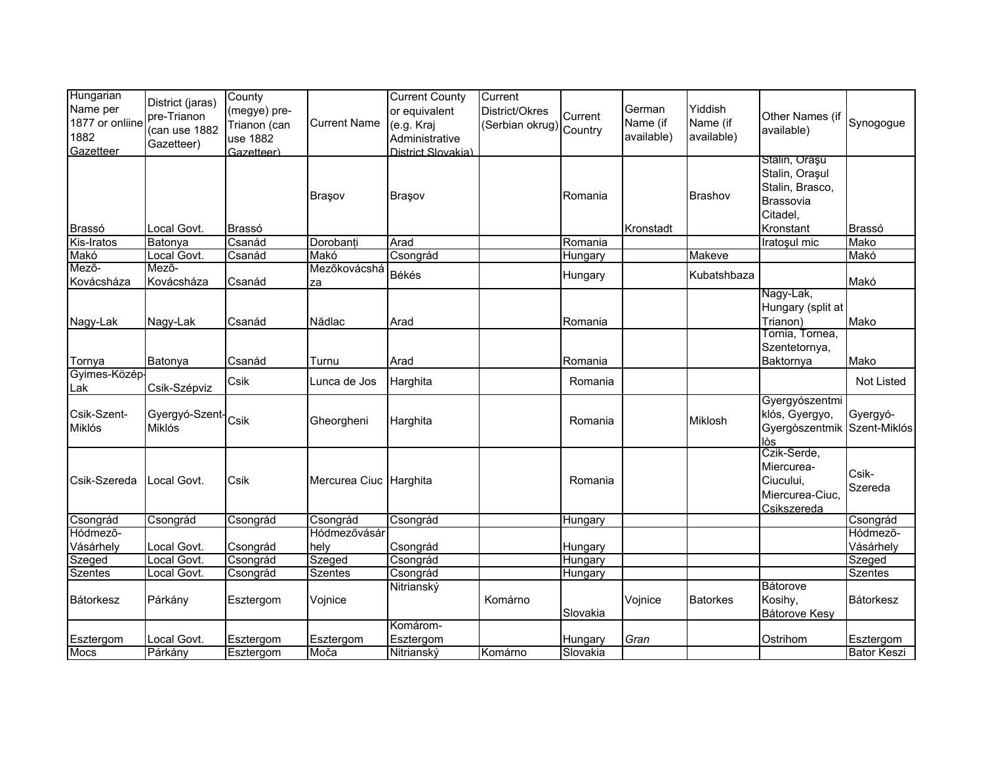| Hungarian<br>Name per<br>1877 or onliine<br>1882<br>Gazetteer | District (jaras)<br>pre-Trianon<br>(can use 1882<br>Gazetteer) | County<br>(megye) pre-<br>Trianon (can<br>use 1882<br>Gazetteer) | <b>Current Name</b>    | <b>Current County</b><br>or equivalent<br>(e.g. Kraj<br>Administrative<br>District Slovakia) | Current<br>District/Okres<br>(Serbian okrug) Country | Current             | German<br>Name (if<br>available) | Yiddish<br>Name (if<br>available) | Other Names (if<br>available)                                                            | Synogogue                       |
|---------------------------------------------------------------|----------------------------------------------------------------|------------------------------------------------------------------|------------------------|----------------------------------------------------------------------------------------------|------------------------------------------------------|---------------------|----------------------------------|-----------------------------------|------------------------------------------------------------------------------------------|---------------------------------|
| Brassó                                                        | Local Govt.                                                    | Brassó                                                           | Braşov                 | Braşov                                                                                       |                                                      | Romania             | Kronstadt                        | <b>Brashov</b>                    | Stalin, Orașu<br>Stalin, Orașul<br>Stalin, Brasco,<br>Brassovia<br>Citadel,<br>Kronstant | Brassó                          |
| Kis-Iratos                                                    | Batonya                                                        | Csanád                                                           | Dorobanți              | Arad                                                                                         |                                                      | Romania             |                                  |                                   | Iratoşul mic                                                                             | Mako                            |
| Makó                                                          | Local Govt.                                                    | Csanád                                                           | Makó                   | Csongrád                                                                                     |                                                      | Hungary             |                                  | Makeve                            |                                                                                          | Makó                            |
| Mező-<br>Kovácsháza                                           | Mező-<br>Kovácsháza                                            | Csanád                                                           | Mezőkovácshá<br>za     | Békés                                                                                        |                                                      | Hungary             |                                  | Kubatshbaza                       |                                                                                          | Makó                            |
| Nagy-Lak                                                      | Nagy-Lak                                                       | Csanád                                                           | Nădlac                 | Arad                                                                                         |                                                      | Romania             |                                  |                                   | Nagy-Lak,<br>Hungary (split at<br>Trianon)<br>Tornia, Tornea,                            | Mako                            |
| Tornya                                                        | Batonya                                                        | Csanád                                                           | Turnu                  | Arad                                                                                         |                                                      | Romania             |                                  |                                   | Szentetornya,<br>Baktornya                                                               | Mako                            |
| Gyimes-Közép-<br>Lak                                          | Csik-Szépviz                                                   | Csik                                                             | Lunca de Jos           | Harghita                                                                                     |                                                      | Romania             |                                  |                                   |                                                                                          | <b>Not Listed</b>               |
| Csik-Szent-<br>Miklós                                         | Gyergyó-Szent-Csik<br>Miklós                                   |                                                                  | Gheorgheni             | Harghita                                                                                     |                                                      | Romania             |                                  | Miklosh                           | Gyergyószentmi<br>klós, Gyergyo,<br>Gyergòszentmik Szent-Miklós<br>lòs                   | Gyergyó-                        |
| Csik-Szereda                                                  | Local Govt.                                                    | Csik                                                             | Mercurea Ciuc Harghita |                                                                                              |                                                      | Romania             |                                  |                                   | Czik-Serde,<br>Miercurea-<br>Ciucului,<br>Miercurea-Ciuc,<br>Csikszereda                 | Csik-<br>Szereda                |
| Csongrád                                                      | Csongrád                                                       | Csongrád                                                         | Csongrád               | Csongrád                                                                                     |                                                      | Hungary             |                                  |                                   |                                                                                          | Csongrád                        |
| Hódmező-                                                      |                                                                |                                                                  | Hódmezővásár           |                                                                                              |                                                      |                     |                                  |                                   |                                                                                          | Hódmező-                        |
| Vásárhely                                                     | Local Govt.                                                    | Csongrád                                                         | hely                   | Csongrád                                                                                     |                                                      | Hungary             |                                  |                                   |                                                                                          | Vásárhely                       |
| Szeged                                                        | Local Govt.                                                    | Csongrád                                                         | Szeged                 | Csongrád                                                                                     |                                                      | Hungary             |                                  |                                   |                                                                                          | Szeged                          |
| <b>Szentes</b>                                                | Local Govt.                                                    | Csongrád                                                         | Szentes                | Csongrád                                                                                     |                                                      | Hungary             |                                  |                                   |                                                                                          | <b>Szentes</b>                  |
| <b>Bátorkesz</b>                                              | Párkány                                                        | Esztergom                                                        | Vojnice                | Nitrianský                                                                                   | Komárno                                              | Slovakia            | Vojnice                          | <b>Batorkes</b>                   | <b>Bátorove</b><br>Kosihy,<br>Bátorove Kesy                                              | <b>Bátorkesz</b>                |
| Esztergom<br><b>Mocs</b>                                      | Local Govt.<br>Párkány                                         | Esztergom                                                        | Esztergom<br>Moča      | Komárom-<br>Esztergom<br>Nitrianský                                                          | Komárno                                              | Hungary<br>Slovakia | Gran                             |                                   | Ostrihom                                                                                 | Esztergom<br><b>Bator Keszi</b> |
|                                                               |                                                                | Esztergom                                                        |                        |                                                                                              |                                                      |                     |                                  |                                   |                                                                                          |                                 |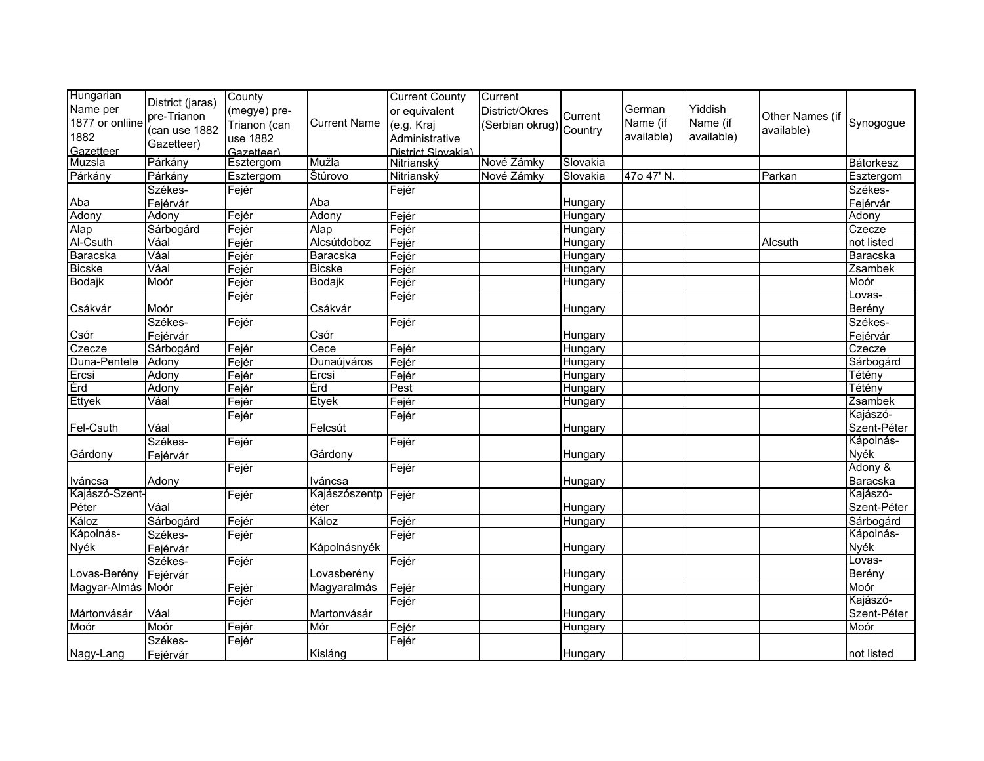| Hungarian<br>Name per<br>1877 or onliine<br>1882<br>Gazetteer | District (jaras)<br>pre-Trianon<br>(can use 1882<br>Gazetteer) | County<br>(megye) pre-<br>Trianon (can<br>use 1882<br>Gazetteer) | <b>Current Name</b> | <b>Current County</b><br>or equivalent<br>(e.g. Kraj<br>Administrative<br>District Slovakia) | Current<br>District/Okres<br>(Serbian okrug) Country | Current  | German<br>Name (if<br>available) | Yiddish<br>Name (if<br>available) | Other Names (if<br>available) | Synogogue   |
|---------------------------------------------------------------|----------------------------------------------------------------|------------------------------------------------------------------|---------------------|----------------------------------------------------------------------------------------------|------------------------------------------------------|----------|----------------------------------|-----------------------------------|-------------------------------|-------------|
| Muzsla                                                        | Párkány                                                        | Esztergom                                                        | Mužla               | Nitrianský                                                                                   | Nové Zámky                                           | Slovakia |                                  |                                   |                               | Bátorkesz   |
| Párkány                                                       | Párkány                                                        | Esztergom                                                        | Stúrovo             | Nitrianský                                                                                   | Nové Zámky                                           | Slovakia | 47o 47' N.                       |                                   | Parkan                        | Esztergom   |
|                                                               | Székes-                                                        | Fejér                                                            |                     | Fejér                                                                                        |                                                      |          |                                  |                                   |                               | Székes-     |
| Aba                                                           | Fejérvár                                                       |                                                                  | Aba                 |                                                                                              |                                                      | Hungary  |                                  |                                   |                               | Fejérvár    |
| Adony                                                         | Adony                                                          | Fejér                                                            | Adony               | Fejér                                                                                        |                                                      | Hungary  |                                  |                                   |                               | Adony       |
| Alap                                                          | Sárbogárd                                                      | Fejér                                                            | Alap                | Fejér                                                                                        |                                                      | Hungary  |                                  |                                   |                               | Czecze      |
| Al-Csuth                                                      | Váal                                                           | Fejér                                                            | Alcsútdoboz         | Fejér                                                                                        |                                                      | Hungary  |                                  |                                   | <b>Alcsuth</b>                | not listed  |
| Baracska                                                      | Váal                                                           | Fejér                                                            | Baracska            | Fejér                                                                                        |                                                      | Hungary  |                                  |                                   |                               | Baracska    |
| <b>Bicske</b>                                                 | Váal                                                           | Fejér                                                            | <b>Bicske</b>       | Fejér                                                                                        |                                                      | Hungary  |                                  |                                   |                               | Zsambek     |
| Bodajk                                                        | Moór                                                           | Fejér                                                            | Bodajk              | Fejér                                                                                        |                                                      | Hungary  |                                  |                                   |                               | Moór        |
|                                                               |                                                                | Fejér                                                            |                     | Fejér                                                                                        |                                                      |          |                                  |                                   |                               | Lovas-      |
| Csákvár                                                       | Moór                                                           |                                                                  | Csákvár             |                                                                                              |                                                      | Hungary  |                                  |                                   |                               | Berény      |
|                                                               | Székes-                                                        | Fejér                                                            |                     | Fejér                                                                                        |                                                      |          |                                  |                                   |                               | Székes-     |
| Csór                                                          | Fejérvár                                                       |                                                                  | Csór                |                                                                                              |                                                      | Hungary  |                                  |                                   |                               | Fejérvár    |
| Czecze                                                        | Sárbogárd                                                      | Fejér                                                            | Cece                | Fejér                                                                                        |                                                      | Hungary  |                                  |                                   |                               | Czecze      |
| Duna-Pentele                                                  | Adony                                                          | Fejér                                                            | Dunaújváros         | Fejér                                                                                        |                                                      | Hungary  |                                  |                                   |                               | Sárbogárd   |
| Ercsi                                                         | Adony                                                          | Fejér                                                            | Ercsi               | Fejér                                                                                        |                                                      | Hungary  |                                  |                                   |                               | Tétény      |
| Érd                                                           | Adony                                                          | Fejér                                                            | Érd                 | Pest                                                                                         |                                                      | Hungary  |                                  |                                   |                               | Tétény      |
| <b>Ettyek</b>                                                 | Váal                                                           | Fejér                                                            | Etyek               | Fejér                                                                                        |                                                      | Hungary  |                                  |                                   |                               | Zsambek     |
|                                                               |                                                                | Fejér                                                            |                     | Fejér                                                                                        |                                                      |          |                                  |                                   |                               | Kajászó-    |
| Fel-Csuth                                                     | Váal                                                           |                                                                  | Felcsút             |                                                                                              |                                                      | Hungary  |                                  |                                   |                               | Szent-Péter |
|                                                               | Székes-                                                        | Fejér                                                            |                     | Fejér                                                                                        |                                                      |          |                                  |                                   |                               | Kápolnás-   |
| Gárdony                                                       | Fejérvár                                                       |                                                                  | Gárdony             |                                                                                              |                                                      | Hungary  |                                  |                                   |                               | Nyék        |
|                                                               |                                                                | Fejér                                                            |                     | Fejér                                                                                        |                                                      |          |                                  |                                   |                               | Adony &     |
| Iváncsa                                                       | Adony                                                          |                                                                  | Iváncsa             |                                                                                              |                                                      | Hungary  |                                  |                                   |                               | Baracska    |
| Kajászó-Szent-                                                |                                                                | Fejér                                                            | Kajászószentp       | Fejér                                                                                        |                                                      |          |                                  |                                   |                               | Kajászó-    |
| Péter                                                         | Váal                                                           |                                                                  | éter                |                                                                                              |                                                      | Hungary  |                                  |                                   |                               | Szent-Péter |
| Káloz                                                         | Sárbogárd                                                      | Fejér                                                            | Káloz               | Fejér                                                                                        |                                                      | Hungary  |                                  |                                   |                               | Sárbogárd   |
| Kápolnás-                                                     | Székes-                                                        | Fejér                                                            |                     | Fejér                                                                                        |                                                      |          |                                  |                                   |                               | Kápolnás-   |
| Nyék                                                          | Fejérvár                                                       |                                                                  | Kápolnásnyék        |                                                                                              |                                                      | Hungary  |                                  |                                   |                               | Nyék        |
|                                                               | Székes-                                                        | Fejér                                                            |                     | Fejér                                                                                        |                                                      |          |                                  |                                   |                               | Lovas-      |
| Lovas-Berény                                                  | Fejérvár                                                       |                                                                  | Lovasberény         |                                                                                              |                                                      | Hungary  |                                  |                                   |                               | Berény      |
| Magyar-Almás Moór                                             |                                                                | Fejér                                                            | Magyaralmás         | Fejér                                                                                        |                                                      | Hungary  |                                  |                                   |                               | Moór        |
|                                                               |                                                                | Fejér                                                            |                     | Fejér                                                                                        |                                                      |          |                                  |                                   |                               | Kajászó-    |
| Mártonvásár                                                   | Váal                                                           |                                                                  | Martonvásár         |                                                                                              |                                                      | Hungary  |                                  |                                   |                               | Szent-Péter |
| Moór                                                          | Moór                                                           | Fejér                                                            | Mór                 | Fejér                                                                                        |                                                      | Hungary  |                                  |                                   |                               | Moór        |
|                                                               | Székes-                                                        | Fejér                                                            |                     | Fejér                                                                                        |                                                      |          |                                  |                                   |                               |             |
| Nagy-Lang                                                     | Fejérvár                                                       |                                                                  | Kisláng             |                                                                                              |                                                      | Hungary  |                                  |                                   |                               | not listed  |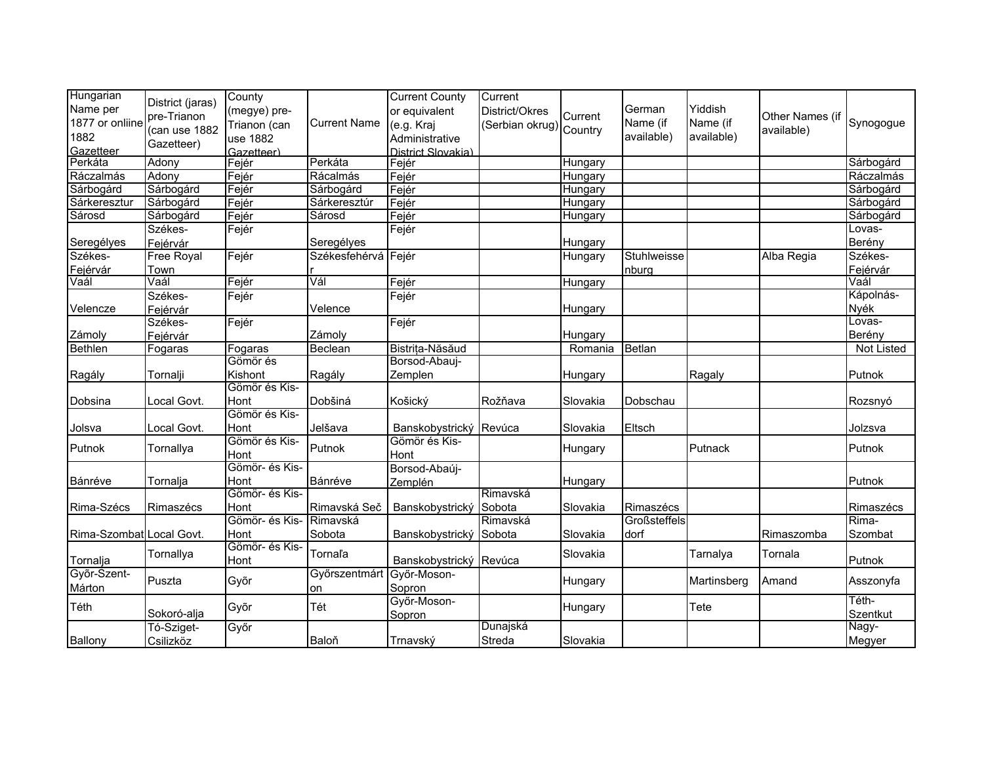| Hungarian                | District (jaras) | County         |                     | <b>Current County</b>  | Current                |          |              |             |                 |                   |
|--------------------------|------------------|----------------|---------------------|------------------------|------------------------|----------|--------------|-------------|-----------------|-------------------|
| Name per                 |                  | (megye) pre-   |                     | or equivalent          | District/Okres         |          | German       | Yiddish     |                 |                   |
| 1877 or onliine          | pre-Trianon      | Trianon (can   | <b>Current Name</b> | (e.g. Kraj             | Serbian okrug) Country | Current  | Name (if     | Name (if    | Other Names (if | Synogogue         |
| 1882                     | (can use 1882    | use 1882       |                     | Administrative         |                        |          | available)   | available)  | available)      |                   |
| Gazetteer                | Gazetteer)       | Gazetteer)     |                     | District Slovakia)     |                        |          |              |             |                 |                   |
| Perkáta                  | Adony            | Fejér          | Perkáta             | Fejér                  |                        | Hungary  |              |             |                 | Sárbogárd         |
| Ráczalmás                | Adony            | Fejér          | Rácalmás            | Fejér                  |                        | Hungary  |              |             |                 | Ráczalmás         |
| Sárbogárd                | Sárbogárd        | Fejér          | Sárbogárd           | Fejér                  |                        | Hungary  |              |             |                 | Sárbogárd         |
| Sárkeresztur             | Sárbogárd        | Fejér          | Sárkeresztúr        | Fejér                  |                        | Hungary  |              |             |                 | Sárbogárd         |
| Sárosd                   | Sárbogárd        | Fejér          | Sárosd              | Fejér                  |                        | Hungary  |              |             |                 | Sárbogárd         |
|                          | Székes-          | Fejér          |                     | Fejér                  |                        |          |              |             |                 | Lovas-            |
| Seregélyes               | Fejérvár         |                | Seregélyes          |                        |                        | Hungary  |              |             |                 | Berény            |
| Székes-                  | Free Royal       | Fejér          | Székesfehérvá Fejér |                        |                        | Hungary  | Stuhlweisse  |             | Alba Regia      | Székes-           |
| Fejérvár                 | Town             |                |                     |                        |                        |          | nburg        |             |                 | Fejérvár          |
| Vaál                     | Vaál             | Fejér          | Vál                 | Fejér                  |                        | Hungary  |              |             |                 | Vaál              |
|                          | Székes-          | Fejér          |                     | Fejér                  |                        |          |              |             |                 | Kápolnás-         |
| Velencze                 | Fejérvár         |                | Velence             |                        |                        | Hungary  |              |             |                 | Nyék              |
|                          | Székes-          | Fejér          |                     | Fejér                  |                        |          |              |             |                 | Lovas-            |
| Zámoly                   | Fejérvár         |                | Zámoly              |                        |                        | Hungary  |              |             |                 | Berény            |
| Bethlen                  | Fogaras          | Fogaras        | Beclean             | Bistrița-Năsăud        |                        | Romania  | Betlan       |             |                 | <b>Not Listed</b> |
|                          |                  | Gömör és       |                     | Borsod-Abauj-          |                        |          |              |             |                 |                   |
| Ragály                   | Tornalji         | Kishont        | Ragály              | Zemplen                |                        | Hungary  |              | Ragaly      |                 | Putnok            |
|                          |                  | Gömör és Kis-  |                     |                        |                        |          |              |             |                 |                   |
| Dobsina                  | Local Govt.      | Hont           | Dobšiná             | Košický                | Rožňava                | Slovakia | Dobschau     |             |                 | Rozsnyó           |
|                          |                  | Gömör és Kis-  |                     |                        |                        |          |              |             |                 |                   |
| Jolsva                   | Local Govt.      | Hont           | Jelšava             | Banskobystrický Revúca |                        | Slovakia | Eltsch       |             |                 | Jolzsva           |
|                          |                  | Gömör és Kis-  |                     | Gömör és Kis-          |                        |          |              |             |                 |                   |
| Putnok                   | Tornallya        | Hont           | Putnok              | Hont                   |                        | Hungary  |              | Putnack     |                 | Putnok            |
|                          |                  | Gömör- és Kis- |                     | Borsod-Abaúj-          |                        |          |              |             |                 |                   |
| Bánréve                  | Tornalja         | Hont           | Bánréve             | Zemplén                |                        | Hungary  |              |             |                 | Putnok            |
|                          |                  | Gömör- és Kis- |                     |                        | Rimavská               |          |              |             |                 |                   |
| Rima-Szécs               | Rimaszécs        | Hont           | Rimavská Seč        | Banskobystrický        | Sobota                 | Slovakia | Rimaszécs    |             |                 | Rimaszécs         |
|                          |                  | Gömör- és Kis- | Rimavská            |                        | Rimavská               |          | Großsteffels |             |                 | Rima-             |
| Rima-Szombat Local Govt. |                  | Hont           | Sobota              | Banskobystrický        | Sobota                 | Slovakia | dorf         |             | Rimaszomba      | Szombat           |
|                          |                  | Gömör- és Kis- |                     |                        |                        |          |              |             |                 |                   |
| Tornalja                 | Tornallya        | Hont           | Tornaľa             | Banskobystrický Revúca |                        | Slovakia |              | Tarnalya    | Tornala         | Putnok            |
| Győr-Szent-              |                  |                | Győrszentmárt       | Győr-Moson-            |                        |          |              |             |                 |                   |
| Márton                   | Puszta           | Győr           | on                  | Sopron                 |                        | Hungary  |              | Martinsberg | Amand           | Asszonyfa         |
|                          |                  |                |                     | Győr-Moson-            |                        |          |              |             |                 | Téth-             |
| Téth                     | Sokoró-alja      | Győr           | Tét                 | Sopron                 |                        | Hungary  |              | Tete        |                 | <b>Szentkut</b>   |
|                          | Tó-Sziget-       | Győr           |                     |                        | Dunajská               |          |              |             |                 | Nagy-             |
| Ballony                  | Csilizköz        |                | Baloň               | Trnavský               | Streda                 | Slovakia |              |             |                 | Megyer            |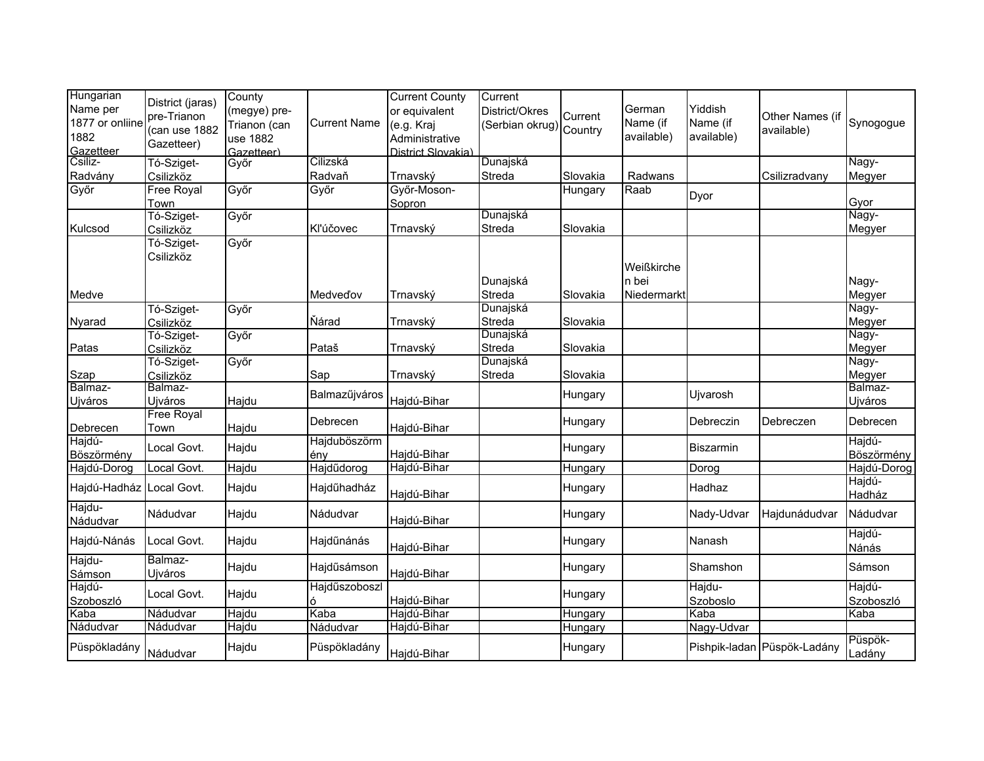| Hungarian<br>Name per<br>1877 or onliine<br>1882<br>Gazetteer | District (jaras)<br>pre-Trianon<br>(can use 1882<br>Gazetteer) | County<br>(megye) pre-<br>Trianon (can<br>use 1882<br>Gazetteer) | <b>Current Name</b>      | <b>Current County</b><br>or equivalent<br>(e.g. Kraj<br>Administrative<br>District Slovakia) | Current<br>District/Okres<br>(Serbian okrug) | Current<br>Country | German<br>Name (if<br>available) | Yiddish<br>Name (if<br>available) | Other Names (if<br>available) | Synogogue            |
|---------------------------------------------------------------|----------------------------------------------------------------|------------------------------------------------------------------|--------------------------|----------------------------------------------------------------------------------------------|----------------------------------------------|--------------------|----------------------------------|-----------------------------------|-------------------------------|----------------------|
| Csiliz-<br>Radvány                                            | Tó-Sziget-                                                     | Győr                                                             | Cilizská<br>Radvaň       | Trnavský                                                                                     | Dunajská<br>Streda                           | Slovakia           | Radwans                          |                                   |                               | Nagy-                |
| Győr                                                          | Csilizköz<br><b>Free Royal</b><br>Town                         | Győr                                                             | Győr                     | Győr-Moson-<br>Sopron                                                                        |                                              | Hungary            | Raab                             | Dyor                              | Csilizradvany                 | Megyer<br>Gyor       |
| Kulcsod                                                       | Tó-Sziget-<br>Csilizköz                                        | Győr                                                             | Kľúčovec                 | Trnavský                                                                                     | Dunajská<br>Streda                           | Slovakia           |                                  |                                   |                               | Nagy-<br>Megyer      |
|                                                               | Tó-Sziget-<br>Csilizköz                                        | Győr                                                             |                          |                                                                                              | Dunajská                                     |                    | Weißkirche<br>n bei              |                                   |                               | Nagy-                |
| Medve                                                         |                                                                |                                                                  | Medved'ov                | Trnavský                                                                                     | Streda                                       | Slovakia           | Niedermarkt                      |                                   |                               | Megyer               |
| Nyarad                                                        | Tó-Sziget-<br>Csilizköz                                        | Győr                                                             | <b>Nárad</b>             | Trnavský                                                                                     | Dunajská<br>Streda                           | Slovakia           |                                  |                                   |                               | Nagy-<br>Megyer      |
| Patas                                                         | Tó-Sziget-<br>Csilizköz                                        | Győr                                                             | Pataš                    | Trnavský                                                                                     | Dunajská<br>Streda                           | Slovakia           |                                  |                                   |                               | Nagy-<br>Megyer      |
| Szap                                                          | Tó-Sziget-<br>Csilizköz                                        | Győr                                                             | Sap                      | Trnavský                                                                                     | Dunajská<br>Streda                           | Slovakia           |                                  |                                   |                               | Nagy-<br>Megyer      |
| Balmaz-<br>Ujváros                                            | Balmaz-<br>Ujváros                                             | Hajdu                                                            | Balmazűjváros            | Hajdú-Bihar                                                                                  |                                              | Hungary            |                                  | Ujvarosh                          |                               | Balmaz-<br>Ujváros   |
| Debrecen                                                      | <b>Free Royal</b><br>Town                                      | Hajdu                                                            | Debrecen                 | Hajdú-Bihar                                                                                  |                                              | Hungary            |                                  | Debreczin                         | Debreczen                     | Debrecen             |
| Hajdú-<br>Böszörmény                                          | Local Govt.                                                    | Hajdu                                                            | Hajduböszörm<br>ény      | Hajdú-Bihar                                                                                  |                                              | Hungary            |                                  | Biszarmin                         |                               | Hajdú-<br>Böszörmény |
| Hajdú-Dorog                                                   | Local Govt.                                                    | Hajdu                                                            | Hajdűdorog               | Hajdú-Bihar                                                                                  |                                              | Hungary            |                                  | Dorog                             |                               | Hajdú-Dorog          |
| Hajdú-Hadház Local Govt.                                      |                                                                | Hajdu                                                            | Hajdűhadház              | Hajdú-Bihar                                                                                  |                                              | Hungary            |                                  | Hadhaz                            |                               | Hajdú-<br>Hadház     |
| Hajdu-<br>Nádudvar                                            | Nádudvar                                                       | Hajdu                                                            | Nádudvar                 | Hajdú-Bihar                                                                                  |                                              | Hungary            |                                  | Nady-Udvar                        | Hajdunádudvar                 | Nádudvar             |
| Hajdú-Nánás                                                   | Local Govt.                                                    | Hajdu                                                            | Hajdűnánás               | Hajdú-Bihar                                                                                  |                                              | Hungary            |                                  | Nanash                            |                               | Hajdú-<br>Nánás      |
| Hajdu-<br>Sámson                                              | Balmaz-<br>Ujváros                                             | Hajdu                                                            | Hajdűsámson              | Hajdú-Bihar                                                                                  |                                              | Hungary            |                                  | Shamshon                          |                               | Sámson               |
| Hajdú-<br>Szoboszló                                           | Local Govt.                                                    | Hajdu                                                            | Hajdűszoboszl            | Hajdú-Bihar                                                                                  |                                              | Hungary            |                                  | Hajdu-<br>Szoboslo                |                               | Hajdú-<br>Szoboszló  |
| Kaba                                                          | Nádudvar                                                       | Hajdu                                                            | Kaba                     | Hajdú-Bihar                                                                                  |                                              | Hungary            |                                  | Kaba                              |                               | Kaba                 |
| Nádudvar<br>Püspökladány                                      | Nádudvar<br>Nádudvar                                           | Hajdu<br>Hajdu                                                   | Nádudvar<br>Püspökladány | Hajdú-Bihar<br>Hajdú-Bihar                                                                   |                                              | Hungary<br>Hungary |                                  | Nagy-Udvar                        | Pishpik-ladan Püspök-Ladány   | Püspök-<br>Ladány    |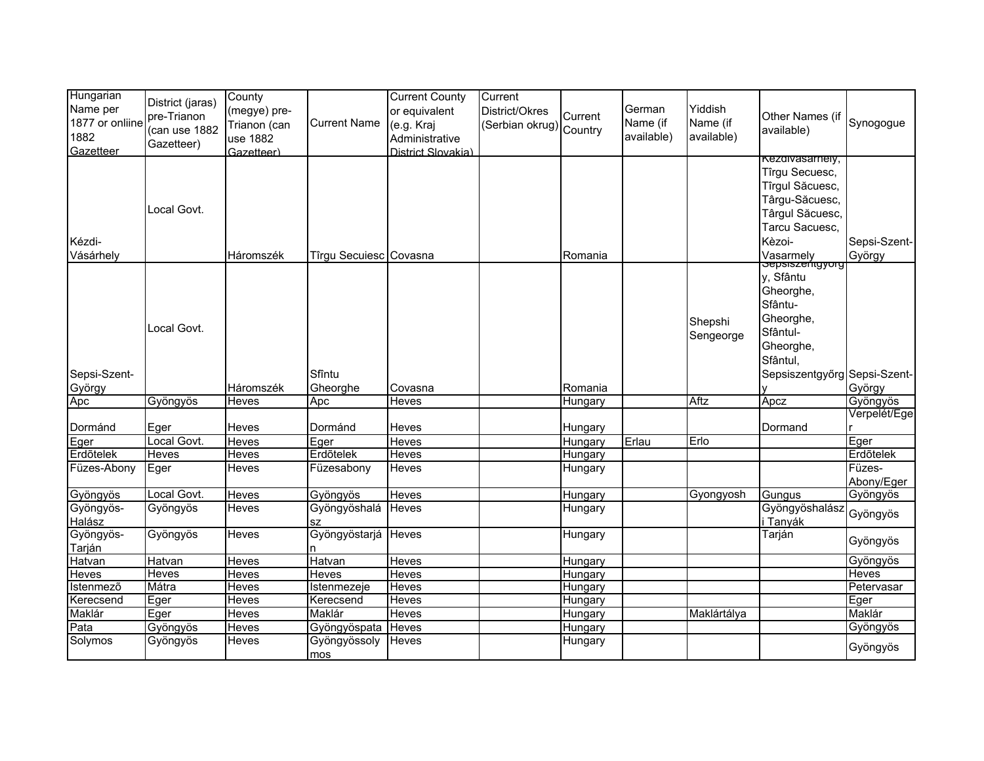| Hungarian<br>Name per<br>1877 or onliine<br>1882<br>Gazetteer | District (jaras)<br>pre-Trianon<br>(can use 1882<br>Gazetteer) | County<br>(megye) pre-<br>Trianon (can<br>use 1882<br>(Gazetteer | <b>Current Name</b>    | <b>Current County</b><br>or equivalent<br>(e.g. Kraj<br>Administrative<br>District Slovakia) | Current<br>District/Okres<br>Serbian okrug) Country | Current | German<br>Name (if<br>available) | Yiddish<br>Name (if<br>available) | Other Names (if<br>available)                                                                                                                      | Synogogue              |
|---------------------------------------------------------------|----------------------------------------------------------------|------------------------------------------------------------------|------------------------|----------------------------------------------------------------------------------------------|-----------------------------------------------------|---------|----------------------------------|-----------------------------------|----------------------------------------------------------------------------------------------------------------------------------------------------|------------------------|
| Kézdi-<br>Vásárhely                                           | Local Govt.                                                    | Háromszék                                                        | Tîrgu Secuiesc Covasna |                                                                                              |                                                     | Romania |                                  |                                   | <b>Rezalvasamely,</b><br>Tîrgu Secuesc,<br>Tîrgul Săcuesc,<br>Târgu-Săcuesc,<br>Târgul Săcuesc,<br>Tarcu Sacuesc,<br>Kèzoi-                        | Sepsi-Szent-<br>György |
| Sepsi-Szent-<br>György                                        | Local Govt.                                                    | Háromszék                                                        | Sfîntu<br>Gheorghe     | Covasna                                                                                      |                                                     | Romania |                                  | Shepshi<br>Sengeorge              | Vasarmely<br>Sepsiszemgyorg<br>y, Sfântu<br>Gheorghe,<br>Sfântu-<br>Gheorghe,<br>Sfântul-<br>Gheorghe,<br>Sfântul,<br>Sepsiszentgyőrg Sepsi-Szent- | György                 |
| Apc                                                           | Gyöngyös                                                       | <b>Heves</b>                                                     | Apc                    | Heves                                                                                        |                                                     | Hungary |                                  | Aftz                              | Apcz                                                                                                                                               | Gyöngyös               |
| Dormánd                                                       | Eger                                                           | Heves                                                            | Dormánd                | Heves                                                                                        |                                                     | Hungary |                                  |                                   | Dormand                                                                                                                                            | Verpelét/Ege           |
| Eger                                                          | Local Govt.                                                    | Heves                                                            | Eger                   | Heves                                                                                        |                                                     | Hungary | Erlau                            | Erlo                              |                                                                                                                                                    | Eger                   |
| Erdõtelek                                                     | <b>Heves</b>                                                   | Heves                                                            | Erdőtelek              | <b>Heves</b>                                                                                 |                                                     | Hungary |                                  |                                   |                                                                                                                                                    | Erdõtelek              |
| Füzes-Abony                                                   | Eger                                                           | Heves                                                            | Füzesabony             | Heves                                                                                        |                                                     | Hungary |                                  |                                   |                                                                                                                                                    | Füzes-<br>Abony/Eger   |
| Gyöngyös                                                      | Local Govt.                                                    | Heves                                                            | Gyöngyös               | Heves                                                                                        |                                                     | Hungary |                                  | Gyongyosh                         | Gungus                                                                                                                                             | Gyöngyös               |
| Gyöngyös-<br>Halász                                           | Gyöngyös                                                       | Heves                                                            | Gyöngyöshalá<br>SZ     | <b>Heves</b>                                                                                 |                                                     | Hungary |                                  |                                   | Gyöngyöshalász<br>i Tanyák                                                                                                                         | Gyöngyös               |
| Gyöngyös-<br>Tarján                                           | Gyöngyös                                                       | Heves                                                            | Gyöngyöstarjá<br>n     | Heves                                                                                        |                                                     | Hungary |                                  |                                   | Tarján                                                                                                                                             | Gyöngyös               |
| Hatvan                                                        | <b>Hatvan</b>                                                  | Heves                                                            | Hatvan                 | Heves                                                                                        |                                                     | Hungary |                                  |                                   |                                                                                                                                                    | Gyöngyös               |
| Heves                                                         | Heves                                                          | Heves                                                            | Heves                  | Heves                                                                                        |                                                     | Hungary |                                  |                                   |                                                                                                                                                    | <b>Heves</b>           |
| Istenmezõ                                                     | Mátra                                                          | Heves                                                            | Istenmezeje            | <b>Heves</b>                                                                                 |                                                     | Hungary |                                  |                                   |                                                                                                                                                    | Petervasar             |
| Kerecsend                                                     | Eger                                                           | <b>Heves</b>                                                     | Kerecsend              | Heves                                                                                        |                                                     | Hungary |                                  |                                   |                                                                                                                                                    | Eger                   |
| Maklár                                                        | Eger                                                           | Heves                                                            | Maklár                 | Heves                                                                                        |                                                     | Hungary |                                  | Maklártálya                       |                                                                                                                                                    | Maklár                 |
| Pata                                                          | Gyöngyös                                                       | <b>Heves</b>                                                     | Gyöngyöspata           | Heves                                                                                        |                                                     | Hungary |                                  |                                   |                                                                                                                                                    | Gyöngyös               |
| Solymos                                                       | Gyöngyös                                                       | Heves                                                            | Gyöngyössoly<br>mos    | Heves                                                                                        |                                                     | Hungary |                                  |                                   |                                                                                                                                                    | Gyöngyös               |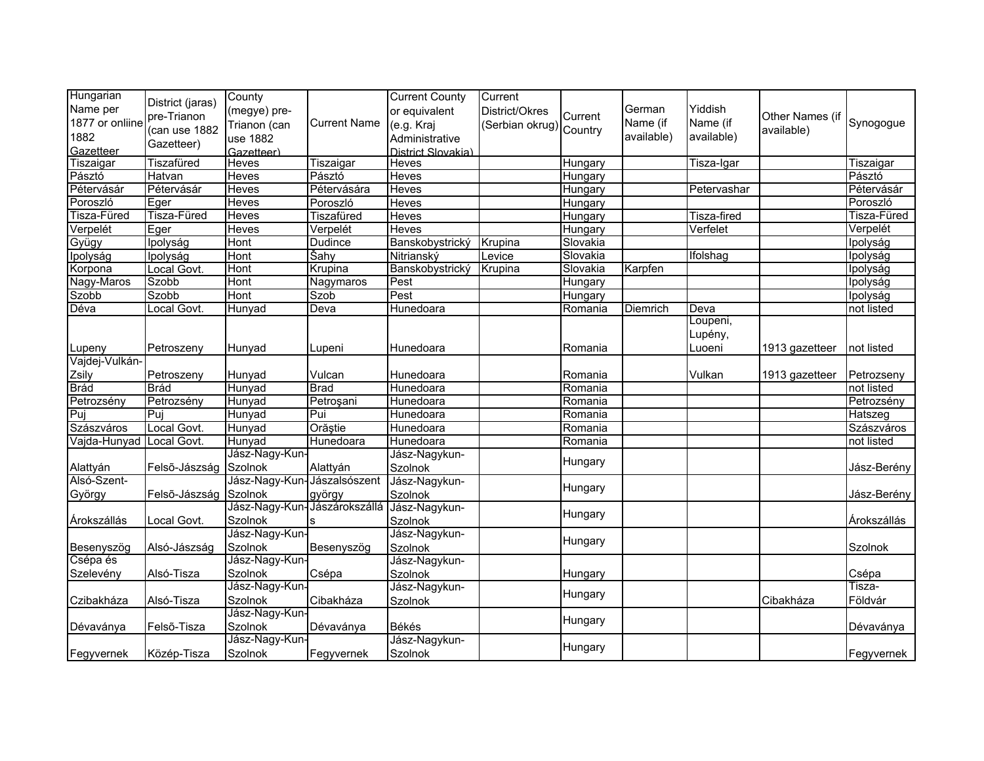| Hungarian<br>Name per<br>1877 or onliine<br>1882<br>Gazetteer | District (jaras)<br>pre-Trianon<br>(can use 1882<br>Gazetteer) | County<br>(megye) pre-<br>Trianon (can<br>use 1882<br>Gazetteer) | <b>Current Name</b> | <b>Current County</b><br>or equivalent<br>(e.g. Kraj<br>Administrative<br>District Slovakia) | Current<br>District/Okres<br>(Serbian okrug) Country | Current  | German<br>Name (if<br>available) | Yiddish<br>Name (if<br>available) | Other Names (if<br>available) | Synogogue         |
|---------------------------------------------------------------|----------------------------------------------------------------|------------------------------------------------------------------|---------------------|----------------------------------------------------------------------------------------------|------------------------------------------------------|----------|----------------------------------|-----------------------------------|-------------------------------|-------------------|
| Tiszaigar                                                     | Tiszafüred                                                     | Heves                                                            | Tiszaigar           | Heves                                                                                        |                                                      | Hungary  |                                  | Tisza-Igar                        |                               | Tiszaigar         |
| Pásztó                                                        | Hatvan                                                         | Heves                                                            | Pásztó              | Heves                                                                                        |                                                      | Hungary  |                                  |                                   |                               | Pásztó            |
| Pétervásár                                                    | Pétervásár                                                     | <b>Heves</b>                                                     | Pétervására         | <b>Heves</b>                                                                                 |                                                      | Hungary  |                                  | Petervashar                       |                               | Pétervásár        |
| Poroszló                                                      | Eger                                                           | <b>Heves</b>                                                     | Poroszló            | Heves                                                                                        |                                                      | Hungary  |                                  |                                   |                               | Poroszló          |
| Tisza-Füred                                                   | Tisza-Füred                                                    | <b>Heves</b>                                                     | <b>Tiszafüred</b>   | <b>Heves</b>                                                                                 |                                                      | Hungary  |                                  | <b>Tisza-fired</b>                |                               | Tisza-Füred       |
| Verpelét                                                      | Eger                                                           | <b>Heves</b>                                                     | Verpelét            | <b>Heves</b>                                                                                 |                                                      | Hungary  |                                  | Verfelet                          |                               | Verpelét          |
| Gyügy                                                         | Ipolyság                                                       | Hont                                                             | <b>Dudince</b>      | Banskobystrický                                                                              | Krupina                                              | Slovakia |                                  |                                   |                               | Ipolyság          |
| Ipolyság                                                      | <b>Ipolyság</b>                                                | <b>Hont</b>                                                      | Šahy                | Nitrianský                                                                                   | Levice                                               | Slovakia |                                  | Ifolshag                          |                               | Ipolyság          |
| Korpona                                                       | Local Govt.                                                    | <b>Hont</b>                                                      | Krupina             | Banskobystrický                                                                              | Krupina                                              | Slovakia | Karpfen                          |                                   |                               | Ipolyság          |
| Nagy-Maros                                                    | Szobb                                                          | Hont                                                             | Nagymaros           | Pest                                                                                         |                                                      | Hungary  |                                  |                                   |                               | Ipolyság          |
| Szobb                                                         | Szobb                                                          | Hont                                                             | <b>Szob</b>         | Pest                                                                                         |                                                      | Hungary  |                                  |                                   |                               | Ipolyság          |
| Déva                                                          | Local Govt.                                                    | Hunyad                                                           | Deva                | Hunedoara                                                                                    |                                                      | Romania  | Diemrich                         | Deva                              |                               | not listed        |
| Lupeny                                                        | Petroszeny                                                     | Hunyad                                                           | Lupeni              | Hunedoara                                                                                    |                                                      | Romania  |                                  | Loupeni,<br>Lupény,<br>Luoeni     | 1913 gazetteer                | not listed        |
| Vajdej-Vulkán-                                                |                                                                |                                                                  |                     |                                                                                              |                                                      |          |                                  |                                   |                               |                   |
| Zsily                                                         | Petroszeny                                                     | Hunyad                                                           | Vulcan              | Hunedoara                                                                                    |                                                      | Romania  |                                  | Vulkan                            | 1913 gazetteer                | Petrozseny        |
| Brád                                                          | Brád                                                           | Hunyad                                                           | <b>Brad</b>         | Hunedoara                                                                                    |                                                      | Romania  |                                  |                                   |                               | not listed        |
| Petrozsény                                                    | Petrozsény                                                     | Hunyad                                                           | Petroşani           | Hunedoara                                                                                    |                                                      | Romania  |                                  |                                   |                               | Petrozsény        |
| Puj                                                           | Puj                                                            | Hunyad                                                           | Pui                 | Hunedoara                                                                                    |                                                      | Romania  |                                  |                                   |                               | Hatszeg           |
| Szászváros                                                    | Local Govt.                                                    | Hunyad                                                           | Orăștie             | Hunedoara                                                                                    |                                                      | Romania  |                                  |                                   |                               | Szászváros        |
| Vajda-Hunyad                                                  | Local Govt.                                                    | Hunyad                                                           | Hunedoara           | Hunedoara                                                                                    |                                                      | Romania  |                                  |                                   |                               | not listed        |
| Alattyán                                                      | Felső-Jászság Szolnok                                          | Jász-Nagy-Kun-                                                   | Alattyán            | Jász-Nagykun-<br>Szolnok                                                                     |                                                      | Hungary  |                                  |                                   |                               | Jász-Berény       |
| Alsó-Szent-<br>György                                         | Felső-Jászság Szolnok                                          | Jász-Nagy-Kun-Jászalsószent                                      | györgy              | Jász-Nagykun-<br>Szolnok                                                                     |                                                      | Hungary  |                                  |                                   |                               | Jász-Berény       |
| Árokszállás                                                   | Local Govt.                                                    | Jász-Nagy-Kun-Jászárokszállá<br>Szolnok                          |                     | Jász-Nagykun-<br>Szolnok                                                                     |                                                      | Hungary  |                                  |                                   |                               | Árokszállás       |
| Besenyszög                                                    | Alsó-Jászság                                                   | Jász-Nagy-Kun-<br>Szolnok                                        | Besenyszög          | Jász-Nagykun-<br>Szolnok                                                                     |                                                      | Hungary  |                                  |                                   |                               | Szolnok           |
| Csépa és                                                      |                                                                | Jász-Nagy-Kun-                                                   |                     | Jász-Nagykun-                                                                                |                                                      |          |                                  |                                   |                               |                   |
| Szelevény                                                     | Alsó-Tisza                                                     | Szolnok                                                          | Csépa               | Szolnok                                                                                      |                                                      | Hungary  |                                  |                                   |                               | Csépa             |
| Czibakháza                                                    | Alsó-Tisza                                                     | Jász-Nagy-Kun-<br>Szolnok                                        | Cibakháza           | Jász-Nagykun-<br>Szolnok                                                                     |                                                      | Hungary  |                                  |                                   | Cibakháza                     | Tisza-<br>Földvár |
| Dévaványa                                                     | Felső-Tisza                                                    | Jász-Nagy-Kun-<br>Szolnok                                        | Dévaványa           | Békés                                                                                        |                                                      | Hungary  |                                  |                                   |                               | Dévaványa         |
| Fegyvernek                                                    | Közép-Tisza                                                    | Jász-Nagy-Kun-<br>Szolnok                                        | Fegyvernek          | Jász-Nagykun-<br>Szolnok                                                                     |                                                      | Hungary  |                                  |                                   |                               | Fegyvernek        |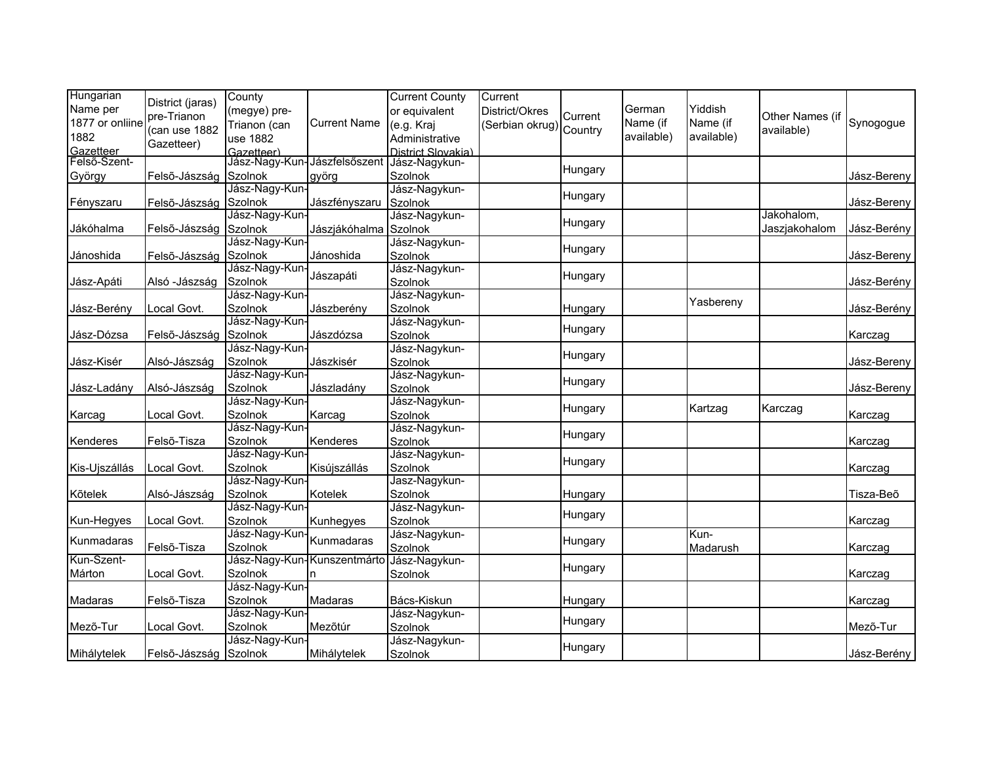| Hungarian<br>Name per<br>1877 or onliine | District (jaras)<br>pre-Trianon | County<br>(megye) pre-<br>Trianon (can | <b>Current Name</b>         | <b>Current County</b><br>or equivalent<br>(e.g. Kraj | Current<br>District/Okres<br>(Serbian okrug) Country | Current | German<br>Name (if | Yiddish<br>Name (if | Other Names (if | Synogogue   |
|------------------------------------------|---------------------------------|----------------------------------------|-----------------------------|------------------------------------------------------|------------------------------------------------------|---------|--------------------|---------------------|-----------------|-------------|
| 1882<br>Gazetteer                        | (can use 1882<br>Gazetteer)     | use 1882<br>Gazetteer)                 |                             | Administrative<br>District Slovakia)                 |                                                      |         | available)         | available)          | available)      |             |
| Felső-Szent-                             |                                 | Jász-Nagy-Kun-Jászfelsőszent           |                             | Jász-Nagykun-                                        |                                                      |         |                    |                     |                 |             |
| György                                   | Felső-Jászság Szolnok           |                                        | györg                       | <b>Szolnok</b>                                       |                                                      | Hungary |                    |                     |                 | Jász-Bereny |
|                                          |                                 | Jász-Nagy-Kun-                         |                             | Jász-Nagykun-                                        |                                                      |         |                    |                     |                 |             |
| Fényszaru                                | Felső-Jászság Szolnok           |                                        | Jászfényszaru               | Szolnok                                              |                                                      | Hungary |                    |                     |                 | Jász-Bereny |
|                                          |                                 | Jász-Nagy-Kun-                         |                             | Jász-Nagykun-                                        |                                                      |         |                    |                     | Jakohalom,      |             |
| Jákóhalma                                | Felső-Jászság Szolnok           |                                        | Jászjákóhalma Szolnok       |                                                      |                                                      | Hungary |                    |                     | Jaszjakohalom   | Jász-Berény |
|                                          |                                 | Jász-Nagy-Kun-                         |                             | Jász-Nagykun-                                        |                                                      | Hungary |                    |                     |                 |             |
| Jánoshida                                | Felső-Jászság Szolnok           |                                        | Jánoshida                   | Szolnok                                              |                                                      |         |                    |                     |                 | Jász-Bereny |
|                                          |                                 | Jász-Nagy-Kun-                         | Jászapáti                   | Jász-Nagykun-                                        |                                                      | Hungary |                    |                     |                 |             |
| Jász-Apáti                               | Alsó - Jászság                  | Szolnok                                |                             | Szolnok                                              |                                                      |         |                    |                     |                 | Jász-Berény |
|                                          |                                 | Jász-Nagy-Kun-                         |                             | Jász-Nagykun-                                        |                                                      |         |                    | Yasbereny           |                 |             |
| Jász-Berény                              | Local Govt.                     | Szolnok                                | Jászberény                  | Szolnok                                              |                                                      | Hungary |                    |                     |                 | Jász-Berény |
|                                          |                                 | Jász-Nagy-Kun-                         |                             | Jász-Nagykun-                                        |                                                      | Hungary |                    |                     |                 |             |
| Jász-Dózsa                               | Felső-Jászság Szolnok           |                                        | Jászdózsa                   | <b>Szolnok</b>                                       |                                                      |         |                    |                     |                 | Karczag     |
|                                          |                                 | Jász-Nagy-Kun-                         |                             | Jász-Nagykun-                                        |                                                      | Hungary |                    |                     |                 |             |
| Jász-Kisér                               | Alsó-Jászság                    | Szolnok                                | Jászkisér                   | <b>Szolnok</b>                                       |                                                      |         |                    |                     |                 | Jász-Bereny |
|                                          |                                 | Jász-Nagy-Kun-                         |                             | Jász-Nagykun-                                        |                                                      | Hungary |                    |                     |                 |             |
| Jász-Ladány                              | Alsó-Jászság                    | Szolnok                                | Jászladány                  | Szolnok                                              |                                                      |         |                    |                     |                 | Jász-Bereny |
|                                          |                                 | Jász-Nagy-Kun-                         |                             | Jász-Nagykun-                                        |                                                      | Hungary |                    | Kartzag             | Karczag         |             |
| Karcag                                   | Local Govt.                     | Szolnok                                | Karcag                      | Szolnok                                              |                                                      |         |                    |                     |                 | Karczag     |
|                                          |                                 | Jász-Nagy-Kun-                         |                             | Jász-Nagykun-                                        |                                                      | Hungary |                    |                     |                 |             |
| Kenderes                                 | Felső-Tisza                     | Szolnok                                | Kenderes                    | Szolnok                                              |                                                      |         |                    |                     |                 | Karczag     |
|                                          |                                 | Jász-Nagy-Kun-                         |                             | Jász-Nagykun-                                        |                                                      | Hungary |                    |                     |                 |             |
| Kis-Ujszállás                            | Local Govt.                     | Szolnok                                | Kisújszállás                | <b>Szolnok</b>                                       |                                                      |         |                    |                     |                 | Karczag     |
|                                          |                                 | Jász-Nagy-Kun-                         |                             | Jasz-Nagykun-                                        |                                                      |         |                    |                     |                 |             |
| Kõtelek                                  | Alsó-Jászság                    | Szolnok                                | Kotelek                     | Szolnok                                              |                                                      | Hungary |                    |                     |                 | Tisza-Beõ   |
|                                          |                                 | Jász-Nagy-Kun-                         |                             | Jász-Nagykun-                                        |                                                      | Hungary |                    |                     |                 |             |
| Kun-Hegyes                               | Local Govt.                     | Szolnok                                | Kunhegyes                   | Szolnok                                              |                                                      |         |                    |                     |                 | Karczag     |
| Kunmadaras                               |                                 | Jász-Nagy-Kun-                         | Kunmadaras                  | Jász-Nagykun-                                        |                                                      | Hungary |                    | Kun-                |                 |             |
|                                          | Felső-Tisza                     | Szolnok                                |                             | Szolnok                                              |                                                      |         |                    | Madarush            |                 | Karczag     |
| Kun-Szent-                               |                                 |                                        | Jász-Nagy-Kun-Kunszentmárto | Jász-Nagykun-                                        |                                                      | Hungary |                    |                     |                 |             |
| Márton                                   | Local Govt.                     | Szolnok                                |                             | Szolnok                                              |                                                      |         |                    |                     |                 | Karczag     |
|                                          |                                 | Jász-Nagy-Kun-                         |                             |                                                      |                                                      |         |                    |                     |                 |             |
| Madaras                                  | Felső-Tisza                     | Szolnok                                | Madaras                     | Bács-Kiskun                                          |                                                      | Hungary |                    |                     |                 | Karczag     |
|                                          |                                 | Jász-Nagy-Kun-                         |                             | Jász-Nagykun-                                        |                                                      | Hungary |                    |                     |                 |             |
| Mezõ-Tur                                 | Local Govt.                     | Szolnok                                | Mezõtúr                     | <b>Szolnok</b>                                       |                                                      |         |                    |                     |                 | Mező-Tur    |
|                                          |                                 | Jász-Nagy-Kun-                         |                             | Jász-Nagykun-                                        |                                                      | Hungary |                    |                     |                 |             |
| Mihálytelek                              | Felső-Jászság Szolnok           |                                        | Mihálytelek                 | Szolnok                                              |                                                      |         |                    |                     |                 | Jász-Berény |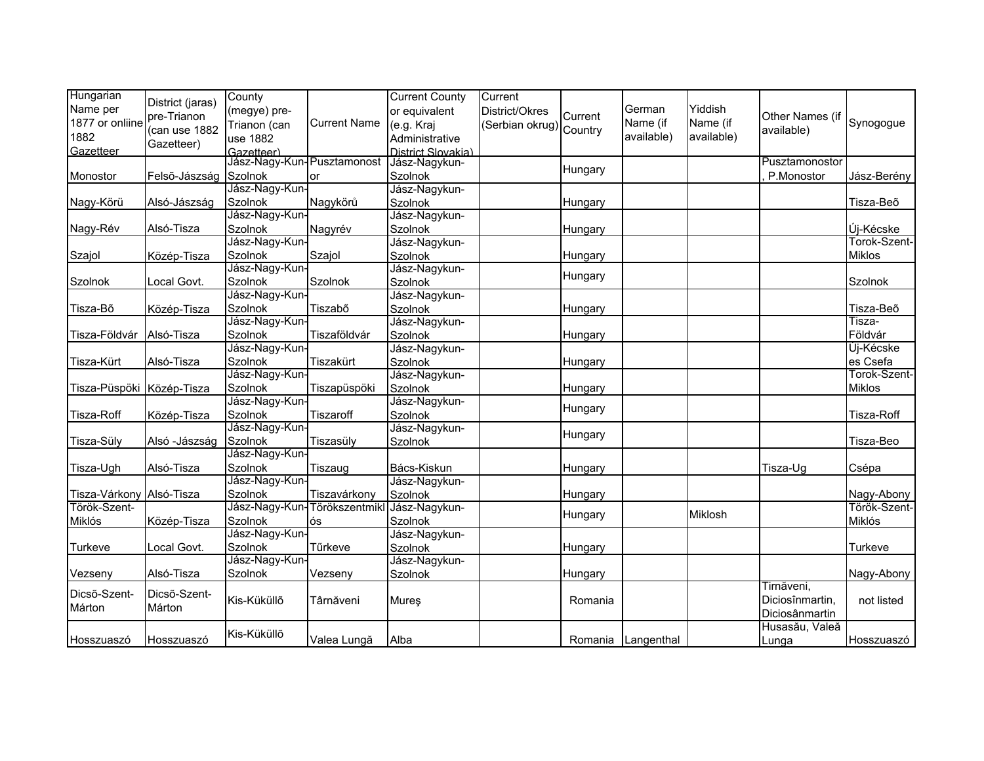| Hungarian                 |                       | County                       |                     | <b>Current County</b> | Current                 |         |                    |            |                 |               |
|---------------------------|-----------------------|------------------------------|---------------------|-----------------------|-------------------------|---------|--------------------|------------|-----------------|---------------|
| Name per                  | District (jaras)      | (megye) pre-                 |                     | or equivalent         | District/Okres          | Current | German             | Yiddish    |                 |               |
| 1877 or onliine           | pre-Trianon           | Trianon (can                 | <b>Current Name</b> | (e.g. Kraj            | (Serbian okrug) Country |         | Name (if           | Name (if   | Other Names (if | Synogogue     |
| 1882                      | (can use 1882         | use 1882                     |                     | Administrative        |                         |         | available)         | available) | available)      |               |
| Gazetteer                 | Gazetteer)            | Gazetteer)                   |                     | District Slovakia)    |                         |         |                    |            |                 |               |
|                           |                       | Jász-Nagy-Kun-Pusztamonost   |                     | Jász-Nagykun-         |                         |         |                    |            | Pusztamonostor  |               |
| Monostor                  | Felső-Jászság Szolnok |                              | or                  | Szolnok               |                         | Hungary |                    |            | P.Monostor      | Jász-Berény   |
|                           |                       | Jász-Nagy-Kun-               |                     | Jász-Nagykun-         |                         |         |                    |            |                 |               |
| Nagy-Körü                 | Alsó-Jászság          | Szolnok                      | Nagykörů            | Szolnok               |                         | Hungary |                    |            |                 | Tisza-Beõ     |
|                           |                       | Jász-Nagy-Kun-               |                     | Jász-Nagykun-         |                         |         |                    |            |                 |               |
| Nagy-Rév                  | Alsó-Tisza            | Szolnok                      | Nagyrév             | Szolnok               |                         | Hungary |                    |            |                 | Új-Kécske     |
|                           |                       | Jász-Nagy-Kun-               |                     | Jász-Nagykun-         |                         |         |                    |            |                 | Torok-Szent-  |
| Szajol                    | Közép-Tisza           | Szolnok                      | Szajol              | Szolnok               |                         | Hungary |                    |            |                 | Miklos        |
|                           |                       | Jász-Nagy-Kun-               |                     | Jász-Nagykun-         |                         | Hungary |                    |            |                 |               |
| Szolnok                   | Local Govt.           | Szolnok                      | Szolnok             | Szolnok               |                         |         |                    |            |                 | Szolnok       |
|                           |                       | Jász-Nagy-Kun-               |                     | Jász-Nagykun-         |                         |         |                    |            |                 |               |
| Tisza-Bő                  | Közép-Tisza           | <b>Szolnok</b>               | Tiszabő             | Szolnok               |                         | Hungary |                    |            |                 | Tisza-Beõ     |
|                           |                       | Jász-Nagy-Kun-               |                     | Jász-Nagykun-         |                         |         |                    |            |                 | Tisza-        |
| Tisza-Földvár             | Alsó-Tisza            | Szolnok                      | Tiszaföldvár        | Szolnok               |                         | Hungary |                    |            |                 | Földvár       |
|                           |                       | Jász-Nagy-Kun-               |                     | Jász-Nagykun-         |                         |         |                    |            |                 | Uj-Kécske     |
| Tisza-Kürt                | Alsó-Tisza            | Szolnok                      | Tiszakürt           | Szolnok               |                         | Hungary |                    |            |                 | es Csefa      |
|                           |                       | Jász-Nagy-Kun-               |                     | Jász-Nagykun-         |                         |         |                    |            |                 | Torok-Szent-  |
| Tisza-Püspöki Közép-Tisza |                       | Szolnok                      | Tiszapüspöki        | Szolnok               |                         | Hungary |                    |            |                 | <b>Miklos</b> |
|                           |                       | Jász-Nagy-Kun-               |                     | Jász-Nagykun-         |                         |         |                    |            |                 |               |
| Tisza-Roff                | Közép-Tisza           | <b>Szolnok</b>               | Tiszaroff           | <b>Szolnok</b>        |                         | Hungary |                    |            |                 | Tisza-Roff    |
|                           |                       | Jász-Nagy-Kun-               |                     | Jász-Nagykun-         |                         |         |                    |            |                 |               |
| Tisza-Süly                | Alsó - Jászság        | <b>Szolnok</b>               | Tiszasülv           | Szolnok               |                         | Hungary |                    |            |                 | Tisza-Beo     |
|                           |                       | Jász-Nagy-Kun-               |                     |                       |                         |         |                    |            |                 |               |
| Tisza-Ugh                 | Alsó-Tisza            | <b>Szolnok</b>               | Tiszaug             | Bács-Kiskun           |                         | Hungary |                    |            | Tisza-Ug        | Csépa         |
|                           |                       | Jász-Nagy-Kun-               |                     | Jász-Nagykun-         |                         |         |                    |            |                 |               |
| Tisza-Várkony Alsó-Tisza  |                       | Szolnok                      | Tiszavárkony        | Szolnok               |                         | Hungary |                    |            |                 | Nagy-Abony    |
| Török-Szent-              |                       | Jász-Nagy-Kun-Törökszentmikl |                     | Jász-Nagykun-         |                         |         |                    | Miklosh    |                 | Török-Szent-  |
| Miklós                    | Közép-Tisza           | Szolnok                      | ós                  | Szolnok               |                         | Hungary |                    |            |                 | Miklós        |
|                           |                       | Jász-Nagy-Kun-               |                     | Jász-Nagykun-         |                         |         |                    |            |                 |               |
| Turkeve                   | Local Govt.           | Szolnok                      | Tűrkeve             | <b>Szolnok</b>        |                         | Hungary |                    |            |                 | Turkeve       |
|                           |                       | Jász-Nagy-Kun-               |                     | Jász-Nagykun-         |                         |         |                    |            |                 |               |
| Vezseny                   | Alsó-Tisza            | <b>Szolnok</b>               | Vezseny             | Szolnok               |                         | Hungary |                    |            |                 | Nagy-Abony    |
| Dicsõ-Szent-              | Dicsõ-Szent-          |                              |                     |                       |                         |         |                    |            | Tirnăveni,      |               |
|                           | Márton                | Kis-Küküllő                  | Târnăveni           | Mureş                 |                         | Romania |                    |            | Diciosînmartin, | not listed    |
| Márton                    |                       |                              |                     |                       |                         |         |                    |            | Diciosânmartin  |               |
|                           |                       | Kis-Küküllő                  |                     |                       |                         |         |                    |            | Husasău, Valeă  |               |
| Hosszuaszó                | Hosszuaszó            |                              | Valea Lungă         | Alba                  |                         |         | Romania Langenthal |            | Lunga           | Hosszuaszó    |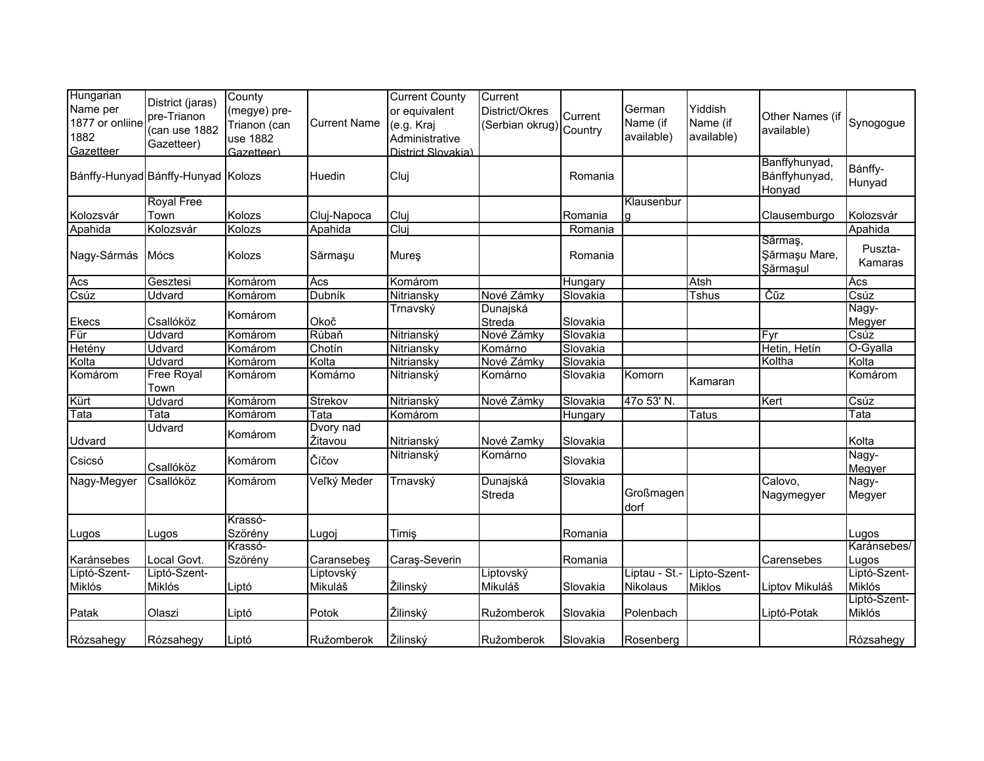| Hungarian       |                                    | County       |                     | <b>Current County</b> | Current                 |          |                            |               |                 |              |
|-----------------|------------------------------------|--------------|---------------------|-----------------------|-------------------------|----------|----------------------------|---------------|-----------------|--------------|
| Name per        | District (jaras)                   |              |                     | or equivalent         | District/Okres          |          | German                     | Yiddish       |                 |              |
| 1877 or onliine | pre-Trianon                        | (megye) pre- | <b>Current Name</b> |                       |                         | Current  | Name (if                   | Name (if      | Other Names (if |              |
|                 | (can use 1882                      | Trianon (can |                     | (e.g. Kraj            | (Serbian okrug) Country |          |                            |               | available)      | Synogogue    |
| 1882            | Gazetteer)                         | use 1882     |                     | Administrative        |                         |          | available)                 | available)    |                 |              |
| Gazetteer       |                                    | Gazetteer)   |                     | District Slovakia)    |                         |          |                            |               |                 |              |
|                 |                                    |              |                     |                       |                         |          |                            |               | Banffyhunyad,   | Bánffy-      |
|                 | Bánffy-Hunyad Bánffy-Hunyad Kolozs |              | Huedin              | Cluj                  |                         | Romania  |                            |               | Bánffyhunyad,   | Hunyad       |
|                 |                                    |              |                     |                       |                         |          |                            |               | Honyad          |              |
|                 | <b>Royal Free</b>                  |              |                     |                       |                         |          | Klausenbur                 |               |                 |              |
| Kolozsvár       | Town                               | Kolozs       | Cluj-Napoca         | Cluj                  |                         | Romania  | g                          |               | Clausemburgo    | Kolozsvár    |
| Apahida         | Kolozsvár                          | Kolozs       | Apahida             | Cluj                  |                         | Romania  |                            |               |                 | Apahida      |
|                 |                                    |              |                     |                       |                         |          |                            |               | Sărmaș,         | Puszta-      |
| Nagy-Sármás     | Mócs                               | Kolozs       | Sărmașu             | Mures                 |                         | Romania  |                            |               | Şărmaşu Mare,   | Kamaras      |
|                 |                                    |              |                     |                       |                         |          |                            |               | Şărmaşul        |              |
| Ács             | Gesztesi                           | Komárom      | Ács                 | Komárom               |                         | Hungary  |                            | Atsh          |                 | Ács          |
| Csúz            | Udvard                             | Komárom      | Dubník              | Nitriansky            | Nové Zámky              | Slovakia |                            | <b>Tshus</b>  | Čűz             | Csúz         |
|                 |                                    | Komárom      |                     | Trnavský              | Dunajská                |          |                            |               |                 | Nagy-        |
| <b>Ekecs</b>    | Csallóköz                          |              | Okoč                |                       | Streda                  | Slovakia |                            |               |                 | Megyer       |
| Für             | Udvard                             | Komárom      | Rúbaň               | Nitrianský            | Nové Zámky              | Slovakia |                            |               | Fyr             | Csúz         |
| Hetény          | Udvard                             | Komárom      | Chotín              | Nitriansky            | Komárno                 | Slovakia |                            |               | Hetin, Hetín    | O-Gyalla     |
| Kolta           | Udvard                             | Komárom      | Kolta               | Nitriansky            | Nové Zámky              | Slovakia |                            |               | Koltha          | Kolta        |
| Komárom         | <b>Free Royal</b>                  | Komárom      | Komárno             | Nitrianský            | Komárno                 | Slovakia | Komorn                     |               |                 | Komárom      |
|                 | Town                               |              |                     |                       |                         |          |                            | Kamaran       |                 |              |
| Kürt            | Udvard                             | Komárom      | Strekov             | Nitrianský            | Nové Zámky              | Slovakia | 47o 53' N.                 |               | Kert            | Csúz         |
| Tata            | Tata                               | Komárom      | Tata                | Komárom               |                         | Hungary  |                            | <b>Tatus</b>  |                 | Tata         |
|                 | Udvard                             |              | Dvory nad           |                       |                         |          |                            |               |                 |              |
| Udvard          |                                    | Komárom      | Žitavou             | Nitrianský            | Nové Zamky              | Slovakia |                            |               |                 | Kolta        |
|                 |                                    |              |                     | Nitrianský            | Komárno                 |          |                            |               |                 | Nagy-        |
| Csicsó          | Csallóköz                          | Komárom      | Číčov               |                       |                         | Slovakia |                            |               |                 | Megyer       |
| Nagy-Megyer     | Csallóköz                          | Komárom      | Veľký Meder         | Trnavský              | Dunajská                | Slovakia |                            |               | Calovo,         | Nagy-        |
|                 |                                    |              |                     |                       | Streda                  |          | Großmagen                  |               | Nagymegyer      | Megyer       |
|                 |                                    |              |                     |                       |                         |          | dorf                       |               |                 |              |
|                 |                                    | Krassó-      |                     |                       |                         |          |                            |               |                 |              |
| Lugos           | Lugos                              | Szörény      | Lugoj               | Timiş                 |                         | Romania  |                            |               |                 | Lugos        |
|                 |                                    | Krassó-      |                     |                       |                         |          |                            |               |                 | Karánsebes/  |
| Karánsebes      | Local Govt.                        | Szörény      | Caransebeş          | Caraş-Severin         |                         | Romania  |                            |               | Carensebes      | Lugos        |
| Liptó-Szent-    | Liptó-Szent-                       |              | Liptovský           |                       | Liptovský               |          | Liptau - St.- Lipto-Szent- |               |                 | Liptó-Szent- |
| Miklós          | Miklós                             | Liptó        | Mikuláš             | Žilinský              | Mikuláš                 | Slovakia | Nikolaus                   | <b>Miklos</b> | Liptov Mikuláš  | Miklós       |
|                 |                                    |              |                     |                       |                         |          |                            |               |                 | Liptó-Szent- |
| Patak           |                                    |              | Potok               | Žilinský              |                         |          |                            |               |                 | Miklós       |
|                 | Olaszi                             | Liptó        |                     |                       | Ružomberok              | Slovakia | Polenbach                  |               | Liptó-Potak     |              |
|                 |                                    |              |                     |                       |                         |          |                            |               |                 |              |
| Rózsahegy       | Rózsahegy                          | Liptó        | Ružomberok          | Žilinský              | Ružomberok              | Slovakia | Rosenberg                  |               |                 | Rózsahegy    |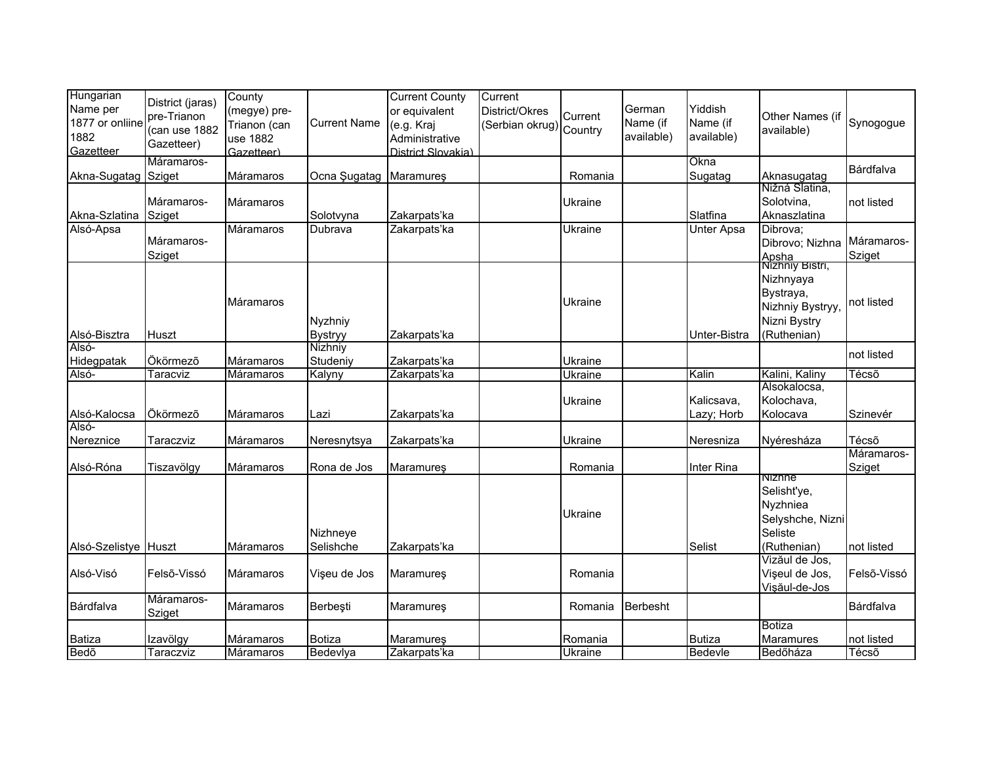| Hungarian<br>Name per<br>1877 or onliine<br>1882<br>Gazetteer | District (jaras)<br>pre-Trianon<br>(can use 1882<br>Gazetteer) | County<br>(megye) pre-<br>Trianon (can<br>use 1882<br>Gazetteer) | <b>Current Name</b>       | <b>Current County</b><br>or equivalent<br>(e.g. Kraj<br>Administrative<br>District Slovakia) | Current<br>District/Okres<br>(Serbian okrug) Country | Current            | German<br>Name (if<br>available) | Yiddish<br>Name (if<br>available) | Other Names (if<br>available)                                            | Synogogue            |
|---------------------------------------------------------------|----------------------------------------------------------------|------------------------------------------------------------------|---------------------------|----------------------------------------------------------------------------------------------|------------------------------------------------------|--------------------|----------------------------------|-----------------------------------|--------------------------------------------------------------------------|----------------------|
| Akna-Sugatag Sziget                                           | Máramaros-                                                     | Máramaros                                                        | Ocna Sugatag              | Maramures                                                                                    |                                                      | Romania            |                                  | Okna<br>Sugatag                   | Aknasugatag                                                              | Bárdfalva            |
| Akna-Szlatina Sziget                                          | Máramaros-                                                     | Máramaros                                                        | Solotvyna                 | Zakarpats'ka                                                                                 |                                                      | Ukraine            |                                  | Slatfina                          | Nižná Slatina,<br>Solotvina,<br>Aknaszlatina                             | not listed           |
| Alsó-Apsa                                                     | Máramaros-<br>Sziget                                           | Máramaros                                                        | Dubrava                   | Zakarpats'ka                                                                                 |                                                      | Ukraine            |                                  | Unter Apsa                        | Dibrova:<br>Dibrovo; Nizhna<br>Apsha<br>Mizhniy Bistri,                  | Máramaros-<br>Sziget |
| Alsó-Bisztra                                                  | Huszt                                                          | Máramaros                                                        | Nyzhniy<br><b>Bystryy</b> | Zakarpats'ka                                                                                 |                                                      | Ukraine            |                                  | Unter-Bistra                      | Nizhnyaya<br>Bystraya,<br>Nizhniy Bystryy<br>Nizni Bystry<br>(Ruthenian) | not listed           |
| Alsó-<br>Hidegpatak                                           | Ökörmező                                                       | Máramaros                                                        | Nizhniy<br>Studeniy       | Zakarpats'ka                                                                                 |                                                      | Ukraine            |                                  |                                   |                                                                          | not listed           |
| Alsó-                                                         | Taracviz                                                       | <b>Máramaros</b>                                                 | Kalyny                    | Zakarpats'ka                                                                                 |                                                      | <b>Ukraine</b>     |                                  | Kalin                             | Kalini, Kaliny                                                           | Técső                |
| Alsó-Kalocsa                                                  | Ökörmező                                                       | Máramaros                                                        | Lazi                      | Zakarpats'ka                                                                                 |                                                      | Ukraine            |                                  | Kalicsava.<br>Lazy; Horb          | Alsokalocsa,<br>Kolochava,<br>Kolocava                                   | Szinevér             |
| Alsó-<br>Nereznice                                            | Taraczviz                                                      | Máramaros                                                        | Neresnytsya               | Zakarpats'ka                                                                                 |                                                      | Ukraine            |                                  | Neresniza                         | Nyéresháza                                                               | Técsõ                |
| Alsó-Róna                                                     | Tiszavölgy                                                     | Máramaros                                                        | Rona de Jos               | Maramureş                                                                                    |                                                      | Romania            |                                  | Inter Rina                        | Nizhne                                                                   | Máramaros-<br>Sziget |
| Alsó-Szelistye Huszt                                          |                                                                | Máramaros                                                        | Nizhneye<br>Selishche     | Zakarpats'ka                                                                                 |                                                      | Ukraine            |                                  | Selist                            | Selisht'ye,<br>Nyzhniea<br>Selyshche, Nizni<br>Seliste<br>(Ruthenian)    | not listed           |
| Alsó-Visó                                                     | Felső-Vissó                                                    | Máramaros                                                        | Vişeu de Jos              | Maramureş                                                                                    |                                                      | Romania            |                                  |                                   | Vizăul de Jos,<br>Vișeul de Jos,<br>Vişăul-de-Jos                        | Felső-Vissó          |
| Bárdfalva                                                     | Máramaros-<br>Sziget                                           | <b>Máramaros</b>                                                 | Berbeşti                  | Maramureş                                                                                    |                                                      | Romania            | Berbesht                         |                                   |                                                                          | Bárdfalva            |
| <b>Batiza</b><br>Bedõ                                         | Izavölgy<br>Taraczviz                                          | Máramaros<br>Máramaros                                           | <b>Botiza</b><br>Bedeviya | <b>Maramures</b><br>Zakarpats'ka                                                             |                                                      | Romania<br>Ukraine |                                  | <b>Butiza</b><br>Bedevle          | <b>Botiza</b><br>Maramures<br>Bedőháza                                   | not listed<br>Técsõ  |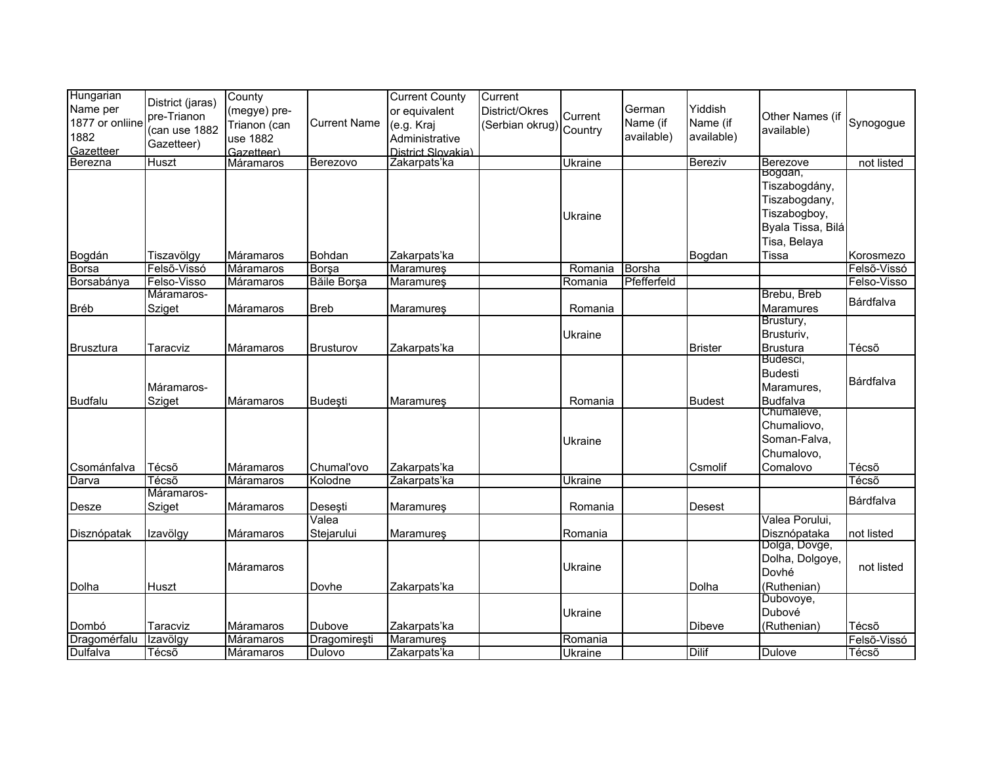| Hungarian<br>Name per<br>1877 or onliine<br>1882<br>Gazetteer | District (jaras)<br>pre-Trianon<br>(can use 1882<br>Gazetteer) | County<br>(megye) pre-<br>Trianon (can<br>use 1882<br>Gazetteer) | <b>Current Name</b> | <b>Current County</b><br>or equivalent<br>(e.g. Kraj<br>Administrative<br>District Slovakia) | Current<br>District/Okres<br>(Serbian okrug) Country | Current | German<br>Name (if<br>available) | Yiddish<br>Name (if<br>available) | Other Names (if<br>available)                                                                           | Synogogue   |
|---------------------------------------------------------------|----------------------------------------------------------------|------------------------------------------------------------------|---------------------|----------------------------------------------------------------------------------------------|------------------------------------------------------|---------|----------------------------------|-----------------------------------|---------------------------------------------------------------------------------------------------------|-------------|
| Berezna                                                       | Huszt                                                          | Máramaros                                                        | Berezovo            | Zakarpats'ka                                                                                 |                                                      | Ukraine |                                  | Bereziv                           | Berezove                                                                                                | not listed  |
| Bogdán                                                        | Tiszavölgy                                                     | Máramaros                                                        | Bohdan              | Zakarpats'ka                                                                                 |                                                      | Ukraine |                                  | Bogdan                            | Bogdan,<br>Tiszabogdány,<br>Tiszabogdany,<br>Tiszabogboy,<br>Byala Tissa, Bilá<br>Tisa, Belaya<br>Tissa | Korosmezo   |
| Borsa                                                         | Felső-Vissó                                                    | Máramaros                                                        | <b>Borşa</b>        | Maramureş                                                                                    |                                                      | Romania | Borsha                           |                                   |                                                                                                         | Felső-Vissó |
| Borsabánya                                                    | Felso-Visso                                                    | Máramaros                                                        | Băile Borșa         | <b>Maramures</b>                                                                             |                                                      | Romania | Pfefferfeld                      |                                   |                                                                                                         | Felso-Visso |
| <b>Bréb</b>                                                   | Máramaros-<br>Sziget                                           | Máramaros                                                        | <b>Breb</b>         | Maramureş                                                                                    |                                                      | Romania |                                  |                                   | Brebu, Breb<br>Maramures                                                                                | Bárdfalva   |
| <b>Brusztura</b>                                              | Taracviz                                                       | Máramaros                                                        | <b>Brusturov</b>    | Zakarpats'ka                                                                                 |                                                      | Ukraine |                                  | <b>Brister</b>                    | Brustury,<br>Brusturiv,<br><b>Brustura</b>                                                              | Técsõ       |
| <b>Budfalu</b>                                                | Máramaros-<br>Sziget                                           | Máramaros                                                        | Budești             | Maramures                                                                                    |                                                      | Romania |                                  | <b>Budest</b>                     | Budesci,<br><b>Budesti</b><br>Maramures,<br><b>Budfalva</b>                                             | Bárdfalva   |
| Csománfalva                                                   | Técsõ                                                          | Máramaros                                                        | Chumal'ovo          | Zakarpats'ka                                                                                 |                                                      | Ukraine |                                  | Csmolif                           | Chumaleve,<br>Chumaliovo,<br>Soman-Falva,<br>Chumalovo,<br>Comalovo                                     | Técsõ       |
| Darva                                                         | Técsõ                                                          | Máramaros                                                        | Kolodne             | Zakarpats'ka                                                                                 |                                                      | Ukraine |                                  |                                   |                                                                                                         | Técső       |
|                                                               | Máramaros-                                                     |                                                                  |                     |                                                                                              |                                                      |         |                                  |                                   |                                                                                                         |             |
| Desze                                                         | Sziget                                                         | Máramaros                                                        | Deseşti             | Maramureş                                                                                    |                                                      | Romania |                                  | Desest                            |                                                                                                         | Bárdfalva   |
| Disznópatak                                                   | Izavölgy                                                       | Máramaros                                                        | Valea<br>Stejarului | Maramureş                                                                                    |                                                      | Romania |                                  |                                   | Valea Porului,<br>Disznópataka                                                                          | not listed  |
| Dolha                                                         | Huszt                                                          | Máramaros                                                        | Dovhe               | Zakarpats'ka                                                                                 |                                                      | Ukraine |                                  | Dolha                             | Dolga, Dovge,<br>Dolha, Dolgoye,<br>Dovhé<br>(Ruthenian)                                                | not listed  |
| Dombó                                                         | Taracviz                                                       | Máramaros                                                        | Dubove              | Zakarpats'ka                                                                                 |                                                      | Ukraine |                                  | Dibeve                            | Dubovoye,<br>Dubové<br>(Ruthenian)                                                                      | Técsõ       |
| Dragomérfalu                                                  | Izavölgy                                                       | Máramaros                                                        | Dragomirești        | Maramureş                                                                                    |                                                      | Romania |                                  |                                   |                                                                                                         | Felső-Vissó |
| <b>Dulfalva</b>                                               | Técső                                                          | Máramaros                                                        | Dulovo              | Zakarpats'ka                                                                                 |                                                      | Ukraine |                                  | <b>Dilif</b>                      | <b>Dulove</b>                                                                                           | Técsõ       |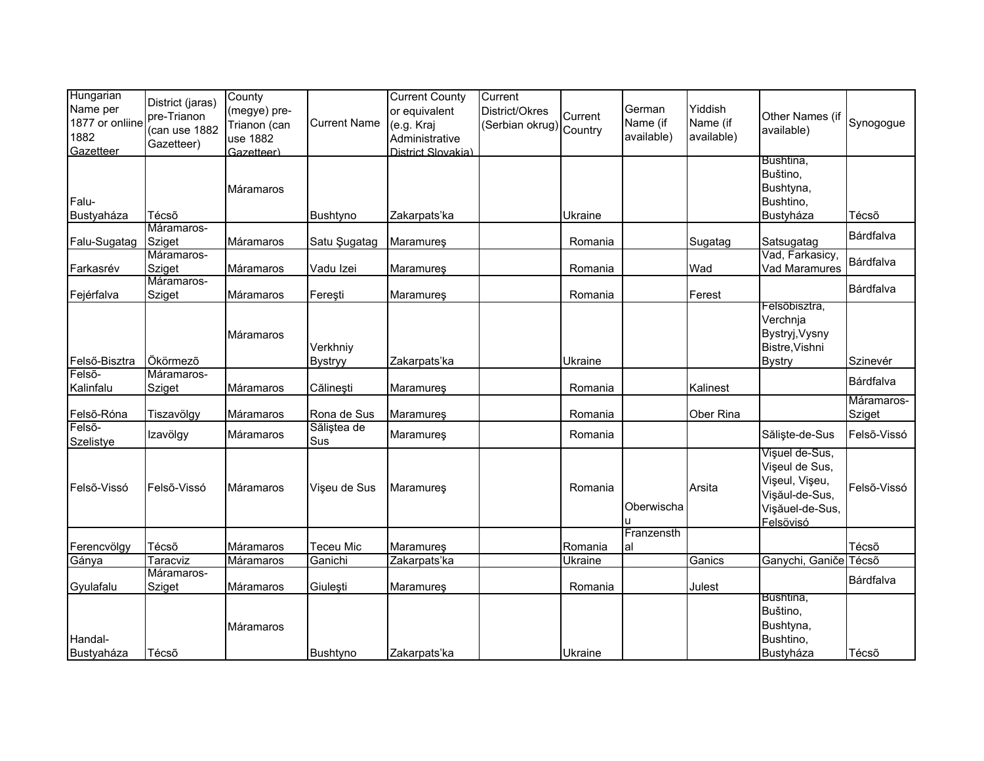| Hungarian<br>Name per<br>1877 or onliine<br>1882<br>Gazetteer | District (jaras)<br>pre-Trianon<br>(can use 1882<br>Gazetteer) | County<br>(megye) pre-<br>Trianon (can<br>use 1882<br>Gazetteer) | <b>Current Name</b>        | <b>Current County</b><br>or equivalent<br>(e.g. Kraj<br>Administrative<br>District Slovakia) | Current<br>District/Okres<br>(Serbian okrug) Country | Current | German<br>Name (if<br>available) | Yiddish<br>Name (if<br>available) | Other Names (if<br>available)                                                                        | Synogogue            |
|---------------------------------------------------------------|----------------------------------------------------------------|------------------------------------------------------------------|----------------------------|----------------------------------------------------------------------------------------------|------------------------------------------------------|---------|----------------------------------|-----------------------------------|------------------------------------------------------------------------------------------------------|----------------------|
| Falu-<br>Bustyaháza                                           | Técsõ                                                          | Máramaros                                                        | Bushtyno                   | Zakarpats'ka                                                                                 |                                                      | Ukraine |                                  |                                   | Bushtina,<br>Buštino,<br>Bushtyna,<br>Bushtino,<br>Bustyháza                                         | Técsõ                |
| Falu-Sugatag                                                  | Máramaros-<br><b>Sziget</b>                                    | Máramaros                                                        | Satu Şugatag               | Maramureş                                                                                    |                                                      | Romania |                                  | Sugatag                           | Satsugatag                                                                                           | Bárdfalva            |
| Farkasrév                                                     | Máramaros-<br>Sziget                                           | Máramaros                                                        | Vadu Izei                  | Maramureş                                                                                    |                                                      | Romania |                                  | Wad                               | Vad, Farkasicy,<br>Vad Maramures                                                                     | Bárdfalva            |
| Fejérfalva                                                    | Máramaros-<br>Sziget                                           | Máramaros                                                        | Fereşti                    | Maramureş                                                                                    |                                                      | Romania |                                  | Ferest                            |                                                                                                      | Bárdfalva            |
| Felső-Bisztra                                                 | Ökörmező                                                       | Máramaros                                                        | Verkhniy<br><b>Bystryy</b> | Zakarpats'ka                                                                                 |                                                      | Ukraine |                                  |                                   | Felsöbisztra,<br>Verchnja<br>Bystryj, Vysny<br>Bistre, Vishni<br><b>Bystry</b>                       | Szinevér             |
| Felső-<br>Kalinfalu                                           | Máramaros-<br>Sziget                                           | Máramaros                                                        | Călinești                  | Maramureş                                                                                    |                                                      | Romania |                                  | Kalinest                          |                                                                                                      | Bárdfalva            |
| Felső-Róna                                                    | Tiszavölgy                                                     | Máramaros                                                        | Rona de Sus                | <b>Maramures</b>                                                                             |                                                      | Romania |                                  | Ober Rina                         |                                                                                                      | Máramaros-<br>Sziget |
| Felső-<br>Szelistye                                           | Izavölgy                                                       | Máramaros                                                        | Săliștea de<br>Sus         | Maramureş                                                                                    |                                                      | Romania |                                  |                                   | Săliște-de-Sus                                                                                       | Felső-Vissó          |
| Felső-Vissó                                                   | Felső-Vissó                                                    | Máramaros                                                        | Vişeu de Sus               | <b>Maramures</b>                                                                             |                                                      | Romania | Oberwischa<br>u                  | Arsita                            | Visuel de-Sus,<br>Vișeul de Sus,<br>Vişeul, Vişeu,<br>Vişăul-de-Sus,<br>Vişăuel-de-Sus,<br>Felsövisó | Felső-Vissó          |
| Ferencvölgy                                                   | Técsõ                                                          | Máramaros                                                        | Teceu Mic                  | Maramureş                                                                                    |                                                      | Romania | Franzensth<br>al                 |                                   |                                                                                                      | Técsõ                |
| Gánya                                                         | <b>Taracviz</b>                                                | Máramaros                                                        | Ganichi                    | Zakarpats'ka                                                                                 |                                                      | Ukraine |                                  | Ganics                            | Ganychi, Ganiče Técső                                                                                |                      |
| Gyulafalu                                                     | Máramaros-<br>Sziget                                           | Máramaros                                                        | Giulești                   | <b>Maramures</b>                                                                             |                                                      | Romania |                                  | Julest                            |                                                                                                      | Bárdfalva            |
| Handal-<br>Bustyaháza                                         | Técsõ                                                          | Máramaros                                                        | Bushtyno                   | Zakarpats'ka                                                                                 |                                                      | Ukraine |                                  |                                   | Bushtina,<br>Buštino,<br>Bushtyna,<br>Bushtino,<br>Bustyháza                                         | Técsõ                |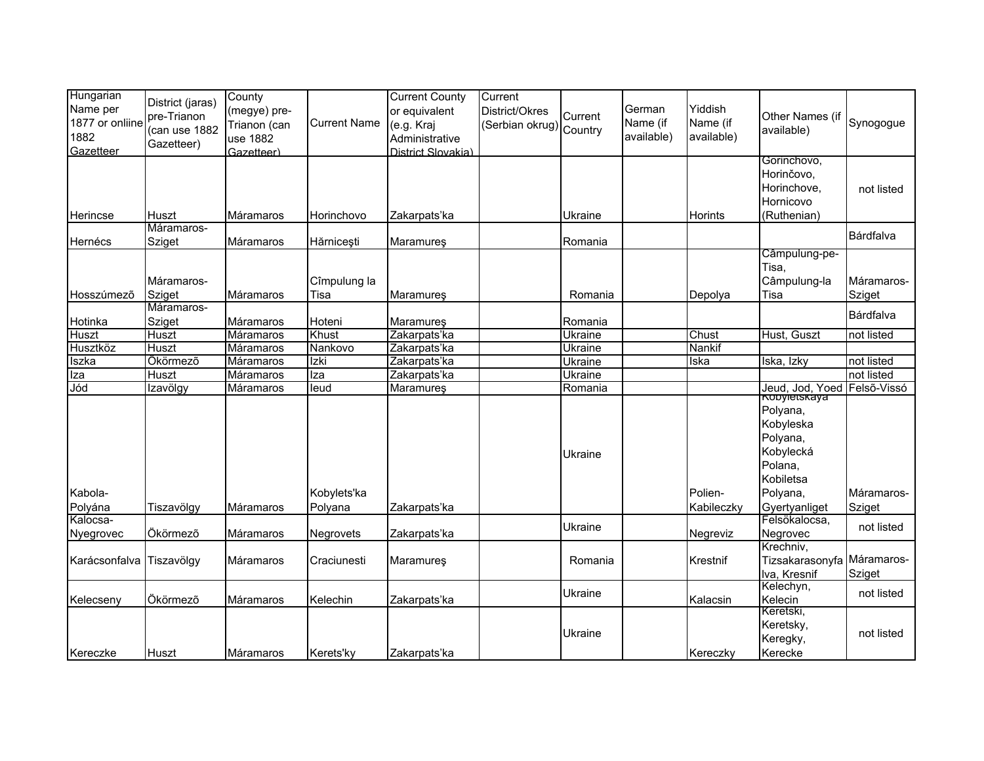| Hungarian<br>Name per<br>1877 or onliine<br>1882<br>Gazetteer | District (jaras)<br>pre-Trianon<br>(can use 1882<br>Gazetteer) | County<br>(megye) pre-<br>Trianon (can<br>use 1882<br>Gazetteer) | <b>Current Name</b>                | <b>Current County</b><br>or equivalent<br>(e.g. Kraj<br>Administrative<br>District Slovakia) | Current<br>District/Okres<br>(Serbian okrug) Country | Current            | German<br>Name (if<br>available) | Yiddish<br>Name (if<br>available) | Other Names (if<br>available)                                                          | Synogogue            |
|---------------------------------------------------------------|----------------------------------------------------------------|------------------------------------------------------------------|------------------------------------|----------------------------------------------------------------------------------------------|------------------------------------------------------|--------------------|----------------------------------|-----------------------------------|----------------------------------------------------------------------------------------|----------------------|
| Herincse                                                      | Huszt                                                          | Máramaros                                                        | Horinchovo                         | Zakarpats'ka                                                                                 |                                                      | Ukraine            |                                  | Horints                           | Gorinchovo,<br>Horinčovo,<br>Horinchove,<br>Hornicovo<br>(Ruthenian)                   | not listed           |
|                                                               | Máramaros-                                                     |                                                                  |                                    |                                                                                              |                                                      |                    |                                  |                                   |                                                                                        | Bárdfalva            |
| Hernécs<br>Hosszúmező                                         | Sziget<br>Máramaros-<br>Sziget                                 | Máramaros<br>Máramaros                                           | Hărnicești<br>Cîmpulung la<br>Tisa | Maramureş<br><b>Maramures</b>                                                                |                                                      | Romania<br>Romania |                                  | Depolya                           | Câmpulung-pe-<br>Tisa.<br>Câmpulung-la<br>Tisa                                         | Máramaros-<br>Sziget |
|                                                               | Máramaros-                                                     |                                                                  |                                    |                                                                                              |                                                      |                    |                                  |                                   |                                                                                        | Bárdfalva            |
| Hotinka                                                       | Sziget                                                         | Máramaros                                                        | Hoteni                             | Maramureş                                                                                    |                                                      | Romania            |                                  |                                   |                                                                                        |                      |
| Huszt                                                         | Huszt                                                          | Máramaros                                                        | Khust                              | Zakarpats'ka                                                                                 |                                                      | Ukraine            |                                  | Chust<br>Nankif                   | Hust, Guszt                                                                            | not listed           |
| Husztköz                                                      | Huszt<br>Ökörmező                                              | Máramaros                                                        | Nankovo<br>Izki                    | Zakarpats'ka<br>Zakarpats'ka                                                                 |                                                      | Ukraine            |                                  |                                   |                                                                                        | not listed           |
| Iszka<br>Iza                                                  | Huszt                                                          | Máramaros<br><b>Máramaros</b>                                    | Iza                                | Zakarpats'ka                                                                                 |                                                      | Ukraine<br>Ukraine |                                  | Iska                              | Iska, Izky                                                                             | not listed           |
| Jód                                                           | Izavölgy                                                       | Máramaros                                                        | leud                               | Maramures                                                                                    |                                                      | Romania            |                                  |                                   | Jeud, Jod, Yoed Felső-Vissó                                                            |                      |
|                                                               |                                                                |                                                                  |                                    |                                                                                              |                                                      | Ukraine            |                                  |                                   | nopyietskaya<br>Polyana,<br>Kobyleska<br>Polyana,<br>Kobylecká<br>Polana,<br>Kobiletsa |                      |
| Kabola-                                                       |                                                                |                                                                  | Kobylets'ka                        |                                                                                              |                                                      |                    |                                  | Polien-                           | Polyana,                                                                               | Máramaros-           |
| Polyána                                                       | Tiszavölgy                                                     | Máramaros                                                        | Polyana                            | Zakarpats'ka                                                                                 |                                                      |                    |                                  | Kabileczky                        | Gyertyanliget                                                                          | Sziget               |
| Kalocsa-<br>Nyegrovec                                         | Ökörmező                                                       | Máramaros                                                        | Negrovets                          | Zakarpats'ka                                                                                 |                                                      | Ukraine            |                                  | Negreviz                          | Felsökalocsa,<br>Negrovec                                                              | not listed           |
| Karácsonfalva                                                 | Tiszavölgy                                                     | Máramaros                                                        | Craciunesti                        | Maramures                                                                                    |                                                      | Romania            |                                  | Krestnif                          | Krechniv,<br>Tizsakarasonyfa Máramaros-<br>Iva, Kresnif                                | Sziget               |
| Kelecseny                                                     | Ökörmező                                                       | Máramaros                                                        | Kelechin                           | Zakarpats'ka                                                                                 |                                                      | Ukraine            |                                  | Kalacsin                          | Kelechyn,<br>Kelecin                                                                   | not listed           |
| Kereczke                                                      | Huszt                                                          | Máramaros                                                        | Kerets'ky                          | Zakarpats'ka                                                                                 |                                                      | Ukraine            |                                  | Kereczky                          | Keretski,<br>Keretsky,<br>Keregky,<br>Kerecke                                          | not listed           |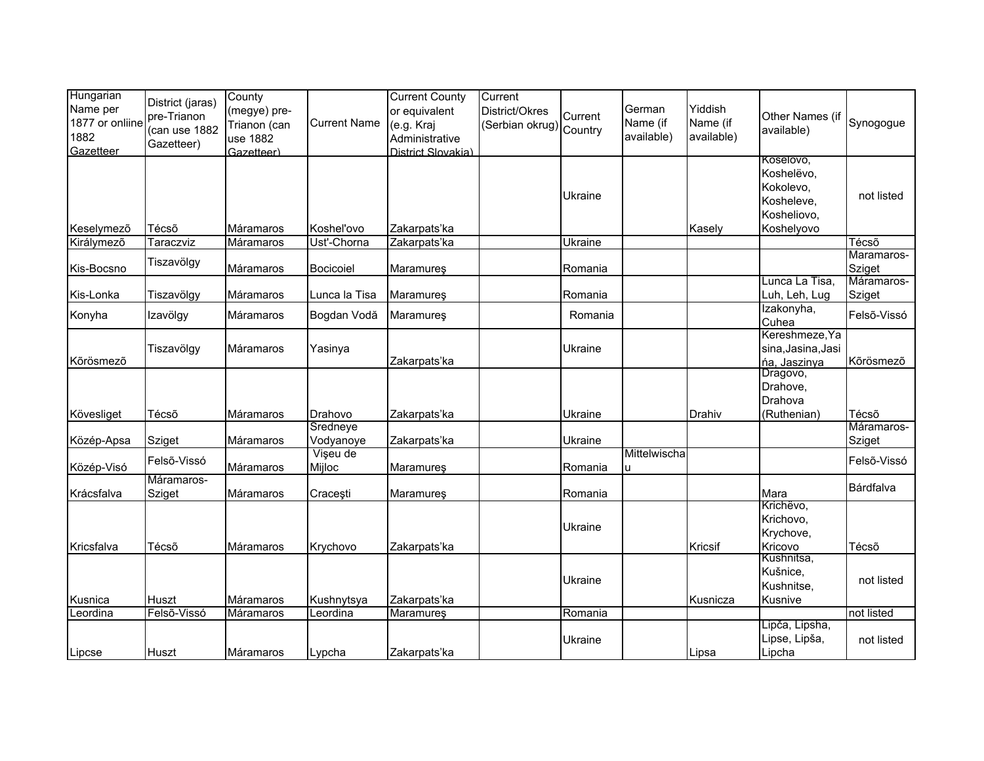| Hungarian<br>Name per<br>1877 or onliine<br>1882<br>Gazetteer | District (jaras)<br>pre-Trianon<br>(can use 1882<br>Gazetteer) | County<br>(megye) pre-<br>Trianon (can<br>use 1882<br>Gazetteer) | <b>Current Name</b>   | <b>Current County</b><br>or equivalent<br>(e.g. Kraj<br>Administrative<br>District Slovakia) | Current<br>District/Okres<br>(Serbian okrug) Country | Current | German<br>Name (if<br>available) | Yiddish<br>Name (if<br>available) | Other Names (if<br>available)                                                   | Synogogue            |
|---------------------------------------------------------------|----------------------------------------------------------------|------------------------------------------------------------------|-----------------------|----------------------------------------------------------------------------------------------|------------------------------------------------------|---------|----------------------------------|-----------------------------------|---------------------------------------------------------------------------------|----------------------|
| Keselymező                                                    | Técsõ                                                          | Máramaros                                                        | Koshel'ovo            | Zakarpats'ka                                                                                 |                                                      | Ukraine |                                  | Kasely                            | Koselovo,<br>Koshelëvo,<br>Kokolevo,<br>Kosheleve,<br>Kosheliovo,<br>Koshelyovo | not listed           |
| Királymező                                                    | Taraczviz                                                      | Máramaros                                                        | Ust'-Chorna           | Zakarpats'ka                                                                                 |                                                      | Ukraine |                                  |                                   |                                                                                 | Técső                |
| Kis-Bocsno                                                    | Tiszavölgy                                                     | Máramaros                                                        | Bocicoiel             | Maramures                                                                                    |                                                      | Romania |                                  |                                   |                                                                                 | Maramaros-<br>Sziget |
| Kis-Lonka                                                     | Tiszavölgy                                                     | Máramaros                                                        | Lunca la Tisa         | Maramures                                                                                    |                                                      | Romania |                                  |                                   | Lunca La Tisa,<br>Luh, Leh, Lug                                                 | Máramaros-<br>Sziget |
| Konyha                                                        | Izavölgy                                                       | Máramaros                                                        | Bogdan Vodă           | Maramureş                                                                                    |                                                      | Romania |                                  |                                   | Izakonyha,<br>Cuhea                                                             | Felső-Vissó          |
| Kõrösmezõ                                                     | Tiszavölgy                                                     | Máramaros                                                        | Yasinya               | Zakarpats'ka                                                                                 |                                                      | Ukraine |                                  |                                   | Kereshmeze, Ya<br>sina, Jasina, Jasi<br>ńa, Jaszinya                            | Kõrösmezõ            |
|                                                               |                                                                |                                                                  |                       |                                                                                              |                                                      |         |                                  |                                   | Dragovo,<br>Drahove,<br>Drahova                                                 |                      |
| Kövesliget                                                    | Técsõ                                                          | Máramaros                                                        | Drahovo               | Zakarpats'ka                                                                                 |                                                      | Ukraine |                                  | Drahiv                            | (Ruthenian)                                                                     | Técsõ<br>Máramaros-  |
| Közép-Apsa                                                    | Sziget                                                         | Máramaros                                                        | Sredneye<br>Vodyanoye | Zakarpats'ka                                                                                 |                                                      | Ukraine |                                  |                                   |                                                                                 | Sziget               |
| Közép-Visó                                                    | Felső-Vissó                                                    | Máramaros                                                        | Vişeu de<br>Mijloc    | Maramureş                                                                                    |                                                      | Romania | Mittelwischa<br>u                |                                   |                                                                                 | Felső-Vissó          |
| Krácsfalva                                                    | Máramaros-<br>Sziget                                           | Máramaros                                                        | Cracești              | Maramureş                                                                                    |                                                      | Romania |                                  |                                   | Mara                                                                            | Bárdfalva            |
|                                                               | Técsõ                                                          |                                                                  |                       |                                                                                              |                                                      | Ukraine |                                  | Kricsif                           | Krichëvo,<br>Krichovo,<br>Krychove,<br>Kricovo                                  | Técsõ                |
| Kricsfalva                                                    |                                                                | Máramaros                                                        | Krychovo              | Zakarpats'ka                                                                                 |                                                      |         |                                  |                                   | Kushnitsa,                                                                      |                      |
| Kusnica                                                       | Huszt                                                          | Máramaros                                                        | Kushnytsya            | Zakarpats'ka                                                                                 |                                                      | Ukraine |                                  | Kusnicza                          | Kušnice,<br>Kushnitse,<br>Kusnive                                               | not listed           |
| Leordina                                                      | Felső-Vissó                                                    | Máramaros                                                        | Leordina              | Maramures                                                                                    |                                                      | Romania |                                  |                                   |                                                                                 | not listed           |
| Lipcse                                                        | Huszt                                                          | Máramaros                                                        | Lypcha                | Zakarpats'ka                                                                                 |                                                      | Ukraine |                                  | Lipsa                             | Lipča, Lipsha,<br>Lipse, Lipša,<br>Lipcha                                       | not listed           |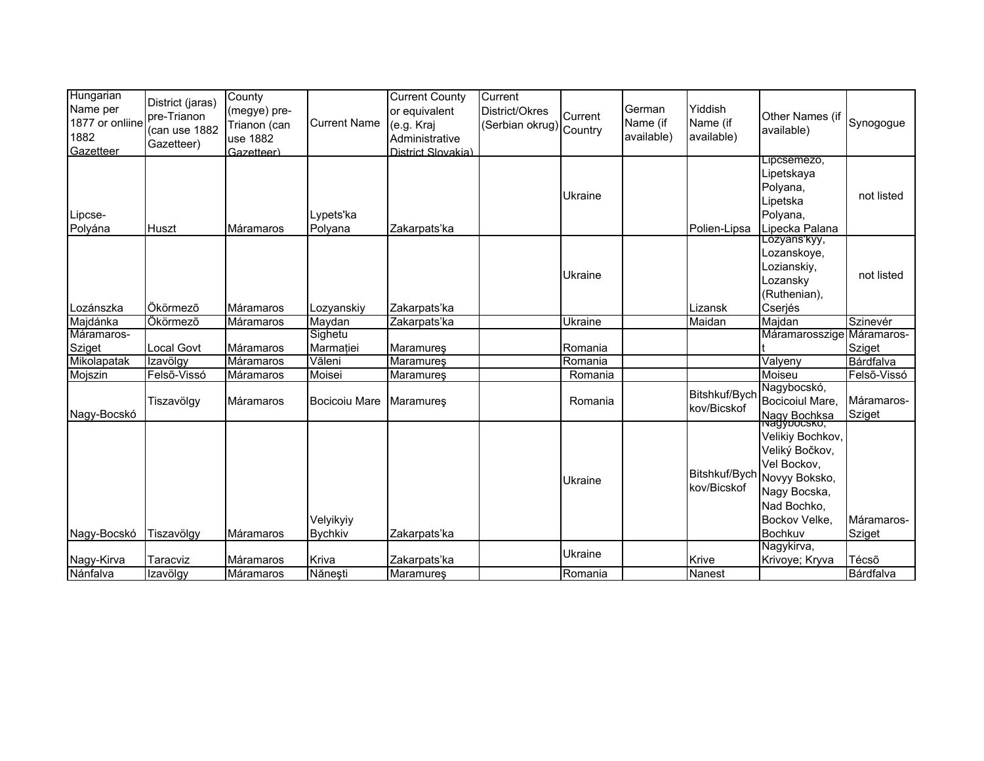| Hungarian<br>Name per<br>1877 or onliine<br>1882<br>Gazetteer | District (jaras)<br>pre-Trianon<br>(can use 1882<br>Gazetteer) | County<br>(megye) pre-<br>Trianon (can<br>use 1882<br>Gazetteer) | <b>Current Name</b>         | <b>Current County</b><br>or equivalent<br>(e.g. Kraj<br>Administrative<br>District Slovakia) | Current<br>District/Okres<br>(Serbian okrug) Country | Current        | German<br>Name (if<br>available) | Yiddish<br>Name (if<br>available) | Other Names (if<br>available)                                                                                                                         | Synogogue            |
|---------------------------------------------------------------|----------------------------------------------------------------|------------------------------------------------------------------|-----------------------------|----------------------------------------------------------------------------------------------|------------------------------------------------------|----------------|----------------------------------|-----------------------------------|-------------------------------------------------------------------------------------------------------------------------------------------------------|----------------------|
| Lipcse-<br>Polyána                                            | Huszt                                                          | Máramaros                                                        | Lypets'ka<br>Polyana        | Zakarpats'ka                                                                                 |                                                      | Ukraine        |                                  | Polien-Lipsa                      | Lipcsemezo,<br>Lipetskaya<br>Polyana,<br>Lipetska<br>Polyana,<br>Lipecka Palana                                                                       | not listed           |
| Lozánszka                                                     | Ökörmező                                                       | Máramaros                                                        | Lozvanskiv                  | Zakarpats'ka                                                                                 |                                                      | Ukraine        |                                  | Lizansk                           | Lozyans'kyy,<br>Lozanskoye,<br>Lozianskiy,<br>Lozansky<br>(Ruthenian),<br>Cserjés                                                                     | not listed           |
| Majdánka                                                      | Ökörmező                                                       | Máramaros                                                        | Maydan                      | Zakarpats'ka                                                                                 |                                                      | <b>Ukraine</b> |                                  | Maidan                            | Majdan                                                                                                                                                | Szinevér             |
| Máramaros-                                                    |                                                                |                                                                  | Sighetu                     |                                                                                              |                                                      |                |                                  |                                   | Máramarosszige                                                                                                                                        | Máramaros-           |
| Sziget                                                        | Local Govt                                                     | Máramaros                                                        | Marmatiei                   | Maramureş                                                                                    |                                                      | Romania        |                                  |                                   |                                                                                                                                                       | Sziget               |
| Mikolapatak                                                   | Izavölgy                                                       | Máramaros                                                        | Văleni                      | Maramureş                                                                                    |                                                      | Romania        |                                  |                                   | Valyeny                                                                                                                                               | Bárdfalva            |
| Mojszin                                                       | Felső-Vissó                                                    | Máramaros                                                        | Moisei                      | <b>Maramures</b>                                                                             |                                                      | Romania        |                                  |                                   | Moiseu                                                                                                                                                | Felső-Vissó          |
| Nagy-Bocskó                                                   | Tiszavölgy                                                     | <b>Máramaros</b>                                                 | Bocicoiu Mare               | <b>Maramures</b>                                                                             |                                                      | Romania        |                                  | Bitshkuf/Bych<br>kov/Bicskof      | Nagybocskó,<br>Bocicoiul Mare,<br>Nagy Bochksa                                                                                                        | Máramaros-<br>Sziget |
| Nagy-Bocskó                                                   | Tiszavölgy                                                     | Máramaros                                                        | Velyikyiy<br><b>Bychkiv</b> | Zakarpats'ka                                                                                 |                                                      | Ukraine        |                                  | kov/Bicskof                       | Velikiy Bochkov,<br>Veliký Bočkov,<br>Vel Bockov,<br>Bitshkuf/Bych $ _{\sf Novyy}$ Boksko,<br>Nagy Bocska,<br>Nad Bochko,<br>Bockov Velke.<br>Bochkuv | Máramaros-<br>Sziget |
|                                                               |                                                                |                                                                  |                             |                                                                                              |                                                      |                |                                  |                                   | Nagykirva,                                                                                                                                            |                      |
| Nagy-Kirva                                                    | Taracviz                                                       | Máramaros                                                        | Kriva                       | Zakarpats'ka                                                                                 |                                                      | Ukraine        |                                  | Krive                             | Krivoye; Kryva                                                                                                                                        | Técsõ                |
| Nánfalva                                                      | Izavölgy                                                       | Máramaros                                                        | Nănești                     | Maramureş                                                                                    |                                                      | Romania        |                                  | Nanest                            |                                                                                                                                                       | Bárdfalva            |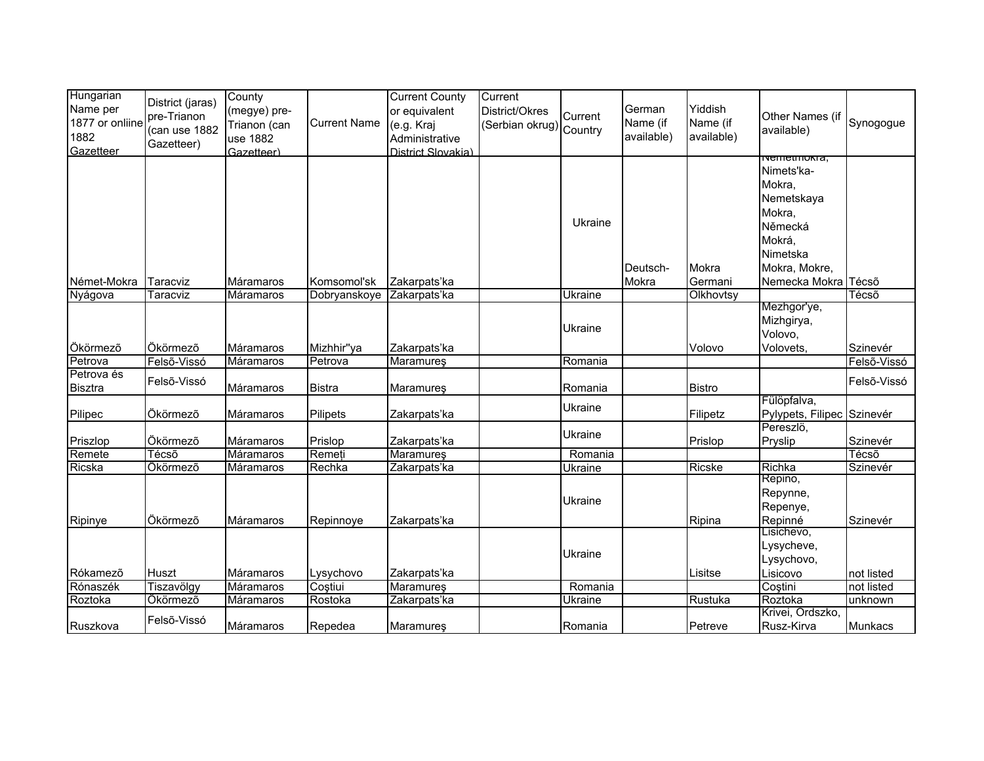| Hungarian       | District (jaras) | County           |                     | <b>Current County</b> | Current                 |         |            |               |                            |             |
|-----------------|------------------|------------------|---------------------|-----------------------|-------------------------|---------|------------|---------------|----------------------------|-------------|
| Name per        | pre-Trianon      | (megye) pre-     |                     | or equivalent         | District/Okres          | Current | German     | Yiddish       | Other Names (if            |             |
| 1877 or onliine | (can use 1882    | Trianon (can     | <b>Current Name</b> | (e.g. Kraj            | (Serbian okrug) Country |         | Name (if   | Name (if      | available)                 | Synogogue   |
| 1882            | Gazetteer)       | use 1882         |                     | Administrative        |                         |         | available) | available)    |                            |             |
| Gazetteer       |                  | Gazetteer)       |                     | District Slovakia)    |                         |         |            |               | <del>ivemeunokia,</del>    |             |
|                 |                  |                  |                     |                       |                         |         |            |               | Nimets'ka-                 |             |
|                 |                  |                  |                     |                       |                         |         |            |               | Mokra,                     |             |
|                 |                  |                  |                     |                       |                         |         |            |               | Nemetskaya                 |             |
|                 |                  |                  |                     |                       |                         |         |            |               | Mokra,                     |             |
|                 |                  |                  |                     |                       |                         | Ukraine |            |               | Německá                    |             |
|                 |                  |                  |                     |                       |                         |         |            |               | Mokrá,                     |             |
|                 |                  |                  |                     |                       |                         |         |            |               | Nimetska                   |             |
|                 |                  |                  |                     |                       |                         |         | Deutsch-   | Mokra         | Mokra, Mokre,              |             |
| Német-Mokra     | Taracviz         | Máramaros        | Komsomol'sk         | Zakarpats'ka          |                         |         | Mokra      | Germani       | Nemecka Mokra Técső        |             |
| Nyágova         | Taracviz         | Máramaros        | Dobryanskoye        | Zakarpats'ka          |                         | Ukraine |            | Olkhovtsy     |                            | Técsõ       |
|                 |                  |                  |                     |                       |                         |         |            |               | Mezhgor'ye,                |             |
|                 |                  |                  |                     |                       |                         | Ukraine |            |               | Mizhgirya,                 |             |
|                 |                  |                  |                     |                       |                         |         |            |               | Volovo,                    |             |
| Ökörmező        | Ökörmező         | Máramaros        | Mizhhir"ya          | Zakarpats'ka          |                         |         |            | Volovo        | Volovets,                  | Szinevér    |
| Petrova         | Felső-Vissó      | <b>Máramaros</b> | Petrova             | Maramures             |                         | Romania |            |               |                            | Felső-Vissó |
| Petrova és      | Felső-Vissó      |                  |                     |                       |                         |         |            |               |                            | Felső-Vissó |
| <b>Bisztra</b>  |                  | Máramaros        | <b>Bistra</b>       | Maramureş             |                         | Romania |            | <b>Bistro</b> | Fülöpfalva,                |             |
| Pilipec         | Ökörmező         | Máramaros        | Pilipets            | Zakarpats'ka          |                         | Ukraine |            | Filipetz      | Pylypets, Filipec Szinevér |             |
|                 |                  |                  |                     |                       |                         |         |            |               | Pereszlö.                  |             |
| Priszlop        | Ökörmező         | Máramaros        | Prislop             | Zakarpats'ka          |                         | Ukraine |            | Prislop       | Pryslip                    | Szinevér    |
| Remete          | Técsõ            | Máramaros        | Remeți              | Maramureş             |                         | Romania |            |               |                            | Técső       |
| Ricska          | Ökörmező         | Máramaros        | Rechka              | Zakarpats'ka          |                         | Ukraine |            | Ricske        | Richka                     | Szinevér    |
|                 |                  |                  |                     |                       |                         |         |            |               | Repino,                    |             |
|                 |                  |                  |                     |                       |                         |         |            |               | Repynne,                   |             |
|                 |                  |                  |                     |                       |                         | Ukraine |            |               | Repenye,                   |             |
| Ripinye         | Ökörmező         | Máramaros        | Repinnoye           | Zakarpats'ka          |                         |         |            | Ripina        | Repinné                    | Szinevér    |
|                 |                  |                  |                     |                       |                         |         |            |               | Lisichevo,                 |             |
|                 |                  |                  |                     |                       |                         | Ukraine |            |               | Lysycheve,                 |             |
|                 |                  |                  |                     |                       |                         |         |            |               | Lysychovo,                 |             |
| Rókamező        | <b>Huszt</b>     | Máramaros        | Lysychovo           | Zakarpats'ka          |                         |         |            | Lisitse       | Lisicovo                   | not listed  |
| Rónaszék        | Tiszavölgy       | Máramaros        | Costiui             | Maramures             |                         | Romania |            |               | Costini                    | not listed  |
| Roztoka         | Ökörmező         | Máramaros        | Rostoka             | Zakarpats'ka          |                         | Ukraine |            | Rustuka       | Roztoka                    | unknown     |
|                 | Felső-Vissó      |                  |                     |                       |                         |         |            |               | Krivei, Ordszko,           |             |
| Ruszkova        |                  | Máramaros        | Repedea             | Maramureş             |                         | Romania |            | Petreve       | Rusz-Kirva                 | Munkacs     |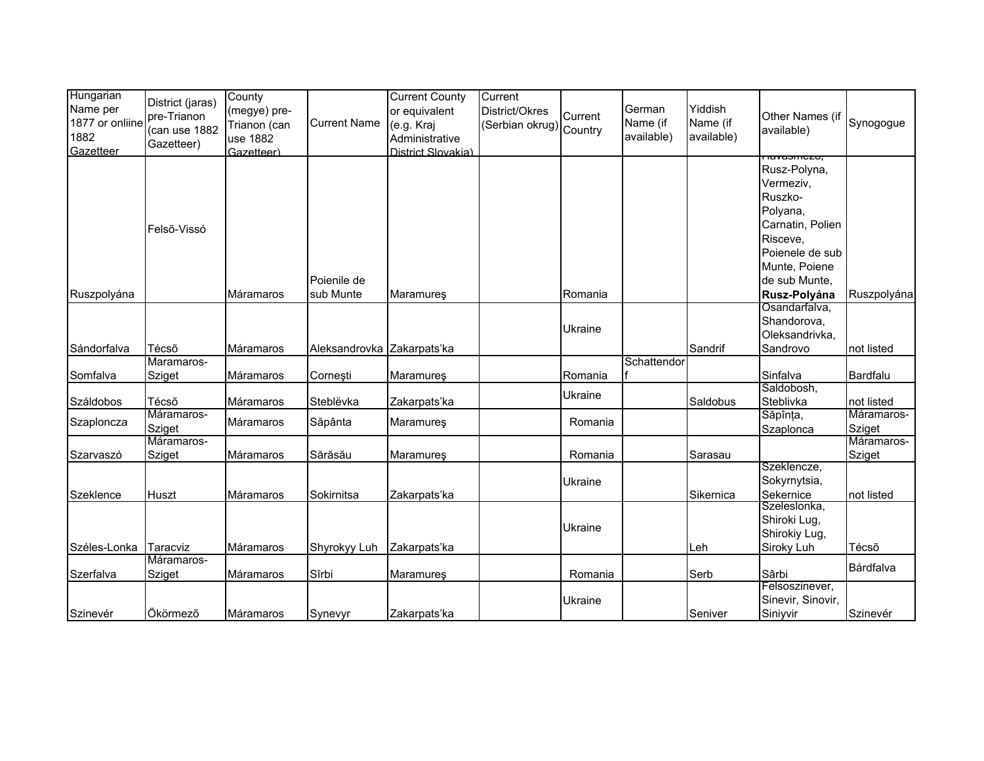| Hungarian<br>Name per<br>1877 or onliine<br>1882 | District (jaras)<br>pre-Trianon<br>(can use 1882 | County<br>(megye) pre-<br>Trianon (can<br>use 1882 | <b>Current Name</b>        | <b>Current County</b><br>or equivalent<br>(e.g. Kraj<br>Administrative | Current<br>District/Okres<br>(Serbian okrug) Country | Current | German<br>Name (if<br>available) | Yiddish<br>Name (if<br>available) | Other Names (if<br>available) | Synogogue   |
|--------------------------------------------------|--------------------------------------------------|----------------------------------------------------|----------------------------|------------------------------------------------------------------------|------------------------------------------------------|---------|----------------------------------|-----------------------------------|-------------------------------|-------------|
| Gazetteer                                        | Gazetteer)                                       | Gazetteer)                                         |                            | District Slovakia)                                                     |                                                      |         |                                  |                                   |                               |             |
|                                                  |                                                  |                                                    |                            |                                                                        |                                                      |         |                                  |                                   | πανασπισεσ,<br>Rusz-Polyna,   |             |
|                                                  |                                                  |                                                    |                            |                                                                        |                                                      |         |                                  |                                   | Vermeziv,                     |             |
|                                                  |                                                  |                                                    |                            |                                                                        |                                                      |         |                                  |                                   | Ruszko-                       |             |
|                                                  |                                                  |                                                    |                            |                                                                        |                                                      |         |                                  |                                   | Polyana,                      |             |
|                                                  |                                                  |                                                    |                            |                                                                        |                                                      |         |                                  |                                   | Carnatin, Polien              |             |
|                                                  | Felső-Vissó                                      |                                                    |                            |                                                                        |                                                      |         |                                  |                                   | Risceve,                      |             |
|                                                  |                                                  |                                                    |                            |                                                                        |                                                      |         |                                  |                                   | Poienele de sub               |             |
|                                                  |                                                  |                                                    |                            |                                                                        |                                                      |         |                                  |                                   | Munte, Poiene                 |             |
|                                                  |                                                  |                                                    | Poienile de                |                                                                        |                                                      |         |                                  |                                   | de sub Munte,                 |             |
| Ruszpolyána                                      |                                                  | Máramaros                                          | sub Munte                  | Maramures                                                              |                                                      | Romania |                                  |                                   | Rusz-Polyána                  | Ruszpolyána |
|                                                  |                                                  |                                                    |                            |                                                                        |                                                      |         |                                  |                                   | Osandarfalva,                 |             |
|                                                  |                                                  |                                                    |                            |                                                                        |                                                      |         |                                  |                                   | Shandorova,                   |             |
|                                                  |                                                  |                                                    |                            |                                                                        |                                                      | Ukraine |                                  |                                   | Oleksandrivka,                |             |
| Sándorfalva                                      | Técsõ                                            | Máramaros                                          | Aleksandrovka Zakarpats'ka |                                                                        |                                                      |         |                                  | Sandrif                           | Sandrovo                      | not listed  |
|                                                  | Maramaros-                                       |                                                    |                            |                                                                        |                                                      |         | Schattendor                      |                                   |                               |             |
| Somfalva                                         | Sziget                                           | Máramaros                                          | Corneşti                   | Maramureş                                                              |                                                      | Romania |                                  |                                   | Sinfalva                      | Bardfalu    |
|                                                  |                                                  |                                                    |                            |                                                                        |                                                      | Ukraine |                                  |                                   | Saldobosh,                    |             |
| Száldobos                                        | Técsõ                                            | Máramaros                                          | Steblëvka                  | Zakarpats'ka                                                           |                                                      |         |                                  | Saldobus                          | Steblivka                     | not listed  |
| Szaploncza                                       | Máramaros-                                       | Máramaros                                          | Săpânta                    | <b>Maramures</b>                                                       |                                                      | Romania |                                  |                                   | Săpînța,                      | Máramaros-  |
|                                                  | Sziget                                           |                                                    |                            |                                                                        |                                                      |         |                                  |                                   | Szaplonca                     | Sziget      |
|                                                  | Máramaros-                                       | <b>Máramaros</b>                                   | Sărăsău                    |                                                                        |                                                      | Romania |                                  | Sarasau                           |                               | Máramaros-  |
| Szarvaszó                                        | Sziget                                           |                                                    |                            | Maramureş                                                              |                                                      |         |                                  |                                   | Szeklencze,                   | Sziget      |
|                                                  |                                                  |                                                    |                            |                                                                        |                                                      | Ukraine |                                  |                                   | Sokyrnytsia,                  |             |
| Szeklence                                        | Huszt                                            | Máramaros                                          | Sokirnitsa                 | Zakarpats'ka                                                           |                                                      |         |                                  | Sikernica                         | Sekernice                     | not listed  |
|                                                  |                                                  |                                                    |                            |                                                                        |                                                      |         |                                  |                                   | Szeleslonka,                  |             |
|                                                  |                                                  |                                                    |                            |                                                                        |                                                      |         |                                  |                                   | Shiroki Lug,                  |             |
|                                                  |                                                  |                                                    |                            |                                                                        |                                                      | Ukraine |                                  |                                   | Shirokiy Lug,                 |             |
| Széles-Lonka                                     | Taracviz                                         | Máramaros                                          | Shyrokyy Luh               | Zakarpats'ka                                                           |                                                      |         |                                  | Leh                               | Siroky Luh                    | Técsõ       |
|                                                  | Máramaros-                                       |                                                    |                            |                                                                        |                                                      |         |                                  |                                   |                               | Bárdfalva   |
| Szerfalva                                        | Sziget                                           | Máramaros                                          | Sîrbi                      | Maramureş                                                              |                                                      | Romania |                                  | Serb                              | Sârbi                         |             |
|                                                  |                                                  |                                                    |                            |                                                                        |                                                      |         |                                  |                                   | Felsoszinever,                |             |
|                                                  |                                                  |                                                    |                            |                                                                        |                                                      | Ukraine |                                  |                                   | Sinevir, Sinovir,             |             |
| Szinevér                                         | Ökörmező                                         | Máramaros                                          | Synevyr                    | Zakarpats'ka                                                           |                                                      |         |                                  | Seniver                           | Siniyvir                      | Szinevér    |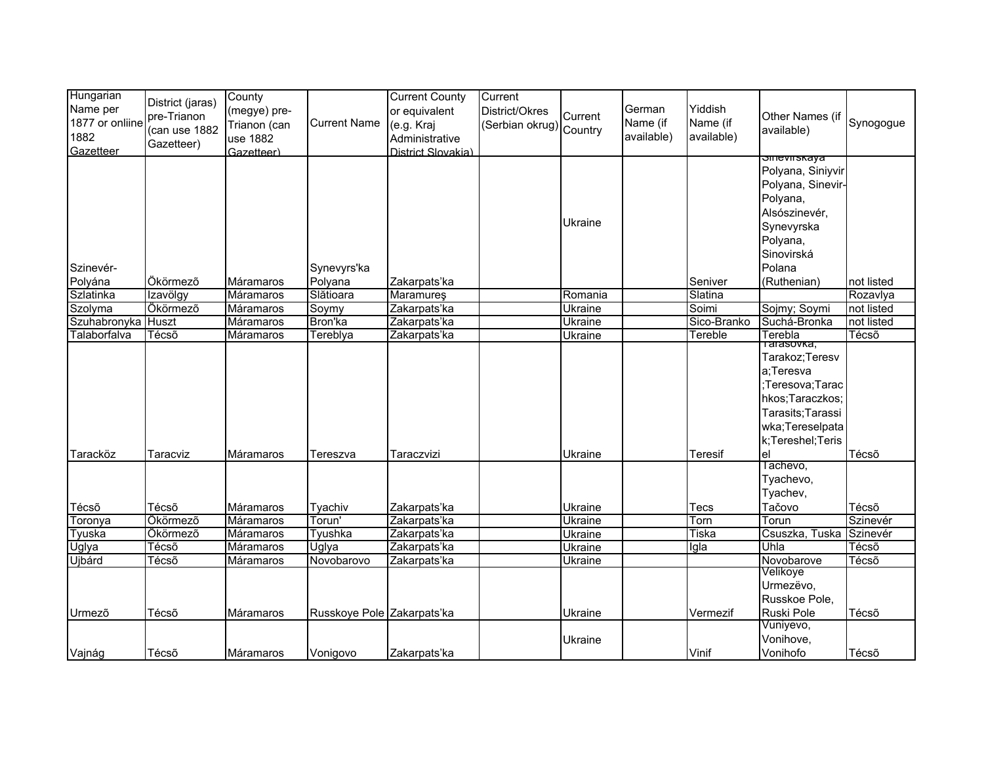| Hungarian          |                  | County       |                            | <b>Current County</b> | Current                 |                 |            |              |                        |            |
|--------------------|------------------|--------------|----------------------------|-----------------------|-------------------------|-----------------|------------|--------------|------------------------|------------|
| Name per           | District (jaras) | (megye) pre- |                            | or equivalent         | District/Okres          |                 | German     | Yiddish      |                        |            |
| 1877 or onliine    | pre-Trianon      | Trianon (can | <b>Current Name</b>        | (e.g. Kraj            |                         | Current         | Name (if   | Name (if     | Other Names (if        | Synogogue  |
| 1882               | (can use 1882    |              |                            |                       | (Serbian okrug) Country |                 | available) | available)   | available)             |            |
| Gazetteer          | Gazetteer)       | use 1882     |                            | Administrative        |                         |                 |            |              |                        |            |
|                    |                  | Gazetteer)   |                            | District Slovakia)    |                         |                 |            |              | <del>omeviiskaya</del> |            |
|                    |                  |              |                            |                       |                         |                 |            |              | Polyana, Siniyvir      |            |
|                    |                  |              |                            |                       |                         |                 |            |              | Polyana, Sinevir-      |            |
|                    |                  |              |                            |                       |                         |                 |            |              | Polyana,               |            |
|                    |                  |              |                            |                       |                         |                 |            |              | Alsószinevér,          |            |
|                    |                  |              |                            |                       |                         | Ukraine         |            |              | Synevyrska             |            |
|                    |                  |              |                            |                       |                         |                 |            |              | Polyana,               |            |
|                    |                  |              |                            |                       |                         |                 |            |              | Sinovirská             |            |
| Szinevér-          |                  |              | Synevyrs'ka                |                       |                         |                 |            |              | Polana                 |            |
| Polyána            | Ökörmező         | Máramaros    | Polyana                    | Zakarpats'ka          |                         |                 |            | Seniver      | (Ruthenian)            | not listed |
| Szlatinka          | Izavölgy         | Máramaros    | Slătioara                  | <b>Maramures</b>      |                         | Romania         |            | Slatina      |                        | Rozavlya   |
| Szolyma            | Ökörmező         | Máramaros    | Soymy                      | Zakarpats'ka          |                         | <u> Ūkraine</u> |            | Soimi        | Sojmy; Soymi           | not listed |
| Szuhabronyka Huszt |                  | Máramaros    | Bron'ka                    | Zakarpats'ka          |                         | Ukraine         |            | Sico-Branko  | Suchá-Bronka           | not listed |
| Talaborfalva       | Técső            | Máramaros    | Tereblya                   | Zakarpats'ka          |                         |                 |            | Tereble      | Terebla                | Técsõ      |
|                    |                  |              |                            |                       |                         | Ukraine         |            |              | Tarasovka,             |            |
|                    |                  |              |                            |                       |                         |                 |            |              | Tarakoz; Teresv        |            |
|                    |                  |              |                            |                       |                         |                 |            |              | a;Teresva              |            |
|                    |                  |              |                            |                       |                         |                 |            |              | ;Teresova;Tarac        |            |
|                    |                  |              |                            |                       |                         |                 |            |              | hkos; Taraczkos;       |            |
|                    |                  |              |                            |                       |                         |                 |            |              | Tarasits; Tarassi      |            |
|                    |                  |              |                            |                       |                         |                 |            |              | wka;Tereselpata        |            |
|                    |                  |              |                            |                       |                         |                 |            |              | k;Tereshel;Teris       |            |
| Taracköz           | Taracviz         | Máramaros    | Tereszva                   | Taraczvizi            |                         | Ukraine         |            | Teresif      | el                     | Técsõ      |
|                    |                  |              |                            |                       |                         |                 |            |              | Tachevo,               |            |
|                    |                  |              |                            |                       |                         |                 |            |              | Tyachevo,              |            |
|                    |                  |              |                            |                       |                         |                 |            |              | Tyachev,               |            |
| Técsõ              | Técsõ            | Máramaros    | Tyachiv                    | Zakarpats'ka          |                         | Ukraine         |            | Tecs         | Tačovo                 | Técsõ      |
| Toronya            | Ökörmező         | Máramaros    | Torun'                     | Zakarpats'ka          |                         | <b>Ukraine</b>  |            | Torn         | Torun                  | Szinevér   |
| Tyuska             | Ökörmező         | Máramaros    | Tyushka                    | Zakarpats'ka          |                         | Ukraine         |            | <b>Tiska</b> | Csuszka, Tuska         | Szinevér   |
| Uglya              | Técsõ            | Máramaros    | Uglya                      | Zakarpats'ka          |                         | Ukraine         |            | Igla         | Uhla                   | Técső      |
| Ujbárd             | Técsõ            | Máramaros    | Novobarovo                 | Zakarpats'ka          |                         | Ukraine         |            |              | Novobarove             | Técsõ      |
|                    |                  |              |                            |                       |                         |                 |            |              | Velikoye               |            |
|                    |                  |              |                            |                       |                         |                 |            |              | Urmezëvo,              |            |
|                    |                  |              |                            |                       |                         |                 |            |              | Russkoe Pole,          |            |
| Urmezõ             | Técsõ            | Máramaros    | Russkoye Pole Zakarpats'ka |                       |                         | Ukraine         |            | Vermezif     | Ruski Pole             | Técsõ      |
|                    |                  |              |                            |                       |                         |                 |            |              | Vuniyevo,              |            |
|                    |                  |              |                            |                       |                         | Ukraine         |            |              | Vonihove,              |            |
| Vajnág             | Técsõ            | Máramaros    | Vonigovo                   | Zakarpats'ka          |                         |                 |            | Vinif        | Vonihofo               | Técsõ      |
|                    |                  |              |                            |                       |                         |                 |            |              |                        |            |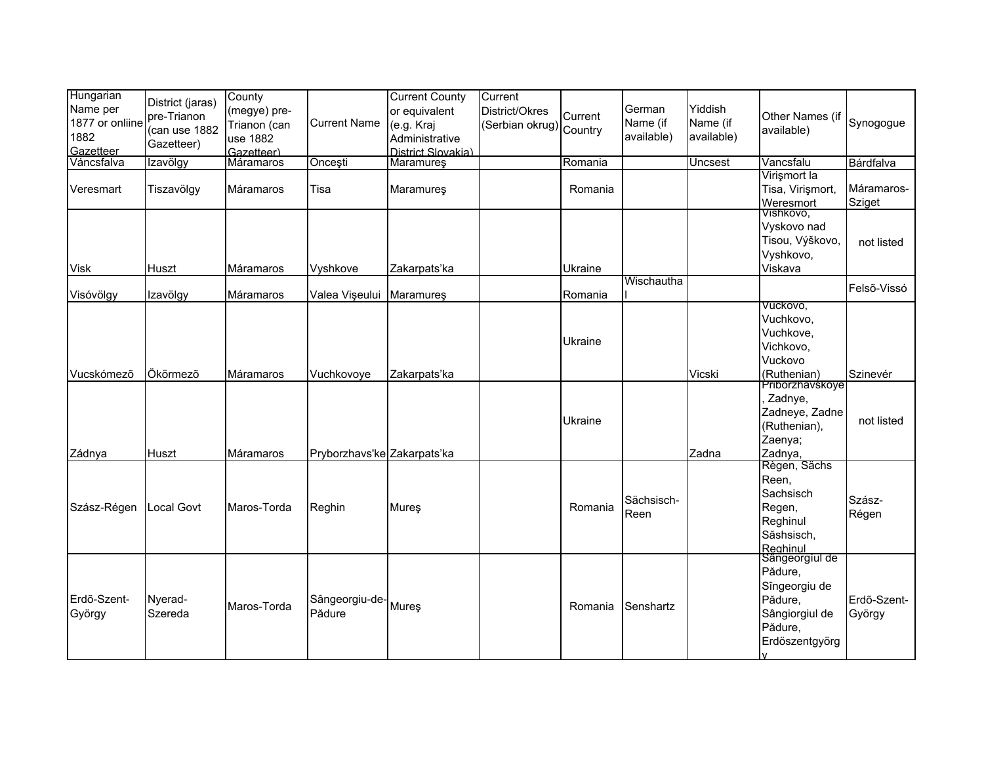| Hungarian<br>Name per<br>1877 or onliine<br>1882<br>Gazetteer | District (jaras)<br>pre-Trianon<br>(can use 1882<br>Gazetteer) | County<br>(megye) pre-<br>Trianon (can<br>use 1882<br>Gazetteer) | <b>Current Name</b>            | <b>Current County</b><br>or equivalent<br>(e.g. Kraj<br>Administrative<br>District Slovakia) | Current<br>District/Okres<br>(Serbian okrug) Country | Current            | German<br>Name (if<br>available) | Yiddish<br>Name (if<br>available) | Other Names (if<br>available)                                                                        | Synogogue             |
|---------------------------------------------------------------|----------------------------------------------------------------|------------------------------------------------------------------|--------------------------------|----------------------------------------------------------------------------------------------|------------------------------------------------------|--------------------|----------------------------------|-----------------------------------|------------------------------------------------------------------------------------------------------|-----------------------|
| Váncsfalva                                                    | Izavölgy                                                       | Máramaros                                                        | Oncești                        | Maramureş                                                                                    |                                                      | Romania            |                                  | Uncsest                           | Vancsfalu                                                                                            | Bárdfalva             |
| Veresmart                                                     | Tiszavölgy                                                     | Máramaros                                                        | Tisa                           | <b>Maramures</b>                                                                             |                                                      | Romania            |                                  |                                   | Virișmort la<br>Tisa, Virișmort,<br>Weresmort                                                        | Máramaros-<br>Sziget  |
| <b>Visk</b>                                                   | Huszt                                                          | Máramaros                                                        | Vyshkove                       | Zakarpats'ka                                                                                 |                                                      | Ukraine            |                                  |                                   | Vishkovo,<br>Vyskovo nad<br>Tisou, Výškovo,<br>Vyshkovo,<br>Viskava                                  | not listed            |
|                                                               |                                                                | Máramaros                                                        |                                |                                                                                              |                                                      |                    | Wischautha                       |                                   |                                                                                                      | Felső-Vissó           |
| Visóvölgy<br>Vucskómező                                       | Izavölgy<br>Ökörmező                                           | Máramaros                                                        | Valea Vişeului<br>Vuchkovoye   | Maramureş<br>Zakarpats'ka                                                                    |                                                      | Romania<br>Ukraine |                                  | Vicski                            | VUCKOVO,<br>Vuchkovo,<br>Vuchkove,<br>Vichkovo,<br>Vuckovo<br>(Ruthenian)<br>Priborzhavskoye         | Szinevér              |
| Zádnya                                                        | Huszt                                                          | Máramaros                                                        | Pryborzhavs'ke Zakarpats'ka    |                                                                                              |                                                      | Ukraine            |                                  | Zadna                             | Zadnye,<br>Zadneye, Zadne<br>(Ruthenian),<br>Zaenya;<br>Zadnya,                                      | not listed            |
| Szász-Régen                                                   | Local Govt                                                     | Maros-Torda                                                      | Reghin                         | Mureş                                                                                        |                                                      | Romania            | Sächsisch-<br>Reen               |                                   | Règen, Sächs<br>Reen,<br>Sachsisch<br>Regen,<br>Reghinul<br>Săshsisch,<br>Reghinul<br>Sângeorgiul de | Szász-<br>Régen       |
| Erdő-Szent-<br>György                                         | Nyerad-<br>Szereda                                             | Maros-Torda                                                      | Sângeorgiu-de- Mureş<br>Pădure |                                                                                              |                                                      | Romania            | Senshartz                        |                                   | Pădure,<br>Sîngeorgiu de<br>Pădure,<br>Sângiorgiul de<br>Pădure,<br>Erdöszentgyörg                   | Erdő-Szent-<br>György |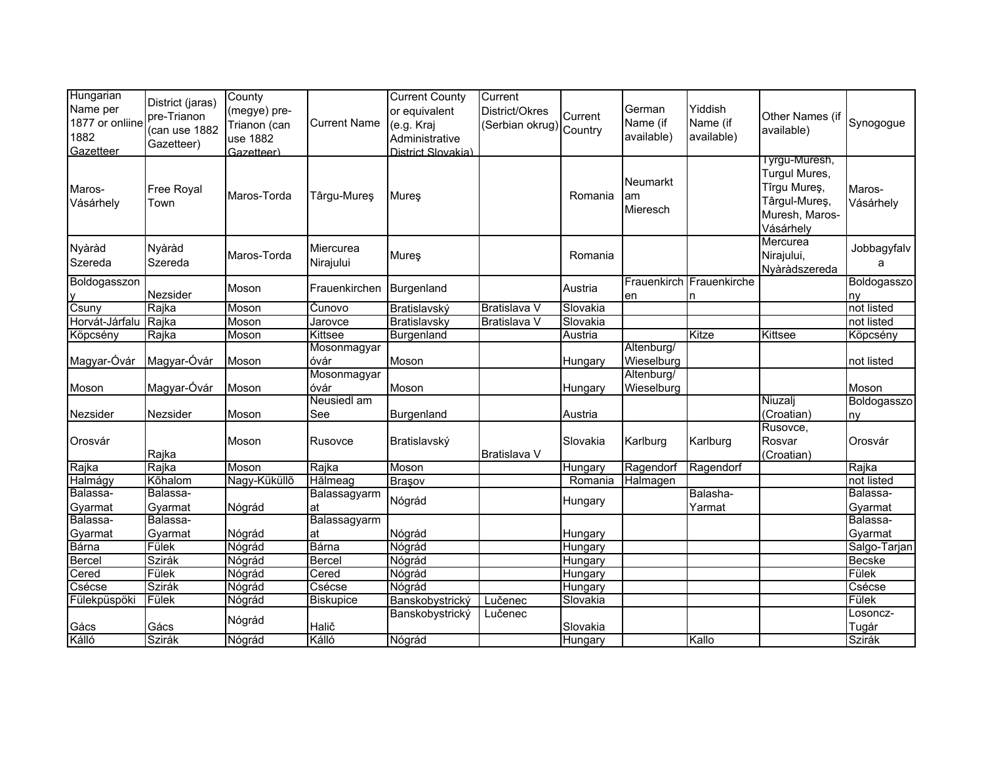| Hungarian<br>Name per<br>1877 or onliine<br>1882<br>Gazetteer | District (jaras)<br>pre-Trianon<br>(can use 1882<br>Gazetteer) | County<br>(megye) pre-<br>Trianon (can<br>use 1882<br>Gazetteer) | <b>Current Name</b>    | <b>Current County</b><br>or equivalent<br>(e.g. Kraj<br>Administrative<br>District Slovakia) | Current<br>District/Okres<br>(Serbian okrug) Country | Current  | German<br>Name (if<br>available) | Yiddish<br>Name (if<br>available) | Other Names (if<br>available)                                                                   | Synogogue           |
|---------------------------------------------------------------|----------------------------------------------------------------|------------------------------------------------------------------|------------------------|----------------------------------------------------------------------------------------------|------------------------------------------------------|----------|----------------------------------|-----------------------------------|-------------------------------------------------------------------------------------------------|---------------------|
| Maros-<br>Vásárhely                                           | Free Royal<br>Town                                             | Maros-Torda                                                      | Târgu-Mureş            | Mureş                                                                                        |                                                      | Romania  | Neumarkt<br>am<br>Mieresch       |                                   | I yrgu-Muresh,<br>Turgul Mures,<br>Tîrgu Mureş,<br>Târgul-Mureş,<br>Muresh, Maros-<br>Vásárhely | Maros-<br>Vásárhely |
| Nyàràd<br>Szereda                                             | Nyàràd<br>Szereda                                              | Maros-Torda                                                      | Miercurea<br>Nirajului | Mures                                                                                        |                                                      | Romania  |                                  |                                   | Mercurea<br>Nirajului,<br>Nyàràdszereda                                                         | Jobbagyfalv<br>a    |
| Boldogasszon                                                  | Nezsider                                                       | Moson                                                            | Frauenkirchen          | Burgenland                                                                                   |                                                      | Austria  | Frauenkirch<br>en                | Frauenkirche<br>n                 |                                                                                                 | Boldogasszo<br>ny   |
| Csuny                                                         | Rajka                                                          | Moson                                                            | Cunovo                 | Bratislavský                                                                                 | Bratislava V                                         | Slovakia |                                  |                                   |                                                                                                 | not listed          |
| Horvát-Járfalu                                                | Rajka                                                          | Moson                                                            | Jarovce                | Bratislavsky                                                                                 | Bratislava V                                         | Slovakia |                                  |                                   |                                                                                                 | not listed          |
| Köpcsény                                                      | Rajka                                                          | Moson                                                            | Kittsee                | Burgenland                                                                                   |                                                      | Austria  |                                  | Kitze                             | Kittsee                                                                                         | Köpcsény            |
|                                                               |                                                                |                                                                  | Mosonmagyar            |                                                                                              |                                                      |          | Altenburg/                       |                                   |                                                                                                 |                     |
| Magyar-Óvár                                                   | Magyar-Óvár                                                    | Moson                                                            | óvár                   | Moson                                                                                        |                                                      | Hungary  | Wieselburg                       |                                   |                                                                                                 | not listed          |
| Moson                                                         | Magyar-Óvár                                                    | Moson                                                            | Mosonmagyar<br>óvár    | Moson                                                                                        |                                                      | Hungary  | Altenburg/<br>Wieselburg         |                                   |                                                                                                 | Moson               |
| Nezsider                                                      | Nezsider                                                       | Moson                                                            | Neusiedl am<br>See     | Burgenland                                                                                   |                                                      | Austria  |                                  |                                   | Niuzalj<br>(Croatian)                                                                           | Boldogasszo<br>ny   |
| Orosvár                                                       | Rajka                                                          | Moson                                                            | Rusovce                | Bratislavský                                                                                 | Bratislava V                                         | Slovakia | Karlburg                         | Karlburg                          | Rusovce,<br>Rosvar<br>(Croatian)                                                                | Orosvár             |
| Rajka                                                         | Rajka                                                          | Moson                                                            | Rajka                  | <b>Moson</b>                                                                                 |                                                      | Hungary  | Ragendorf                        | Ragendorf                         |                                                                                                 | Rajka               |
| Halmágy                                                       | Kõhalom                                                        | Nagy-Küküllő                                                     | Hălmeag                | Brasov                                                                                       |                                                      | Romania  | Halmagen                         |                                   |                                                                                                 | not listed          |
| Balassa-<br>Gyarmat                                           | Balassa-<br>Gyarmat                                            | Nógrád                                                           | Balassagyarm<br>at     | Nógrád                                                                                       |                                                      | Hungary  |                                  | Balasha-<br>Yarmat                |                                                                                                 | Balassa-<br>Gyarmat |
| Balassa-                                                      | Balassa-                                                       |                                                                  | Balassagyarm           |                                                                                              |                                                      |          |                                  |                                   |                                                                                                 | Balassa-            |
| Gyarmat                                                       | Gyarmat                                                        | Nógrád                                                           | lat                    | Nógrád                                                                                       |                                                      | Hungary  |                                  |                                   |                                                                                                 | Gyarmat             |
| Bárna                                                         | Fülek                                                          | Nógrád                                                           | Bárna                  | Nógrád                                                                                       |                                                      | Hungary  |                                  |                                   |                                                                                                 | Salgo-Tarjan        |
| <b>Bercel</b>                                                 | Szirák                                                         | Nógrád                                                           | Bercel                 | Nógrád                                                                                       |                                                      | Hungary  |                                  |                                   |                                                                                                 | Becske              |
| Cered                                                         | Fülek                                                          | Nógrád                                                           | Cered                  | Nógrád                                                                                       |                                                      | Hungary  |                                  |                                   |                                                                                                 | Fülek               |
| Csécse                                                        | Szirák                                                         | Nógrád                                                           | Csécse                 | Nógrád                                                                                       |                                                      | Hungary  |                                  |                                   |                                                                                                 | Csécse              |
| Fülekpüspöki                                                  | Fülek                                                          | Nógrád                                                           | <b>Biskupice</b>       | Banskobystrický                                                                              | Lučenec                                              | Slovakia |                                  |                                   |                                                                                                 | Fülek               |
| Gács                                                          | Gács                                                           | Nógrád                                                           | Halič                  | Banskobystrický                                                                              | Lučenec                                              | Slovakia |                                  |                                   |                                                                                                 | Losoncz-<br>Tugár   |
| Kálló                                                         | Szirák                                                         | Nógrád                                                           | Kálló                  | Nógrád                                                                                       |                                                      | Hungary  |                                  | Kallo                             |                                                                                                 | Szirák              |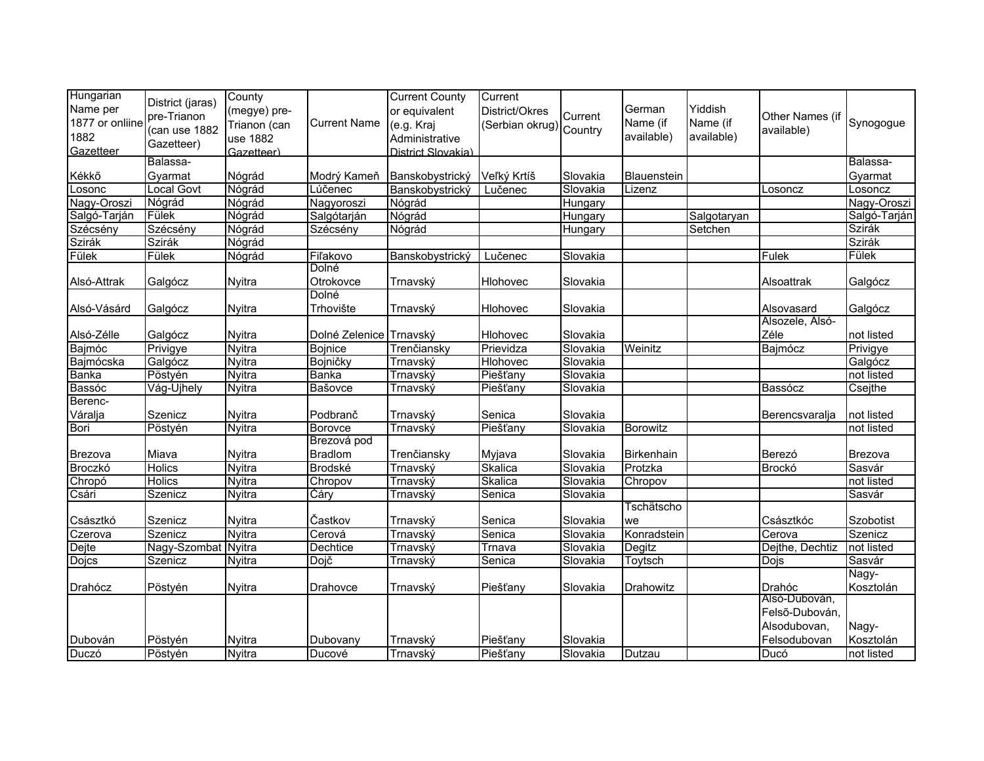| Hungarian<br>Name per                | District (jaras)<br>pre-Trianon | County<br>(megye) pre-                 |                         | <b>Current County</b><br>or equivalent             | Current<br>District/Okres | Current  | German                 | Yiddish                | Other Names (if |              |
|--------------------------------------|---------------------------------|----------------------------------------|-------------------------|----------------------------------------------------|---------------------------|----------|------------------------|------------------------|-----------------|--------------|
| 1877 or onliine<br>1882<br>Gazetteer | (can use 1882<br>Gazetteer)     | Trianon (can<br>use 1882<br>Gazetteer) | <b>Current Name</b>     | (e.g. Kraj<br>Administrative<br>District Slovakia) | (Serbian okrug) Country   |          | Name (if<br>available) | Name (if<br>available) | available)      | Synogogue    |
|                                      | Balassa-                        |                                        |                         |                                                    |                           |          |                        |                        |                 | Balassa-     |
| Kékkő                                | Gyarmat                         | Nógrád                                 | Modrý Kameň             | Banskobystrický                                    | Veľký Krtíš               | Slovakia | Blauenstein            |                        |                 | Gyarmat      |
| Losonc                               | <b>Local Govt</b>               | Nógrád                                 | Lúčenec                 | Banskobystrický                                    | Lučenec                   | Slovakia | Lizenz                 |                        | Losoncz         | Losoncz      |
| Nagy-Oroszi                          | Nógrád                          | Nógrád                                 | Nagyoroszi              | Nógrád                                             |                           | Hungary  |                        |                        |                 | Nagy-Oroszi  |
| Salgó-Tarján                         | Fülek                           | Nógrád                                 | Salgótarján             | Nógrád                                             |                           | Hungary  |                        | Salgotaryan            |                 | Salgó-Tarján |
| Szécsény                             | Szécsény                        | Nógrád                                 | Szécsény                | Nógrád                                             |                           | Hungary  |                        | Setchen                |                 | Szirák       |
| Szirák                               | Szirák                          | Nógrád                                 |                         |                                                    |                           |          |                        |                        |                 | Szirák       |
| Fülek                                | Fülek                           | Nógrád                                 | Fiľakovo                | Banskobystrický                                    | Lučenec                   | Slovakia |                        |                        | Fulek           | Fülek        |
|                                      |                                 |                                        | Dolné                   |                                                    |                           |          |                        |                        |                 |              |
| Alsó-Attrak                          | Galgócz                         | <b>Nyitra</b>                          | Otrokovce               | Trnavský                                           | Hlohovec                  | Slovakia |                        |                        | Alsoattrak      | Galgócz      |
|                                      |                                 |                                        | Dolné                   |                                                    |                           |          |                        |                        |                 |              |
| Alsó-Vásárd                          | Galgócz                         | <b>Nyitra</b>                          | Trhovište               | Trnavský                                           | Hlohovec                  | Slovakia |                        |                        | Alsovasard      | Galgócz      |
|                                      |                                 |                                        |                         |                                                    |                           |          |                        |                        | Alsozele, Alsó- |              |
| Alsó-Zélle                           | Galgócz                         | <b>Nyitra</b>                          | Dolné Zelenice Trnavský |                                                    | Hlohovec                  | Slovakia |                        |                        | Zéle            | not listed   |
| Bajmóc                               | Privigye                        | <b>Nyitra</b>                          | <b>Bojnice</b>          | Trenčiansky                                        | Prievidza                 | Slovakia | Weinitz                |                        | Bajmócz         | Privigye     |
| Bajmócska                            | Galgócz                         | Nyitra                                 | Bojničky                | Trnavský                                           | <b>Hlohovec</b>           | Slovakia |                        |                        |                 | Galgócz      |
| <b>Banka</b>                         | Pöstyén                         | <b>Nyitra</b>                          | <b>Banka</b>            | Trnavský                                           | Piešťany                  | Slovakia |                        |                        |                 | not listed   |
| Bassóc                               | Vág-Ujhely                      | Nyitra                                 | Bašovce                 | Trnavský                                           | Piešťany                  | Slovakia |                        |                        | Bassócz         | Csejthe      |
| Berenc-                              |                                 |                                        |                         |                                                    |                           |          |                        |                        |                 |              |
| Váralja                              | Szenicz                         | Nyitra                                 | Podbranč                | Trnavský                                           | Senica                    | Slovakia |                        |                        | Berencsvaralja  | not listed   |
| Bori                                 | Pöstyén                         | <b>Nyitra</b>                          | Borovce                 | Trnavský                                           | Piešťany                  | Slovakia | Borowitz               |                        |                 | not listed   |
|                                      |                                 |                                        | Brezová pod             |                                                    |                           |          |                        |                        |                 |              |
| Brezova                              | Miava                           | <b>Nvitra</b>                          | <b>Bradlom</b>          | Trenčiansky                                        | Myjava                    | Slovakia | Birkenhain             |                        | Berezó          | Brezova      |
| Broczkó                              | <b>Holics</b>                   | <b>Nyitra</b>                          | <b>Brodské</b>          | Trnavský                                           | Skalica                   | Slovakia | Protzka                |                        | Brockó          | Sasvár       |
| Chropó                               | <b>Holics</b>                   | Nyitra                                 | Chropov                 | Trnavský                                           | Skalica                   | Slovakia | Chropov                |                        |                 | not listed   |
| Csári                                | Szenicz                         | Nyitra                                 | Čáry                    | Trnavský                                           | Senica                    | Slovakia |                        |                        |                 | Sasvár       |
|                                      |                                 |                                        |                         |                                                    |                           |          | Tschätscho             |                        |                 |              |
| Császtkó                             | Szenicz                         | <b>Nyitra</b>                          | Častkov                 | Trnavský                                           | Senica                    | Slovakia | we                     |                        | Császtkóc       | Szobotist    |
| Czerova                              | Szenicz                         | <b>Nyitra</b>                          | Cerová                  | Trnavský                                           | Senica                    | Slovakia | Konradstein            |                        | Cerova          | Szenicz      |
| Dejte                                | Nagy-Szombat Nyitra             |                                        | Dechtice                | Trnavský                                           | Trnava                    | Slovakia | <b>Degitz</b>          |                        | Dejthe, Dechtiz | not listed   |
| <b>Dojcs</b>                         | Szenicz                         | Nyitra                                 | Dojč                    | Trnavský                                           | Senica                    | Slovakia | Toytsch                |                        | Dojs            | Sasvár       |
|                                      |                                 |                                        |                         |                                                    |                           |          |                        |                        |                 | Nagy-        |
| Drahócz                              | Pöstyén                         | Nyitra                                 | Drahovce                | Trnavský                                           | Piešťany                  | Slovakia | Drahowitz              |                        | Drahóc          | Kosztolán    |
|                                      |                                 |                                        |                         |                                                    |                           |          |                        |                        | Alsó-Dubován,   |              |
|                                      |                                 |                                        |                         |                                                    |                           |          |                        |                        | Felső-Dubován,  |              |
|                                      |                                 |                                        |                         |                                                    |                           |          |                        |                        | Alsodubovan,    | Nagy-        |
| Dubován                              | Pöstyén                         | <b>Nyitra</b>                          | Dubovany                | Trnavský                                           | Piešťany                  | Slovakia |                        |                        | Felsodubovan    | Kosztolán    |
| Duczó                                | Pöstyén                         | <b>Nyitra</b>                          | Ducové                  | Trnavský                                           | Piešťany                  | Slovakia | Dutzau                 |                        | Ducó            | not listed   |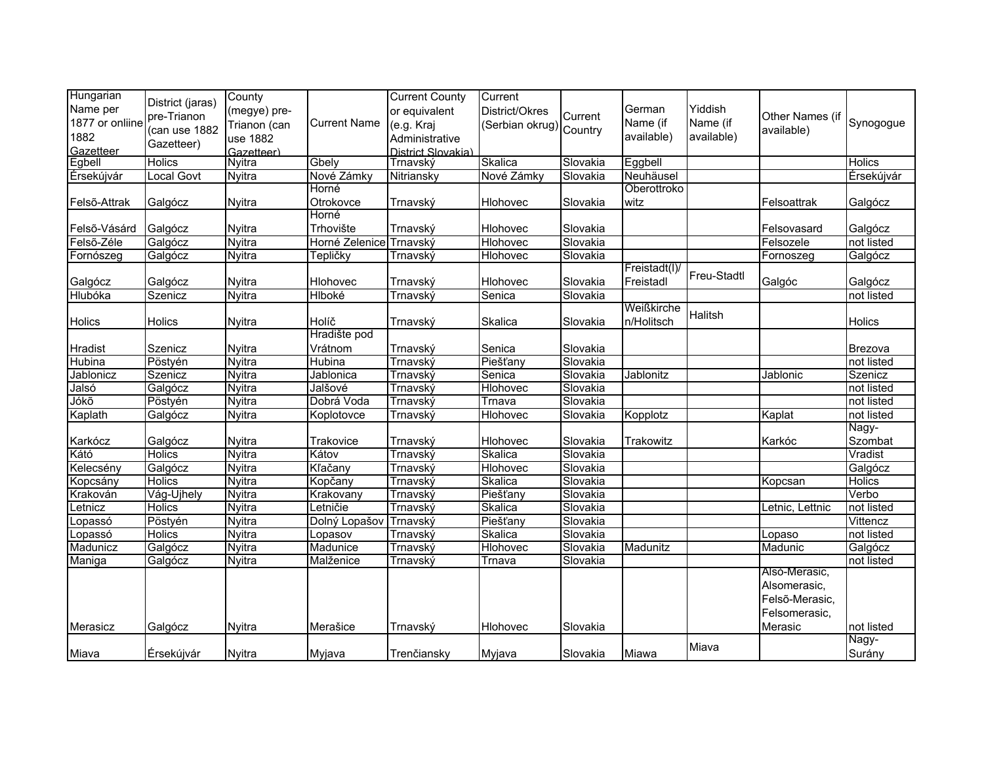| Hungarian<br>Name per<br>1877 or onliine<br>1882<br>Gazetteer | District (jaras)<br>pre-Trianon<br>(can use 1882<br>Gazetteer) | County<br>(megye) pre-<br>Trianon (can<br>use 1882<br>Gazetteer) | <b>Current Name</b>     | <b>Current County</b><br>or equivalent<br>(e.g. Kraj<br>Administrative<br>District Slovakia) | Current<br>District/Okres<br>Serbian okrug) Country | Current  | German<br>Name (if<br>available) | Yiddish<br>Name (if<br>available) | Other Names (if<br>available)                                               | Synogogue           |
|---------------------------------------------------------------|----------------------------------------------------------------|------------------------------------------------------------------|-------------------------|----------------------------------------------------------------------------------------------|-----------------------------------------------------|----------|----------------------------------|-----------------------------------|-----------------------------------------------------------------------------|---------------------|
| Egbell                                                        | <b>Holics</b>                                                  | <b>Nyitra</b>                                                    | Gbely                   | Trnavský                                                                                     | Skalica                                             | Slovakia | Eggbell                          |                                   |                                                                             | <b>Holics</b>       |
| Érsekújvár                                                    | Local Govt                                                     | Nyitra                                                           | Nové Zámky              | Nitriansky                                                                                   | Nové Zámky                                          | Slovakia | Neuhäusel                        |                                   |                                                                             | Érsekújvár          |
|                                                               |                                                                |                                                                  | Horné                   |                                                                                              |                                                     |          | Oberottroko                      |                                   |                                                                             |                     |
| Felső-Attrak                                                  | Galgócz                                                        | Nyitra                                                           | Otrokovce               | Trnavský                                                                                     | Hlohovec                                            | Slovakia | witz                             |                                   | Felsoattrak                                                                 | Galgócz             |
|                                                               |                                                                |                                                                  | Horné                   |                                                                                              |                                                     |          |                                  |                                   |                                                                             |                     |
| Felső-Vásárd                                                  | Galgócz                                                        | Nyitra                                                           | Trhovište               | Trnavský                                                                                     | Hlohovec                                            | Slovakia |                                  |                                   | Felsovasard                                                                 | Galgócz             |
| Felső-Zéle                                                    | Galgócz                                                        | <b>Nyitra</b>                                                    | Horné Zelenice          | Trnavský                                                                                     | Hlohovec                                            | Slovakia |                                  |                                   | Felsozele                                                                   | not listed          |
| Fornószeg                                                     | Galgócz                                                        | Nyitra                                                           | Tepličky                | Trnavský                                                                                     | Hlohovec                                            | Slovakia |                                  |                                   | Fornoszeg                                                                   | Galgócz             |
| Galgócz                                                       | Galgócz                                                        | Nyitra                                                           | Hlohovec                | Trnavský                                                                                     | Hlohovec                                            | Slovakia | Freistadt(I)<br>Freistadl        | Freu-Stadtl                       | Galgóc                                                                      | Galgócz             |
| Hlubóka                                                       | Szenicz                                                        | Nyitra                                                           | <b>Hlboké</b>           | Trnavský                                                                                     | Senica                                              | Slovakia |                                  |                                   |                                                                             | not listed          |
| Holics                                                        | Holics                                                         | <b>Nyitra</b>                                                    | Holíč                   | Trnavský                                                                                     | Skalica                                             | Slovakia | Weißkirche<br>n/Holitsch         | Halitsh                           |                                                                             | Holics              |
| Hradist                                                       | Szenicz                                                        | Nyitra                                                           | Hradište pod<br>Vrátnom | Trnavský                                                                                     | Senica                                              | Slovakia |                                  |                                   |                                                                             | Brezova             |
| Hubina                                                        | Pöstyén                                                        | <b>Nyitra</b>                                                    | Hubina                  | Trnavský                                                                                     | Piešťany                                            | Slovakia |                                  |                                   |                                                                             | not listed          |
| Jablonicz                                                     | Szenicz                                                        | Nyitra                                                           | Jablonica               | Trnavský                                                                                     | Senica                                              | Slovakia | Jablonitz                        |                                   | Jablonic                                                                    | Szenicz             |
| Jalsó                                                         | Galgócz                                                        | Nyitra                                                           | Jalšové                 | Trnavský                                                                                     | Hlohovec                                            | Slovakia |                                  |                                   |                                                                             | not listed          |
| Jókõ                                                          | Pöstyén                                                        | <b>Nyitra</b>                                                    | Dobrá Voda              | Trnavský                                                                                     | Trnava                                              | Slovakia |                                  |                                   |                                                                             | not listed          |
| Kaplath                                                       | Galgócz                                                        | <b>Nyitra</b>                                                    | Koplotovce              | Trnavský                                                                                     | Hlohovec                                            | Slovakia | Kopplotz                         |                                   | Kaplat                                                                      | not listed          |
| Karkócz                                                       | Galgócz                                                        | Nyitra                                                           | Trakovice               | Trnavský                                                                                     | Hlohovec                                            | Slovakia | Trakowitz                        |                                   | Karkóc                                                                      | Nagy-<br>Szombat    |
| Kátó                                                          | <b>Holics</b>                                                  | <b>Nyitra</b>                                                    | Kátov                   | Trnavský                                                                                     | Skalica                                             | Slovakia |                                  |                                   |                                                                             | Vradist             |
| Kelecsény                                                     | Galgócz                                                        | <b>Nyitra</b>                                                    | Kľačany                 | Trnavský                                                                                     | Hlohovec                                            | Slovakia |                                  |                                   |                                                                             | Galgócz             |
| Kopcsány                                                      | <b>Holics</b>                                                  | Nyitra                                                           | Kopčany                 | Trnavský                                                                                     | Skalica                                             | Slovakia |                                  |                                   | Kopcsan                                                                     | Holics              |
| Krakován                                                      | Vág-Ujhely                                                     | Nyitra                                                           | Krakovany               | Trnavský                                                                                     | Piešťany                                            | Slovakia |                                  |                                   |                                                                             | Verbo               |
| Letnicz                                                       | <b>Holics</b>                                                  | <b>Nyitra</b>                                                    | Letničie                | Trnavský                                                                                     | Skalica                                             | Slovakia |                                  |                                   | Letnic, Lettnic                                                             | not listed          |
| Lopassó                                                       | Pöstyén                                                        | <b>Nyitra</b>                                                    | Dolný Lopašov           | Trnavský                                                                                     | Piešťany                                            | Slovakia |                                  |                                   |                                                                             | Vittencz            |
| Lopassó                                                       | <b>Holics</b>                                                  | <b>Nyitra</b>                                                    | Lopasov                 | Trnavský                                                                                     | Skalica                                             | Slovakia |                                  |                                   | Lopaso                                                                      | not listed          |
| Madunicz                                                      | Galgócz                                                        | Nyitra                                                           | Madunice                | Trnavský                                                                                     | Hlohovec                                            | Slovakia | Madunitz                         |                                   | <b>Madunic</b>                                                              | Galgócz             |
| Maniga                                                        | Galgócz                                                        | Nyitra                                                           | Malženice               | Trnavský                                                                                     | Trnava                                              | Slovakia |                                  |                                   |                                                                             | not listed          |
| Merasicz                                                      | Galgócz                                                        | <b>Nyitra</b>                                                    | Merašice                | Trnavský                                                                                     | Hlohovec                                            | Slovakia |                                  | Miava                             | Alsó-Merasic,<br>Alsomerasic,<br>Felső-Merasic,<br>Felsomerasic,<br>Merasic | not listed<br>Nagy- |
| Miava                                                         | Érsekújvár                                                     | <b>Nyitra</b>                                                    | Myjava                  | Trenčiansky                                                                                  | Myjava                                              | Slovakia | Miawa                            |                                   |                                                                             | Surány              |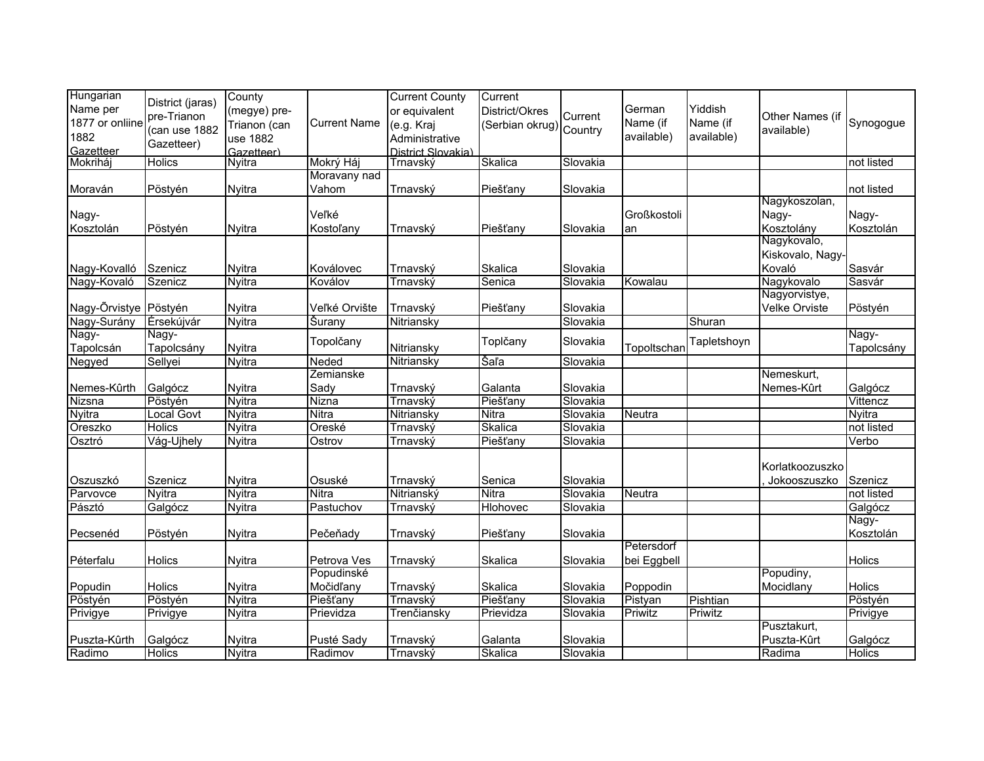| Hungarian             |                          | County        |                           | <b>Current County</b> | Current                 |          |             |                     |                      |               |
|-----------------------|--------------------------|---------------|---------------------------|-----------------------|-------------------------|----------|-------------|---------------------|----------------------|---------------|
| Name per              | District (jaras)         | (megye) pre-  |                           | or equivalent         | District/Okres          |          | German      | Yiddish             |                      |               |
| 1877 or onliine       | pre-Trianon              | Trianon (can  | <b>Current Name</b>       | (e.g. Kraj            | (Serbian okrug) Country | Current  | Name (if    | Name (if            | Other Names (if      | Synogogue     |
| 1882                  | (can use 1882            | use 1882      |                           | Administrative        |                         |          | available)  | available)          | available)           |               |
| Gazetteer             | Gazetteer)               | Gazetteer)    |                           | District Slovakia)    |                         |          |             |                     |                      |               |
| Mokriháj              | <b>Holics</b>            | Nyitra        | Mokrý Háj                 | Trnavský              | Skalica                 | Slovakia |             |                     |                      | not listed    |
|                       |                          |               | Moravany nad              |                       |                         |          |             |                     |                      |               |
| Moraván               | Pöstyén                  | Nyitra        | Vahom                     | Trnavský              | Piešťany                | Slovakia |             |                     |                      | not listed    |
|                       |                          |               |                           |                       |                         |          |             |                     | Nagykoszolan,        |               |
| Nagy-                 |                          |               | Veľké                     |                       |                         |          | Großkostoli |                     | Nagy-                | Nagy-         |
| Kosztolán             | Pöstyén                  | <b>Nyitra</b> | <b>Kostoľany</b>          | Trnavský              | Piešťany                | Slovakia | an          |                     | Kosztolány           | Kosztolán     |
|                       |                          |               |                           |                       |                         |          |             |                     | Nagykovalo,          |               |
|                       |                          |               |                           |                       |                         |          |             |                     | Kiskovalo, Nagy-     |               |
| Nagy-Kovalló          | Szenicz                  | Nyitra        | Koválovec                 | Trnavský              | Skalica                 | Slovakia |             |                     | Kovaló               | Sasvár        |
| Nagy-Kovaló           | Szenicz                  | Nyitra        | Koválov                   | Trnavský              | Senica                  | Slovakia | Kowalau     |                     | Nagykovalo           | Sasvár        |
|                       |                          |               |                           |                       |                         |          |             |                     | Nagyorvistye,        |               |
| Nagy-Õrvistye Pöstyén |                          | <b>Nyitra</b> | Veľké Orvište             | Trnavský              | Piešťany                | Slovakia |             |                     | <b>Velke Orviste</b> | Pöstyén       |
| Nagy-Surány           | Érsekújvár               | <b>Nyitra</b> | Šurany                    | Nitriansky            |                         | Slovakia |             | Shuran              |                      |               |
| Nagy-                 | Nagy-                    |               | Topolčany                 |                       | Toplčany                | Slovakia |             | Tapletshoyn         |                      | Nagy-         |
| Tapolcsán             | Tapolcsány               | Nyitra        |                           | <b>Nitriansky</b>     |                         |          | Topoltschar |                     |                      | Tapolcsány    |
| Negyed                | Sellyei                  | <b>Nyitra</b> | Neded                     | Nitriansky            | Šaľa                    | Slovakia |             |                     |                      |               |
|                       |                          |               | Zemianske                 |                       |                         |          |             |                     | Nemeskurt,           |               |
| Nemes-Kûrth           | Galgócz                  | <b>Nyitra</b> | Sady                      | Trnavský              | Galanta                 | Slovakia |             |                     | Nemes-Kûrt           | Galgócz       |
| Nizsna                | Pöstyén                  | <b>Nyitra</b> | Nizna                     | Trnavský              | Piešťany                | Slovakia |             |                     |                      | Vittencz      |
| Nyitra                | Local Govt               | Nyitra        | <b>Nitra</b>              | Nitriansky            | <b>Nitra</b>            | Slovakia | Neutra      |                     |                      | <b>Nyitra</b> |
| Oreszko               | <b>Holics</b>            | <b>Nyitra</b> | Oreské                    | Trnavský              | Skalica                 | Slovakia |             |                     |                      | not listed    |
| Osztró                | Vág-Ujhely               | <b>Nyitra</b> | Ostrov                    | Trnavský              | Piešťany                | Slovakia |             |                     |                      | Verbo         |
|                       |                          |               |                           |                       |                         |          |             |                     | Korlatkoozuszko      |               |
|                       |                          |               |                           |                       |                         |          |             |                     |                      |               |
| Oszuszkó              | Szenicz                  | <b>Nyitra</b> | Osuské                    | Trnavský              | Senica                  | Slovakia |             |                     | Jokooszuszko         | Szenicz       |
| Parvovce              | <b>Nyitra</b>            | <b>Nyitra</b> | <b>Nitra</b>              | Nitrianský            | <b>Nitra</b>            | Slovakia | Neutra      |                     |                      | not listed    |
| Pásztó                | Galgócz                  | <b>Nyitra</b> | Pastuchov                 | Trnavský              | Hlohovec                | Slovakia |             |                     |                      | Galgócz       |
|                       |                          |               |                           |                       |                         |          |             |                     |                      | Nagy-         |
| Pecsenéd              | Pöstyén                  | <b>Nyitra</b> | Pečeňady                  | Trnavský              | Piešťany                | Slovakia | Petersdorf  |                     |                      | Kosztolán     |
|                       |                          |               |                           |                       |                         |          |             |                     |                      |               |
| Péterfalu             | Holics                   | Nyitra        | Petrova Ves<br>Popudinské | Trnavský              | Skalica                 | Slovakia | bei Eggbell |                     |                      | Holics        |
|                       |                          |               | Močidľany                 |                       |                         |          |             |                     | Popudiny,            |               |
| Popudin               | Holics                   | <b>Nyitra</b> |                           | Trnavský              | Skalica                 | Slovakia | Poppodin    |                     | Mocidlany            | Holics        |
| Pöstyén               | Pöstyén                  | <b>Nyitra</b> | Piešťany                  | Trnavský              | Piešťany                | Slovakia | Pistyan     | Pishtian<br>Priwitz |                      | Pöstyén       |
| Privigye              | Privigye                 | <b>Nyitra</b> | Prievidza                 | Trenčiansky           | Prievidza               | Slovakia | Priwitz     |                     | Pusztakurt,          | Privigye      |
|                       |                          |               |                           |                       |                         |          |             |                     |                      |               |
| Puszta-Kûrth          | Galgócz<br><b>Holics</b> | Nyitra        | Pusté Sady                | Trnavský              | Galanta                 | Slovakia |             |                     | Puszta-Kûrt          | Galgócz       |
| Radimo                |                          | <b>Nyitra</b> | Radimov                   | Trnavský              | Skalica                 | Slovakia |             |                     | Radima               | <b>Holics</b> |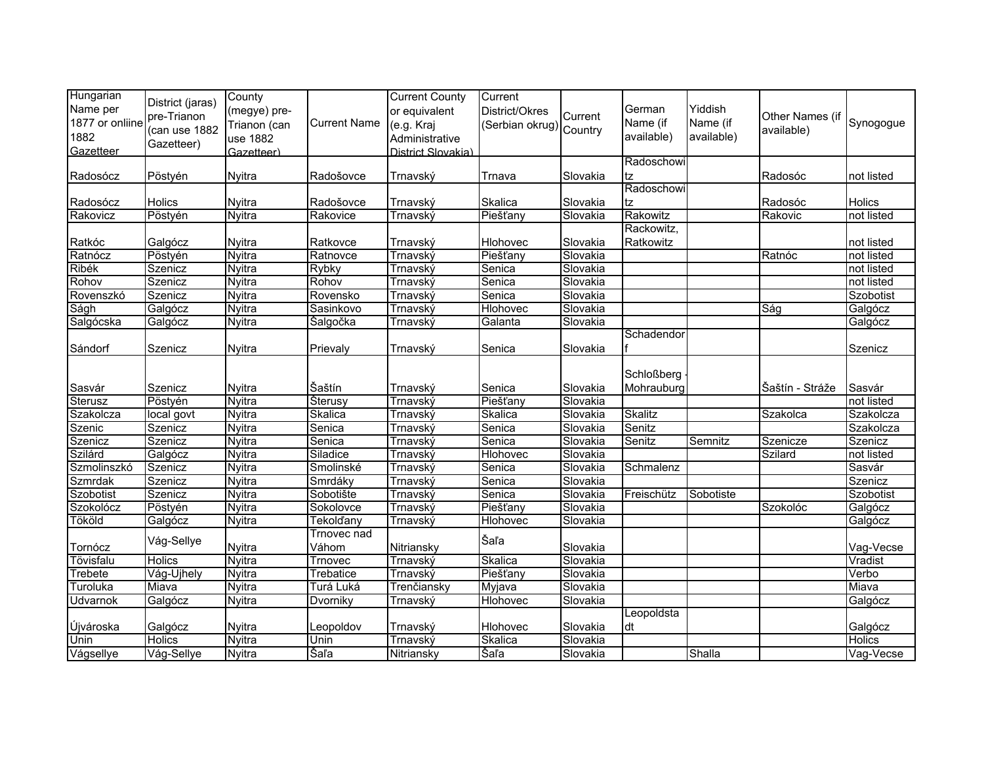| Hungarian<br>Name per<br>1877 or onliine<br>1882<br>Gazetteer | District (jaras)<br>pre-Trianon<br>(can use 1882<br>Gazetteer) | County<br>(megye) pre-<br>Trianon (can<br>use 1882<br>Gazetteer) | <b>Current Name</b>  | <b>Current County</b><br>or equivalent<br>(e.g. Kraj<br>Administrative<br>District Slovakia) | Current<br>District/Okres<br>(Serbian okrug) Country | Current  | German<br>Name (if<br>available) | Yiddish<br>Name (if<br>available) | Other Names (if<br>available) | Synogogue     |
|---------------------------------------------------------------|----------------------------------------------------------------|------------------------------------------------------------------|----------------------|----------------------------------------------------------------------------------------------|------------------------------------------------------|----------|----------------------------------|-----------------------------------|-------------------------------|---------------|
|                                                               |                                                                |                                                                  |                      |                                                                                              |                                                      |          | Radoschowi                       |                                   |                               |               |
| Radosócz                                                      | Pöstyén                                                        | <b>Nyitra</b>                                                    | Radošovce            | Trnavský                                                                                     | Trnava                                               | Slovakia | tz                               |                                   | Radosóc                       | not listed    |
|                                                               |                                                                |                                                                  |                      |                                                                                              |                                                      |          | Radoschowi                       |                                   |                               |               |
| Radosócz                                                      | Holics                                                         | <b>Nyitra</b>                                                    | Radošovce            | Trnavský                                                                                     | Skalica                                              | Slovakia | tz                               |                                   | Radosóc                       | Holics        |
| Rakovicz                                                      | Pöstyén                                                        | <b>Nyitra</b>                                                    | Rakovice             | Trnavský                                                                                     | Piešťany                                             | Slovakia | Rakowitz                         |                                   | Rakovic                       | not listed    |
| Ratkóc                                                        | Galgócz                                                        | <b>Nyitra</b>                                                    | Ratkovce             | Trnavský                                                                                     | Hlohovec                                             | Slovakia | Rackowitz,<br>Ratkowitz          |                                   |                               | not listed    |
| Ratnócz                                                       | Pöstyén                                                        | <b>Nyitra</b>                                                    | Ratnovce             | Trnavský                                                                                     | Piešťany                                             | Slovakia |                                  |                                   | Ratnóc                        | not listed    |
| Ribék                                                         | Szenicz                                                        | Nyitra                                                           | <b>Rybky</b>         | Trnavský                                                                                     | Senica                                               | Slovakia |                                  |                                   |                               | not listed    |
| Rohov                                                         | Szenicz                                                        | <b>Nyitra</b>                                                    | Rohov                | Trnavský                                                                                     | Senica                                               | Slovakia |                                  |                                   |                               | not listed    |
| Rovenszkó                                                     | Szenicz                                                        | Nyitra                                                           | Rovensko             | Trnavský                                                                                     | Senica                                               | Slovakia |                                  |                                   |                               | Szobotist     |
| Ságh                                                          | Galgócz                                                        | <b>Nyitra</b>                                                    | Sasinkovo            | Trnavský                                                                                     | <b>Hlohovec</b>                                      | Slovakia |                                  |                                   | Ság                           | Galgócz       |
| Salgócska                                                     | Galgócz                                                        | Nyitra                                                           | Šalgočka             | Trnavský                                                                                     | Galanta                                              | Slovakia |                                  |                                   |                               | Galgócz       |
| Sándorf                                                       | Szenicz                                                        | <b>Nyitra</b>                                                    | Prievaly             | Trnavský                                                                                     | Senica                                               | Slovakia | Schadendor                       |                                   |                               | Szenicz       |
| Sasvár                                                        | Szenicz                                                        | Nyitra                                                           | Šaštín               | Trnavský                                                                                     | Senica                                               | Slovakia | Schloßberg<br>Mohrauburg         |                                   | Šaštín - Stráže               | Sasvár        |
| <b>Sterusz</b>                                                | Pöstyén                                                        | Nyitra                                                           | <b>Šterusy</b>       | Trnavský                                                                                     | Piešťany                                             | Slovakia |                                  |                                   |                               | not listed    |
| Szakolcza                                                     | local govt                                                     | <b>Nyitra</b>                                                    | Skalica              | Trnavský                                                                                     | Skalica                                              | Slovakia | Skalitz                          |                                   | Szakolca                      | Szakolcza     |
| Szenic                                                        | Szenicz                                                        | <b>Nyitra</b>                                                    | Senica               | Trnavský                                                                                     | Senica                                               | Slovakia | Senitz                           |                                   |                               | Szakolcza     |
| Szenicz                                                       | Szenicz                                                        | Nyitra                                                           | Senica               | <u>Trnavský</u>                                                                              | Senica                                               | Slovakia | Senitz                           | Semnitz                           | Szenicze                      | Szenicz       |
| Szilárd                                                       | Galgócz                                                        | Nyitra                                                           | Siladice             | Trnavský                                                                                     | <b>Hlohovec</b>                                      | Slovakia |                                  |                                   | Szilard                       | not listed    |
| Szmolinszkó                                                   | Szenicz                                                        | Nyitra                                                           | Smolinské            | Trnavský                                                                                     | Senica                                               | Slovakia | Schmalenz                        |                                   |                               | Sasvár        |
| Szmrdak                                                       | Szenicz                                                        | Nyitra                                                           | Smrdáky              | Trnavský                                                                                     | Senica                                               | Slovakia |                                  |                                   |                               | Szenicz       |
| Szobotist                                                     | Szenicz                                                        | <b>Nyitra</b>                                                    | Sobotište            | Trnavský                                                                                     | Senica                                               | Slovakia | Freischütz                       | Sobotiste                         |                               | Szobotist     |
| Szokolócz                                                     | Pöstyén                                                        | <b>Nyitra</b>                                                    | Sokolovce            | Trnavský                                                                                     | Piešťany                                             | Slovakia |                                  |                                   | Szokolóc                      | Galgócz       |
| Tököld                                                        | Galgócz                                                        | <b>Nyitra</b>                                                    | <b>Tekolďany</b>     | Trnavský                                                                                     | Hlohovec                                             | Slovakia |                                  |                                   |                               | Galgócz       |
| Tornócz                                                       | Vág-Sellye                                                     | <b>Nyitra</b>                                                    | Trnovec nad<br>Váhom | Nitriansky                                                                                   | Šaľa                                                 | Slovakia |                                  |                                   |                               | Vag-Vecse     |
| Tövisfalu                                                     | <b>Holics</b>                                                  | <b>Nyitra</b>                                                    | Trnovec              | Trnavský                                                                                     | Skalica                                              | Slovakia |                                  |                                   |                               | Vradist       |
| Trebete                                                       | Vág-Ujhely                                                     | <b>Nyitra</b>                                                    | Trebatice            | Trnavský                                                                                     | Piešťany                                             | Slovakia |                                  |                                   |                               | Verbo         |
| Turoluka                                                      | Miava                                                          | <b>Nyitra</b>                                                    | Turá Luká            | Trenčiansky                                                                                  | Myjava                                               | Slovakia |                                  |                                   |                               | Miava         |
| <b>Udvarnok</b>                                               | Galgócz                                                        | <b>Nyitra</b>                                                    | Dvorniky             | Trnavský                                                                                     | <b>Hlohovec</b>                                      | Slovakia |                                  |                                   |                               | Galgócz       |
| Újvároska                                                     | Galgócz                                                        | Nyitra                                                           | Leopoldov            | Trnavský                                                                                     | Hlohovec                                             | Slovakia | Leopoldsta<br>dt                 |                                   |                               | Galgócz       |
| Unin                                                          | <b>Holics</b>                                                  | <b>Nyitra</b>                                                    | Unin                 | Trnavský                                                                                     | Skalica                                              | Slovakia |                                  |                                   |                               | <b>Holics</b> |
| Vágsellye                                                     | Vág-Sellye                                                     | <b>Nyitra</b>                                                    | Šaľa                 | Nitriansky                                                                                   | Šaľa                                                 | Slovakia |                                  | Shalla                            |                               | Vag-Vecse     |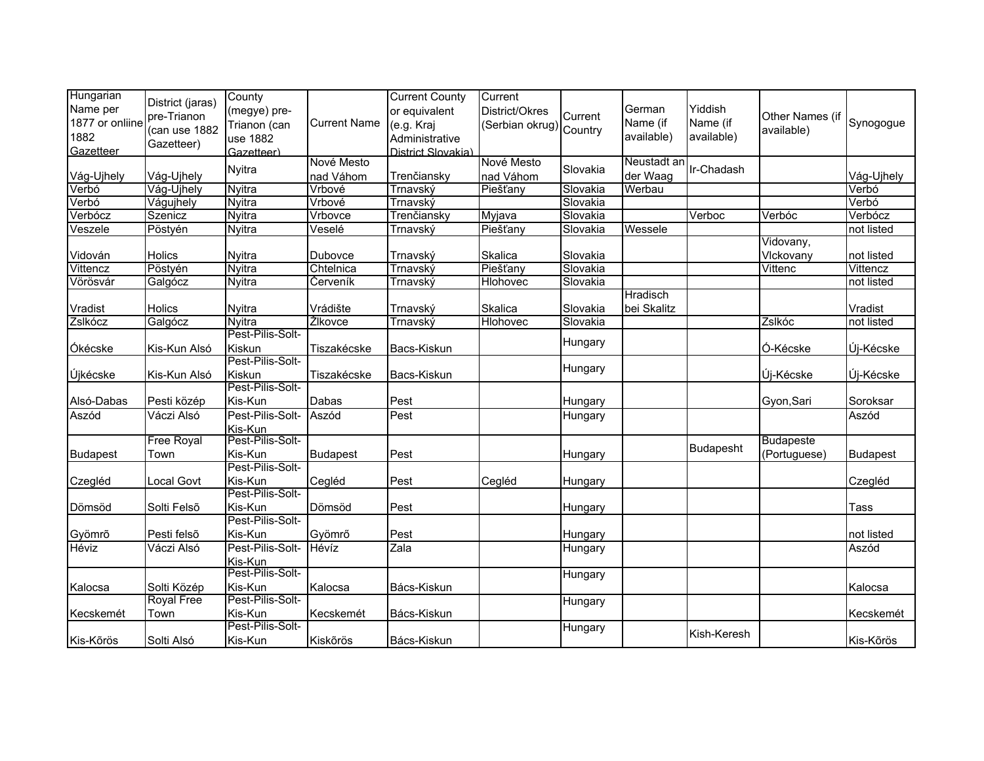| Hungarian<br>Name per<br>1877 or onliine<br>1882<br>Gazetteer | District (jaras)<br>pre-Trianon<br>(can use 1882<br>Gazetteer) | County<br>(megye) pre-<br>Trianon (can<br>use 1882<br>Gazetteer) | <b>Current Name</b>     | <b>Current County</b><br>or equivalent<br>(e.g. Kraj<br>Administrative<br>District Slovakia) | Current<br>District/Okres<br>Serbian okrug) Country | Current  | German<br>Name (if<br>available) | Yiddish<br>Name (if<br>available) | Other Names (if<br>available) | Synogogue       |
|---------------------------------------------------------------|----------------------------------------------------------------|------------------------------------------------------------------|-------------------------|----------------------------------------------------------------------------------------------|-----------------------------------------------------|----------|----------------------------------|-----------------------------------|-------------------------------|-----------------|
| Vág-Ujhely                                                    | Vág-Ujhely                                                     | <b>Nyitra</b>                                                    | Nové Mesto<br>nad Váhom | Trenčiansky                                                                                  | Nové Mesto<br>nad Váhom                             | Slovakia | Neustadt an<br>der Waag          | Ir-Chadash                        |                               | Vág-Ujhely      |
| Verbó                                                         | Vág-Ujhely                                                     | Nyitra                                                           | Vrbové                  | Trnavský                                                                                     | Piešťany                                            | Slovakia | Werbau                           |                                   |                               | Verbó           |
| Verbó                                                         | Vágujhely                                                      | <b>Nyitra</b>                                                    | Vrbové                  | Trnavský                                                                                     |                                                     | Slovakia |                                  |                                   |                               | Verbó           |
| Verbócz                                                       | Szenicz                                                        | <b>Nyitra</b>                                                    | Vrbovce                 | Trenčiansky                                                                                  | Myjava                                              | Slovakia |                                  | Verboc                            | Verbóc                        | Verbócz         |
| Veszele                                                       | Pöstyén                                                        | <b>Nyitra</b>                                                    | Veselé                  | Trnavský                                                                                     | Piešťany                                            | Slovakia | Wessele                          |                                   |                               | not listed      |
|                                                               |                                                                |                                                                  |                         |                                                                                              |                                                     |          |                                  |                                   | Vidovany,                     |                 |
| Vidován                                                       | Holics                                                         | <b>Nyitra</b>                                                    | Dubovce                 | Trnavský                                                                                     | Skalica                                             | Slovakia |                                  |                                   | Vlckovany                     | not listed      |
| Vittencz                                                      | Pöstyén                                                        | <b>Nyitra</b>                                                    | Chtelnica               | Trnavský                                                                                     | Piešťany                                            | Slovakia |                                  |                                   | Vittenc                       | Vittencz        |
| Vörösvár                                                      | Galgócz                                                        | <b>Nyitra</b>                                                    | Červeník                | Trnavský                                                                                     | Hlohovec                                            | Slovakia |                                  |                                   |                               | not listed      |
|                                                               |                                                                |                                                                  |                         |                                                                                              |                                                     |          | Hradisch                         |                                   |                               |                 |
| Vradist                                                       | Holics                                                         | <b>Nyitra</b>                                                    | Vrádište                | Trnavský                                                                                     | Skalica                                             | Slovakia | bei Skalitz                      |                                   |                               | Vradist         |
| Zslkócz                                                       | Galgócz                                                        | Nyitra                                                           | Žlkovce                 | Trnavský                                                                                     | Hlohovec                                            | Slovakia |                                  |                                   | Zslkóc                        | not listed      |
|                                                               |                                                                | Pest-Pilis-Solt-                                                 |                         |                                                                                              |                                                     | Hungary  |                                  |                                   |                               |                 |
| Ókécske                                                       | Kis-Kun Alsó                                                   | Kiskun<br>Pest-Pilis-Solt-                                       | Tiszakécske             | Bacs-Kiskun                                                                                  |                                                     |          |                                  |                                   | Ó-Kécske                      | Új-Kécske       |
|                                                               |                                                                | Kiskun                                                           |                         |                                                                                              |                                                     | Hungary  |                                  |                                   |                               |                 |
| Újkécske                                                      | Kis-Kun Alsó                                                   | Pest-Pilis-Solt-                                                 | Tiszakécske             | Bacs-Kiskun                                                                                  |                                                     |          |                                  |                                   | Új-Kécske                     | Új-Kécske       |
| Alsó-Dabas                                                    | Pesti közép                                                    | Kis-Kun                                                          | Dabas                   | Pest                                                                                         |                                                     | Hungary  |                                  |                                   | Gyon, Sari                    | Soroksar        |
| Aszód                                                         | Váczi Alsó                                                     | Pest-Pilis-Solt-                                                 | Aszód                   | Pest                                                                                         |                                                     | Hungary  |                                  |                                   |                               | Aszód           |
|                                                               |                                                                | Kis-Kun                                                          |                         |                                                                                              |                                                     |          |                                  |                                   |                               |                 |
|                                                               | Free Royal                                                     | Pest-Pilis-Solt-                                                 |                         |                                                                                              |                                                     |          |                                  |                                   | <b>Budapeste</b>              |                 |
| <b>Budapest</b>                                               | Town                                                           | Kis-Kun                                                          | <b>Budapest</b>         | Pest                                                                                         |                                                     | Hungary  |                                  | <b>Budapesht</b>                  | (Portuguese)                  | <b>Budapest</b> |
|                                                               |                                                                | Pest-Pilis-Solt-                                                 |                         |                                                                                              |                                                     |          |                                  |                                   |                               |                 |
| Czegléd                                                       | Local Govt                                                     | Kis-Kun                                                          | Cegléd                  | Pest                                                                                         | Cegléd                                              | Hungary  |                                  |                                   |                               | Czegléd         |
|                                                               |                                                                | Pest-Pilis-Solt-                                                 |                         |                                                                                              |                                                     |          |                                  |                                   |                               |                 |
| Dömsöd                                                        | Solti Felsõ                                                    | Kis-Kun                                                          | Dömsöd                  | Pest                                                                                         |                                                     | Hungary  |                                  |                                   |                               | <b>Tass</b>     |
|                                                               |                                                                | Pest-Pilis-Solt-                                                 |                         |                                                                                              |                                                     |          |                                  |                                   |                               |                 |
| Gyömrő                                                        | Pesti felsõ                                                    | Kis-Kun                                                          | Gyömrő                  | Pest                                                                                         |                                                     | Hungary  |                                  |                                   |                               | not listed      |
| Héviz                                                         | Váczi Alsó                                                     | Pest-Pilis-Solt-                                                 | Hévíz                   | Zala                                                                                         |                                                     | Hungary  |                                  |                                   |                               | Aszód           |
|                                                               |                                                                | Kis-Kun                                                          |                         |                                                                                              |                                                     |          |                                  |                                   |                               |                 |
|                                                               |                                                                | Pest-Pilis-Solt-                                                 |                         |                                                                                              |                                                     | Hungary  |                                  |                                   |                               |                 |
| Kalocsa                                                       | Solti Közép                                                    | Kis-Kun<br>Pest-Pilis-Solt-                                      | Kalocsa                 | Bács-Kiskun                                                                                  |                                                     |          |                                  |                                   |                               | Kalocsa         |
|                                                               | <b>Royal Free</b>                                              |                                                                  |                         |                                                                                              |                                                     | Hungary  |                                  |                                   |                               |                 |
| Kecskemét                                                     | Town                                                           | Kis-Kun<br>Pest-Pilis-Solt-                                      | Kecskemét               | Bács-Kiskun                                                                                  |                                                     |          |                                  |                                   |                               | Kecskemét       |
| Kis-Kõrös                                                     | Solti Alsó                                                     | Kis-Kun                                                          | Kiskõrös                | Bács-Kiskun                                                                                  |                                                     | Hungary  |                                  | Kish-Keresh                       |                               | Kis-Kõrös       |
|                                                               |                                                                |                                                                  |                         |                                                                                              |                                                     |          |                                  |                                   |                               |                 |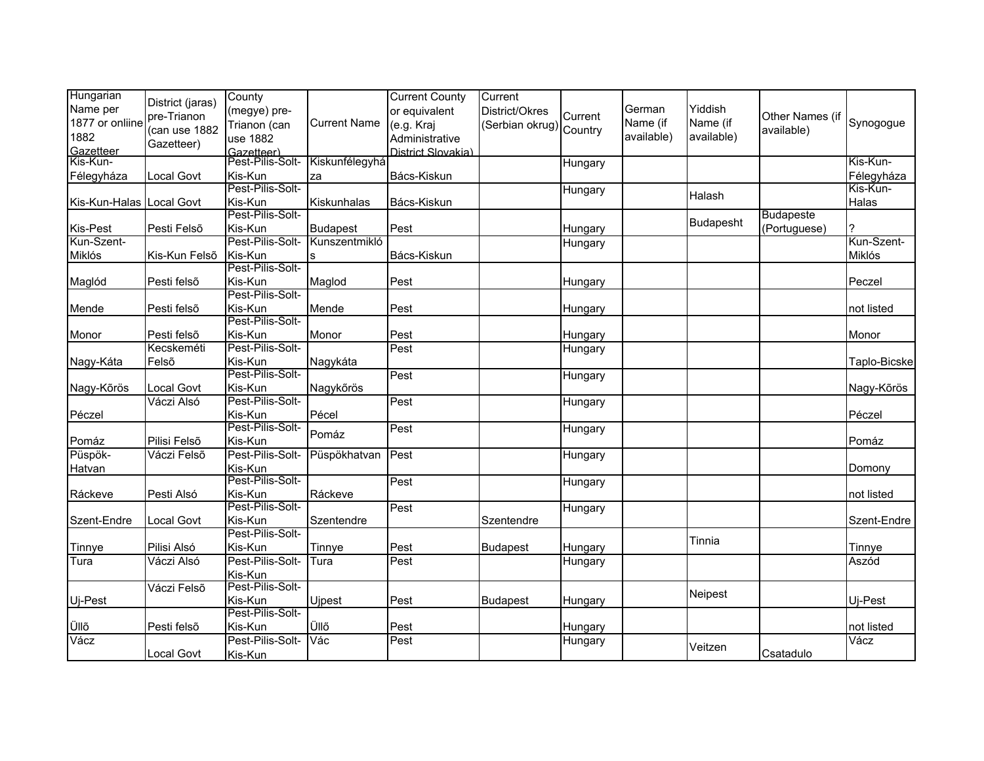| District (jaras)<br>Name per<br>Yiddish<br>German<br>or equivalent<br>District/Okres<br>(megye) pre-<br>Current<br>pre-Trianon<br>Other Names (if<br>1877 or onliine<br>Name (if<br>Name (if<br><b>Current Name</b><br>Trianon (can<br>(e.g. Kraj<br>(Serbian okrug) Country<br>(can use 1882<br>available)<br>1882<br>available)<br>available)<br>use 1882<br>Administrative<br>Gazetteer)<br>Gazetteer<br>District Slovakia) | Synogogue<br>Kis-Kun-<br>Félegyháza<br>Kis-Kun- |
|--------------------------------------------------------------------------------------------------------------------------------------------------------------------------------------------------------------------------------------------------------------------------------------------------------------------------------------------------------------------------------------------------------------------------------|-------------------------------------------------|
|                                                                                                                                                                                                                                                                                                                                                                                                                                |                                                 |
|                                                                                                                                                                                                                                                                                                                                                                                                                                |                                                 |
|                                                                                                                                                                                                                                                                                                                                                                                                                                |                                                 |
|                                                                                                                                                                                                                                                                                                                                                                                                                                |                                                 |
| Gazetteer)<br> Pest-Pilis-Solt-<br>Kiskunfélegyhá<br>Kis-Kun-<br>Hungary                                                                                                                                                                                                                                                                                                                                                       |                                                 |
| Kis-Kun<br>Bács-Kiskun<br>Local Govt<br>Félegyháza<br>za                                                                                                                                                                                                                                                                                                                                                                       |                                                 |
| Pest-Pilis-Solt-<br>Hungary<br>Halash                                                                                                                                                                                                                                                                                                                                                                                          |                                                 |
| Kis-Kun<br>Kiskunhalas<br>Kis-Kun-Halas Local Govt<br>Bács-Kiskun                                                                                                                                                                                                                                                                                                                                                              | Halas                                           |
| Pest-Pilis-Solt-<br><b>Budapeste</b><br><b>Budapesht</b>                                                                                                                                                                                                                                                                                                                                                                       |                                                 |
| Kis-Pest<br>Pesti Felsõ<br>Kis-Kun<br>Pest<br>(Portuguese)<br>Budapest<br>Hungary                                                                                                                                                                                                                                                                                                                                              | 2                                               |
| Kun-Szent-<br>Pest-Pilis-Solt-<br>Kunszentmikló<br>Hungary                                                                                                                                                                                                                                                                                                                                                                     | Kun-Szent-                                      |
| Kis-Kun<br>Bács-Kiskun<br>Miklós<br>Kis-Kun Felsõ                                                                                                                                                                                                                                                                                                                                                                              | Miklós                                          |
| Pest-Pilis-Solt-                                                                                                                                                                                                                                                                                                                                                                                                               |                                                 |
| Maglód<br>Pesti felsõ<br>Kis-Kun<br>Maglod<br>Pest<br>Hungary                                                                                                                                                                                                                                                                                                                                                                  | Peczel                                          |
| Pest-Pilis-Solt-                                                                                                                                                                                                                                                                                                                                                                                                               |                                                 |
| Kis-Kun<br>Mende<br>Pest<br>Pesti felsõ<br>Mende<br>Hungary                                                                                                                                                                                                                                                                                                                                                                    | not listed                                      |
| Pest-Pilis-Solt-                                                                                                                                                                                                                                                                                                                                                                                                               |                                                 |
| Kis-Kun<br>Pesti felsõ<br>Monor<br>Pest<br>Monor<br>Hungary                                                                                                                                                                                                                                                                                                                                                                    | Monor                                           |
| Pest-Pilis-Solt-<br>Kecskeméti<br>Pest<br>Hungary                                                                                                                                                                                                                                                                                                                                                                              |                                                 |
| Kis-Kun<br>Nagykáta<br>Nagy-Káta<br>Felsõ                                                                                                                                                                                                                                                                                                                                                                                      | Taplo-Bicske                                    |
| Pest-Pilis-Solt-<br>Pest<br>Hungary                                                                                                                                                                                                                                                                                                                                                                                            |                                                 |
| Kis-Kun<br>Local Govt<br>Nagy-Kõrös<br>Nagykőrös                                                                                                                                                                                                                                                                                                                                                                               | Nagy-Kõrös                                      |
| Pest-Pilis-Solt-<br>Váczi Alsó<br>Pest<br>Hungary                                                                                                                                                                                                                                                                                                                                                                              |                                                 |
| Pécel<br>Kis-Kun<br>Péczel                                                                                                                                                                                                                                                                                                                                                                                                     | Péczel                                          |
| Pest-Pilis-Solt-<br>Pest<br>Hungary                                                                                                                                                                                                                                                                                                                                                                                            |                                                 |
| Pomáz<br>Kis-Kun<br>Pomáz<br>Pilisi Felsõ                                                                                                                                                                                                                                                                                                                                                                                      | Pomáz                                           |
| Pest-Pilis-Solt-<br>Pest<br>Püspök-<br>Váczi Felső<br>Püspökhatvan<br>Hungary                                                                                                                                                                                                                                                                                                                                                  |                                                 |
| Kis-Kun<br>Hatvan                                                                                                                                                                                                                                                                                                                                                                                                              | Domony                                          |
| Pest-Pilis-Solt-<br>Pest<br>Hungary                                                                                                                                                                                                                                                                                                                                                                                            |                                                 |
| Kis-Kun<br>Ráckeve<br>Pesti Alsó<br>Ráckeve                                                                                                                                                                                                                                                                                                                                                                                    | not listed                                      |
| Pest-Pilis-Solt-<br>Pest<br>Hungary                                                                                                                                                                                                                                                                                                                                                                                            |                                                 |
| Kis-Kun<br>Szent-Endre<br>Local Govt<br>Szentendre<br>Szentendre                                                                                                                                                                                                                                                                                                                                                               | Szent-Endre                                     |
| Pest-Pilis-Solt-                                                                                                                                                                                                                                                                                                                                                                                                               |                                                 |
| Tinnia<br>Kis-Kun<br>Pilisi Alsó<br>Pest<br><b>Budapest</b><br>Tinnye<br>Tinnye<br>Hungary                                                                                                                                                                                                                                                                                                                                     | Tinnye                                          |
| Pest-Pilis-Solt-<br>Tura<br>Váczi Alsó<br>Pest<br>Tura<br>Hungary                                                                                                                                                                                                                                                                                                                                                              | Aszód                                           |
| Kis-Kun                                                                                                                                                                                                                                                                                                                                                                                                                        |                                                 |
| Pest-Pilis-Solt-<br>Váczi Felső                                                                                                                                                                                                                                                                                                                                                                                                |                                                 |
| <b>Neipest</b><br>Kis-Kun<br>Uj-Pest<br>Ujpest<br>Pest<br><b>Budapest</b><br>Hungary                                                                                                                                                                                                                                                                                                                                           | Ui-Pest                                         |
| Pest-Pilis-Solt-                                                                                                                                                                                                                                                                                                                                                                                                               |                                                 |
| Üllő<br>Üllő<br>Kis-Kun<br>Pesti felsõ<br>Pest<br>Hungary                                                                                                                                                                                                                                                                                                                                                                      | not listed                                      |
| Vácz<br>Pest-Pilis-Solt-<br>Vác<br>Pest<br>Hungary                                                                                                                                                                                                                                                                                                                                                                             | Vácz                                            |
| Veitzen<br>Csatadulo<br>Local Govt<br>Kis-Kun                                                                                                                                                                                                                                                                                                                                                                                  |                                                 |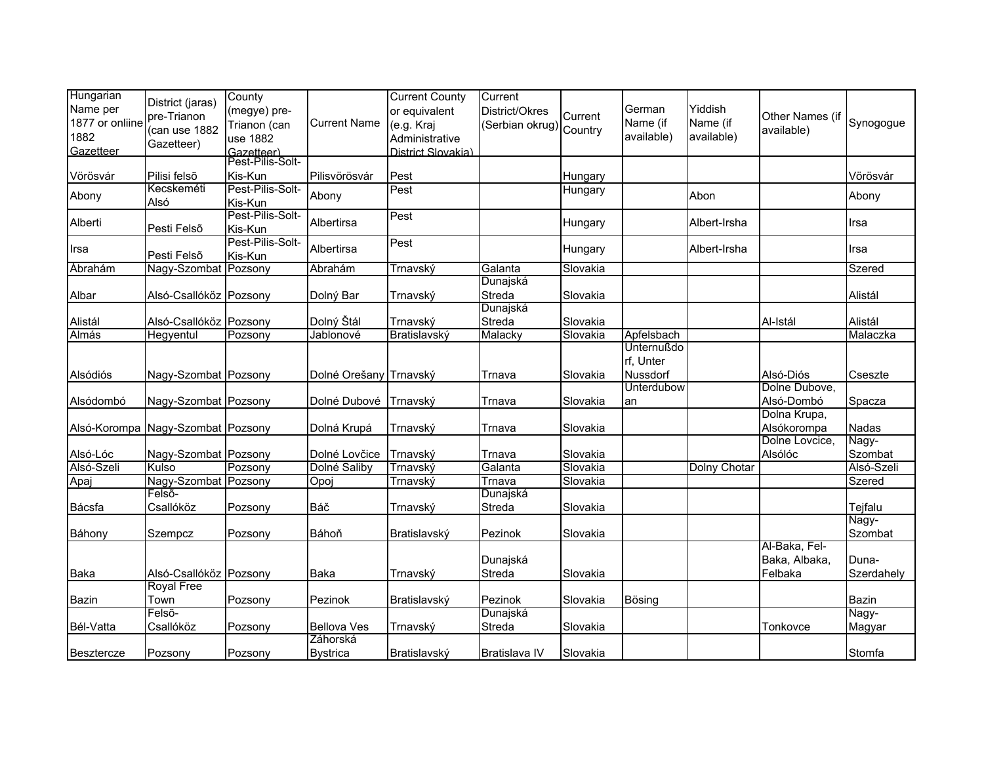| Hungarian       |                                             | County                         |                        | <b>Current County</b> | Current                |          |                   |              |                 |                  |
|-----------------|---------------------------------------------|--------------------------------|------------------------|-----------------------|------------------------|----------|-------------------|--------------|-----------------|------------------|
| Name per        | District (jaras)                            | (megye) pre-                   |                        | or equivalent         | District/Okres         |          | German            | Yiddish      |                 |                  |
| 1877 or onliine | pre-Trianon                                 | Trianon (can                   | <b>Current Name</b>    | (e.g. Kraj            | Serbian okrug) Country | Current  | Name (if          | Name (if     | Other Names (if | Synogogue        |
| 1882            | (can use 1882                               | use 1882                       |                        | Administrative        |                        |          | available)        | available)   | available)      |                  |
| Gazetteer       | Gazetteer)                                  |                                |                        | District Slovakia)    |                        |          |                   |              |                 |                  |
|                 |                                             | Gazetteer)<br>Pest-Pilis-Solt- |                        |                       |                        |          |                   |              |                 |                  |
| Vörösvár        | Pilisi felső                                | Kis-Kun                        | Pilisvörösvár          | Pest                  |                        | Hungary  |                   |              |                 | Vörösvár         |
| Abony           | Kecskeméti                                  | Pest-Pilis-Solt-               | Abony                  | Pest                  |                        | Hungary  |                   | Abon         |                 | Abony            |
|                 | Alsó                                        | Kis-Kun                        |                        |                       |                        |          |                   |              |                 |                  |
| Alberti         |                                             | Pest-Pilis-Solt-               | Albertirsa             | Pest                  |                        | Hungary  |                   | Albert-Irsha |                 | Irsa             |
|                 | Pesti Felsõ                                 | Kis-Kun                        |                        |                       |                        |          |                   |              |                 |                  |
| Irsa            |                                             | Pest-Pilis-Solt-               | Albertirsa             | Pest                  |                        | Hungary  |                   | Albert-Irsha |                 | Irsa             |
|                 | Pesti Felsõ                                 | Kis-Kun                        |                        |                       |                        |          |                   |              |                 |                  |
| <b>Abrahám</b>  | Nagy-Szombat Pozsony                        |                                | Abrahám                | Trnavský              | Galanta                | Slovakia |                   |              |                 | Szered           |
|                 |                                             |                                |                        |                       | Dunajská               |          |                   |              |                 |                  |
| Albar           | Alsó-Csallóköz Pozsony                      |                                | Dolný Bar              | Trnavský              | Streda                 | Slovakia |                   |              |                 | Alistál          |
|                 |                                             |                                |                        |                       | Dunajská               |          |                   |              |                 |                  |
| Alistál         | Alsó-Csallóköz Pozsony                      |                                | Dolný Štál             | Trnavský              | Streda                 | Slovakia |                   |              | Al-Istál        | Alistál          |
| <b>Almás</b>    | Hegyentul                                   | Pozsony                        | Jablonové              | Bratislavský          | Malacky                | Slovakia | Apfelsbach        |              |                 | Malaczka         |
|                 |                                             |                                |                        |                       |                        |          | <b>Unternußdo</b> |              |                 |                  |
|                 |                                             |                                |                        |                       |                        |          | rf, Unter         |              |                 |                  |
| Alsódiós        | Nagy-Szombat Pozsony                        |                                | Dolné Orešany Trnavský |                       | Trnava                 | Slovakia | Nussdorf          |              | Alsó-Diós       | Cseszte          |
|                 |                                             |                                |                        |                       |                        |          | Unterdubow        |              | Dolne Dubove,   |                  |
| Alsódombó       | Nagy-Szombat Pozsony                        |                                | Dolné Dubové           | Trnavský              | Trnava                 | Slovakia | an                |              | Alsó-Dombó      | Spacza           |
|                 |                                             |                                |                        |                       |                        |          |                   |              | Dolna Krupa,    |                  |
|                 | Alsó-Korompa Nagy-Szombat Pozsony           |                                | Dolná Krupá            | Trnavský              | Trnava                 | Slovakia |                   |              | Alsókorompa     | Nadas            |
|                 |                                             |                                |                        |                       |                        |          |                   |              | Dolne Lovcice,  | Nagy-            |
| Alsó-Lóc        | Nagy-Szombat Pozsony                        |                                | Dolné Lovčice          | Trnavský              | Trnava                 | Slovakia |                   |              | Alsólóc         | Szombat          |
| Alsó-Szeli      | Kulso                                       | Pozsony                        | Dolné Saliby           | Trnavský              | Galanta                | Slovakia |                   | Dolny Chotar |                 | Alsó-Szeli       |
| Apaj            | Nagy-Szombat Pozsony<br>Felsõ-              |                                | Opoj                   | Trnavský              | Trnava                 | Slovakia |                   |              |                 | Szered           |
|                 |                                             |                                |                        |                       | Dunajská               |          |                   |              |                 |                  |
| Bácsfa          | Csallóköz                                   | Pozsony                        | Báč                    | Trnavský              | Streda                 | Slovakia |                   |              |                 | Tejfalu<br>Nagy- |
|                 |                                             |                                | Báhoň                  |                       |                        |          |                   |              |                 |                  |
| Báhony          | Szempcz                                     | Pozsony                        |                        | Bratislavský          | Pezinok                | Slovakia |                   |              | Al-Baka, Fel-   | Szombat          |
|                 |                                             |                                |                        |                       | Dunajská               |          |                   |              | Baka, Albaka,   | Duna-            |
| Baka            |                                             |                                |                        |                       | Streda                 |          |                   |              | Felbaka         | Szerdahely       |
|                 | Alsó-Csallóköz Pozsony<br><b>Royal Free</b> |                                | Baka                   | Trnavský              |                        | Slovakia |                   |              |                 |                  |
| <b>Bazin</b>    | Town                                        |                                | Pezinok                |                       | Pezinok                | Slovakia | Bösing            |              |                 | Bazin            |
|                 | Felső-                                      | Pozsony                        |                        | Bratislavský          | Dunajská               |          |                   |              |                 | Nagy-            |
| Bél-Vatta       | Csallóköz                                   | Pozsony                        | <b>Bellova Ves</b>     | Trnavský              | Streda                 | Slovakia |                   |              | Tonkovce        | Magyar           |
|                 |                                             |                                | Záhorská               |                       |                        |          |                   |              |                 |                  |
| Besztercze      | Pozsony                                     | Pozsony                        | <b>Bystrica</b>        | Bratislavský          | Bratislava IV          | Slovakia |                   |              |                 | <b>Stomfa</b>    |
|                 |                                             |                                |                        |                       |                        |          |                   |              |                 |                  |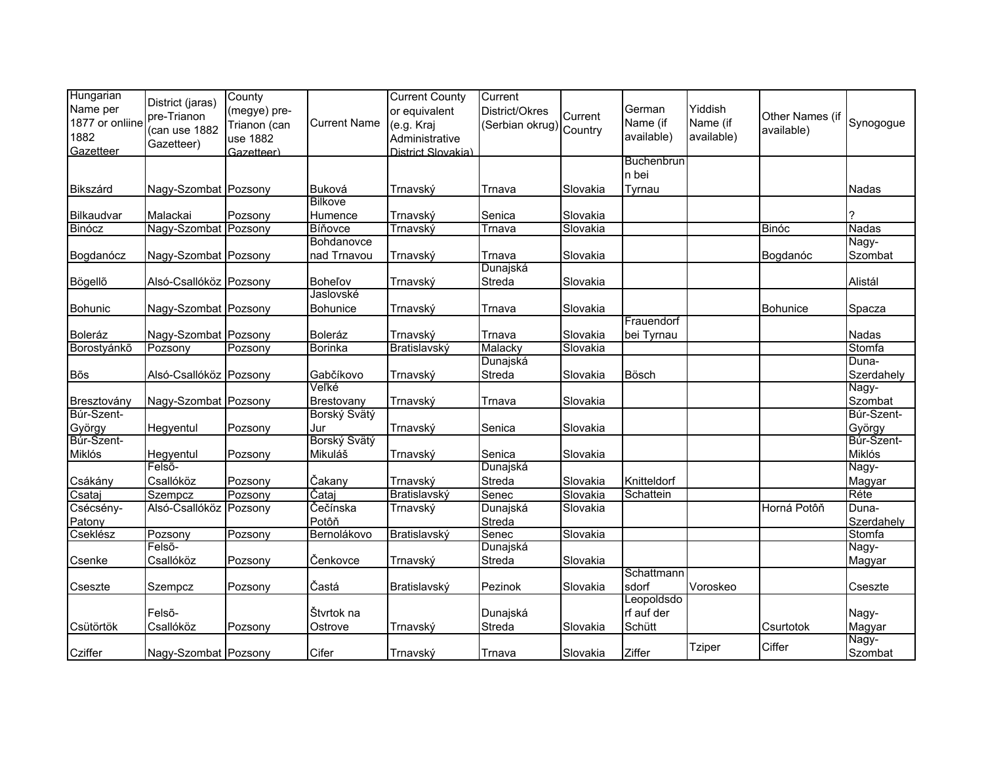| Hungarian       | District (jaras)       | County       |                     | <b>Current County</b> | Current                 |          |             |               |                 |              |
|-----------------|------------------------|--------------|---------------------|-----------------------|-------------------------|----------|-------------|---------------|-----------------|--------------|
| Name per        | pre-Trianon            | (megye) pre- |                     | or equivalent         | District/Okres          | Current  | German      | Yiddish       | Other Names (if |              |
| 1877 or onliine | (can use 1882          | Trianon (can | <b>Current Name</b> | (e.g. Kraj            | (Serbian okrug) Country |          | Name (if    | Name (if      | available)      | Synogogue    |
| 1882            | Gazetteer)             | use 1882     |                     | Administrative        |                         |          | available)  | available)    |                 |              |
| Gazetteer       |                        | Gazetteer)   |                     | District Slovakia)    |                         |          |             |               |                 |              |
|                 |                        |              |                     |                       |                         |          | Buchenbrun  |               |                 |              |
|                 |                        |              |                     |                       |                         |          | n bei       |               |                 |              |
| Bikszárd        | Nagy-Szombat Pozsony   |              | Buková              | Trnavský              | Trnava                  | Slovakia | Tyrnau      |               |                 | Nadas        |
|                 |                        |              | <b>Bilkove</b>      |                       |                         |          |             |               |                 |              |
| Bilkaudvar      | Malackai               | Pozsony      | Humence             | Trnavský              | Senica                  | Slovakia |             |               |                 | 7            |
| <b>Binócz</b>   | Nagy-Szombat Pozsony   |              | Bíňovce             | Trnavský              | Trnava                  | Slovakia |             |               | Binóc           | <b>Nadas</b> |
|                 |                        |              | Bohdanovce          |                       |                         |          |             |               |                 | Nagy-        |
| Bogdanócz       | Nagy-Szombat Pozsony   |              | nad Trnavou         | Trnavský              | Trnava                  | Slovakia |             |               | Bogdanóc        | Szombat      |
|                 |                        |              |                     |                       | Dunajská                |          |             |               |                 |              |
| Bögellő         | Alsó-Csallóköz Pozsony |              | <b>Bohel'ov</b>     | Trnavský              | Streda                  | Slovakia |             |               |                 | Alistál      |
|                 |                        |              | Jaslovské           |                       |                         |          |             |               |                 |              |
| <b>Bohunic</b>  | Nagy-Szombat Pozsony   |              | Bohunice            | Trnavský              | Trnava                  | Slovakia |             |               | <b>Bohunice</b> | Spacza       |
|                 |                        |              |                     |                       |                         |          | Frauendorf  |               |                 |              |
| Boleráz         | Nagy-Szombat Pozsony   |              | Boleráz             | Trnavský              | Trnava                  | Slovakia | bei Tyrnau  |               |                 | Nadas        |
| Borostyánkő     | Pozsony                | Pozsony      | Borinka             | Bratislavský          | Malacky                 | Slovakia |             |               |                 | Stomfa       |
|                 |                        |              |                     |                       | Dunajská                |          |             |               |                 | Duna-        |
| Bõs             | Alsó-Csallóköz Pozsony |              | Gabčíkovo           | Trnavský              | Streda                  | Slovakia | Bösch       |               |                 | Szerdahely   |
|                 |                        |              | Veľké               |                       |                         |          |             |               |                 | Nagy-        |
| Bresztovány     | Nagy-Szombat Pozsony   |              | Brestovany          | Trnavský              | Trnava                  | Slovakia |             |               |                 | Szombat      |
| Búr-Szent-      |                        |              | Borský Svätý        |                       |                         |          |             |               |                 | Búr-Szent-   |
| György          | Hegyentul              | Pozsony      | Jur                 | Trnavský              | Senica                  | Slovakia |             |               |                 | György       |
| Búr-Szent-      |                        |              | Borský Svätý        |                       |                         |          |             |               |                 | Búr-Szent-   |
| Miklós          | Hegyentul              | Pozsony      | Mikuláš             | Trnavský              | Senica                  | Slovakia |             |               |                 | Miklós       |
|                 | Felső-                 |              |                     |                       | Dunajská                |          |             |               |                 | Nagy-        |
| Csákány         | Csallóköz              | Pozsony      | Čakany              | Trnavský              | Streda                  | Slovakia | Knitteldorf |               |                 | Magyar       |
| Csataj          | Szempcz                | Pozsony      | Čataj               | Bratislavský          | Senec                   | Slovakia | Schattein   |               |                 | Réte         |
| Csécsény-       | Alsó-Csallóköz Pozsony |              | Čečínska            | Trnavský              | Dunajská                | Slovakia |             |               | Horná Potôň     | Duna-        |
| Patony          |                        |              | Potôň               |                       | Streda                  |          |             |               |                 | Szerdahely   |
| Cseklész        | Pozsony                | Pozsony      | Bernolákovo         | Bratislavský          | Senec                   | Slovakia |             |               |                 | Stomfa       |
|                 | Felső-                 |              |                     |                       | Dunajská                |          |             |               |                 | Nagy-        |
| Csenke          | Csallóköz              | Pozsony      | Čenkovce            | Trnavský              | Streda                  | Slovakia |             |               |                 | Magyar       |
|                 |                        |              |                     |                       |                         |          | Schattmann  |               |                 |              |
| Cseszte         | Szempcz                | Pozsony      | Častá               | Bratislavský          | Pezinok                 | Slovakia | sdorf       | Voroskeo      |                 | Cseszte      |
|                 |                        |              |                     |                       |                         |          | Leopoldsdo  |               |                 |              |
|                 | Felső-                 |              | Štvrtok na          |                       | Dunajská                |          | rf auf der  |               |                 | Nagy-        |
| Csütörtök       | Csallóköz              | Pozsony      | Ostrove             | Trnavský              | Streda                  | Slovakia | Schütt      |               | Csurtotok       | Magyar       |
|                 |                        |              |                     |                       |                         |          |             |               |                 | Nagy-        |
| Cziffer         | Nagy-Szombat Pozsony   |              | Cifer               | Trnavský              | Trnava                  | Slovakia | Ziffer      | <b>Tziper</b> | Ciffer          | Szombat      |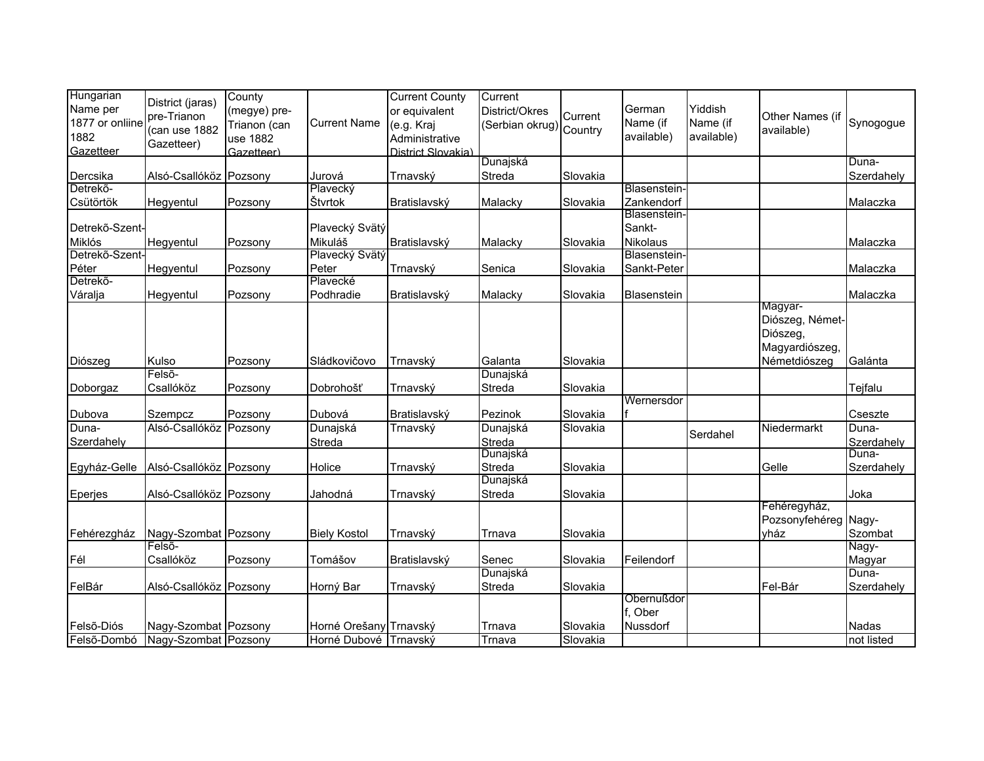| Hungarian       |                        | County       |                        | <b>Current County</b> | Current                 |          |              |            |                      |            |
|-----------------|------------------------|--------------|------------------------|-----------------------|-------------------------|----------|--------------|------------|----------------------|------------|
| Name per        | District (jaras)       | (megye) pre- |                        | or equivalent         | District/Okres          |          | German       | Yiddish    |                      |            |
| 1877 or onliine | pre-Trianon            | Trianon (can | <b>Current Name</b>    | (e.g. Kraj            |                         | Current  | Name (if     | Name (if   | Other Names (if      | Synogogue  |
| 1882            | (can use 1882          | use 1882     |                        | Administrative        | (Serbian okrug) Country |          | available)   | available) | available)           |            |
| Gazetteer       | Gazetteer)             | Gazetteer)   |                        | District Slovakia)    |                         |          |              |            |                      |            |
|                 |                        |              |                        |                       | Dunajská                |          |              |            |                      | Duna-      |
| Dercsika        | Alsó-Csallóköz Pozsony |              | Jurová                 | Trnavský              | Streda                  | Slovakia |              |            |                      | Szerdahely |
| Detrekő-        |                        |              | Plavecký               |                       |                         |          | Blasenstein- |            |                      |            |
| Csütörtök       | Hegyentul              | Pozsony      | Štvrtok                | Bratislavský          | Malacky                 | Slovakia | Zankendorf   |            |                      | Malaczka   |
|                 |                        |              |                        |                       |                         |          | Blasenstein- |            |                      |            |
| Detrekő-Szent-  |                        |              | Plavecký Svätý         |                       |                         |          | Sankt-       |            |                      |            |
| Miklós          | Hegyentul              | Pozsony      | Mikuláš                | Bratislavský          | Malacky                 | Slovakia | Nikolaus     |            |                      | Malaczka   |
| Detrekő-Szent-  |                        |              | Plavecký Svätý         |                       |                         |          | Blasenstein- |            |                      |            |
| Péter           | Hegyentul              | Pozsony      | Peter                  | Trnavský              | Senica                  | Slovakia | Sankt-Peter  |            |                      | Malaczka   |
| Detrekő-        |                        |              | Plavecké               |                       |                         |          |              |            |                      |            |
| Váralja         | Hegyentul              | Pozsony      | Podhradie              | Bratislavský          | Malacky                 | Slovakia | Blasenstein  |            |                      | Malaczka   |
|                 |                        |              |                        |                       |                         |          |              |            | Magyar-              |            |
|                 |                        |              |                        |                       |                         |          |              |            | Diószeg, Német-      |            |
|                 |                        |              |                        |                       |                         |          |              |            | Diószeg,             |            |
|                 |                        |              |                        |                       |                         |          |              |            | Magyardiószeg,       |            |
| Diószeg         | Kulso                  | Pozsony      | Sládkovičovo           | Trnavský              | Galanta                 | Slovakia |              |            | Németdiószeg         | Galánta    |
|                 | Felső-                 |              |                        |                       | Dunajská                |          |              |            |                      |            |
| Doborgaz        | Csallóköz              | Pozsony      | Dobrohošť              | Trnavský              | Streda                  | Slovakia |              |            |                      | Tejfalu    |
|                 |                        |              |                        |                       |                         |          | Wernersdor   |            |                      |            |
| Dubova          | Szempcz                | Pozsony      | Dubová                 | Bratislavský          | Pezinok                 | Slovakia |              |            |                      | Cseszte    |
| Duna-           | Alsó-Csallóköz Pozsony |              | Dunajská               | Trnavský              | Dunajská                | Slovakia |              |            | Niedermarkt          | Duna-      |
| Szerdahely      |                        |              | Streda                 |                       | Streda                  |          |              | Serdahel   |                      | Szerdahely |
|                 |                        |              |                        |                       | Dunajská                |          |              |            |                      | Duna-      |
| Egyház-Gelle    | Alsó-Csallóköz Pozsony |              | Holice                 | Trnavský              | Streda                  | Slovakia |              |            | Gelle                | Szerdahely |
|                 |                        |              |                        |                       | Dunajská                |          |              |            |                      |            |
| Eperjes         | Alsó-Csallóköz Pozsony |              | Jahodná                | Trnavský              | Streda                  | Slovakia |              |            |                      | Joka       |
|                 |                        |              |                        |                       |                         |          |              |            | Fehéregyház,         |            |
|                 |                        |              |                        |                       |                         |          |              |            | Pozsonyfehéreg Nagy- |            |
| Fehérezgház     | Nagy-Szombat Pozsony   |              | <b>Biely Kostol</b>    | Trnavský              | Trnava                  | Slovakia |              |            | yház                 | Szombat    |
|                 | Felsõ-                 |              |                        |                       |                         |          |              |            |                      | Nagy-      |
| Fél             | Csallóköz              | Pozsony      | Tomášov                | Bratislavský          | Senec                   | Slovakia | Feilendorf   |            |                      | Magyar     |
|                 |                        |              |                        |                       | Dunajská                |          |              |            |                      | Duna-      |
| FelBár          | Alsó-Csallóköz Pozsony |              | Horný Bar              | Trnavský              | Streda                  | Slovakia |              |            | Fel-Bár              | Szerdahely |
|                 |                        |              |                        |                       |                         |          | Obernußdor   |            |                      |            |
|                 |                        |              |                        |                       |                         |          | f. Ober      |            |                      |            |
| Felső-Diós      | Nagy-Szombat Pozsony   |              | Horné Orešany Trnavský |                       | Trnava                  | Slovakia | Nussdorf     |            |                      | Nadas      |
| Felső-Dombó     | Nagy-Szombat Pozsony   |              | Horné Dubové Trnavský  |                       | Trnava                  | Slovakia |              |            |                      | not listed |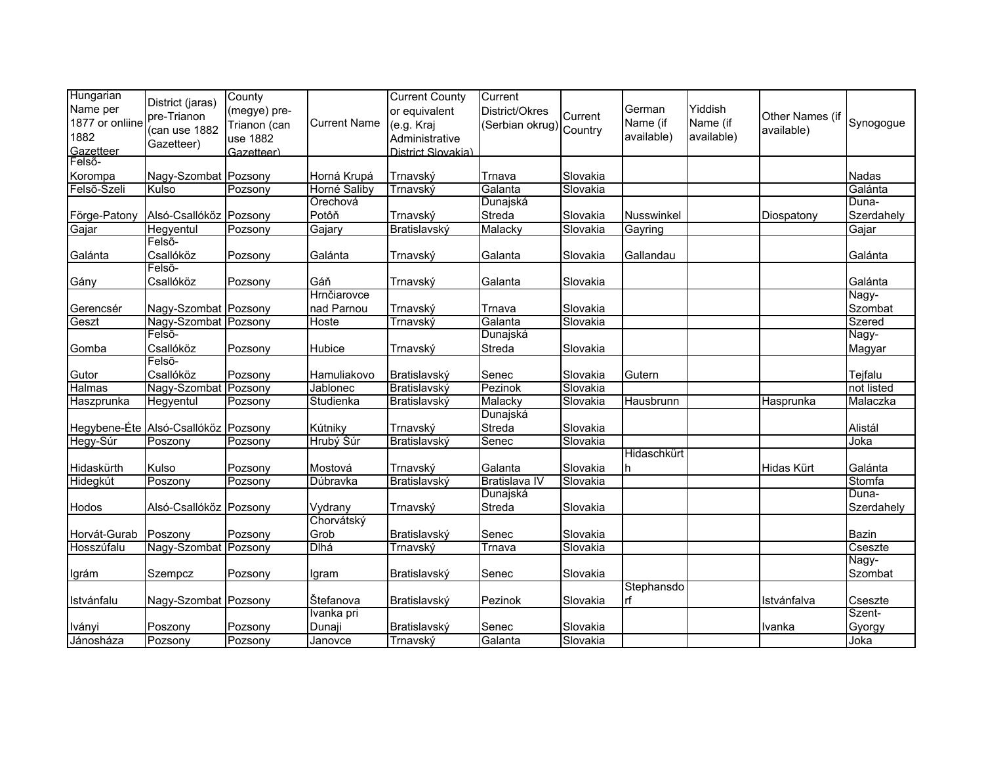| Hungarian       | District (jaras)                    | County       |                     | <b>Current County</b> | Current                |          |             |            |                 |               |
|-----------------|-------------------------------------|--------------|---------------------|-----------------------|------------------------|----------|-------------|------------|-----------------|---------------|
| Name per        | pre-Trianon                         | (megye) pre- |                     | or equivalent         | District/Okres         | Current  | German      | Yiddish    | Other Names (if |               |
| 1877 or onliine | (can use 1882                       | Trianon (can | <b>Current Name</b> | (e.g. Kraj            | Serbian okrug) Country |          | Name (if    | Name (if   | available)      | Synogogue     |
| 1882            | Gazetteer)                          | use 1882     |                     | Administrative        |                        |          | available)  | available) |                 |               |
| Gazetteer       |                                     | Gazetteer)   |                     | District Slovakia)    |                        |          |             |            |                 |               |
| Felső-          |                                     |              |                     |                       |                        |          |             |            |                 |               |
| Korompa         | Nagy-Szombat Pozsony                |              | Horná Krupá         | Trnavský              | Trnava                 | Slovakia |             |            |                 | <b>Nadas</b>  |
| Felső-Szeli     | Kulso                               | Pozsony      | Horné Saliby        | Trnavský              | Galanta                | Slovakia |             |            |                 | Galánta       |
|                 |                                     |              | Orechová            |                       | Dunajská               |          |             |            |                 | Duna-         |
| Förge-Patony    | Alsó-Csallóköz Pozsony              |              | Potôň               | Trnavský              | Streda                 | Slovakia | Nusswinkel  |            | Diospatony      | Szerdahely    |
| Gajar           | Hegyentul                           | Pozsony      | Gajary              | Bratislavský          | Malacky                | Slovakia | Gayring     |            |                 | Gajar         |
|                 | Felső-                              |              |                     |                       |                        |          |             |            |                 |               |
| Galánta         | Csallóköz                           | Pozsony      | Galánta             | Trnavský              | Galanta                | Slovakia | Gallandau   |            |                 | Galánta       |
|                 | Felső-                              |              |                     |                       |                        |          |             |            |                 |               |
| Gány            | Csallóköz                           | Pozsony      | Gáň                 | Trnavský              | Galanta                | Slovakia |             |            |                 | Galánta       |
|                 |                                     |              | Hrnčiarovce         |                       |                        |          |             |            |                 | Nagy-         |
| Gerencsér       | Nagy-Szombat Pozsony                |              | nad Parnou          | Trnavský              | Trnava                 | Slovakia |             |            |                 | Szombat       |
| Geszt           | Nagy-Szombat Pozsony                |              | Hoste               | Trnavský              | Galanta                | Slovakia |             |            |                 | <b>Szered</b> |
|                 | Felső-                              |              |                     |                       | Dunajská               |          |             |            |                 | Nagy-         |
| Gomba           | Csallóköz                           | Pozsony      | Hubice              | Trnavský              | Streda                 | Slovakia |             |            |                 | Magyar        |
|                 | Felső-                              |              |                     |                       |                        |          |             |            |                 |               |
| Gutor           | Csallóköz                           | Pozsony      | Hamuliakovo         | Bratislavský          | Senec                  | Slovakia | Gutern      |            |                 | Tejfalu       |
| Halmas          | Nagy-Szombat Pozsony                |              | Jablonec            | Bratislavský          | Pezinok                | Slovakia |             |            |                 | not listed    |
| Haszprunka      | Hegyentul                           | Pozsony      | Studienka           | Bratislavský          | Malacky                | Slovakia | Hausbrunn   |            | Hasprunka       | Malaczka      |
|                 |                                     |              |                     |                       | Dunajská               |          |             |            |                 |               |
|                 | Hegybene-Éte Alsó-Csallóköz Pozsony |              | Kútniky             | Trnavský              | Streda                 | Slovakia |             |            |                 | Alistál       |
| Hegy-Súr        | Poszony                             | Pozsony      | Hrubý Šúr           | Bratislavský          | Senec                  | Slovakia |             |            |                 | Joka          |
|                 |                                     |              |                     |                       |                        |          | Hidaschkürt |            |                 |               |
| Hidaskürth      | Kulso                               | Pozsony      | Mostová             | Trnavský              | Galanta                | Slovakia |             |            | Hidas Kürt      | Galánta       |
| Hidegkút        | Poszony                             | Pozsony      | Dúbravka            | Bratislavský          | Bratislava IV          | Slovakia |             |            |                 | Stomfa        |
|                 |                                     |              |                     |                       | Dunajská               |          |             |            |                 | Duna-         |
| Hodos           | Alsó-Csallóköz Pozsony              |              | Vydrany             | Trnavský              | Streda                 | Slovakia |             |            |                 | Szerdahely    |
|                 |                                     |              | Chorvátský          |                       |                        |          |             |            |                 |               |
| Horvát-Gurab    | Poszony                             | Pozsony      | Grob                | Bratislavský          | Senec                  | Slovakia |             |            |                 | Bazin         |
| Hosszúfalu      | Nagy-Szombat Pozsony                |              | <b>Dlhá</b>         | Trnavský              | Trnava                 | Slovakia |             |            |                 | Cseszte       |
|                 |                                     |              |                     |                       |                        |          |             |            |                 | Nagy-         |
| Igrám           | Szempcz                             | Pozsony      | Igram               | Bratislavský          | Senec                  | Slovakia |             |            |                 | Szombat       |
|                 |                                     |              |                     |                       |                        |          | Stephansdo  |            |                 |               |
| Istvánfalu      | Nagy-Szombat Pozsony                |              | Štefanova           | Bratislavský          | Pezinok                | Slovakia | rf          |            | Istvánfalva     | Cseszte       |
|                 |                                     |              | Ivanka pri          |                       |                        |          |             |            |                 | Szent-        |
| Iványi          | Poszony                             | Pozsony      | Dunaji              | Bratislavský          | Senec                  | Slovakia |             |            | Ivanka          | Gyorgy        |
| Jánosháza       | Pozsony                             | Pozsony      | Janovce             | Trnavský              | Galanta                | Slovakia |             |            |                 | Joka          |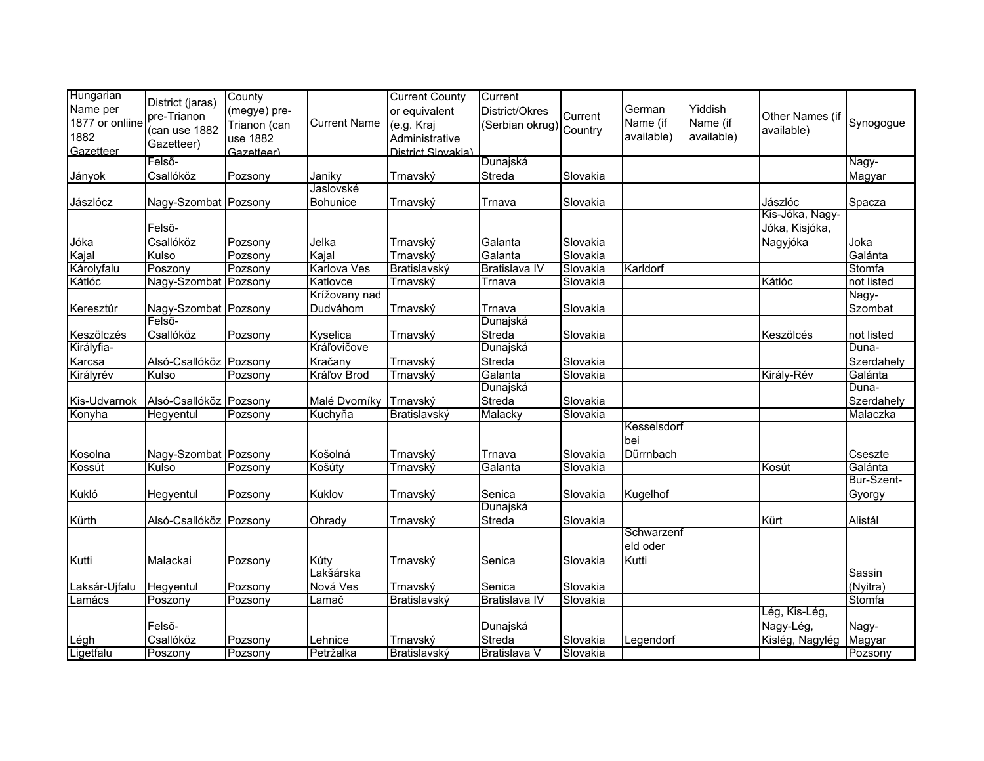| Hungarian           |                                 | County       |                         | <b>Current County</b> | Current                |          |             |            |                 |                       |
|---------------------|---------------------------------|--------------|-------------------------|-----------------------|------------------------|----------|-------------|------------|-----------------|-----------------------|
| Name per            | District (jaras)                | (megye) pre- |                         | or equivalent         | District/Okres         |          | German      | Yiddish    |                 |                       |
| 1877 or onliine     | pre-Trianon                     | Trianon (can | <b>Current Name</b>     | (e.g. Kraj            | Serbian okrug) Country | Current  | Name (if    | Name (if   | Other Names (if | Synogogue             |
| 1882                | (can use 1882                   | use 1882     |                         | Administrative        |                        |          | available)  | available) | available)      |                       |
| Gazetteer           | Gazetteer)                      | Gazetteer)   |                         | District Slovakia)    |                        |          |             |            |                 |                       |
|                     | Felső-                          |              |                         |                       | Dunajská               |          |             |            |                 | Nagy-                 |
| Jányok              | Csallóköz                       | Pozsony      | Janiky                  | Trnavský              | Streda                 | Slovakia |             |            |                 | Magyar                |
|                     |                                 |              | Jaslovské               |                       |                        |          |             |            |                 |                       |
| Jászlócz            | Nagy-Szombat Pozsony            |              | Bohunice                | Trnavský              | Trnava                 | Slovakia |             |            | Jászlóc         | Spacza                |
|                     |                                 |              |                         |                       |                        |          |             |            | Kis-Jóka, Nagy- |                       |
|                     | Felső-                          |              |                         |                       |                        |          |             |            | Jóka, Kisjóka,  |                       |
| Jóka                | Csallóköz                       | Pozsony      | Jelka                   | Trnavský              | Galanta                | Slovakia |             |            | Nagyjóka        | Joka                  |
| Kajal               | Kulso                           | Pozsony      | Kajal                   | Trnavský              | Galanta                | Slovakia |             |            |                 | Galánta               |
| Károlyfalu          | Poszony                         | Pozsony      | Karlova Ves             | Bratislavský          | Bratislava IV          | Slovakia | Karldorf    |            |                 | Stomfa                |
| Kátlóc              | Nagy-Szombat Pozsony            |              | Katlovce                | Trnavský              | <b>Trnava</b>          | Slovakia |             |            | Kátlóc          | not listed            |
|                     |                                 |              | Krížovany nad           |                       |                        |          |             |            |                 | Nagy-                 |
| Keresztúr           | Nagy-Szombat Pozsony            |              | Dudváhom                | Trnavský              | Trnava                 | Slovakia |             |            |                 | Szombat               |
|                     | Felső-                          |              |                         |                       | Dunajská               |          |             |            |                 |                       |
| Keszölczés          | Csallóköz                       | Pozsony      | Kyselica<br>Kráľovičove | Trnavský              | Streda                 | Slovakia |             |            | Keszölcés       | not listed            |
| Királyfia-          |                                 |              |                         |                       | Dunajská<br>Streda     | Slovakia |             |            |                 | Duna-                 |
| Karcsa<br>Királyrév | Alsó-Csallóköz Pozsony<br>Kulso |              | Kračany<br>Kráľov Brod  | Trnavský              | Galanta                | Slovakia |             |            | Király-Rév      | Szerdahely<br>Galánta |
|                     |                                 | Pozsony      |                         | Trnavský              | Dunajská               |          |             |            |                 | Duna-                 |
| Kis-Udvarnok        | Alsó-Csallóköz Pozsony          |              | Malé Dvorníky           | Trnavský              | Streda                 | Slovakia |             |            |                 | Szerdahely            |
| Konyha              | Hegyentul                       | Pozsony      | Kuchyňa                 | Bratislavský          | Malacky                | Slovakia |             |            |                 | Malaczka              |
|                     |                                 |              |                         |                       |                        |          | Kesselsdorf |            |                 |                       |
|                     |                                 |              |                         |                       |                        |          | bei         |            |                 |                       |
| Kosolna             | Nagy-Szombat Pozsony            |              | Košolná                 | Trnavský              | Trnava                 | Slovakia | Dürrnbach   |            |                 | Cseszte               |
| Kossút              | Kulso                           | Pozsony      | Košúty                  | Trnavský              | Galanta                | Slovakia |             |            | Kosút           | Galánta               |
|                     |                                 |              |                         |                       |                        |          |             |            |                 | Bur-Szent-            |
| Kukló               | Hegyentul                       | Pozsony      | Kuklov                  | Trnavský              | Senica                 | Slovakia | Kugelhof    |            |                 | Gyorgy                |
|                     |                                 |              |                         |                       | Dunajská               |          |             |            |                 |                       |
| Kürth               | Alsó-Csallóköz Pozsony          |              | Ohrady                  | Trnavský              | Streda                 | Slovakia |             |            | Kürt            | Alistál               |
|                     |                                 |              |                         |                       |                        |          | Schwarzenf  |            |                 |                       |
|                     |                                 |              |                         |                       |                        |          | eld oder    |            |                 |                       |
| Kutti               | Malackai                        | Pozsony      | Kúty                    | Trnavský              | Senica                 | Slovakia | Kutti       |            |                 |                       |
|                     |                                 |              | Lakšárska               |                       |                        |          |             |            |                 | Sassin                |
| Laksár-Ujfalu       | Hegyentul                       | Pozsony      | Nová Ves                | Trnavský              | Senica                 | Slovakia |             |            |                 | (Nyitra)              |
| Lamács              | Poszony                         | Pozsony      | Lamač                   | Bratislavský          | Bratislava IV          | Slovakia |             |            |                 | Stomfa                |
|                     |                                 |              |                         |                       |                        |          |             |            | Lég, Kis-Lég,   |                       |
|                     | Felső-                          |              |                         |                       | Dunajská               |          |             |            | Nagy-Lég,       | Nagy-                 |
| Légh                | Csallóköz                       | Pozsony      | Lehnice                 | Trnavský              | Streda                 | Slovakia | Legendorf   |            | Kislég, Nagylég | Magyar                |
| Ligetfalu           | Poszony                         | Pozsony      | Petržalka               | Bratislavský          | Bratislava V           | Slovakia |             |            |                 | Pozsony               |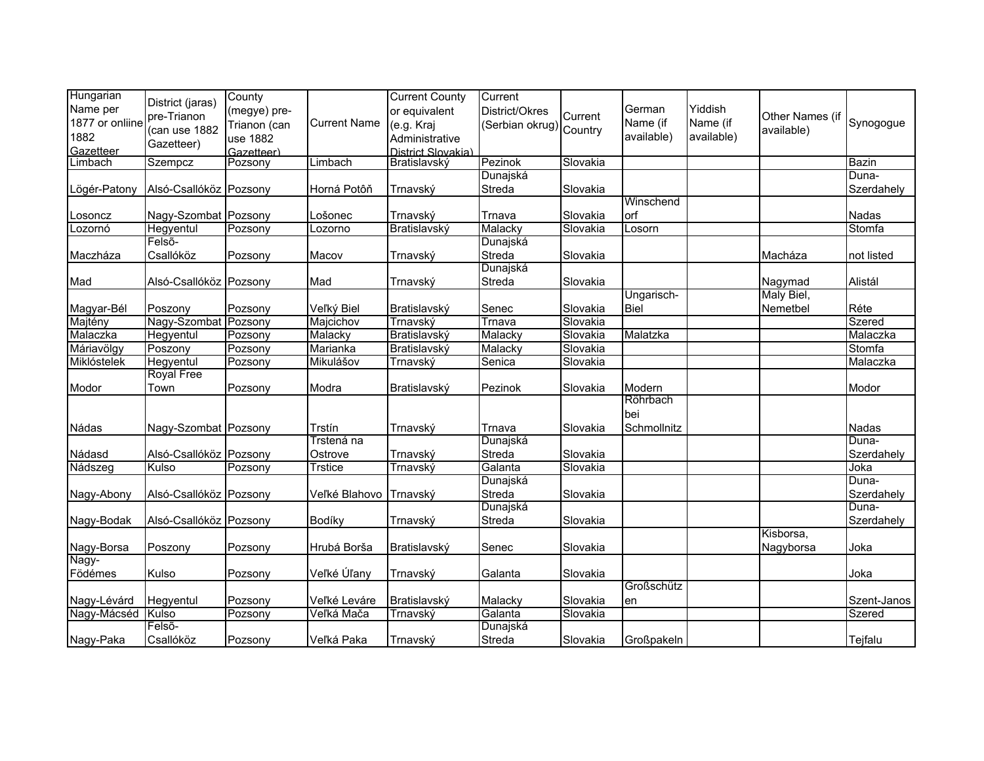| Hungarian       | District (jaras)       | County       |                     | <b>Current County</b> | Current                |          |             |            |                 |              |
|-----------------|------------------------|--------------|---------------------|-----------------------|------------------------|----------|-------------|------------|-----------------|--------------|
| Name per        | pre-Trianon            | (megye) pre- |                     | or equivalent         | District/Okres         | Current  | German      | Yiddish    | Other Names (if |              |
| 1877 or onliine |                        | Trianon (can | <b>Current Name</b> | (e.g. Kraj            | Serbian okrug) Country |          | Name (if    | Name (if   |                 | Synogogue    |
| 1882            | (can use 1882          | use 1882     |                     | Administrative        |                        |          | available)  | available) | available)      |              |
| Gazetteer       | Gazetteer)             | Gazetteer)   |                     | District Slovakia)    |                        |          |             |            |                 |              |
| Limbach         | Szempcz                | Pozsony      | Limbach             | Bratislavský          | Pezinok                | Slovakia |             |            |                 | <b>Bazin</b> |
|                 |                        |              |                     |                       | Dunajská               |          |             |            |                 | Duna-        |
| Lögér-Patony    | Alsó-Csallóköz Pozsony |              | Horná Potôň         | Trnavský              | Streda                 | Slovakia |             |            |                 | Szerdahely   |
|                 |                        |              |                     |                       |                        |          | Winschend   |            |                 |              |
| Losoncz         | Nagy-Szombat Pozsony   |              | Lošonec             | Trnavský              | Trnava                 | Slovakia | orf         |            |                 | Nadas        |
| Lozornó         | Hegyentul              | Pozsony      | Lozorno             | Bratislavský          | Malacky                | Slovakia | Losorn      |            |                 | Stomfa       |
|                 | Felső-                 |              |                     |                       | Dunajská               |          |             |            |                 |              |
| Maczháza        | Csallóköz              | Pozsony      | Macov               | Trnavský              | Streda                 | Slovakia |             |            | Macháza         | not listed   |
|                 |                        |              |                     |                       | Dunajská               |          |             |            |                 |              |
| Mad             | Alsó-Csallóköz Pozsony |              | Mad                 | Trnavský              | Streda                 | Slovakia |             |            | Nagymad         | Alistál      |
|                 |                        |              |                     |                       |                        |          | Ungarisch-  |            | Maly Biel,      |              |
| Magyar-Bél      | Poszony                | Pozsony      | Veľký Biel          | Bratislavský          | Senec                  | Slovakia | <b>Biel</b> |            | Nemetbel        | Réte         |
| Majtény         | Nagy-Szombat Pozsony   |              | Majcichov           | Trnavský              | Trnava                 | Slovakia |             |            |                 | Szered       |
| Malaczka        | Hegyentul              | Pozsony      | Malacky             | Bratislavský          | Malacky                | Slovakia | Malatzka    |            |                 | Malaczka     |
| Máriavölgy      | Poszony                | Pozsony      | Marianka            | Bratislavský          | Malacky                | Slovakia |             |            |                 | Stomfa       |
| Miklóstelek     | Hegyentul              | Pozsony      | Mikulášov           | Trnavský              | Senica                 | Slovakia |             |            |                 | Malaczka     |
|                 | <b>Royal Free</b>      |              |                     |                       |                        |          |             |            |                 |              |
| Modor           | Town                   | Pozsony      | Modra               | Bratislavský          | Pezinok                | Slovakia | Modern      |            |                 | Modor        |
|                 |                        |              |                     |                       |                        |          | Röhrbach    |            |                 |              |
|                 |                        |              |                     |                       |                        |          | bei         |            |                 |              |
| Nádas           | Nagy-Szombat Pozsony   |              | Trstín              | Trnavský              | Trnava                 | Slovakia | Schmollnitz |            |                 | Nadas        |
|                 |                        |              | Trstená na          |                       | Dunajská               |          |             |            |                 | Duna-        |
| Nádasd          | Alsó-Csallóköz Pozsony |              | Ostrove             | Trnavský              | Streda                 | Slovakia |             |            |                 | Szerdahely   |
| Nádszeg         | Kulso                  | Pozsony      | Trstice             | Trnavský              | Galanta                | Slovakia |             |            |                 | Joka         |
|                 |                        |              |                     |                       | Dunajská               |          |             |            |                 | Duna-        |
| Nagy-Abony      | Alsó-Csallóköz Pozsony |              | Veľké Blahovo       | Trnavský              | Streda                 | Slovakia |             |            |                 | Szerdahely   |
|                 |                        |              |                     |                       | Dunajská               |          |             |            |                 | Duna-        |
| Nagy-Bodak      | Alsó-Csallóköz Pozsony |              | Bodíky              | Trnavský              | Streda                 | Slovakia |             |            |                 | Szerdahely   |
|                 |                        |              |                     |                       |                        |          |             |            | Kisborsa,       |              |
| Nagy-Borsa      | Poszony                | Pozsony      | Hrubá Borša         | Bratislavský          | Senec                  | Slovakia |             |            | Nagyborsa       | Joka         |
| Nagy-           |                        |              |                     |                       |                        |          |             |            |                 |              |
| Födémes         | Kulso                  | Pozsony      | Veľké Úľany         | Trnavský              | Galanta                | Slovakia |             |            |                 | Joka         |
|                 |                        |              |                     |                       |                        |          | Großschütz  |            |                 |              |
| Nagy-Lévárd     | Hegyentul              | Pozsony      | Veľké Leváre        | Bratislavský          | Malacky                | Slovakia | en          |            |                 | Szent-Janos  |
| Nagy-Mácséd     | Kulso                  | Pozsony      | Veľká Mača          | Trnavský              | Galanta                | Slovakia |             |            |                 | Szered       |
|                 | Felső-                 |              |                     |                       | Dunajská               |          |             |            |                 |              |
| Nagy-Paka       | Csallóköz              | Pozsony      | Veľká Paka          | Trnavský              | Streda                 | Slovakia | Großpakeln  |            |                 | Tejfalu      |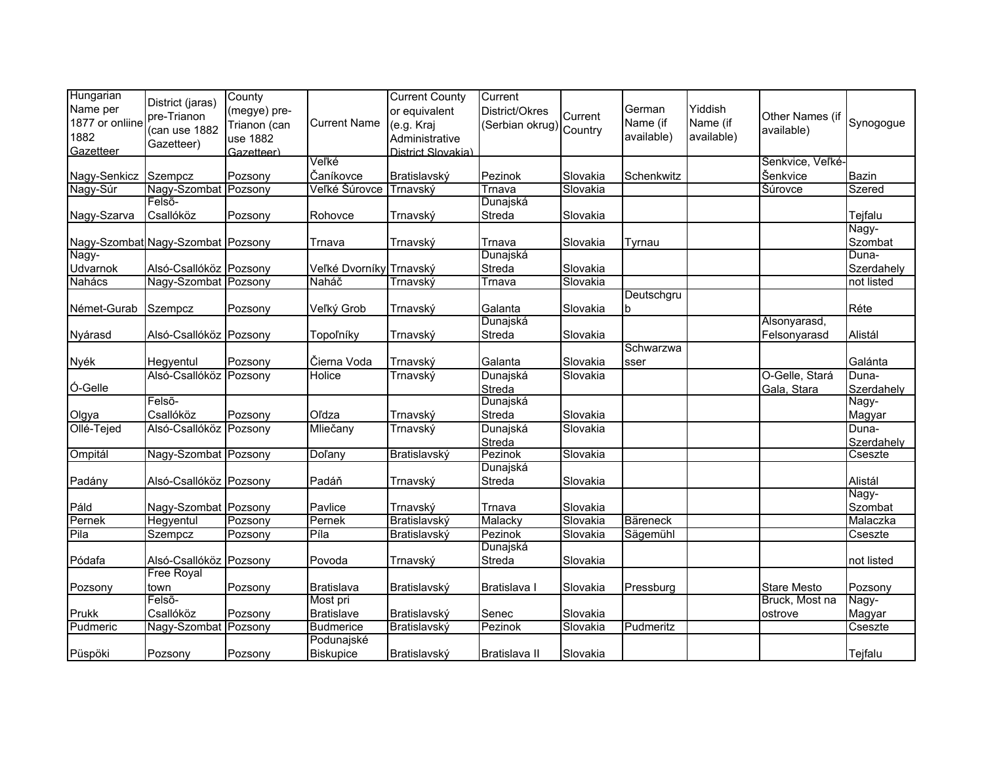| Hungarian<br>Name per<br>1877 or onliine | District (jaras)<br>pre-Trianon<br>(can use 1882 | County<br>(megye) pre-<br>Trianon (can | <b>Current Name</b>     | <b>Current County</b><br>or equivalent<br>(e.g. Kraj | Current<br>District/Okres<br>(Serbian okrug) Country | Current  | German<br>Name (if | Yiddish<br>Name (if | Other Names (if<br>available) | Synogogue        |
|------------------------------------------|--------------------------------------------------|----------------------------------------|-------------------------|------------------------------------------------------|------------------------------------------------------|----------|--------------------|---------------------|-------------------------------|------------------|
| 1882<br>Gazetteer                        | Gazetteer)                                       | use 1882<br>Gazetteer)                 |                         | Administrative<br>District Slovakia)                 |                                                      |          | available)         | available)          |                               |                  |
|                                          |                                                  |                                        | Veľké                   |                                                      |                                                      |          |                    |                     | Senkvice, Veľké-              |                  |
| Nagy-Senkicz                             | Szempcz                                          | Pozsony                                | Čaníkovce               | Bratislavský                                         | Pezinok                                              | Slovakia | Schenkwitz         |                     | Šenkvice                      | <b>Bazin</b>     |
| Nagy-Súr                                 | Nagy-Szombat Pozsony                             |                                        | Veľké Šúrovce           | Trnavský                                             | Trnava                                               | Slovakia |                    |                     | <b>Šúrovce</b>                | Szered           |
|                                          | Felső-                                           |                                        |                         |                                                      | Dunajská                                             |          |                    |                     |                               |                  |
| Nagy-Szarva                              | Csallóköz                                        | Pozsony                                | Rohovce                 | Trnavský                                             | Streda                                               | Slovakia |                    |                     |                               | Tejfalu          |
|                                          | Nagy-Szombat Nagy-Szombat Pozsony                |                                        | Trnava                  | Trnavský                                             | Trnava                                               | Slovakia | Tyrnau             |                     |                               | Nagy-<br>Szombat |
| Nagy-                                    |                                                  |                                        |                         |                                                      | Dunajská                                             |          |                    |                     |                               | Duna-            |
| Udvarnok                                 | Alsó-Csallóköz Pozsony                           |                                        | Veľké Dvorníky Trnavský |                                                      | Streda                                               | Slovakia |                    |                     |                               | Szerdahely       |
| Nahács                                   | Nagy-Szombat Pozsony                             |                                        | Naháč                   | Trnavský                                             | Trnava                                               | Slovakia |                    |                     |                               | not listed       |
|                                          |                                                  |                                        |                         |                                                      |                                                      |          | Deutschgru         |                     |                               |                  |
| Német-Gurab                              | Szempcz                                          | Pozsony                                | Veľký Grob              | Trnavský                                             | Galanta                                              | Slovakia | ۱b                 |                     |                               | Réte             |
|                                          |                                                  |                                        |                         |                                                      | Dunajská                                             |          |                    |                     | Alsonyarasd,                  |                  |
| Nyárasd                                  | Alsó-Csallóköz Pozsony                           |                                        | Topoľníky               | Trnavský                                             | Streda                                               | Slovakia |                    |                     | Felsonyarasd                  | Alistál          |
|                                          |                                                  |                                        |                         |                                                      |                                                      |          | Schwarzwa          |                     |                               |                  |
| Nyék                                     | Hegyentul                                        | Pozsony                                | Čierna Voda             | Trnavský                                             | Galanta                                              | Slovakia | sser               |                     |                               | Galánta          |
|                                          | Alsó-Csallóköz Pozsony                           |                                        | Holice                  | Trnavský                                             | Dunajská                                             | Slovakia |                    |                     | O-Gelle, Stará                | Duna-            |
| Ó-Gelle                                  |                                                  |                                        |                         |                                                      | Streda                                               |          |                    |                     | Gala, Stara                   | Szerdahely       |
|                                          | Felső-                                           |                                        |                         |                                                      | Dunajská                                             |          |                    |                     |                               | Nagy-            |
| Olgya                                    | Csallóköz                                        | Pozsony                                | Oľdza                   | Trnavský                                             | Streda                                               | Slovakia |                    |                     |                               | Magyar           |
| Ollé-Tejed                               | Alsó-Csallóköz Pozsony                           |                                        | Mliečany                | Trnavský                                             | Dunajská                                             | Slovakia |                    |                     |                               | Duna-            |
|                                          |                                                  |                                        |                         |                                                      | Streda                                               |          |                    |                     |                               | Szerdahely       |
| Ompitál                                  | Nagy-Szombat Pozsony                             |                                        | <b>Dolany</b>           | Bratislavský                                         | Pezinok                                              | Slovakia |                    |                     |                               | Cseszte          |
|                                          |                                                  |                                        |                         |                                                      | Dunajská                                             |          |                    |                     |                               |                  |
| Padány                                   | Alsó-Csallóköz Pozsony                           |                                        | Padáň                   | Trnavský                                             | Streda                                               | Slovakia |                    |                     |                               | Alistál          |
|                                          |                                                  |                                        |                         |                                                      |                                                      |          |                    |                     |                               | Nagy-            |
| Páld                                     | Nagy-Szombat Pozsony                             |                                        | Pavlice                 | Trnavský                                             | Trnava                                               | Slovakia |                    |                     |                               | Szombat          |
| Pernek                                   | Hegyentul                                        | Pozsony                                | Pernek                  | Bratislavský                                         | Malacky                                              | Slovakia | <b>Bäreneck</b>    |                     |                               | Malaczka         |
| Pila                                     | Szempcz                                          | Pozsony                                | Píla                    | Bratislavský                                         | Pezinok                                              | Slovakia | Sägemühl           |                     |                               | Cseszte          |
|                                          |                                                  |                                        |                         |                                                      | Dunajská                                             |          |                    |                     |                               |                  |
| Pódafa                                   | Alsó-Csallóköz Pozsony                           |                                        | Povoda                  | Trnavský                                             | Streda                                               | Slovakia |                    |                     |                               | not listed       |
|                                          | <b>Free Royal</b>                                |                                        |                         |                                                      |                                                      |          |                    |                     |                               |                  |
| Pozsony                                  | town                                             | Pozsony                                | Bratislava              | Bratislavský                                         | Bratislava I                                         | Slovakia | Pressburg          |                     | <b>Stare Mesto</b>            | Pozsony          |
|                                          | Felső-                                           |                                        | Most pri                |                                                      |                                                      |          |                    |                     | Bruck, Most na                | Nagy-            |
| Prukk                                    | Csallóköz                                        | Pozsony                                | <b>Bratislave</b>       | Bratislavský                                         | Senec                                                | Slovakia |                    |                     | ostrove                       | Magyar           |
| Pudmeric                                 | Nagy-Szombat Pozsony                             |                                        | <b>Budmerice</b>        | Bratislavský                                         | Pezinok                                              | Slovakia | Pudmeritz          |                     |                               | Cseszte          |
|                                          |                                                  |                                        | Podunajské              |                                                      |                                                      |          |                    |                     |                               |                  |
| Püspöki                                  | Pozsony                                          | Pozsony                                | <b>Biskupice</b>        | Bratislavský                                         | Bratislava II                                        | Slovakia |                    |                     |                               | Tejfalu          |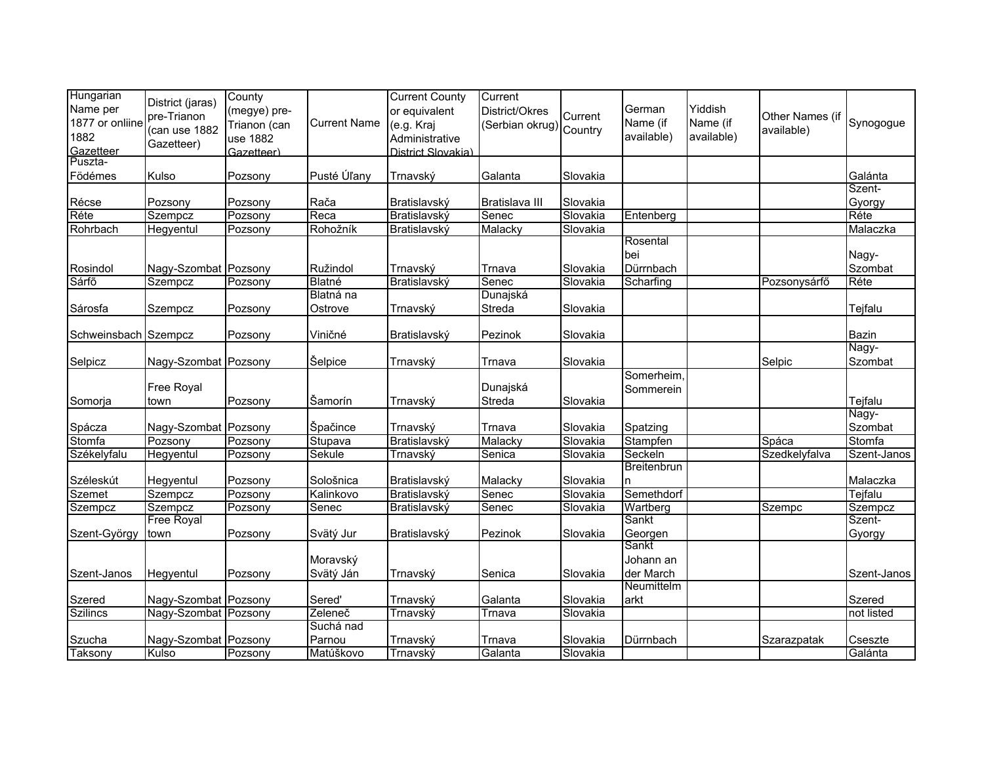| Hungarian            | District (jaras)     | County       |                     | <b>Current County</b>    | Current           |          |              |            |                 |                  |
|----------------------|----------------------|--------------|---------------------|--------------------------|-------------------|----------|--------------|------------|-----------------|------------------|
| Name per             | pre-Trianon          | (megye) pre- |                     | or equivalent            | District/Okres    | Current  | German       | Yiddish    | Other Names (if |                  |
| 1877 or onliine      | (can use 1882        | Trianon (can | <b>Current Name</b> | (e.g. Kraj               | (Serbian okrug)   | Country  | Name (if     | Name (if   | available)      | Synogogue        |
| 1882                 | Gazetteer)           | use 1882     |                     | Administrative           |                   |          | available)   | available) |                 |                  |
| Gazetteer            |                      | Gazetteer)   |                     | District Slovakia)       |                   |          |              |            |                 |                  |
| Puszta-              |                      |              |                     |                          |                   |          |              |            |                 |                  |
| Födémes              | Kulso                | Pozsony      | Pusté Úľany         | Trnavský                 | Galanta           | Slovakia |              |            |                 | Galánta          |
|                      |                      |              |                     |                          |                   |          |              |            |                 | Szent-           |
| Récse                | Pozsony              | Pozsony      | Rača                | Bratislavský             | Bratislava III    | Slovakia |              |            |                 | Gyorgy           |
| Réte                 | Szempcz              | Pozsony      | Reca                | Bratislavský             | Senec             | Slovakia | Entenberg    |            |                 | Réte             |
| Rohrbach             | Hegyentul            | Pozsony      | Rohožník            | Bratislavský             | Malacky           | Slovakia | Rosental     |            |                 | Malaczka         |
|                      |                      |              |                     |                          |                   |          |              |            |                 |                  |
|                      |                      |              |                     |                          |                   | Slovakia | bei          |            |                 | Nagy-<br>Szombat |
| Rosindol<br>Sárfő    | Nagy-Szombat Pozsony |              | Ružindol            | Trnavský<br>Bratislavský | Trnava            |          | Dürrnbach    |            |                 | Réte             |
|                      | Szempcz              | Pozsony      | Blatné<br>Blatná na |                          | Senec<br>Dunajská | Slovakia | Scharfing    |            | Pozsonysárfő    |                  |
| Sárosfa              | Szempcz              | Pozsony      | Ostrove             |                          | Streda            | Slovakia |              |            |                 | Tejfalu          |
|                      |                      |              |                     | Trnavský                 |                   |          |              |            |                 |                  |
| Schweinsbach Szempcz |                      | Pozsony      | Viničné             | Bratislavský             | Pezinok           | Slovakia |              |            |                 | Bazin            |
|                      |                      |              |                     |                          |                   |          |              |            |                 | Nagy-            |
| Selpicz              | Nagy-Szombat Pozsony |              | Šelpice             | Trnavský                 | Trnava            | Slovakia |              |            | Selpic          | Szombat          |
|                      |                      |              |                     |                          |                   |          | Somerheim,   |            |                 |                  |
|                      | Free Royal           |              |                     |                          | Dunajská          |          | Sommerein    |            |                 |                  |
| Somorja              | town                 | Pozsony      | Šamorín             | Trnavský                 | Streda            | Slovakia |              |            |                 | Tejfalu          |
|                      |                      |              |                     |                          |                   |          |              |            |                 | Nagy-            |
| Spácza               | Nagy-Szombat Pozsony |              | Špačince            | Trnavský                 | Trnava            | Slovakia | Spatzing     |            |                 | Szombat          |
| Stomfa               | Pozsony              | Pozsony      | Stupava             | Bratislavský             | Malacky           | Slovakia | Stampfen     |            | Spáca           | Stomfa           |
| Székelyfalu          | Hegyentul            | Pozsony      | Sekule              | Trnavský                 | Senica            | Slovakia | Seckeln      |            | Szedkelyfalva   | Szent-Janos      |
|                      |                      |              |                     |                          |                   |          | Breitenbrun  |            |                 |                  |
| Széleskút            | Hegyentul            | Pozsony      | Sološnica           | Bratislavský             | Malacky           | Slovakia | n            |            |                 | Malaczka         |
| <b>Szemet</b>        | Szempcz              | Pozsony      | Kalinkovo           | Bratislavský             | Senec             | Slovakia | Semethdorf   |            |                 | Tejfalu          |
| Szempcz              | Szempcz              | Pozsony      | Senec               | Bratislavský             | Senec             | Slovakia | Wartberg     |            | Szempc          | Szempcz          |
|                      | <b>Free Royal</b>    |              |                     |                          |                   |          | <b>Sankt</b> |            |                 | Szent-           |
| Szent-György         | town                 | Pozsony      | Svätý Jur           | Bratislavský             | Pezinok           | Slovakia | Georgen      |            |                 | Gyorgy           |
|                      |                      |              |                     |                          |                   |          | Sankt        |            |                 |                  |
|                      |                      |              | Moravský            |                          |                   |          | Johann an    |            |                 |                  |
| Szent-Janos          | Hegyentul            | Pozsony      | Svätý Ján           | Trnavský                 | Senica            | Slovakia | der March    |            |                 | Szent-Janos      |
|                      |                      |              |                     |                          |                   |          | Neumittelm   |            |                 |                  |
| Szered               | Nagy-Szombat Pozsony |              | Sered'              | Trnavský                 | Galanta           | Slovakia | arkt         |            |                 | Szered           |
| <b>Szilincs</b>      | Nagy-Szombat Pozsony |              | Zeleneč             | Trnavský                 | Trnava            | Slovakia |              |            |                 | not listed       |
|                      |                      |              | Suchá nad           |                          |                   |          |              |            |                 |                  |
| Szucha               | Nagy-Szombat Pozsony |              | Parnou              | Trnavský                 | Trnava            | Slovakia | Dürrnbach    |            | Szarazpatak     | Cseszte          |
| Taksony              | Kulso                | Pozsony      | Matúškovo           | Trnavský                 | Galanta           | Slovakia |              |            |                 | Galánta          |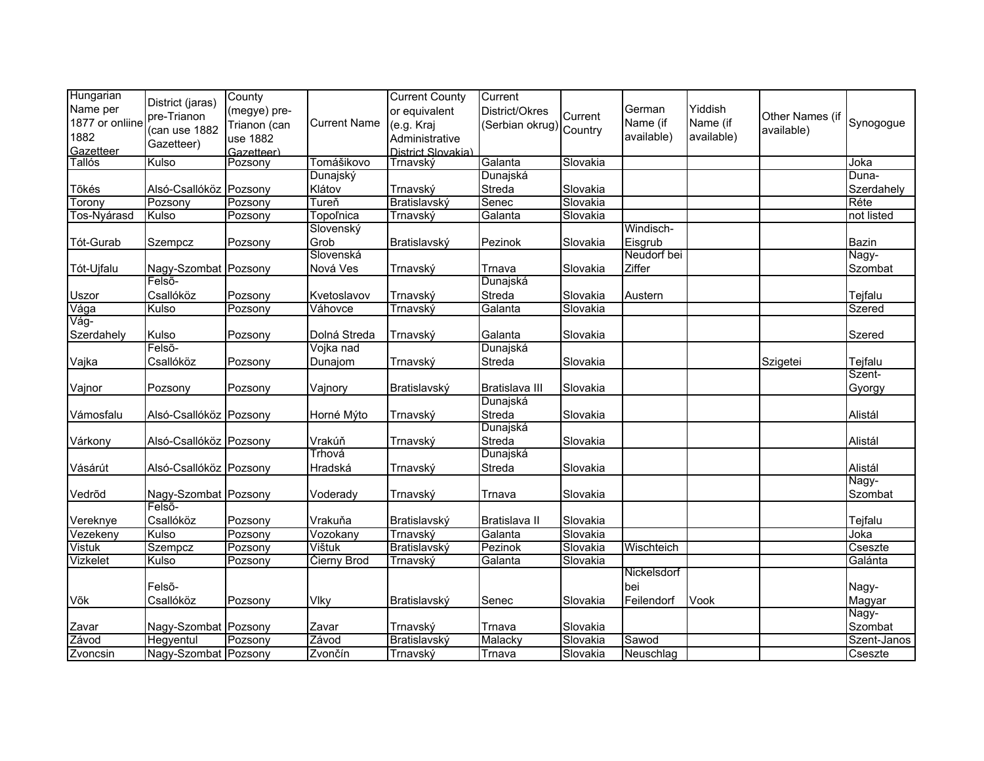| Hungarian<br>Name per<br>1877 or onliine<br>1882<br>Gazetteer | District (jaras)<br>pre-Trianon<br>(can use 1882<br>Gazetteer) | County<br>(megye) pre-<br>Trianon (can<br>use 1882<br>Gazetteer) | <b>Current Name</b> | <b>Current County</b><br>or equivalent<br>(e.g. Kraj<br>Administrative<br>District Slovakia) | Current<br>District/Okres<br>(Serbian okrug) | Current<br>Country | German<br>Name (if<br>available) | Yiddish<br>Name (if<br>available) | Other Names (if<br>available) | Synogogue      |
|---------------------------------------------------------------|----------------------------------------------------------------|------------------------------------------------------------------|---------------------|----------------------------------------------------------------------------------------------|----------------------------------------------|--------------------|----------------------------------|-----------------------------------|-------------------------------|----------------|
| <b>Tallós</b>                                                 | Kulso                                                          | Pozsony                                                          | Tomášikovo          | Trnavský                                                                                     | Galanta                                      | Slovakia           |                                  |                                   |                               | Joka           |
|                                                               |                                                                |                                                                  | Dunajský            |                                                                                              | Dunajská                                     |                    |                                  |                                   |                               | Duna-          |
| Tõkés                                                         | Alsó-Csallóköz Pozsony                                         |                                                                  | Klátov              | Trnavský                                                                                     | Streda                                       | Slovakia           |                                  |                                   |                               | Szerdahely     |
| Torony                                                        | Pozsony                                                        | Pozsony                                                          | Tureň               | Bratislavský                                                                                 | Senec                                        | Slovakia           |                                  |                                   |                               | Réte           |
| Tos-Nyárasd                                                   | Kulso                                                          | Pozsony                                                          | <b>Topol'nica</b>   | Trnavský                                                                                     | Galanta                                      | Slovakia           |                                  |                                   |                               | not listed     |
|                                                               |                                                                |                                                                  | Slovenský           |                                                                                              |                                              |                    | Windisch-                        |                                   |                               |                |
| Tót-Gurab                                                     | Szempcz                                                        | Pozsony                                                          | Grob                | Bratislavský                                                                                 | Pezinok                                      | Slovakia           | Eisgrub                          |                                   |                               | Bazin          |
|                                                               |                                                                |                                                                  | Slovenská           |                                                                                              |                                              |                    | Neudorf bei                      |                                   |                               | Nagy-          |
| Tót-Ujfalu                                                    | Nagy-Szombat Pozsony                                           |                                                                  | Nová Ves            | Trnavský                                                                                     | Trnava                                       | Slovakia           | Ziffer                           |                                   |                               | Szombat        |
|                                                               | Felső-                                                         |                                                                  |                     |                                                                                              | Dunajská                                     |                    |                                  |                                   |                               |                |
| Uszor                                                         | Csallóköz                                                      | Pozsony                                                          | Kvetoslavov         | Trnavský                                                                                     | Streda                                       | Slovakia           | Austern                          |                                   |                               | Tejfalu        |
| Vága                                                          | Kulso                                                          | Pozsony                                                          | Váhovce             | Trnavský                                                                                     | Galanta                                      | Slovakia           |                                  |                                   |                               | Szered         |
| Vág-                                                          |                                                                |                                                                  |                     |                                                                                              |                                              |                    |                                  |                                   |                               |                |
| Szerdahely                                                    | Kulso                                                          | Pozsony                                                          | Dolná Streda        | Trnavský                                                                                     | Galanta                                      | Slovakia           |                                  |                                   |                               | Szered         |
|                                                               | Felső-                                                         |                                                                  | Vojka nad           |                                                                                              | Dunajská                                     |                    |                                  |                                   |                               |                |
| Vajka                                                         | Csallóköz                                                      | Pozsony                                                          | Dunajom             | Trnavský                                                                                     | Streda                                       | Slovakia           |                                  |                                   | Szigetei                      | <b>Tejfalu</b> |
|                                                               |                                                                |                                                                  |                     |                                                                                              |                                              |                    |                                  |                                   |                               | Szent-         |
| Vajnor                                                        | Pozsony                                                        | Pozsony                                                          | Vajnory             | Bratislavský                                                                                 | Bratislava III                               | Slovakia           |                                  |                                   |                               | Gyorgy         |
|                                                               |                                                                |                                                                  |                     |                                                                                              | Dunajská                                     |                    |                                  |                                   |                               |                |
| Vámosfalu                                                     | Alsó-Csallóköz Pozsony                                         |                                                                  | Horné Mýto          | Trnavský                                                                                     | Streda                                       | Slovakia           |                                  |                                   |                               | Alistál        |
|                                                               |                                                                |                                                                  |                     |                                                                                              | Dunajská                                     |                    |                                  |                                   |                               |                |
| Várkony                                                       | Alsó-Csallóköz Pozsony                                         |                                                                  | Vrakúň              | Trnavský                                                                                     | Streda                                       | Slovakia           |                                  |                                   |                               | Alistál        |
|                                                               |                                                                |                                                                  | Trhová              |                                                                                              | Dunajská                                     |                    |                                  |                                   |                               |                |
| Vásárút                                                       | Alsó-Csallóköz Pozsony                                         |                                                                  | Hradská             | Trnavský                                                                                     | Streda                                       | Slovakia           |                                  |                                   |                               | Alistál        |
|                                                               |                                                                |                                                                  |                     |                                                                                              |                                              |                    |                                  |                                   |                               | Nagy-          |
| Vedrõd                                                        | Nagy-Szombat Pozsony                                           |                                                                  | Voderady            | Trnavský                                                                                     | Trnava                                       | Slovakia           |                                  |                                   |                               | Szombat        |
|                                                               | Felső-                                                         |                                                                  |                     |                                                                                              |                                              |                    |                                  |                                   |                               |                |
| Vereknye                                                      | Csallóköz                                                      | Pozsony                                                          | Vrakuňa             | Bratislavský                                                                                 | Bratislava II                                | Slovakia           |                                  |                                   |                               | Tejfalu        |
| Vezekeny                                                      | Kulso                                                          | Pozsony                                                          | Vozokany            | Trnavský                                                                                     | Galanta                                      | Slovakia           |                                  |                                   |                               | Joka           |
| <b>Vistuk</b>                                                 | Szempcz                                                        | Pozsony                                                          | Vištuk              | Bratislavský                                                                                 | Pezinok                                      | Slovakia           | Wischteich                       |                                   |                               | Cseszte        |
| Vizkelet                                                      | Kulso                                                          | Pozsony                                                          | <b>Čierny Brod</b>  | Trnavský                                                                                     | Galanta                                      | Slovakia           |                                  |                                   |                               | Galánta        |
|                                                               |                                                                |                                                                  |                     |                                                                                              |                                              |                    | Nickelsdorf                      |                                   |                               |                |
|                                                               | Felső-                                                         |                                                                  |                     |                                                                                              |                                              |                    | bei                              |                                   |                               | Nagy-          |
| Võk                                                           | Csallóköz                                                      | Pozsony                                                          | Vlky                | Bratislavský                                                                                 | Senec                                        | Slovakia           | Feilendorf                       | Vook                              |                               | Magyar         |
|                                                               |                                                                |                                                                  |                     |                                                                                              |                                              |                    |                                  |                                   |                               | Nagy-          |
| Zavar                                                         | Nagy-Szombat Pozsony                                           |                                                                  | Zavar               | Trnavský                                                                                     | Trnava                                       | Slovakia           |                                  |                                   |                               | Szombat        |
| Závod                                                         | Hegyentul                                                      | Pozsony                                                          | Závod               | Bratislavský                                                                                 | Malacky                                      | Slovakia           | Sawod                            |                                   |                               | Szent-Janos    |
| Zvoncsin                                                      | Nagy-Szombat Pozsony                                           |                                                                  | Zvončín             | Trnavský                                                                                     | Trnava                                       | Slovakia           | Neuschlag                        |                                   |                               | Cseszte        |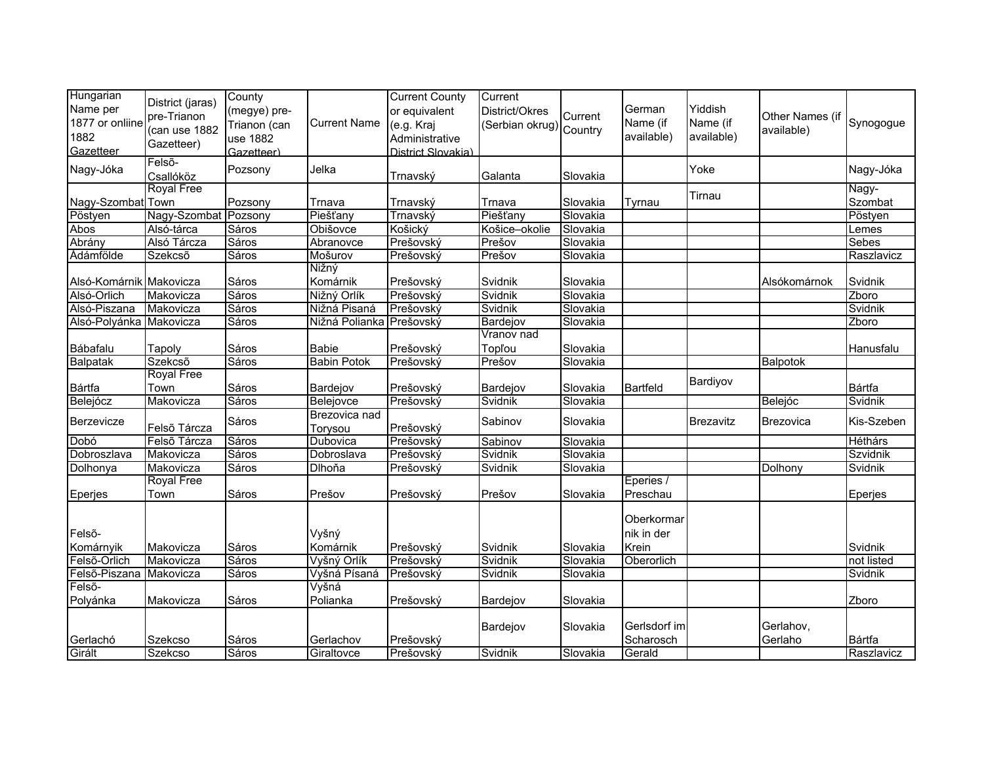| Hungarian               | District (jaras)               | County       |                          | <b>Current County</b> | Current         |          |              |            |                  |                  |
|-------------------------|--------------------------------|--------------|--------------------------|-----------------------|-----------------|----------|--------------|------------|------------------|------------------|
| Name per                |                                | (megye) pre- |                          | or equivalent         | District/Okres  | Current  | German       | Yiddish    |                  |                  |
| 1877 or onliine         | pre-Trianon                    | Trianon (can | <b>Current Name</b>      | (e.g. Kraj            | (Serbian okrug) |          | Name (if     | Name (if   | Other Names (if  | Synogogue        |
| 1882                    | (can use 1882                  | use 1882     |                          | Administrative        |                 | Country  | available)   | available) | available)       |                  |
| Gazetteer               | Gazetteer)                     | Gazetteer)   |                          | District Slovakia)    |                 |          |              |            |                  |                  |
| Nagy-Jóka               | Felső-                         | Pozsony      | Jelka                    |                       |                 |          |              | Yoke       |                  | Nagy-Jóka        |
|                         | Csallóköz<br><b>Royal Free</b> |              |                          | Trnavský              | Galanta         | Slovakia |              |            |                  |                  |
| Nagy-Szombat Town       |                                | Pozsony      | Trnava                   | Trnavský              | Trnava          | Slovakia | Tyrnau       | Tirnau     |                  | Nagy-<br>Szombat |
| Pöstyen                 | Nagy-Szombat Pozsony           |              | Piešťany                 | Trnavský              | Piešťany        | Slovakia |              |            |                  | Pöstyen          |
| Abos                    | Alsó-tárca                     | Sáros        | Obišovce                 | Košický               | Košice-okolie   | Slovakia |              |            |                  | Lemes            |
| Abrány                  | Alsó Tárcza                    | Sáros        | Abranovce                | Prešovský             | Prešov          | Slovakia |              |            |                  | <b>Sebes</b>     |
| Ádámfölde               | Szekcső                        | Sáros        | Mošurov                  | Prešovský             | Prešov          | Slovakia |              |            |                  | Raszlavicz       |
|                         |                                |              | Nižný                    |                       |                 |          |              |            |                  |                  |
| Alsó-Komárnik Makovicza |                                | Sáros        | Komárnik                 | Prešovský             | Svidnik         | Slovakia |              |            | Alsókomárnok     | Svidnik          |
| Alsó-Orlich             | Makovicza                      | Sáros        | Nižný Orlík              | Prešovský             | Svidnik         | Slovakia |              |            |                  | Zboro            |
| Alsó-Piszana            | Makovicza                      | Sáros        | Nižná Pisaná             | Prešovský             | Svidnik         | Slovakia |              |            |                  | Svidnik          |
| Alsó-Polyánka Makovicza |                                | Sáros        | Nižná Polianka Prešovský |                       | Bardejov        | Slovakia |              |            |                  | Zboro            |
|                         |                                |              |                          |                       | Vranov nad      |          |              |            |                  |                  |
| Bábafalu                | Tapoly                         | Sáros        | <b>Babie</b>             | Prešovský             | Topľou          | Slovakia |              |            |                  | Hanusfalu        |
| Balpatak                | Szekcső                        | Sáros        | <b>Babin Potok</b>       | Prešovský             | Prešov          | Slovakia |              |            | Balpotok         |                  |
|                         | <b>Royal Free</b>              |              |                          |                       |                 |          |              |            |                  |                  |
| Bártfa                  | Town                           | Sáros        | Bardejov                 | Prešovský             | Bardejov        | Slovakia | Bartfeld     | Bardiyov   |                  | Bártfa           |
| Belejócz                | Makovicza                      | Sáros        | Belejovce                | Prešovský             | Svidnik         | Slovakia |              |            | Belejóc          | Svidnik          |
|                         |                                |              | Brezovica nad            |                       |                 |          |              |            |                  |                  |
| Berzevicze              | Felső Tárcza                   | Sáros        | Torysou                  | Prešovský             | Sabinov         | Slovakia |              | Brezavitz  | <b>Brezovica</b> | Kis-Szeben       |
| Dobó                    | Felső Tárcza                   | Sáros        | Dubovica                 | Prešovský             | Sabinov         | Slovakia |              |            |                  | Héthárs          |
| Dobroszlava             | Makovicza                      | Sáros        | Dobroslava               | Prešovský             | Svidnik         | Slovakia |              |            |                  | Szvidnik         |
| Dolhonya                | Makovicza                      | Sáros        | Dlhoňa                   | Prešovský             | Svidnik         | Slovakia |              |            | Dolhony          | Svidnik          |
|                         | <b>Royal Free</b>              |              |                          |                       |                 |          | Eperies /    |            |                  |                  |
| Eperjes                 | Town                           | Sáros        | Prešov                   | Prešovský             | Prešov          | Slovakia | Preschau     |            |                  | Eperjes          |
|                         |                                |              |                          |                       |                 |          |              |            |                  |                  |
|                         |                                |              |                          |                       |                 |          | Oberkormar   |            |                  |                  |
| Felső-                  |                                |              | Vyšný                    |                       |                 |          | nik in der   |            |                  |                  |
| Komárnyik               | Makovicza                      | Sáros        | Komárnik                 | Prešovský             | Svidnik         | Slovakia | Krein        |            |                  | Svidnik          |
| Felső-Orlich            | Makovicza                      | Sáros        | Vyšný Orlík              | Prešovský             | Svidnik         | Slovakia | Oberorlich   |            |                  | not listed       |
| Felső-Piszana           | Makovicza                      | Sáros        | Vyšná Písaná             | Prešovský             | Svidnik         | Slovakia |              |            |                  | Svidnik          |
| Felsõ-                  |                                |              | Vyšná                    |                       |                 |          |              |            |                  |                  |
| Polyánka                | Makovicza                      | Sáros        | Polianka                 | Prešovský             | Bardejov        | Slovakia |              |            |                  | Zboro            |
|                         |                                |              |                          |                       |                 |          |              |            |                  |                  |
|                         |                                |              |                          |                       | Bardejov        | Slovakia | Gerlsdorf im |            | Gerlahov,        |                  |
| Gerlachó                | Szekcso                        | Sáros        | Gerlachov                | Prešovský             |                 |          | Scharosch    |            | Gerlaho          | Bártfa           |
| Girált                  | <b>Szekcso</b>                 | Sáros        | Giraltovce               | Prešovský             | Svidnik         | Slovakia | Gerald       |            |                  | Raszlavicz       |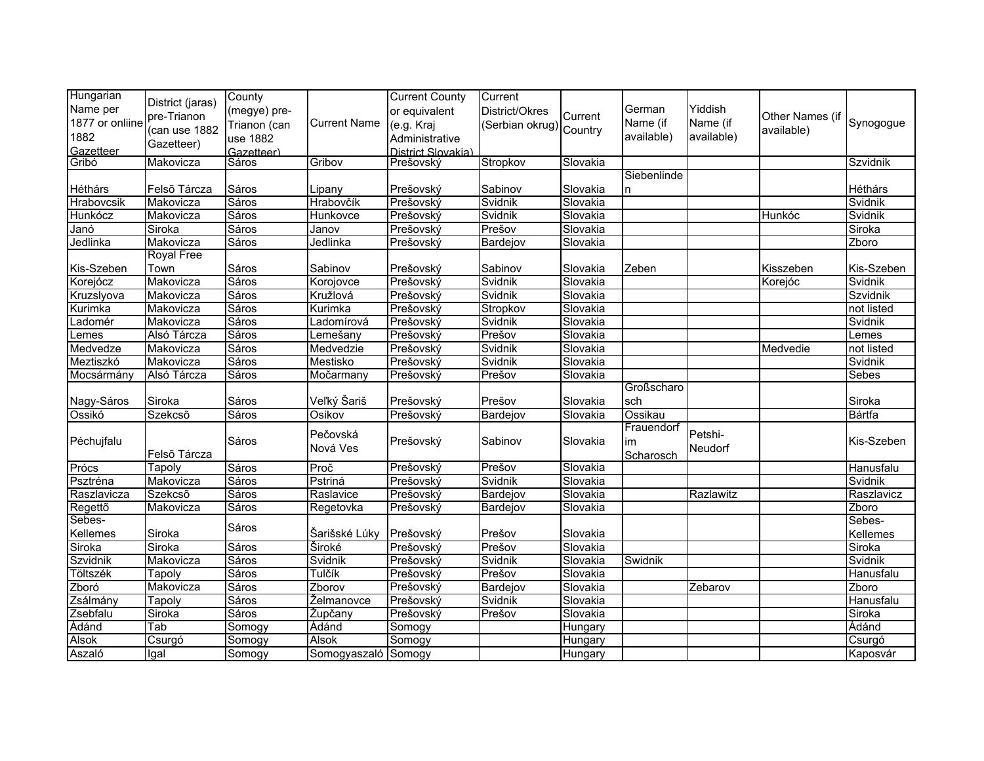| Hungarian<br>Name per | District (jaras)  | County              |                     | <b>Current County</b>           | Current         |          |             | Yiddish    |                 |            |
|-----------------------|-------------------|---------------------|---------------------|---------------------------------|-----------------|----------|-------------|------------|-----------------|------------|
| 1877 or onliine       | pre-Trianon       | (megye) pre-        |                     | or equivalent                   | District/Okres  | Current  | German      |            | Other Names (if |            |
|                       | (can use 1882     | Trianon (can        | <b>Current Name</b> | (e.g. Kraj                      | (Serbian okrug) | Country  | Name (if    | Name (if   | available)      | Synogogue  |
| 1882                  | Gazetteer)        | use 1882            |                     | Administrative                  |                 |          | available)  | available) |                 |            |
| Gazetteer<br>Gribó    | Makovicza         | Gazetteer)<br>Sáros | Gribov              | District Slovakia)<br>Prešovský | Stropkov        | Slovakia |             |            |                 | Szvidnik   |
|                       |                   |                     |                     |                                 |                 |          | Siebenlinde |            |                 |            |
| Héthárs               | Felső Tárcza      | Sáros               | Lipany              | Prešovský                       | Sabinov         | Slovakia | n           |            |                 | Héthárs    |
| Hrabovcsik            | Makovicza         | Sáros               | Hrabovčík           | Prešovský                       | Svidnik         | Slovakia |             |            |                 | Svidnik    |
| Hunkócz               | Makovicza         | Sáros               | Hunkovce            | Prešovský                       | Svidnik         | Slovakia |             |            | Hunkóc          | Svidnik    |
| Janó                  | Siroka            | Sáros               | Janov               | Prešovský                       | Prešov          | Slovakia |             |            |                 | Siroka     |
| Jedlinka              | Makovicza         | Sáros               | Jedlinka            | Prešovský                       | Bardejov        | Slovakia |             |            |                 | Zboro      |
|                       | <b>Royal Free</b> |                     |                     |                                 |                 |          |             |            |                 |            |
| Kis-Szeben            | Town              | Sáros               | Sabinov             | Prešovský                       | Sabinov         | Slovakia | Zeben       |            | Kisszeben       | Kis-Szeben |
| Korejócz              | Makovicza         | Sáros               | Korojovce           | Prešovský                       | Svidnik         | Slovakia |             |            | Korejóc         | Svidnik    |
| Kruzslyova            | Makovicza         | Sáros               | Kružlová            | Prešovský                       | Svidnik         | Slovakia |             |            |                 | Szvidnik   |
| Kurimka               | Makovicza         | Sáros               | Kurimka             | Prešovský                       | Stropkov        | Slovakia |             |            |                 | not listed |
| adomér                | Makovicza         | Sáros               | Ladomírová          | Prešovský                       | Svidnik         | Slovakia |             |            |                 | Svidnik    |
| _emes                 | Alsó Tárcza       | Sáros               | Lemešany            | Prešovský                       | Prešov          | Slovakia |             |            |                 | Lemes      |
| Medvedze              | Makovicza         | Sáros               | Medvedzie           | Prešovský                       | Svidnik         | Slovakia |             |            | Medvedie        | not listed |
| Meztiszkó             | Makovicza         | Sáros               | Mestisko            | Prešovský                       | Svidnik         | Slovakia |             |            |                 | Svidnik    |
| Mocsármány            | Alsó Tárcza       | Sáros               | Močarmany           | Prešovský                       | Prešov          | Slovakia |             |            |                 | Sebes      |
|                       |                   |                     |                     |                                 |                 |          | Großscharo  |            |                 |            |
| Nagy-Sáros            | Siroka            | Sáros               | Veľký Šariš         | Prešovský                       | Prešov          | Slovakia | sch         |            |                 | Siroka     |
| Ossikó                | Szekcső           | Sáros               | Osikov              | Prešovský                       | Bardejov        | Slovakia | Ossikau     |            |                 | Bártfa     |
|                       |                   |                     | Pečovská            |                                 |                 |          | Frauendorf  | Petshi-    |                 |            |
| Péchujfalu            |                   | Sáros               |                     | Prešovský                       | Sabinov         | Slovakia | im          |            |                 | Kis-Szeben |
|                       | Felső Tárcza      |                     | Nová Ves            |                                 |                 |          | Scharosch   | Neudorf    |                 |            |
| Prócs                 | <b>Tapoly</b>     | Sáros               | Proč                | Prešovský                       | Prešov          | Slovakia |             |            |                 | Hanusfalu  |
| Psztréna              | Makovicza         | Sáros               | Pstriná             | Prešovský                       | Svidnik         | Slovakia |             |            |                 | Svidnik    |
| Raszlavicza           | Szekcső           | Sáros               | Raslavice           | Prešovský                       | Bardejov        | Slovakia |             | Razlawitz  |                 | Raszlavicz |
| Regettõ               | Makovicza         | Sáros               | Regetovka           | Prešovský                       | Bardejov        | Slovakia |             |            |                 | Zboro      |
| Sebes-                |                   | Sáros               |                     |                                 |                 |          |             |            |                 | Sebes-     |
| Kellemes              | Siroka            |                     | Šarišské Lúky       | Prešovský                       | Prešov          | Slovakia |             |            |                 | Kellemes   |
| Siroka                | Siroka            | Sáros               | <b>Široké</b>       | Prešovský                       | Prešov          | Slovakia |             |            |                 | Siroka     |
| Szvidnik              | Makovicza         | Sáros               | Svidnik             | Prešovský                       | Svidnik         | Slovakia | Swidnik     |            |                 | Svidnik    |
| Töltszék              | Tapoly            | Sáros               | Tulčík              | Prešovský                       | Prešov          | Slovakia |             |            |                 | Hanusfalu  |
| Zboró                 | Makovicza         | Sáros               | Zborov              | Prešovský                       | <b>Bardejov</b> | Slovakia |             | Zebarov    |                 | Zboro      |
| Zsálmány              | Tapoly            | Sáros               | Želmanovce          | Prešovský                       | Svidnik         | Slovakia |             |            |                 | Hanusfalu  |
| Zsebfalu              | Siroka            | <b>Sáros</b>        | <b>Župčany</b>      | Prešovský                       | Prešov          | Slovakia |             |            |                 | Siroka     |
| Ádánd                 | Tab               | Somogy              | Ádánd               | Somogy                          |                 | Hungary  |             |            |                 | Ádánd      |
| <b>Alsok</b>          | Csurgó            | Somogy              | Alsok               | Somogy                          |                 | Hungary  |             |            |                 | Csurgó     |
| Aszaló                | Igal              | Somogy              | Somogyaszaló Somogy |                                 |                 | Hungary  |             |            |                 | Kaposvár   |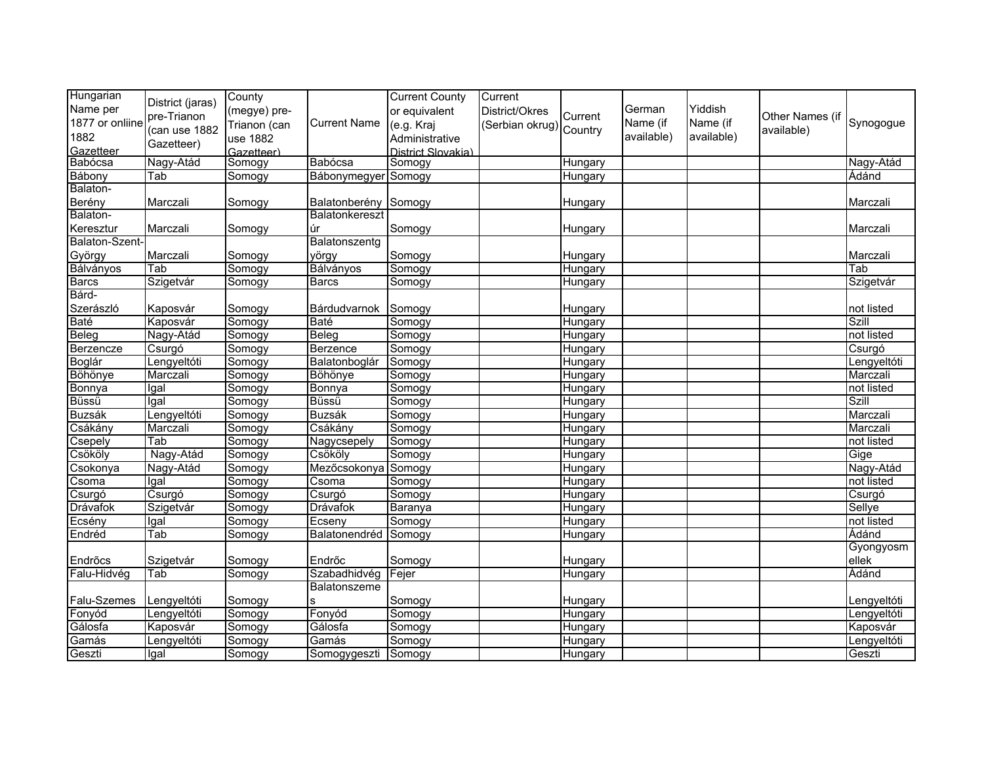| Hungarian       | District (jaras) | County       |                     | <b>Current County</b> | Current                 |         |            |            |                 |              |
|-----------------|------------------|--------------|---------------------|-----------------------|-------------------------|---------|------------|------------|-----------------|--------------|
| Name per        | pre-Trianon      | (megye) pre- |                     | or equivalent         | District/Okres          | Current | German     | Yiddish    | Other Names (if |              |
| 1877 or onliine | (can use 1882    | Trianon (can | <b>Current Name</b> | (e.g. Kraj            | (Serbian okrug) Country |         | Name (if   | Name (if   | available)      | Synogogue    |
| 1882            | Gazetteer)       | use 1882     |                     | Administrative        |                         |         | available) | available) |                 |              |
| Gazetteer       |                  | Gazetteer)   |                     | District Slovakia)    |                         |         |            |            |                 |              |
| Babócsa         | Nagy-Atád        | Somogy       | Babócsa             | Somogy                |                         | Hungary |            |            |                 | Nagy-Atád    |
| Bábony          | Tab              | Somogy       | Bábonymegyer        | Somogy                |                         | Hungary |            |            |                 | Ádánd        |
| Balaton-        |                  |              |                     |                       |                         |         |            |            |                 |              |
| Berény          | Marczali         | Somogy       | Balatonberény       | Somogy                |                         | Hungary |            |            |                 | Marczali     |
| Balaton-        |                  |              | Balatonkereszt      |                       |                         |         |            |            |                 |              |
| Keresztur       | Marczali         | Somogy       | úr                  | Somogy                |                         | Hungary |            |            |                 | Marczali     |
| Balaton-Szent-  |                  |              | Balatonszentg       |                       |                         |         |            |            |                 |              |
| György          | Marczali         | Somogy       | yörgy               | Somogy                |                         | Hungary |            |            |                 | Marczali     |
| Bálványos       | Tab              | Somogy       | Bálványos           | Somogy                |                         | Hungary |            |            |                 | Tab          |
| <b>Barcs</b>    | Szigetvár        | Somogy       | <b>Barcs</b>        | Somogy                |                         | Hungary |            |            |                 | Szigetvár    |
| Bárd-           |                  |              |                     |                       |                         |         |            |            |                 |              |
| Szerászló       | Kaposvár         | Somogy       | Bárdudvarnok        | Somogy                |                         | Hungary |            |            |                 | not listed   |
| <b>Baté</b>     | Kaposvár         | Somogy       | <b>Baté</b>         | Somogy                |                         | Hungary |            |            |                 | Szill        |
| Beleg           | Nagy-Atád        | Somogy       | <b>Beleg</b>        | Somogy                |                         | Hungary |            |            |                 | not listed   |
| Berzencze       | Csurgó           | Somogy       | Berzence            | Somogy                |                         | Hungary |            |            |                 | Csurgó       |
| Boglár          | Lengyeltóti      | Somogy       | Balatonboglár       | Somogy                |                         | Hungary |            |            |                 | Lengyeltóti  |
| Böhönye         | Marczali         | Somogy       | <b>Böhönye</b>      | Somogy                |                         | Hungary |            |            |                 | Marczali     |
| Bonnya          | Igal             | Somogy       | Bonnya              | Somogy                |                         | Hungary |            |            |                 | not listed   |
| Büssü           | Igal             | Somogy       | Büssü               | Somogy                |                         | Hungary |            |            |                 | <b>Szill</b> |
| <b>Buzsák</b>   | Lengyeltóti      | Somogy       | <b>Buzsák</b>       | Somogy                |                         | Hungary |            |            |                 | Marczali     |
| Csákány         | Marczali         | Somogy       | Csákány             | Somogy                |                         | Hungary |            |            |                 | Marczali     |
| Csepely         | Tab              | Somogy       | Nagycsepely         | Somogy                |                         | Hungary |            |            |                 | not listed   |
| Csököly         | Nagy-Atád        | Somogy       | Csököly             | Somogy                |                         | Hungary |            |            |                 | Gige         |
| Csokonya        | Nagy-Atád        | Somogy       | Mezőcsokonya        | Somogy                |                         | Hungary |            |            |                 | Nagy-Atád    |
| Csoma           | Igal             | Somogy       | Csoma               | Somogy                |                         | Hungary |            |            |                 | not listed   |
| Csurgó          | Csurgó           | Somogy       | Csurgó              | Somogy                |                         | Hungary |            |            |                 | Csurgó       |
| Drávafok        | Szigetvár        | Somogy       | <b>Drávafok</b>     | Baranya               |                         | Hungary |            |            |                 | Sellye       |
| Ecsény          | Igal             | Somogy       | Ecseny              | Somogy                |                         | Hungary |            |            |                 | not listed   |
| Endréd          | Tab              | Somogy       | Balatonendréd       | Somogy                |                         | Hungary |            |            |                 | Ádánd        |
|                 |                  |              |                     |                       |                         |         |            |            |                 | Gyongyosm    |
| Endrõcs         | Szigetvár        | Somogy       | Endrőc              | Somogy                |                         | Hungary |            |            |                 | ellek        |
| Falu-Hidvég     | Tab              | Somogy       | Szabadhidvég        | Fejer                 |                         | Hungary |            |            |                 | Adánd        |
|                 |                  |              | Balatonszeme        |                       |                         |         |            |            |                 |              |
| Falu-Szemes     | Lengyeltóti      | Somogy       |                     | Somogy                |                         | Hungary |            |            |                 | Lengyeltóti  |
| Fonyód          | Lengyeltóti      | Somogy       | Fonyód              | Somogy                |                         | Hungary |            |            |                 | Lengyeltóti  |
| Gálosfa         | Kaposvár         | Somogy       | Gálosfa             | Somogy                |                         | Hungary |            |            |                 | Kaposvár     |
| Gamás           | Lengyeltóti      | Somogy       | Gamás               | Somogy                |                         | Hungary |            |            |                 | Lengyeltóti  |
| Geszti          | Igal             | Somogy       | Somogygeszti        | Somogy                |                         | Hungary |            |            |                 | Geszti       |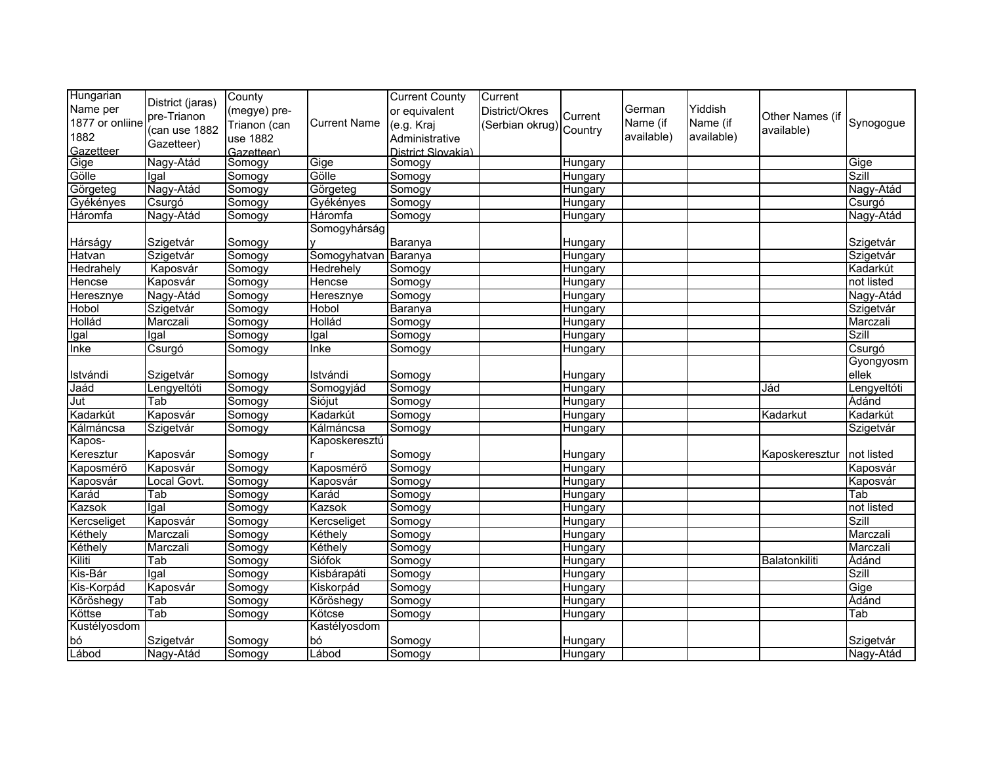| Hungarian       | District (jaras) | County       |                      | <b>Current County</b> | Current                 |                |            |            |                 |              |
|-----------------|------------------|--------------|----------------------|-----------------------|-------------------------|----------------|------------|------------|-----------------|--------------|
| Name per        | pre-Trianon      | (megye) pre- |                      | or equivalent         | District/Okres          | Current        | German     | Yiddish    | Other Names (if |              |
| 1877 or onliine |                  | Trianon (can | <b>Current Name</b>  | (e.g. Kraj            | (Serbian okrug) Country |                | Name (if   | Name (if   |                 | Synogogue    |
| 1882            | (can use 1882    | use 1882     |                      | Administrative        |                         |                | available) | available) | available)      |              |
| Gazetteer       | Gazetteer)       | Gazetteer)   |                      | District Slovakia)    |                         |                |            |            |                 |              |
| Gige            | Nagy-Atád        | Somogy       | Gige                 | Somogy                |                         | Hungary        |            |            |                 | Gige         |
| Gölle           | Igal             | Somogy       | Gölle                | Somogy                |                         | Hungary        |            |            |                 | <b>Szill</b> |
| Görgeteg        | Nagy-Atád        | Somogy       | Görgeteg             | Somogy                |                         | Hungary        |            |            |                 | Nagy-Atád    |
| Gyékényes       | Csurgó           | Somogy       | Gyékényes            | Somogy                |                         | Hungary        |            |            |                 | Csurgó       |
| Háromfa         | Nagy-Atád        | Somogy       | Háromfa              | Somogy                |                         | Hungary        |            |            |                 | Nagy-Atád    |
|                 |                  |              | Somogyhárság         |                       |                         |                |            |            |                 |              |
| Hárságy         | Szigetvár        | Somogy       |                      | Baranya               |                         | Hungary        |            |            |                 | Szigetvár    |
| Hatvan          | Szigetvár        | Somogy       | Somogyhatvan Baranya |                       |                         | Hungary        |            |            |                 | Szigetvár    |
| Hedrahely       | Kaposvár         | Somogy       | Hedrehely            | Somogy                |                         | Hungary        |            |            |                 | Kadarkút     |
| Hencse          | Kaposvár         | Somogy       | <b>Hencse</b>        | Somogy                |                         | <b>Hungary</b> |            |            |                 | not listed   |
| Heresznye       | Nagy-Atád        | Somogy       | Heresznye            | Somogy                |                         | Hungary        |            |            |                 | Nagy-Atád    |
| Hobol           | Szigetvár        | Somogy       | Hobol                | Baranya               |                         | Hungary        |            |            |                 | Szigetvár    |
| Hollád          | Marczali         | Somogy       | Hollád               | Somogy                |                         | Hungary        |            |            |                 | Marczali     |
| Igal            | Igal             | Somogy       | Igal                 | Somogy                |                         | Hungary        |            |            |                 | <b>Szill</b> |
| Inke            | Csurgó           | Somogy       | Inke                 | Somogy                |                         | Hungary        |            |            |                 | Csurgó       |
|                 |                  |              |                      |                       |                         |                |            |            |                 | Gyongyosm    |
| Istvándi        | Szigetvár        | Somogy       | Istvándi             | Somogy                |                         | Hungary        |            |            |                 | ellek        |
| Jaád            | Lengyeltóti      | Somogy       | Somogyjád            | Somogy                |                         | Hungary        |            |            | Jád             | Lengyeltóti  |
| Jut             | Tab              | Somogy       | Siójut               | Somogy                |                         | Hungary        |            |            |                 | Ádánd        |
| Kadarkút        | Kaposvár         | Somogy       | Kadarkút             | Somogy                |                         | Hungary        |            |            | Kadarkut        | Kadarkút     |
| Kálmáncsa       | Szigetvár        | Somogy       | Kálmáncsa            | Somogy                |                         | Hungary        |            |            |                 | Szigetvár    |
| Kapos-          |                  |              | Kaposkeresztú        |                       |                         |                |            |            |                 |              |
| Keresztur       | Kaposvár         | Somogy       |                      | Somogy                |                         | Hungary        |            |            | Kaposkeresztur  | not listed   |
| Kaposmérő       | Kaposvár         | Somogy       | Kaposmérő            | Somogy                |                         | Hungary        |            |            |                 | Kaposvár     |
| Kaposvár        | Local Govt.      | Somogy       | Kaposvár             | Somogy                |                         | Hungary        |            |            |                 | Kaposvár     |
| Karád           | Tab              | Somogy       | Karád                | Somogy                |                         | Hungary        |            |            |                 | Tab          |
| Kazsok          | Igal             | Somogy       | Kazsok               | Somogy                |                         | Hungary        |            |            |                 | not listed   |
| Kercseliget     | Kaposvár         | Somogy       | Kercseliget          | Somogy                |                         | Hungary        |            |            |                 | <b>Szill</b> |
| Kéthely         | Marczali         | Somogy       | Kéthely              | Somogy                |                         | Hungary        |            |            |                 | Marczali     |
| Kéthely         | Marczali         | Somogy       | Kéthely              | Somogy                |                         | Hungary        |            |            |                 | Marczali     |
| Kiliti          | Tab              | Somogy       | Siófok               | Somogy                |                         | Hungary        |            |            | Balatonkiliti   | Ádánd        |
| Kis-Bár         | Igal             | Somogy       | Kisbárapáti          | Somogy                |                         | Hungary        |            |            |                 | <b>Szill</b> |
| Kis-Korpád      | Kaposvár         | Somogy       | Kiskorpád            | Somogy                |                         | Hungary        |            |            |                 | Gige         |
| Kõröshegy       | Tab              | Somogy       | Kőröshegy            | Somogy                |                         | Hungary        |            |            |                 | Ádánd        |
| Köttse          | Tab              | Somogy       | Kötcse               | Somogy                |                         | Hungary        |            |            |                 | Tab          |
| Kustélyosdom    |                  |              | Kastélyosdom         |                       |                         |                |            |            |                 |              |
| bó              | Szigetvár        | Somogy       | bó                   | Somogy                |                         | Hungary        |            |            |                 | Szigetvár    |
| Lábod           | Nagy-Atád        | Somogy       | Lábod                | Somogy                |                         | Hungary        |            |            |                 | Nagy-Atád    |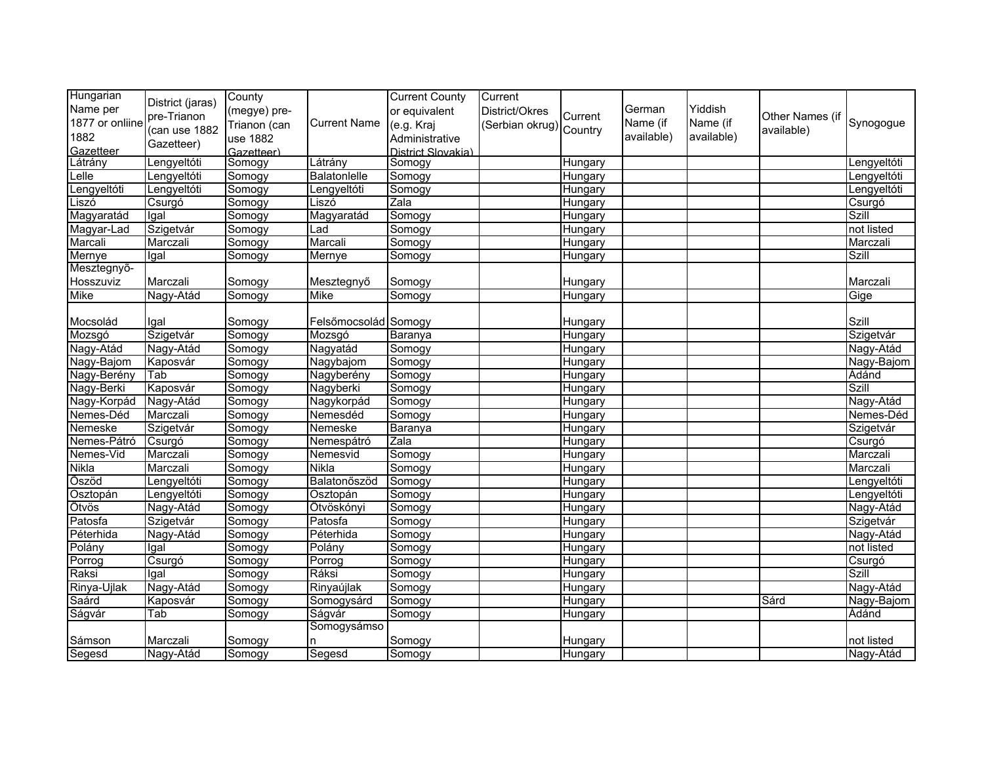| Hungarian       | District (jaras) | County       |                      | <b>Current County</b> | Current         |                |            |            |                 |              |
|-----------------|------------------|--------------|----------------------|-----------------------|-----------------|----------------|------------|------------|-----------------|--------------|
| Name per        |                  | (megye) pre- |                      | or equivalent         | District/Okres  |                | German     | Yiddish    |                 |              |
| 1877 or onliine | pre-Trianon      | Trianon (can | <b>Current Name</b>  | (e.g. Kraj            | (Serbian okrug) | Current        | Name (if   | Name (if   | Other Names (if | Synogogue    |
| 1882            | (can use 1882    | use 1882     |                      | Administrative        |                 | Country        | available) | available) | available)      |              |
| Gazetteer       | Gazetteer)       | Gazetteer)   |                      | District Slovakia)    |                 |                |            |            |                 |              |
| Látrány         | Lengyeltóti      | Somogy       | Látrány              | Somogy                |                 | Hungary        |            |            |                 | Lengyeltóti  |
| Lelle           | Lengyeltóti      | Somogy       | Balatonlelle         | Somogy                |                 | Hungary        |            |            |                 | Lengyeltóti  |
| Lengyeltóti     | Lengyeltóti      | Somogy       | Lengyeltóti          | Somogy                |                 | Hungary        |            |            |                 | Lengyeltóti  |
| Liszó           | Csurgó           | Somogy       | Liszó                | $\overline{Z}$ ala    |                 | Hungary        |            |            |                 | Csurgó       |
| Magyaratád      | Igal             | Somogy       | Magyaratád           | Somogy                |                 | Hungary        |            |            |                 | Szill        |
| Magyar-Lad      | Szigetvár        | Somogy       | Lad                  | Somogy                |                 | Hungary        |            |            |                 | not listed   |
| Marcali         | Marczali         | Somogy       | Marcali              | Somogy                |                 | Hungary        |            |            |                 | Marczali     |
| Mernye          | Igal             | Somogy       | Mernye               | Somogy                |                 | Hungary        |            |            |                 | <b>Szill</b> |
| Mesztegnyő-     |                  |              |                      |                       |                 |                |            |            |                 |              |
| Hosszuviz       | Marczali         | Somogy       | Mesztegnyő           | Somogy                |                 | Hungary        |            |            |                 | Marczali     |
| Mike            | Nagy-Atád        | Somogy       | Mike                 | Somogy                |                 | Hungary        |            |            |                 | Gige         |
|                 |                  |              |                      |                       |                 |                |            |            |                 |              |
| Mocsolád        | Igal             | Somogy       | Felsőmocsolád Somogy |                       |                 | Hungary        |            |            |                 | Szill        |
| Mozsgó          | Szigetvár        | Somogy       | Mozsgó               | Baranya               |                 | Hungary        |            |            |                 | Szigetvár    |
| Nagy-Atád       | Nagy-Atád        | Somogy       | Nagyatád             | Somogy                |                 | Hungary        |            |            |                 | Nagy-Atád    |
| Nagy-Bajom      | Kaposvár         | Somogy       | Nagybajom            | Somogy                |                 | Hungary        |            |            |                 | Nagy-Bajom   |
| Nagy-Berény     | Tab              | Somogy       | Nagyberény           | Somogy                |                 | Hungary        |            |            |                 | Ádánd        |
| Nagy-Berki      | Kaposvár         | Somogy       | Nagyberki            | Somogy                |                 | Hungary        |            |            |                 | <b>Szill</b> |
| Nagy-Korpád     | Nagy-Atád        | Somogy       | Nagykorpád           | Somogy                |                 | Hungary        |            |            |                 | Nagy-Atád    |
| Nemes-Déd       | Marczali         | Somogy       | Nemesdéd             | Somogy                |                 | Hungary        |            |            |                 | Nemes-Déd    |
| Nemeske         | Szigetvár        | Somogy       | Nemeske              | Baranya               |                 | Hungary        |            |            |                 | Szigetvár    |
| Nemes-Pátró     | Csurgó           | Somogy       | Nemespátró           | Zala                  |                 | <b>Hungary</b> |            |            |                 | Csurgó       |
| Nemes-Vid       | Marczali         | Somogy       | Nemesvid             | Somogy                |                 | Hungary        |            |            |                 | Marczali     |
| <b>Nikla</b>    | Marczali         | Somogy       | <b>Nikla</b>         | Somogy                |                 | Hungary        |            |            |                 | Marczali     |
| Õszöd           | Lengyeltóti      | Somogy       | Balatonőszöd         | Somogy                |                 | Hungary        |            |            |                 | Lengyeltóti  |
| Osztopán        | Lengyeltóti      | Somogy       | Osztopán             | Somogy                |                 | Hungary        |            |            |                 | Lengyeltóti  |
| Ötvös           | Nagy-Atád        | Somogy       | Ötvöskónyi           | Somogy                |                 | Hungary        |            |            |                 | Nagy-Atád    |
| Patosfa         | Szigetvár        | Somogy       | Patosfa              | Somogy                |                 | Hungary        |            |            |                 | Szigetvár    |
| Péterhida       | Nagy-Atád        | Somogy       | Péterhida            | Somogy                |                 | Hungary        |            |            |                 | Nagy-Atád    |
| Polány          | Igal             | Somogy       | Polány               | Somogy                |                 | Hungary        |            |            |                 | not listed   |
| Porrog          | Csurgó           | Somogy       | Porrog               | Somogy                |                 | Hungary        |            |            |                 | Csurgó       |
| Raksi           | Igal             | Somogy       | Ráksi                | Somogy                |                 | Hungary        |            |            |                 | <b>Szill</b> |
| Rinya-Ujlak     | Nagy-Atád        | Somogy       | Rinyaújlak           | Somogy                |                 | Hungary        |            |            |                 | Nagy-Atád    |
| Saárd           | Kaposvár         | Somogy       | Somogysárd           | Somogy                |                 | Hungary        |            |            | Sárd            | Nagy-Bajom   |
| Ságvár          | Tab              | Somogy       | Ságvár               | Somogy                |                 | Hungary        |            |            |                 | Adánd        |
|                 |                  |              | Somogysámso          |                       |                 |                |            |            |                 |              |
| Sámson          | Marczali         | Somogy       | n                    | Somogy                |                 | Hungary        |            |            |                 | not listed   |
| Segesd          | Nagy-Atád        | Somogy       | Segesd               | Somogy                |                 | Hungary        |            |            |                 | Nagy-Atád    |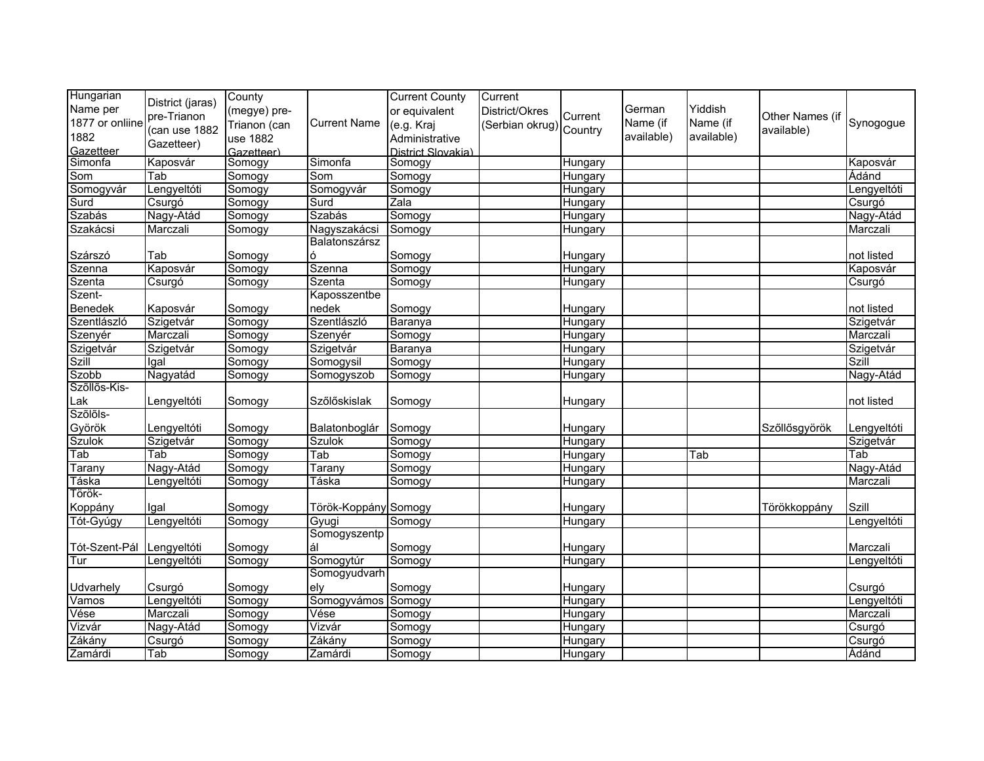| Hungarian       | District (jaras) | County       |                      | <b>Current County</b> | Current                |         |            |            |                 |             |
|-----------------|------------------|--------------|----------------------|-----------------------|------------------------|---------|------------|------------|-----------------|-------------|
| Name per        | pre-Trianon      | (megye) pre- |                      | or equivalent         | District/Okres         | Current | German     | Yiddish    | Other Names (if |             |
| 1877 or onliine | (can use 1882    | Trianon (can | <b>Current Name</b>  | (e.g. Kraj            | Serbian okrug) Country |         | Name (if   | Name (if   | available)      | Synogogue   |
| 1882            | Gazetteer)       | use 1882     |                      | Administrative        |                        |         | available) | available) |                 |             |
| Gazetteer       |                  | Gazetteer)   |                      | District Slovakia)    |                        |         |            |            |                 |             |
| Simonfa         | Kaposvár         | Somogy       | Simonfa              | Somogy                |                        | Hungary |            |            |                 | Kaposvár    |
| Som             | Tab              | Somogy       | Som                  | Somogy                |                        | Hungary |            |            |                 | Ádánd       |
| Somogyvár       | Lengyeltóti      | Somogy       | Somogyvár            | Somogy                |                        | Hungary |            |            |                 | Lengyeltóti |
| Surd            | Csurgó           | Somogy       | Surd                 | $\overline{Z}$ ala    |                        | Hungary |            |            |                 | Csurgó      |
| Szabás          | Nagy-Atád        | Somogy       | Szabás               | Somogy                |                        | Hungary |            |            |                 | Nagy-Atád   |
| Szakácsi        | Marczali         | Somogy       | Nagyszakácsi         | Somogy                |                        | Hungary |            |            |                 | Marczali    |
|                 |                  |              | Balatonszársz        |                       |                        |         |            |            |                 |             |
| Szárszó         | Tab              | Somogy       | ó                    | Somogy                |                        | Hungary |            |            |                 | not listed  |
| Szenna          | Kaposvár         | Somogy       | Szenna               | Somogy                |                        | Hungary |            |            |                 | Kaposvár    |
| Szenta          | Csurgó           | Somogy       | Szenta               | Somogy                |                        | Hungary |            |            |                 | Csurgó      |
| Szent-          |                  |              | Kaposszentbe         |                       |                        |         |            |            |                 |             |
| Benedek         | Kaposvár         | Somogy       | nedek                | Somogy                |                        | Hungary |            |            |                 | not listed  |
| Szentlászló     | Szigetvár        | Somogy       | Szentlászló          | <b>Baranya</b>        |                        | Hungary |            |            |                 | Szigetvár   |
| Szenyér         | Marczali         | Somogy       | Szenyér              | Somogy                |                        | Hungary |            |            |                 | Marczali    |
| Szigetvár       | Szigetvár        | Somogy       | Szigetvár            | <b>Baranya</b>        |                        | Hungary |            |            |                 | Szigetvár   |
| <b>Szill</b>    | Igal             | Somogy       | Somogysil            | Somogy                |                        | Hungary |            |            |                 | Szill       |
| Szobb           | Nagyatád         | Somogy       | Somogyszob           | Somogy                |                        | Hungary |            |            |                 | Nagy-Atád   |
| Szőllős-Kis-    |                  |              |                      |                       |                        |         |            |            |                 |             |
| Lak             | Lengyeltóti      | Somogy       | Szőlőskislak         | Somogy                |                        | Hungary |            |            |                 | not listed  |
| Szőlőls-        |                  |              |                      |                       |                        |         |            |            |                 |             |
| Györök          | Lengyeltóti      | Somogy       | Balatonboglár        | Somogy                |                        | Hungary |            |            | Szőllősgyörök   | Lengyeltóti |
| <b>Szulok</b>   | Szigetvár        | Somogy       | <b>Szulok</b>        | Somogy                |                        | Hungary |            |            |                 | Szigetvár   |
| Tab             | Tab              | Somogy       | Tab                  | Somogy                |                        | Hungary |            | Tab        |                 | Tab         |
| Tarany          | Nagy-Atád        | Somogy       | Tarany               | Somogy                |                        | Hungary |            |            |                 | Nagy-Atád   |
| Táska           | Lengyeltóti      | Somogy       | Táska                | Somogy                |                        | Hungary |            |            |                 | Marczali    |
| Török-          |                  |              |                      |                       |                        |         |            |            |                 |             |
| Koppány         | Igal             | Somogy       | Török-Koppány Somogy |                       |                        | Hungary |            |            | Törökkoppány    | Szill       |
| Tót-Gyúgy       | Lengyeltóti      | Somogy       | Gyugi                | Somogy                |                        | Hungary |            |            |                 | Lengyeltóti |
|                 |                  |              | Somogyszentp         |                       |                        |         |            |            |                 |             |
| Tót-Szent-Pál   | Lengyeltóti      | Somogy       | ál                   | Somogy                |                        | Hungary |            |            |                 | Marczali    |
| Tur             | Lengyeltóti      | Somogy       | Somogytúr            | Somogy                |                        | Hungary |            |            |                 | Lengyeltóti |
|                 |                  |              | Somogyudvarh         |                       |                        |         |            |            |                 |             |
| Udvarhely       | Csurgó           | Somogy       | ely                  | Somogy                |                        | Hungary |            |            |                 | Csurgó      |
| Vamos           | Lengyeltóti      | Somogy       | Somogyvámos          | Somogy                |                        | Hungary |            |            |                 | Lengyeltóti |
| Vése            | Marczali         | Somogy       | Vése                 | Somogy                |                        | Hungary |            |            |                 | Marczali    |
| Vizvár          | Nagy-Atád        | Somogy       | Vizvár               | Somogy                |                        | Hungary |            |            |                 | Csurgó      |
| Zákány          | Csurgó           | Somogy       | Zákány               | Somogy                |                        | Hungary |            |            |                 | Csurgó      |
| Zamárdi         | Tab              | Somogy       | Zamárdi              | Somogy                |                        | Hungary |            |            |                 | Ádánd       |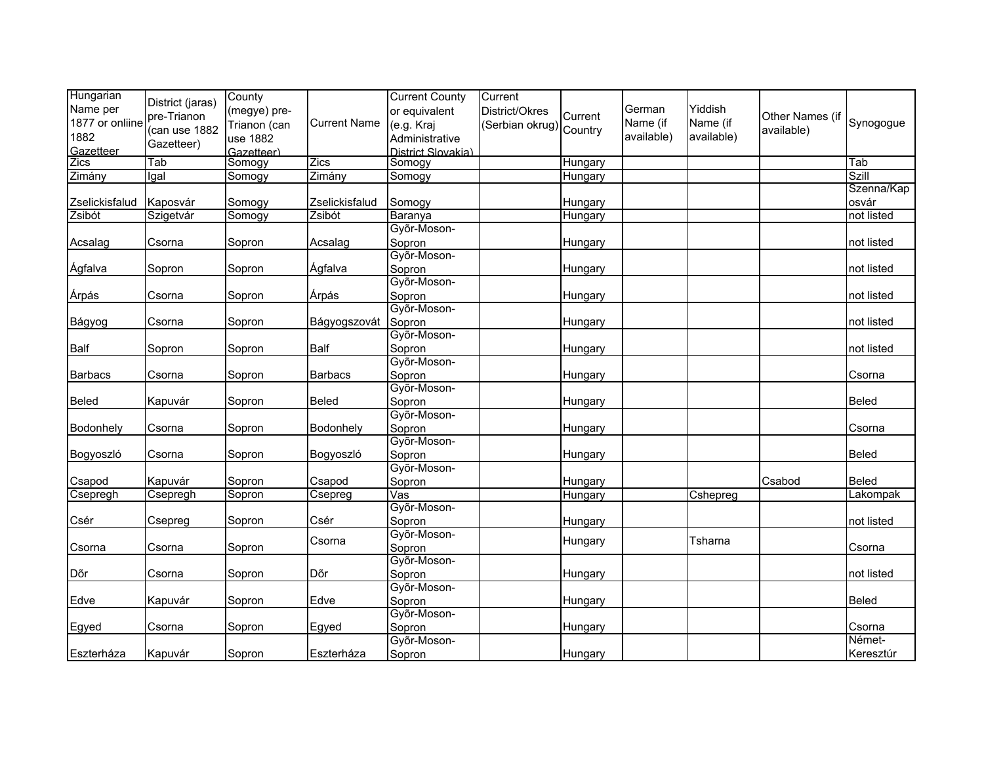| Hungarian       | District (jaras) | County       |                     | <b>Current County</b>   | Current                 |         |            |            |                 |              |
|-----------------|------------------|--------------|---------------------|-------------------------|-------------------------|---------|------------|------------|-----------------|--------------|
| Name per        | pre-Trianon      | (megye) pre- |                     | or equivalent           | District/Okres          | Current | German     | Yiddish    | Other Names (if |              |
| 1877 or onliine | (can use 1882    | Trianon (can | <b>Current Name</b> | (e.g. Kraj              | (Serbian okrug) Country |         | Name (if   | Name (if   | available)      | Synogogue    |
| 1882            | Gazetteer)       | use 1882     |                     | Administrative          |                         |         | available) | available) |                 |              |
| Gazetteer       |                  | Gazetteer)   |                     | District Slovakia)      |                         |         |            |            |                 |              |
| Zics            | Tab              | Somogy       | Zics                | Somogy                  |                         | Hungary |            |            |                 | Tab          |
| Zimány          | Igal             | Somogy       | Zimány              | Somogy                  |                         | Hungary |            |            |                 | Szill        |
|                 |                  |              |                     |                         |                         |         |            |            |                 | Szenna/Kap   |
| Zselickisfalud  | Kaposvár         | Somogy       | Zselickisfalud      | Somogy                  |                         | Hungary |            |            |                 | osvár        |
| Zsibót          | Szigetvár        | Somogy       | Zsibót              | Baranya                 |                         | Hungary |            |            |                 | not listed   |
|                 |                  |              |                     | Győr-Moson-             |                         |         |            |            |                 |              |
| Acsalag         | Csorna           | Sopron       | Acsalag             | Sopron                  |                         | Hungary |            |            |                 | not listed   |
|                 |                  |              |                     | Győr-Moson-             |                         |         |            |            |                 |              |
| Ágfalva         | Sopron           | Sopron       | Ágfalva             | Sopron                  |                         | Hungary |            |            |                 | not listed   |
|                 |                  |              |                     | Győr-Moson-             |                         |         |            |            |                 |              |
| Árpás           | Csorna           | Sopron       | Árpás               | Sopron                  |                         | Hungary |            |            |                 | not listed   |
|                 |                  |              |                     | Győr-Moson-             |                         |         |            |            |                 |              |
| Bágyog          | Csorna           | Sopron       | Bágyogszovát        | Sopron                  |                         | Hungary |            |            |                 | not listed   |
|                 |                  |              |                     | Győr-Moson-             |                         |         |            |            |                 |              |
| Balf            | Sopron           | Sopron       | Balf                | Sopron                  |                         | Hungary |            |            |                 | not listed   |
|                 |                  |              |                     | Győr-Moson-             |                         |         |            |            |                 |              |
| Barbacs         | Csorna           | Sopron       | <b>Barbacs</b>      | Sopron                  |                         | Hungary |            |            |                 | Csorna       |
|                 |                  |              |                     | Győr-Moson-             |                         |         |            |            |                 |              |
| <b>Beled</b>    | Kapuvár          | Sopron       | Beled               | Sopron                  |                         | Hungary |            |            |                 | <b>Beled</b> |
|                 |                  |              |                     | Győr-Moson-             |                         |         |            |            |                 |              |
| Bodonhely       | Csorna           | Sopron       | Bodonhely           | Sopron                  |                         | Hungary |            |            |                 | Csorna       |
|                 |                  |              |                     | Győr-Moson-             |                         |         |            |            |                 |              |
| Bogyoszló       | Csorna           | Sopron       | Bogyoszló           | Sopron                  |                         | Hungary |            |            |                 | <b>Beled</b> |
|                 |                  |              |                     | Győr-Moson-             |                         |         |            |            |                 |              |
| Csapod          | Kapuvár          | Sopron       | Csapod              | Sopron                  |                         | Hungary |            |            | Csabod          | <b>Beled</b> |
| Csepregh        | Csepregh         | Sopron       | Csepreg             | $\overline{\text{Vas}}$ |                         | Hungary |            | Cshepreg   |                 | Lakompak     |
|                 |                  |              |                     | Győr-Moson-             |                         |         |            |            |                 |              |
| Csér            | Csepreg          | Sopron       | Csér                | Sopron                  |                         | Hungary |            |            |                 | not listed   |
|                 |                  |              | Csorna              | Győr-Moson-             |                         | Hungary |            | Tsharna    |                 |              |
| Csorna          | Csorna           | Sopron       |                     | Sopron                  |                         |         |            |            |                 | Csorna       |
|                 |                  |              |                     | Győr-Moson-             |                         |         |            |            |                 |              |
| Dõr             | Csorna           | Sopron       | Dõr                 | Sopron                  |                         | Hungary |            |            |                 | not listed   |
|                 |                  |              |                     | Győr-Moson-             |                         |         |            |            |                 |              |
| Edve            | Kapuvár          | Sopron       | Edve                | Sopron                  |                         | Hungary |            |            |                 | Beled        |
|                 |                  |              |                     | Győr-Moson-             |                         |         |            |            |                 |              |
| Egyed           | Csorna           | Sopron       | Egyed               | Sopron                  |                         | Hungary |            |            |                 | Csorna       |
|                 |                  |              |                     | Győr-Moson-             |                         |         |            |            |                 | Német-       |
| Eszterháza      | Kapuvár          | Sopron       | Eszterháza          | Sopron                  |                         | Hungary |            |            |                 | Keresztúr    |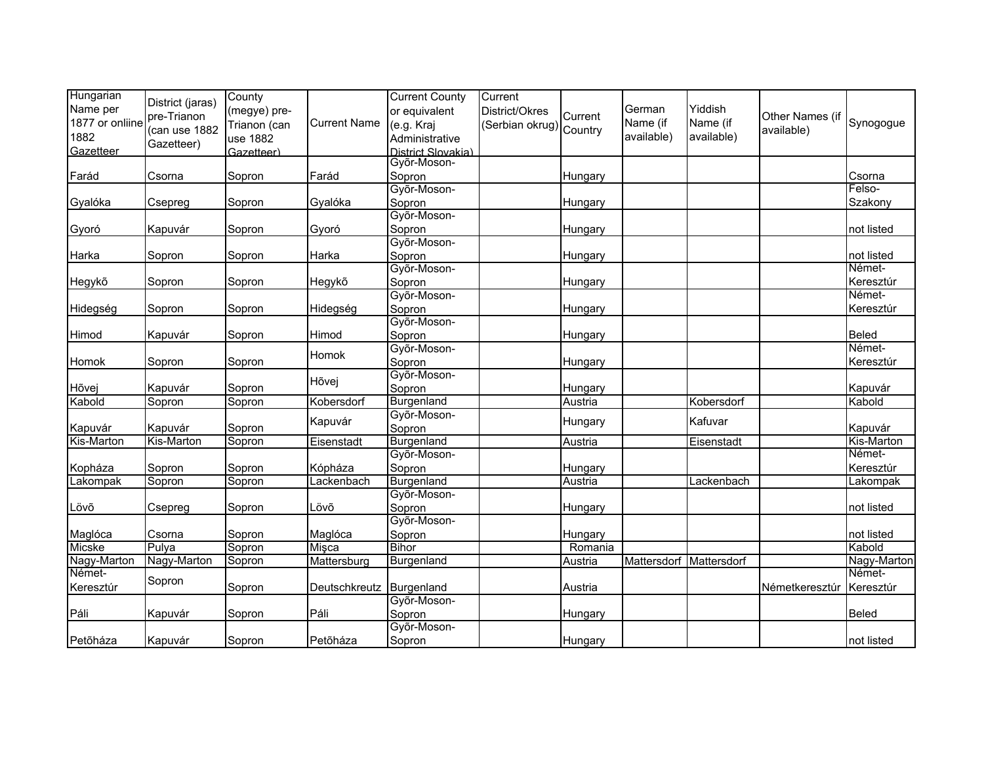| Hungarian       | District (jaras) | County       |                     | <b>Current County</b> | Current                |         |             |             |                 |             |
|-----------------|------------------|--------------|---------------------|-----------------------|------------------------|---------|-------------|-------------|-----------------|-------------|
| Name per        | pre-Trianon      | (megye) pre- |                     | or equivalent         | District/Okres         | Current | German      | Yiddish     | Other Names (if |             |
| 1877 or onliine | (can use 1882    | Trianon (can | <b>Current Name</b> | (e.g. Kraj            | Serbian okrug) Country |         | Name (if    | Name (if    | available)      | Synogogue   |
| 1882            | Gazetteer)       | use 1882     |                     | Administrative        |                        |         | available)  | available)  |                 |             |
| Gazetteer       |                  | Gazetteer)   |                     | District Slovakia)    |                        |         |             |             |                 |             |
|                 |                  |              |                     | Győr-Moson-           |                        |         |             |             |                 |             |
| Farád           | Csorna           | Sopron       | Farád               | Sopron                |                        | Hungary |             |             |                 | Csorna      |
|                 |                  |              |                     | Győr-Moson-           |                        |         |             |             |                 | Felso-      |
| Gyalóka         | Csepreg          | Sopron       | Gyalóka             | Sopron                |                        | Hungary |             |             |                 | Szakony     |
|                 |                  |              |                     | Győr-Moson-           |                        |         |             |             |                 |             |
| Gyoró           | Kapuvár          | Sopron       | Gyoró               | Sopron                |                        | Hungary |             |             |                 | not listed  |
|                 |                  |              |                     | Győr-Moson-           |                        |         |             |             |                 |             |
| Harka           | Sopron           | Sopron       | Harka               | Sopron                |                        | Hungary |             |             |                 | not listed  |
|                 |                  |              |                     | Győr-Moson-           |                        |         |             |             |                 | Német-      |
| Hegykõ          | Sopron           | Sopron       | Hegykő              | Sopron                |                        | Hungary |             |             |                 | Keresztúr   |
|                 |                  |              |                     | Győr-Moson-           |                        |         |             |             |                 | Német-      |
| Hidegség        | Sopron           | Sopron       | Hidegség            | Sopron                |                        | Hungary |             |             |                 | Keresztúr   |
|                 |                  |              |                     | Győr-Moson-           |                        |         |             |             |                 |             |
| Himod           | Kapuvár          | Sopron       | Himod               | Sopron                |                        | Hungary |             |             |                 | Beled       |
|                 |                  |              |                     | Győr-Moson-           |                        |         |             |             |                 | Német-      |
| Homok           | Sopron           | Sopron       | Homok               | Sopron                |                        | Hungary |             |             |                 | Keresztúr   |
|                 |                  |              |                     | Győr-Moson-           |                        |         |             |             |                 |             |
| Hõvej           | Kapuvár          | Sopron       | Hõvej               | Sopron                |                        | Hungary |             |             |                 | Kapuvár     |
| Kabold          | Sopron           | Sopron       | Kobersdorf          | Burgenland            |                        | Austria |             | Kobersdorf  |                 | Kabold      |
|                 |                  |              |                     | Győr-Moson-           |                        |         |             |             |                 |             |
| Kapuvár         | Kapuvár          | Sopron       | Kapuvár             | Sopron                |                        | Hungary |             | Kafuvar     |                 | Kapuvár     |
| Kis-Marton      | Kis-Marton       | Sopron       | Eisenstadt          | Burgenland            |                        | Austria |             | Eisenstadt  |                 | Kis-Marton  |
|                 |                  |              |                     | Győr-Moson-           |                        |         |             |             |                 | Német-      |
| Kopháza         | Sopron           | Sopron       | Kópháza             | Sopron                |                        | Hungary |             |             |                 | Keresztúr   |
| Lakompak        | Sopron           | Sopron       | Lackenbach          | Burgenland            |                        | Austria |             | Lackenbach  |                 | Lakompak    |
|                 |                  |              |                     | Győr-Moson-           |                        |         |             |             |                 |             |
| Lövő            | Csepreg          | Sopron       | Lövő                | Sopron                |                        | Hungary |             |             |                 | not listed  |
|                 |                  |              |                     | Győr-Moson-           |                        |         |             |             |                 |             |
| Maglóca         | Csorna           | Sopron       | Maglóca             | Sopron                |                        | Hungary |             |             |                 | not listed  |
| Micske          | Pulya            | Sopron       | Misca               | <b>Bihor</b>          |                        | Romania |             |             |                 | Kabold      |
| Nagy-Marton     | Nagy-Marton      | Sopron       | Mattersburg         | Burgenland            |                        | Austria | Mattersdorf | Mattersdorf |                 | Nagy-Marton |
| Német-          |                  |              |                     |                       |                        |         |             |             |                 | Német-      |
| Keresztúr       | Sopron           | Sopron       | Deutschkreutz       | Burgenland            |                        | Austria |             |             | Németkeresztúr  | Keresztúr   |
|                 |                  |              |                     | Győr-Moson-           |                        |         |             |             |                 |             |
| Páli            | Kapuvár          | Sopron       | Páli                | Sopron                |                        | Hungary |             |             |                 | Beled       |
|                 |                  |              |                     | Győr-Moson-           |                        |         |             |             |                 |             |
| Petõháza        | Kapuvár          | Sopron       | Petõháza            | Sopron                |                        | Hungary |             |             |                 | not listed  |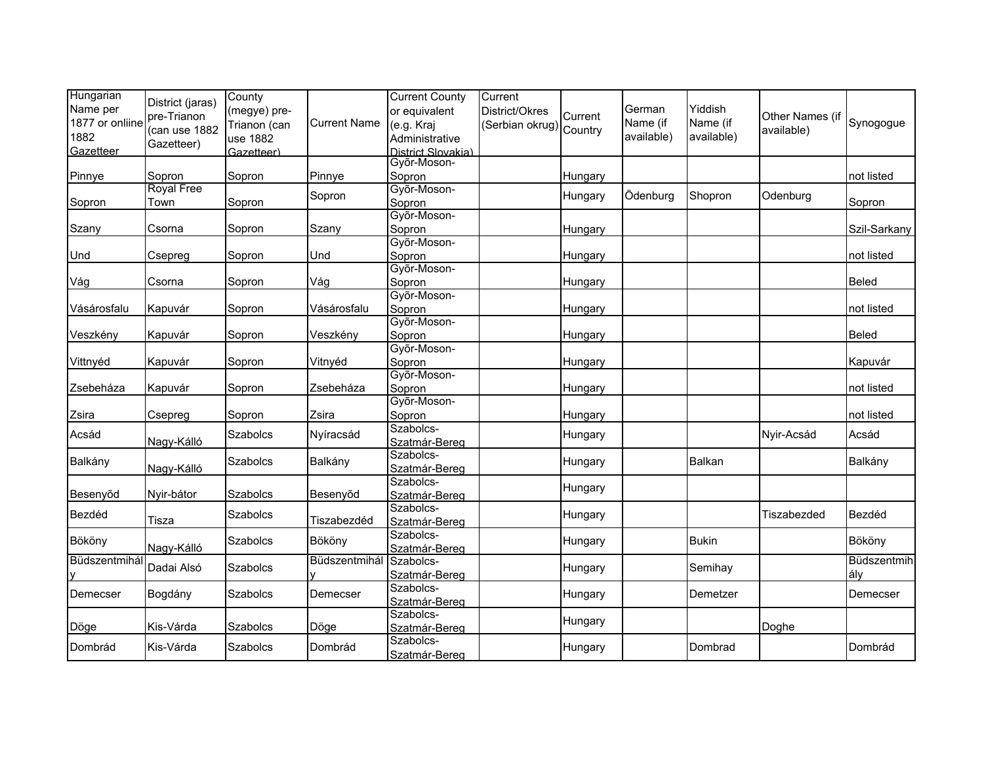| Hungarian<br>Name per<br>1877 or onliine<br>1882<br>Gazetteer | District (jaras)<br>pre-Trianon<br>(can use 1882<br>Gazetteer) | County<br>(megye) pre-<br>Trianon (can<br>use 1882<br>Gazetteer) | <b>Current Name</b> | <b>Current County</b><br>or equivalent<br>(e.g. Kraj<br>Administrative<br>District Slovakia) | Current<br>District/Okres<br>Serbian okrug) Country | Current            | German<br>Name (if<br>available) | Yiddish<br>Name (if<br>available) | Other Names (if<br>available) | Synogogue          |
|---------------------------------------------------------------|----------------------------------------------------------------|------------------------------------------------------------------|---------------------|----------------------------------------------------------------------------------------------|-----------------------------------------------------|--------------------|----------------------------------|-----------------------------------|-------------------------------|--------------------|
|                                                               |                                                                |                                                                  |                     | Győr-Moson-                                                                                  |                                                     |                    |                                  |                                   |                               |                    |
| Pinnye                                                        | Sopron                                                         | Sopron                                                           | Pinnye              | Sopron                                                                                       |                                                     | Hungary            |                                  |                                   |                               | not listed         |
| Sopron                                                        | <b>Royal Free</b><br>Town                                      | Sopron                                                           | Sopron              | Győr-Moson-<br>Sopron                                                                        |                                                     | Hungary            | Ödenburg                         | Shopron                           | Odenburg                      | Sopron             |
| Szany                                                         | Csorna                                                         | Sopron                                                           | Szany               | Győr-Moson-<br>Sopron                                                                        |                                                     | Hungary            |                                  |                                   |                               | Szil-Sarkany       |
| Und                                                           | Csepreg                                                        | Sopron                                                           | Und                 | Győr-Moson-<br>Sopron                                                                        |                                                     | Hungary            |                                  |                                   |                               | not listed         |
| Vág                                                           | Csorna                                                         | Sopron                                                           | Vág                 | Győr-Moson-<br>Sopron                                                                        |                                                     | Hungary            |                                  |                                   |                               | <b>Beled</b>       |
| Vásárosfalu                                                   | Kapuvár                                                        | Sopron                                                           | Vásárosfalu         | Győr-Moson-<br>Sopron                                                                        |                                                     | Hungary            |                                  |                                   |                               | not listed         |
|                                                               |                                                                |                                                                  |                     | Győr-Moson-                                                                                  |                                                     |                    |                                  |                                   |                               |                    |
| Veszkény                                                      | Kapuvár                                                        | Sopron                                                           | Veszkénv            | Sopron                                                                                       |                                                     | Hungary            |                                  |                                   |                               | <b>Beled</b>       |
| Vittnyéd                                                      | Kapuvár                                                        | Sopron                                                           | Vitnyéd             | Győr-Moson-<br>Sopron                                                                        |                                                     | Hungary            |                                  |                                   |                               | Kapuvár            |
| Zsebeháza                                                     | Kapuvár                                                        | Sopron                                                           | Zsebeháza           | Győr-Moson-<br>Sopron                                                                        |                                                     | Hungary            |                                  |                                   |                               | not listed         |
| Zsira                                                         |                                                                |                                                                  | Zsira               | Győr-Moson-<br>Sopron                                                                        |                                                     |                    |                                  |                                   |                               | not listed         |
| Acsád                                                         | Csepreg                                                        | Sopron<br><b>Szabolcs</b>                                        | Nyíracsád           | Szabolcs-                                                                                    |                                                     | Hungary<br>Hungary |                                  |                                   | Nyir-Acsád                    | Acsád              |
|                                                               | Nagy-Kálló                                                     |                                                                  |                     | Szatmár-Bereg                                                                                |                                                     |                    |                                  |                                   |                               |                    |
| Balkány                                                       | Nagy-Kálló                                                     | Szabolcs                                                         | Balkány             | Szabolcs-<br>Szatmár-Bereg                                                                   |                                                     | Hungary            |                                  | <b>Balkan</b>                     |                               | Balkány            |
| Besenyőd                                                      | Nyir-bátor                                                     | Szabolcs                                                         | Besenyőd            | Szabolcs-<br>Szatmár-Bereg                                                                   |                                                     | Hungary            |                                  |                                   |                               |                    |
| Bezdéd                                                        | Tisza                                                          | <b>Szabolcs</b>                                                  | Tiszabezdéd         | Szabolcs-<br>Szatmár-Bereg                                                                   |                                                     | Hungary            |                                  |                                   | Tiszabezded                   | Bezdéd             |
| Bököny                                                        | Nagy-Kálló                                                     | Szabolcs                                                         | Bököny              | Szabolcs-<br>Szatmár-Bereg                                                                   |                                                     | Hungary            |                                  | <b>Bukin</b>                      |                               | Bököny             |
| Büdszentmihá                                                  | Dadai Alsó                                                     | Szabolcs                                                         | Büdszentmihál       | Szabolcs-<br>Szatmár-Bereg                                                                   |                                                     | Hungary            |                                  | Semihay                           |                               | Büdszentmih<br>ály |
| Demecser                                                      | Bogdány                                                        | Szabolcs                                                         | Demecser            | Szabolcs-<br>Szatmár-Bereg                                                                   |                                                     | Hungary            |                                  | Demetzer                          |                               | Demecser           |
| Döge                                                          | Kis-Várda                                                      | Szabolcs                                                         | Döge                | Szabolcs-<br>Szatmár-Bereg                                                                   |                                                     | Hungary            |                                  |                                   | Doghe                         |                    |
| Dombrád                                                       | Kis-Várda                                                      | Szabolcs                                                         | Dombrád             | Szabolcs-<br>Szatmár-Bereg                                                                   |                                                     | Hungary            |                                  | Dombrad                           |                               | Dombrád            |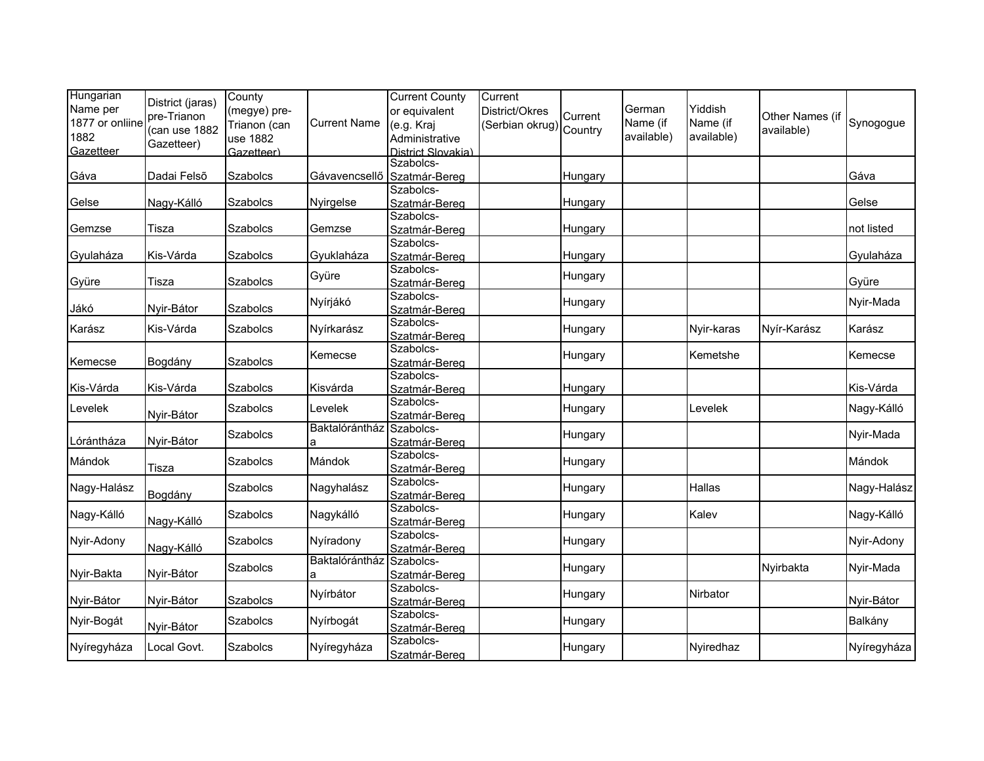| Hungarian<br>Name per<br>1877 or onliine<br>1882<br>Gazetteer | District (jaras)<br>pre-Trianon<br>(can use 1882<br>Gazetteer) | County<br>(megye) pre-<br>Trianon (can<br>use 1882<br>Gazetteer) | <b>Current Name</b> | <b>Current County</b><br>or equivalent<br>(e.g. Kraj<br>Administrative<br>District Slovakia) | Current<br>District/Okres<br>Serbian okrug) Country | Current | German<br>Name (if<br>available) | Yiddish<br>Name (if<br>available) | Other Names (if<br>available) | Synogogue   |
|---------------------------------------------------------------|----------------------------------------------------------------|------------------------------------------------------------------|---------------------|----------------------------------------------------------------------------------------------|-----------------------------------------------------|---------|----------------------------------|-----------------------------------|-------------------------------|-------------|
| Gáva                                                          | Dadai Felsõ                                                    | Szabolcs                                                         | Gávavencsellő       | Szabolcs-<br>Szatmár-Bereg                                                                   |                                                     | Hungary |                                  |                                   |                               | Gáva        |
| Gelse                                                         | Nagy-Kálló                                                     | Szabolcs                                                         | Nyirgelse           | Szabolcs-<br>Szatmár-Bereg                                                                   |                                                     | Hungary |                                  |                                   |                               | Gelse       |
| Gemzse                                                        | Tisza                                                          | Szabolcs                                                         | Gemzse              | Szabolcs-<br>Szatmár-Bereg                                                                   |                                                     | Hungary |                                  |                                   |                               | not listed  |
| Gyulaháza                                                     | Kis-Várda                                                      | Szabolcs                                                         | Gyuklaháza          | Szabolcs-<br>Szatmár-Bereg                                                                   |                                                     | Hungary |                                  |                                   |                               | Gyulaháza   |
| Gyüre                                                         | Tisza                                                          | Szabolcs                                                         | Gyüre               | Szabolcs-<br>Szatmár-Bereg                                                                   |                                                     | Hungary |                                  |                                   |                               | Gyüre       |
| Jákó                                                          | Nyir-Bátor                                                     | Szabolcs                                                         | Nyírjákó            | Szabolcs-<br>Szatmár-Bereg                                                                   |                                                     | Hungary |                                  |                                   |                               | Nyir-Mada   |
| Karász                                                        | Kis-Várda                                                      | Szabolcs                                                         | Nyírkarász          | Szabolcs-<br>Szatmár-Bereg                                                                   |                                                     | Hungary |                                  | Nyir-karas                        | Nyír-Karász                   | Karász      |
| Kemecse                                                       | Bogdány                                                        | Szabolcs                                                         | Kemecse             | Szabolcs-<br>Szatmár-Bereg                                                                   |                                                     | Hungary |                                  | Kemetshe                          |                               | Kemecse     |
| Kis-Várda                                                     | Kis-Várda                                                      | Szabolcs                                                         | Kisvárda            | Szabolcs-<br>Szatmár-Bereg                                                                   |                                                     | Hungary |                                  |                                   |                               | Kis-Várda   |
| Levelek                                                       | Nyir-Bátor                                                     | <b>Szabolcs</b>                                                  | Levelek             | Szabolcs-<br>Szatmár-Bereg                                                                   |                                                     | Hungary |                                  | Levelek                           |                               | Nagy-Kálló  |
| Lórántháza                                                    | Nyir-Bátor                                                     | <b>Szabolcs</b>                                                  | Baktalórántház      | Szabolcs-<br>Szatmár-Bereg                                                                   |                                                     | Hungary |                                  |                                   |                               | Nyir-Mada   |
| Mándok                                                        | Tisza                                                          | <b>Szabolcs</b>                                                  | Mándok              | Szabolcs-<br>Szatmár-Bereg                                                                   |                                                     | Hungary |                                  |                                   |                               | Mándok      |
| Nagy-Halász                                                   | Bogdány                                                        | <b>Szabolcs</b>                                                  | Nagyhalász          | Szabolcs-<br>Szatmár-Bereg                                                                   |                                                     | Hungary |                                  | Hallas                            |                               | Nagy-Halász |
| Nagy-Kálló                                                    | Nagy-Kálló                                                     | <b>Szabolcs</b>                                                  | Nagykálló           | Szabolcs-<br>Szatmár-Bereg                                                                   |                                                     | Hungary |                                  | Kalev                             |                               | Nagy-Kálló  |
| Nyir-Adony                                                    | Nagy-Kálló                                                     | Szabolcs                                                         | Nyíradony           | Szabolcs-<br>Szatmár-Bereg                                                                   |                                                     | Hungary |                                  |                                   |                               | Nyir-Adony  |
| Nyir-Bakta                                                    | Nyir-Bátor                                                     | Szabolcs                                                         | Baktalórántház<br>a | Szabolcs-<br>Szatmár-Bereg                                                                   |                                                     | Hungary |                                  |                                   | Nyirbakta                     | Nyir-Mada   |
| Nyir-Bátor                                                    | Nyir-Bátor                                                     | Szabolcs                                                         | Nyírbátor           | Szabolcs-<br>Szatmár-Bereg                                                                   |                                                     | Hungary |                                  | Nirbator                          |                               | Nyir-Bátor  |
| Nyir-Bogát                                                    | Nyir-Bátor                                                     | Szabolcs                                                         | Nyírbogát           | Szabolcs-<br>Szatmár-Bereg                                                                   |                                                     | Hungary |                                  |                                   |                               | Balkány     |
| Nyíregyháza                                                   | Local Govt.                                                    | Szabolcs                                                         | Nyíregyháza         | Szabolcs-<br>Szatmár-Bereg                                                                   |                                                     | Hungary |                                  | Nyiredhaz                         |                               | Nyíregyháza |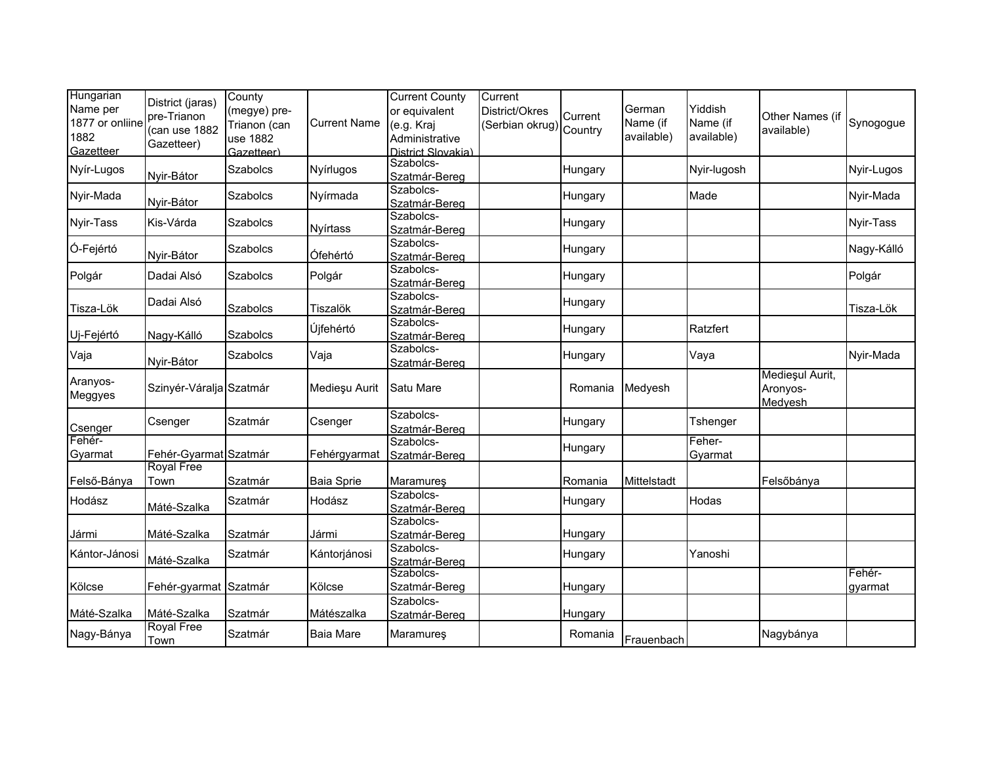| Hungarian<br>Name per<br>1877 or onliine<br>1882<br>Gazetteer | District (jaras)<br>pre-Trianon<br>(can use 1882<br>Gazetteer) | County<br>(megye) pre-<br>Trianon (can<br>use 1882<br>Gazetteer) | <b>Current Name</b> | <b>Current County</b><br>or equivalent<br>(e.g. Kraj<br>Administrative<br>District Slovakia) | Current<br>District/Okres<br>Serbian okrug) Country | Current | German<br>Name (if<br>available) | Yiddish<br>Name (if<br>available) | Other Names (if<br>available)          | Synogogue         |
|---------------------------------------------------------------|----------------------------------------------------------------|------------------------------------------------------------------|---------------------|----------------------------------------------------------------------------------------------|-----------------------------------------------------|---------|----------------------------------|-----------------------------------|----------------------------------------|-------------------|
| Nyír-Lugos                                                    | Nyir-Bátor                                                     | <b>Szabolcs</b>                                                  | Nyírlugos           | Szabolcs-<br>Szatmár-Bereg                                                                   |                                                     | Hungary |                                  | Nyir-lugosh                       |                                        | Nyir-Lugos        |
| Nyir-Mada                                                     | Nyir-Bátor                                                     | Szabolcs                                                         | Nyírmada            | Szabolcs-<br>Szatmár-Bereg                                                                   |                                                     | Hungary |                                  | Made                              |                                        | Nyir-Mada         |
| Nyir-Tass                                                     | Kis-Várda                                                      | Szabolcs                                                         | Nyírtass            | Szabolcs-<br>Szatmár-Bereg                                                                   |                                                     | Hungary |                                  |                                   |                                        | Nyir-Tass         |
| Ó-Fejértó                                                     | Nyir-Bátor                                                     | <b>Szabolcs</b>                                                  | Ófehértó            | Szabolcs-<br>Szatmár-Bereg                                                                   |                                                     | Hungary |                                  |                                   |                                        | Nagy-Kálló        |
| Polgár                                                        | Dadai Alsó                                                     | Szabolcs                                                         | Polgár              | Szabolcs-<br>Szatmár-Bereg                                                                   |                                                     | Hungary |                                  |                                   |                                        | Polgár            |
| Tisza-Lök                                                     | Dadai Alsó                                                     | Szabolcs                                                         | Tiszalök            | Szabolcs-<br>Szatmár-Bereg                                                                   |                                                     | Hungary |                                  |                                   |                                        | Tisza-Lök         |
| Uj-Fejértó                                                    | Nagy-Kálló                                                     | Szabolcs                                                         | Újfehértó           | Szabolcs-<br>Szatmár-Bereg                                                                   |                                                     | Hungary |                                  | Ratzfert                          |                                        |                   |
| Vaja                                                          | Nyir-Bátor                                                     | <b>Szabolcs</b>                                                  | Vaja                | Szabolcs-<br>Szatmár-Bereg                                                                   |                                                     | Hungary |                                  | Vaya                              |                                        | Nyir-Mada         |
| Aranyos-<br>Meggyes                                           | Szinyér-Váralja Szatmár                                        |                                                                  | Medieșu Aurit       | Satu Mare                                                                                    |                                                     | Romania | Medyesh                          |                                   | Medieșul Aurit,<br>Aronyos-<br>Medyesh |                   |
| Csenger                                                       | Csenger                                                        | Szatmár                                                          | Csenger             | Szabolcs-<br>Szatmár-Bereg                                                                   |                                                     | Hungary |                                  | Tshenger                          |                                        |                   |
| Fehér-<br>Gyarmat                                             | Fehér-Gyarmat Szatmár                                          |                                                                  | Fehérgyarmat        | Szabolcs-<br>Szatmár-Bereg                                                                   |                                                     | Hungary |                                  | Feher-<br>Gyarmat                 |                                        |                   |
| Felső-Bánya                                                   | <b>Royal Free</b><br>Town                                      | Szatmár                                                          | Baia Sprie          | Maramureş                                                                                    |                                                     | Romania | Mittelstadt                      |                                   | Felsőbánya                             |                   |
| Hodász                                                        | Máté-Szalka                                                    | Szatmár                                                          | Hodász              | Szabolcs-<br>Szatmár-Bereg                                                                   |                                                     | Hungary |                                  | Hodas                             |                                        |                   |
| Jármi                                                         | Máté-Szalka                                                    | Szatmár                                                          | Jármi               | Szabolcs-<br>Szatmár-Bereg                                                                   |                                                     | Hungary |                                  |                                   |                                        |                   |
| Kántor-Jánosi                                                 | Máté-Szalka                                                    | Szatmár                                                          | Kántorjánosi        | Szabolcs-<br>Szatmár-Bereg                                                                   |                                                     | Hungary |                                  | Yanoshi                           |                                        |                   |
| Kölcse                                                        | Fehér-gyarmat Szatmár                                          |                                                                  | Kölcse              | Szabolcs-<br>Szatmár-Bereg<br>Szabolcs-                                                      |                                                     | Hungary |                                  |                                   |                                        | Fehér-<br>gyarmat |
| Máté-Szalka                                                   | Máté-Szalka                                                    | Szatmár                                                          | Mátészalka          | Szatmár-Bereg                                                                                |                                                     | Hungary |                                  |                                   |                                        |                   |
| Nagy-Bánya                                                    | <b>Royal Free</b><br>Town                                      | Szatmár                                                          | <b>Baia Mare</b>    | Maramureş                                                                                    |                                                     | Romania | Frauenbach                       |                                   | Nagybánya                              |                   |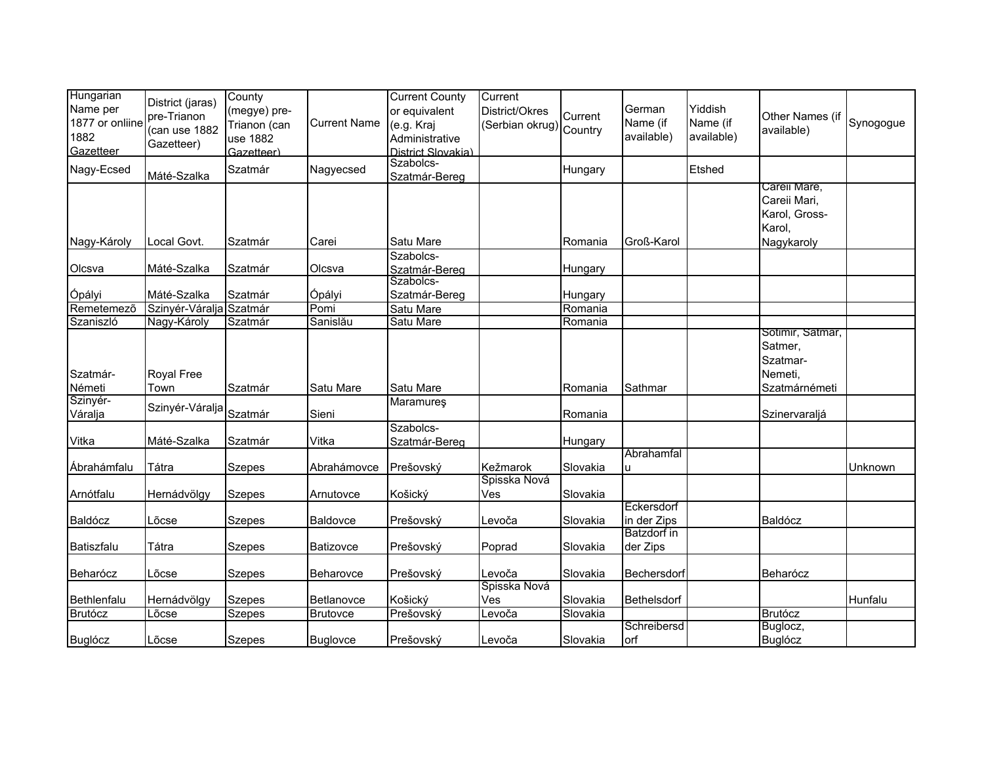| Hungarian<br>Name per<br>1877 or onliine<br>1882<br>Gazetteer | District (jaras)<br>pre-Trianon<br>(can use 1882<br>Gazetteer) | County<br>(megye) pre-<br>Trianon (can<br>use 1882<br>Gazetteer) | <b>Current Name</b> | <b>Current County</b><br>or equivalent<br>(e.g. Kraj<br>Administrative<br>District Slovakia) | Current<br>District/Okres<br>Serbian okrug) Country | Current  | German<br>Name (if<br>available) | Yiddish<br>Name (if<br>available) | Other Names (if<br>available)                           | Synogogue |
|---------------------------------------------------------------|----------------------------------------------------------------|------------------------------------------------------------------|---------------------|----------------------------------------------------------------------------------------------|-----------------------------------------------------|----------|----------------------------------|-----------------------------------|---------------------------------------------------------|-----------|
| Nagy-Ecsed                                                    | Máté-Szalka                                                    | Szatmár                                                          | Nagyecsed           | Szabolcs-<br>Szatmár-Bereg                                                                   |                                                     | Hungary  |                                  | Etshed                            |                                                         |           |
|                                                               |                                                                |                                                                  |                     |                                                                                              |                                                     |          |                                  |                                   | Carell Mare,<br>Careii Mari,<br>Karol, Gross-<br>Karol, |           |
| Nagy-Károly                                                   | Local Govt.                                                    | Szatmár                                                          | Carei               | Satu Mare                                                                                    |                                                     | Romania  | Groß-Karol                       |                                   | Nagykaroly                                              |           |
| Olcsva                                                        | Máté-Szalka                                                    | Szatmár                                                          | Olcsva              | Szabolcs-<br>Szatmár-Bereg                                                                   |                                                     | Hungary  |                                  |                                   |                                                         |           |
| Ópályi                                                        | Máté-Szalka                                                    | Szatmár                                                          | Ópályi              | Szabolcs-<br>Szatmár-Bereg                                                                   |                                                     | Hungary  |                                  |                                   |                                                         |           |
| Remetemező                                                    | Szinyér-Váralja Szatmár                                        |                                                                  | Pomi                | Satu Mare                                                                                    |                                                     | Romania  |                                  |                                   |                                                         |           |
| Szaniszló                                                     | Nagy-Károly                                                    | Szatmár                                                          | Sanislău            | Satu Mare                                                                                    |                                                     | Romania  |                                  |                                   | Sotimir, Satmar,                                        |           |
| Szatmár-<br>Németi                                            | Royal Free<br>Town                                             | Szatmár                                                          | Satu Mare           | Satu Mare                                                                                    |                                                     | Romania  | Sathmar                          |                                   | Satmer,<br>Szatmar-<br>Nemeti,<br>Szatmárnémeti         |           |
| Szinyér-<br>Váralja                                           | Szinyér-Váralja                                                | Szatmár                                                          | Sieni               | Maramures                                                                                    |                                                     | Romania  |                                  |                                   | Szinervaraljá                                           |           |
| Vitka                                                         | Máté-Szalka                                                    | Szatmár                                                          | Vitka               | Szabolcs-<br>Szatmár-Bereg                                                                   |                                                     | Hungary  |                                  |                                   |                                                         |           |
|                                                               |                                                                |                                                                  |                     |                                                                                              |                                                     |          | Abrahamfal                       |                                   |                                                         |           |
| Ábrahámfalu                                                   | Tátra                                                          | <b>Szepes</b>                                                    | Abrahámovce         | Prešovský                                                                                    | Kežmarok<br>Spisska Nová                            | Slovakia |                                  |                                   |                                                         | Unknown   |
| Arnótfalu                                                     | Hernádvölgy                                                    | <b>Szepes</b>                                                    | Arnutovce           | Košický                                                                                      | Ves                                                 | Slovakia |                                  |                                   |                                                         |           |
| Baldócz                                                       | Lõcse                                                          | <b>Szepes</b>                                                    | Baldovce            | Prešovský                                                                                    | _evoča                                              | Slovakia | Eckersdorf<br>in der Zips        |                                   | Baldócz                                                 |           |
| Batiszfalu                                                    | Tátra                                                          | <b>Szepes</b>                                                    | Batizovce           | Prešovský                                                                                    | Poprad                                              | Slovakia | <b>Batzdorf</b> in<br>der Zips   |                                   |                                                         |           |
| Beharócz                                                      | Lõcse                                                          | <b>Szepes</b>                                                    | Beharovce           | Prešovský                                                                                    | Levoča                                              | Slovakia | Bechersdorf                      |                                   | Beharócz                                                |           |
| Bethlenfalu                                                   | Hernádvölgy                                                    | <b>Szepes</b>                                                    | Betlanovce          | Košický                                                                                      | Spisska Nová<br>Ves                                 | Slovakia | Bethelsdorf                      |                                   |                                                         | Hunfalu   |
| <b>Brutócz</b>                                                | Lõcse                                                          | <b>Szepes</b>                                                    | <b>Brutovce</b>     | Prešovský                                                                                    | _evoča                                              | Slovakia |                                  |                                   | <b>Brutócz</b>                                          |           |
| <b>Buglócz</b>                                                | Lõcse                                                          | <b>Szepes</b>                                                    | <b>Buglovce</b>     | Prešovský                                                                                    | Levoča                                              | Slovakia | Schreibersd<br>orf               |                                   | Buglocz,<br><b>Buglócz</b>                              |           |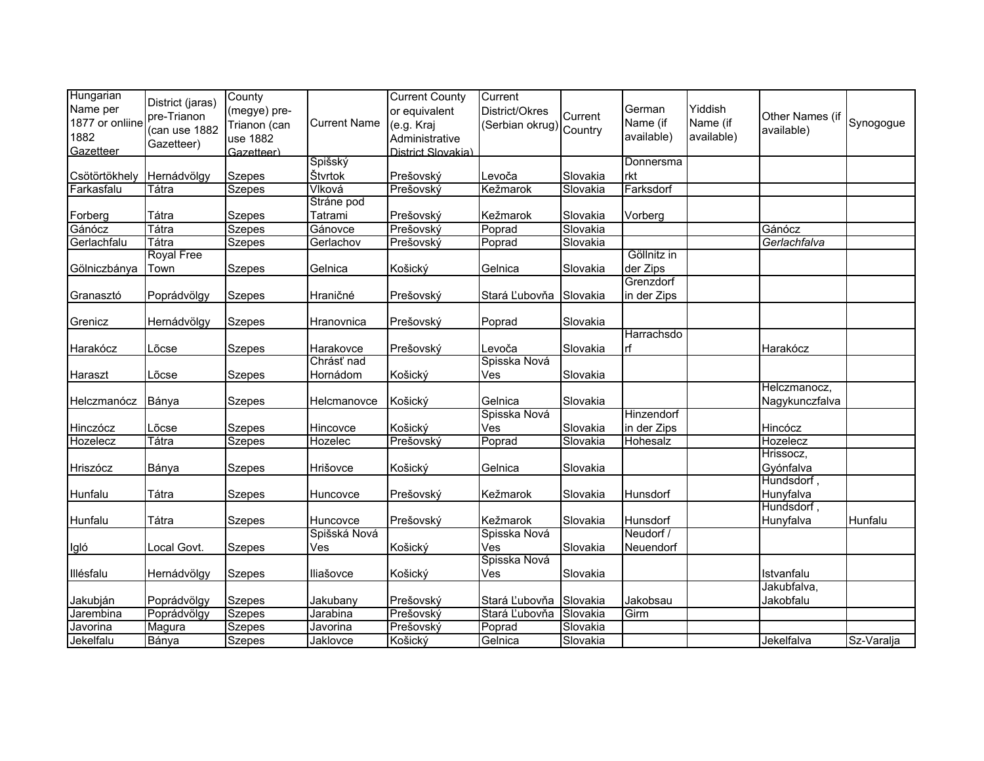| Hungarian<br>Name per                | District (jaras)<br>pre-Trianon | County<br>(megye) pre-                 |                     | <b>Current County</b><br>or equivalent             | Current<br>District/Okres | Current  | German                 | Yiddish                | Other Names (if                |            |
|--------------------------------------|---------------------------------|----------------------------------------|---------------------|----------------------------------------------------|---------------------------|----------|------------------------|------------------------|--------------------------------|------------|
| 1877 or onliine<br>1882<br>Gazetteer | (can use 1882<br>Gazetteer)     | Trianon (can<br>use 1882<br>Gazetteer) | <b>Current Name</b> | (e.g. Kraj<br>Administrative<br>District Slovakia) | Serbian okrug) Country    |          | Name (if<br>available) | Name (if<br>available) | available)                     | Synogogue  |
|                                      |                                 |                                        | Spišský             |                                                    |                           |          | Donnersma              |                        |                                |            |
| Csötörtökhely                        | Hernádvölgy                     | <b>Szepes</b>                          | Štvrtok             | Prešovský                                          | Levoča                    | Slovakia | rkt                    |                        |                                |            |
| Farkasfalu                           | Tátra                           | <b>Szepes</b>                          | Vlková              | Prešovský                                          | Kežmarok                  | Slovakia | Farksdorf              |                        |                                |            |
|                                      |                                 |                                        | Stráne pod          |                                                    |                           |          |                        |                        |                                |            |
| Forberg                              | Tátra                           | <b>Szepes</b>                          | Tatrami             | Prešovský                                          | Kežmarok                  | Slovakia | Vorberg                |                        |                                |            |
| Gánócz                               | Tátra                           | <b>Szepes</b>                          | Gánovce             | Prešovský                                          | Poprad                    | Slovakia |                        |                        | Gánócz                         |            |
| Gerlachfalu                          | Tátra                           | <b>Szepes</b>                          | Gerlachov           | Prešovský                                          | Poprad                    | Slovakia |                        |                        | Gerlachfalva                   |            |
|                                      | <b>Royal Free</b>               |                                        |                     |                                                    |                           |          | Göllnitz in            |                        |                                |            |
| Gölniczbánya                         | Town                            | Szepes                                 | Gelnica             | Košický                                            | Gelnica                   | Slovakia | der Zips               |                        |                                |            |
|                                      |                                 |                                        |                     |                                                    |                           |          | Grenzdorf              |                        |                                |            |
| Granasztó                            | Poprádvölgy                     | <b>Szepes</b>                          | Hraničné            | Prešovský                                          | Stará Ľubovňa Slovakia    |          | in der Zips            |                        |                                |            |
| Grenicz                              | Hernádvölgy                     | <b>Szepes</b>                          | Hranovnica          | Prešovský                                          | Poprad                    | Slovakia |                        |                        |                                |            |
|                                      |                                 |                                        |                     |                                                    |                           |          | Harrachsdo             |                        |                                |            |
| Harakócz                             | Lõcse                           | <b>Szepes</b>                          | Harakovce           | Prešovský                                          | Levoča                    | Slovakia | lrf                    |                        | Harakócz                       |            |
|                                      |                                 |                                        | Chrásť nad          |                                                    | Spisska Nová              |          |                        |                        |                                |            |
| Haraszt                              | Lõcse                           | <b>Szepes</b>                          | Hornádom            | Košický                                            | Ves                       | Slovakia |                        |                        |                                |            |
| Helczmanócz                          | Bánya                           | <b>Szepes</b>                          | Helcmanovce         | Košický                                            | Gelnica                   | Slovakia |                        |                        | Helczmanocz,<br>Nagykunczfalva |            |
|                                      |                                 |                                        |                     |                                                    | Spisska Nová              |          | Hinzendorf             |                        |                                |            |
| Hinczócz                             | Lõcse                           | Szepes                                 | Hincovce            | Košický                                            | Ves                       | Slovakia | in der Zips            |                        | Hincócz                        |            |
| Hozelecz                             | Tátra                           | <b>Szepes</b>                          | Hozelec             | Prešovský                                          | Poprad                    | Slovakia | Hohesalz               |                        | Hozelecz                       |            |
|                                      |                                 |                                        |                     |                                                    |                           |          |                        |                        | Hrissocz,                      |            |
| Hriszócz                             | Bánya                           | Szepes                                 | Hrišovce            | Košický                                            | Gelnica                   | Slovakia |                        |                        | Gyónfalva                      |            |
|                                      |                                 |                                        |                     |                                                    |                           |          |                        |                        | Hundsdorf,                     |            |
| Hunfalu                              | Tátra                           | Szepes                                 | Huncovce            | Prešovský                                          | Kežmarok                  | Slovakia | Hunsdorf               |                        | Hunyfalva                      |            |
|                                      |                                 |                                        |                     |                                                    |                           |          |                        |                        | Hundsdorf,                     |            |
| Hunfalu                              | Tátra                           | <b>Szepes</b>                          | Huncovce            | Prešovský                                          | Kežmarok                  | Slovakia | Hunsdorf               |                        | Hunyfalva                      | Hunfalu    |
|                                      |                                 |                                        | Spišská Nová        |                                                    | Spisska Nová              |          | Neudorf /              |                        |                                |            |
| Igló                                 | Local Govt.                     | <b>Szepes</b>                          | Ves                 | Košický                                            | Ves                       | Slovakia | Neuendorf              |                        |                                |            |
|                                      |                                 |                                        |                     |                                                    | Spisska Nová              |          |                        |                        |                                |            |
| Illésfalu                            | Hernádvölgy                     | <b>Szepes</b>                          | Iliašovce           | Košický                                            | Ves                       | Slovakia |                        |                        | Istvanfalu                     |            |
|                                      |                                 |                                        |                     |                                                    |                           |          |                        |                        | Jakubfalva,                    |            |
| Jakubján                             | Poprádvölgy                     | <b>Szepes</b>                          | Jakubany            | Prešovský                                          | Stará Ľubovňa             | Slovakia | Jakobsau               |                        | Jakobfalu                      |            |
| Jarembina                            | Poprádvölgy                     | <b>Szepes</b>                          | Jarabina            | Prešovský                                          | Stará Ľubovňa             | Slovakia | Girm                   |                        |                                |            |
| Javorina                             | <b>Magura</b>                   | <b>Szepes</b>                          | Javorina            | Prešovský                                          | Poprad                    | Slovakia |                        |                        |                                |            |
| Jekelfalu                            | Bánya                           | <b>Szepes</b>                          | Jaklovce            | Košický                                            | Gelnica                   | Slovakia |                        |                        | Jekelfalva                     | Sz-Varalja |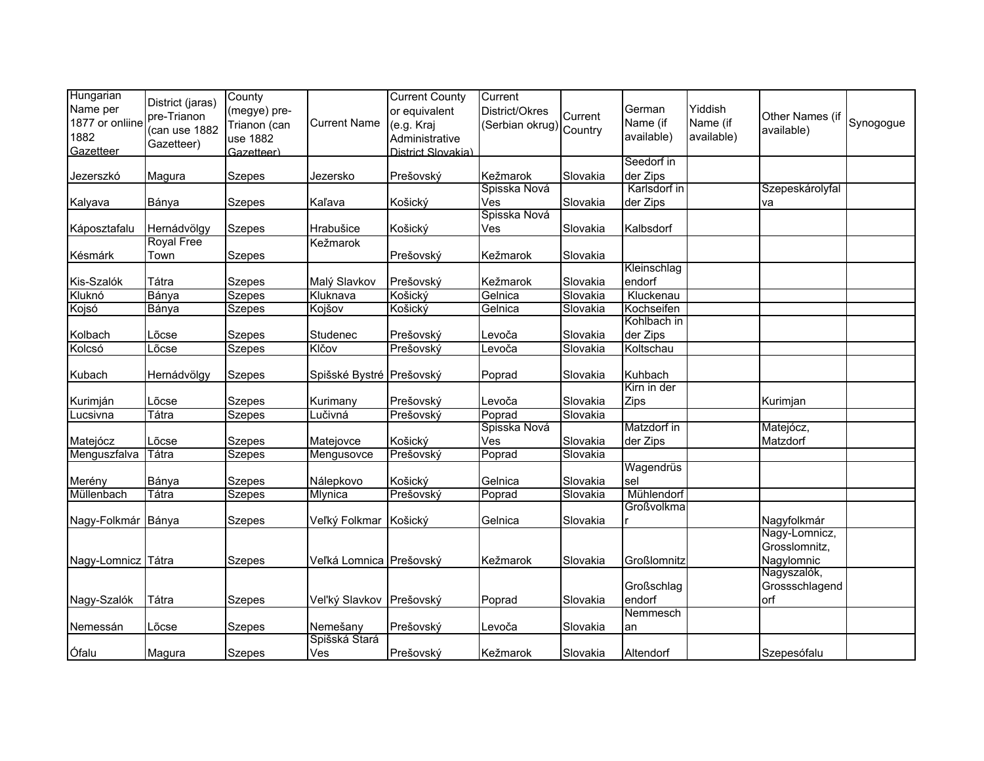| Hungarian<br>Name per   | District (jaras)<br>pre-Trianon | County<br>(megye) pre- |                          | <b>Current County</b><br>or equivalent | Current<br>District/Okres | Current  | German                   | Yiddish                | Other Names (if |           |
|-------------------------|---------------------------------|------------------------|--------------------------|----------------------------------------|---------------------------|----------|--------------------------|------------------------|-----------------|-----------|
| 1877 or onliine<br>1882 | (can use 1882                   | Trianon (can           | <b>Current Name</b>      | (e.g. Kraj                             | Serbian okrug) Country    |          | Name (if<br>available)   | Name (if<br>available) | available)      | Synogogue |
| Gazetteer               | Gazetteer)                      | use 1882               |                          | Administrative                         |                           |          |                          |                        |                 |           |
|                         |                                 | Gazetteer)             |                          | District Slovakia)                     |                           |          | Seedorf in               |                        |                 |           |
| Jezerszkó               | Magura                          | <b>Szepes</b>          | Jezersko                 | Prešovský                              | Kežmarok                  | Slovakia | der Zips                 |                        |                 |           |
|                         |                                 |                        |                          |                                        | Spisska Nová              |          | Karlsdorf in             |                        | Szepeskárolyfal |           |
| Kalyava                 | Bánya                           | <b>Szepes</b>          | Kaľava                   | Košický                                | Ves                       | Slovakia | der Zips                 |                        | va              |           |
|                         |                                 |                        |                          |                                        | Spisska Nová              |          |                          |                        |                 |           |
| Káposztafalu            | Hernádvölgy                     | <b>Szepes</b>          | Hrabušice                | Košický                                | Ves                       | Slovakia | Kalbsdorf                |                        |                 |           |
|                         | <b>Royal Free</b>               |                        | Kežmarok                 |                                        |                           |          |                          |                        |                 |           |
| Késmárk                 | Town                            | <b>Szepes</b>          |                          | Prešovský                              | Kežmarok                  | Slovakia |                          |                        |                 |           |
|                         |                                 |                        |                          |                                        |                           |          | Kleinschlag              |                        |                 |           |
| Kis-Szalók              | Tátra                           | <b>Szepes</b>          | Malý Slavkov             | Prešovský                              | Kežmarok                  | Slovakia | endorf                   |                        |                 |           |
| Kluknó                  | Bánya                           | Szepes                 | Kluknava                 | Košický                                | Gelnica                   | Slovakia | Kluckenau                |                        |                 |           |
| Kojsó                   | Bánya                           | <b>Szepes</b>          | Kojšov                   | Košický                                | Gelnica                   | Slovakia | Kochseifen               |                        |                 |           |
|                         |                                 |                        |                          |                                        |                           |          | Kohlbach in              |                        |                 |           |
| Kolbach                 | Lõcse                           | Szepes                 | Studenec                 | Prešovský                              | _evoča                    | Slovakia | der Zips                 |                        |                 |           |
| Kolcsó                  | Lõcse                           | Szepes                 | Klčov                    | Prešovský                              | Levoča                    | Slovakia | Koltschau                |                        |                 |           |
| Kubach                  | Hernádvölgy                     | <b>Szepes</b>          | Spišské Bystré Prešovský |                                        | Poprad                    | Slovakia | Kuhbach                  |                        |                 |           |
|                         |                                 |                        |                          |                                        |                           |          | Kirn in der              |                        |                 |           |
| Kurimján                | Lõcse                           | Szepes                 | Kurimany                 | Prešovský                              | Levoča                    | Slovakia | Zips                     |                        | Kurimjan        |           |
| Lucsivna                | Tátra                           | Szepes                 | Lučivná                  | Prešovský                              | Poprad                    | Slovakia |                          |                        |                 |           |
|                         |                                 |                        |                          |                                        | Spisska Nová              |          | Matzdorf in              |                        | Matejócz,       |           |
| Matejócz                | Lõcse                           | <b>Szepes</b>          | Matejovce                | Košický                                | Ves                       | Slovakia | der Zips                 |                        | Matzdorf        |           |
| Menguszfalva            | Tátra                           | <b>Szepes</b>          | Mengusovce               | Prešovský                              | Poprad                    | Slovakia |                          |                        |                 |           |
|                         |                                 |                        |                          |                                        |                           |          | Wagendrüs                |                        |                 |           |
| Merény                  | Bánya<br>Tátra                  | <b>Szepes</b>          | Nálepkovo                | Košický                                | Gelnica                   | Slovakia | sel                      |                        |                 |           |
| Müllenbach              |                                 | Szepes                 | Mlynica                  | Prešovský                              | Poprad                    | Slovakia | Mühlendorf<br>Großvolkma |                        |                 |           |
| Nagy-Folkmár Bánya      |                                 | <b>Szepes</b>          | Veľký Folkmar Košický    |                                        | Gelnica                   | Slovakia |                          |                        | Nagyfolkmár     |           |
|                         |                                 |                        |                          |                                        |                           |          |                          |                        | Nagy-Lomnicz,   |           |
|                         |                                 |                        |                          |                                        |                           |          |                          |                        | Grosslomnitz,   |           |
| Nagy-Lomnicz Tátra      |                                 | <b>Szepes</b>          | Veľká Lomnica Prešovský  |                                        | Kežmarok                  | Slovakia | Großlomnitz              |                        | Nagylomnic      |           |
|                         |                                 |                        |                          |                                        |                           |          |                          |                        | Nagyszalók,     |           |
|                         |                                 |                        |                          |                                        |                           |          | Großschlag               |                        | Grossschlagend  |           |
| Nagy-Szalók             | Tátra                           | <b>Szepes</b>          | Veľký Slavkov Prešovský  |                                        | Poprad                    | Slovakia | endorf                   |                        | orf             |           |
|                         |                                 |                        |                          |                                        |                           |          | Nemmesch                 |                        |                 |           |
| Nemessán                | Lõcse                           | <b>Szepes</b>          | Nemešany                 | Prešovský                              | Levoča                    | Slovakia | an                       |                        |                 |           |
|                         |                                 |                        | Spišská Stará            |                                        |                           |          |                          |                        |                 |           |
| Ófalu                   | Magura                          | Szepes                 | Ves                      | Prešovský                              | Kežmarok                  | Slovakia | Altendorf                |                        | Szepesófalu     |           |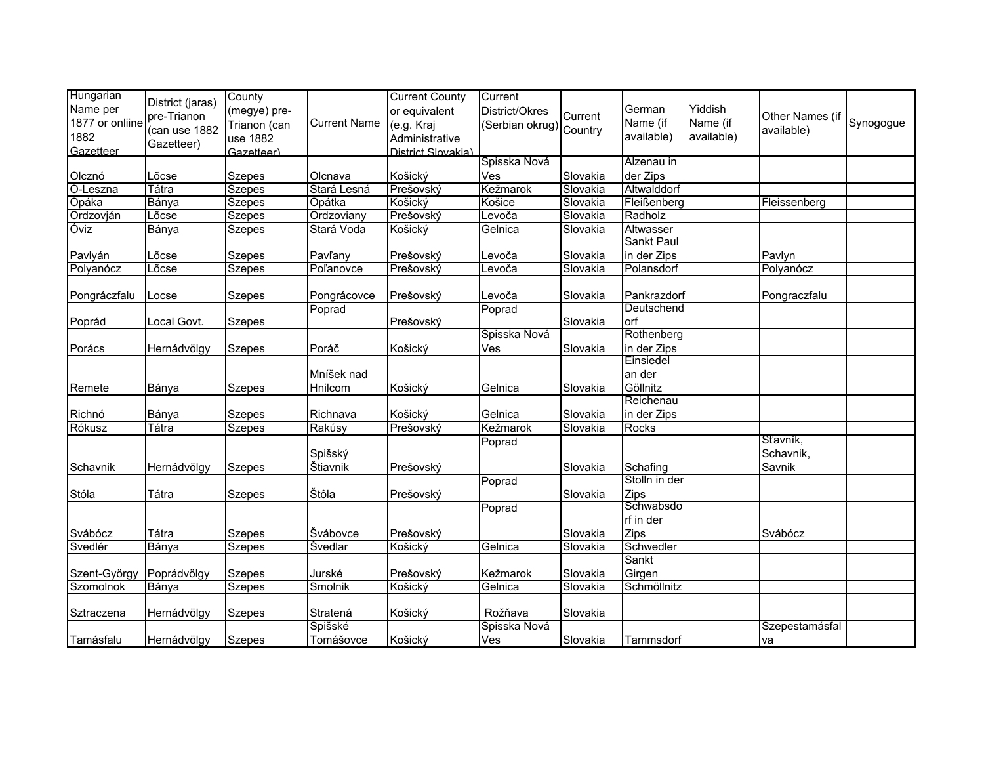| Hungarian<br>Name per   | District (jaras)             | County<br>(megye) pre- |                     | <b>Current County</b><br>or equivalent | Current<br>District/Okres |          | German                   | Yiddish                |                               |           |
|-------------------------|------------------------------|------------------------|---------------------|----------------------------------------|---------------------------|----------|--------------------------|------------------------|-------------------------------|-----------|
| 1877 or onliine<br>1882 | pre-Trianon<br>(can use 1882 | Trianon (can           | <b>Current Name</b> | (e.g. Kraj                             | Serbian okrug) Country    | Current  | Name (if<br>available)   | Name (if<br>available) | Other Names (if<br>available) | Synogogue |
| Gazetteer               | Gazetteer)                   | use 1882<br>Gazetteer) |                     | Administrative<br>District Slovakia)   |                           |          |                          |                        |                               |           |
|                         |                              |                        |                     |                                        | Spisska Nová              |          | Alzenau in               |                        |                               |           |
| Olcznó                  | Lõcse                        | <b>Szepes</b>          | Olcnava             | Košický                                | Ves                       | Slovakia | der Zips                 |                        |                               |           |
| Ó-Leszna                | Tátra                        | <b>Szepes</b>          | Stará Lesná         | Prešovský                              | Kežmarok                  | Slovakia | Altwalddorf              |                        |                               |           |
| Opáka                   | Bánya                        | <b>Szepes</b>          | Opátka              | Košický                                | Košice                    | Slovakia | Fleißenberg              |                        | Fleissenberg                  |           |
| Ordzovján               | Lõcse                        | Szepes                 | Ordzoviany          | Prešovský                              | Levoča                    | Slovakia | Radholz                  |                        |                               |           |
| Óviz                    | Bánya                        | <b>Szepes</b>          | Stará Voda          | Košický                                | Gelnica                   | Slovakia | Altwasser                |                        |                               |           |
|                         |                              |                        |                     |                                        |                           |          | Sankt Paul               |                        |                               |           |
| Pavlyán                 | Lõcse                        | Szepes                 | Pavľany             | Prešovský                              | Levoča                    | Slovakia | in der Zips              |                        | Pavlyn                        |           |
| Polyanócz               | Lõcse                        | <b>Szepes</b>          | Poľanovce           | Prešovský                              | Levoča                    | Slovakia | Polansdorf               |                        | Polyanócz                     |           |
| Pongráczfalu            | Locse                        | Szepes                 | Pongrácovce         | Prešovský                              | Levoča                    | Slovakia | Pankrazdorf              |                        | Pongraczfalu                  |           |
|                         |                              |                        | Poprad              |                                        | Poprad                    |          | Deutschend               |                        |                               |           |
| Poprád                  | Local Govt.                  | <b>Szepes</b>          |                     | Prešovský                              |                           | Slovakia | orf                      |                        |                               |           |
|                         |                              |                        |                     |                                        | Spisska Nová              |          | Rothenberg               |                        |                               |           |
| Porács                  | Hernádvölgy                  | <b>Szepes</b>          | Poráč               | Košický                                | Ves                       | Slovakia | in der Zips              |                        |                               |           |
|                         |                              |                        |                     |                                        |                           |          | Einsiedel                |                        |                               |           |
|                         |                              |                        | Mníšek nad          |                                        |                           |          | an der                   |                        |                               |           |
| Remete                  | Bánya                        | Szepes                 | Hnilcom             | Košický                                | Gelnica                   | Slovakia | Göllnitz                 |                        |                               |           |
| Richnó                  | Bánya                        | Szepes                 | Richnava            | Košický                                | Gelnica                   | Slovakia | Reichenau<br>in der Zips |                        |                               |           |
| Rókusz                  | Tátra                        | <b>Szepes</b>          | Rakúsy              | Prešovský                              | Kežmarok                  | Slovakia | Rocks                    |                        |                               |           |
|                         |                              |                        |                     |                                        | Poprad                    |          |                          |                        | Sťavník,                      |           |
|                         |                              |                        | Spišský             |                                        |                           |          |                          |                        | Schavnik,                     |           |
| Schavnik                | Hernádvölgy                  | <b>Szepes</b>          | Štiavnik            | Prešovský                              |                           | Slovakia | Schafing                 |                        | Savnik                        |           |
|                         |                              |                        |                     |                                        | Poprad                    |          | Stolln in der            |                        |                               |           |
| Stóla                   | Tátra                        | <b>Szepes</b>          | Štôla               | Prešovský                              |                           | Slovakia | Zips                     |                        |                               |           |
|                         |                              |                        |                     |                                        | Poprad                    |          | Schwabsdo                |                        |                               |           |
|                         |                              |                        |                     |                                        |                           |          | rf in der                |                        |                               |           |
| Svábócz                 | Tátra                        | <b>Szepes</b>          | Švábovce            | Prešovský                              |                           | Slovakia | Zips                     |                        | Svábócz                       |           |
| Svedlér                 | Bánya                        | <b>Szepes</b>          | <b>Svedlar</b>      | Košický                                | Gelnica                   | Slovakia | Schwedler                |                        |                               |           |
|                         |                              |                        |                     |                                        |                           |          | Sankt                    |                        |                               |           |
| Szent-György            | Poprádvölgy                  | <b>Szepes</b>          | Jurské              | Prešovský                              | Kežmarok                  | Slovakia | Girgen                   |                        |                               |           |
| Szomolnok               | Bánya                        | Szepes                 | Smolnik             | Košický                                | Gelnica                   | Slovakia | Schmöllnitz              |                        |                               |           |
|                         |                              |                        |                     |                                        |                           |          |                          |                        |                               |           |
| Sztraczena              | Hernádvölgy                  | <b>Szepes</b>          | Stratená            | Košický                                | Rožňava                   | Slovakia |                          |                        |                               |           |
|                         |                              |                        | Spišské             |                                        | Spisska Nová              |          |                          |                        | Szepestamásfal                |           |
| Tamásfalu               | Hernádvölgy                  | <b>Szepes</b>          | Tomášovce           | Košický                                | Ves                       | Slovakia | Tammsdorf                |                        | va                            |           |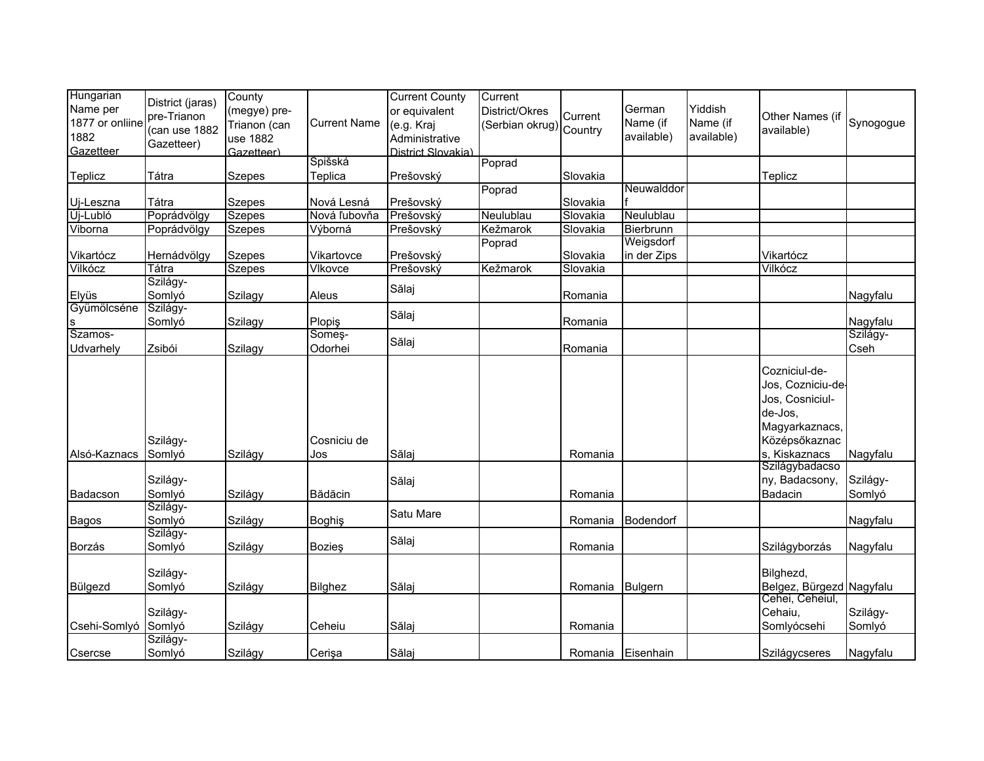| Hungarian<br>Name per<br>1877 or onliine<br>1882<br>Gazetteer | District (jaras)<br>pre-Trianon<br>(can use 1882<br>Gazetteer) | County<br>(megye) pre-<br>Trianon (can<br>use 1882<br>Gazetteer) | <b>Current Name</b> | <b>Current County</b><br>or equivalent<br>(e.g. Kraj<br>Administrative<br>District Slovakia) | Current<br>District/Okres<br>(Serbian okrug) Country | Current  | German<br>Name (if<br>available) | Yiddish<br>Name (if<br>available) | Other Names (if<br>available)                                                                                        | Synogogue            |
|---------------------------------------------------------------|----------------------------------------------------------------|------------------------------------------------------------------|---------------------|----------------------------------------------------------------------------------------------|------------------------------------------------------|----------|----------------------------------|-----------------------------------|----------------------------------------------------------------------------------------------------------------------|----------------------|
|                                                               |                                                                |                                                                  | Spišská<br>Teplica  | Prešovský                                                                                    | Poprad                                               |          |                                  |                                   |                                                                                                                      |                      |
| Teplicz                                                       | Tátra                                                          | <b>Szepes</b>                                                    |                     |                                                                                              |                                                      | Slovakia | Neuwalddor                       |                                   | Teplicz                                                                                                              |                      |
| Uj-Leszna                                                     | Tátra                                                          | <b>Szepes</b>                                                    | Nová Lesná          | Prešovský                                                                                    | Poprad                                               | Slovakia |                                  |                                   |                                                                                                                      |                      |
| Új-Lubló                                                      | Poprádvölgy                                                    | <b>Szepes</b>                                                    | Nová ľubovňa        | Prešovský                                                                                    | Neulublau                                            | Slovakia | Neulublau                        |                                   |                                                                                                                      |                      |
| Viborna                                                       | Poprádvölgy                                                    | <b>Szepes</b>                                                    | Výborná             | Prešovský                                                                                    | <b>Kežmarok</b>                                      | Slovakia | Bierbrunn                        |                                   |                                                                                                                      |                      |
| Vikartócz                                                     | Hernádvölgy                                                    | <b>Szepes</b>                                                    | Vikartovce          | Prešovský                                                                                    | Poprad                                               | Slovakia | Weigsdorf<br>in der Zips         |                                   | Vikartócz                                                                                                            |                      |
| Vilkócz                                                       | Tátra                                                          | <b>Szepes</b>                                                    | Vlkovce             | Prešovský                                                                                    | Kežmarok                                             | Slovakia |                                  |                                   | Vilkócz                                                                                                              |                      |
|                                                               | Szilágy-                                                       |                                                                  |                     | Sălaj                                                                                        |                                                      |          |                                  |                                   |                                                                                                                      |                      |
| Elyüs                                                         | Somlyó                                                         | Szilagy                                                          | Aleus               |                                                                                              |                                                      | Romania  |                                  |                                   |                                                                                                                      | Nagyfalu             |
| Gyümölcséne                                                   | Szilágy-                                                       |                                                                  |                     | Sălaj                                                                                        |                                                      |          |                                  |                                   |                                                                                                                      |                      |
| s<br>Szamos-                                                  | Somlyó                                                         | Szilagy                                                          | Plopiş<br>Somes-    |                                                                                              |                                                      | Romania  |                                  |                                   |                                                                                                                      | Nagyfalu<br>Szilágy- |
| Udvarhely                                                     | Zsibói                                                         | Szilagy                                                          | Odorhei             | Sălaj                                                                                        |                                                      | Romania  |                                  |                                   |                                                                                                                      | Cseh                 |
| Alsó-Kaznacs                                                  | Szilágy-<br>Somlyó                                             | Szilágy                                                          | Cosniciu de<br>Jos  | Sălaj                                                                                        |                                                      | Romania  |                                  |                                   | Cozniciul-de-<br>Jos, Cozniciu-de-<br>Jos, Cosniciul-<br>de-Jos,<br>Magyarkaznacs,<br>Középsőkaznac<br>s. Kiskaznacs | Nagyfalu             |
|                                                               |                                                                |                                                                  |                     |                                                                                              |                                                      |          |                                  |                                   | Szilágybadacso                                                                                                       |                      |
| Badacson                                                      | Szilágy-<br>Somlyó                                             | Szilágy                                                          | Bădăcin             | Sălaj                                                                                        |                                                      | Romania  |                                  |                                   | ny, Badacsony,<br>Badacin                                                                                            | Szilágy-<br>Somlyó   |
| Bagos                                                         | Szilágy-<br>Somlyó                                             | Szilágy                                                          | <b>Boghiş</b>       | Satu Mare                                                                                    |                                                      | Romania  | Bodendorf                        |                                   |                                                                                                                      | Nagyfalu             |
| Borzás                                                        | Szilágy-<br>Somlyó                                             | Szilágy                                                          | <b>Bozies</b>       | Sălaj                                                                                        |                                                      | Romania  |                                  |                                   | Szilágyborzás                                                                                                        | Nagyfalu             |
| Bülgezd                                                       | Szilágy-<br>Somlyó                                             | Szilágy                                                          | Bilghez             | Sălaj                                                                                        |                                                      | Romania  | <b>Bulgern</b>                   |                                   | Bilghezd,<br>Belgez, Bürgezd Nagyfalu                                                                                |                      |
| Csehi-Somlyó                                                  | Szilágy-<br>Somlyó                                             | Szilágy                                                          | Ceheiu              | Sălaj                                                                                        |                                                      | Romania  |                                  |                                   | Cehei, Ceheiul,<br>Cehaiu,<br>Somlyócsehi                                                                            | Szilágy-<br>Somlyó   |
| Csercse                                                       | Szilágy-<br>Somlyó                                             | Szilágy                                                          | Cerişa              | Sălaj                                                                                        |                                                      | Romania  | Eisenhain                        |                                   | Szilágycseres                                                                                                        | Nagyfalu             |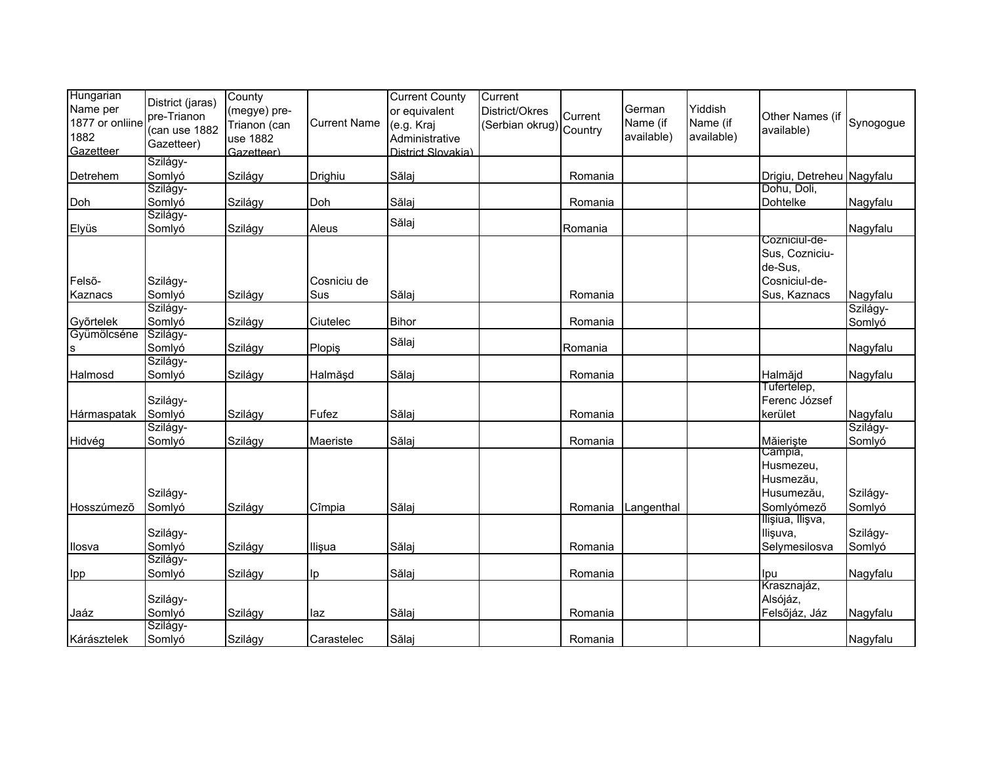| Hungarian<br>Name per<br>1877 or onliine<br>1882<br>Gazetteer | District (jaras)<br>pre-Trianon<br>(can use 1882<br>Gazetteer) | County<br>(megye) pre-<br>Trianon (can<br>use 1882<br>Gazetteer) | <b>Current Name</b> | <b>Current County</b><br>or equivalent<br>(e.g. Kraj<br>Administrative<br>District Slovakia) | Current<br>District/Okres<br>(Serbian okrug) Country | Current | German<br>Name (if<br>available) | Yiddish<br>Name (if<br>available) | Other Names (if<br>available)                                 | Synogogue          |
|---------------------------------------------------------------|----------------------------------------------------------------|------------------------------------------------------------------|---------------------|----------------------------------------------------------------------------------------------|------------------------------------------------------|---------|----------------------------------|-----------------------------------|---------------------------------------------------------------|--------------------|
| Detrehem                                                      | Szilágy-<br>Somlyó                                             |                                                                  | Drighiu             | Sălaj                                                                                        |                                                      | Romania |                                  |                                   |                                                               |                    |
|                                                               | Szilágy-                                                       | Szilágy                                                          |                     |                                                                                              |                                                      |         |                                  |                                   | Drigiu, Detreheu Nagyfalu<br>Dohu, Doli,                      |                    |
| Doh                                                           | Somlyó                                                         | Szilágy                                                          | Doh                 | Sălaj                                                                                        |                                                      | Romania |                                  |                                   | <b>Dohtelke</b>                                               | Nagyfalu           |
|                                                               | Szilágy-                                                       |                                                                  |                     | Sălaj                                                                                        |                                                      |         |                                  |                                   |                                                               |                    |
| Elyüs                                                         | Somlyó                                                         | Szilágy                                                          | Aleus               |                                                                                              |                                                      | Romania |                                  |                                   | Cozniciul-de-                                                 | Nagyfalu           |
| Felső-<br>Kaznacs                                             | Szilágy-<br>Somlyó                                             | Szilágy                                                          | Cosniciu de<br>Sus  | Sălaj                                                                                        |                                                      | Romania |                                  |                                   | Sus, Cozniciu-<br>de-Sus,<br>Cosniciul-de-<br>Sus, Kaznacs    | Nagyfalu           |
|                                                               | Szilágy-                                                       |                                                                  |                     |                                                                                              |                                                      |         |                                  |                                   |                                                               | Szilágy-           |
| Győrtelek                                                     | Somlyó                                                         | Szilágy                                                          | Ciutelec            | <b>Bihor</b>                                                                                 |                                                      | Romania |                                  |                                   |                                                               | Somlyó             |
| Gyümölcséne                                                   | Szilágy-                                                       |                                                                  |                     |                                                                                              |                                                      |         |                                  |                                   |                                                               |                    |
| s                                                             | Somlyó                                                         | Szilágy                                                          | Plopiş              | Sălaj                                                                                        |                                                      | Romania |                                  |                                   |                                                               | Nagyfalu           |
|                                                               | Szilágy-                                                       |                                                                  |                     |                                                                                              |                                                      |         |                                  |                                   |                                                               |                    |
| Halmosd                                                       | Somlyó                                                         | Szilágy                                                          | Halmăşd             | Sălaj                                                                                        |                                                      | Romania |                                  |                                   | Halmăjd                                                       | Nagyfalu           |
| Hármaspatak                                                   | Szilágy-<br>Somlyó                                             | Szilágy                                                          | Fufez               | Sălaj                                                                                        |                                                      | Romania |                                  |                                   | Tufertelep,<br>Ferenc József<br>kerület                       | Nagyfalu           |
|                                                               | Szilágy-                                                       |                                                                  |                     |                                                                                              |                                                      |         |                                  |                                   |                                                               | Szilágy-           |
| Hidvég                                                        | Somlyó                                                         | Szilágy                                                          | Maeriste            | Sălaj                                                                                        |                                                      | Romania |                                  |                                   | Măieriște                                                     | Somlyó             |
| Hosszúmező                                                    | Szilágy-<br>Somlyó                                             | Szilágy                                                          | Cîmpia              | Sălaj                                                                                        |                                                      | Romania | Langenthal                       |                                   | Câmpia,<br>Husmezeu,<br>Husmezău,<br>Husumezău,<br>Somlyómező | Szilágy-<br>Somlyó |
| Ilosva                                                        | Szilágy-<br>Somlyó                                             | Szilágy                                                          | Ilişua              | Sălaj                                                                                        |                                                      | Romania |                                  |                                   | Ilişiua, Ilişva,<br>Ilişuva,<br>Selymesilosva                 | Szilágy-<br>Somlyó |
|                                                               | Szilágy-                                                       |                                                                  |                     |                                                                                              |                                                      |         |                                  |                                   |                                                               |                    |
| Ipp                                                           | Somlyó                                                         | Szilágy                                                          | Ip                  | Sălaj                                                                                        |                                                      | Romania |                                  |                                   | Ipu                                                           | Nagyfalu           |
| Jaáz                                                          | Szilágy-<br>Somlyó                                             | Szilágy                                                          | laz                 | Sălaj                                                                                        |                                                      | Romania |                                  |                                   | Krasznajáz,<br>Alsójáz,<br>Felsőjáz, Jáz                      | Nagyfalu           |
|                                                               | Szilágy-                                                       |                                                                  |                     |                                                                                              |                                                      |         |                                  |                                   |                                                               |                    |
| Kárásztelek                                                   | Somlyó                                                         | Szilágy                                                          | Carastelec          | Sălaj                                                                                        |                                                      | Romania |                                  |                                   |                                                               | Nagyfalu           |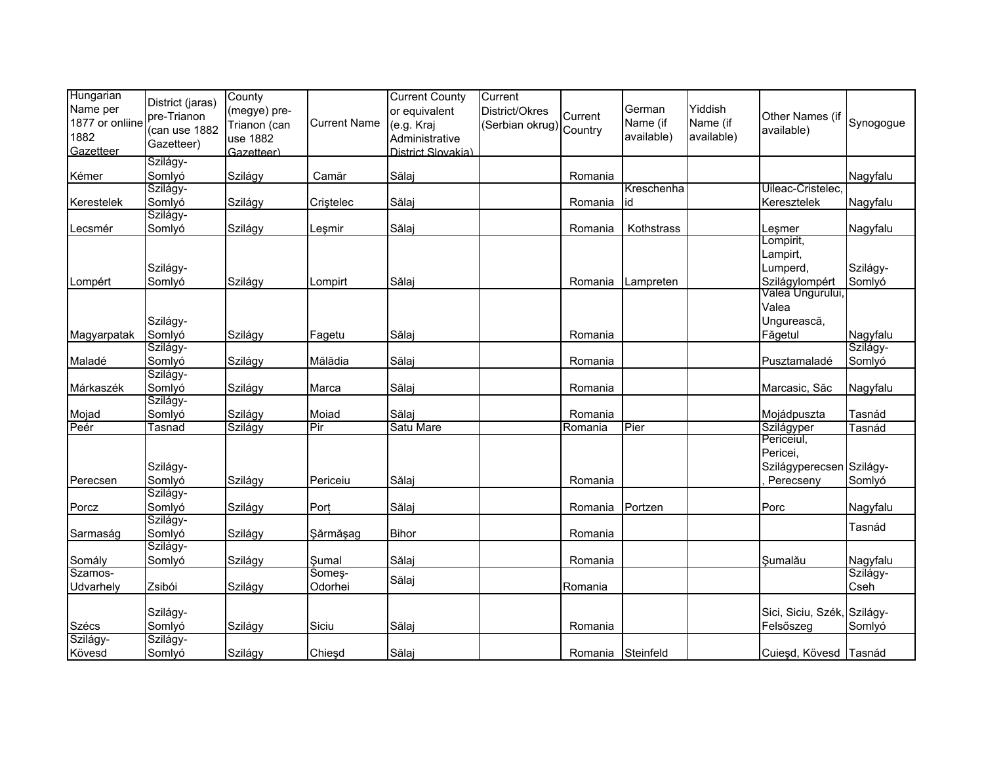| Hungarian       |                  | County       |                     | <b>Current County</b> | Current                |         |            |            |                             |           |
|-----------------|------------------|--------------|---------------------|-----------------------|------------------------|---------|------------|------------|-----------------------------|-----------|
| Name per        | District (jaras) | (megye) pre- |                     | or equivalent         | District/Okres         |         | German     | Yiddish    |                             |           |
| 1877 or onliine | pre-Trianon      |              | <b>Current Name</b> | (e.g. Kraj            |                        | Current | Name (if   | Name (if   | Other Names (if             | Synogogue |
| 1882            | (can use 1882    | Trianon (can |                     |                       | Serbian okrug) Country |         | available) | available) | available)                  |           |
|                 | Gazetteer)       | use 1882     |                     | Administrative        |                        |         |            |            |                             |           |
| Gazetteer       | Szilágy-         | Gazetteer)   |                     | District Slovakia)    |                        |         |            |            |                             |           |
| Kémer           | Somlyó           | Szilágy      | Camăr               | Sălaj                 |                        | Romania |            |            |                             | Nagyfalu  |
|                 | Szilágy-         |              |                     |                       |                        |         | Kreschenha |            | Uileac-Cristelec.           |           |
|                 |                  |              |                     |                       |                        |         |            |            |                             |           |
| Kerestelek      | Somlyó           | Szilágy      | Criștelec           | Sălaj                 |                        | Romania | id         |            | Keresztelek                 | Nagyfalu  |
|                 | Szilágy-         |              |                     |                       |                        |         |            |            |                             |           |
| Lecsmér         | Somlyó           | Szilágy      | Leşmir              | Sălaj                 |                        | Romania | Kothstrass |            | Leşmer                      | Nagyfalu  |
|                 |                  |              |                     |                       |                        |         |            |            | Lompirit,                   |           |
|                 |                  |              |                     |                       |                        |         |            |            | Lampirt,                    |           |
|                 | Szilágy-         |              |                     |                       |                        |         |            |            | Lumperd,                    | Szilágy-  |
| Lompért         | Somlyó           | Szilágy      | Lompirt             | Sălaj                 |                        | Romania | Lampreten  |            | Szilágylompért              | Somlyó    |
|                 |                  |              |                     |                       |                        |         |            |            | Valea Ungurului,            |           |
|                 |                  |              |                     |                       |                        |         |            |            | Valea                       |           |
|                 | Szilágy-         |              |                     |                       |                        |         |            |            | Ungurească,                 |           |
| Magyarpatak     | Somlyó           | Szilágy      | Fagetu              | Sălaj                 |                        | Romania |            |            | Făgetul                     | Nagyfalu  |
|                 | Szilágy-         |              |                     |                       |                        |         |            |            |                             | Szilágy-  |
| Maladé          | Somlyó           | Szilágy      | Mălădia             | Sălaj                 |                        | Romania |            |            | Pusztamaladé                | Somlyó    |
|                 | Szilágy-         |              |                     |                       |                        |         |            |            |                             |           |
| Márkaszék       | Somlyó           | Szilágy      | Marca               | Sălaj                 |                        | Romania |            |            | Marcasic, Săc               | Nagyfalu  |
|                 | Szilágy-         |              |                     |                       |                        |         |            |            |                             |           |
| Mojad           | Somlyó           | Szilágy      | Moiad               | Sălaj                 |                        | Romania |            |            | Mojádpuszta                 | Tasnád    |
| Peér            | Tasnad           | Szilágy      | Pir                 | Satu Mare             |                        | Romania | Pier       |            | Szilágyper                  | Tasnád    |
|                 |                  |              |                     |                       |                        |         |            |            | Periceiul,                  |           |
|                 |                  |              |                     |                       |                        |         |            |            | Pericei,                    |           |
|                 | Szilágy-         |              |                     |                       |                        |         |            |            | Szilágyperecsen Szilágy-    |           |
| Perecsen        | Somlyó           | Szilágy      | Periceiu            | Sălaj                 |                        | Romania |            |            | Perecseny                   | Somlyó    |
|                 | Szilágy-         |              |                     |                       |                        |         |            |            |                             |           |
| Porcz           | Somlyó           | Szilágy      | Port                | Sălaj                 |                        | Romania | Portzen    |            | Porc                        | Nagyfalu  |
|                 | Szilágy-         |              |                     |                       |                        |         |            |            |                             |           |
| Sarmaság        | Somlyó           | Szilágy      | Şărmăşag            | <b>Bihor</b>          |                        | Romania |            |            |                             | Tasnád    |
|                 | Szilágy-         |              |                     |                       |                        |         |            |            |                             |           |
| Somály          | Somlyó           | Szilágy      | Şumal               | Sălaj                 |                        | Romania |            |            | Sumalău                     | Nagyfalu  |
| Szamos-         |                  |              | Some <sub>ş-</sub>  |                       |                        |         |            |            |                             | Szilágy-  |
|                 | Zsibói           |              | Odorhei             | Sălaj                 |                        |         |            |            |                             | Cseh      |
| Udvarhely       |                  | Szilágy      |                     |                       |                        | Romania |            |            |                             |           |
|                 |                  |              |                     |                       |                        |         |            |            | Sici, Siciu, Szék, Szilágy- |           |
|                 | Szilágy-         |              |                     |                       |                        |         |            |            |                             |           |
| Szécs           | Somlyó           | Szilágy      | Siciu               | Sălaj                 |                        | Romania |            |            | Felsőszeg                   | Somlyó    |
| Szilágy-        | Szilágy-         |              |                     |                       |                        |         |            |            |                             |           |
| Kövesd          | Somlyó           | Szilágy      | Chieşd              | Sălaj                 |                        | Romania | Steinfeld  |            | Cuieșd, Kövesd Tasnád       |           |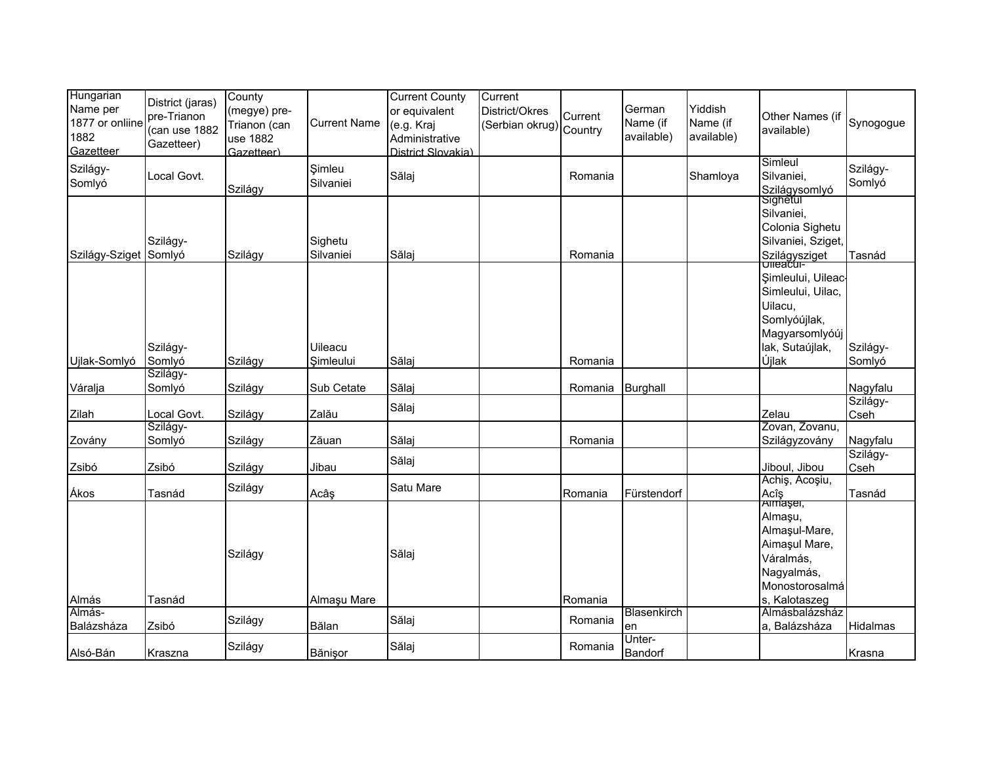| Hungarian<br>Name per<br>1877 or onliine<br>1882<br>Gazetteer | District (jaras)<br>pre-Trianon<br>(can use 1882<br>Gazetteer) | County<br>(megye) pre-<br>Trianon (can<br>use 1882<br>Gazetteer) | <b>Current Name</b>  | <b>Current County</b><br>or equivalent<br>(e.g. Kraj<br>Administrative<br>District Slovakia) | Current<br>District/Okres<br>(Serbian okrug) Country | Current | German<br>Name (if<br>available) | Yiddish<br>Name (if<br>available) | Other Names (if<br>available)                                                                                   | Synogogue            |
|---------------------------------------------------------------|----------------------------------------------------------------|------------------------------------------------------------------|----------------------|----------------------------------------------------------------------------------------------|------------------------------------------------------|---------|----------------------------------|-----------------------------------|-----------------------------------------------------------------------------------------------------------------|----------------------|
| Szilágy-<br>Somlyó                                            | Local Govt.                                                    | Szilágy                                                          | Simleu<br>Silvaniei  | Sălaj                                                                                        |                                                      | Romania |                                  | Shamloya                          | Simleul<br>Silvaniei,<br>Szilágysomlyó                                                                          | Szilágy-<br>Somlyó   |
| Szilágy-Sziget Somlyó                                         | Szilágy-                                                       | Szilágy                                                          | Sighetu<br>Silvaniei | Sălaj                                                                                        |                                                      | Romania |                                  |                                   | Sighetul<br>Silvaniei,<br>Colonia Sighetu<br>Silvaniei, Sziget,<br>Szilágysziget                                | Tasnád               |
| Ujlak-Somlyó                                                  | Szilágy-<br>Somlyó                                             | Szilágy                                                          | Uileacu<br>Simleului | Sălaj                                                                                        |                                                      | Romania |                                  |                                   | Şimleului, Uileac<br>Simleului, Uilac,<br>Uilacu,<br>Somlyóújlak,<br>Magyarsomlyóúj<br>lak, Sutaújlak,<br>Újlak | Szilágy-<br>Somlyó   |
|                                                               | Szilágy-                                                       |                                                                  |                      |                                                                                              |                                                      |         |                                  |                                   |                                                                                                                 |                      |
| Váralja                                                       | Somlyó                                                         | Szilágy                                                          | Sub Cetate           | Sălaj                                                                                        |                                                      | Romania | Burghall                         |                                   |                                                                                                                 | Nagyfalu<br>Szilágy- |
| Zilah                                                         | Local Govt.                                                    | Szilágy                                                          | Zalău                | Sălaj                                                                                        |                                                      |         |                                  |                                   | Zelau                                                                                                           | Cseh                 |
| Zovány                                                        | Szilágy-<br>Somlyó                                             | Szilágy                                                          | Zăuan                | Sălaj                                                                                        |                                                      | Romania |                                  |                                   | Zovan, Zovanu,<br>Szilágyzovány                                                                                 | Nagyfalu             |
| Zsibó                                                         | Zsibó                                                          | Szilágy                                                          | Jibau                | Sălaj                                                                                        |                                                      |         |                                  |                                   | Jiboul, Jibou                                                                                                   | Szilágy-<br>Cseh     |
| Ákos                                                          | Tasnád                                                         | Szilágy                                                          | Acâş                 | Satu Mare                                                                                    |                                                      | Romania | Fürstendorf                      |                                   | Achiş, Acoşiu,<br>Acîş<br>Almaşei,                                                                              | Tasnád               |
| Almás                                                         | Tasnád                                                         | Szilágy                                                          | Almaşu Mare          | Sălaj                                                                                        |                                                      | Romania |                                  |                                   | Almaşu,<br>Almaşul-Mare,<br>Aimaşul Mare,<br>Váralmás,<br>Nagyalmás,<br>Monostorosalmá<br>s, Kalotaszeg         |                      |
| Almás-                                                        |                                                                | Szilágy                                                          |                      | Sălaj                                                                                        |                                                      | Romania | Blasenkirch                      |                                   | Almásbalázsház                                                                                                  |                      |
| Balázsháza                                                    | Zsibó                                                          |                                                                  | Bălan                |                                                                                              |                                                      |         | en                               |                                   | a, Balázsháza                                                                                                   | Hidalmas             |
| Alsó-Bán                                                      | Kraszna                                                        | Szilágy                                                          | Bănișor              | Sălaj                                                                                        |                                                      | Romania | Unter-<br>Bandorf                |                                   |                                                                                                                 | Krasna               |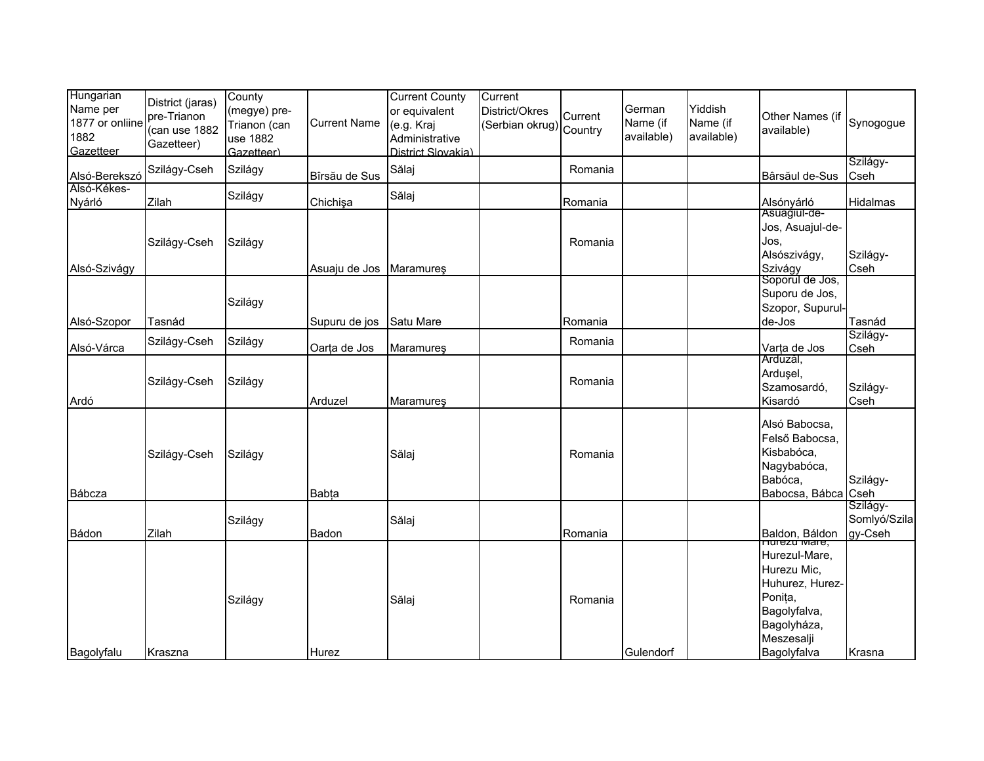| Hungarian<br>Name per<br>1877 or onliine<br>1882<br>Gazetteer | District (jaras)<br>pre-Trianon<br>(can use 1882<br>Gazetteer) | County<br>(megye) pre-<br>Trianon (can<br>use 1882<br>Gazetteer) | <b>Current Name</b>     | <b>Current County</b><br>or equivalent<br>(e.g. Kraj<br>Administrative<br>District Slovakia) | Current<br>District/Okres<br>(Serbian okrug) Country | Current            | German<br>Name (if<br>available) | Yiddish<br>Name (if<br>available) | Other Names (if<br>available)                                                                                                          | Synogogue                           |
|---------------------------------------------------------------|----------------------------------------------------------------|------------------------------------------------------------------|-------------------------|----------------------------------------------------------------------------------------------|------------------------------------------------------|--------------------|----------------------------------|-----------------------------------|----------------------------------------------------------------------------------------------------------------------------------------|-------------------------------------|
| Alsó-Berekszó                                                 | Szilágy-Cseh                                                   | Szilágy                                                          | Bîrsău de Sus           | Sălaj                                                                                        |                                                      | Romania            |                                  |                                   | Bârsăul de-Sus                                                                                                                         | Szilágy-<br>Cseh                    |
| Alsó-Kékes-<br>Nyárló                                         | Zilah                                                          | Szilágy                                                          | Chichişa                | Sălaj                                                                                        |                                                      | Romania            |                                  |                                   | Alsónyárló                                                                                                                             | Hidalmas                            |
| Alsó-Szivágy                                                  | Szilágy-Cseh                                                   | Szilágy                                                          | Asuaju de Jos Maramures |                                                                                              |                                                      | Romania            |                                  |                                   | Asuagiul-de-<br>Jos, Asuajul-de-<br>Jos,<br>Alsószivágy,<br>Szivágy                                                                    | Szilágy-<br>Cseh                    |
|                                                               |                                                                | Szilágy                                                          |                         |                                                                                              |                                                      |                    |                                  |                                   | Soporul de Jos,<br>Suporu de Jos,<br>Szopor, Supurul-                                                                                  |                                     |
| Alsó-Szopor                                                   | Tasnád<br>Szilágy-Cseh                                         | Szilágy                                                          | Supuru de jos           | Satu Mare                                                                                    |                                                      | Romania<br>Romania |                                  |                                   | de-Jos                                                                                                                                 | Tasnád<br>Szilágy-                  |
| Alsó-Várca                                                    |                                                                |                                                                  | Oarța de Jos            | Maramureş                                                                                    |                                                      |                    |                                  |                                   | Varța de Jos<br>Arduzăl,                                                                                                               | Cseh                                |
| Ardó                                                          | Szilágy-Cseh                                                   | Szilágy                                                          | Arduzel                 | Maramures                                                                                    |                                                      | Romania            |                                  |                                   | Ardusel,<br>Szamosardó,<br>Kisardó                                                                                                     | Szilágy-<br>Cseh                    |
| Bábcza                                                        | Szilágy-Cseh                                                   | Szilágy                                                          | <b>Babța</b>            | Sălaj                                                                                        |                                                      | Romania            |                                  |                                   | Alsó Babocsa,<br>Felső Babocsa,<br>Kisbabóca,<br>Nagybabóca,<br>Babóca,<br>Babocsa, Bábca                                              | Szilágy-<br>Cseh                    |
| Bádon                                                         | Zilah                                                          | Szilágy                                                          | Badon                   | Sălaj                                                                                        |                                                      | Romania            |                                  |                                   | Baldon, Báldon                                                                                                                         | Szilágy-<br>Somlyó/Szila<br>gy-Cseh |
| Bagolyfalu                                                    | Kraszna                                                        | Szilágy                                                          | Hurez                   | Sălaj                                                                                        |                                                      | Romania            | Gulendorf                        |                                   | nurezu mare,<br>Hurezul-Mare,<br>Hurezu Mic,<br>Huhurez, Hurez-<br>Ponița,<br>Bagolyfalva,<br>Bagolyháza,<br>Meszesalji<br>Bagolyfalva | Krasna                              |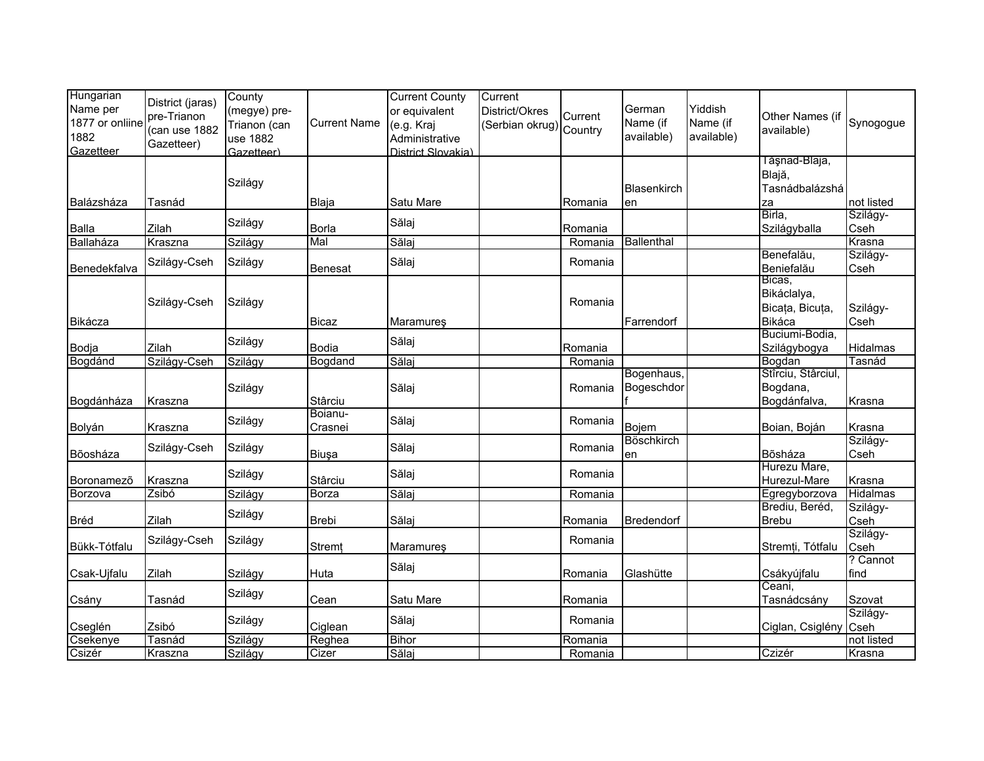| Hungarian<br>Name per<br>1877 or onliine<br>1882<br>Gazetteer | District (jaras)<br>pre-Trianon<br>(can use 1882<br>Gazetteer) | County<br>(megye) pre-<br>Trianon (can<br>use 1882<br>Gazetteer) | <b>Current Name</b> | <b>Current County</b><br>or equivalent<br>(e.g. Kraj<br>Administrative<br>District Slovakia) | Current<br>District/Okres<br>(Serbian okrug) Country | Current | German<br>Name (if<br>available) | Yiddish<br>Name (if<br>available) | Other Names (if<br>available)                      | Synogogue        |
|---------------------------------------------------------------|----------------------------------------------------------------|------------------------------------------------------------------|---------------------|----------------------------------------------------------------------------------------------|------------------------------------------------------|---------|----------------------------------|-----------------------------------|----------------------------------------------------|------------------|
| Balázsháza                                                    |                                                                | Szilágy                                                          | Blaja               | Satu Mare                                                                                    |                                                      |         | <b>Blasenkirch</b>               |                                   | Tăşnad-Blaja,<br>Blajă,<br>Tasnádbalázshá          | not listed       |
|                                                               | Tasnád                                                         |                                                                  |                     |                                                                                              |                                                      | Romania | en                               |                                   | za<br>Birla,                                       | Szilágy-         |
| Balla                                                         | Zilah                                                          | Szilágy                                                          | Borla               | Sălaj                                                                                        |                                                      | Romania |                                  |                                   | Szilágyballa                                       | Cseh             |
| Ballaháza                                                     | Kraszna                                                        | Szilágy                                                          | Mal                 | Sălaj                                                                                        |                                                      | Romania | Ballenthal                       |                                   |                                                    | Krasna           |
| Benedekfalva                                                  | Szilágy-Cseh                                                   | Szilágy                                                          | <b>Benesat</b>      | Sălaj                                                                                        |                                                      | Romania |                                  |                                   | Benefalău,<br>Beniefalău                           | Szilágy-<br>Cseh |
| Bikácza                                                       | Szilágy-Cseh                                                   | Szilágy                                                          | <b>Bicaz</b>        | Maramureş                                                                                    |                                                      | Romania | Farrendorf                       |                                   | Bicas,<br>Bikáclalya,<br>Bicața, Bicuța,<br>Bikáca | Szilágy-<br>Cseh |
| Bodja                                                         | Zilah                                                          | Szilágy                                                          | <b>Bodia</b>        | Sălaj                                                                                        |                                                      | Romania |                                  |                                   | Buciumi-Bodia,<br>Szilágybogya                     | Hidalmas         |
| Bogdánd                                                       | Szilágy-Cseh                                                   | Szilágy                                                          | Bogdand             | Sălaj                                                                                        |                                                      | Romania |                                  |                                   | Bogdan                                             | Tasnád           |
| Bogdánháza                                                    | Kraszna                                                        | Szilágy                                                          | Stârciu             | Sălaj                                                                                        |                                                      | Romania | Bogenhaus,<br>Bogeschdor         |                                   | Stîrciu, Stârciul,<br>Bogdana,<br>Bogdánfalva,     | Krasna           |
| Bolyán                                                        | Kraszna                                                        | Szilágy                                                          | Boianu-<br>Crasnei  | Sălaj                                                                                        |                                                      | Romania | Bojem                            |                                   | Boian, Boján                                       | Krasna           |
| Bõosháza                                                      | Szilágy-Cseh                                                   | Szilágy                                                          | Biuşa               | Sălaj                                                                                        |                                                      | Romania | <b>Böschkirch</b><br>en          |                                   | Bõsháza                                            | Szilágy-<br>Cseh |
| Boronamezõ                                                    | Kraszna                                                        | Szilágy                                                          | Stârciu             | Sălaj                                                                                        |                                                      | Romania |                                  |                                   | Hurezu Mare,<br>Hurezul-Mare                       | Krasna           |
| Borzova                                                       | Zsibó                                                          | Szilágy                                                          | <b>Borza</b>        | Sălaj                                                                                        |                                                      | Romania |                                  |                                   | Egregyborzova                                      | Hidalmas         |
| Bréd                                                          | Zilah                                                          | Szilágy                                                          | <b>Brebi</b>        | Sălaj                                                                                        |                                                      | Romania | Bredendorf                       |                                   | Brediu, Beréd,<br><b>Brebu</b>                     | Szilágy-<br>Cseh |
| Bükk-Tótfalu                                                  | Szilágy-Cseh                                                   | Szilágy                                                          | Stremț              | Maramureş                                                                                    |                                                      | Romania |                                  |                                   | Stremți, Tótfalu                                   | Szilágy-<br>Cseh |
| Csak-Ujfalu                                                   | Zilah                                                          | Szilágy                                                          | Huta                | Sălaj                                                                                        |                                                      | Romania | Glashütte                        |                                   | Csákyújfalu                                        | ? Cannot<br>find |
| Csány                                                         | Tasnád                                                         | Szilágy                                                          | Cean                | Satu Mare                                                                                    |                                                      | Romania |                                  |                                   | Ceani,<br>Tasnádcsány                              | Szovat           |
| Cseglén                                                       | Zsibó                                                          | Szilágy                                                          | Ciglean             | Sălaj                                                                                        |                                                      | Romania |                                  |                                   | Ciglan, Csiglény Cseh                              | Szilágy-         |
| Csekenye                                                      | Tasnád                                                         | Szilágy                                                          | Reghea              | <b>Bihor</b>                                                                                 |                                                      | Romania |                                  |                                   |                                                    | not listed       |
| Csizér                                                        | Kraszna                                                        | Szilágy                                                          | Cizer               | Sălaj                                                                                        |                                                      | Romania |                                  |                                   | Czizér                                             | Krasna           |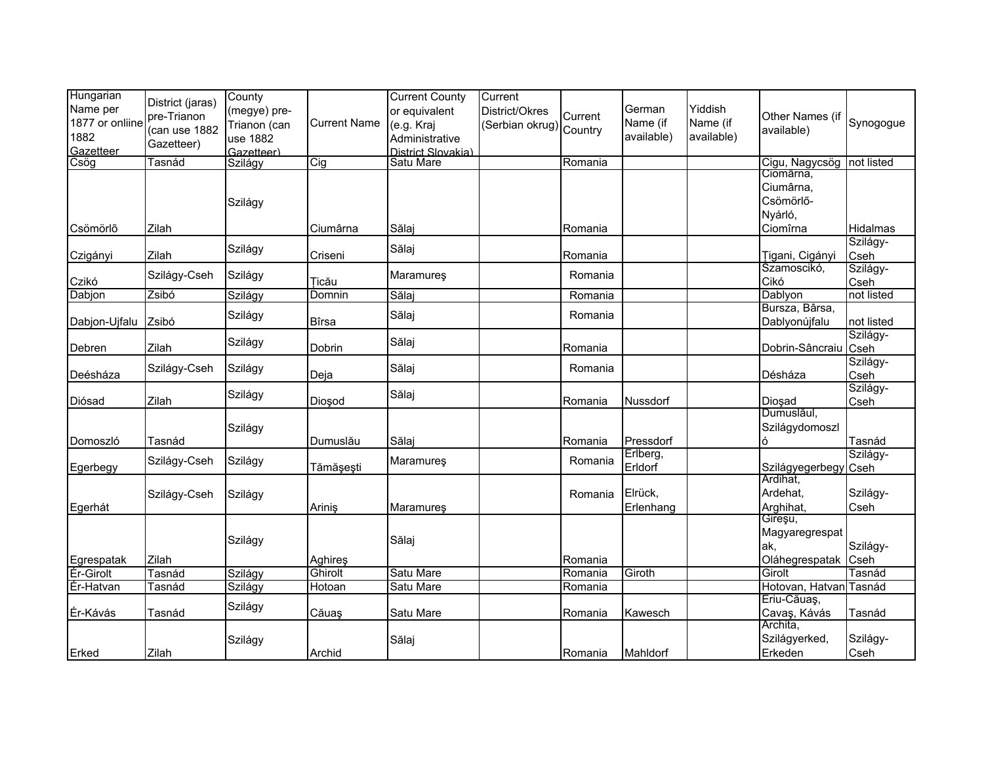| Hungarian       |                  | County       |                     | <b>Current County</b> | Current                 |         |            |            |                        |            |
|-----------------|------------------|--------------|---------------------|-----------------------|-------------------------|---------|------------|------------|------------------------|------------|
| Name per        | District (jaras) | (megye) pre- |                     | or equivalent         | District/Okres          |         | German     | Yiddish    |                        |            |
| 1877 or onliine | pre-Trianon      | Trianon (can | <b>Current Name</b> | (e.g. Kraj            |                         | Current | Name (if   | Name (if   | Other Names (if        | Synogogue  |
| 1882            | (can use 1882    | use 1882     |                     | Administrative        | (Serbian okrug) Country |         | available) | available) | available)             |            |
| Gazetteer       | Gazetteer)       | Gazetteer)   |                     | District Slovakia)    |                         |         |            |            |                        |            |
| Csög            | Tasnád           | Szilágy      | Cig                 | Satu Mare             |                         | Romania |            |            | Cigu, Nagycsög         | not listed |
|                 |                  |              |                     |                       |                         |         |            |            | Ciomärna,              |            |
|                 |                  |              |                     |                       |                         |         |            |            | Ciumârna,              |            |
|                 |                  | Szilágy      |                     |                       |                         |         |            |            | Csömörlő-              |            |
|                 |                  |              |                     |                       |                         |         |            |            | Nyárló,                |            |
| Csömörlő        | Zilah            |              | Ciumârna            | Sălaj                 |                         | Romania |            |            | Ciomîrna               | Hidalmas   |
|                 |                  |              |                     |                       |                         |         |            |            |                        | Szilágy-   |
| Czigányi        | Zilah            | Szilágy      | Criseni             | Sălaj                 |                         | Romania |            |            | Tigani, Cigányi        | Cseh       |
|                 |                  |              |                     |                       |                         |         |            |            | Szamoscikó,            | Szilágy-   |
| Czikó           | Szilágy-Cseh     | Szilágy      | Ticău               | Maramures             |                         | Romania |            |            | Cikó                   | Cseh       |
| Dabjon          | Zsibó            | Szilágy      | Domnin              | Sălaj                 |                         | Romania |            |            | Dablyon                | not listed |
|                 |                  |              |                     |                       |                         |         |            |            | Bursza, Bârsa,         |            |
| Dabjon-Ujfalu   | Zsibó            | Szilágy      | Bîrsa               | Sălaj                 |                         | Romania |            |            | Dablyonújfalu          | not listed |
|                 |                  |              |                     |                       |                         |         |            |            |                        | Szilágy-   |
| Debren          | Zilah            | Szilágy      | Dobrin              | Sălaj                 |                         | Romania |            |            | Dobrin-Sâncraiu        | Cseh       |
|                 |                  |              |                     |                       |                         |         |            |            |                        | Szilágy-   |
| Deésháza        | Szilágy-Cseh     | Szilágy      | Deja                | Sălaj                 |                         | Romania |            |            | Désháza                | Cseh       |
|                 |                  |              |                     |                       |                         |         |            |            |                        | Szilágy-   |
| Diósad          | Zilah            | Szilágy      | Dioşod              | Sălaj                 |                         | Romania | Nussdorf   |            | Diosad                 | Cseh       |
|                 |                  |              |                     |                       |                         |         |            |            | Dumuslăul,             |            |
|                 |                  | Szilágy      |                     |                       |                         |         |            |            | Szilágydomoszl         |            |
| Domoszló        | Tasnád           |              | Dumuslău            | Sălaj                 |                         | Romania | Pressdorf  |            | ó                      | Tasnád     |
|                 | Szilágy-Cseh     | Szilágy      |                     | Maramureş             |                         | Romania | Erlberg,   |            |                        | Szilágy-   |
| Egerbegy        |                  |              | Tămăşeşti           |                       |                         |         | Erldorf    |            | Szilágyegerbegy Cseh   |            |
|                 |                  |              |                     |                       |                         |         |            |            | Ardihat,               |            |
|                 | Szilágy-Cseh     | Szilágy      |                     |                       |                         | Romania | Elrück,    |            | Ardehat,               | Szilágy-   |
| Egerhát         |                  |              | Ariniş              | Maramureş             |                         |         | Erlenhang  |            | Arghihat,              | Cseh       |
|                 |                  |              |                     |                       |                         |         |            |            | Gireşu,                |            |
|                 |                  | Szilágy      |                     | Sălaj                 |                         |         |            |            | Magyaregrespat         |            |
|                 |                  |              |                     |                       |                         |         |            |            | ak,                    | Szilágy-   |
| Egrespatak      | Zilah            |              | Aghires             |                       |                         | Romania |            |            | Oláhegrespatak         | Cseh       |
| Ér-Girolt       | Tasnád           | Szilágy      | Ghirolt             | Satu Mare             |                         | Romania | Giroth     |            | Girolt                 | Tasnád     |
| Ér-Hatvan       | Tasnád           | Szilágy      | Hotoan              | Satu Mare             |                         | Romania |            |            | Hotovan, Hatvan Tasnád |            |
|                 |                  | Szilágy      |                     |                       |                         |         |            |            | Eriu-Căuaș,            |            |
| Ér-Kávás        | Tasnád           |              | Căuaş               | Satu Mare             |                         | Romania | Kawesch    |            | Cavaş, Kávás           | Tasnád     |
|                 |                  |              |                     |                       |                         |         |            |            | Archita,               |            |
|                 |                  | Szilágy      |                     | Sălaj                 |                         |         |            |            | Szilágyerked,          | Szilágy-   |
| Erked           | Zilah            |              | Archid              |                       |                         | Romania | Mahldorf   |            | Erkeden                | Cseh       |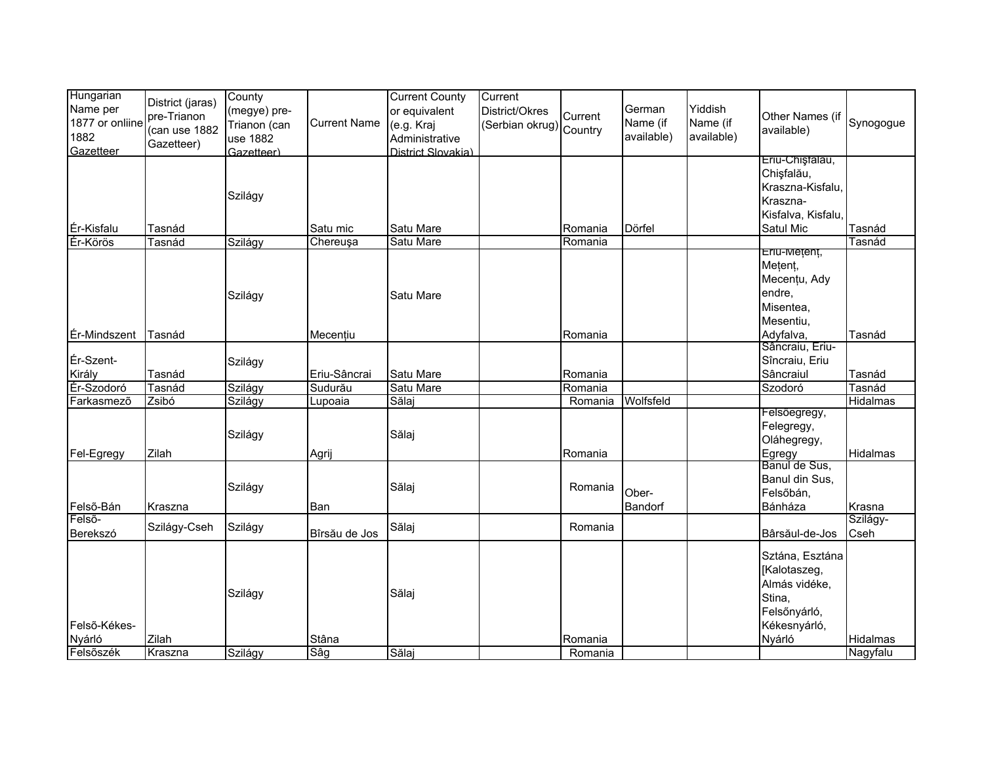| Hungarian<br>Name per | District (jaras) | County<br>(megye) pre- |                     | <b>Current County</b><br>or equivalent | Current<br>District/Okres |         | German     | Yiddish    |                         |                 |
|-----------------------|------------------|------------------------|---------------------|----------------------------------------|---------------------------|---------|------------|------------|-------------------------|-----------------|
| 1877 or onliine       | pre-Trianon      | Trianon (can           | <b>Current Name</b> | (e.g. Kraj                             | (Serbian okrug) Country   | Current | Name (if   | Name (if   | Other Names (if         | Synogogue       |
| 1882                  | (can use 1882    | use 1882               |                     | Administrative                         |                           |         | available) | available) | available)              |                 |
| Gazetteer             | Gazetteer)       | Gazetteer)             |                     | District Slovakia)                     |                           |         |            |            |                         |                 |
|                       |                  |                        |                     |                                        |                           |         |            |            | Eriu-Chiștalau,         |                 |
|                       |                  |                        |                     |                                        |                           |         |            |            | Chişfalău,              |                 |
|                       |                  | Szilágy                |                     |                                        |                           |         |            |            | Kraszna-Kisfalu,        |                 |
|                       |                  |                        |                     |                                        |                           |         |            |            | Kraszna-                |                 |
|                       |                  |                        |                     |                                        |                           |         |            |            | Kisfalva, Kisfalu,      |                 |
| Ér-Kisfalu            | Tasnád           |                        | Satu mic            | Satu Mare                              |                           | Romania | Dörfel     |            | Satul Mic               | Tasnád          |
| Ér-Körös              | Tasnád           | Szilágy                | Chereuşa            | Satu Mare                              |                           | Romania |            |            | Eriu-Metent,            | Tasnád          |
|                       |                  |                        |                     |                                        |                           |         |            |            | Mețenț,                 |                 |
|                       |                  |                        |                     |                                        |                           |         |            |            | Mecențu, Ady            |                 |
|                       |                  | Szilágy                |                     | Satu Mare                              |                           |         |            |            | endre,                  |                 |
|                       |                  |                        |                     |                                        |                           |         |            |            | Misentea,               |                 |
|                       |                  |                        |                     |                                        |                           |         |            |            | Mesentiu,               |                 |
| Ér-Mindszent          | Tasnád           |                        | Mecențiu            |                                        |                           | Romania |            |            | Adyfalva,               | Tasnád          |
|                       |                  |                        |                     |                                        |                           |         |            |            | Sâncraiu, Eriu-         |                 |
| Ér-Szent-             |                  | Szilágy                |                     |                                        |                           |         |            |            | Sîncraiu, Eriu          |                 |
| Király                | Tasnád           |                        | Eriu-Sâncrai        | Satu Mare                              |                           | Romania |            |            | Sâncraiul               | Tasnád          |
| Ér-Szodoró            | Tasnád           | Szilágy                | Sudurău             | Satu Mare                              |                           | Romania |            |            | Szodoró                 | Tasnád          |
| Farkasmezõ            | Zsibó            | Szilágy                | Lupoaia             | Sălaj                                  |                           | Romania | Wolfsfeld  |            |                         | <b>Hidalmas</b> |
|                       |                  |                        |                     |                                        |                           |         |            |            | Felsőegregy,            |                 |
|                       |                  | Szilágy                |                     | Sălaj                                  |                           |         |            |            | Felegregy,              |                 |
|                       |                  |                        |                     |                                        |                           |         |            |            | Oláhegregy,             |                 |
| Fel-Egregy            | Zilah            |                        | Agrij               |                                        |                           | Romania |            |            | Egregy<br>Bănul de Sus, | Hidalmas        |
|                       |                  |                        |                     |                                        |                           |         |            |            | Banul din Sus,          |                 |
|                       |                  | Szilágy                |                     | Sălaj                                  |                           | Romania | Ober-      |            | Felsőbán,               |                 |
| Felső-Bán             | Kraszna          |                        | Ban                 |                                        |                           |         | Bandorf    |            | Bánháza                 | Krasna          |
| Felső-                |                  |                        |                     |                                        |                           |         |            |            |                         | Szilágy-        |
| Berekszó              | Szilágy-Cseh     | Szilágy                | Bîrsău de Jos       | Sălaj                                  |                           | Romania |            |            | Bârsăul-de-Jos          | Cseh            |
|                       |                  |                        |                     |                                        |                           |         |            |            | Sztána, Esztána         |                 |
|                       |                  |                        |                     |                                        |                           |         |            |            | [Kalotaszeg,            |                 |
|                       |                  |                        |                     |                                        |                           |         |            |            | Almás vidéke,           |                 |
|                       |                  | Szilágy                |                     | Sălaj                                  |                           |         |            |            | Stina,                  |                 |
|                       |                  |                        |                     |                                        |                           |         |            |            | Felsőnyárló,            |                 |
| Felső-Kékes-          |                  |                        |                     |                                        |                           |         |            |            | Kékesnyárló,            |                 |
| Nyárló                | Zilah            |                        | Stâna               |                                        |                           | Romania |            |            | Nyárló                  | Hidalmas        |
| Felsőszék             | Kraszna          | Szilágy                | Sâg                 | Sălaj                                  |                           | Romania |            |            |                         | Nagyfalu        |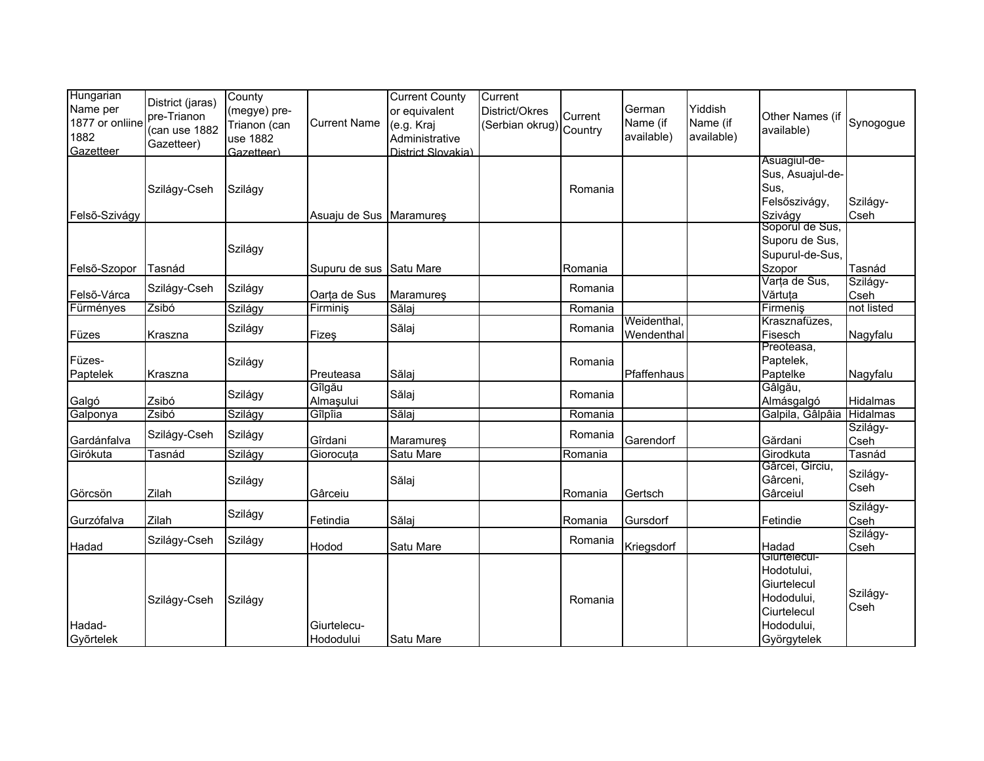| Hungarian<br>Name per<br>1877 or onliine<br>1882<br>Gazetteer | District (jaras)<br>pre-Trianon<br>(can use 1882<br>Gazetteer) | County<br>(megye) pre-<br>Trianon (can<br>use 1882<br>Gazetteer) | <b>Current Name</b>      | <b>Current County</b><br>or equivalent<br>(e.g. Kraj<br>Administrative<br>District Slovakia) | Current<br>District/Okres<br>(Serbian okrug) Country | Current | German<br>Name (if<br>available) | Yiddish<br>Name (if<br>available) | Other Names (if<br>available)                                                                       | Synogogue        |
|---------------------------------------------------------------|----------------------------------------------------------------|------------------------------------------------------------------|--------------------------|----------------------------------------------------------------------------------------------|------------------------------------------------------|---------|----------------------------------|-----------------------------------|-----------------------------------------------------------------------------------------------------|------------------|
| Felső-Szivágy                                                 | Szilágy-Cseh                                                   | Szilágy                                                          | Asuaju de Sus Maramures  |                                                                                              |                                                      | Romania |                                  |                                   | Asuagiul-de-<br>Sus, Asuajul-de-<br>Sus.<br>Felsőszivágy,<br>Szivágy                                | Szilágy-<br>Cseh |
| Felső-Szopor                                                  | Tasnád                                                         | Szilágy                                                          | Supuru de sus            | Satu Mare                                                                                    |                                                      | Romania |                                  |                                   | Soporul de Sus,<br>Suporu de Sus,<br>Supurul-de-Sus,<br>Szopor                                      | Tasnád           |
| Felső-Várca                                                   | Szilágy-Cseh                                                   | Szilágy                                                          | Oarța de Sus             | Maramureş                                                                                    |                                                      | Romania |                                  |                                   | Varta de Sus,<br>Vărtuța                                                                            | Szilágy-<br>Cseh |
| Fürményes                                                     | Zsibó                                                          | Szilágy                                                          | Firminiş                 | Sălaj                                                                                        |                                                      | Romania |                                  |                                   | Firmeniş                                                                                            | not listed       |
| Füzes                                                         | Kraszna                                                        | Szilágy                                                          | Fizeş                    | Sălaj                                                                                        |                                                      | Romania | Weidenthal,<br>Wendenthal        |                                   | Krasznafüzes,<br>Fisesch                                                                            | Nagyfalu         |
| Füzes-<br>Paptelek                                            | Kraszna                                                        | Szilágy                                                          | Preuteasa                | Sălaj                                                                                        |                                                      | Romania | Pfaffenhaus                      |                                   | Preoteasa,<br>Paptelek,<br>Paptelke                                                                 | Nagyfalu         |
| Galgó                                                         | Zsibó                                                          | Szilágy                                                          | Gîlgău<br>Almaşului      | Sălaj                                                                                        |                                                      | Romania |                                  |                                   | Gâlgău,<br>Almásgalgó                                                                               | Hidalmas         |
| Galponya                                                      | Zsibó                                                          | Szilágy                                                          | Gîlpîia                  | Sălaj                                                                                        |                                                      | Romania |                                  |                                   | Galpila, Gâlpâia                                                                                    | <b>Hidalmas</b>  |
| Gardánfalva                                                   | Szilágy-Cseh                                                   | Szilágy                                                          | Gîrdani                  | Maramures                                                                                    |                                                      | Romania | Garendorf                        |                                   | Gărdani                                                                                             | Szilágy-<br>Cseh |
| Girókuta                                                      | Tasnád                                                         | Szilágy                                                          | Giorocuța                | Satu Mare                                                                                    |                                                      | Romania |                                  |                                   | Girodkuta                                                                                           | Tasnád           |
| Görcsön                                                       | Zilah                                                          | Szilágy                                                          | Gârceiu                  | Sălaj                                                                                        |                                                      | Romania | Gertsch                          |                                   | Gârcei, Girciu,<br>Gârceni,<br>Gârceiul                                                             | Szilágy-<br>Cseh |
| Gurzófalva                                                    | Zilah                                                          | Szilágy                                                          | Fetindia                 | Sălaj                                                                                        |                                                      | Romania | Gursdorf                         |                                   | Fetindie                                                                                            | Szilágy-<br>Cseh |
| Hadad                                                         | Szilágy-Cseh                                                   | Szilágy                                                          | Hodod                    | Satu Mare                                                                                    |                                                      | Romania | Kriegsdorf                       |                                   | Hadad                                                                                               | Szilágy-<br>Cseh |
| Hadad-<br>Győrtelek                                           | Szilágy-Cseh                                                   | Szilágy                                                          | Giurtelecu-<br>Hododului | Satu Mare                                                                                    |                                                      | Romania |                                  |                                   | Glurtelecul-<br>Hodotului,<br>Giurtelecul<br>Hododului,<br>Ciurtelecul<br>Hododului,<br>Györgytelek | Szilágy-<br>Cseh |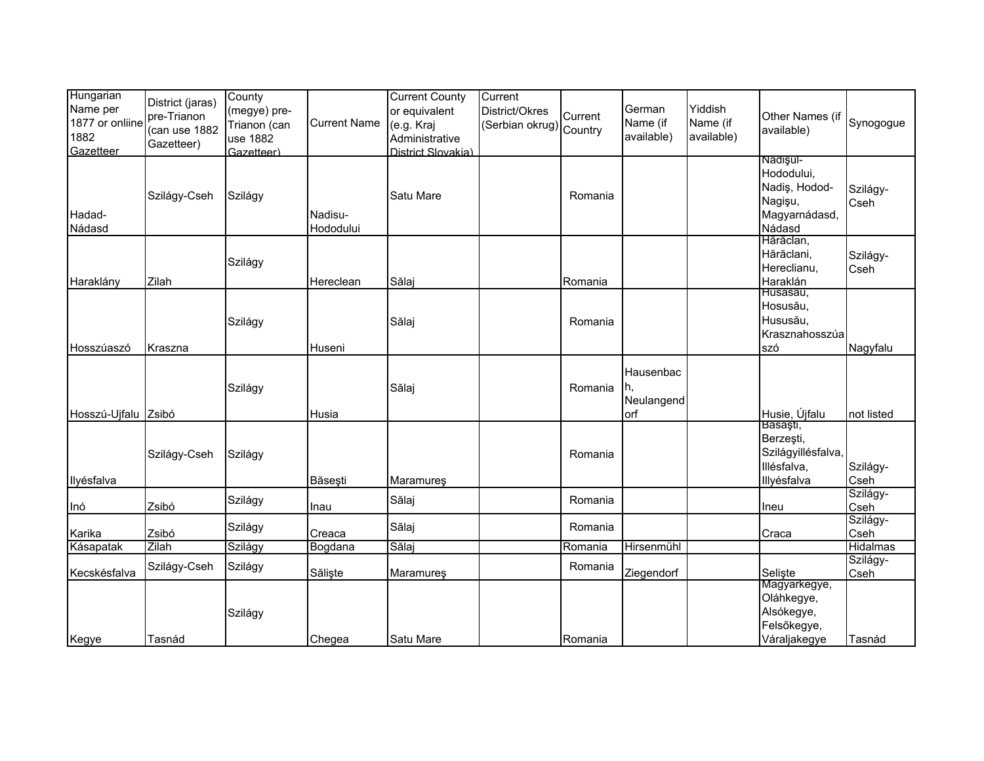| Hungarian           | District (jaras) | County       |                     | <b>Current County</b> | Current                |         |            |            |                         |            |
|---------------------|------------------|--------------|---------------------|-----------------------|------------------------|---------|------------|------------|-------------------------|------------|
| Name per            | pre-Trianon      | (megye) pre- |                     | or equivalent         | District/Okres         | Current | German     | Yiddish    | Other Names (if         |            |
| 1877 or onliine     | (can use 1882    | Trianon (can | <b>Current Name</b> | (e.g. Kraj            | Serbian okrug) Country |         | Name (if   | Name (if   |                         | Synogogue  |
| 1882                |                  | use 1882     |                     | Administrative        |                        |         | available) | available) | available)              |            |
| Gazetteer           | Gazetteer)       | Gazetteer)   |                     | District Slovakia)    |                        |         |            |            |                         |            |
|                     |                  |              |                     |                       |                        |         |            |            | Nadişul-                |            |
|                     |                  |              |                     |                       |                        |         |            |            | Hododului,              |            |
|                     | Szilágy-Cseh     | Szilágy      |                     | Satu Mare             |                        | Romania |            |            | Nadiş, Hodod-           | Szilágy-   |
|                     |                  |              |                     |                       |                        |         |            |            | Nagişu,                 | Cseh       |
| Hadad-              |                  |              | Nadisu-             |                       |                        |         |            |            | Magyarnádasd,           |            |
| Nádasd              |                  |              | Hododului           |                       |                        |         |            |            | Nádasd                  |            |
|                     |                  |              |                     |                       |                        |         |            |            | Hărăclan,               |            |
|                     |                  | Szilágy      |                     |                       |                        |         |            |            | Hărăclani,              | Szilágy-   |
|                     |                  |              |                     |                       |                        |         |            |            | Hereclianu,             | Cseh       |
| Haraklány           | Zilah            |              | Hereclean           | Sălaj                 |                        | Romania |            |            | Haraklán<br>Husasáu,    |            |
|                     |                  |              |                     |                       |                        |         |            |            | Hosusău,                |            |
|                     |                  |              |                     |                       |                        |         |            |            | Hususău,                |            |
|                     |                  | Szilágy      |                     | Sălaj                 |                        | Romania |            |            | Krasznahosszúa          |            |
| Hosszúaszó          | Kraszna          |              | Huseni              |                       |                        |         |            |            | szó                     | Nagyfalu   |
|                     |                  |              |                     |                       |                        |         |            |            |                         |            |
|                     |                  |              |                     |                       |                        |         | Hausenbac  |            |                         |            |
|                     |                  | Szilágy      |                     | Sălaj                 |                        | Romania | Ih,        |            |                         |            |
|                     |                  |              |                     |                       |                        |         | Neulangend |            |                         |            |
| Hosszú-Ujfalu Zsibó |                  |              | Husia               |                       |                        |         | orf        |            | Husie, Újfalu           | not listed |
|                     |                  |              |                     |                       |                        |         |            |            | Básáşti,                |            |
|                     |                  |              |                     |                       |                        |         |            |            | Berzeşti,               |            |
|                     | Szilágy-Cseh     | Szilágy      |                     |                       |                        | Romania |            |            | Szilágyillésfalva,      |            |
|                     |                  |              |                     |                       |                        |         |            |            | Illésfalva,             | Szilágy-   |
| Ilyésfalva          |                  |              | Băseşti             | Maramureş             |                        |         |            |            | Illyésfalva             | Cseh       |
|                     |                  | Szilágy      |                     | Sălaj                 |                        | Romania |            |            |                         | Szilágy-   |
| Inó                 | Zsibó            |              | Inau                |                       |                        |         |            |            | Ineu                    | Cseh       |
|                     |                  | Szilágy      |                     | Sălaj                 |                        | Romania |            |            |                         | Szilágy-   |
| Karika              | Zsibó            |              | Creaca              |                       |                        |         |            |            | Craca                   | Cseh       |
| Kásapatak           | Zilah            | Szilágy      | Bogdana             | Sălaj                 |                        | Romania | Hirsenmühl |            |                         | Hidalmas   |
|                     | Szilágy-Cseh     | Szilágy      |                     |                       |                        | Romania |            |            |                         | Szilágy-   |
| Kecskésfalva        |                  |              | Sălişte             | Maramureş             |                        |         | Ziegendorf |            | Selişte<br>Magyarkegye, | Cseh       |
|                     |                  |              |                     |                       |                        |         |            |            | Oláhkegye,              |            |
|                     |                  |              |                     |                       |                        |         |            |            | Alsókegye,              |            |
|                     |                  | Szilágy      |                     |                       |                        |         |            |            | Felsőkegye,             |            |
| Kegye               | Tasnád           |              | Chegea              | Satu Mare             |                        | Romania |            |            | Váraljakegye            | Tasnád     |
|                     |                  |              |                     |                       |                        |         |            |            |                         |            |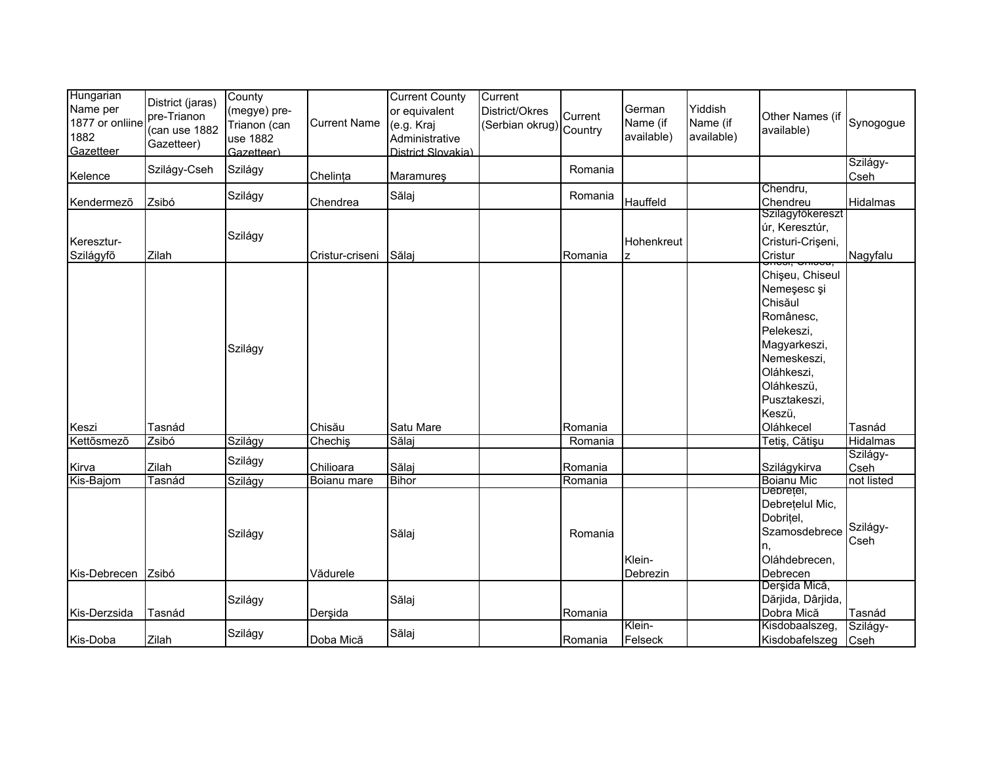| Hungarian<br>Name per<br>1877 or onliine<br>1882<br>Gazetteer | District (jaras)<br>pre-Trianon<br>(can use 1882<br>Gazetteer) | County<br>(megye) pre-<br>Trianon (can<br>use 1882<br>Gazetteer) | <b>Current Name</b> | <b>Current County</b><br>or equivalent<br>(e.g. Kraj<br>Administrative<br>District Slovakia) | Current<br>District/Okres<br>(Serbian okrug) Country | Current            | German<br>Name (if<br>available) | Yiddish<br>Name (if<br>available) | Other Names (if<br>available)                                                                                                                             | Synogogue                 |
|---------------------------------------------------------------|----------------------------------------------------------------|------------------------------------------------------------------|---------------------|----------------------------------------------------------------------------------------------|------------------------------------------------------|--------------------|----------------------------------|-----------------------------------|-----------------------------------------------------------------------------------------------------------------------------------------------------------|---------------------------|
| Kelence                                                       | Szilágy-Cseh                                                   | Szilágy                                                          | Chelința            | Maramureş                                                                                    |                                                      | Romania            |                                  |                                   |                                                                                                                                                           | Szilágy-<br>Cseh          |
| Kendermező                                                    | Zsibó                                                          | Szilágy                                                          | Chendrea            | Sălaj                                                                                        |                                                      | Romania            | Hauffeld                         |                                   | Chendru,<br>Chendreu                                                                                                                                      | Hidalmas                  |
| Keresztur-<br>Szilágyfő                                       | Zilah                                                          | Szilágy                                                          | Cristur-criseni     | Sălaj                                                                                        |                                                      | Romania            | Hohenkreut<br>z                  |                                   | Szilágyfőkereszt<br>úr, Keresztúr,<br>Cristuri-Crișeni,<br>Cristur                                                                                        | Nagyfalu                  |
|                                                               |                                                                | Szilágy                                                          |                     |                                                                                              |                                                      |                    |                                  |                                   | Chişeu, Chiseul<br>Nemeşesc şi<br>Chisăul<br>Românesc,<br>Pelekeszi,<br>Magyarkeszi,<br>Nemeskeszi,<br>Oláhkeszi,<br>Oláhkeszü,<br>Pusztakeszi,<br>Keszü, |                           |
| Keszi<br>Kettősmező                                           | Tasnád<br>Zsibó                                                | Szilágy                                                          | Chisău<br>Chechiş   | Satu Mare<br>Sălaj                                                                           |                                                      | Romania<br>Romania |                                  |                                   | Oláhkecel<br>Tetiş, Cătişu                                                                                                                                | Tasnád<br><b>Hidalmas</b> |
|                                                               |                                                                |                                                                  |                     |                                                                                              |                                                      |                    |                                  |                                   |                                                                                                                                                           | Szilágy-                  |
| Kirva                                                         | Zilah                                                          | Szilágy                                                          | Chilioara           | Sălaj                                                                                        |                                                      | Romania            |                                  |                                   | Szilágykirva                                                                                                                                              | Cseh                      |
| Kis-Bajom                                                     | Tasnád                                                         | Szilágy                                                          | Boianu mare         | <b>Bihor</b>                                                                                 |                                                      | Romania            |                                  |                                   | <b>Boianu Mic</b>                                                                                                                                         | not listed                |
|                                                               |                                                                | Szilágy                                                          |                     | Sălaj                                                                                        |                                                      | Romania            | Klein-                           |                                   | Depreței,<br>Debrețelul Mic,<br>Dobritel,<br>Szamosdebrece<br>n.<br>Oláhdebrecen,                                                                         | Szilágy-<br>Cseh          |
| Kis-Debrecen                                                  | Zsibó                                                          |                                                                  | Vădurele            |                                                                                              |                                                      |                    | Debrezin                         |                                   | Debrecen                                                                                                                                                  |                           |
| Kis-Derzsida                                                  | Tasnád                                                         | Szilágy                                                          | Derşida             | Sălaj                                                                                        |                                                      | Romania            |                                  |                                   | Derşida Mică,<br>Dărjida, Dârjida,<br>Dobra Mică                                                                                                          | Tasnád                    |
| Kis-Doba                                                      | Zilah                                                          | Szilágy                                                          | Doba Mică           | Sălaj                                                                                        |                                                      | Romania            | Klein-<br>Felseck                |                                   | Kisdobaalszeg,<br>Kisdobafelszeg Cseh                                                                                                                     | Szilágy-                  |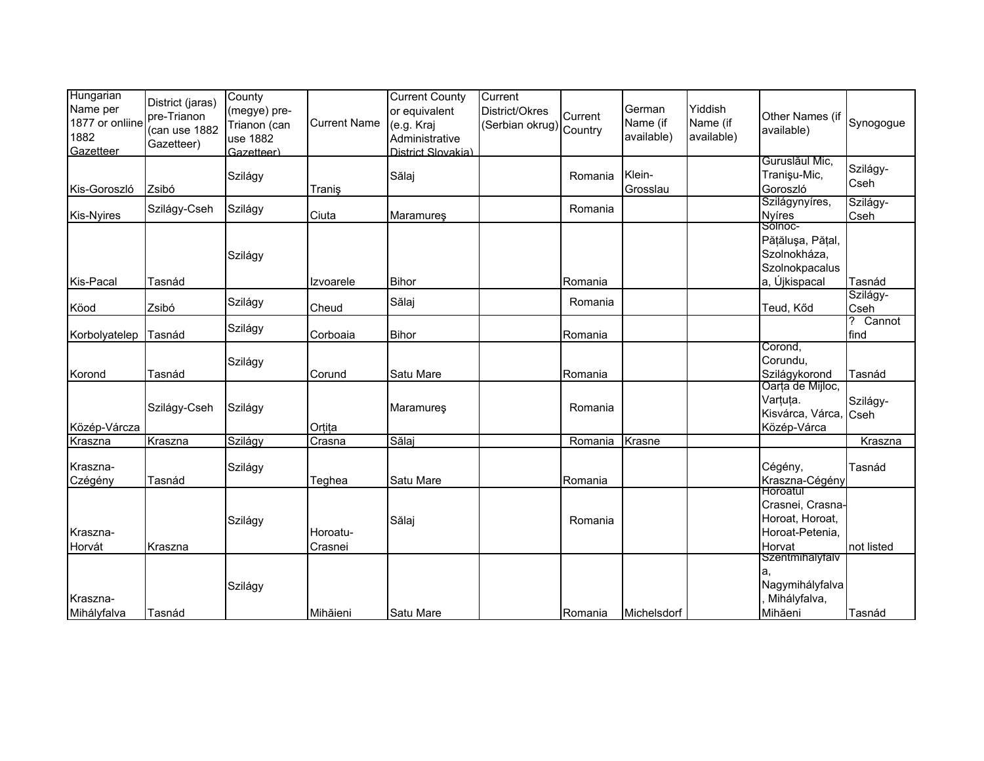| Hungarian<br>Name per<br>1877 or onliine<br>1882<br>Gazetteer | District (jaras)<br>pre-Trianon<br>(can use 1882<br>Gazetteer) | County<br>(megye) pre-<br>Trianon (can<br>use 1882<br>Gazetteer) | <b>Current Name</b> | <b>Current County</b><br>or equivalent<br>(e.g. Kraj<br>Administrative<br>District Slovakia) | Current<br>District/Okres<br>(Serbian okrug) Country | Current | German<br>Name (if<br>available) | Yiddish<br>Name (if<br>available) | Other Names (if<br>available)                                                  | Synogogue        |
|---------------------------------------------------------------|----------------------------------------------------------------|------------------------------------------------------------------|---------------------|----------------------------------------------------------------------------------------------|------------------------------------------------------|---------|----------------------------------|-----------------------------------|--------------------------------------------------------------------------------|------------------|
| Kis-Goroszló                                                  | Zsibó                                                          | Szilágy                                                          | Traniş              | Sălaj                                                                                        |                                                      | Romania | Klein-<br>Grosslau               |                                   | Guruslăul Mic,<br>Tranişu-Mic,<br>Goroszló                                     | Szilágy-<br>Cseh |
| <b>Kis-Nyires</b>                                             | Szilágy-Cseh                                                   | Szilágy                                                          | Ciuta               | <b>Maramures</b>                                                                             |                                                      | Romania |                                  |                                   | Szilágynyíres,<br><b>Nyíres</b>                                                | Szilágy-<br>Cseh |
| Kis-Pacal                                                     | Tasnád                                                         | Szilágy                                                          | Izvoarele           | <b>Bihor</b>                                                                                 |                                                      | Romania |                                  |                                   | Sólnoc-<br>Pățălușa, Pățal,<br>Szolnokháza,<br>Szolnokpacalus<br>a, Újkispacal | Tasnád           |
| Köod                                                          | Zsibó                                                          | Szilágy                                                          | Cheud               | Sălaj                                                                                        |                                                      | Romania |                                  |                                   | Teud, Kőd                                                                      | Szilágy-<br>Cseh |
| Korbolyatelep                                                 | Tasnád                                                         | Szilágy                                                          | Corboaia            | <b>Bihor</b>                                                                                 |                                                      | Romania |                                  |                                   |                                                                                | ? Cannot<br>find |
| Korond                                                        | Tasnád                                                         | Szilágy                                                          | Corund              | Satu Mare                                                                                    |                                                      | Romania |                                  |                                   | Corond,<br>Corundu,<br>Szilágykorond                                           | Tasnád           |
| Közép-Várcza                                                  | Szilágy-Cseh                                                   | Szilágy                                                          | Ortita              | <b>Maramures</b>                                                                             |                                                      | Romania |                                  |                                   | Oarța de Mijloc,<br>Varțuța.<br>Kisvárca, Várca,<br>Közép-Várca                | Szilágy-<br>Cseh |
| Kraszna                                                       | Kraszna                                                        | Szilágy                                                          | Crasna              | Sălaj                                                                                        |                                                      | Romania | Krasne                           |                                   |                                                                                | Kraszna          |
| Kraszna-<br>Czégény                                           | Tasnád                                                         | Szilágy                                                          | Teghea              | Satu Mare                                                                                    |                                                      | Romania |                                  |                                   | Cégény,<br>Kraszna-Cégény                                                      | Tasnád           |
| Kraszna-<br>Horvát                                            | Kraszna                                                        | Szilágy                                                          | Horoatu-<br>Crasnei | Sălaj                                                                                        |                                                      | Romania |                                  |                                   | Horoatul<br>Crasnei, Crasna-<br>Horoat, Horoat,<br>Horoat-Petenia,<br>Horvat   | not listed       |
| Kraszna-<br>Mihályfalva                                       | Tasnád                                                         | Szilágy                                                          | Mihăieni            | Satu Mare                                                                                    |                                                      | Romania | Michelsdorf                      |                                   | Szentmihályfalv<br>a.<br>Nagymihályfalva<br>Mihályfalva,<br>Mihăeni            | Tasnád           |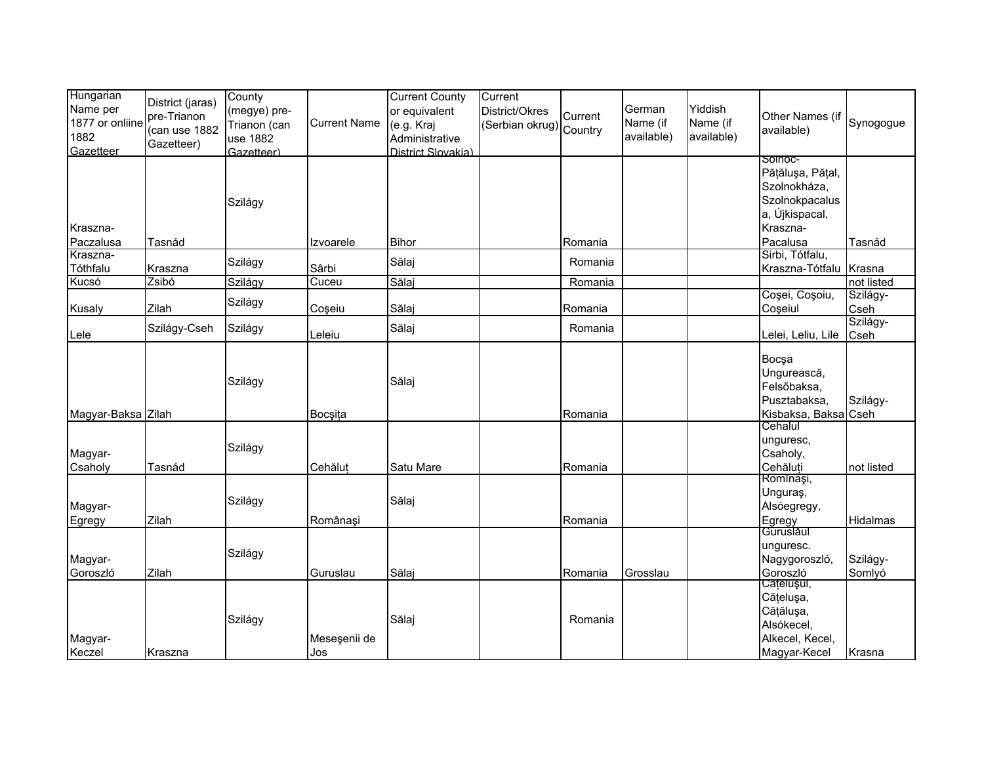| Hungarian<br>Name per   | District (jaras)                           | County<br>(megye) pre-   |                     | <b>Current County</b><br>or equivalent | Current<br>District/Okres |         | German                 | Yiddish                |                                 |                  |
|-------------------------|--------------------------------------------|--------------------------|---------------------|----------------------------------------|---------------------------|---------|------------------------|------------------------|---------------------------------|------------------|
| 1877 or onliine<br>1882 | pre-Trianon<br>(can use 1882<br>Gazetteer) | Trianon (can<br>use 1882 | <b>Current Name</b> | (e.g. Kraj<br>Administrative           | (Serbian okrug) Country   | Current | Name (if<br>available) | Name (if<br>available) | Other Names (if<br>available)   | Synogogue        |
| Gazetteer               |                                            | Gazetteer)               |                     | District Slovakia)                     |                           |         |                        |                        | SOINOC-                         |                  |
|                         |                                            |                          |                     |                                        |                           |         |                        |                        | Pățălușa, Pățal,                |                  |
|                         |                                            |                          |                     |                                        |                           |         |                        |                        | Szolnokháza,                    |                  |
|                         |                                            | Szilágy                  |                     |                                        |                           |         |                        |                        | Szolnokpacalus                  |                  |
| Kraszna-                |                                            |                          |                     |                                        |                           |         |                        |                        | a, Újkispacal,<br>Kraszna-      |                  |
| Paczalusa               | Tasnád                                     |                          | Izvoarele           | <b>Bihor</b>                           |                           | Romania |                        |                        | Pacalusa                        | Tasnád           |
| Kraszna-                |                                            |                          |                     |                                        |                           |         |                        |                        | Sirbi, Tótfalu,                 |                  |
| Tóthfalu                | Kraszna                                    | Szilágy                  | Sârbi               | Sălaj                                  |                           | Romania |                        |                        | Kraszna-Tótfalu                 | Krasna           |
| Kucsó                   | Zsibó                                      | Szilágy                  | Cuceu               | Sălaj                                  |                           | Romania |                        |                        |                                 | not listed       |
|                         | Zilah                                      | Szilágy                  |                     |                                        |                           |         |                        |                        | Coșei, Coșoiu,                  | Szilágy-         |
| Kusaly                  |                                            |                          | Coşeiu              | Sălaj                                  |                           | Romania |                        |                        | Coşeiul                         | Cseh<br>Szilágy- |
| Lele                    | Szilágy-Cseh                               | Szilágy                  | Leleiu              | Sălaj                                  |                           | Romania |                        |                        | Lelei, Leliu, Lile              | Cseh             |
|                         |                                            |                          |                     |                                        |                           |         |                        |                        | Bocsa                           |                  |
|                         |                                            |                          |                     |                                        |                           |         |                        |                        | Ungurească,                     |                  |
|                         |                                            | Szilágy                  |                     | Sălaj                                  |                           |         |                        |                        | Felsőbaksa,                     |                  |
|                         |                                            |                          |                     |                                        |                           |         |                        |                        | Pusztabaksa,                    | Szilágy-         |
| Magyar-Baksa Zilah      |                                            |                          | Bocșița             |                                        |                           | Romania |                        |                        | Kisbaksa, Baksa Cseh<br>Cehalul |                  |
|                         |                                            |                          |                     |                                        |                           |         |                        |                        | unguresc,                       |                  |
| Magyar-                 |                                            | Szilágy                  |                     |                                        |                           |         |                        |                        | Csaholy,                        |                  |
| Csaholy                 | Tasnád                                     |                          | Cehăluț             | Satu Mare                              |                           | Romania |                        |                        | Cehăluți                        | not listed       |
|                         |                                            |                          |                     |                                        |                           |         |                        |                        | Romînaşi,                       |                  |
|                         |                                            | Szilágy                  |                     | Sălaj                                  |                           |         |                        |                        | Unguras,                        |                  |
| Magyar-                 |                                            |                          |                     |                                        |                           |         |                        |                        | Alsóegregy,                     |                  |
| Egregy                  | Zilah                                      |                          | Românași            |                                        |                           | Romania |                        |                        | Egregy<br>Guruslaul             | Hidalmas         |
|                         |                                            |                          |                     |                                        |                           |         |                        |                        | unguresc.                       |                  |
| Magyar-                 |                                            | Szilágy                  |                     |                                        |                           |         |                        |                        | Nagygoroszló,                   | Szilágy-         |
| Goroszló                | Zilah                                      |                          | Guruslau            | Sălaj                                  |                           | Romania | Grosslau               |                        | Goroszló                        | Somlyó           |
|                         |                                            |                          |                     |                                        |                           |         |                        |                        | Cațelușui,                      |                  |
|                         |                                            |                          |                     |                                        |                           |         |                        |                        | Cățelușa,<br>Cățălușa,          |                  |
|                         |                                            | Szilágy                  |                     | Sălaj                                  |                           | Romania |                        |                        | Alsókecel,                      |                  |
| Magyar-                 |                                            |                          | Meseşenii de        |                                        |                           |         |                        |                        | Alkecel, Kecel,                 |                  |
| Keczel                  | Kraszna                                    |                          | Jos                 |                                        |                           |         |                        |                        | Magyar-Kecel                    | Krasna           |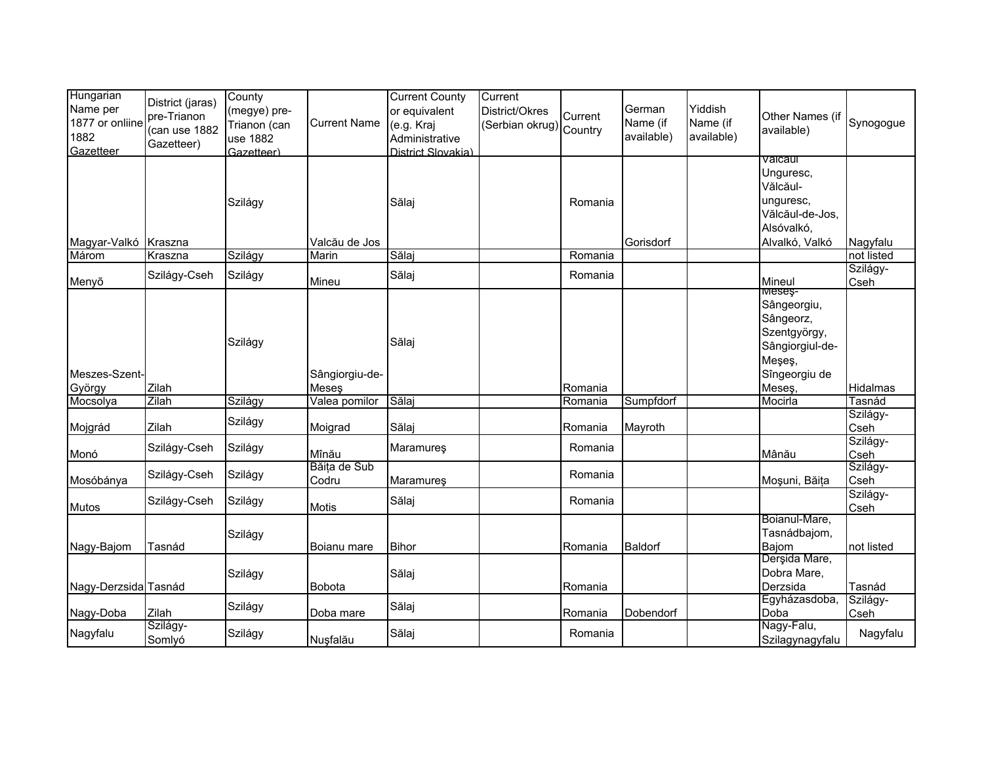| Hungarian<br>Name per<br>1877 or onliine<br>1882<br>Gazetteer | District (jaras)<br>pre-Trianon<br>(can use 1882<br>Gazetteer) | County<br>(megye) pre-<br>Trianon (can<br>use 1882<br>Gazetteer) | <b>Current Name</b>    | <b>Current County</b><br>or equivalent<br>(e.g. Kraj<br>Administrative<br>District Slovakia) | Current<br>District/Okres<br>(Serbian okrug) Country | Current            | German<br>Name (if<br>available) | Yiddish<br>Name (if<br>available) | Other Names (if<br>available)                                                                    | Synogogue          |
|---------------------------------------------------------------|----------------------------------------------------------------|------------------------------------------------------------------|------------------------|----------------------------------------------------------------------------------------------|------------------------------------------------------|--------------------|----------------------------------|-----------------------------------|--------------------------------------------------------------------------------------------------|--------------------|
| Magyar-Valkó                                                  | Kraszna                                                        | Szilágy                                                          | Valcău de Jos          | Sălaj                                                                                        |                                                      | Romania            | Gorisdorf                        |                                   | vaicaur<br>Unguresc,<br>Vălcăul-<br>unguresc,<br>Vălcăul-de-Jos,<br>Alsóvalkó,<br>Alvalkó, Valkó | Nagyfalu           |
| Márom                                                         | Kraszna                                                        | Szilágy                                                          | Marin                  | Sălaj                                                                                        |                                                      | Romania            |                                  |                                   |                                                                                                  | not listed         |
| Menyõ                                                         | Szilágy-Cseh                                                   | Szilágy                                                          | Mineu                  | Sălaj                                                                                        |                                                      | Romania            |                                  |                                   | Mineul                                                                                           | Szilágy-<br>Cseh   |
| Meszes-Szent-                                                 |                                                                | Szilágy                                                          | Sângiorgiu-de-         | Sălaj                                                                                        |                                                      |                    |                                  |                                   | Meseş-<br>Sângeorgiu,<br>Sângeorz,<br>Szentgyörgy,<br>Sângiorgiul-de-<br>Meşeş,<br>Sîngeorgiu de |                    |
| György<br>Mocsolya                                            | Zilah<br>Zilah                                                 | Szilágy                                                          | Meseş<br>Valea pomilor | Sălaj                                                                                        |                                                      | Romania<br>Romania | Sumpfdorf                        |                                   | Meseş,<br>Mocirla                                                                                | Hidalmas<br>Tasnád |
| Mojgrád                                                       | Zilah                                                          | Szilágy                                                          | Moigrad                | Sălaj                                                                                        |                                                      | Romania            | Mayroth                          |                                   |                                                                                                  | Szilágy-<br>Cseh   |
| Monó                                                          | Szilágy-Cseh                                                   | Szilágy                                                          | Mînău                  | <b>Maramures</b>                                                                             |                                                      | Romania            |                                  |                                   | Mânău                                                                                            | Szilágy-<br>Cseh   |
| Mosóbánya                                                     | Szilágy-Cseh                                                   | Szilágy                                                          | Băița de Sub<br>Codru  | Maramureş                                                                                    |                                                      | Romania            |                                  |                                   | Moșuni, Băița                                                                                    | Szilágy-<br>Cseh   |
| Mutos                                                         | Szilágy-Cseh                                                   | Szilágy                                                          | Motis                  | Sălaj                                                                                        |                                                      | Romania            |                                  |                                   |                                                                                                  | Szilágy-<br>Cseh   |
| Nagy-Bajom                                                    | Tasnád                                                         | Szilágy                                                          | Boianu mare            | <b>Bihor</b>                                                                                 |                                                      | Romania            | Baldorf                          |                                   | Boianul-Mare,<br>Tasnádbajom,<br>Bajom                                                           | not listed         |
| Nagy-Derzsida Tasnád                                          |                                                                | Szilágy                                                          | <b>Bobota</b>          | Sălaj                                                                                        |                                                      | Romania            |                                  |                                   | Derşida Mare,<br>Dobra Mare,<br>Derzsida                                                         | Tasnád             |
| Nagy-Doba                                                     | Zilah                                                          | Szilágy                                                          | Doba mare              | Sălaj                                                                                        |                                                      | Romania            | Dobendorf                        |                                   | Egyházasdoba,<br>Doba                                                                            | Szilágy-<br>Cseh   |
| Nagyfalu                                                      | Szilágy-<br>Somlyó                                             | Szilágy                                                          | Nușfalău               | Sălaj                                                                                        |                                                      | Romania            |                                  |                                   | Nagy-Falu,<br>Szilagynagyfalu                                                                    | Nagyfalu           |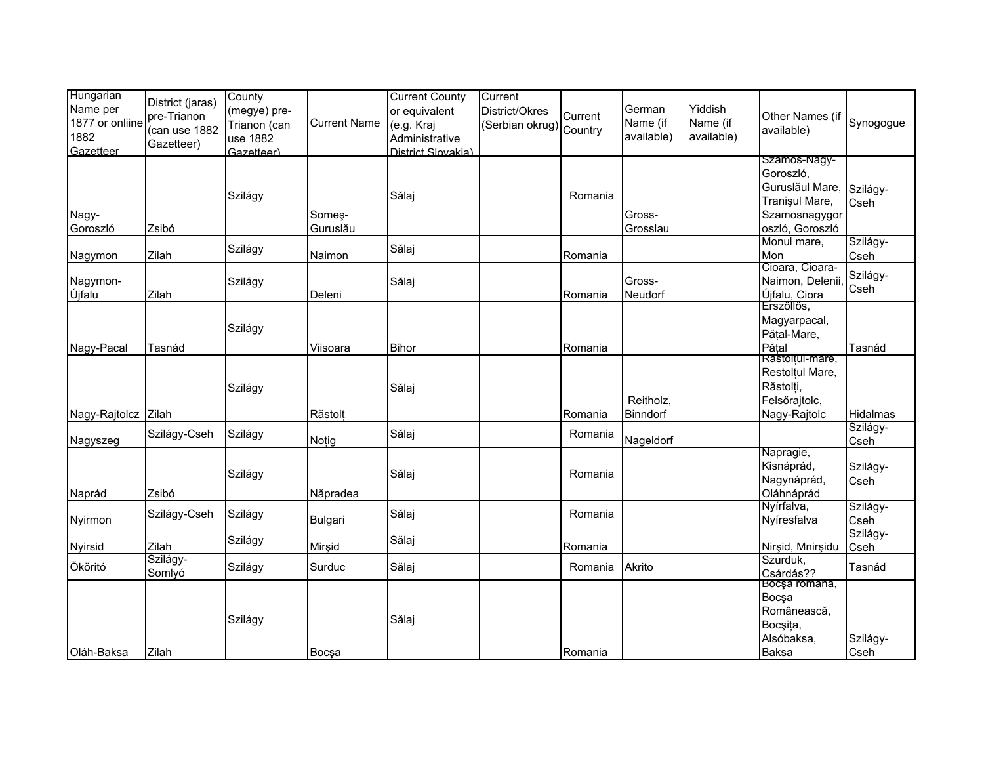| Hungarian<br>Name per<br>1877 or onliine<br>1882<br>Gazetteer | District (jaras)<br>pre-Trianon<br>(can use 1882<br>Gazetteer) | County<br>(megye) pre-<br>Trianon (can<br>use 1882<br>Gazetteer) | <b>Current Name</b> | <b>Current County</b><br>or equivalent<br>(e.g. Kraj<br>Administrative<br>District Slovakia) | Current<br>District/Okres<br>(Serbian okrug) Country | Current | German<br>Name (if<br>available) | Yiddish<br>Name (if<br>available) | Other Names (if<br>available)                                                                      | Synogogue        |
|---------------------------------------------------------------|----------------------------------------------------------------|------------------------------------------------------------------|---------------------|----------------------------------------------------------------------------------------------|------------------------------------------------------|---------|----------------------------------|-----------------------------------|----------------------------------------------------------------------------------------------------|------------------|
| Nagy-<br>Goroszló                                             | Zsibó                                                          | Szilágy                                                          | Somes-<br>Guruslău  | Sălaj                                                                                        |                                                      | Romania | Gross-<br>Grosslau               |                                   | Szamos-Nagy-<br>Goroszló,<br>Guruslăul Mare,<br>Tranişul Mare,<br>Szamosnagygor<br>oszló, Goroszló | Szilágy-<br>Cseh |
| Nagymon                                                       | Zilah                                                          | Szilágy                                                          | Naimon              | Sălaj                                                                                        |                                                      | Romania |                                  |                                   | Monul mare,<br>Mon                                                                                 | Szilágy-<br>Cseh |
| Nagymon-<br>Újfalu                                            | Zilah                                                          | Szilágy                                                          | Deleni              | Sălaj                                                                                        |                                                      | Romania | Gross-<br>Neudorf                |                                   | Cioara, Cioara-<br>Naimon, Delenii,<br>Újfalu, Ciora                                               | Szilágy-<br>Cseh |
| Nagy-Pacal                                                    | Tasnád                                                         | Szilágy                                                          | Viisoara            | <b>Bihor</b>                                                                                 |                                                      | Romania |                                  |                                   | Erszőllős,<br>Magyarpacal,<br>Pățal-Mare,<br>Pătal                                                 | Tasnád           |
| Nagy-Rajtolcz                                                 | Zilah                                                          | Szilágy                                                          | Răstolț             | Sălaj                                                                                        |                                                      | Romania | Reitholz,<br>Binndorf            |                                   | Rastolțul-mare,<br>Restolțul Mare,<br>Răstolți,<br>Felsőrajtolc,<br>Nagy-Rajtolc                   | Hidalmas         |
| Nagyszeg                                                      | Szilágy-Cseh                                                   | Szilágy                                                          | Notig               | Sălaj                                                                                        |                                                      | Romania | Nageldorf                        |                                   |                                                                                                    | Szilágy-<br>Cseh |
| Naprád                                                        | Zsibó                                                          | Szilágy                                                          | Năpradea            | Sălaj                                                                                        |                                                      | Romania |                                  |                                   | Napragie,<br>Kisnáprád,<br>Nagynáprád,<br>Oláhnáprád                                               | Szilágy-<br>Cseh |
| Nyirmon                                                       | Szilágy-Cseh                                                   | Szilágy                                                          | Bulgari             | Sălaj                                                                                        |                                                      | Romania |                                  |                                   | Nyírfalva,<br>Nyíresfalva                                                                          | Szilágy-<br>Cseh |
| Nyirsid                                                       | Zilah                                                          | Szilágy                                                          | Mirşid              | Sălaj                                                                                        |                                                      | Romania |                                  |                                   | Nirşid, Mnirşidu                                                                                   | Szilágy-<br>Cseh |
| Ököritó                                                       | Szilágy-<br>Somlyó                                             | Szilágy                                                          | Surduc              | Sălaj                                                                                        |                                                      | Romania | Akrito                           |                                   | Szurduk.<br>Csárdás??                                                                              | Tasnád           |
| Oláh-Baksa                                                    | Zilah                                                          | Szilágy                                                          | Bocşa               | Sălaj                                                                                        |                                                      | Romania |                                  |                                   | Bocşa romana,<br>Bocsa<br>Românească,<br>Bocşița,<br>Alsóbaksa,<br><b>Baksa</b>                    | Szilágy-<br>Cseh |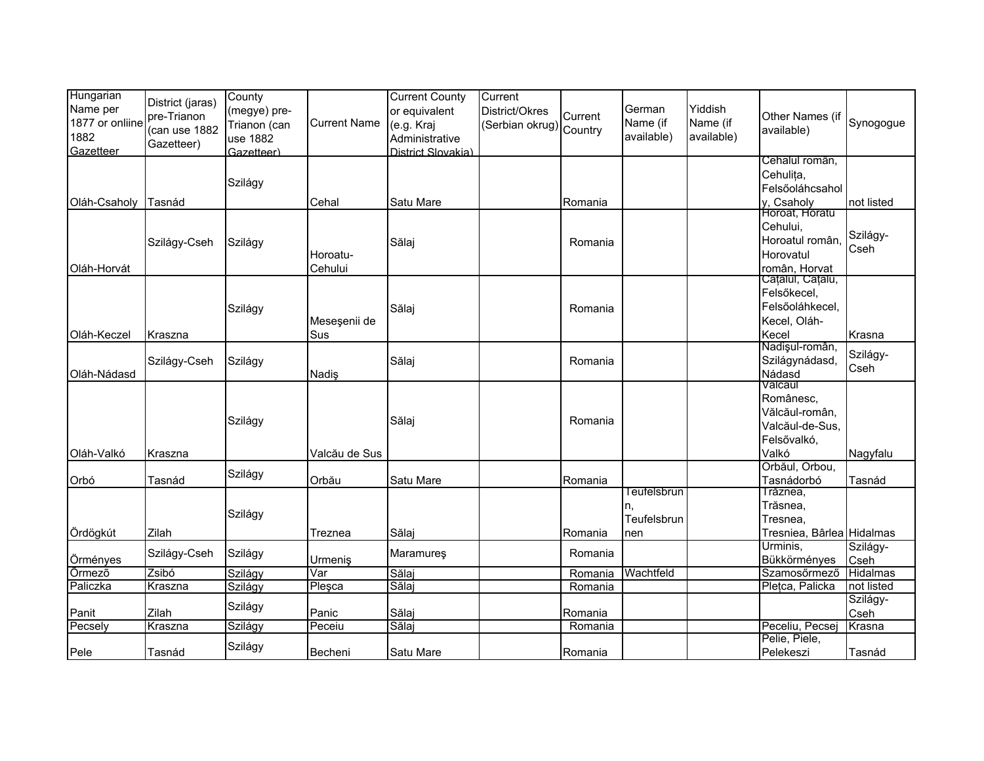| Hungarian<br>Name per<br>1877 or onliine<br>1882<br>Gazetteer | District (jaras)<br>pre-Trianon<br>(can use 1882<br>Gazetteer) | County<br>(megye) pre-<br>Trianon (can<br>use 1882<br>Gazetteer) | <b>Current Name</b> | <b>Current County</b><br>or equivalent<br>(e.g. Kraj<br>Administrative<br>District Slovakia) | Current<br>District/Okres<br>(Serbian okrug) Country | Current | German<br>Name (if<br>available)        | Yiddish<br>Name (if<br>available) | Other Names (if<br>available)                                                     | Synogogue        |
|---------------------------------------------------------------|----------------------------------------------------------------|------------------------------------------------------------------|---------------------|----------------------------------------------------------------------------------------------|------------------------------------------------------|---------|-----------------------------------------|-----------------------------------|-----------------------------------------------------------------------------------|------------------|
|                                                               |                                                                | Szilágy                                                          |                     |                                                                                              |                                                      |         |                                         |                                   | Cehalul român,<br>Cehulița,<br>Felsőoláhcsahol                                    |                  |
| Oláh-Csaholy                                                  | Tasnád                                                         |                                                                  | Cehal               | Satu Mare                                                                                    |                                                      | Romania |                                         |                                   | y, Csaholy<br>Horoat, Horatu                                                      | not listed       |
| Oláh-Horvát                                                   | Szilágy-Cseh                                                   | Szilágy                                                          | Horoatu-<br>Cehului | Sălaj                                                                                        |                                                      | Romania |                                         |                                   | Cehului,<br>Horoatul român,<br>Horovatul<br>român, Horvat                         | Szilágy-<br>Cseh |
| Oláh-Keczel                                                   | Kraszna                                                        | Szilágy                                                          | Meseşenii de<br>Sus | Sălaj                                                                                        |                                                      | Romania |                                         |                                   | Cățălul, Cățălu,<br>Felsőkecel,<br>Felsőoláhkecel,<br>Kecel, Oláh-<br>Kecel       | Krasna           |
| Oláh-Nádasd                                                   | Szilágy-Cseh                                                   | Szilágy                                                          | Nadiş               | Sălaj                                                                                        |                                                      | Romania |                                         |                                   | Nadişul-român,<br>Szilágynádasd,<br>Nádasd                                        | Szilágy-<br>Cseh |
| Oláh-Valkó                                                    | Kraszna                                                        | Szilágy                                                          | Valcău de Sus       | Sălaj                                                                                        |                                                      | Romania |                                         |                                   | Valcaul<br>Românesc,<br>Vălcăul-român,<br>Valcăul-de-Sus,<br>Felsővalkó,<br>Valkó | Nagyfalu         |
| Orbó                                                          | Tasnád                                                         | Szilágy                                                          | Orbău               | Satu Mare                                                                                    |                                                      | Romania |                                         |                                   | Orbăul, Orbou,<br>Tasnádorbó                                                      | Tasnád           |
| Ördögkút                                                      | Zilah                                                          | Szilágy                                                          | Treznea             | Sălaj                                                                                        |                                                      | Romania | Teufelsbrun<br>n.<br>Teufelsbrun<br>nen |                                   | Trăznea,<br>Trăsnea,<br>Tresnea,<br>Tresniea, Bârlea Hidalmas                     |                  |
| Örményes                                                      | Szilágy-Cseh                                                   | Szilágy                                                          | Urmeniş             | Maramures                                                                                    |                                                      | Romania |                                         |                                   | Urminis,<br>Bükkörményes                                                          | Szilágy-<br>Cseh |
| Örmező                                                        | Zsibó                                                          | Szilágy                                                          | Var                 | Sălaj                                                                                        |                                                      | Romania | Wachtfeld                               |                                   | Szamosőrmező                                                                      | <b>Hidalmas</b>  |
| Paliczka                                                      | Kraszna                                                        | Szilágy                                                          | Plesca              | Sălaj                                                                                        |                                                      | Romania |                                         |                                   | Plețca, Palicka                                                                   | not listed       |
| Panit                                                         | Zilah                                                          | Szilágy                                                          | Panic               | Sălaj                                                                                        |                                                      | Romania |                                         |                                   |                                                                                   | Szilágy-<br>Cseh |
| Pecsely                                                       | Kraszna                                                        | Szilágy                                                          | Peceiu              | Sălaj                                                                                        |                                                      | Romania |                                         |                                   | Peceliu, Pecsej                                                                   | Krasna           |
| Pele                                                          | Tasnád                                                         | Szilágy                                                          | Becheni             | Satu Mare                                                                                    |                                                      | Romania |                                         |                                   | Pelie, Piele,<br>Pelekeszi                                                        | Tasnád           |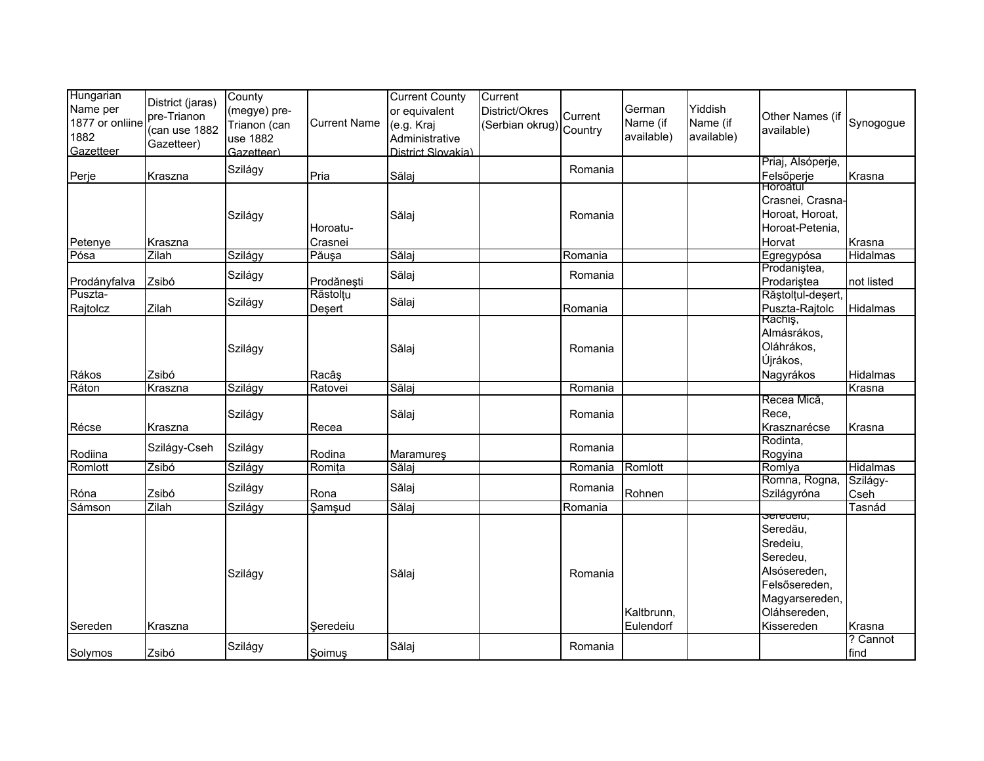| Hungarian<br>Name per<br>1877 or onliine<br>1882<br>Gazetteer | District (jaras)<br>pre-Trianon<br>(can use 1882<br>Gazetteer) | County<br>(megye) pre-<br>Trianon (can<br>use 1882<br>Gazetteer) | <b>Current Name</b> | <b>Current County</b><br>or equivalent<br>(e.g. Kraj<br>Administrative<br>District Slovakia) | Current<br>District/Okres<br>(Serbian okrug) Country | Current | German<br>Name (if<br>available) | Yiddish<br>Name (if<br>available) | Other Names (if<br>available)                                                                                                  | Synogogue        |
|---------------------------------------------------------------|----------------------------------------------------------------|------------------------------------------------------------------|---------------------|----------------------------------------------------------------------------------------------|------------------------------------------------------|---------|----------------------------------|-----------------------------------|--------------------------------------------------------------------------------------------------------------------------------|------------------|
| Perje                                                         | Kraszna                                                        | Szilágy                                                          | Pria                | Sălaj                                                                                        |                                                      | Romania |                                  |                                   | Priaj, Alsóperje,<br>Felsőperje                                                                                                | Krasna           |
| Petenye                                                       | Kraszna                                                        | Szilágy                                                          | Horoatu-<br>Crasnei | Sălaj                                                                                        |                                                      | Romania |                                  |                                   | Horoatul<br>Crasnei, Crasna-<br>Horoat, Horoat,<br>Horoat-Petenia,<br>Horvat                                                   | Krasna           |
| Pósa                                                          | Zilah                                                          | Szilágy                                                          | Păuşa               | Sălaj                                                                                        |                                                      | Romania |                                  |                                   | Egregypósa                                                                                                                     | Hidalmas         |
| Prodányfalva                                                  | Zsibó                                                          | Szilágy                                                          | Prodănești          | Sălaj                                                                                        |                                                      | Romania |                                  |                                   | Prodaniștea,<br>Prodariștea                                                                                                    | not listed       |
| Puszta-<br>Rajtolcz                                           | Zilah                                                          | Szilágy                                                          | Răstolțu<br>Deşert  | Sălaj                                                                                        |                                                      | Romania |                                  |                                   | Răștolțul-deșert,<br>Puszta-Rajtolc                                                                                            | Hidalmas         |
| Rákos                                                         | Zsibó                                                          | Szilágy                                                          | Racâs               | Sălaj                                                                                        |                                                      | Romania |                                  |                                   | Rachis,<br>Almásrákos,<br>Oláhrákos,<br>Újrákos,<br>Nagyrákos                                                                  | Hidalmas         |
| Ráton                                                         | Kraszna                                                        | Szilágy                                                          | Ratovei             | Sălaj                                                                                        |                                                      | Romania |                                  |                                   |                                                                                                                                | Krasna           |
| Récse                                                         | Kraszna                                                        | Szilágy                                                          | Recea               | Sălaj                                                                                        |                                                      | Romania |                                  |                                   | Recea Mică,<br>Rece.<br>Krasznarécse                                                                                           | Krasna           |
| Rodiina                                                       | Szilágy-Cseh                                                   | Szilágy                                                          | Rodina              | Maramures                                                                                    |                                                      | Romania |                                  |                                   | Rodinta,<br>Rogyina                                                                                                            |                  |
| Romlott                                                       | Zsibó                                                          | Szilágy                                                          | Romița              | Sălaj                                                                                        |                                                      | Romania | Romlott                          |                                   | Romlya                                                                                                                         | <b>Hidalmas</b>  |
| Róna                                                          | Zsibó                                                          | Szilágy                                                          | Rona                | Sălaj                                                                                        |                                                      | Romania | Rohnen                           |                                   | Romna, Rogna,<br>Szilágyróna                                                                                                   | Szilágy-<br>Cseh |
| Sámson                                                        | Zilah                                                          | Szilágy                                                          | Şamşud              | Sălaj                                                                                        |                                                      | Romania |                                  |                                   |                                                                                                                                | Tasnád           |
| Sereden                                                       | Kraszna                                                        | Szilágy                                                          | Seredeiu            | Sălaj                                                                                        |                                                      | Romania | Kaltbrunn,<br>Eulendorf          |                                   | seregeru,<br>Seredău,<br>Sredeiu,<br>Seredeu,<br>Alsósereden,<br>Felsősereden,<br>Magyarsereden,<br>Oláhsereden,<br>Kissereden | Krasna           |
| Solymos                                                       | Zsibó                                                          | Szilágy                                                          | Soimuş              | Sălaj                                                                                        |                                                      | Romania |                                  |                                   |                                                                                                                                | ? Cannot<br>find |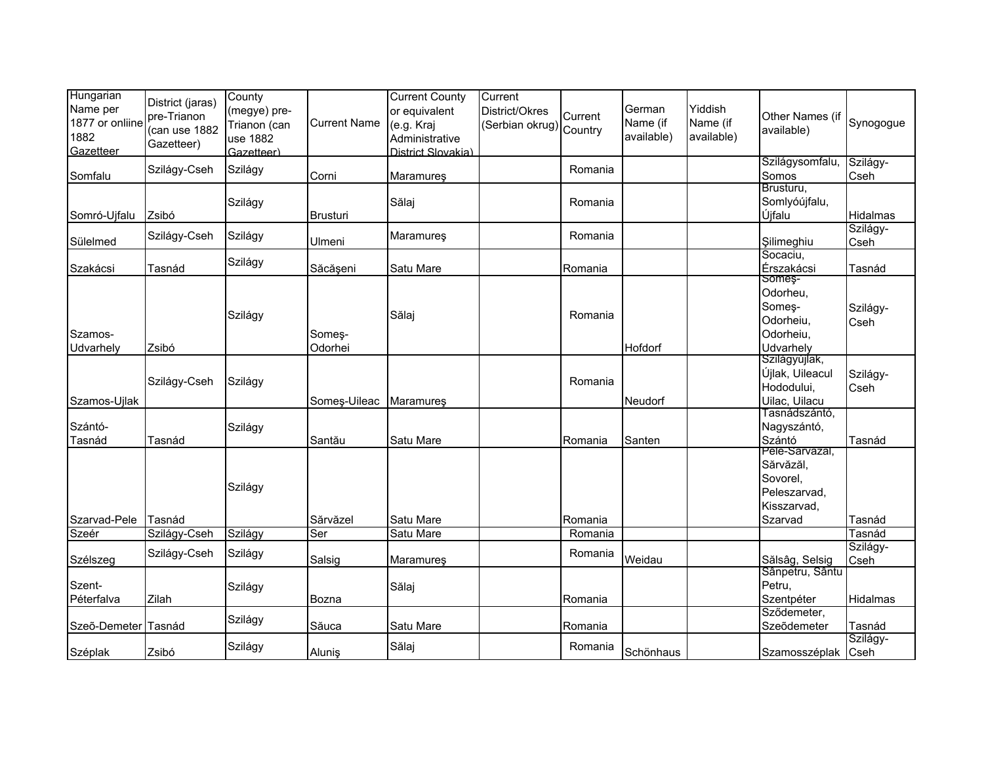| Hungarian<br>Name per<br>1877 or onliine<br>1882<br>Gazetteer | District (jaras)<br>pre-Trianon<br>(can use 1882<br>Gazetteer) | County<br>(megye) pre-<br>Trianon (can<br>use 1882<br>Gazetteer) | <b>Current Name</b> | <b>Current County</b><br>or equivalent<br>(e.g. Kraj<br>Administrative<br>District Slovakia) | Current<br>District/Okres<br>(Serbian okrug) Country | Current | German<br>Name (if<br>available) | Yiddish<br>Name (if<br>available) | Other Names (if<br>available)                                                     | Synogogue        |
|---------------------------------------------------------------|----------------------------------------------------------------|------------------------------------------------------------------|---------------------|----------------------------------------------------------------------------------------------|------------------------------------------------------|---------|----------------------------------|-----------------------------------|-----------------------------------------------------------------------------------|------------------|
| Somfalu                                                       | Szilágy-Cseh                                                   | Szilágy                                                          | Corni               | Maramureş                                                                                    |                                                      | Romania |                                  |                                   | Szilágysomfalu,<br>Somos                                                          | Szilágy-<br>Cseh |
| Somró-Ujfalu                                                  | Zsibó                                                          | Szilágy                                                          | <b>Brusturi</b>     | Sălaj                                                                                        |                                                      | Romania |                                  |                                   | Brusturu,<br>Somlyóújfalu,<br>Újfalu                                              | Hidalmas         |
| Sülelmed                                                      | Szilágy-Cseh                                                   | Szilágy                                                          | Ulmeni              | Maramures                                                                                    |                                                      | Romania |                                  |                                   | Şilimeghiu                                                                        | Szilágy-<br>Cseh |
| Szakácsi                                                      | Tasnád                                                         | Szilágy                                                          | Săcășeni            | Satu Mare                                                                                    |                                                      | Romania |                                  |                                   | Socaciu,<br>Érszakácsi                                                            | Tasnád           |
| Szamos-<br>Udvarhely                                          | Zsibó                                                          | Szilágy                                                          | Someș-<br>Odorhei   | Sălaj                                                                                        |                                                      | Romania | Hofdorf                          |                                   | Someş-<br>Odorheu,<br>Someș-<br>Odorheiu.<br>Odorheiu,<br>Udvarhely               | Szilágy-<br>Cseh |
| Szamos-Ujlak                                                  | Szilágy-Cseh                                                   | Szilágy                                                          | Someş-Uileac        | Maramureş                                                                                    |                                                      | Romania | Neudorf                          |                                   | Szilágyújlak,<br><b>Újlak, Uileacul</b><br>Hododului,<br>Uilac, Uilacu            | Szilágy-<br>Cseh |
| Szántó-<br>Tasnád                                             | Tasnád                                                         | Szilágy                                                          | Santău              | Satu Mare                                                                                    |                                                      | Romania | Santen                           |                                   | Tasnádszántó,<br>Nagyszántó,<br>Szántó                                            | Tasnád           |
| Szarvad-Pele                                                  | Tasnád                                                         | Szilágy                                                          | Sărvăzel            | Satu Mare                                                                                    |                                                      | Romania |                                  |                                   | Pele-Sarvazal,<br>Sărvăzăl,<br>Sovorel,<br>Peleszarvad,<br>Kisszarvad,<br>Szarvad | Tasnád           |
| Szeér                                                         | Szilágy-Cseh                                                   | Szilágy                                                          | Ser                 | Satu Mare                                                                                    |                                                      | Romania |                                  |                                   |                                                                                   | Tasnád           |
| Szélszeg                                                      | Szilágy-Cseh                                                   | Szilágy                                                          | Salsig              | Maramureş                                                                                    |                                                      | Romania | Weidau                           |                                   | Sălsâg, Selsig                                                                    | Szilágy-<br>Cseh |
| Szent-<br>Péterfalva                                          | Zilah                                                          | Szilágy                                                          | Bozna               | Sălaj                                                                                        |                                                      | Romania |                                  |                                   | Sânpetru, Sântu<br>Petru,<br>Szentpéter                                           | Hidalmas         |
| Szeõ-Demeter Tasnád                                           |                                                                | Szilágy                                                          | Săuca               | Satu Mare                                                                                    |                                                      | Romania |                                  |                                   | Sződemeter,<br>Szeõdemeter                                                        | Tasnád           |
| Széplak                                                       | Zsibó                                                          | Szilágy                                                          | Aluniş              | Sălaj                                                                                        |                                                      | Romania | Schönhaus                        |                                   | Szamosszéplak Cseh                                                                | Szilágy-         |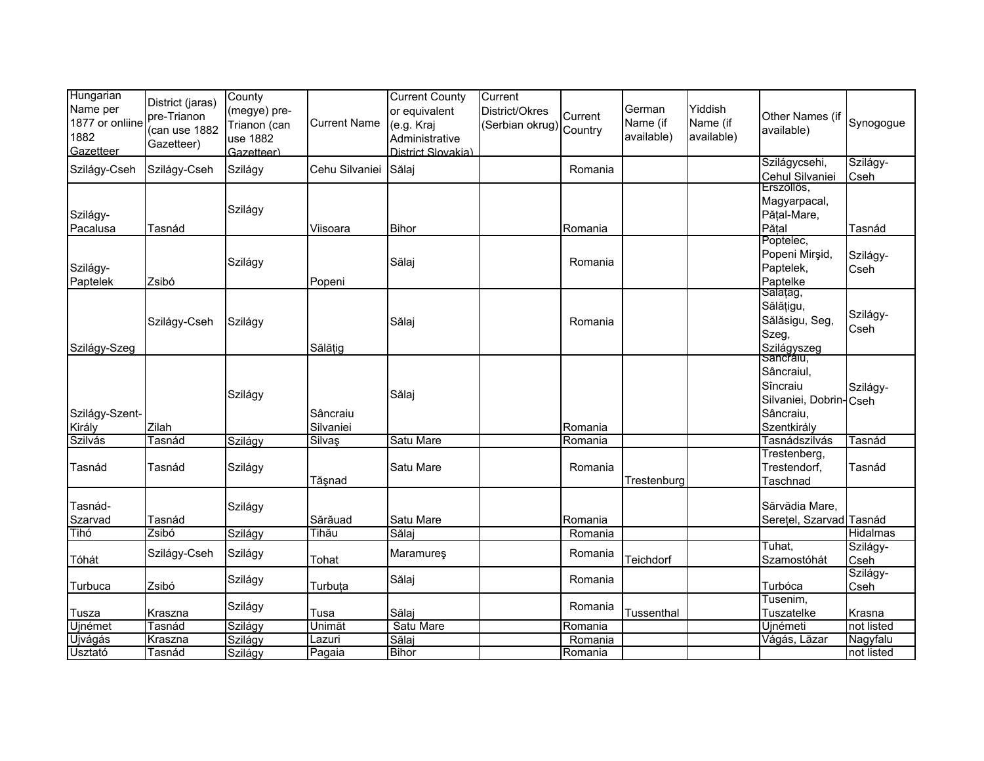| Hungarian<br>Name per<br>1877 or onliine<br>1882<br>Gazetteer | District (jaras)<br>pre-Trianon<br>(can use 1882<br>Gazetteer) | County<br>(megye) pre-<br>Trianon (can<br>use 1882<br>Gazetteer) | <b>Current Name</b>   | <b>Current County</b><br>or equivalent<br>(e.g. Kraj<br>Administrative<br>District Slovakia) | Current<br>District/Okres<br>(Serbian okrug) Country | Current            | German<br>Name (if<br>available) | Yiddish<br>Name (if<br>available) | Other Names (if<br>available)                                                             | Synogogue        |
|---------------------------------------------------------------|----------------------------------------------------------------|------------------------------------------------------------------|-----------------------|----------------------------------------------------------------------------------------------|------------------------------------------------------|--------------------|----------------------------------|-----------------------------------|-------------------------------------------------------------------------------------------|------------------|
| Szilágy-Cseh                                                  | Szilágy-Cseh                                                   | Szilágy                                                          | Cehu Silvaniei        | Sălaj                                                                                        |                                                      | Romania            |                                  |                                   | Szilágycsehi,<br>Cehul Silvaniei                                                          | Szilágy-<br>Cseh |
| Szilágy-<br>Pacalusa                                          | Tasnád                                                         | Szilágy                                                          | Viisoara              | <b>Bihor</b>                                                                                 |                                                      | Romania            |                                  |                                   | Erszőllős,<br>Magyarpacal,<br>Pățal-Mare,<br>Pățal                                        | Tasnád           |
| Szilágy-<br>Paptelek                                          | Zsibó                                                          | Szilágy                                                          | Popeni                | Sălaj                                                                                        |                                                      | Romania            |                                  |                                   | Poptelec,<br>Popeni Mirşid,<br>Paptelek,<br>Paptelke                                      | Szilágy-<br>Cseh |
| Szilágy-Szeg                                                  | Szilágy-Cseh                                                   | Szilágy                                                          | Sălățig               | Sălaj                                                                                        |                                                      | Romania            |                                  |                                   | Salațäg,<br>Sălățigu,<br>Sălăsigu, Seg,<br>Szeg,<br>Szilágyszeg                           | Szilágy-<br>Cseh |
| Szilágy-Szent-<br>Király                                      | Zilah                                                          | Szilágy                                                          | Sâncraiu<br>Silvaniei | Sălaj                                                                                        |                                                      | Romania            |                                  |                                   | Sancraiu,<br>Sâncraiul,<br>Sîncraiu<br>Silvaniei, Dobrin-Cseh<br>Sâncraiu,<br>Szentkirály | Szilágy-         |
| Szilvás                                                       | Tasnád                                                         | Szilágy                                                          | Silvaş                | Satu Mare                                                                                    |                                                      | Romania            |                                  |                                   | Tasnádszilvás                                                                             | Tasnád           |
| Tasnád                                                        | Tasnád                                                         | Szilágy                                                          | Tăşnad                | Satu Mare                                                                                    |                                                      | Romania            | Trestenburg                      |                                   | Trestenberg,<br>Trestendorf,<br>Taschnad                                                  | Tasnád           |
| Tasnád-<br>Szarvad<br>Tihó                                    | Tasnád<br>Zsibó                                                | Szilágy<br>Szilágy                                               | Sărăuad<br>Tihău      | Satu Mare<br>Sălaj                                                                           |                                                      | Romania<br>Romania |                                  |                                   | Sărvădia Mare,<br>Serețel, Szarvad Tasnád                                                 | Hidalmas         |
| Tóhát                                                         | Szilágy-Cseh                                                   | Szilágy                                                          | Tohat                 | <b>Maramures</b>                                                                             |                                                      | Romania            | Teichdorf                        |                                   | Tuhat,<br>Szamostóhát                                                                     | Szilágy-<br>Cseh |
| Turbuca                                                       | Zsibó                                                          | Szilágy                                                          | Turbuta               | Sălaj                                                                                        |                                                      | Romania            |                                  |                                   | Turbóca                                                                                   | Szilágy-<br>Cseh |
| Tusza                                                         | Kraszna                                                        | Szilágy                                                          | Tusa                  | Sălaj                                                                                        |                                                      | Romania            | Tussenthal                       |                                   | Tusenim,<br>Tuszatelke                                                                    | Krasna           |
| Ujnémet                                                       | Tasnád                                                         | Szilágy                                                          | Unimăt                | Satu Mare                                                                                    |                                                      | Romania            |                                  |                                   | <b>Újnémeti</b>                                                                           | not listed       |
| Ujvágás                                                       | Kraszna                                                        | Szilágy                                                          | Lazuri                | Sălaj                                                                                        |                                                      | Romania            |                                  |                                   | Vágás, Lăzar                                                                              | Nagyfalu         |
| <b>Usztató</b>                                                | Tasnád                                                         | Szilágy                                                          | Pagaia                | <b>Bihor</b>                                                                                 |                                                      | Romania            |                                  |                                   |                                                                                           | not listed       |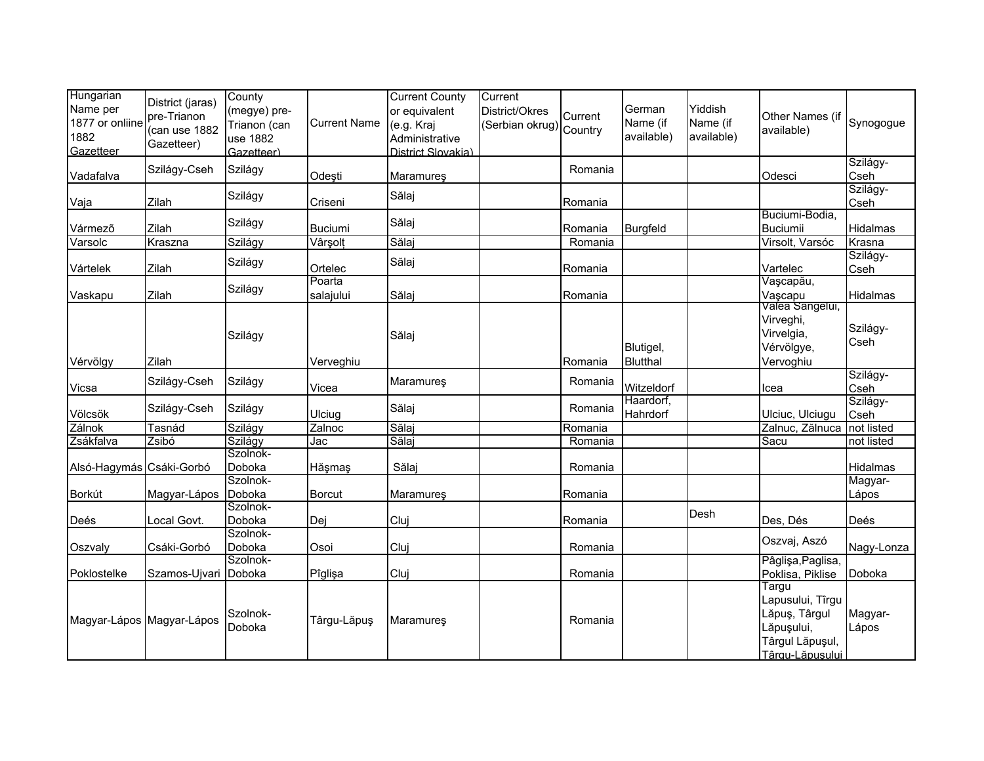| Hungarian<br>Name per<br>1877 or onliine<br>1882<br>Gazetteer | District (jaras)<br>pre-Trianon<br>(can use 1882<br>Gazetteer) | County<br>(megye) pre-<br>Trianon (can<br>use 1882<br>Gazetteer) | <b>Current Name</b> | <b>Current County</b><br>or equivalent<br>(e.g. Kraj<br>Administrative<br>District Slovakia) | Current<br>District/Okres<br>Serbian okrug) Country | Current | German<br>Name (if<br>available) | Yiddish<br>Name (if<br>available) | Other Names (if<br>available)                                                                  | Synogogue        |
|---------------------------------------------------------------|----------------------------------------------------------------|------------------------------------------------------------------|---------------------|----------------------------------------------------------------------------------------------|-----------------------------------------------------|---------|----------------------------------|-----------------------------------|------------------------------------------------------------------------------------------------|------------------|
| Vadafalva                                                     | Szilágy-Cseh                                                   | Szilágy                                                          | Odeşti              | Maramureş                                                                                    |                                                     | Romania |                                  |                                   | Odesci                                                                                         | Szilágy-<br>Cseh |
| Vaja                                                          | Zilah                                                          | Szilágy                                                          | Criseni             | Sălaj                                                                                        |                                                     | Romania |                                  |                                   |                                                                                                | Szilágy-<br>Cseh |
| Vármező                                                       | Zilah                                                          | Szilágy                                                          | <b>Buciumi</b>      | Sălaj                                                                                        |                                                     | Romania | Burgfeld                         |                                   | Buciumi-Bodia,<br><b>Buciumii</b>                                                              | Hidalmas         |
| Varsolc                                                       | Kraszna                                                        | Szilágy                                                          | Vârşolt             | Sălaj                                                                                        |                                                     | Romania |                                  |                                   | Virsolt, Varsóc                                                                                | Krasna           |
| Vártelek                                                      | Zilah                                                          | Szilágy                                                          | Ortelec             | Sălaj                                                                                        |                                                     | Romania |                                  |                                   | Vartelec                                                                                       | Szilágy-<br>Cseh |
| Vaskapu                                                       | Zilah                                                          | Szilágy                                                          | Poarta<br>salajului | Sălaj                                                                                        |                                                     | Romania |                                  |                                   | Vașcapău,<br>Vaşcapu                                                                           | Hidalmas         |
| Vérvölgy                                                      | Zilah                                                          | Szilágy                                                          | Verveghiu           | Sălaj                                                                                        |                                                     | Romania | Blutigel,<br><b>Blutthal</b>     |                                   | <del>Valea Sängelui,</del><br>Virveghi,<br>Virvelgia,<br>Vérvölgye,<br>Vervoghiu               | Szilágy-<br>Cseh |
| Vicsa                                                         | Szilágy-Cseh                                                   | Szilágy                                                          | Vicea               | Maramures                                                                                    |                                                     | Romania | Witzeldorf                       |                                   | Icea                                                                                           | Szilágy-<br>Cseh |
| Völcsök                                                       | Szilágy-Cseh                                                   | Szilágy                                                          | Ulciug              | Sălaj                                                                                        |                                                     | Romania | Haardorf.<br>Hahrdorf            |                                   | Ulciuc, Ulciugu                                                                                | Szilágy-<br>Cseh |
| Zálnok                                                        | Tasnád                                                         | Szilágy                                                          | Zalnoc              | Sălaj                                                                                        |                                                     | Romania |                                  |                                   | Zalnuc, Zălnuca                                                                                | not listed       |
| Zsákfalva                                                     | Zsibó                                                          | Szilágy                                                          | Jac                 | Sălaj                                                                                        |                                                     | Romania |                                  |                                   | Sacu                                                                                           | not listed       |
| Alsó-Hagymás Csáki-Gorbó                                      |                                                                | Szolnok-<br>Doboka<br>Szolnok-                                   | Hăşmaş              | Sălaj                                                                                        |                                                     | Romania |                                  |                                   |                                                                                                | Hidalmas         |
| Borkút                                                        | Magyar-Lápos                                                   | Doboka                                                           | Borcut              | <b>Maramures</b>                                                                             |                                                     | Romania |                                  |                                   |                                                                                                | Magyar-<br>Lápos |
| Deés                                                          | Local Govt.                                                    | Szolnok-<br>Doboka                                               | Dej                 | Cluj                                                                                         |                                                     | Romania |                                  | Desh                              | Des, Dés                                                                                       | Deés             |
| Oszvaly                                                       | Csáki-Gorbó                                                    | Szolnok-<br>Doboka                                               | Osoi                | Cluj                                                                                         |                                                     | Romania |                                  |                                   | Oszvaj, Aszó                                                                                   | Nagy-Lonza       |
|                                                               |                                                                | Szolnok-                                                         |                     |                                                                                              |                                                     |         |                                  |                                   | Pâglişa, Paglisa,                                                                              |                  |
| Poklostelke                                                   | Szamos-Ujvari Doboka                                           |                                                                  | Pîglişa             | Cluj                                                                                         |                                                     | Romania |                                  |                                   | Poklisa, Piklise                                                                               | Doboka           |
| Magyar-Lápos Magyar-Lápos                                     |                                                                | Szolnok-<br>Doboka                                               | Târgu-Lăpuş         | <b>Maramures</b>                                                                             |                                                     | Romania |                                  |                                   | Targu<br>Lapusului, Tîrgu<br>Lăpuş, Târgul<br>Lăpușului,<br>Târgul Lăpuşul,<br>Târgu-Lăpusului | Magyar-<br>Lápos |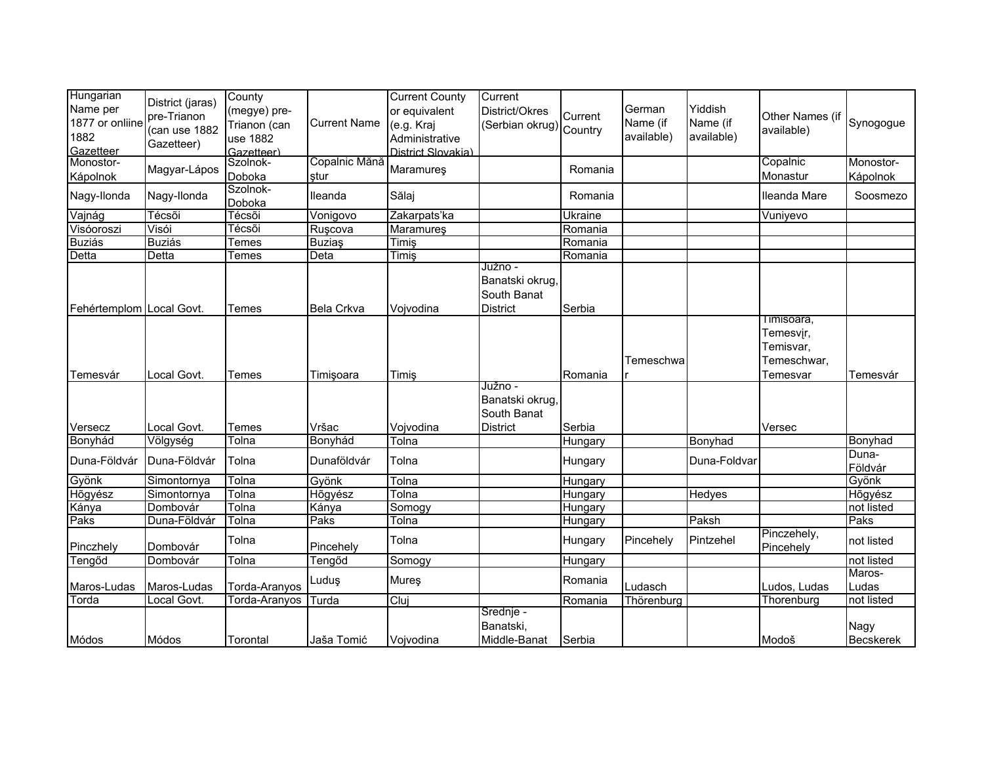| Hungarian<br>Name per<br>1877 or onliine<br>1882<br>Gazetteer | District (jaras)<br>pre-Trianon<br>(can use 1882<br>Gazetteer) | County<br>(megye) pre-<br>Trianon (can<br>use 1882<br>Gazetteer) | <b>Current Name</b>   | <b>Current County</b><br>or equivalent<br>(e.g. Kraj<br>Administrative<br>District Slovakia) | Current<br>District/Okres<br>Serbian okrug) Country          | Current | German<br>Name (if<br>available) | Yiddish<br>Name (if<br>available) | Other Names (if<br>available)                                    | Synogogue             |
|---------------------------------------------------------------|----------------------------------------------------------------|------------------------------------------------------------------|-----------------------|----------------------------------------------------------------------------------------------|--------------------------------------------------------------|---------|----------------------------------|-----------------------------------|------------------------------------------------------------------|-----------------------|
| Monostor-<br><b>Kápolnok</b>                                  | Magyar-Lápos                                                   | Szolnok-<br>Doboka                                               | Copalnic Mănă<br>ştur | Maramureş                                                                                    |                                                              | Romania |                                  |                                   | Copalnic<br>Monastur                                             | Monostor-<br>Kápolnok |
| Nagy-Ilonda                                                   | Nagy-Ilonda                                                    | Szolnok-<br>Doboka                                               | Ileanda               | Sălaj                                                                                        |                                                              | Romania |                                  |                                   | Ileanda Mare                                                     | Soosmezo              |
| Vajnág                                                        | Técsõi                                                         | Técsõi                                                           | Vonigovo              | Zakarpats'ka                                                                                 |                                                              | Ukraine |                                  |                                   | Vuniyevo                                                         |                       |
| Visóoroszi                                                    | Visói                                                          | Técsõi                                                           | Rușcova               | <b>Maramureş</b>                                                                             |                                                              | Romania |                                  |                                   |                                                                  |                       |
| <b>Buziás</b>                                                 | <b>Buziás</b>                                                  | Temes                                                            | <b>Buziaş</b>         | Timiş                                                                                        |                                                              | Romania |                                  |                                   |                                                                  |                       |
| Detta                                                         | Detta                                                          | Temes                                                            | Deta                  | Timiş                                                                                        |                                                              | Romania |                                  |                                   |                                                                  |                       |
| Fehértemplom Local Govt.                                      |                                                                | Temes                                                            | <b>Bela Crkva</b>     | Vojvodina                                                                                    | Južno -<br>Banatski okrug,<br>South Banat<br><b>District</b> | Serbia  |                                  |                                   |                                                                  |                       |
| Temesvár                                                      | Local Govt.                                                    | Temes                                                            | Timişoara             | Timiş                                                                                        |                                                              | Romania | Temeschwa                        |                                   | I imisoara,<br>Temesvir,<br>Temisvar,<br>Temeschwar,<br>Temesvar | Temesvár              |
|                                                               | Local Govt.                                                    | Temes                                                            | Vršac                 | Vojvodina                                                                                    | Južno -<br>Banatski okrug,<br>South Banat<br><b>District</b> | Serbia  |                                  |                                   |                                                                  |                       |
| Versecz                                                       |                                                                |                                                                  | Bonyhád               | Tolna                                                                                        |                                                              |         |                                  | Bonyhad                           | Versec                                                           | Bonyhad               |
| Bonyhád                                                       | Völgység                                                       | Tolna                                                            |                       |                                                                                              |                                                              | Hungary |                                  |                                   |                                                                  | Duna-                 |
| Duna-Földvár                                                  | Duna-Földvár                                                   | Tolna                                                            | Dunaföldvár           | Tolna                                                                                        |                                                              | Hungary |                                  | Duna-Foldvar                      |                                                                  | Földvár               |
| Gyönk                                                         | Simontornya                                                    | Tolna                                                            | Gyönk                 | Tolna                                                                                        |                                                              | Hungary |                                  |                                   |                                                                  | Gyönk                 |
| Hõgyész                                                       | Simontornya                                                    | Tolna                                                            | <b>H</b> õgyész       | Tolna                                                                                        |                                                              | Hungary |                                  | Hedyes                            |                                                                  | Hõgyész               |
| Kánya                                                         | Dombovár                                                       | Tolna                                                            | Kánya                 | Somogy                                                                                       |                                                              | Hungary |                                  |                                   |                                                                  | not listed            |
| Paks                                                          | Duna-Földvár                                                   | Tolna                                                            | Paks                  | Tolna                                                                                        |                                                              | Hungary |                                  | Paksh                             |                                                                  | Paks                  |
| Pinczhely                                                     | Dombovár                                                       | Tolna                                                            | Pincehely             | Tolna                                                                                        |                                                              | Hungary | Pincehely                        | Pintzehel                         | Pinczehely,<br>Pincehely                                         | not listed            |
| Tengőd                                                        | Dombovár                                                       | Tolna                                                            | Tengőd                | Somogy                                                                                       |                                                              | Hungary |                                  |                                   |                                                                  | not listed            |
| Maros-Ludas                                                   | Maros-Ludas                                                    | Torda-Aranyos                                                    | Luduş                 | Mureş                                                                                        |                                                              | Romania | Ludasch                          |                                   | Ludos, Ludas                                                     | Maros-<br>Ludas       |
| Torda                                                         | Local Govt.                                                    | Torda-Aranyos                                                    | Turda                 | Cluj                                                                                         |                                                              | Romania | Thörenburg                       |                                   | Thorenburg                                                       | not listed            |
| Módos                                                         | Módos                                                          | Torontal                                                         | Jaša Tomić            | Vojvodina                                                                                    | Srednje -<br>Banatski,<br>Middle-Banat                       | Serbia  |                                  |                                   | Modoš                                                            | Nagy<br>Becskerek     |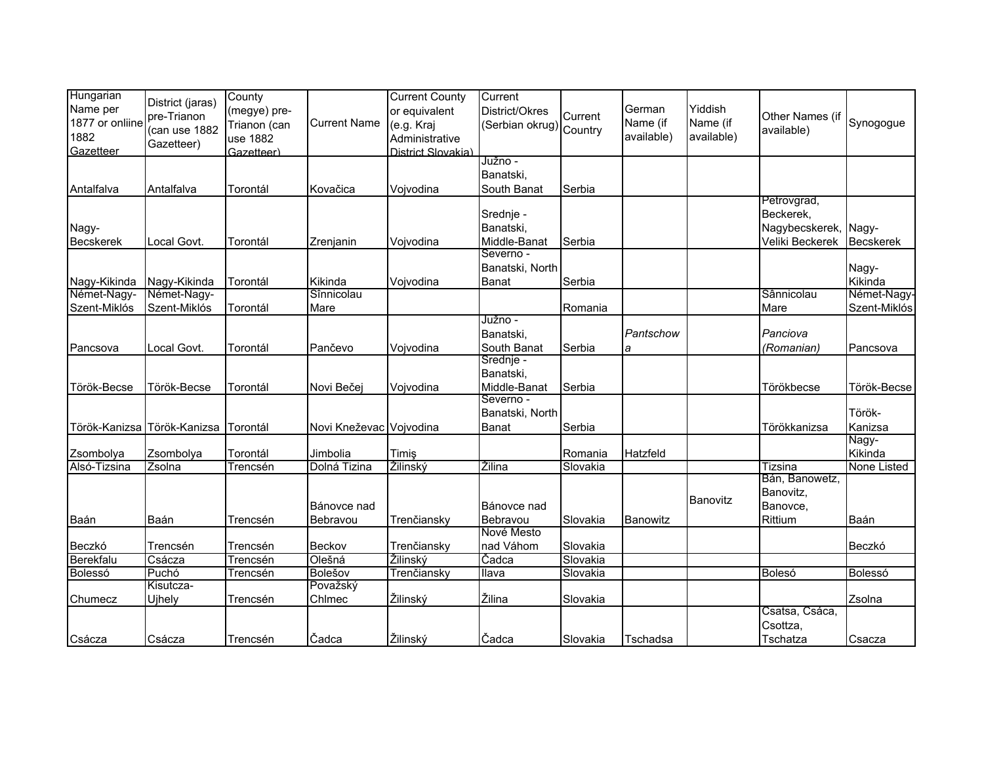| Hungarian        |                                 | County       |                         | <b>Current County</b> | Current                |          |            |                 |                           |                  |
|------------------|---------------------------------|--------------|-------------------------|-----------------------|------------------------|----------|------------|-----------------|---------------------------|------------------|
| Name per         | District (jaras)<br>pre-Trianon | (megye) pre- |                         | or equivalent         | District/Okres         | Current  | German     | Yiddish         | Other Names (if           |                  |
| 1877 or onliine  |                                 | Trianon (can | <b>Current Name</b>     | (e.g. Kraj            | Serbian okrug) Country |          | Name (if   | Name (if        |                           | Synogogue        |
| 1882             | (can use 1882                   | use 1882     |                         | Administrative        |                        |          | available) | available)      | available)                |                  |
| Gazetteer        | Gazetteer)                      | Gazetteer)   |                         | District Slovakia)    |                        |          |            |                 |                           |                  |
|                  |                                 |              |                         |                       | Južno -                |          |            |                 |                           |                  |
|                  |                                 |              |                         |                       | Banatski,              |          |            |                 |                           |                  |
| Antalfalva       | Antalfalva                      | Torontál     | Kovačica                | Vojvodina             | South Banat            | Serbia   |            |                 |                           |                  |
|                  |                                 |              |                         |                       |                        |          |            |                 | Petrovgrad,               |                  |
|                  |                                 |              |                         |                       | Srednje -              |          |            |                 | Beckerek,                 |                  |
| Nagy-            |                                 |              |                         |                       | Banatski,              |          |            |                 | Nagybecskerek, Nagy-      |                  |
| <b>Becskerek</b> | Local Govt.                     | Torontál     | Zrenjanin               | Vojvodina             | Middle-Banat           | Serbia   |            |                 | Veliki Beckerek           | <b>Becskerek</b> |
|                  |                                 |              |                         |                       | Severno -              |          |            |                 |                           |                  |
|                  |                                 |              |                         |                       | Banatski, North        |          |            |                 |                           | Nagy-            |
| Nagy-Kikinda     | Nagy-Kikinda                    | Torontál     | Kikinda                 | Vojvodina             | <b>Banat</b>           | Serbia   |            |                 |                           | Kikinda          |
| Német-Nagy-      | Német-Nagy-                     |              | Sînnicolau              |                       |                        |          |            |                 | Sânnicolau                | Német-Nagy       |
| Szent-Miklós     | Szent-Miklós                    | Torontál     | Mare                    |                       |                        | Romania  |            |                 | Mare                      | Szent-Miklós     |
|                  |                                 |              |                         |                       | Južno -                |          |            |                 |                           |                  |
|                  |                                 |              |                         |                       | Banatski,              |          | Pantschow  |                 | Panciova                  |                  |
| Pancsova         | Local Govt.                     | Torontál     | Pančevo                 | Vojvodina             | South Banat            | Serbia   | а          |                 | (Romanian)                | Pancsova         |
|                  |                                 |              |                         |                       | Srednje -              |          |            |                 |                           |                  |
|                  |                                 |              |                         |                       | Banatski,              |          |            |                 |                           |                  |
| Török-Becse      | Török-Becse                     | Torontál     | Novi Bečej              | Vojvodina             | Middle-Banat           | Serbia   |            |                 | Törökbecse                | Török-Becse      |
|                  |                                 |              |                         |                       | Severno -              |          |            |                 |                           |                  |
|                  |                                 |              |                         |                       | Banatski, North        |          |            |                 |                           | Török-           |
|                  | Török-Kanizsa Török-Kanizsa     | Torontál     | Novi Kneževac Vojvodina |                       | Banat                  | Serbia   |            |                 | Törökkanizsa              | Kanizsa          |
|                  |                                 |              |                         |                       |                        |          |            |                 |                           | Nagy-            |
| Zsombolya        | Zsombolya                       | Torontál     | Jimbolia                | Timiş                 |                        | Romania  | Hatzfeld   |                 |                           | Kikinda          |
| Alsó-Tizsina     | Zsolna                          | Trencsén     | Dolná Tizina            | Žilinský              | Žilina                 | Slovakia |            |                 | Tizsina<br>Bán, Banowetz, | None Listed      |
|                  |                                 |              |                         |                       |                        |          |            |                 | Banovitz,                 |                  |
|                  |                                 |              | Bánovce nad             |                       | Bánovce nad            |          |            | <b>Banovitz</b> | Banovce,                  |                  |
| Baán             | Baán                            |              | Bebravou                |                       | Bebravou               | Slovakia | Banowitz   |                 | Rittium                   | Baán             |
|                  |                                 | Trencsén     |                         | Trenčiansky           | Nové Mesto             |          |            |                 |                           |                  |
| Beczkó           | Trencsén                        | Trencsén     | Beckov                  | Trenčiansky           | nad Váhom              | Slovakia |            |                 |                           | Beczkó           |
| Berekfalu        | Csácza                          | Trencsén     | Olešná                  | Žilinský              | Čadca                  | Slovakia |            |                 |                           |                  |
| Bolessó          | Puchó                           | Trencsén     | Bolešov                 | Trenčiansky           | Ilava                  | Slovakia |            |                 | Bolesó                    | Bolessó          |
|                  | Kisutcza-                       |              | Považský                |                       |                        |          |            |                 |                           |                  |
| Chumecz          | Ujhely                          | Trencsén     | Chimec                  | Žilinský              | Žilina                 | Slovakia |            |                 |                           | Zsolna           |
|                  |                                 |              |                         |                       |                        |          |            |                 | Csatsa, Csáca,            |                  |
|                  |                                 |              |                         |                       |                        |          |            |                 | Csottza,                  |                  |
| Csácza           | Csácza                          | Trencsén     | Čadca                   | Žilinský              | Čadca                  | Slovakia | Tschadsa   |                 | Tschatza                  | Csacza           |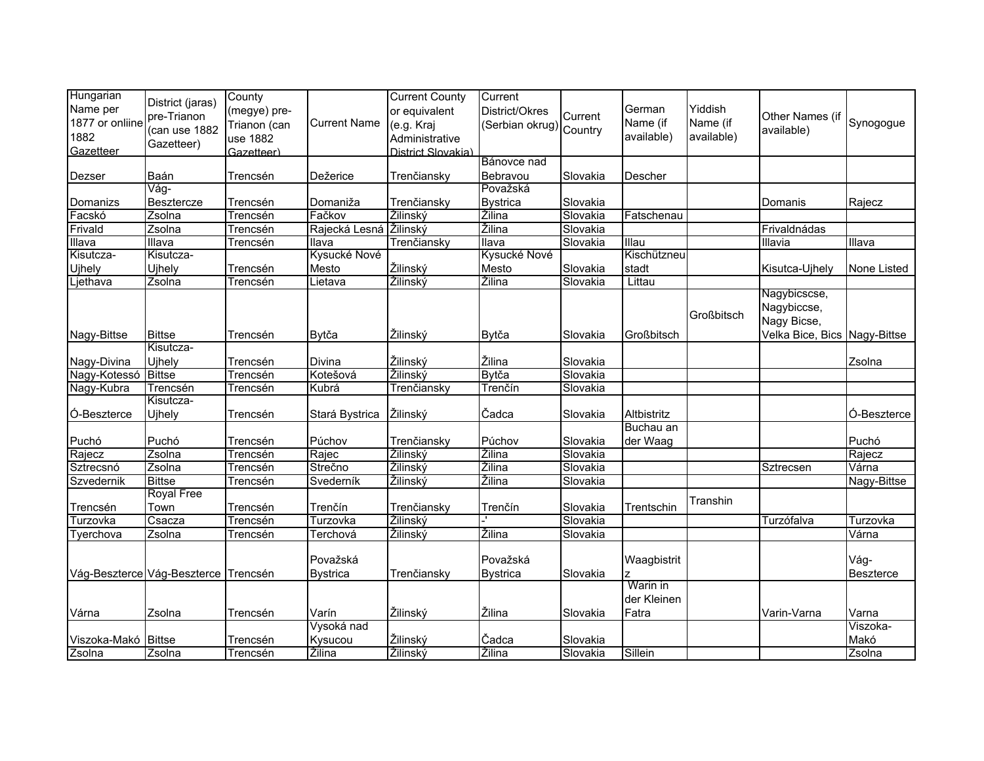| Hungarian           | District (jaras)                     | County          |                     | <b>Current County</b> | Current                 |          |             |            |                              |             |
|---------------------|--------------------------------------|-----------------|---------------------|-----------------------|-------------------------|----------|-------------|------------|------------------------------|-------------|
| Name per            |                                      | (megye) pre-    |                     | or equivalent         | District/Okres          | Current  | German      | Yiddish    |                              |             |
| 1877 or onliine     | pre-Trianon                          | Trianon (can    | <b>Current Name</b> | (e.g. Kraj            | (Serbian okrug) Country |          | Name (if    | Name (if   | Other Names (if              | Synogogue   |
| 1882                | (can use 1882                        | use 1882        |                     | Administrative        |                         |          | available)  | available) | available)                   |             |
| Gazetteer           | Gazetteer)                           | Gazetteer)      |                     | District Slovakia)    |                         |          |             |            |                              |             |
|                     |                                      |                 |                     |                       | Bánovce nad             |          |             |            |                              |             |
| Dezser              | Baán                                 | Trencsén        | Dežerice            | Trenčiansky           | Bebravou                | Slovakia | Descher     |            |                              |             |
|                     | Vág-                                 |                 |                     |                       | Považská                |          |             |            |                              |             |
| Domanizs            | <b>Besztercze</b>                    | Trencsén        | Domaniža            | Trenčiansky           | <b>Bystrica</b>         | Slovakia |             |            | Domanis                      | Rajecz      |
| Facskó              | Zsolna                               | <b>Trencsén</b> | Fačkov              | Žilinský              | Žilina                  | Slovakia | Fatschenau  |            |                              |             |
| Frivald             | Zsolna                               | Trencsén        | Rajecká Lesná       | Žilinský              | Žilina                  | Slovakia |             |            | Frivaldnádas                 |             |
| Illava              | Illava                               | Trencsén        | Ilava               | Trenčiansky           | Ilava                   | Slovakia | Illau       |            | Illavia                      | Illava      |
| Kisutcza-           | Kisutcza-                            |                 | Kysucké Nové        |                       | Kysucké Nové            |          | Kischützneu |            |                              |             |
| Ujhely              | Ujhely                               | Trencsén        | Mesto               | Žilinský              | Mesto                   | Slovakia | stadt       |            | Kisutca-Ujhely               | None Listed |
| Ljethava            | Zsolna                               | Trencsén        | Lietava             | Žilinský              | Žilina                  | Slovakia | Littau      |            |                              |             |
|                     |                                      |                 |                     |                       |                         |          |             |            | Nagybicscse,                 |             |
|                     |                                      |                 |                     |                       |                         |          |             | Großbitsch | Nagybiccse,                  |             |
|                     |                                      |                 |                     |                       |                         |          |             |            | Nagy Bicse,                  |             |
| Nagy-Bittse         | <b>Bittse</b>                        | Trencsén        | Bytča               | Žilinský              | Bytča                   | Slovakia | Großbitsch  |            | Velka Bice, Bics Nagy-Bittse |             |
|                     | Kisutcza-                            |                 |                     |                       |                         |          |             |            |                              |             |
| Nagy-Divina         | Ujhely                               | Trencsén        | Divina              | Žilinský              | Žilina                  | Slovakia |             |            |                              | Zsolna      |
| Nagy-Kotessó        | <b>Bittse</b>                        | Trencsén        | Kotešová            | Žilinský              | <b>Bytča</b>            | Slovakia |             |            |                              |             |
| Nagy-Kubra          | Trencsén                             | Trencsén        | Kubrá               | Trenčiansky           | Trenčín                 | Slovakia |             |            |                              |             |
|                     | Kisutcza-                            |                 |                     |                       |                         |          |             |            |                              |             |
| Ó-Beszterce         | Ujhely                               | Trencsén        | Stará Bystrica      | Žilinský              | Čadca                   | Slovakia | Altbistritz |            |                              | Ó-Beszterce |
|                     |                                      |                 |                     |                       |                         |          | Buchau an   |            |                              |             |
| Puchó               | Puchó                                | Trencsén        | Púchov              | Trenčiansky           | Púchov                  | Slovakia | der Waag    |            |                              | Puchó       |
| Rajecz              | Zsolna                               | Trencsén        | Rajec               | Žilinský              | Žilina                  | Slovakia |             |            |                              | Rajecz      |
| Sztrecsnó           | Zsolna                               | <b>Trencsén</b> | Strečno             | Žilinský              | Žilina                  | Slovakia |             |            | Sztrecsen                    | Várna       |
| Szvedernik          | <b>Bittse</b>                        | Trencsén        | Svederník           | Žilinský              | Žilina                  | Slovakia |             |            |                              | Nagy-Bittse |
|                     | <b>Royal Free</b>                    |                 |                     |                       |                         |          |             | Transhin   |                              |             |
| Trencsén            | Town                                 | Trencsén        | Trenčín             | Trenčiansky           | Trenčín                 | Slovakia | Trentschin  |            |                              |             |
| Turzovka            | Csacza                               | Trencsén        | Turzovka            | Žilinský              |                         | Slovakia |             |            | Turzófalva                   | Turzovka    |
| Tyerchova           | Zsolna                               | Trencsén        | Terchová            | Žilinský              | Žilina                  | Slovakia |             |            |                              | Várna       |
|                     |                                      |                 |                     |                       |                         |          |             |            |                              |             |
|                     |                                      |                 | Považská            |                       | Považská                |          | Waagbistrit |            |                              | Vág-        |
|                     | Vág-Beszterce Vág-Beszterce Trencsén |                 | <b>Bystrica</b>     | Trenčiansky           | <b>Bystrica</b>         | Slovakia |             |            |                              | Beszterce   |
|                     |                                      |                 |                     |                       |                         |          | Warin in    |            |                              |             |
|                     |                                      |                 |                     |                       |                         |          | der Kleinen |            |                              |             |
| Várna               | Zsolna                               | Trencsén        | Varín               | Žilinský              | Žilina                  | Slovakia | Fatra       |            | Varin-Varna                  | Varna       |
|                     |                                      |                 | Vysoká nad          |                       |                         |          |             |            |                              | Viszoka-    |
| Viszoka-Makó Bittse |                                      | Trencsén        | Kysucou             | Žilinský              | Čadca                   | Slovakia |             |            |                              | Makó        |
| Zsolna              | Zsolna                               | Trencsén        | Žilina              | Žilinský              | Žilina                  | Slovakia | Sillein     |            |                              | Zsolna      |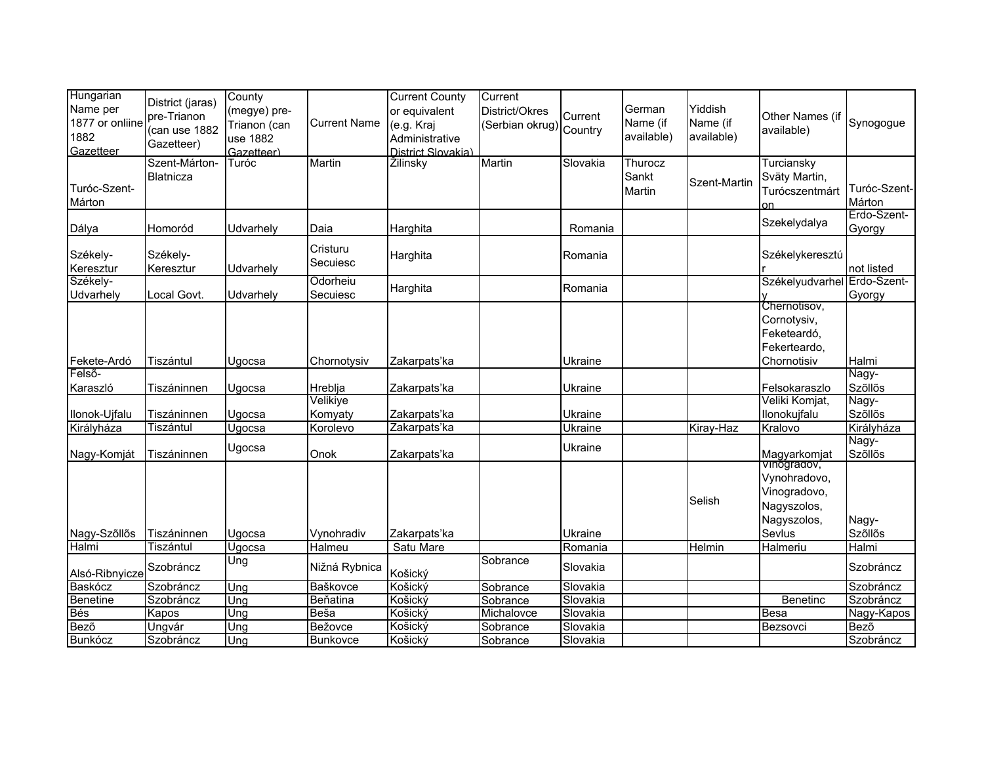| Hungarian<br>Name per<br>1877 or onliine<br>1882<br>Gazetteer | District (jaras)<br>pre-Trianon<br>(can use 1882<br>Gazetteer) | County<br>(megye) pre-<br>Trianon (can<br>use 1882<br>Gazetteer) | <b>Current Name</b>  | <b>Current County</b><br>or equivalent<br>(e.g. Kraj<br>Administrative<br>District Slovakia) | Current<br>District/Okres<br>(Serbian okrug) Country | Current  | German<br>Name (if<br>available) | Yiddish<br>Name (if<br>available) | Other Names (if<br>available)                                                       | Synogogue              |
|---------------------------------------------------------------|----------------------------------------------------------------|------------------------------------------------------------------|----------------------|----------------------------------------------------------------------------------------------|------------------------------------------------------|----------|----------------------------------|-----------------------------------|-------------------------------------------------------------------------------------|------------------------|
| Turóc-Szent-<br>Márton                                        | Szent-Márton-<br>Blatnicza                                     | Turóc                                                            | Martin               | Žilinsky                                                                                     | Martin                                               | Slovakia | Thurocz<br>Sankt<br>Martin       | Szent-Martin                      | Turciansky<br>Sväty Martin,<br>Turócszentmárt<br><sub>on</sub>                      | Turóc-Szent-<br>Márton |
| Dálya                                                         | Homoród                                                        | Udvarhely                                                        | Daia                 | Harghita                                                                                     |                                                      | Romania  |                                  |                                   | Szekelydalya                                                                        | Erdo-Szent-<br>Gyorgy  |
| Székely-<br>Keresztur                                         | Székely-<br>Keresztur                                          | Udvarhely                                                        | Cristuru<br>Secuiesc | Harghita                                                                                     |                                                      | Romania  |                                  |                                   | Székelykeresztú                                                                     | not listed             |
| Székely-<br>Udvarhely                                         | Local Govt.                                                    | Udvarhely                                                        | Odorheiu<br>Secuiesc | Harghita                                                                                     |                                                      | Romania  |                                  |                                   | Székelyudvarhel                                                                     | Erdo-Szent-<br>Gyorgy  |
|                                                               |                                                                |                                                                  |                      |                                                                                              |                                                      |          |                                  |                                   | Chernotisov,<br>Cornotysiv,<br>Feketeardó,<br>Fekerteardo,                          |                        |
| Fekete-Ardó                                                   | Tiszántul                                                      | Ugocsa                                                           | Chornotysiv          | Zakarpats'ka                                                                                 |                                                      | Ukraine  |                                  |                                   | Chornotisiv                                                                         | Halmi                  |
| Felső-<br>Karaszló                                            | Tiszáninnen                                                    | Ugocsa                                                           | Hreblja              | Zakarpats'ka                                                                                 |                                                      | Ukraine  |                                  |                                   | Felsokaraszlo                                                                       | Nagy-<br>Szőllős       |
| Ilonok-Ujfalu                                                 | Tiszáninnen                                                    | Ugocsa                                                           | Velikiye<br>Komyaty  | Zakarpats'ka                                                                                 |                                                      | Ukraine  |                                  |                                   | Veliki Komjat,<br>Ilonokujfalu                                                      | Nagy-<br>Szõllõs       |
| Királyháza                                                    | Tiszántul                                                      | Ugocsa                                                           | Korolevo             | Zakarpats'ka                                                                                 |                                                      | Ukraine  |                                  | Kiray-Haz                         | Kralovo                                                                             | Királyháza             |
| Nagy-Komját                                                   | Tiszáninnen                                                    | Ugocsa                                                           | Onok                 | Zakarpats'ka                                                                                 |                                                      | Ukraine  |                                  |                                   | Magyarkomjat                                                                        | Nagy-<br>Szőllős       |
| Nagy-Szőllős                                                  | Tiszáninnen                                                    | Ugocsa                                                           | Vynohradiv           | Zakarpats'ka                                                                                 |                                                      | Ukraine  |                                  | Selish                            | Vinogradov,<br>Vynohradovo,<br>Vinogradovo,<br>Nagyszolos,<br>Nagyszolos,<br>Sevlus | Nagy-<br>Szõllõs       |
| Halmi                                                         | Tiszántul                                                      | Ugocsa                                                           | Halmeu               | Satu Mare                                                                                    |                                                      | Romania  |                                  | Helmin                            | Halmeriu                                                                            | Halmi                  |
| Alsó-Ribnyicze                                                | Szobráncz                                                      | Ung                                                              | Nižná Rybnica        | Košický                                                                                      | Sobrance                                             | Slovakia |                                  |                                   |                                                                                     | Szobráncz              |
| Baskócz                                                       | Szobráncz                                                      | Ung                                                              | <b>Baškovce</b>      | Košický                                                                                      | Sobrance                                             | Slovakia |                                  |                                   |                                                                                     | Szobráncz              |
| Benetine                                                      | Szobráncz                                                      | Ung                                                              | Beňatina             | Košický                                                                                      | Sobrance                                             | Slovakia |                                  |                                   | Benetinc                                                                            | Szobráncz              |
| Bés                                                           | Kapos                                                          | Ung                                                              | Beša                 | Košický                                                                                      | Michalovce                                           | Slovakia |                                  |                                   | <b>Besa</b>                                                                         | Nagy-Kapos             |
| Bezõ                                                          | Ungvár                                                         | Ung                                                              | Bežovce              | Košický                                                                                      | Sobrance                                             | Slovakia |                                  |                                   | Bezsovci                                                                            | Bezõ                   |
| <b>Bunkócz</b>                                                | Szobráncz                                                      | Ung                                                              | Bunkovce             | Košický                                                                                      | Sobrance                                             | Slovakia |                                  |                                   |                                                                                     | Szobráncz              |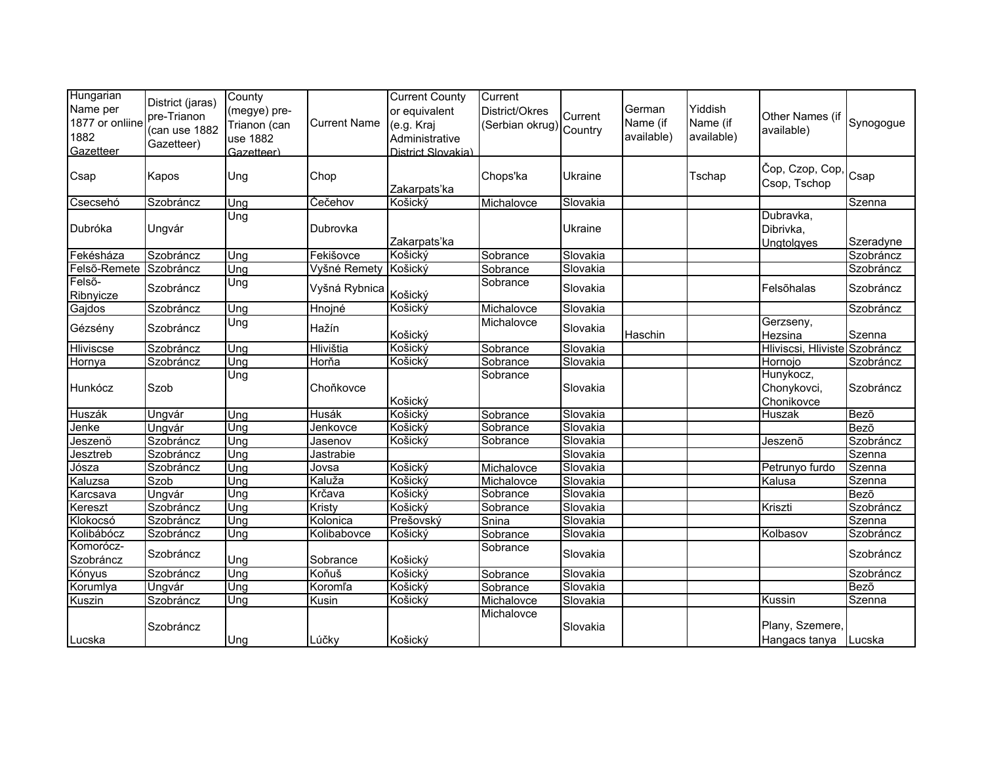| Hungarian<br>Name per<br>1877 or onliine<br>1882<br>Gazetteer | District (jaras)<br>pre-Trianon<br>(can use 1882<br>Gazetteer) | County<br>(megye) pre-<br>Trianon (can<br>use 1882<br>Gazetteer) | <b>Current Name</b> | <b>Current County</b><br>or equivalent<br>(e.g. Kraj<br>Administrative<br>District Slovakia) | Current<br>District/Okres<br>(Serbian okrug) Country | Current        | German<br>Name (if<br>available) | Yiddish<br>Name (if<br>available) | Other Names (if<br>available)          | Synogogue |
|---------------------------------------------------------------|----------------------------------------------------------------|------------------------------------------------------------------|---------------------|----------------------------------------------------------------------------------------------|------------------------------------------------------|----------------|----------------------------------|-----------------------------------|----------------------------------------|-----------|
| Csap                                                          | Kapos                                                          | Ung                                                              | Chop                | Zakarpats'ka                                                                                 | Chops'ka                                             | Ukraine        |                                  | Tschap                            | Čop, Czop, Cop,<br>Csop, Tschop        | Csap      |
| Csecsehó                                                      | Szobráncz                                                      | Ung                                                              | Čečehov             | Košický                                                                                      | Michalovce                                           | Slovakia       |                                  |                                   |                                        | Szenna    |
| Dubróka                                                       | Ungvár                                                         | Ung                                                              | Dubrovka            | Zakarpats'ka                                                                                 |                                                      | <b>Ukraine</b> |                                  |                                   | Dubravka,<br>Dibrivka,<br>Ungtolgyes   | Szeradyne |
| Fekésháza                                                     | Szobráncz                                                      | Ung                                                              | Fekišovce           | Košický                                                                                      | Sobrance                                             | Slovakia       |                                  |                                   |                                        | Szobráncz |
| Felső-Remete                                                  | Szobráncz                                                      | Ung                                                              | Vyšné Remety        | Košický                                                                                      | Sobrance                                             | Slovakia       |                                  |                                   |                                        | Szobráncz |
| Felsõ-<br>Ribnyicze                                           | Szobráncz                                                      | Ung                                                              | Vyšná Rybnica       | Košický                                                                                      | Sobrance                                             | Slovakia       |                                  |                                   | Felsõhalas                             | Szobráncz |
| Gajdos                                                        | Szobráncz                                                      | Ung                                                              | Hnojné              | Košický                                                                                      | Michalovce                                           | Slovakia       |                                  |                                   |                                        | Szobráncz |
| Gézsény                                                       | Szobráncz                                                      | Ung                                                              | Hažín               | Košický                                                                                      | Michalovce                                           | Slovakia       | Haschin                          |                                   | Gerzseny,<br>Hezsina                   | Szenna    |
| Hliviscse                                                     | Szobráncz                                                      | Ung                                                              | Hlivištia           | Košický                                                                                      | Sobrance                                             | Slovakia       |                                  |                                   | Hliviscsi, Hliviste Szobráncz          |           |
| Hornya                                                        | Szobráncz                                                      | Ung                                                              | Horňa               | Košický                                                                                      | Sobrance                                             | Slovakia       |                                  |                                   | Hornojo                                | Szobráncz |
| Hunkócz                                                       | Szob                                                           | Ung                                                              | Choňkovce           | Košický                                                                                      | Sobrance                                             | Slovakia       |                                  |                                   | Hunykocz,<br>Chonykovci,<br>Chonikovce | Szobráncz |
| Huszák                                                        | Ungvár                                                         | Ung                                                              | <b>Husák</b>        | Košický                                                                                      | Sobrance                                             | Slovakia       |                                  |                                   | Huszak                                 | Bezõ      |
| Jenke                                                         | Ungvár                                                         | Ung                                                              | Jenkovce            | Košický                                                                                      | Sobrance                                             | Slovakia       |                                  |                                   |                                        | Bezõ      |
| Jeszenö                                                       | Szobráncz                                                      | Una                                                              | Jasenov             | Košický                                                                                      | Sobrance                                             | Slovakia       |                                  |                                   | Jeszenő                                | Szobráncz |
| Jesztreb                                                      | Szobráncz                                                      | Ung                                                              | Jastrabie           |                                                                                              |                                                      | Slovakia       |                                  |                                   |                                        | Szenna    |
| Jósza                                                         | Szobráncz                                                      | Ung                                                              | Jovsa               | Košický                                                                                      | Michalovce                                           | Slovakia       |                                  |                                   | Petrunyo furdo                         | Szenna    |
| Kaluzsa                                                       | Szob                                                           | Ung                                                              | Kaluža              | Košický                                                                                      | Michalovce                                           | Slovakia       |                                  |                                   | Kalusa                                 | Szenna    |
| Karcsava                                                      | Ungvár                                                         | Ung                                                              | Krčava              | Košický                                                                                      | Sobrance                                             | Slovakia       |                                  |                                   |                                        | Bezõ      |
| Kereszt                                                       | Szobráncz                                                      | Ung                                                              | Kristy              | Košický                                                                                      | Sobrance                                             | Slovakia       |                                  |                                   | Kriszti                                | Szobráncz |
| Klokocsó                                                      | Szobráncz                                                      | Ung                                                              | Kolonica            | Prešovský                                                                                    | Snina                                                | Slovakia       |                                  |                                   |                                        | Szenna    |
| Kolibábócz                                                    | Szobráncz                                                      | Ung                                                              | Kolibabovce         | Košický                                                                                      | Sobrance                                             | Slovakia       |                                  |                                   | Kolbasov                               | Szobráncz |
| Komorócz-<br>Szobráncz                                        | Szobráncz                                                      | Ung                                                              | Sobrance            | Košický                                                                                      | Sobrance                                             | Slovakia       |                                  |                                   |                                        | Szobráncz |
| Kónyus                                                        | Szobráncz                                                      | Ung                                                              | Koňuš               | Košický                                                                                      | Sobrance                                             | Slovakia       |                                  |                                   |                                        | Szobráncz |
| Korumlya                                                      | Ungvár                                                         | Ung                                                              | Koromľa             | Košický                                                                                      | Sobrance                                             | Slovakia       |                                  |                                   |                                        | Bezõ      |
| Kuszin                                                        | Szobráncz                                                      | Ung                                                              | Kusin               | Košický                                                                                      | Michalovce                                           | Slovakia       |                                  |                                   | Kussin                                 | Szenna    |
| Lucska                                                        | Szobráncz                                                      | Ung                                                              | Lúčky               | Košický                                                                                      | Michalovce                                           | Slovakia       |                                  |                                   | Plany, Szemere,<br>Hangacs tanya       | Lucska    |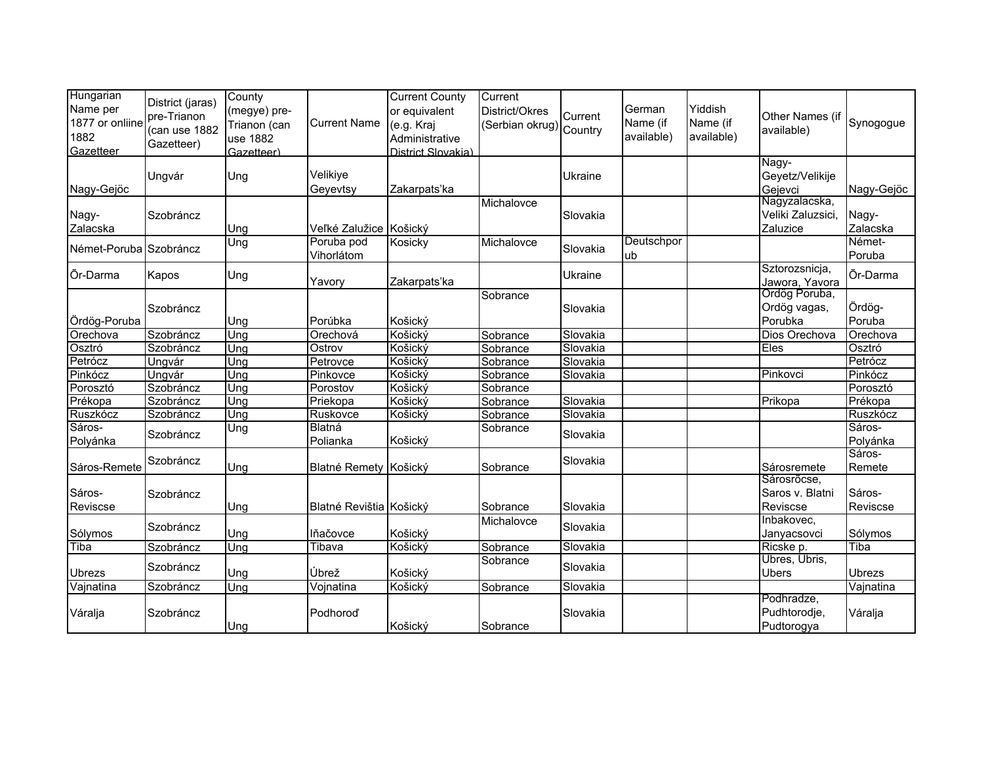| Hungarian<br>Name per<br>1877 or onliine<br>1882<br>Gazetteer | District (jaras)<br>pre-Trianon<br>(can use 1882<br>Gazetteer) | County<br>(megye) pre-<br>Trianon (can<br>use 1882<br>Gazetteer) | <b>Current Name</b>      | <b>Current County</b><br>or equivalent<br>(e.g. Kraj<br>Administrative<br>District Slovakia) | Current<br>District/Okres<br>(Serbian okrug) | Current<br>Country | German<br>Name (if<br>available) | Yiddish<br>Name (if<br>available) | Other Names (if<br>available)                  | Synogogue          |
|---------------------------------------------------------------|----------------------------------------------------------------|------------------------------------------------------------------|--------------------------|----------------------------------------------------------------------------------------------|----------------------------------------------|--------------------|----------------------------------|-----------------------------------|------------------------------------------------|--------------------|
| Nagy-Gejöc                                                    | Ungvár                                                         | Ung                                                              | Velikiye<br>Geyevtsy     | Zakarpats'ka                                                                                 |                                              | Ukraine            |                                  |                                   | Nagy-<br>Geyetz/Velikije<br>Gejevci            | Nagy-Gejöc         |
| Nagy-<br>Zalacska                                             | Szobráncz                                                      | Ung                                                              | Veľké Zalužice Košický   |                                                                                              | Michalovce                                   | Slovakia           |                                  |                                   | Nagyzalacska,<br>Veliki Zaluzsici,<br>Zaluzice | Nagy-<br>Zalacska  |
| Német-Poruba Szobráncz                                        |                                                                | Ung                                                              | Poruba pod<br>Vihorlátom | Kosicky                                                                                      | Michalovce                                   | Slovakia           | Deutschpor<br>ub                 |                                   |                                                | Német-<br>Poruba   |
| Õr-Darma                                                      | Kapos                                                          | Ung                                                              | Yavory                   | Zakarpats'ka                                                                                 |                                              | Ukraine            |                                  |                                   | Sztorozsnicja,<br>Jawora, Yavora               | Õr-Darma           |
| Ördög-Poruba                                                  | Szobráncz                                                      | Ung                                                              | Porúbka                  | Košický                                                                                      | Sobrance                                     | Slovakia           |                                  |                                   | Ordög Poruba,<br>Ordög vagas,<br>Porubka       | Ördög-<br>Poruba   |
| Orechova                                                      | Szobráncz                                                      | Ung                                                              | Orechová                 | Košický                                                                                      | Sobrance                                     | Slovakia           |                                  |                                   | Dios Orechova                                  | Orechova           |
| Osztró                                                        | Szobráncz                                                      | Ung                                                              | Ostrov                   | Košický                                                                                      | Sobrance                                     | Slovakia           |                                  |                                   | Eles                                           | Osztró             |
| Petrócz                                                       | Ungvár                                                         | Ung                                                              | Petrovce                 | Košický                                                                                      | Sobrance                                     | Slovakia           |                                  |                                   |                                                | Petrócz            |
| Pinkócz                                                       | Ungvár                                                         | Ung                                                              | Pinkovce                 | Košický                                                                                      | Sobrance                                     | Slovakia           |                                  |                                   | Pinkovci                                       | Pinkócz            |
| Porosztó                                                      | Szobráncz                                                      | Ung                                                              | Porostov                 | Košický                                                                                      | Sobrance                                     |                    |                                  |                                   |                                                | Porosztó           |
| Prékopa                                                       | Szobráncz                                                      | Ung                                                              | Priekopa                 | Košický                                                                                      | Sobrance                                     | Slovakia           |                                  |                                   | Prikopa                                        | Prékopa            |
| Ruszkócz                                                      | Szobráncz                                                      | Ung                                                              | Ruskovce                 | Košický                                                                                      | Sobrance                                     | Slovakia           |                                  |                                   |                                                | Ruszkócz           |
| Sáros-<br>Polyánka                                            | Szobráncz                                                      | Ung                                                              | Blatná<br>Polianka       | Košický                                                                                      | Sobrance                                     | Slovakia           |                                  |                                   |                                                | Sáros-<br>Polyánka |
| Sáros-Remete                                                  | Szobráncz                                                      | Ung                                                              | Blatné Remety Košický    |                                                                                              | Sobrance                                     | Slovakia           |                                  |                                   | Sárosremete                                    | Sáros-<br>Remete   |
| Sáros-<br>Reviscse                                            | Szobráncz                                                      | Ung                                                              | Blatné Revištia Košický  |                                                                                              | Sobrance                                     | Slovakia           |                                  |                                   | Sárosrõcse,<br>Saros v. Blatni<br>Reviscse     | Sáros-<br>Reviscse |
| Sólymos                                                       | Szobráncz                                                      | Ung                                                              | lňačovce                 | Košický                                                                                      | Michalovce                                   | Slovakia           |                                  |                                   | Inbakovec,<br>Janyacsovci                      | Sólymos            |
| Tiba                                                          | Szobráncz                                                      | Una                                                              | Tibava                   | Košický                                                                                      | Sobrance                                     | Slovakia           |                                  |                                   | Ricske p.                                      | Tiba               |
| Ubrezs                                                        | Szobráncz                                                      | Ung                                                              | Úbrež                    | Košický                                                                                      | Sobrance                                     | Slovakia           |                                  |                                   | Ubres, Ubris,<br><b>Ubers</b>                  | <b>Ubrezs</b>      |
| Vajnatina                                                     | Szobráncz                                                      | Ung                                                              | Vojnatina                | Košický                                                                                      | Sobrance                                     | Slovakia           |                                  |                                   |                                                | Vajnatina          |
| Váralja                                                       | Szobráncz                                                      | Ung                                                              | Podhoroď                 | Košický                                                                                      | Sobrance                                     | Slovakia           |                                  |                                   | Podhradze,<br>Pudhtorodje,<br>Pudtorogya       | Váralja            |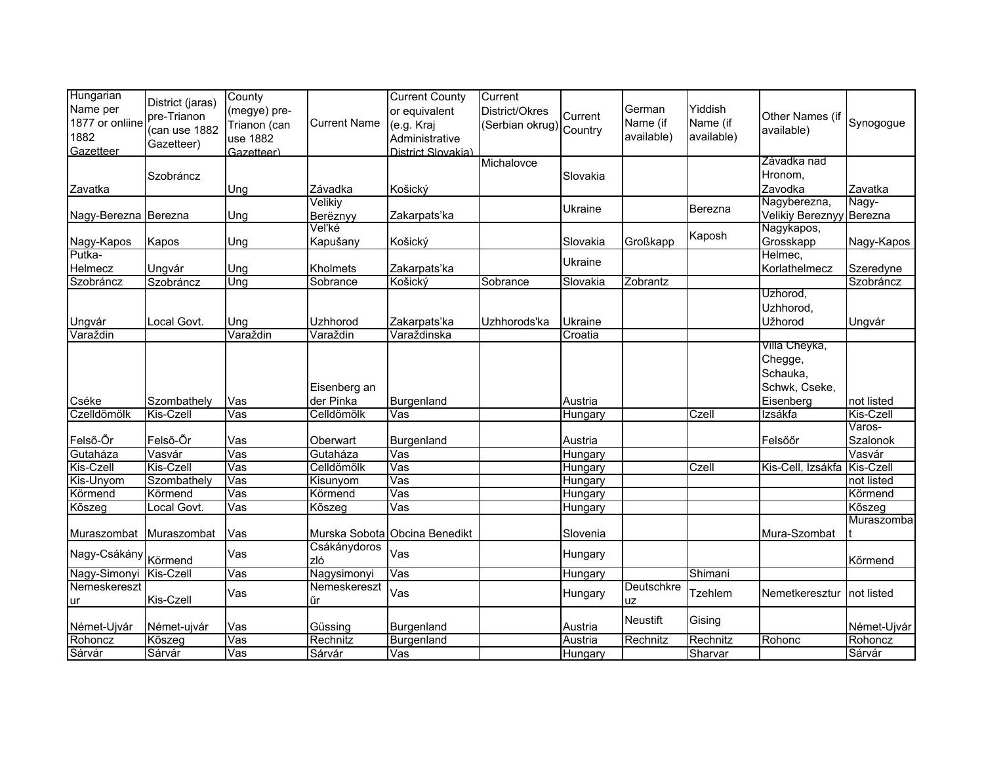| Hungarian            |                  | County                  |                     | <b>Current County</b>   | Current                 |          |            |                |                          |             |
|----------------------|------------------|-------------------------|---------------------|-------------------------|-------------------------|----------|------------|----------------|--------------------------|-------------|
| Name per             | District (jaras) | (megye) pre-            |                     | or equivalent           | District/Okres          |          | German     | Yiddish        |                          |             |
| 1877 or onliine      | pre-Trianon      | Trianon (can            | <b>Current Name</b> | (e.g. Kraj              | (Serbian okrug) Country | Current  | Name (if   | Name (if       | Other Names (if          | Synogogue   |
| 1882                 | (can use 1882    | use 1882                |                     | Administrative          |                         |          | available) | available)     | available)               |             |
| Gazetteer            | Gazetteer)       | Gazetteer)              |                     | District Slovakia)      |                         |          |            |                |                          |             |
|                      |                  |                         |                     |                         | Michalovce              |          |            |                | Závadka nad              |             |
|                      | Szobráncz        |                         |                     |                         |                         | Slovakia |            |                | Hronom,                  |             |
| Zavatka              |                  | Ung                     | Závadka             | Košický                 |                         |          |            |                | Zavodka                  | Zavatka     |
|                      |                  |                         | Velikiy             |                         |                         |          |            |                | Nagyberezna,             | Nagy-       |
| Nagy-Berezna Berezna |                  | Ung                     | Berëznyy            | Zakarpats'ka            |                         | Ukraine  |            | Berezna        | Velikiy Bereznyy Berezna |             |
|                      |                  |                         | Veľké               |                         |                         |          |            |                | Nagykapos,               |             |
|                      | Kapos            | Ung                     | Kapušany            | Košický                 |                         | Slovakia | Großkapp   | Kaposh         | Grosskapp                | Nagy-Kapos  |
| Nagy-Kapos<br>Putka- |                  |                         |                     |                         |                         |          |            |                | Helmec,                  |             |
| Helmecz              | Ungvár           | Ung                     | Kholmets            | Zakarpats'ka            |                         | Ukraine  |            |                | Korlathelmecz            | Szeredyne   |
| Szobráncz            | Szobráncz        | Ung                     | Sobrance            | Košický                 | Sobrance                | Slovakia | Zobrantz   |                |                          | Szobráncz   |
|                      |                  |                         |                     |                         |                         |          |            |                | Uzhorod,                 |             |
|                      |                  |                         |                     |                         |                         |          |            |                | Uzhhorod,                |             |
| Ungvár               | Local Govt.      | Ung                     | Uzhhorod            | Zakarpats'ka            | Uzhhorods'ka            | Ukraine  |            |                | Užhorod                  | Ungvár      |
| Varaždin             |                  | Varaždin                | Varaždin            | Varaždinska             |                         | Croatia  |            |                |                          |             |
|                      |                  |                         |                     |                         |                         |          |            |                | Villa Cheyka,            |             |
|                      |                  |                         |                     |                         |                         |          |            |                | Chegge,                  |             |
|                      |                  |                         |                     |                         |                         |          |            |                | Schauka,                 |             |
|                      |                  |                         | Eisenberg an        |                         |                         |          |            |                | Schwk, Cseke,            |             |
| Cséke                | Szombathely      | Vas                     | der Pinka           | Burgenland              |                         | Austria  |            |                | Eisenberg                | not listed  |
| Czelldömölk          | Kis-Czell        | $\overline{\text{Vas}}$ | Celldömölk          | Vas                     |                         | Hungary  |            | Czell          | Izsákfa                  | Kis-Czell   |
|                      |                  |                         |                     |                         |                         |          |            |                |                          | Varos-      |
| Felső-Őr             | Felső-Őr         | Vas                     | Oberwart            | Burgenland              |                         | Austria  |            |                | Felsőőr                  | Szalonok    |
| Gutaháza             | Vasvár           | Vas                     | Gutaháza            | Vas                     |                         | Hungary  |            |                |                          | Vasvár      |
| Kis-Czell            | Kis-Czell        | $\overline{\text{Vas}}$ | Celldömölk          | Vas                     |                         | Hungary  |            | Czell          | Kis-Cell, Izsákfa        | Kis-Czell   |
| Kis-Unyom            | Szombathely      | $\overline{\text{Vas}}$ | Kisunyom            | $\overline{\text{Vas}}$ |                         | Hungary  |            |                |                          | not listed  |
| Körmend              | Körmend          | $\overline{\text{Vas}}$ | Körmend             | Vas                     |                         | Hungary  |            |                |                          | Körmend     |
| Kõszeg               | Local Govt.      | Vas                     | Kõszeg              | $\overline{\text{Vas}}$ |                         | Hungary  |            |                |                          | Kõszeg      |
|                      |                  |                         |                     |                         |                         |          |            |                |                          | Muraszomba  |
| Muraszombat          | Muraszombat      | Vas                     | Murska Sobota       | Obcina Benedikt         |                         | Slovenia |            |                | Mura-Szombat             |             |
|                      |                  |                         | Csákánydoros        |                         |                         |          |            |                |                          |             |
| Nagy-Csákány Körmend |                  | Vas                     | zló                 | Vas                     |                         | Hungary  |            |                |                          | Körmend     |
| Nagy-Simonyi         | Kis-Czell        | $\overline{\text{Vas}}$ | Nagysimonyi         | $\overline{\text{Vas}}$ |                         | Hungary  |            | Shimani        |                          |             |
| Nemeskereszt         |                  |                         | Nemeskereszt        |                         |                         |          | Deutschkre |                |                          |             |
|                      | Kis-Czell        | Vas                     |                     | Vas                     |                         | Hungary  |            | <b>Tzehlem</b> | Nemetkeresztur           | not listed  |
| ur                   |                  |                         | űr                  |                         |                         |          | uz         |                |                          |             |
| Német-Ujvár          |                  | Vas                     | Güssing             | Burgenland              |                         | Austria  | Neustift   | Gising         |                          | Német-Ujvár |
|                      | Német-ujvár      |                         |                     |                         |                         |          |            |                | Rohonc                   |             |
| Rohoncz              | Kõszeg           | Vas                     | Rechnitz            | Burgenland              |                         | Austria  | Rechnitz   | Rechnitz       |                          | Rohoncz     |
| Sárvár               | Sárvár           | Vas                     | Sárvár              | Vas                     |                         | Hungary  |            | Sharvar        |                          | Sárvár      |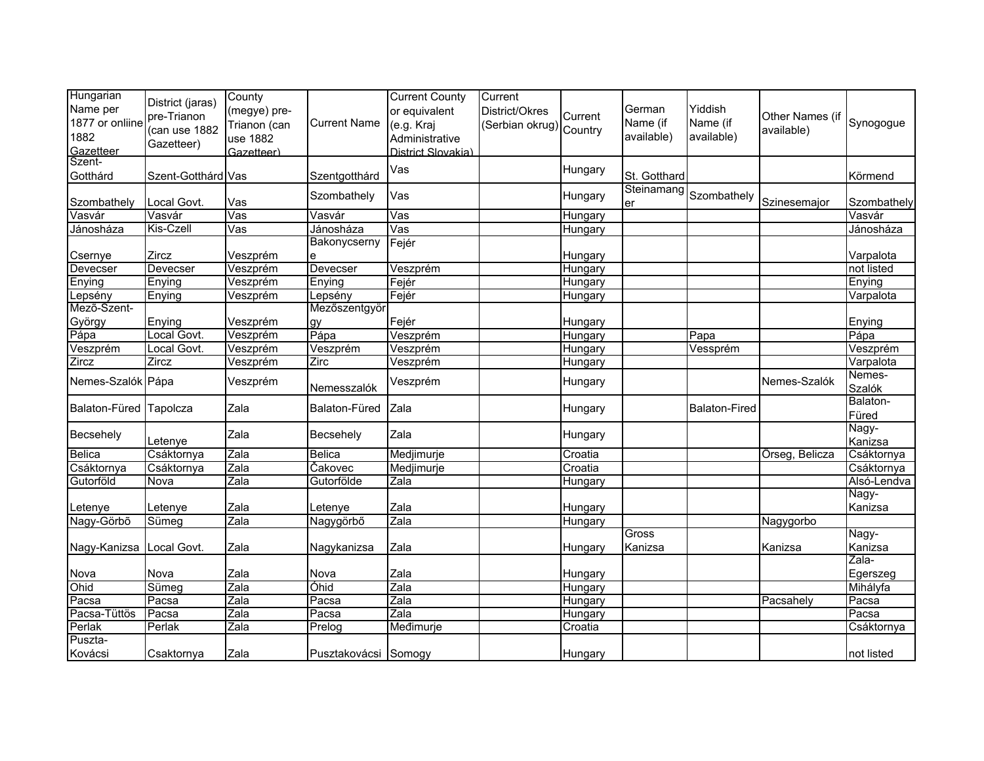| Hungarian<br>Name per<br>1877 or onliine<br>1882<br>Gazetteer | District (jaras)<br>pre-Trianon<br>(can use 1882<br>Gazetteer) | County<br>(megye) pre-<br>Trianon (can<br>use 1882<br>Gazetteer) | <b>Current Name</b> | <b>Current County</b><br>or equivalent<br>(e.g. Kraj<br>Administrative<br>District Slovakia) | Current<br>District/Okres<br>(Serbian okrug) Country | Current        | German<br>Name (if<br>available) | Yiddish<br>Name (if<br>available) | Other Names (if<br>available) | Synogogue         |
|---------------------------------------------------------------|----------------------------------------------------------------|------------------------------------------------------------------|---------------------|----------------------------------------------------------------------------------------------|------------------------------------------------------|----------------|----------------------------------|-----------------------------------|-------------------------------|-------------------|
| Szent-<br>Gotthárd                                            | Szent-Gotthárd Vas                                             |                                                                  | Szentgotthárd       | Vas                                                                                          |                                                      | Hungary        | St. Gotthard                     |                                   |                               | Körmend           |
| Szombathely                                                   | Local Govt.                                                    | Vas                                                              | Szombathely         | Vas                                                                                          |                                                      | Hungary        | Steinamang<br>er                 | Szombathely                       | Szinesemajor                  | Szombathely       |
| Vasvár                                                        | Vasvár                                                         | Vas                                                              | Vasvár              | Vas                                                                                          |                                                      | <b>Hungary</b> |                                  |                                   |                               | Vasvár            |
| Jánosháza                                                     | Kis-Czell                                                      | $\overline{\text{Vas}}$                                          | Jánosháza           | $\overline{\text{Vas}}$                                                                      |                                                      | Hungary        |                                  |                                   |                               | Jánosháza         |
| Csernye                                                       | Zircz                                                          | Veszprém                                                         | Bakonycserny<br>е   | Fejér                                                                                        |                                                      | Hungary        |                                  |                                   |                               | Varpalota         |
| Devecser                                                      | Devecser                                                       | Veszprém                                                         | Devecser            | Veszprém                                                                                     |                                                      | Hungary        |                                  |                                   |                               | not listed        |
| Enying                                                        | Enying                                                         | Veszprém                                                         | Enying              | Fejér                                                                                        |                                                      | Hungary        |                                  |                                   |                               | Enying            |
| Lepsény                                                       | Enying                                                         | Veszprém                                                         | Lepsény             | Fejér                                                                                        |                                                      | Hungary        |                                  |                                   |                               | Varpalota         |
| Mező-Szent-                                                   |                                                                |                                                                  | Mezőszentgyör       |                                                                                              |                                                      |                |                                  |                                   |                               |                   |
| György                                                        | Enying                                                         | Veszprém                                                         | gy                  | Fejér                                                                                        |                                                      | Hungary        |                                  |                                   |                               | Enying            |
| Pápa                                                          | Local Govt.                                                    | Veszprém                                                         | Pápa                | Veszprém                                                                                     |                                                      | Hungary        |                                  | Papa                              |                               | Pápa              |
| Veszprém                                                      | Local Govt.                                                    | Veszprém                                                         | Veszprém            | Veszprém                                                                                     |                                                      | Hungary        |                                  | Vessprém                          |                               | Veszprém          |
| Zircz                                                         | Zircz                                                          | Veszprém                                                         | Zirc                | Veszprém                                                                                     |                                                      | Hungary        |                                  |                                   |                               | Varpalota         |
| Nemes-Szalók Pápa                                             |                                                                | Veszprém                                                         | Nemesszalók         | Veszprém                                                                                     |                                                      | Hungary        |                                  |                                   | Nemes-Szalók                  | Nemes-<br>Szalók  |
| Balaton-Füred                                                 | Tapolcza                                                       | Zala                                                             | Balaton-Füred       | Zala                                                                                         |                                                      | Hungary        |                                  | <b>Balaton-Fired</b>              |                               | Balaton-<br>Füred |
| Becsehely                                                     | Letenye                                                        | Zala                                                             | Becsehely           | Zala                                                                                         |                                                      | Hungary        |                                  |                                   |                               | Nagy-<br>Kanizsa  |
| <b>Belica</b>                                                 | Csáktornya                                                     | Zala                                                             | Belica              | Medjimurje                                                                                   |                                                      | Croatia        |                                  |                                   | Örseg, Belicza                | Csáktornya        |
| Csáktornya                                                    | Csáktornya                                                     | Zala                                                             | Cakovec             | Medjimurje                                                                                   |                                                      | Croatia        |                                  |                                   |                               | Csáktornya        |
| Gutorföld                                                     | Nova                                                           | Zala                                                             | Gutorfölde          | Zala                                                                                         |                                                      | Hungary        |                                  |                                   |                               | Alsó-Lendva       |
|                                                               |                                                                |                                                                  |                     |                                                                                              |                                                      |                |                                  |                                   |                               | Nagy-             |
| Letenye                                                       | Letenye                                                        | Zala                                                             | Letenye             | Zala                                                                                         |                                                      | Hungary        |                                  |                                   |                               | Kanizsa           |
| Nagy-Görbő                                                    | Sümeg                                                          | Zala                                                             | Nagygörbő           | Zala                                                                                         |                                                      | Hungary        |                                  |                                   | Nagygorbo                     |                   |
|                                                               |                                                                |                                                                  |                     |                                                                                              |                                                      |                | Gross                            |                                   |                               | Nagy-             |
| Nagy-Kanizsa                                                  | ocal Govt.                                                     | Zala                                                             | Nagykanizsa         | Zala                                                                                         |                                                      | Hungary        | Kanizsa                          |                                   | Kanizsa                       | Kanizsa           |
|                                                               |                                                                |                                                                  |                     |                                                                                              |                                                      |                |                                  |                                   |                               | Zala-             |
| Nova                                                          | Nova                                                           | Zala                                                             | Nova                | Zala                                                                                         |                                                      | Hungary        |                                  |                                   |                               | Egerszeg          |
| Ohid                                                          | Sümeg                                                          | Zala                                                             | Óhid                | Zala                                                                                         |                                                      | Hungary        |                                  |                                   |                               | Mihályfa          |
| Pacsa                                                         | Pacsa                                                          | Zala                                                             | Pacsa               | Zala                                                                                         |                                                      | Hungary        |                                  |                                   | Pacsahely                     | Pacsa             |
| Pacsa-Tüttös                                                  | Pacsa                                                          | Zala                                                             | Pacsa               | Zala                                                                                         |                                                      | <b>Hungary</b> |                                  |                                   |                               | Pacsa             |
| Perlak                                                        | Perlak                                                         | Zala                                                             | Prelog              | Međimurje                                                                                    |                                                      | Croatia        |                                  |                                   |                               | Csáktornya        |
| Puszta-                                                       |                                                                |                                                                  |                     |                                                                                              |                                                      |                |                                  |                                   |                               |                   |
| Kovácsi                                                       | Csaktornya                                                     | Zala                                                             | Pusztakovácsi       | Somogy                                                                                       |                                                      | Hungary        |                                  |                                   |                               | not listed        |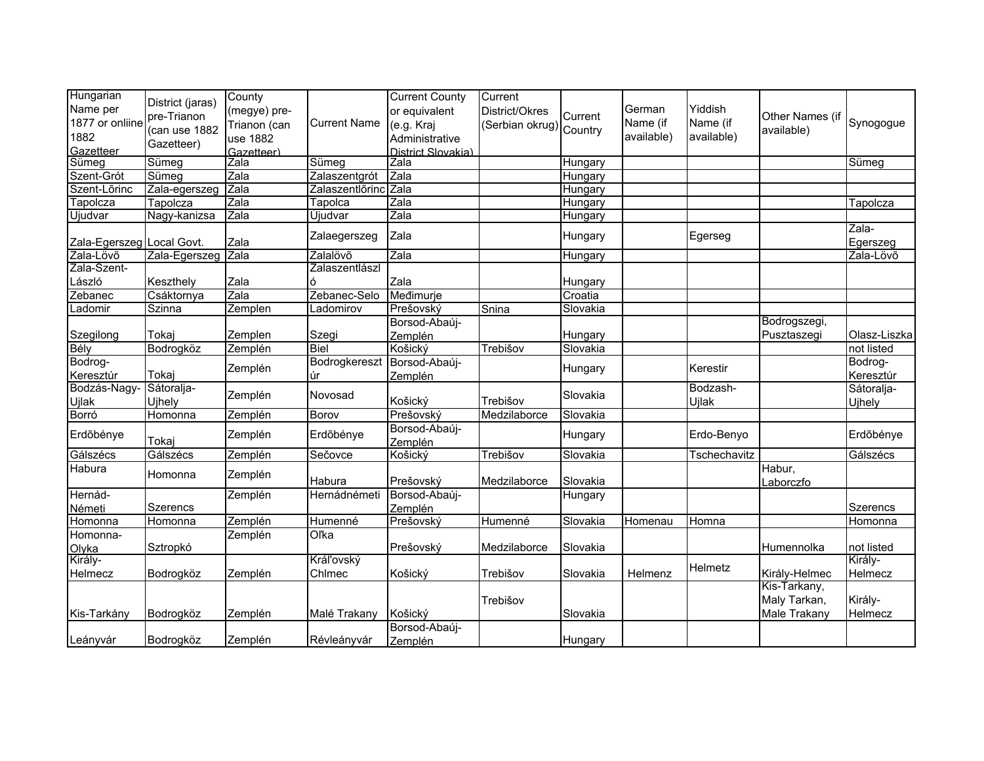| Hungarian                 |                  | County       |                     | <b>Current County</b> | Current         |          |            |              |                 |                   |
|---------------------------|------------------|--------------|---------------------|-----------------------|-----------------|----------|------------|--------------|-----------------|-------------------|
| Name per                  | District (jaras) | (megye) pre- |                     | or equivalent         | District/Okres  | Current  | German     | Yiddish      |                 |                   |
| 1877 or onliine           | pre-Trianon      | Trianon (can | <b>Current Name</b> | (e.g. Kraj            | (Serbian okrug) |          | Name (if   | Name (if     | Other Names (if | Synogogue         |
| 1882                      | (can use 1882    | use 1882     |                     | Administrative        |                 | Country  | available) | available)   | available)      |                   |
| Gazetteer                 | Gazetteer)       | Gazetteer)   |                     | District Slovakia)    |                 |          |            |              |                 |                   |
| Sümeg                     | Sümeg            | Zala         | Sümeg               | Zala                  |                 | Hungary  |            |              |                 | Sümeg             |
| Szent-Grót                | Sümeg            | Zala         | Zalaszentgrót       | Zala                  |                 | Hungary  |            |              |                 |                   |
| Szent-Lõrinc              | Zala-egerszeg    | Zala         | Zalaszentlőrinc     | Zala                  |                 | Hungary  |            |              |                 |                   |
| Tapolcza                  | Tapolcza         | Zala         | Tapolca             | Zala                  |                 | Hungary  |            |              |                 | Tapolcza          |
| Ujudvar                   | Nagy-kanizsa     | Zala         | Újudvar             | Zala                  |                 | Hungary  |            |              |                 |                   |
| Zala-Egerszeg Local Govt. |                  | Zala         | Zalaegerszeg        | Zala                  |                 | Hungary  |            | Egerseg      |                 | Zala-<br>Egerszeg |
| Zala-Lövő                 | Zala-Egerszeg    | Zala         | Zalalövő            | Zala                  |                 | Hungary  |            |              |                 | Zala-Lövõ         |
| Zala-Szent-               |                  |              | Zalaszentlászl      |                       |                 |          |            |              |                 |                   |
| László                    | Keszthely        | Zala         | Ó                   | Zala                  |                 | Hungary  |            |              |                 |                   |
| Zebanec                   | Csáktornya       | Zala         | Zebanec-Selo        | Međimurje             |                 | Croatia  |            |              |                 |                   |
| Ladomir                   | Szinna           | Zemplen      | Ladomirov           | Prešovský             | Snina           | Slovakia |            |              |                 |                   |
|                           |                  |              |                     | Borsod-Abaúj-         |                 |          |            |              | Bodrogszegi,    |                   |
| Szegilong                 | Tokaj            | Zemplen      | Szegi               | Zemplén               |                 | Hungary  |            |              | Pusztaszegi     | Olasz-Liszka      |
| Bély                      | Bodrogköz        | Zemplén      | <b>Biel</b>         | Košický               | Trebišov        | Slovakia |            |              |                 | not listed        |
| Bodrog-                   |                  |              | Bodrogkereszt       | Borsod-Abaúj-         |                 |          |            |              |                 | Bodrog-           |
| Keresztúr                 | Tokaj            | Zemplén      | úr                  | Zemplén               |                 | Hungary  |            | Kerestir     |                 | Keresztúr         |
| Bodzás-Nagy               | Sátoralja-       |              | Novosad             |                       |                 | Slovakia |            | Bodzash-     |                 | Sátoralja-        |
| <b>Ujlak</b>              | Ujhely           | Zemplén      |                     | Košický               | Trebišov        |          |            | Ujlak        |                 | Ujhely            |
| Borró                     | Homonna          | Zemplén      | Borov               | Prešovský             | Medzilaborce    | Slovakia |            |              |                 |                   |
|                           |                  |              |                     | Borsod-Abaúj-         |                 |          |            | Erdo-Benyo   |                 |                   |
| Erdőbénye                 | Tokaj            | Zemplén      | Erdőbénye           | Zemplén               |                 | Hungary  |            |              |                 | Erdőbénye         |
| Gálszécs                  | Gálszécs         | Zemplén      | Sečovce             | Košický               | Trebišov        | Slovakia |            | Tschechavitz |                 | Gálszécs          |
| Habura                    |                  | Zemplén      |                     |                       |                 |          |            |              | Habur,          |                   |
|                           | Homonna          |              | Habura              | Prešovský             | Medzilaborce    | Slovakia |            |              | Laborczfo       |                   |
| Hernád-                   |                  | Zemplén      | Hernádnémeti        | Borsod-Abaúj-         |                 | Hungary  |            |              |                 |                   |
| Németi                    | <b>Szerencs</b>  |              |                     | Zemplén               |                 |          |            |              |                 | <b>Szerencs</b>   |
| Homonna                   | Homonna          | Zemplén      | Humenné             | Prešovský             | Humenné         | Slovakia | Homenau    | Homna        |                 | Homonna           |
| Homonna-                  |                  | Zemplén      | Oľka                |                       |                 |          |            |              |                 |                   |
| Olyka                     | Sztropkó         |              |                     | Prešovský             | Medzilaborce    | Slovakia |            |              | Humennolka      | not listed        |
| Király-                   |                  |              | Kráľovský           |                       |                 |          |            | Helmetz      |                 | Király-           |
| Helmecz                   | Bodrogköz        | Zemplén      | Chlmec              | Košický               | Trebišov        | Slovakia | Helmenz    |              | Király-Helmec   | Helmecz           |
|                           |                  |              |                     |                       |                 |          |            |              | Kis-Tarkany,    |                   |
|                           |                  |              |                     |                       | Trebišov        |          |            |              | Maly Tarkan,    | Király-           |
| Kis-Tarkány               | Bodrogköz        | Zemplén      | Malé Trakany        | Košický               |                 | Slovakia |            |              | Male Trakany    | Helmecz           |
|                           |                  |              |                     | Borsod-Abaúj-         |                 |          |            |              |                 |                   |
| Leányvár                  | Bodrogköz        | Zemplén      | Révleányvár         | Zemplén               |                 | Hungary  |            |              |                 |                   |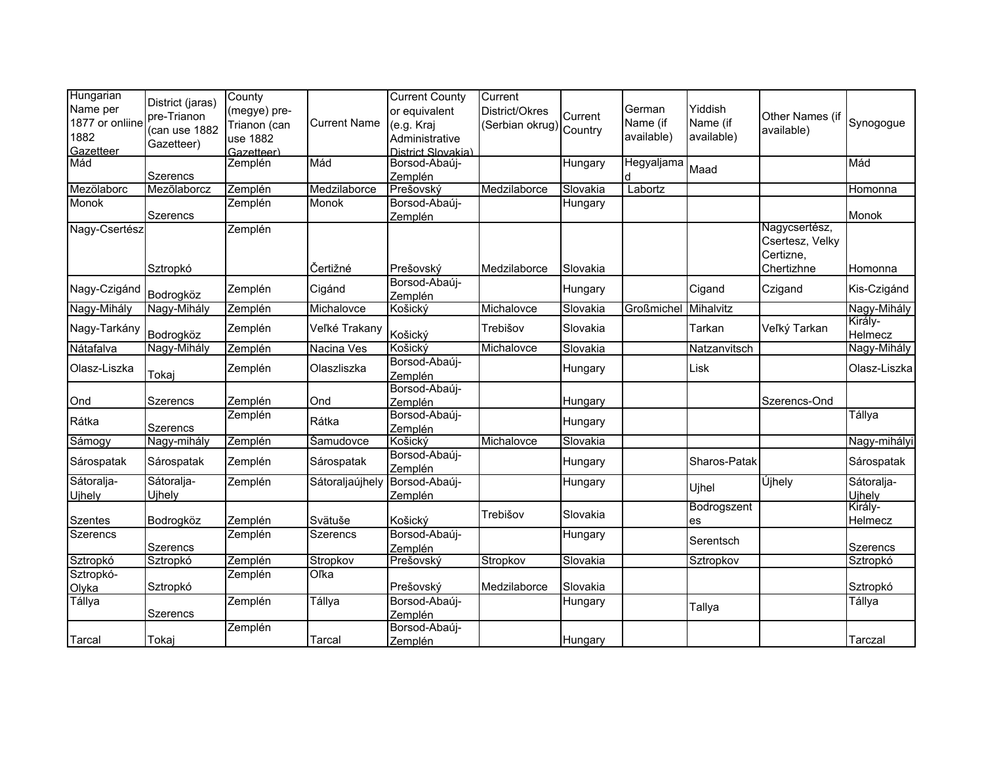| Hungarian<br>Name per<br>1877 or onliine<br>1882 | District (jaras)<br>pre-Trianon<br>(can use 1882 | County<br>(megye) pre-<br>Trianon (can<br>use 1882 | <b>Current Name</b> | <b>Current County</b><br>or equivalent<br>(e.g. Kraj<br>Administrative | Current<br>District/Okres<br>(Serbian okrug) Country | Current  | German<br>Name (if<br>available) | Yiddish<br>Name (if<br>available) | Other Names (if<br>available)                 | Synogogue                   |
|--------------------------------------------------|--------------------------------------------------|----------------------------------------------------|---------------------|------------------------------------------------------------------------|------------------------------------------------------|----------|----------------------------------|-----------------------------------|-----------------------------------------------|-----------------------------|
| Gazetteer                                        | Gazetteer)                                       | Gazetteer)                                         |                     | District Slovakia)                                                     |                                                      |          |                                  |                                   |                                               |                             |
| Mád                                              | <b>Szerencs</b>                                  | Zemplén                                            | Mád                 | Borsod-Abaúj-<br>Zemplén                                               |                                                      | Hungary  | Hegyaljama                       | Maad                              |                                               | Mád                         |
| Mezölaborc                                       | Mezőlaborcz                                      | Zemplén                                            | Medzilaborce        | Prešovský                                                              | Medzilaborce                                         | Slovakia | Labortz                          |                                   |                                               | Homonna                     |
| Monok                                            | Szerencs                                         | Zemplén                                            | Monok               | Borsod-Abaúj-<br>Zemplén                                               |                                                      | Hungary  |                                  |                                   |                                               | Monok                       |
| Nagy-Csertész                                    |                                                  | Zemplén                                            |                     |                                                                        |                                                      |          |                                  |                                   | Nagycsertész,<br>Csertesz, Velky<br>Certizne, |                             |
|                                                  | Sztropkó                                         |                                                    | Čertižné            | Prešovský                                                              | Medzilaborce                                         | Slovakia |                                  |                                   | Chertizhne                                    | Homonna                     |
| Nagy-Czigánd                                     | Bodrogköz                                        | Zemplén                                            | Cigánd              | Borsod-Abaúj-<br>Zemplén                                               |                                                      | Hungary  |                                  | Cigand                            | Czigand                                       | Kis-Czigánd                 |
| Nagy-Mihály                                      | Nagy-Mihály                                      | Zemplén                                            | Michalovce          | Košický                                                                | Michalovce                                           | Slovakia | Großmichel                       | Mihalvitz                         |                                               | Nagy-Mihály                 |
| Nagy-Tarkány                                     | Bodrogköz                                        | Zemplén                                            | Veľké Trakany       | Košický                                                                | Trebišov                                             | Slovakia |                                  | Tarkan                            | Veľký Tarkan                                  | Király-<br>Helmecz          |
| Nátafalva                                        | Nagy-Mihály                                      | Zemplén                                            | Nacina Ves          | Košický                                                                | Michalovce                                           | Slovakia |                                  | Natzanvitsch                      |                                               | Nagy-Mihály                 |
| Olasz-Liszka                                     | Tokaj                                            | Zemplén                                            | Olaszliszka         | Borsod-Abaúj-<br>Zemplén                                               |                                                      | Hungary  |                                  | Lisk                              |                                               | Olasz-Liszka                |
| Ond                                              | Szerencs                                         | Zemplén                                            | Ond                 | Borsod-Abaúj-<br>Zemplén                                               |                                                      | Hungary  |                                  |                                   | Szerencs-Ond                                  |                             |
| Rátka                                            | Szerencs                                         | Zemplén                                            | Rátka               | Borsod-Abaúj-<br>Zemplén                                               |                                                      | Hungary  |                                  |                                   |                                               | Tállya                      |
| Sámogy                                           | Nagy-mihály                                      | Zemplén                                            | Samudovce           | Košický                                                                | Michalovce                                           | Slovakia |                                  |                                   |                                               | Nagy-mihályi                |
| Sárospatak                                       | Sárospatak                                       | Zemplén                                            | Sárospatak          | Borsod-Abaúj-<br>Zemplén                                               |                                                      | Hungary  |                                  | Sharos-Patak                      |                                               | Sárospatak                  |
| Sátoralja-<br>Ujhely                             | Sátoralja-<br>Ujhely                             | Zemplén                                            | Sátoraljaújhely     | Borsod-Abaúj-<br>Zemplén                                               |                                                      | Hungary  |                                  | Ujhel                             | Újhely                                        | Sátoralja-<br><b>Ujhely</b> |
| <b>Szentes</b>                                   | Bodrogköz                                        | Zemplén                                            | Svätuše             | Košický                                                                | Trebišov                                             | Slovakia |                                  | Bodrogszent<br>es                 |                                               | Király-<br>Helmecz          |
| <b>Szerencs</b>                                  | Szerencs                                         | Zemplén                                            | <b>Szerencs</b>     | Borsod-Abaúj-<br>Zemplén                                               |                                                      | Hungary  |                                  | Serentsch                         |                                               | Szerencs                    |
| Sztropkó                                         | Sztropkó                                         | Zemplén                                            | Stropkov            | Prešovský                                                              | Stropkov                                             | Slovakia |                                  | Sztropkov                         |                                               | Sztropkó                    |
| Sztropkó-                                        |                                                  | Zemplén                                            | Oľka                |                                                                        |                                                      |          |                                  |                                   |                                               |                             |
| Olyka                                            | Sztropkó                                         |                                                    |                     | Prešovský                                                              | Medzilaborce                                         | Slovakia |                                  |                                   |                                               | Sztropkó                    |
| Tállya                                           | Szerencs                                         | Zemplén                                            | Tállya              | Borsod-Abaúj-<br>Zemplén                                               |                                                      | Hungary  |                                  | Tallya                            |                                               | Tállya                      |
| Tarcal                                           | Tokaj                                            | Zemplén                                            | Tarcal              | Borsod-Abaúj-<br>Zemplén                                               |                                                      | Hungary  |                                  |                                   |                                               | Tarczal                     |